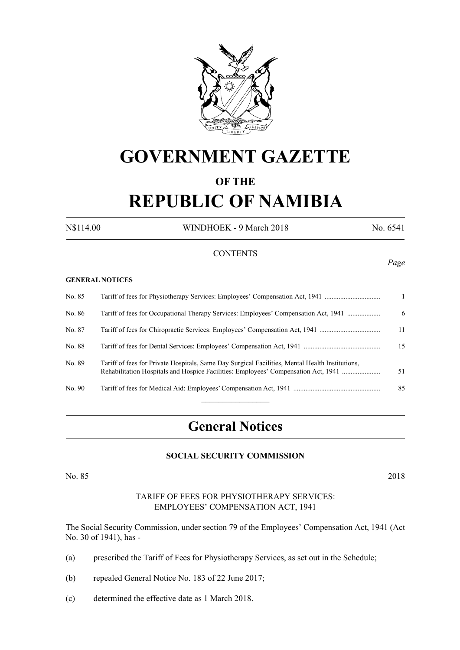

# **GOVERNMENT GAZETTE**

### **OF THE**

# **REPUBLIC OF NAMIBIA**

N\$114.00 WINDHOEK - 9 March 2018 No. 6541

*Page*

#### **CONTENTS**

#### **GENERAL NOTICES**

| No. 85 | Tariff of fees for Physiotherapy Services: Employees' Compensation Act, 1941                                                                                                          |    |
|--------|---------------------------------------------------------------------------------------------------------------------------------------------------------------------------------------|----|
| No. 86 | Tariff of fees for Occupational Therapy Services: Employees' Compensation Act, 1941                                                                                                   | 6  |
| No. 87 |                                                                                                                                                                                       | 11 |
| No. 88 |                                                                                                                                                                                       | 15 |
| No. 89 | Tariff of fees for Private Hospitals, Same Day Surgical Facilities, Mental Health Institutions,<br>Rehabilitation Hospitals and Hospice Facilities: Employees' Compensation Act, 1941 | 51 |
| No. 90 |                                                                                                                                                                                       | 85 |
|        |                                                                                                                                                                                       |    |

# **General Notices**

#### **SOCIAL SECURITY COMMISSION**

No. 85 2018

#### TARIFF OF FEES FOR PHYSIOTHERAPY SERVICES: EMPLOYEES' COMPENSATION ACT, 1941

The Social Security Commission, under section 79 of the Employees' Compensation Act, 1941 (Act No. 30 of 1941), has -

- (a) prescribed the Tariff of Fees for Physiotherapy Services, as set out in the Schedule;
- (b) repealed General Notice No. 183 of 22 June 2017;
- (c) determined the effective date as 1 March 2018.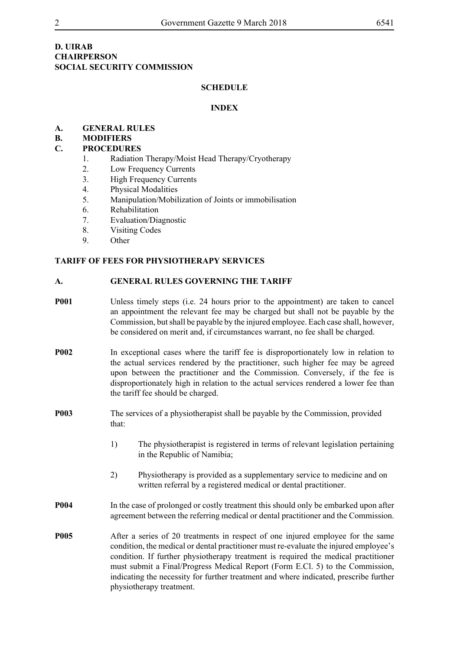#### **D. UIRAB CHAIRPERSON SOCIAL SECURITY COMMISSION**

#### **SCHEDULE**

#### **INDEx**

#### **A. GENERAL RULES**

#### **B. MODIFIERS**

#### **C. PROCEDURES**

- 1. Radiation Therapy/Moist Head Therapy/Cryotherapy
- 2. Low Frequency Currents
- 3. High Frequency Currents
- 4. Physical Modalities
- 5. Manipulation/Mobilization of Joints or immobilisation
- 6. Rehabilitation
- 7. Evaluation/Diagnostic
- 8. Visiting Codes
- 9. Other

#### **TARIFF OF FEES FOR PHYSIOTHERAPY SERVICES**

#### **A. GENERAL RULES GOVERNING THE TARIFF**

- **P001** Unless timely steps (i.e. 24 hours prior to the appointment) are taken to cancel an appointment the relevant fee may be charged but shall not be payable by the Commission, but shall be payable by the injured employee. Each case shall, however, be considered on merit and, if circumstances warrant, no fee shall be charged.
- **P002** In exceptional cases where the tariff fee is disproportionately low in relation to the actual services rendered by the practitioner, such higher fee may be agreed upon between the practitioner and the Commission. Conversely, if the fee is disproportionately high in relation to the actual services rendered a lower fee than the tariff fee should be charged.
- **P003** The services of a physiotherapist shall be payable by the Commission, provided that:
	- 1) The physiotherapist is registered in terms of relevant legislation pertaining in the Republic of Namibia;
	- 2) Physiotherapy is provided as a supplementary service to medicine and on written referral by a registered medical or dental practitioner.
- **P004** In the case of prolonged or costly treatment this should only be embarked upon after agreement between the referring medical or dental practitioner and the Commission.
- **P005** After a series of 20 treatments in respect of one injured employee for the same condition, the medical or dental practitioner must re-evaluate the injured employee's condition. If further physiotherapy treatment is required the medical practitioner must submit a Final/Progress Medical Report (Form E.Cl. 5) to the Commission, indicating the necessity for further treatment and where indicated, prescribe further physiotherapy treatment.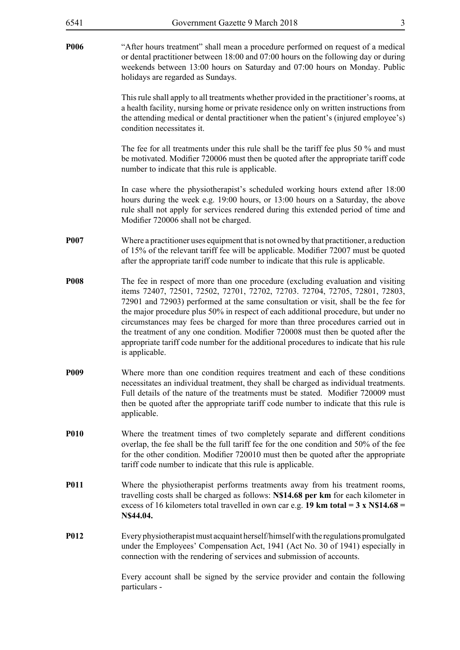| 6541        | Government Gazette 9 March 2018                                                                                                                                                                                                                                                                                                                                                                                                                                                                                                                                                                                                 | $\mathfrak{Z}$ |
|-------------|---------------------------------------------------------------------------------------------------------------------------------------------------------------------------------------------------------------------------------------------------------------------------------------------------------------------------------------------------------------------------------------------------------------------------------------------------------------------------------------------------------------------------------------------------------------------------------------------------------------------------------|----------------|
| <b>P006</b> | "After hours treatment" shall mean a procedure performed on request of a medical<br>or dental practitioner between 18:00 and 07:00 hours on the following day or during<br>weekends between 13:00 hours on Saturday and 07:00 hours on Monday. Public<br>holidays are regarded as Sundays.                                                                                                                                                                                                                                                                                                                                      |                |
|             | This rule shall apply to all treatments whether provided in the practitioner's rooms, at<br>a health facility, nursing home or private residence only on written instructions from<br>the attending medical or dental practitioner when the patient's (injured employee's)<br>condition necessitates it.                                                                                                                                                                                                                                                                                                                        |                |
|             | The fee for all treatments under this rule shall be the tariff fee plus 50 % and must<br>be motivated. Modifier 720006 must then be quoted after the appropriate tariff code<br>number to indicate that this rule is applicable.                                                                                                                                                                                                                                                                                                                                                                                                |                |
|             | In case where the physiotherapist's scheduled working hours extend after 18:00<br>hours during the week e.g. 19:00 hours, or 13:00 hours on a Saturday, the above<br>rule shall not apply for services rendered during this extended period of time and<br>Modifier 720006 shall not be charged.                                                                                                                                                                                                                                                                                                                                |                |
| <b>P007</b> | Where a practitioner uses equipment that is not owned by that practitioner, a reduction<br>of 15% of the relevant tariff fee will be applicable. Modifier 72007 must be quoted<br>after the appropriate tariff code number to indicate that this rule is applicable.                                                                                                                                                                                                                                                                                                                                                            |                |
| <b>P008</b> | The fee in respect of more than one procedure (excluding evaluation and visiting<br>items 72407, 72501, 72502, 72701, 72702, 72703. 72704, 72705, 72801, 72803,<br>72901 and 72903) performed at the same consultation or visit, shall be the fee for<br>the major procedure plus 50% in respect of each additional procedure, but under no<br>circumstances may fees be charged for more than three procedures carried out in<br>the treatment of any one condition. Modifier 720008 must then be quoted after the<br>appropriate tariff code number for the additional procedures to indicate that his rule<br>is applicable. |                |
| <b>P009</b> | Where more than one condition requires treatment and each of these conditions<br>necessitates an individual treatment, they shall be charged as individual treatments.<br>Full details of the nature of the treatments must be stated. Modifier 720009 must<br>then be quoted after the appropriate tariff code number to indicate that this rule is<br>applicable.                                                                                                                                                                                                                                                             |                |
| <b>P010</b> | Where the treatment times of two completely separate and different conditions<br>overlap, the fee shall be the full tariff fee for the one condition and 50% of the fee<br>for the other condition. Modifier 720010 must then be quoted after the appropriate<br>tariff code number to indicate that this rule is applicable.                                                                                                                                                                                                                                                                                                   |                |
| <b>P011</b> | Where the physiotherapist performs treatments away from his treatment rooms,<br>travelling costs shall be charged as follows: N\$14.68 per km for each kilometer in<br>excess of 16 kilometers total travelled in own car e.g. 19 km total = $3 \times N\$ 14.68 =<br>N\$44.04.                                                                                                                                                                                                                                                                                                                                                 |                |
| <b>P012</b> | Every physiotherapist must acquaint herself/himself with the regulations promulgated<br>under the Employees' Compensation Act, 1941 (Act No. 30 of 1941) especially in<br>connection with the rendering of services and submission of accounts.                                                                                                                                                                                                                                                                                                                                                                                 |                |
|             | Every account shall be signed by the service provider and contain the following<br>particulars -                                                                                                                                                                                                                                                                                                                                                                                                                                                                                                                                |                |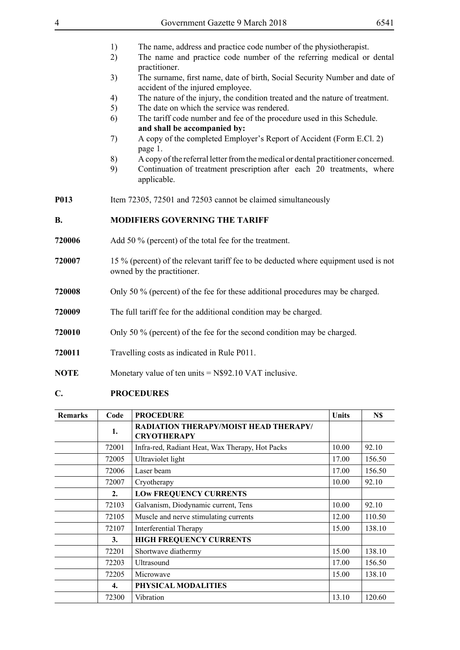|                                 | 5)<br>6)                                                         | The date on which the service was rendered.<br>The tariff code number and fee of the procedure used in this Schedule. |              |        |
|---------------------------------|------------------------------------------------------------------|-----------------------------------------------------------------------------------------------------------------------|--------------|--------|
|                                 |                                                                  | and shall be accompanied by:                                                                                          |              |        |
|                                 | 7)                                                               | A copy of the completed Employer's Report of Accident (Form E.Cl. 2)<br>page 1.                                       |              |        |
|                                 | 8)                                                               | A copy of the referral letter from the medical or dental practitioner concerned.                                      |              |        |
|                                 | 9)                                                               | Continuation of treatment prescription after each 20 treatments, where<br>applicable.                                 |              |        |
| <b>P013</b>                     |                                                                  | Item 72305, 72501 and 72503 cannot be claimed simultaneously                                                          |              |        |
| <b>B.</b>                       |                                                                  | <b>MODIFIERS GOVERNING THE TARIFF</b>                                                                                 |              |        |
| 720006                          |                                                                  | Add 50 % (percent) of the total fee for the treatment.                                                                |              |        |
| 720007                          |                                                                  | 15 % (percent) of the relevant tariff fee to be deducted where equipment used is not<br>owned by the practitioner.    |              |        |
| 720008                          |                                                                  | Only 50 % (percent) of the fee for these additional procedures may be charged.                                        |              |        |
| 720009                          | The full tariff fee for the additional condition may be charged. |                                                                                                                       |              |        |
|                                 |                                                                  |                                                                                                                       |              |        |
|                                 |                                                                  | Only 50 % (percent) of the fee for the second condition may be charged.                                               |              |        |
|                                 |                                                                  | Travelling costs as indicated in Rule P011.                                                                           |              |        |
| 720010<br>720011<br><b>NOTE</b> |                                                                  | Monetary value of ten units $= N$92.10 VAT$ inclusive.                                                                |              |        |
| $\mathbf{C}$ .                  |                                                                  | <b>PROCEDURES</b>                                                                                                     |              |        |
| <b>Remarks</b>                  | Code                                                             | <b>PROCEDURE</b>                                                                                                      | <b>Units</b> | N\$    |
|                                 | 1.                                                               | <b>RADIATION THERAPY/MOIST HEAD THERAPY/</b><br><b>CRYOTHERAPY</b>                                                    |              |        |
|                                 | 72001                                                            | Infra-red, Radiant Heat, Wax Therapy, Hot Packs                                                                       | 10.00        | 92.10  |
|                                 | 72005                                                            | Ultraviolet light                                                                                                     | 17.00        | 156.50 |
|                                 | 72006                                                            | Laser beam                                                                                                            | 17.00        | 156.50 |
|                                 | 72007                                                            | Cryotherapy                                                                                                           | 10.00        | 92.10  |
|                                 | 2.                                                               | <b>LOW FREQUENCY CURRENTS</b>                                                                                         |              |        |
|                                 | 72103                                                            | Galvanism, Diodynamic current, Tens                                                                                   | 10.00        | 92.10  |
|                                 | 72105                                                            | Muscle and nerve stimulating currents                                                                                 | 12.00        | 110.50 |
|                                 | 72107                                                            | Interferential Therapy                                                                                                | 15.00        | 138.10 |
|                                 | 3.                                                               | <b>HIGH FREQUENCY CURRENTS</b>                                                                                        |              |        |
|                                 | 72201                                                            | Shortwave diathermy                                                                                                   | 15.00        | 138.10 |
|                                 | 72203                                                            | Ultrasound                                                                                                            | 17.00        | 156.50 |
|                                 | 72205                                                            | Microwave                                                                                                             | 15.00        | 138.10 |
|                                 | 4.                                                               | PHYSICAL MODALITIES                                                                                                   |              |        |

- 1) The name, address and practice code number of the physiotherapist.<br>
2) The name and practice code number of the referring medical or The name and practice code number of the referring medical or dental practitioner.
- 3) The surname, first name, date of birth, Social Security Number and date of accident of the injured employee.
- 4) The nature of the injury, the condition treated and the nature of treatment.
-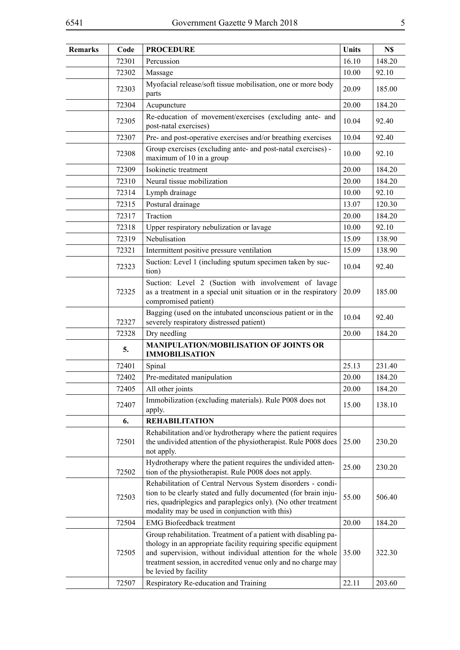| <b>Remarks</b> | Code  | <b>PROCEDURE</b>                                                                                                                                                                                                                                                                            | <b>Units</b> | N\$    |
|----------------|-------|---------------------------------------------------------------------------------------------------------------------------------------------------------------------------------------------------------------------------------------------------------------------------------------------|--------------|--------|
|                | 72301 | Percussion                                                                                                                                                                                                                                                                                  | 16.10        | 148.20 |
|                | 72302 | Massage                                                                                                                                                                                                                                                                                     | 10.00        | 92.10  |
|                | 72303 | Myofacial release/soft tissue mobilisation, one or more body<br>parts                                                                                                                                                                                                                       | 20.09        | 185.00 |
|                | 72304 | Acupuncture                                                                                                                                                                                                                                                                                 | 20.00        | 184.20 |
|                | 72305 | Re-education of movement/exercises (excluding ante- and<br>post-natal exercises)                                                                                                                                                                                                            | 10.04        | 92.40  |
|                | 72307 | Pre- and post-operative exercises and/or breathing exercises                                                                                                                                                                                                                                | 10.04        | 92.40  |
|                | 72308 | Group exercises (excluding ante- and post-natal exercises) -<br>maximum of 10 in a group                                                                                                                                                                                                    | 10.00        | 92.10  |
|                | 72309 | Isokinetic treatment                                                                                                                                                                                                                                                                        | 20.00        | 184.20 |
|                | 72310 | Neural tissue mobilization                                                                                                                                                                                                                                                                  | 20.00        | 184.20 |
|                | 72314 | Lymph drainage                                                                                                                                                                                                                                                                              | 10.00        | 92.10  |
|                | 72315 | Postural drainage                                                                                                                                                                                                                                                                           | 13.07        | 120.30 |
|                | 72317 | Traction                                                                                                                                                                                                                                                                                    | 20.00        | 184.20 |
|                | 72318 | Upper respiratory nebulization or lavage                                                                                                                                                                                                                                                    | 10.00        | 92.10  |
|                | 72319 | Nebulisation                                                                                                                                                                                                                                                                                | 15.09        | 138.90 |
|                | 72321 | Intermittent positive pressure ventilation                                                                                                                                                                                                                                                  | 15.09        | 138.90 |
|                | 72323 | Suction: Level 1 (including sputum specimen taken by suc-<br>tion)                                                                                                                                                                                                                          | 10.04        | 92.40  |
|                | 72325 | Suction: Level 2 (Suction with involvement of lavage<br>as a treatment in a special unit situation or in the respiratory<br>compromised patient)                                                                                                                                            | 20.09        | 185.00 |
|                | 72327 | Bagging (used on the intubated unconscious patient or in the<br>severely respiratory distressed patient)                                                                                                                                                                                    | 10.04        | 92.40  |
|                | 72328 | Dry needling                                                                                                                                                                                                                                                                                | 20.00        | 184.20 |
|                | 5.    | <b>MANIPULATION/MOBILISATION OF JOINTS OR</b><br><b>IMMOBILISATION</b>                                                                                                                                                                                                                      |              |        |
|                | 72401 | Spinal                                                                                                                                                                                                                                                                                      | 25.13        | 231.40 |
|                | 72402 | Pre-meditated manipulation                                                                                                                                                                                                                                                                  | 20.00        | 184.20 |
|                | 72405 | All other joints                                                                                                                                                                                                                                                                            | 20.00        | 184.20 |
|                | 72407 | Immobilization (excluding materials). Rule P008 does not<br>apply.                                                                                                                                                                                                                          | 15.00        | 138.10 |
|                | 6.    | <b>REHABILITATION</b>                                                                                                                                                                                                                                                                       |              |        |
|                | 72501 | Rehabilitation and/or hydrotherapy where the patient requires<br>the undivided attention of the physiotherapist. Rule P008 does<br>not apply.                                                                                                                                               | 25.00        | 230.20 |
|                | 72502 | Hydrotherapy where the patient requires the undivided atten-<br>tion of the physiotherapist. Rule P008 does not apply.                                                                                                                                                                      | 25.00        | 230.20 |
|                | 72503 | Rehabilitation of Central Nervous System disorders - condi-<br>tion to be clearly stated and fully documented (for brain inju-<br>ries, quadriplegics and paraplegics only). (No other treatment<br>modality may be used in conjunction with this)                                          | 55.00        | 506.40 |
|                | 72504 | <b>EMG</b> Biofeedback treatment                                                                                                                                                                                                                                                            | 20.00        | 184.20 |
|                | 72505 | Group rehabilitation. Treatment of a patient with disabling pa-<br>thology in an appropriate facility requiring specific equipment<br>and supervision, without individual attention for the whole<br>treatment session, in accredited venue only and no charge may<br>be levied by facility | 35.00        | 322.30 |
|                | 72507 | Respiratory Re-education and Training                                                                                                                                                                                                                                                       | 22.11        | 203.60 |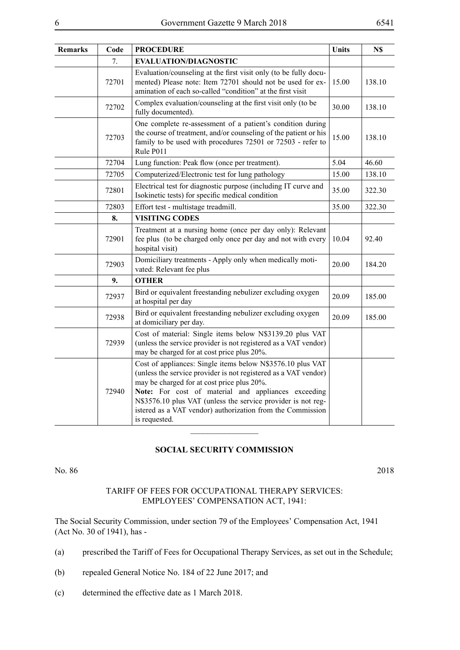| <b>Remarks</b> | Code  | <b>PROCEDURE</b>                                                                                                                                                                                                                                                                                                                                                                  | <b>Units</b> | N\$    |
|----------------|-------|-----------------------------------------------------------------------------------------------------------------------------------------------------------------------------------------------------------------------------------------------------------------------------------------------------------------------------------------------------------------------------------|--------------|--------|
|                | 7.    | <b>EVALUATION/DIAGNOSTIC</b>                                                                                                                                                                                                                                                                                                                                                      |              |        |
|                | 72701 | Evaluation/counseling at the first visit only (to be fully docu-<br>mented) Please note: Item 72701 should not be used for ex-<br>amination of each so-called "condition" at the first visit                                                                                                                                                                                      | 15.00        | 138.10 |
|                | 72702 | Complex evaluation/counseling at the first visit only (to be<br>fully documented).                                                                                                                                                                                                                                                                                                | 30.00        | 138.10 |
|                | 72703 | One complete re-assessment of a patient's condition during<br>the course of treatment, and/or counseling of the patient or his<br>family to be used with procedures 72501 or 72503 - refer to<br>Rule P011                                                                                                                                                                        | 15.00        | 138.10 |
|                | 72704 | Lung function: Peak flow (once per treatment).                                                                                                                                                                                                                                                                                                                                    | 5.04         | 46.60  |
|                | 72705 | Computerized/Electronic test for lung pathology                                                                                                                                                                                                                                                                                                                                   | 15.00        | 138.10 |
|                | 72801 | Electrical test for diagnostic purpose (including IT curve and<br>Isokinetic tests) for specific medical condition                                                                                                                                                                                                                                                                | 35.00        | 322.30 |
|                | 72803 | Effort test - multistage treadmill.                                                                                                                                                                                                                                                                                                                                               | 35.00        | 322.30 |
|                | 8.    | <b>VISITING CODES</b>                                                                                                                                                                                                                                                                                                                                                             |              |        |
|                | 72901 | Treatment at a nursing home (once per day only): Relevant<br>fee plus (to be charged only once per day and not with every<br>hospital visit)                                                                                                                                                                                                                                      | 10.04        | 92.40  |
|                | 72903 | Domiciliary treatments - Apply only when medically moti-<br>vated: Relevant fee plus                                                                                                                                                                                                                                                                                              | 20.00        | 184.20 |
|                | 9.    | <b>OTHER</b>                                                                                                                                                                                                                                                                                                                                                                      |              |        |
|                | 72937 | Bird or equivalent freestanding nebulizer excluding oxygen<br>at hospital per day                                                                                                                                                                                                                                                                                                 | 20.09        | 185.00 |
|                | 72938 | Bird or equivalent freestanding nebulizer excluding oxygen<br>at domiciliary per day.                                                                                                                                                                                                                                                                                             | 20.09        | 185.00 |
|                | 72939 | Cost of material: Single items below N\$3139.20 plus VAT<br>(unless the service provider is not registered as a VAT vendor)<br>may be charged for at cost price plus 20%.                                                                                                                                                                                                         |              |        |
|                | 72940 | Cost of appliances: Single items below N\$3576.10 plus VAT<br>(unless the service provider is not registered as a VAT vendor)<br>may be charged for at cost price plus 20%.<br>Note: For cost of material and appliances exceeding<br>N\$3576.10 plus VAT (unless the service provider is not reg-<br>istered as a VAT vendor) authorization from the Commission<br>is requested. |              |        |

#### **SOCIAL SECURITY COMMISSION**

No. 86 2018

#### TARIFF OF FEES FOR OCCUPATIONAL THERAPY SERVICES: EMPLOYEES' COMPENSATION ACT, 1941:

The Social Security Commission, under section 79 of the Employees' Compensation Act, 1941 (Act No. 30 of 1941), has -

- (a) prescribed the Tariff of Fees for Occupational Therapy Services, as set out in the Schedule;
- (b) repealed General Notice No. 184 of 22 June 2017; and
- (c) determined the effective date as 1 March 2018.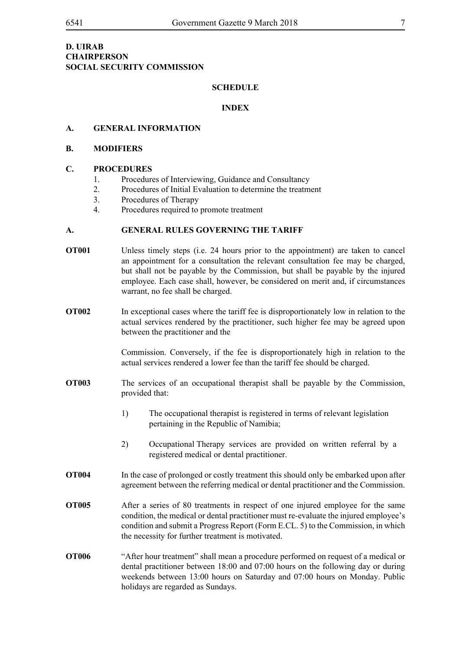#### **D. UIRAB CHAIRPERSON SOCIAL SECURITY COMMISSION**

#### **SCHEDULE**

#### **INDEX**

#### **A. GENERAL INFORMATION**

#### **B. MODIFIERS**

#### **C. PROCEDURES**

- 1. Procedures of Interviewing, Guidance and Consultancy
- 2. Procedures of Initial Evaluation to determine the treatment
- 3. Procedures of Therapy
- 4. Procedures required to promote treatment

#### **A. GENERAL RULES GOVERNING THE TARIFF**

- **OT001** Unless timely steps (i.e. 24 hours prior to the appointment) are taken to cancel an appointment for a consultation the relevant consultation fee may be charged, but shall not be payable by the Commission, but shall be payable by the injured employee. Each case shall, however, be considered on merit and, if circumstances warrant, no fee shall be charged.
- **OT002** In exceptional cases where the tariff fee is disproportionately low in relation to the actual services rendered by the practitioner, such higher fee may be agreed upon between the practitioner and the

Commission. Conversely, if the fee is disproportionately high in relation to the actual services rendered a lower fee than the tariff fee should be charged.

- **OT003** The services of an occupational therapist shall be payable by the Commission, provided that:
	- 1) The occupational therapist is registered in terms of relevant legislation pertaining in the Republic of Namibia;
	- 2) Occupational Therapy services are provided on written referral by a registered medical or dental practitioner.
- **OT004** In the case of prolonged or costly treatment this should only be embarked upon after agreement between the referring medical or dental practitioner and the Commission.
- **OT005** After a series of 80 treatments in respect of one injured employee for the same condition, the medical or dental practitioner must re-evaluate the injured employee's condition and submit a Progress Report (Form E.CL. 5) to the Commission, in which the necessity for further treatment is motivated.
- **OT006** "After hour treatment" shall mean a procedure performed on request of a medical or dental practitioner between 18:00 and 07:00 hours on the following day or during weekends between 13:00 hours on Saturday and 07:00 hours on Monday. Public holidays are regarded as Sundays.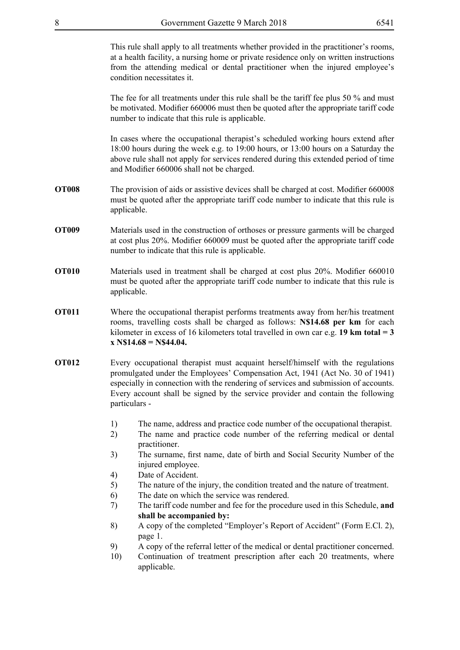This rule shall apply to all treatments whether provided in the practitioner's rooms, at a health facility, a nursing home or private residence only on written instructions from the attending medical or dental practitioner when the injured employee's condition necessitates it.

The fee for all treatments under this rule shall be the tariff fee plus 50 % and must be motivated. Modifier 660006 must then be quoted after the appropriate tariff code number to indicate that this rule is applicable.

In cases where the occupational therapist's scheduled working hours extend after 18:00 hours during the week e.g. to 19:00 hours, or 13:00 hours on a Saturday the above rule shall not apply for services rendered during this extended period of time and Modifier 660006 shall not be charged.

- **OT008** The provision of aids or assistive devices shall be charged at cost. Modifier 660008 must be quoted after the appropriate tariff code number to indicate that this rule is applicable.
- **OT009** Materials used in the construction of orthoses or pressure garments will be charged at cost plus 20%. Modifier 660009 must be quoted after the appropriate tariff code number to indicate that this rule is applicable.
- **OT010** Materials used in treatment shall be charged at cost plus 20%. Modifier 660010 must be quoted after the appropriate tariff code number to indicate that this rule is applicable.
- **OT011** Where the occupational therapist performs treatments away from her/his treatment rooms, travelling costs shall be charged as follows: **N\$14.68 per km** for each kilometer in excess of 16 kilometers total travelled in own car e.g. **19 km total = 3 x N\$14.68 = N\$44.04.**
- **OT012** Every occupational therapist must acquaint herself/himself with the regulations promulgated under the Employees' Compensation Act, 1941 (Act No. 30 of 1941) especially in connection with the rendering of services and submission of accounts. Every account shall be signed by the service provider and contain the following particulars -
	- 1) The name, address and practice code number of the occupational therapist.
	- 2) The name and practice code number of the referring medical or dental practitioner.
	- 3) The surname, first name, date of birth and Social Security Number of the injured employee.
	- 4) Date of Accident.
	- 5) The nature of the injury, the condition treated and the nature of treatment.
	- 6) The date on which the service was rendered.
	- 7) The tariff code number and fee for the procedure used in this Schedule, **and shall be accompanied by:**
	- 8) A copy of the completed "Employer's Report of Accident" (Form E.Cl. 2), page 1.
	- 9) A copy of the referral letter of the medical or dental practitioner concerned.
	- 10) Continuation of treatment prescription after each 20 treatments, where applicable.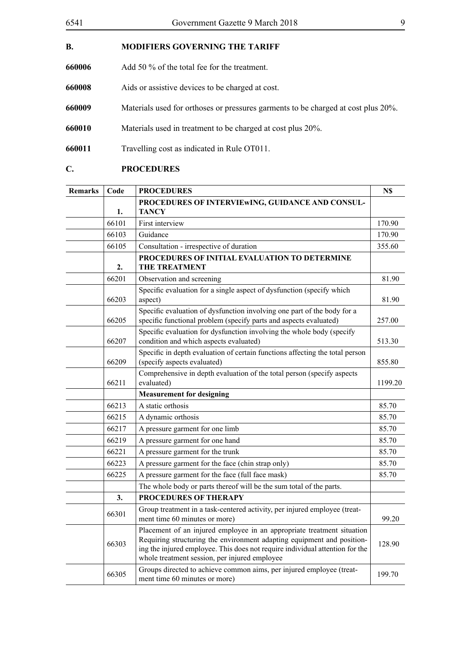| <b>B.</b> | <b>MODIFIERS GOVERNING THE TARIFF</b>                                             |
|-----------|-----------------------------------------------------------------------------------|
| 660006    | Add 50 % of the total fee for the treatment.                                      |
| 660008    | Aids or assistive devices to be charged at cost.                                  |
| 660009    | Materials used for orthoses or pressures garments to be charged at cost plus 20%. |
| 660010    | Materials used in treatment to be charged at cost plus 20%.                       |
| 660011    | Travelling cost as indicated in Rule OT011.                                       |
|           |                                                                                   |

# **C. PROCEDURES**

| <b>Remarks</b> | Code           | <b>PROCEDURES</b>                                                                                                                                                                                                                                                                 | N\$     |
|----------------|----------------|-----------------------------------------------------------------------------------------------------------------------------------------------------------------------------------------------------------------------------------------------------------------------------------|---------|
|                | 1.             | PROCEDURES OF INTERVIEWING, GUIDANCE AND CONSUL-<br><b>TANCY</b>                                                                                                                                                                                                                  |         |
|                | 66101          | First interview                                                                                                                                                                                                                                                                   | 170.90  |
|                | 66103          | Guidance                                                                                                                                                                                                                                                                          | 170.90  |
|                | 66105          | Consultation - irrespective of duration                                                                                                                                                                                                                                           | 355.60  |
|                | $\mathbf{2}$ . | PROCEDURES OF INITIAL EVALUATION TO DETERMINE<br><b>THE TREATMENT</b>                                                                                                                                                                                                             |         |
|                | 66201          | Observation and screening                                                                                                                                                                                                                                                         | 81.90   |
|                | 66203          | Specific evaluation for a single aspect of dysfunction (specify which<br>aspect)                                                                                                                                                                                                  | 81.90   |
|                | 66205          | Specific evaluation of dysfunction involving one part of the body for a<br>specific functional problem (specify parts and aspects evaluated)                                                                                                                                      | 257.00  |
|                | 66207          | Specific evaluation for dysfunction involving the whole body (specify<br>condition and which aspects evaluated)                                                                                                                                                                   | 513.30  |
|                | 66209          | Specific in depth evaluation of certain functions affecting the total person<br>(specify aspects evaluated)                                                                                                                                                                       | 855.80  |
|                | 66211          | Comprehensive in depth evaluation of the total person (specify aspects<br>evaluated)                                                                                                                                                                                              | 1199.20 |
|                |                | <b>Measurement for designing</b>                                                                                                                                                                                                                                                  |         |
|                | 66213          | A static orthosis                                                                                                                                                                                                                                                                 | 85.70   |
|                | 66215          | A dynamic orthosis                                                                                                                                                                                                                                                                | 85.70   |
|                | 66217          | A pressure garment for one limb                                                                                                                                                                                                                                                   | 85.70   |
|                | 66219          | A pressure garment for one hand                                                                                                                                                                                                                                                   | 85.70   |
|                | 66221          | A pressure garment for the trunk                                                                                                                                                                                                                                                  | 85.70   |
|                | 66223          | A pressure garment for the face (chin strap only)                                                                                                                                                                                                                                 | 85.70   |
|                | 66225          | A pressure garment for the face (full face mask)                                                                                                                                                                                                                                  | 85.70   |
|                |                | The whole body or parts thereof will be the sum total of the parts.                                                                                                                                                                                                               |         |
|                | 3.             | PROCEDURES OF THERAPY                                                                                                                                                                                                                                                             |         |
|                | 66301          | Group treatment in a task-centered activity, per injured employee (treat-<br>ment time 60 minutes or more)                                                                                                                                                                        | 99.20   |
|                | 66303          | Placement of an injured employee in an appropriate treatment situation<br>Requiring structuring the environment adapting equipment and position-<br>ing the injured employee. This does not require individual attention for the<br>whole treatment session, per injured employee | 128.90  |
|                | 66305          | Groups directed to achieve common aims, per injured employee (treat-<br>ment time 60 minutes or more)                                                                                                                                                                             | 199.70  |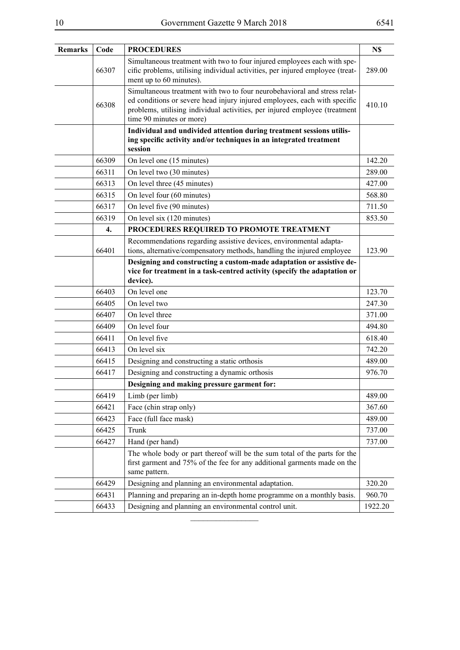| <b>Remarks</b> | Code             | <b>PROCEDURES</b>                                                                                                                                                                                                                                                | N\$     |
|----------------|------------------|------------------------------------------------------------------------------------------------------------------------------------------------------------------------------------------------------------------------------------------------------------------|---------|
|                | 66307            | Simultaneous treatment with two to four injured employees each with spe-<br>cific problems, utilising individual activities, per injured employee (treat-<br>ment up to 60 minutes).                                                                             | 289.00  |
|                | 66308            | Simultaneous treatment with two to four neurobehavioral and stress relat-<br>ed conditions or severe head injury injured employees, each with specific<br>problems, utilising individual activities, per injured employee (treatment<br>time 90 minutes or more) | 410.10  |
|                |                  | Individual and undivided attention during treatment sessions utilis-<br>ing specific activity and/or techniques in an integrated treatment<br>session                                                                                                            |         |
|                | 66309            | On level one (15 minutes)                                                                                                                                                                                                                                        | 142.20  |
|                | 66311            | On level two (30 minutes)                                                                                                                                                                                                                                        | 289.00  |
|                | 66313            | On level three (45 minutes)                                                                                                                                                                                                                                      | 427.00  |
|                | 66315            | On level four (60 minutes)                                                                                                                                                                                                                                       | 568.80  |
|                | 66317            | On level five (90 minutes)                                                                                                                                                                                                                                       | 711.50  |
|                | 66319            | On level six (120 minutes)                                                                                                                                                                                                                                       | 853.50  |
|                | $\overline{4}$ . | PROCEDURES REQUIRED TO PROMOTE TREATMENT                                                                                                                                                                                                                         |         |
|                |                  | Recommendations regarding assistive devices, environmental adapta-                                                                                                                                                                                               |         |
|                | 66401            | tions, alternative/compensatory methods, handling the injured employee                                                                                                                                                                                           | 123.90  |
|                |                  | Designing and constructing a custom-made adaptation or assistive de-<br>vice for treatment in a task-centred activity (specify the adaptation or<br>device).                                                                                                     |         |
|                | 66403            | On level one                                                                                                                                                                                                                                                     | 123.70  |
|                | 66405            | On level two                                                                                                                                                                                                                                                     | 247.30  |
|                | 66407            | On level three                                                                                                                                                                                                                                                   | 371.00  |
|                | 66409            | On level four                                                                                                                                                                                                                                                    | 494.80  |
|                | 66411            | On level five                                                                                                                                                                                                                                                    | 618.40  |
|                | 66413            | On level six                                                                                                                                                                                                                                                     | 742.20  |
|                | 66415            | Designing and constructing a static orthosis                                                                                                                                                                                                                     | 489.00  |
|                | 66417            | Designing and constructing a dynamic orthosis                                                                                                                                                                                                                    | 976.70  |
|                |                  | Designing and making pressure garment for:                                                                                                                                                                                                                       |         |
|                | 66419            | Limb (per limb)                                                                                                                                                                                                                                                  | 489.00  |
|                | 66421            | Face (chin strap only)                                                                                                                                                                                                                                           | 367.60  |
|                | 66423            | Face (full face mask)                                                                                                                                                                                                                                            | 489.00  |
|                | 66425            | Trunk                                                                                                                                                                                                                                                            | 737.00  |
|                | 66427            | Hand (per hand)                                                                                                                                                                                                                                                  | 737.00  |
|                |                  | The whole body or part thereof will be the sum total of the parts for the<br>first garment and 75% of the fee for any additional garments made on the<br>same pattern.                                                                                           |         |
|                | 66429            | Designing and planning an environmental adaptation.                                                                                                                                                                                                              | 320.20  |
|                | 66431            | Planning and preparing an in-depth home programme on a monthly basis.                                                                                                                                                                                            | 960.70  |
|                | 66433            | Designing and planning an environmental control unit.                                                                                                                                                                                                            | 1922.20 |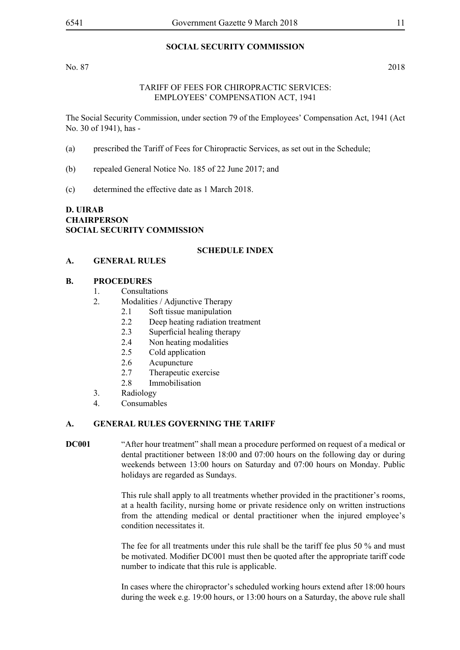#### **SOCIAL SECURITY COMMISSION**

No. 87 2018

#### TARIFF OF FEES FOR CHIROPRACTIC SERVICES: EMPLOYEES' COMPENSATION ACT, 1941

The Social Security Commission, under section 79 of the Employees' Compensation Act, 1941 (Act No. 30 of 1941), has -

- (a) prescribed the Tariff of Fees for Chiropractic Services, as set out in the Schedule;
- (b) repealed General Notice No. 185 of 22 June 2017; and
- (c) determined the effective date as 1 March 2018.

**D. UIRAB CHAIRPERSON SOCIAL SECURITY COMMISSION**

#### **SCHEDULE INDEX**

#### **A. GENERAL RULES**

#### **B. PROCEDURES**

- 1. Consultations
- 2. Modalities / Adjunctive Therapy
	- 2.1 Soft tissue manipulation
	- 2.2 Deep heating radiation treatment
	- 2.3 Superficial healing therapy
	- 2.4 Non heating modalities
	- 2.5 Cold application
	- 2.6 Acupuncture
	- 2.7 Therapeutic exercise
	- 2.8 Immobilisation
- 3. Radiology
- 4. Consumables

#### **A. GENERAL RULES GOVERNING THE TARIFF**

**DC001** "After hour treatment" shall mean a procedure performed on request of a medical or dental practitioner between 18:00 and 07:00 hours on the following day or during weekends between 13:00 hours on Saturday and 07:00 hours on Monday. Public holidays are regarded as Sundays.

> This rule shall apply to all treatments whether provided in the practitioner's rooms, at a health facility, nursing home or private residence only on written instructions from the attending medical or dental practitioner when the injured employee's condition necessitates it.

> The fee for all treatments under this rule shall be the tariff fee plus 50 % and must be motivated. Modifier DC001 must then be quoted after the appropriate tariff code number to indicate that this rule is applicable.

> In cases where the chiropractor's scheduled working hours extend after 18:00 hours during the week e.g. 19:00 hours, or 13:00 hours on a Saturday, the above rule shall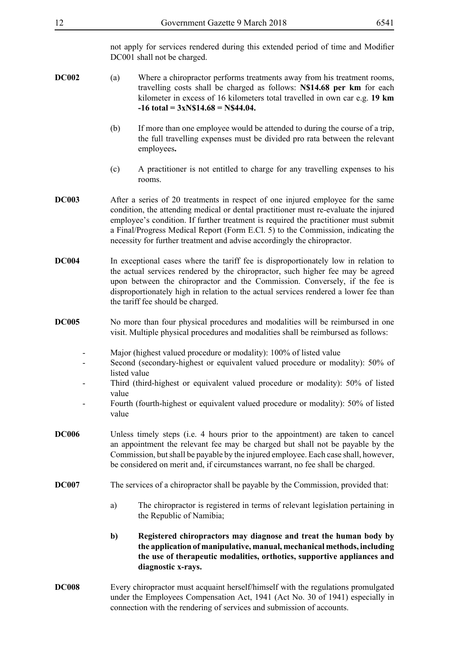not apply for services rendered during this extended period of time and Modifier DC001 shall not be charged.

- **DC002** (a) Where a chiropractor performs treatments away from his treatment rooms, travelling costs shall be charged as follows: **N\$14.68 per km** for each kilometer in excess of 16 kilometers total travelled in own car e.g. **19 km -16 total = 3xN\$14.68 = N\$44.04.**
	- (b) If more than one employee would be attended to during the course of a trip, the full travelling expenses must be divided pro rata between the relevant employees**.**
	- (c) A practitioner is not entitled to charge for any travelling expenses to his rooms.
- **DC003** After a series of 20 treatments in respect of one injured employee for the same condition, the attending medical or dental practitioner must re-evaluate the injured employee's condition. If further treatment is required the practitioner must submit a Final/Progress Medical Report (Form E.Cl. 5) to the Commission, indicating the necessity for further treatment and advise accordingly the chiropractor.
- **DC004** In exceptional cases where the tariff fee is disproportionately low in relation to the actual services rendered by the chiropractor, such higher fee may be agreed upon between the chiropractor and the Commission. Conversely, if the fee is disproportionately high in relation to the actual services rendered a lower fee than the tariff fee should be charged.
- **DC005** No more than four physical procedures and modalities will be reimbursed in one visit. Multiple physical procedures and modalities shall be reimbursed as follows:
	- Major (highest valued procedure or modality): 100% of listed value
	- Second (secondary-highest or equivalent valued procedure or modality): 50% of listed value
	- Third (third-highest or equivalent valued procedure or modality): 50% of listed value
	- Fourth (fourth-highest or equivalent valued procedure or modality): 50% of listed value
- **DC006** Unless timely steps (i.e. 4 hours prior to the appointment) are taken to cancel an appointment the relevant fee may be charged but shall not be payable by the Commission, but shall be payable by the injured employee. Each case shall, however, be considered on merit and, if circumstances warrant, no fee shall be charged.
- **DC007** The services of a chiropractor shall be payable by the Commission, provided that:
	- a) The chiropractor is registered in terms of relevant legislation pertaining in the Republic of Namibia;
	- **b) Registered chiropractors may diagnose and treat the human body by the application of manipulative, manual, mechanical methods, including the use of therapeutic modalities, orthotics, supportive appliances and diagnostic x-rays.**
- **DC008** Every chiropractor must acquaint herself/himself with the regulations promulgated under the Employees Compensation Act, 1941 (Act No. 30 of 1941) especially in connection with the rendering of services and submission of accounts.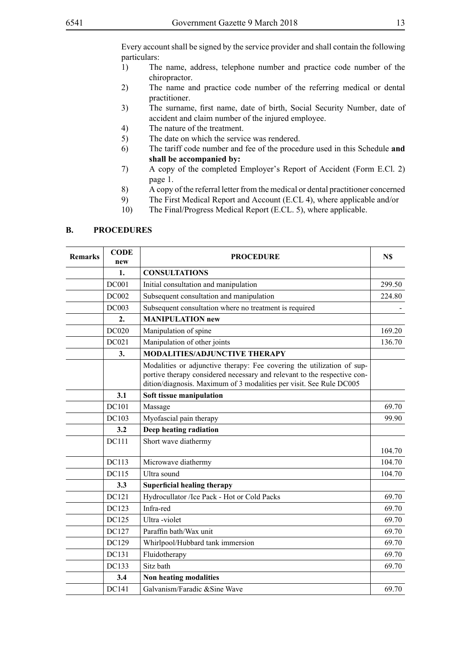Every account shall be signed by the service provider and shall contain the following particulars:

- 1) The name, address, telephone number and practice code number of the chiropractor.
- 2) The name and practice code number of the referring medical or dental practitioner.
- 3) The surname, first name, date of birth, Social Security Number, date of accident and claim number of the injured employee.
- 4) The nature of the treatment.
- 5) The date on which the service was rendered.
- 6) The tariff code number and fee of the procedure used in this Schedule **and shall be accompanied by:**
- 7) A copy of the completed Employer's Report of Accident (Form E.Cl. 2) page 1.
- 8) A copy of the referral letter from the medical or dental practitioner concerned
- 9) The First Medical Report and Account (E.CL 4), where applicable and/or
- 10) The Final/Progress Medical Report (E.CL. 5), where applicable.

#### **B. PROCEDURES**

| <b>Remarks</b> | <b>CODE</b><br>new | <b>PROCEDURE</b>                                                                                                                                                                                                          | N\$    |
|----------------|--------------------|---------------------------------------------------------------------------------------------------------------------------------------------------------------------------------------------------------------------------|--------|
|                | 1.                 | <b>CONSULTATIONS</b>                                                                                                                                                                                                      |        |
|                | <b>DC001</b>       | Initial consultation and manipulation                                                                                                                                                                                     | 299.50 |
|                | <b>DC002</b>       | Subsequent consultation and manipulation                                                                                                                                                                                  | 224.80 |
|                | <b>DC003</b>       | Subsequent consultation where no treatment is required                                                                                                                                                                    |        |
|                | 2.                 | <b>MANIPULATION new</b>                                                                                                                                                                                                   |        |
|                | DC020              | Manipulation of spine                                                                                                                                                                                                     | 169.20 |
|                | DC021              | Manipulation of other joints                                                                                                                                                                                              | 136.70 |
|                | 3.                 | <b>MODALITIES/ADJUNCTIVE THERAPY</b>                                                                                                                                                                                      |        |
|                |                    | Modalities or adjunctive therapy: Fee covering the utilization of sup-<br>portive therapy considered necessary and relevant to the respective con-<br>dition/diagnosis. Maximum of 3 modalities per visit. See Rule DC005 |        |
|                | 3.1                | Soft tissue manipulation                                                                                                                                                                                                  |        |
|                | DC101              | Massage                                                                                                                                                                                                                   | 69.70  |
|                | DC103              | Myofascial pain therapy                                                                                                                                                                                                   | 99.90  |
|                | 3.2                | Deep heating radiation                                                                                                                                                                                                    |        |
|                | <b>DC111</b>       | Short wave diathermy                                                                                                                                                                                                      | 104.70 |
|                | DC113              | Microwave diathermy                                                                                                                                                                                                       | 104.70 |
|                | DC115              | Ultra sound                                                                                                                                                                                                               | 104.70 |
|                | 3.3                | <b>Superficial healing therapy</b>                                                                                                                                                                                        |        |
|                | DC121              | Hydrocullator /Ice Pack - Hot or Cold Packs                                                                                                                                                                               | 69.70  |
|                | DC123              | Infra-red                                                                                                                                                                                                                 | 69.70  |
|                | DC125              | Ultra-violet                                                                                                                                                                                                              | 69.70  |
|                | DC127              | Paraffin bath/Wax unit                                                                                                                                                                                                    | 69.70  |
|                | DC129              | Whirlpool/Hubbard tank immersion                                                                                                                                                                                          | 69.70  |
|                | DC131              | Fluidotherapy                                                                                                                                                                                                             | 69.70  |
|                | DC133              | Sitz bath                                                                                                                                                                                                                 | 69.70  |
|                | 3.4                | Non heating modalities                                                                                                                                                                                                    |        |
|                | DC141              | Galvanism/Faradic &Sine Wave                                                                                                                                                                                              | 69.70  |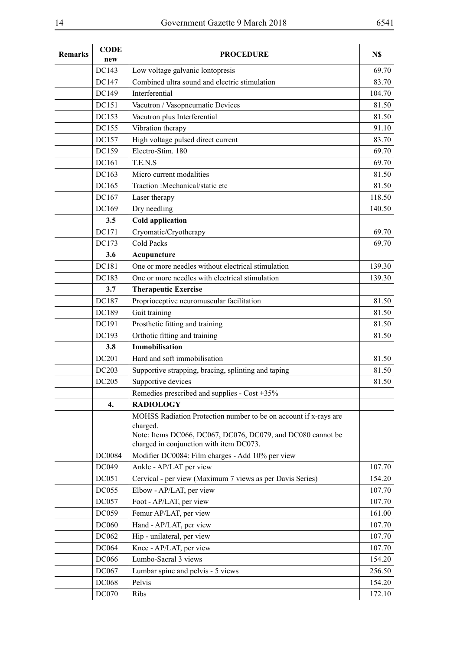| <b>Remarks</b> | <b>CODE</b><br>new | <b>PROCEDURE</b>                                                                                                                            | N\$    |
|----------------|--------------------|---------------------------------------------------------------------------------------------------------------------------------------------|--------|
|                | DC143              | Low voltage galvanic lontopresis                                                                                                            | 69.70  |
|                | DC147              | Combined ultra sound and electric stimulation                                                                                               | 83.70  |
|                | DC149              | Interferential                                                                                                                              | 104.70 |
|                | DC151              | Vacutron / Vasopneumatic Devices                                                                                                            | 81.50  |
|                | DC153              | Vacutron plus Interferential                                                                                                                | 81.50  |
|                | DC155              | Vibration therapy                                                                                                                           | 91.10  |
|                | DC157              | High voltage pulsed direct current                                                                                                          | 83.70  |
|                | DC159              | Electro-Stim. 180                                                                                                                           | 69.70  |
|                | <b>DC161</b>       | T.E.N.S                                                                                                                                     | 69.70  |
|                | DC163              | Micro current modalities                                                                                                                    | 81.50  |
|                | DC165              | Traction : Mechanical/static etc                                                                                                            | 81.50  |
|                | DC167              | Laser therapy                                                                                                                               | 118.50 |
|                | DC169              | Dry needling                                                                                                                                | 140.50 |
|                | 3.5                | <b>Cold application</b>                                                                                                                     |        |
|                | DC171              | Cryomatic/Cryotherapy                                                                                                                       | 69.70  |
|                | DC173              | <b>Cold Packs</b>                                                                                                                           | 69.70  |
|                | 3.6                | Acupuncture                                                                                                                                 |        |
|                | DC181              | One or more needles without electrical stimulation                                                                                          | 139.30 |
|                | DC183              | One or more needles with electrical stimulation                                                                                             | 139.30 |
|                | 3.7                | <b>Therapeutic Exercise</b>                                                                                                                 |        |
|                | DC187              | Proprioceptive neuromuscular facilitation                                                                                                   | 81.50  |
|                | DC189              | Gait training                                                                                                                               | 81.50  |
|                | DC191              | Prosthetic fitting and training                                                                                                             | 81.50  |
|                | DC193              | Orthotic fitting and training                                                                                                               | 81.50  |
|                | 3.8                | <b>Immobilisation</b>                                                                                                                       |        |
|                | DC201              | Hard and soft immobilisation                                                                                                                | 81.50  |
|                | DC203              | Supportive strapping, bracing, splinting and taping                                                                                         | 81.50  |
|                | DC205              | Supportive devices                                                                                                                          | 81.50  |
|                | 4.                 | Remedies prescribed and supplies - Cost +35%<br><b>RADIOLOGY</b>                                                                            |        |
|                |                    | MOHSS Radiation Protection number to be on account if x-rays are<br>charged.<br>Note: Items DC066, DC067, DC076, DC079, and DC080 cannot be |        |
|                |                    | charged in conjunction with item DC073.                                                                                                     |        |
|                | DC0084             | Modifier DC0084: Film charges - Add 10% per view                                                                                            |        |
|                | DC049              | Ankle - AP/LAT per view                                                                                                                     | 107.70 |
|                | DC051              | Cervical - per view (Maximum 7 views as per Davis Series)                                                                                   | 154.20 |
|                | <b>DC055</b>       | Elbow - AP/LAT, per view                                                                                                                    | 107.70 |
|                | <b>DC057</b>       | Foot - AP/LAT, per view                                                                                                                     | 107.70 |
|                | DC059              | Femur AP/LAT, per view                                                                                                                      | 161.00 |
|                | <b>DC060</b>       | Hand - AP/LAT, per view                                                                                                                     | 107.70 |
|                | DC062              | Hip - unilateral, per view                                                                                                                  | 107.70 |
|                | <b>DC064</b>       | Knee - AP/LAT, per view                                                                                                                     | 107.70 |
|                | <b>DC066</b>       | Lumbo-Sacral 3 views                                                                                                                        | 154.20 |
|                | DC067              | Lumbar spine and pelvis - 5 views                                                                                                           | 256.50 |
|                | <b>DC068</b>       | Pelvis                                                                                                                                      | 154.20 |
|                | <b>DC070</b>       | Ribs                                                                                                                                        | 172.10 |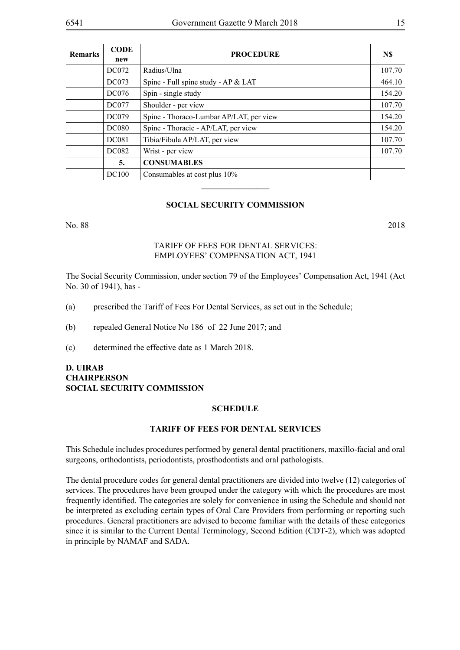| <b>Remarks</b> | <b>CODE</b><br>new | <b>PROCEDURE</b>                        | N\$    |
|----------------|--------------------|-----------------------------------------|--------|
|                | <b>DC072</b>       | Radius/Ulna                             | 107.70 |
|                | DC073              | Spine - Full spine study - AP & LAT     | 464.10 |
|                | <b>DC076</b>       | Spin - single study                     | 154.20 |
|                | <b>DC077</b>       | Shoulder - per view                     | 107.70 |
|                | <b>DC079</b>       | Spine - Thoraco-Lumbar AP/LAT, per view | 154.20 |
|                | <b>DC080</b>       | Spine - Thoracic - AP/LAT, per view     | 154.20 |
|                | <b>DC081</b>       | Tibia/Fibula AP/LAT, per view           | 107.70 |
|                | <b>DC082</b>       | Wrist - per view                        | 107.70 |
|                | 5.                 | <b>CONSUMABLES</b>                      |        |
|                | <b>DC100</b>       | Consumables at cost plus 10%            |        |
|                |                    |                                         |        |

#### **SOCIAL SECURITY COMMISSION**

No. 88 2018

#### TARIFF OF FEES FOR DENTAL SERVICES: EMPLOYEES' COMPENSATION ACT, 1941

The Social Security Commission, under section 79 of the Employees' Compensation Act, 1941 (Act No. 30 of 1941), has -

- (a) prescribed the Tariff of Fees For Dental Services, as set out in the Schedule;
- (b) repealed General Notice No 186 of 22 June 2017; and
- (c) determined the effective date as 1 March 2018.

#### **D. UIRAB CHAIRPERSON SOCIAL SECURITY COMMISSION**

#### **SCHEDULE**

#### **TARIFF OF FEES FOR DENTAL SERVICES**

This Schedule includes procedures performed by general dental practitioners, maxillo-facial and oral surgeons, orthodontists, periodontists, prosthodontists and oral pathologists.

The dental procedure codes for general dental practitioners are divided into twelve (12) categories of services. The procedures have been grouped under the category with which the procedures are most frequently identified. The categories are solely for convenience in using the Schedule and should not be interpreted as excluding certain types of Oral Care Providers from performing or reporting such procedures. General practitioners are advised to become familiar with the details of these categories since it is similar to the Current Dental Terminology, Second Edition (CDT-2), which was adopted in principle by NAMAF and SADA.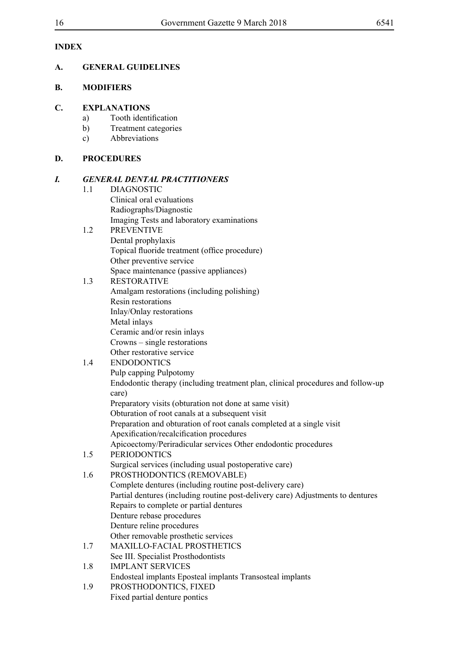# **INDEX**

# **A. GENERAL GUIDELINES**

# **B. MODIFIERS**

# **C. EXPLANATIONS**

- a) Tooth identification
- b) Treatment categories
- c) Abbreviations

# **D. PROCEDURES**

# *I. GENERAL DENTAL PRACTITIONERS*

# 1.1 DIAGNOSTIC

Clinical oral evaluations Radiographs/Diagnostic Imaging Tests and laboratory examinations

#### 1.2 PREVENTIVE Dental prophylaxis Topical fluoride treatment (office procedure) Other preventive service Space maintenance (passive appliances)

- 1.3 RESTORATIVE Amalgam restorations (including polishing) Resin restorations Inlay/Onlay restorations Metal inlays
	- Ceramic and/or resin inlays Crowns – single restorations
	- Other restorative service

# 1.4 ENDODONTICS

Pulp capping Pulpotomy Endodontic therapy (including treatment plan, clinical procedures and follow-up care) Preparatory visits (obturation not done at same visit) Obturation of root canals at a subsequent visit Preparation and obturation of root canals completed at a single visit

Apexification/recalcification procedures

Apicoectomy/Periradicular services Other endodontic procedures

# 1.5 PERIODONTICS

Surgical services (including usual postoperative care)

- 1.6 PROSTHODONTICS (REMOVABLE)
	- Complete dentures (including routine post-delivery care) Partial dentures (including routine post-delivery care) Adjustments to dentures Repairs to complete or partial dentures Denture rebase procedures Denture reline procedures Other removable prosthetic services
- 1.7 MAXILLO-FACIAL PROSTHETICS See III. Specialist Prosthodontists
- 1.8 IMPLANT SERVICES Endosteal implants Eposteal implants Transosteal implants
- 1.9 PROSTHODONTICS, FIXED Fixed partial denture pontics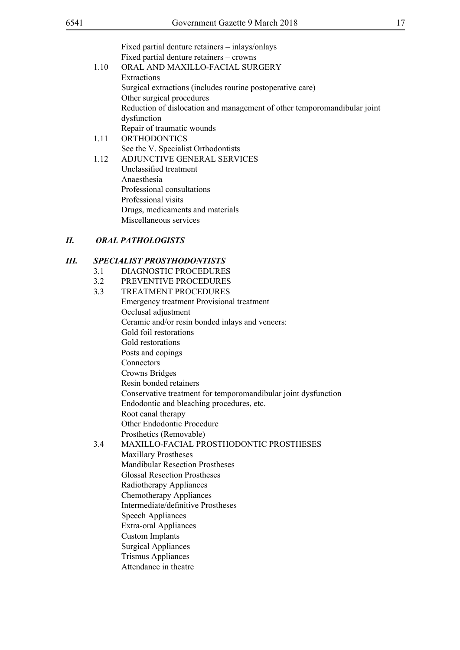| Extractions<br>Surgical extractions (includes routine postoperative care)<br>Other surgical procedures<br>Reduction of dislocation and management of other temporomandibular joint<br>dysfunction<br>Repair of traumatic wounds<br><b>ORTHODONTICS</b><br>1.11<br>See the V. Specialist Orthodontists<br>ADJUNCTIVE GENERAL SERVICES<br>1.12 |  |
|----------------------------------------------------------------------------------------------------------------------------------------------------------------------------------------------------------------------------------------------------------------------------------------------------------------------------------------------|--|
| Unclassified treatment<br>Anaesthesia<br>Professional consultations<br>Professional visits<br>Drugs, medicaments and materials<br>Miscellaneous services<br><b>ORAL PATHOLOGISTS</b><br>П.                                                                                                                                                   |  |
| <b>SPECIALIST PROSTHODONTISTS</b><br>Ш.                                                                                                                                                                                                                                                                                                      |  |
| 3.1<br>DIAGNOSTIC PROCEDURES                                                                                                                                                                                                                                                                                                                 |  |
| 3.2<br>PREVENTIVE PROCEDURES                                                                                                                                                                                                                                                                                                                 |  |
| <b>TREATMENT PROCEDURES</b><br>3.3                                                                                                                                                                                                                                                                                                           |  |
| <b>Emergency treatment Provisional treatment</b>                                                                                                                                                                                                                                                                                             |  |
| Occlusal adjustment                                                                                                                                                                                                                                                                                                                          |  |
| Ceramic and/or resin bonded inlays and veneers:                                                                                                                                                                                                                                                                                              |  |
| Gold foil restorations                                                                                                                                                                                                                                                                                                                       |  |
| Gold restorations                                                                                                                                                                                                                                                                                                                            |  |
| Posts and copings                                                                                                                                                                                                                                                                                                                            |  |
| Connectors                                                                                                                                                                                                                                                                                                                                   |  |
| <b>Crowns Bridges</b>                                                                                                                                                                                                                                                                                                                        |  |
| Resin bonded retainers                                                                                                                                                                                                                                                                                                                       |  |
| Conservative treatment for temporomandibular joint dysfunction                                                                                                                                                                                                                                                                               |  |
| Endodontic and bleaching procedures, etc.                                                                                                                                                                                                                                                                                                    |  |
| Root canal therapy<br>Other Endodontic Procedure                                                                                                                                                                                                                                                                                             |  |
| Prosthetics (Removable)                                                                                                                                                                                                                                                                                                                      |  |
| MAXILLO-FACIAL PROSTHODONTIC PROSTHESES<br>3.4                                                                                                                                                                                                                                                                                               |  |
| <b>Maxillary Prostheses</b>                                                                                                                                                                                                                                                                                                                  |  |
| <b>Mandibular Resection Prostheses</b>                                                                                                                                                                                                                                                                                                       |  |
| <b>Glossal Resection Prostheses</b>                                                                                                                                                                                                                                                                                                          |  |
| Radiotherapy Appliances                                                                                                                                                                                                                                                                                                                      |  |
| Chemotherapy Appliances                                                                                                                                                                                                                                                                                                                      |  |
| Intermediate/definitive Prostheses                                                                                                                                                                                                                                                                                                           |  |
| <b>Speech Appliances</b>                                                                                                                                                                                                                                                                                                                     |  |
| <b>Extra-oral Appliances</b>                                                                                                                                                                                                                                                                                                                 |  |
| <b>Custom Implants</b>                                                                                                                                                                                                                                                                                                                       |  |
| <b>Surgical Appliances</b>                                                                                                                                                                                                                                                                                                                   |  |
| <b>Trismus Appliances</b>                                                                                                                                                                                                                                                                                                                    |  |
| Attendance in theatre                                                                                                                                                                                                                                                                                                                        |  |
|                                                                                                                                                                                                                                                                                                                                              |  |
|                                                                                                                                                                                                                                                                                                                                              |  |
|                                                                                                                                                                                                                                                                                                                                              |  |
|                                                                                                                                                                                                                                                                                                                                              |  |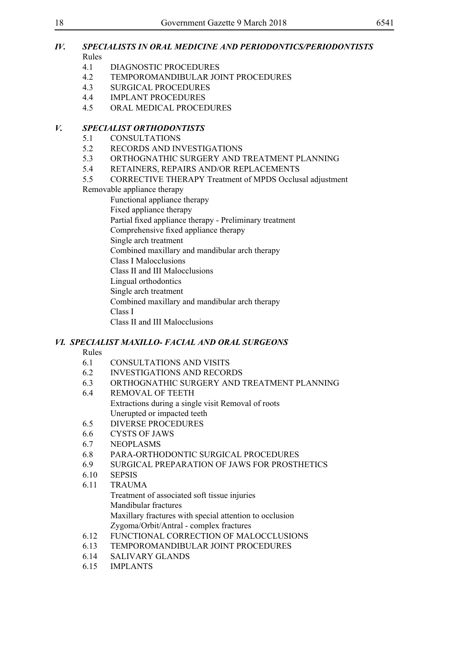#### *IV. SPECIALISTS IN ORAL MEDICINE AND PERIODONTICS/PERIODONTISTS* Rules

- 4.1 DIAGNOSTIC PROCEDURES
- 4.2 TEMPOROMANDIBULAR JOINT PROCEDURES
- 4.3 SURGICAL PROCEDURES
- 4.4 IMPLANT PROCEDURES<br>4.5 ORAL MEDICAL PROCEI
	- 4.5 ORAL MEDICAL PROCEDURES

#### *V. SPECIALIST ORTHODONTISTS*

- 5.1 CONSULTATIONS
- 5.2 RECORDS AND INVESTIGATIONS
- 5.3 ORTHOGNATHIC SURGERY AND TREATMENT PLANNING
- 5.4 RETAINERS, REPAIRS AND/OR REPLACEMENTS
- 5.5 CORRECTIVE THERAPY Treatment of MPDS Occlusal adjustment

### Removable appliance therapy

Functional appliance therapy

- Fixed appliance therapy
- Partial fixed appliance therapy Preliminary treatment

Comprehensive fixed appliance therapy

Single arch treatment

Combined maxillary and mandibular arch therapy

Class I Malocclusions

Class II and III Malocclusions

Lingual orthodontics

Single arch treatment

Combined maxillary and mandibular arch therapy

Class I

Class II and III Malocclusions

# *VI. SPECIALIST MAXILLO- FACIAL AND ORAL SURGEONS*

#### Rules

- 6.1 CONSULTATIONS AND VISITS
- 6.2 INVESTIGATIONS AND RECORDS
- 6.3 ORTHOGNATHIC SURGERY AND TREATMENT PLANNING
- 6.4 REMOVAL OF TEETH Extractions during a single visit Removal of roots Unerupted or impacted teeth
- 6.5 DIVERSE PROCEDURES
- 6.6 CYSTS OF JAWS
- 6.7 NEOPLASMS
- 6.8 PARA-ORTHODONTIC SURGICAL PROCEDURES
- 6.9 SURGICAL PREPARATION OF JAWS FOR PROSTHETICS
- 6.10 SEPSIS
- 6.11 TRAUMA
	- Treatment of associated soft tissue injuries Mandibular fractures Maxillary fractures with special attention to occlusion Zygoma/Orbit/Antral - complex fractures
- 6.12 FUNCTIONAL CORRECTION OF MALOCCLUSIONS
- 6.13 TEMPOROMANDIBULAR JOINT PROCEDURES
- 6.14 SALIVARY GLANDS
- 6.15 IMPLANTS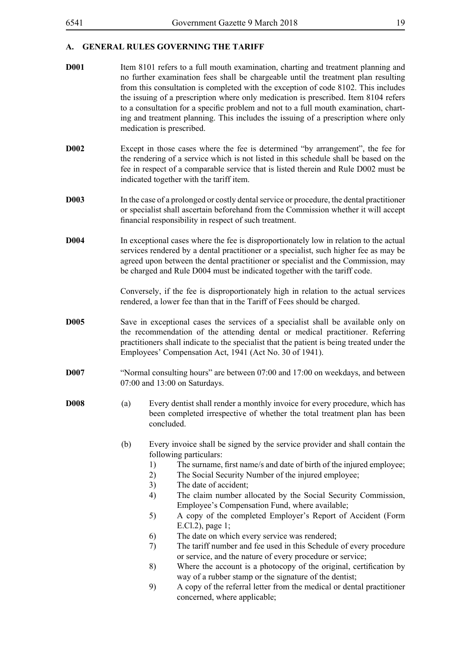**D001** Item 8101 refers to a full mouth examination, charting and treatment planning and no further examination fees shall be chargeable until the treatment plan resulting from this consultation is completed with the exception of code 8102. This includes the issuing of a prescription where only medication is prescribed. Item 8104 refers to a consultation for a specific problem and not to a full mouth examination, charting and treatment planning. This includes the issuing of a prescription where only medication is prescribed. **D002** Except in those cases where the fee is determined "by arrangement", the fee for the rendering of a service which is not listed in this schedule shall be based on the fee in respect of a comparable service that is listed therein and Rule D002 must be indicated together with the tariff item. **D003** In the case of a prolonged or costly dental service or procedure, the dental practitioner or specialist shall ascertain beforehand from the Commission whether it will accept financial responsibility in respect of such treatment. **D004** In exceptional cases where the fee is disproportionately low in relation to the actual services rendered by a dental practitioner or a specialist, such higher fee as may be agreed upon between the dental practitioner or specialist and the Commission, may be charged and Rule D004 must be indicated together with the tariff code. Conversely, if the fee is disproportionately high in relation to the actual services rendered, a lower fee than that in the Tariff of Fees should be charged. **D005** Save in exceptional cases the services of a specialist shall be available only on the recommendation of the attending dental or medical practitioner. Referring practitioners shall indicate to the specialist that the patient is being treated under the Employees' Compensation Act, 1941 (Act No. 30 of 1941). **D007** "Normal consulting hours" are between 07:00 and 17:00 on weekdays, and between 07:00 and 13:00 on Saturdays. **D008** (a) Every dentist shall render a monthly invoice for every procedure, which has been completed irrespective of whether the total treatment plan has been concluded. (b) Every invoice shall be signed by the service provider and shall contain the following particulars: 1) The surname, first name/s and date of birth of the injured employee; 2) The Social Security Number of the injured employee; 3) The date of accident; 4) The claim number allocated by the Social Security Commission, Employee's Compensation Fund, where available; 5) A copy of the completed Employer's Report of Accident (Form E.Cl.2), page 1; 6) The date on which every service was rendered; 7) The tariff number and fee used in this Schedule of every procedure or service, and the nature of every procedure or service; 8) Where the account is a photocopy of the original, certification by way of a rubber stamp or the signature of the dentist; 9) A copy of the referral letter from the medical or dental practitioner concerned, where applicable;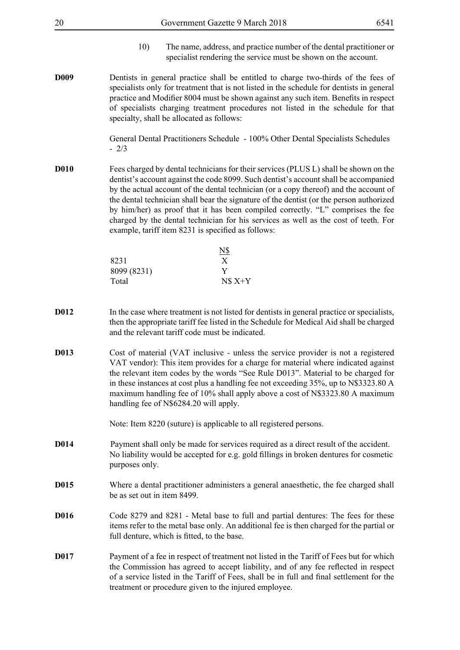| 20               |                             | Government Gazette 9 March 2018                                                                                                                                                                                                                                                                                                                                                                                                                                                                                                                                                                  | 6541 |
|------------------|-----------------------------|--------------------------------------------------------------------------------------------------------------------------------------------------------------------------------------------------------------------------------------------------------------------------------------------------------------------------------------------------------------------------------------------------------------------------------------------------------------------------------------------------------------------------------------------------------------------------------------------------|------|
|                  | 10)                         | The name, address, and practice number of the dental practitioner or<br>specialist rendering the service must be shown on the account.                                                                                                                                                                                                                                                                                                                                                                                                                                                           |      |
| D <sub>009</sub> |                             | Dentists in general practice shall be entitled to charge two-thirds of the fees of<br>specialists only for treatment that is not listed in the schedule for dentists in general<br>practice and Modifier 8004 must be shown against any such item. Benefits in respect<br>of specialists charging treatment procedures not listed in the schedule for that<br>specialty, shall be allocated as follows:                                                                                                                                                                                          |      |
|                  | $-2/3$                      | General Dental Practitioners Schedule - 100% Other Dental Specialists Schedules                                                                                                                                                                                                                                                                                                                                                                                                                                                                                                                  |      |
| <b>D010</b>      |                             | Fees charged by dental technicians for their services (PLUS L) shall be shown on the<br>dentist's account against the code 8099. Such dentist's account shall be accompanied<br>by the actual account of the dental technician (or a copy thereof) and the account of<br>the dental technician shall bear the signature of the dentist (or the person authorized<br>by him/her) as proof that it has been compiled correctly. "L" comprises the fee<br>charged by the dental technician for his services as well as the cost of teeth. For<br>example, tariff item 8231 is specified as follows: |      |
|                  |                             | <u>N\$</u>                                                                                                                                                                                                                                                                                                                                                                                                                                                                                                                                                                                       |      |
|                  | 8231                        | X                                                                                                                                                                                                                                                                                                                                                                                                                                                                                                                                                                                                |      |
|                  | 8099 (8231)<br>Total        | Y<br>$N$ X+Y$                                                                                                                                                                                                                                                                                                                                                                                                                                                                                                                                                                                    |      |
| D012             |                             | In the case where treatment is not listed for dentists in general practice or specialists,<br>then the appropriate tariff fee listed in the Schedule for Medical Aid shall be charged<br>and the relevant tariff code must be indicated.                                                                                                                                                                                                                                                                                                                                                         |      |
| D013             |                             | Cost of material (VAT inclusive - unless the service provider is not a registered<br>VAT vendor): This item provides for a charge for material where indicated against<br>the relevant item codes by the words "See Rule D013". Material to be charged for<br>in these instances at cost plus a handling fee not exceeding 35%, up to N\$3323.80 A<br>maximum handling fee of 10% shall apply above a cost of N\$3323.80 A maximum<br>handling fee of N\$6284.20 will apply.                                                                                                                     |      |
|                  |                             | Note: Item 8220 (suture) is applicable to all registered persons.                                                                                                                                                                                                                                                                                                                                                                                                                                                                                                                                |      |
| D014             | purposes only.              | Payment shall only be made for services required as a direct result of the accident.<br>No liability would be accepted for e.g. gold fillings in broken dentures for cosmetic                                                                                                                                                                                                                                                                                                                                                                                                                    |      |
| D015             | be as set out in item 8499. | Where a dental practitioner administers a general anaesthetic, the fee charged shall                                                                                                                                                                                                                                                                                                                                                                                                                                                                                                             |      |
| D016             |                             | Code 8279 and 8281 - Metal base to full and partial dentures: The fees for these<br>items refer to the metal base only. An additional fee is then charged for the partial or<br>full denture, which is fitted, to the base.                                                                                                                                                                                                                                                                                                                                                                      |      |
| D017             |                             | Payment of a fee in respect of treatment not listed in the Tariff of Fees but for which<br>the Commission has agreed to accept liability, and of any fee reflected in respect<br>of a service listed in the Tariff of Fees, shall be in full and final settlement for the<br>treatment or procedure given to the injured employee.                                                                                                                                                                                                                                                               |      |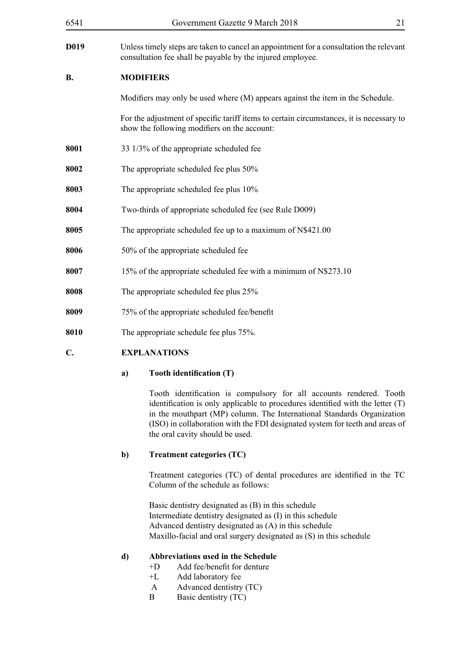| 6541              | Government Gazette 9 March 2018                                                                                                                      | 21 |
|-------------------|------------------------------------------------------------------------------------------------------------------------------------------------------|----|
| D <sub>0</sub> 19 | Unless timely steps are taken to cancel an appointment for a consultation the relevant<br>consultation fee shall be payable by the injured employee. |    |
| <b>B.</b>         | <b>MODIFIERS</b>                                                                                                                                     |    |
|                   | Modifiers may only be used where (M) appears against the item in the Schedule.                                                                       |    |
|                   | For the adjustment of specific tariff items to certain circumstances, it is necessary to<br>show the following modifiers on the account:             |    |
| 8001              | 33 1/3% of the appropriate scheduled fee                                                                                                             |    |
| 8002              | The appropriate scheduled fee plus 50%                                                                                                               |    |
| 8003              | The appropriate scheduled fee plus 10%                                                                                                               |    |
| 8004              | Two-thirds of appropriate scheduled fee (see Rule D009)                                                                                              |    |
| 8005              | The appropriate scheduled fee up to a maximum of N\$421.00                                                                                           |    |
| 8006              | 50% of the appropriate scheduled fee                                                                                                                 |    |
| 8007              | 15% of the appropriate scheduled fee with a minimum of N\$273.10                                                                                     |    |
| 8008              | The appropriate scheduled fee plus 25%                                                                                                               |    |
| 8009              | 75% of the appropriate scheduled fee/benefit                                                                                                         |    |
| 8010              | The appropriate schedule fee plus 75%.                                                                                                               |    |
| $\mathbf{C}$ .    | <b>EXPLANATIONS</b>                                                                                                                                  |    |

### **a) Tooth identification (T)**

Tooth identification is compulsory for all accounts rendered. Tooth identification is only applicable to procedures identified with the letter (T) in the mouthpart (MP) column. The International Standards Organization (ISO) in collaboration with the FDI designated system for teeth and areas of the oral cavity should be used.

# **b) Treatment categories (TC)**

Treatment categories (TC) of dental procedures are identified in the TC Column of the schedule as follows:

Basic dentistry designated as (B) in this schedule Intermediate dentistry designated as (I) in this schedule Advanced dentistry designated as (A) in this schedule Maxillo-facial and oral surgery designated as (S) in this schedule

# **d) Abbreviations used in the Schedule**

- +D Add fee/benefit for denture
- +L Add laboratory fee
- A Advanced dentistry (TC)
- B Basic dentistry (TC)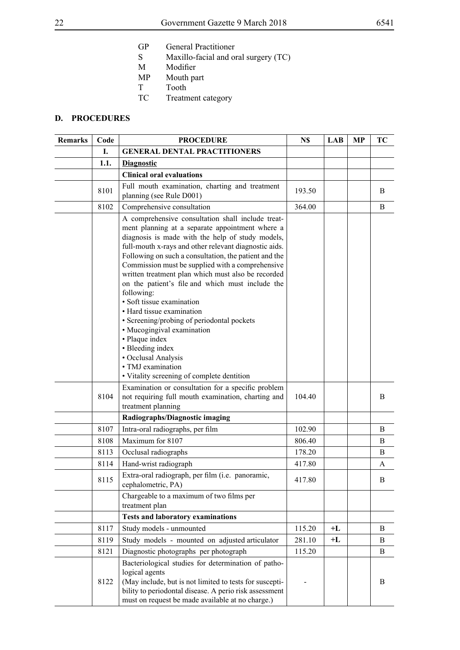- GP General Practitioner<br>S Maxillo-facial and or
- S Maxillo-facial and oral surgery (TC)
- M Modifier<br>MP Mouth pa
- MP Mouth part<br>T Tooth
- T Tooth<br>TC Treatm
- Treatment category

### **D. PROCEDURES**

| <b>Remarks</b> | Code | <b>PROCEDURE</b>                                                                                                                                                                                                                                                                                                                                                                                                                                                                                                                                                                                                                                                                                                             | N\$    | LAB  | МP | TС       |
|----------------|------|------------------------------------------------------------------------------------------------------------------------------------------------------------------------------------------------------------------------------------------------------------------------------------------------------------------------------------------------------------------------------------------------------------------------------------------------------------------------------------------------------------------------------------------------------------------------------------------------------------------------------------------------------------------------------------------------------------------------------|--------|------|----|----------|
|                | I.   | <b>GENERAL DENTAL PRACTITIONERS</b>                                                                                                                                                                                                                                                                                                                                                                                                                                                                                                                                                                                                                                                                                          |        |      |    |          |
|                | 1.1. | <b>Diagnostic</b>                                                                                                                                                                                                                                                                                                                                                                                                                                                                                                                                                                                                                                                                                                            |        |      |    |          |
|                |      | <b>Clinical oral evaluations</b>                                                                                                                                                                                                                                                                                                                                                                                                                                                                                                                                                                                                                                                                                             |        |      |    |          |
|                | 8101 | Full mouth examination, charting and treatment<br>planning (see Rule D001)                                                                                                                                                                                                                                                                                                                                                                                                                                                                                                                                                                                                                                                   | 193.50 |      |    | B        |
|                | 8102 | Comprehensive consultation                                                                                                                                                                                                                                                                                                                                                                                                                                                                                                                                                                                                                                                                                                   | 364.00 |      |    | B        |
|                |      | A comprehensive consultation shall include treat-<br>ment planning at a separate appointment where a<br>diagnosis is made with the help of study models,<br>full-mouth x-rays and other relevant diagnostic aids.<br>Following on such a consultation, the patient and the<br>Commission must be supplied with a comprehensive<br>written treatment plan which must also be recorded<br>on the patient's file and which must include the<br>following:<br>· Soft tissue examination<br>• Hard tissue examination<br>· Screening/probing of periodontal pockets<br>• Mucogingival examination<br>• Plaque index<br>• Bleeding index<br>• Occlusal Analysis<br>• TMJ examination<br>• Vitality screening of complete dentition |        |      |    |          |
|                | 8104 | Examination or consultation for a specific problem<br>not requiring full mouth examination, charting and<br>treatment planning                                                                                                                                                                                                                                                                                                                                                                                                                                                                                                                                                                                               | 104.40 |      |    | B        |
|                |      | Radiographs/Diagnostic imaging                                                                                                                                                                                                                                                                                                                                                                                                                                                                                                                                                                                                                                                                                               |        |      |    |          |
|                | 8107 | Intra-oral radiographs, per film                                                                                                                                                                                                                                                                                                                                                                                                                                                                                                                                                                                                                                                                                             | 102.90 |      |    | B        |
|                | 8108 | Maximum for 8107                                                                                                                                                                                                                                                                                                                                                                                                                                                                                                                                                                                                                                                                                                             | 806.40 |      |    | B        |
|                | 8113 | Occlusal radiographs                                                                                                                                                                                                                                                                                                                                                                                                                                                                                                                                                                                                                                                                                                         | 178.20 |      |    | B        |
|                | 8114 | Hand-wrist radiograph                                                                                                                                                                                                                                                                                                                                                                                                                                                                                                                                                                                                                                                                                                        | 417.80 |      |    | A        |
|                | 8115 | Extra-oral radiograph, per film (i.e. panoramic,<br>cephalometric, PA)                                                                                                                                                                                                                                                                                                                                                                                                                                                                                                                                                                                                                                                       | 417.80 |      |    | B.       |
|                |      | Chargeable to a maximum of two films per<br>treatment plan                                                                                                                                                                                                                                                                                                                                                                                                                                                                                                                                                                                                                                                                   |        |      |    |          |
|                |      | <b>Tests and laboratory examinations</b>                                                                                                                                                                                                                                                                                                                                                                                                                                                                                                                                                                                                                                                                                     |        |      |    |          |
|                | 8117 | Study models - unmounted                                                                                                                                                                                                                                                                                                                                                                                                                                                                                                                                                                                                                                                                                                     | 115.20 | $+L$ |    | B        |
|                | 8119 | Study models - mounted on adjusted articulator                                                                                                                                                                                                                                                                                                                                                                                                                                                                                                                                                                                                                                                                               | 281.10 | +L   |    | B        |
|                | 8121 | Diagnostic photographs per photograph                                                                                                                                                                                                                                                                                                                                                                                                                                                                                                                                                                                                                                                                                        | 115.20 |      |    | $\bf{B}$ |
|                | 8122 | Bacteriological studies for determination of patho-<br>logical agents<br>(May include, but is not limited to tests for suscepti-<br>bility to periodontal disease. A perio risk assessment<br>must on request be made available at no charge.)                                                                                                                                                                                                                                                                                                                                                                                                                                                                               |        |      |    | B        |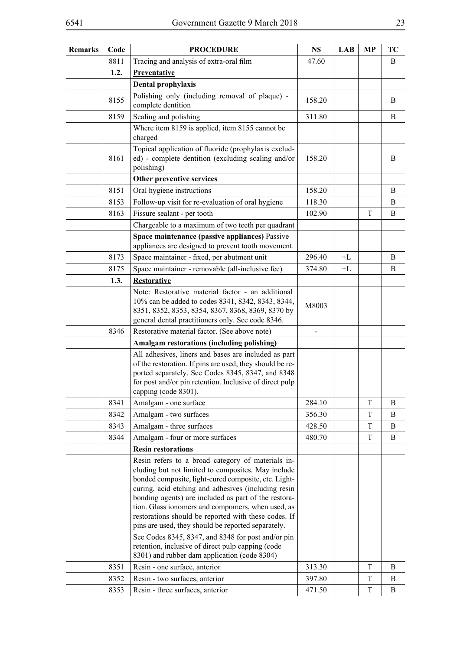| <b>Remarks</b> | Code | <b>PROCEDURE</b>                                                                                                                                                                                                                                                                                                                                                                                                                                  | N\$    | LAB  | MP | TC |
|----------------|------|---------------------------------------------------------------------------------------------------------------------------------------------------------------------------------------------------------------------------------------------------------------------------------------------------------------------------------------------------------------------------------------------------------------------------------------------------|--------|------|----|----|
|                | 8811 | Tracing and analysis of extra-oral film                                                                                                                                                                                                                                                                                                                                                                                                           | 47.60  |      |    | B  |
|                | 1.2. | Preventative                                                                                                                                                                                                                                                                                                                                                                                                                                      |        |      |    |    |
|                |      | Dental prophylaxis                                                                                                                                                                                                                                                                                                                                                                                                                                |        |      |    |    |
|                | 8155 | Polishing only (including removal of plaque) -<br>complete dentition                                                                                                                                                                                                                                                                                                                                                                              | 158.20 |      |    | B  |
|                | 8159 | Scaling and polishing                                                                                                                                                                                                                                                                                                                                                                                                                             | 311.80 |      |    | B  |
|                |      | Where item 8159 is applied, item 8155 cannot be<br>charged                                                                                                                                                                                                                                                                                                                                                                                        |        |      |    |    |
|                | 8161 | Topical application of fluoride (prophylaxis exclud-<br>ed) - complete dentition (excluding scaling and/or<br>polishing)                                                                                                                                                                                                                                                                                                                          | 158.20 |      |    | B  |
|                |      | Other preventive services                                                                                                                                                                                                                                                                                                                                                                                                                         |        |      |    |    |
|                | 8151 | Oral hygiene instructions                                                                                                                                                                                                                                                                                                                                                                                                                         | 158.20 |      |    | B  |
|                | 8153 | Follow-up visit for re-evaluation of oral hygiene                                                                                                                                                                                                                                                                                                                                                                                                 | 118.30 |      |    | B  |
|                | 8163 | Fissure sealant - per tooth                                                                                                                                                                                                                                                                                                                                                                                                                       | 102.90 |      | T  | B  |
|                |      | Chargeable to a maximum of two teeth per quadrant                                                                                                                                                                                                                                                                                                                                                                                                 |        |      |    |    |
|                |      | Space maintenance (passive appliances) Passive<br>appliances are designed to prevent tooth movement.                                                                                                                                                                                                                                                                                                                                              |        |      |    |    |
|                | 8173 | Space maintainer - fixed, per abutment unit                                                                                                                                                                                                                                                                                                                                                                                                       | 296.40 | $+L$ |    | B  |
|                | 8175 | Space maintainer - removable (all-inclusive fee)                                                                                                                                                                                                                                                                                                                                                                                                  | 374.80 | $+L$ |    | B  |
|                | 1.3. | <b>Restorative</b>                                                                                                                                                                                                                                                                                                                                                                                                                                |        |      |    |    |
|                |      | Note: Restorative material factor - an additional<br>10% can be added to codes 8341, 8342, 8343, 8344,<br>8351, 8352, 8353, 8354, 8367, 8368, 8369, 8370 by<br>general dental practitioners only. See code 8346.                                                                                                                                                                                                                                  | M8003  |      |    |    |
|                | 8346 | Restorative material factor. (See above note)                                                                                                                                                                                                                                                                                                                                                                                                     |        |      |    |    |
|                |      | Amalgam restorations (including polishing)                                                                                                                                                                                                                                                                                                                                                                                                        |        |      |    |    |
|                |      | All adhesives, liners and bases are included as part<br>of the restoration. If pins are used, they should be re-<br>ported separately. See Codes 8345, 8347, and 8348<br>for post and/or pin retention. Inclusive of direct pulp<br>capping (code 8301).                                                                                                                                                                                          |        |      |    |    |
|                | 8341 | Amalgam - one surface                                                                                                                                                                                                                                                                                                                                                                                                                             | 284.10 |      | T  | B  |
|                | 8342 | Amalgam - two surfaces                                                                                                                                                                                                                                                                                                                                                                                                                            | 356.30 |      | T  | B  |
|                | 8343 | Amalgam - three surfaces                                                                                                                                                                                                                                                                                                                                                                                                                          | 428.50 |      | T  | B  |
|                | 8344 | Amalgam - four or more surfaces                                                                                                                                                                                                                                                                                                                                                                                                                   | 480.70 |      | T  | B  |
|                |      | <b>Resin restorations</b>                                                                                                                                                                                                                                                                                                                                                                                                                         |        |      |    |    |
|                |      | Resin refers to a broad category of materials in-<br>cluding but not limited to composites. May include<br>bonded composite, light-cured composite, etc. Light-<br>curing, acid etching and adhesives (including resin<br>bonding agents) are included as part of the restora-<br>tion. Glass ionomers and compomers, when used, as<br>restorations should be reported with these codes. If<br>pins are used, they should be reported separately. |        |      |    |    |
|                |      | See Codes 8345, 8347, and 8348 for post and/or pin<br>retention, inclusive of direct pulp capping (code<br>8301) and rubber dam application (code 8304)                                                                                                                                                                                                                                                                                           |        |      |    |    |
|                | 8351 | Resin - one surface, anterior                                                                                                                                                                                                                                                                                                                                                                                                                     | 313.30 |      | T  | B  |
|                | 8352 | Resin - two surfaces, anterior                                                                                                                                                                                                                                                                                                                                                                                                                    | 397.80 |      | T  | B  |
|                | 8353 | Resin - three surfaces, anterior                                                                                                                                                                                                                                                                                                                                                                                                                  | 471.50 |      | T  | B  |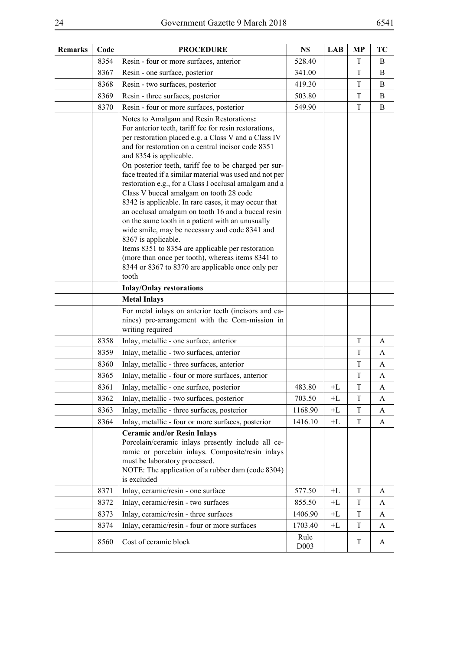| <b>Remarks</b> | Code | <b>PROCEDURE</b>                                                                                                                                                                                                                                                                                                                                                                                                                                                                                                                                                                                                                                                                                                                                                                                                                                                               | N\$          | <b>LAB</b> | <b>MP</b>   | TC       |
|----------------|------|--------------------------------------------------------------------------------------------------------------------------------------------------------------------------------------------------------------------------------------------------------------------------------------------------------------------------------------------------------------------------------------------------------------------------------------------------------------------------------------------------------------------------------------------------------------------------------------------------------------------------------------------------------------------------------------------------------------------------------------------------------------------------------------------------------------------------------------------------------------------------------|--------------|------------|-------------|----------|
|                | 8354 | Resin - four or more surfaces, anterior                                                                                                                                                                                                                                                                                                                                                                                                                                                                                                                                                                                                                                                                                                                                                                                                                                        | 528.40       |            | T           | B        |
|                | 8367 | Resin - one surface, posterior                                                                                                                                                                                                                                                                                                                                                                                                                                                                                                                                                                                                                                                                                                                                                                                                                                                 | 341.00       |            | T           | B        |
|                | 8368 | Resin - two surfaces, posterior                                                                                                                                                                                                                                                                                                                                                                                                                                                                                                                                                                                                                                                                                                                                                                                                                                                | 419.30       |            | T           | B        |
|                | 8369 | Resin - three surfaces, posterior                                                                                                                                                                                                                                                                                                                                                                                                                                                                                                                                                                                                                                                                                                                                                                                                                                              | 503.80       |            | T           | $\bf{B}$ |
|                | 8370 | Resin - four or more surfaces, posterior                                                                                                                                                                                                                                                                                                                                                                                                                                                                                                                                                                                                                                                                                                                                                                                                                                       | 549.90       |            | $\mathbf T$ | B        |
|                |      | Notes to Amalgam and Resin Restorations:<br>For anterior teeth, tariff fee for resin restorations,<br>per restoration placed e.g. a Class V and a Class IV<br>and for restoration on a central incisor code 8351<br>and 8354 is applicable.<br>On posterior teeth, tariff fee to be charged per sur-<br>face treated if a similar material was used and not per<br>restoration e.g., for a Class I occlusal amalgam and a<br>Class V buccal amalgam on tooth 28 code<br>8342 is applicable. In rare cases, it may occur that<br>an occlusal amalgam on tooth 16 and a buccal resin<br>on the same tooth in a patient with an unusually<br>wide smile, may be necessary and code 8341 and<br>8367 is applicable.<br>Items 8351 to 8354 are applicable per restoration<br>(more than once per tooth), whereas items 8341 to<br>8344 or 8367 to 8370 are applicable once only per |              |            |             |          |
|                |      | tooth                                                                                                                                                                                                                                                                                                                                                                                                                                                                                                                                                                                                                                                                                                                                                                                                                                                                          |              |            |             |          |
|                |      | <b>Inlay/Onlay restorations</b>                                                                                                                                                                                                                                                                                                                                                                                                                                                                                                                                                                                                                                                                                                                                                                                                                                                |              |            |             |          |
|                |      | <b>Metal Inlays</b>                                                                                                                                                                                                                                                                                                                                                                                                                                                                                                                                                                                                                                                                                                                                                                                                                                                            |              |            |             |          |
|                |      | For metal inlays on anterior teeth (incisors and ca-<br>nines) pre-arrangement with the Com-mission in<br>writing required                                                                                                                                                                                                                                                                                                                                                                                                                                                                                                                                                                                                                                                                                                                                                     |              |            |             |          |
|                | 8358 | Inlay, metallic - one surface, anterior                                                                                                                                                                                                                                                                                                                                                                                                                                                                                                                                                                                                                                                                                                                                                                                                                                        |              |            | T           | A        |
|                | 8359 | Inlay, metallic - two surfaces, anterior                                                                                                                                                                                                                                                                                                                                                                                                                                                                                                                                                                                                                                                                                                                                                                                                                                       |              |            | T           | A        |
|                | 8360 | Inlay, metallic - three surfaces, anterior                                                                                                                                                                                                                                                                                                                                                                                                                                                                                                                                                                                                                                                                                                                                                                                                                                     |              |            | T           | A        |
|                | 8365 | Inlay, metallic - four or more surfaces, anterior                                                                                                                                                                                                                                                                                                                                                                                                                                                                                                                                                                                                                                                                                                                                                                                                                              |              |            | T           | A        |
|                | 8361 | Inlay, metallic - one surface, posterior                                                                                                                                                                                                                                                                                                                                                                                                                                                                                                                                                                                                                                                                                                                                                                                                                                       | 483.80       | $+L$       | $\mathbf T$ | A        |
|                | 8362 | Inlay, metallic - two surfaces, posterior                                                                                                                                                                                                                                                                                                                                                                                                                                                                                                                                                                                                                                                                                                                                                                                                                                      | 703.50       | +L         | T           | A        |
|                | 8363 | Inlay, metallic - three surfaces, posterior                                                                                                                                                                                                                                                                                                                                                                                                                                                                                                                                                                                                                                                                                                                                                                                                                                    | 1168.90      | $+L$       | T           | A        |
|                | 8364 | Inlay, metallic - four or more surfaces, posterior                                                                                                                                                                                                                                                                                                                                                                                                                                                                                                                                                                                                                                                                                                                                                                                                                             | 1416.10      | $+L$       | T           | A        |
|                |      | <b>Ceramic and/or Resin Inlays</b><br>Porcelain/ceramic inlays presently include all ce-<br>ramic or porcelain inlays. Composite/resin inlays<br>must be laboratory processed.<br>NOTE: The application of a rubber dam (code 8304)<br>is excluded                                                                                                                                                                                                                                                                                                                                                                                                                                                                                                                                                                                                                             |              |            |             |          |
|                | 8371 | Inlay, ceramic/resin - one surface                                                                                                                                                                                                                                                                                                                                                                                                                                                                                                                                                                                                                                                                                                                                                                                                                                             | 577.50       | $+L$       | T           | A        |
|                | 8372 | Inlay, ceramic/resin - two surfaces                                                                                                                                                                                                                                                                                                                                                                                                                                                                                                                                                                                                                                                                                                                                                                                                                                            | 855.50       | $+L$       | T           | A        |
|                | 8373 | Inlay, ceramic/resin - three surfaces                                                                                                                                                                                                                                                                                                                                                                                                                                                                                                                                                                                                                                                                                                                                                                                                                                          | 1406.90      | $+L$       | $\mathbf T$ | A        |
|                | 8374 | Inlay, ceramic/resin - four or more surfaces                                                                                                                                                                                                                                                                                                                                                                                                                                                                                                                                                                                                                                                                                                                                                                                                                                   | 1703.40      | $+L$       | T           | A        |
|                | 8560 | Cost of ceramic block                                                                                                                                                                                                                                                                                                                                                                                                                                                                                                                                                                                                                                                                                                                                                                                                                                                          | Rule<br>D003 |            | T           | A        |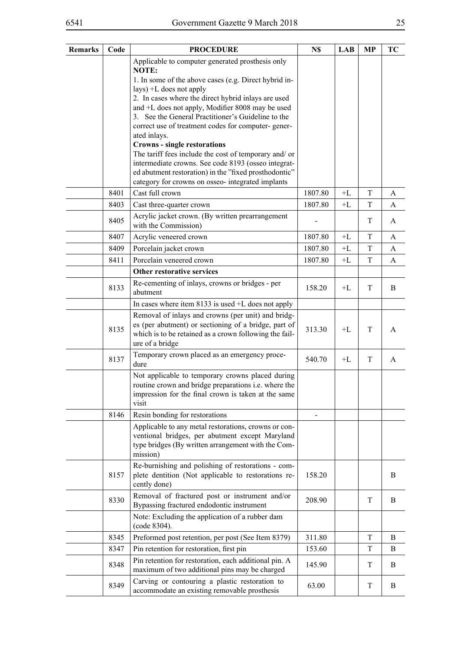| <b>Remarks</b> | Code | <b>PROCEDURE</b>                                                                                                                                                                        | N\$     | <b>LAB</b> | <b>MP</b> | TC |
|----------------|------|-----------------------------------------------------------------------------------------------------------------------------------------------------------------------------------------|---------|------------|-----------|----|
|                |      | Applicable to computer generated prosthesis only                                                                                                                                        |         |            |           |    |
|                |      | NOTE:<br>1. In some of the above cases (e.g. Direct hybrid in-                                                                                                                          |         |            |           |    |
|                |      | $lays$ ) +L does not apply                                                                                                                                                              |         |            |           |    |
|                |      | 2. In cases where the direct hybrid inlays are used                                                                                                                                     |         |            |           |    |
|                |      | and +L does not apply, Modifier 8008 may be used<br>3. See the General Practitioner's Guideline to the                                                                                  |         |            |           |    |
|                |      | correct use of treatment codes for computer-gener-                                                                                                                                      |         |            |           |    |
|                |      | ated inlays.                                                                                                                                                                            |         |            |           |    |
|                |      | <b>Crowns - single restorations</b>                                                                                                                                                     |         |            |           |    |
|                |      | The tariff fees include the cost of temporary and/ or<br>intermediate crowns. See code 8193 (osseo integrat-                                                                            |         |            |           |    |
|                |      | ed abutment restoration) in the "fixed prosthodontic"                                                                                                                                   |         |            |           |    |
|                |      | category for crowns on osseo- integrated implants                                                                                                                                       |         |            |           |    |
|                | 8401 | Cast full crown                                                                                                                                                                         | 1807.80 | $+L$       | T         | A  |
|                | 8403 | Cast three-quarter crown                                                                                                                                                                | 1807.80 | $+L$       | T         | A  |
|                | 8405 | Acrylic jacket crown. (By written prearrangement<br>with the Commission)                                                                                                                |         |            | T         | A  |
|                | 8407 | Acrylic veneered crown                                                                                                                                                                  | 1807.80 | $+L$       | T         | A  |
|                | 8409 | Porcelain jacket crown                                                                                                                                                                  | 1807.80 | $+L$       | T         | A  |
|                | 8411 | Porcelain veneered crown                                                                                                                                                                | 1807.80 | $+L$       | T         | A  |
|                |      | Other restorative services                                                                                                                                                              |         |            |           |    |
|                | 8133 | Re-cementing of inlays, crowns or bridges - per<br>abutment                                                                                                                             | 158.20  | $+L$       | T         | B  |
|                |      | In cases where item $8133$ is used $+L$ does not apply                                                                                                                                  |         |            |           |    |
|                | 8135 | Removal of inlays and crowns (per unit) and bridg-<br>es (per abutment) or sectioning of a bridge, part of<br>which is to be retained as a crown following the fail-<br>ure of a bridge | 313.30  | $+L$       | T         | A  |
|                | 8137 | Temporary crown placed as an emergency proce-<br>dure                                                                                                                                   | 540.70  | $+L$       | T         | A  |
|                |      | Not applicable to temporary crowns placed during<br>routine crown and bridge preparations i.e. where the<br>impression for the final crown is taken at the same<br>visit                |         |            |           |    |
|                | 8146 | Resin bonding for restorations                                                                                                                                                          |         |            |           |    |
|                |      | Applicable to any metal restorations, crowns or con-<br>ventional bridges, per abutment except Maryland<br>type bridges (By written arrangement with the Com-<br>mission)               |         |            |           |    |
|                | 8157 | Re-burnishing and polishing of restorations - com-<br>plete dentition (Not applicable to restorations re-<br>cently done)                                                               | 158.20  |            |           | B  |
|                | 8330 | Removal of fractured post or instrument and/or<br>Bypassing fractured endodontic instrument                                                                                             | 208.90  |            | T         | B  |
|                |      | Note: Excluding the application of a rubber dam<br>(code 8304).                                                                                                                         |         |            |           |    |
|                | 8345 | Preformed post retention, per post (See Item 8379)                                                                                                                                      | 311.80  |            | T         | B  |
|                | 8347 | Pin retention for restoration, first pin                                                                                                                                                | 153.60  |            | T         | B  |
|                | 8348 | Pin retention for restoration, each additional pin. A<br>maximum of two additional pins may be charged                                                                                  | 145.90  |            | T         | B  |
|                | 8349 | Carving or contouring a plastic restoration to<br>accommodate an existing removable prosthesis                                                                                          | 63.00   |            | T         | B  |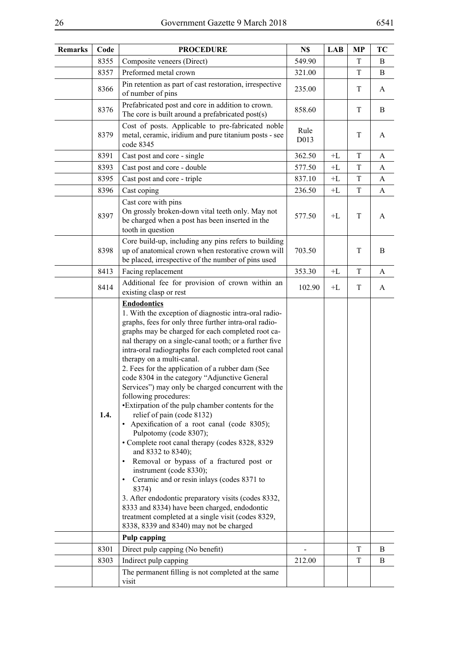| Remarks | Code | <b>PROCEDURE</b>                                                                                                                                                                                                                                                                                                                                                                                                                                                                                                                                                                                                                                                                                                                                                                                                                                                                                                                                                                                                                                                                                                    | N\$          | <b>LAB</b> | <b>MP</b>   | TC |
|---------|------|---------------------------------------------------------------------------------------------------------------------------------------------------------------------------------------------------------------------------------------------------------------------------------------------------------------------------------------------------------------------------------------------------------------------------------------------------------------------------------------------------------------------------------------------------------------------------------------------------------------------------------------------------------------------------------------------------------------------------------------------------------------------------------------------------------------------------------------------------------------------------------------------------------------------------------------------------------------------------------------------------------------------------------------------------------------------------------------------------------------------|--------------|------------|-------------|----|
|         | 8355 | Composite veneers (Direct)                                                                                                                                                                                                                                                                                                                                                                                                                                                                                                                                                                                                                                                                                                                                                                                                                                                                                                                                                                                                                                                                                          | 549.90       |            | T           | B  |
|         | 8357 | Preformed metal crown                                                                                                                                                                                                                                                                                                                                                                                                                                                                                                                                                                                                                                                                                                                                                                                                                                                                                                                                                                                                                                                                                               | 321.00       |            | $\mathbf T$ | B  |
|         | 8366 | Pin retention as part of cast restoration, irrespective<br>of number of pins                                                                                                                                                                                                                                                                                                                                                                                                                                                                                                                                                                                                                                                                                                                                                                                                                                                                                                                                                                                                                                        | 235.00       |            | T           | A  |
|         | 8376 | Prefabricated post and core in addition to crown.<br>The core is built around a prefabricated post(s)                                                                                                                                                                                                                                                                                                                                                                                                                                                                                                                                                                                                                                                                                                                                                                                                                                                                                                                                                                                                               | 858.60       |            | T           | B  |
|         | 8379 | Cost of posts. Applicable to pre-fabricated noble<br>metal, ceramic, iridium and pure titanium posts - see<br>code 8345                                                                                                                                                                                                                                                                                                                                                                                                                                                                                                                                                                                                                                                                                                                                                                                                                                                                                                                                                                                             | Rule<br>D013 |            | T           | A  |
|         | 8391 | Cast post and core - single                                                                                                                                                                                                                                                                                                                                                                                                                                                                                                                                                                                                                                                                                                                                                                                                                                                                                                                                                                                                                                                                                         | 362.50       | $+L$       | T           | A  |
|         | 8393 | Cast post and core - double                                                                                                                                                                                                                                                                                                                                                                                                                                                                                                                                                                                                                                                                                                                                                                                                                                                                                                                                                                                                                                                                                         | 577.50       | $+L$       | T           | A  |
|         | 8395 | Cast post and core - triple                                                                                                                                                                                                                                                                                                                                                                                                                                                                                                                                                                                                                                                                                                                                                                                                                                                                                                                                                                                                                                                                                         | 837.10       | $+L$       | T           | A  |
|         | 8396 | Cast coping                                                                                                                                                                                                                                                                                                                                                                                                                                                                                                                                                                                                                                                                                                                                                                                                                                                                                                                                                                                                                                                                                                         | 236.50       | $+L$       | T           | A  |
|         | 8397 | Cast core with pins<br>On grossly broken-down vital teeth only. May not<br>be charged when a post has been inserted in the<br>tooth in question                                                                                                                                                                                                                                                                                                                                                                                                                                                                                                                                                                                                                                                                                                                                                                                                                                                                                                                                                                     | 577.50       | $+L$       | T           | A  |
|         | 8398 | Core build-up, including any pins refers to building<br>up of anatomical crown when restorative crown will<br>be placed, irrespective of the number of pins used                                                                                                                                                                                                                                                                                                                                                                                                                                                                                                                                                                                                                                                                                                                                                                                                                                                                                                                                                    | 703.50       |            | T           | B  |
|         | 8413 | Facing replacement                                                                                                                                                                                                                                                                                                                                                                                                                                                                                                                                                                                                                                                                                                                                                                                                                                                                                                                                                                                                                                                                                                  | 353.30       | $+L$       | T           | A  |
|         | 8414 | Additional fee for provision of crown within an<br>existing clasp or rest                                                                                                                                                                                                                                                                                                                                                                                                                                                                                                                                                                                                                                                                                                                                                                                                                                                                                                                                                                                                                                           | 102.90       | $+L$       | T           | A  |
|         | 1.4. | <b>Endodontics</b><br>1. With the exception of diagnostic intra-oral radio-<br>graphs, fees for only three further intra-oral radio-<br>graphs may be charged for each completed root ca-<br>nal therapy on a single-canal tooth; or a further five<br>intra-oral radiographs for each completed root canal<br>therapy on a multi-canal.<br>2. Fees for the application of a rubber dam (See<br>code 8304 in the category "Adjunctive General<br>Services") may only be charged concurrent with the<br>following procedures:<br>•Extirpation of the pulp chamber contents for the<br>relief of pain (code 8132)<br>Apexification of a root canal (code 8305);<br>Pulpotomy (code 8307);<br>• Complete root canal therapy (codes 8328, 8329<br>and 8332 to 8340);<br>Removal or bypass of a fractured post or<br>$\bullet$<br>instrument (code 8330);<br>Ceramic and or resin inlays (codes 8371 to<br>8374)<br>3. After endodontic preparatory visits (codes 8332,<br>8333 and 8334) have been charged, endodontic<br>treatment completed at a single visit (codes 8329,<br>8338, 8339 and 8340) may not be charged |              |            |             |    |
|         |      | <b>Pulp capping</b>                                                                                                                                                                                                                                                                                                                                                                                                                                                                                                                                                                                                                                                                                                                                                                                                                                                                                                                                                                                                                                                                                                 |              |            |             |    |
|         | 8301 | Direct pulp capping (No benefit)                                                                                                                                                                                                                                                                                                                                                                                                                                                                                                                                                                                                                                                                                                                                                                                                                                                                                                                                                                                                                                                                                    |              |            | T           | B  |
|         | 8303 | Indirect pulp capping<br>The permanent filling is not completed at the same<br>visit                                                                                                                                                                                                                                                                                                                                                                                                                                                                                                                                                                                                                                                                                                                                                                                                                                                                                                                                                                                                                                | 212.00       |            | T           | B  |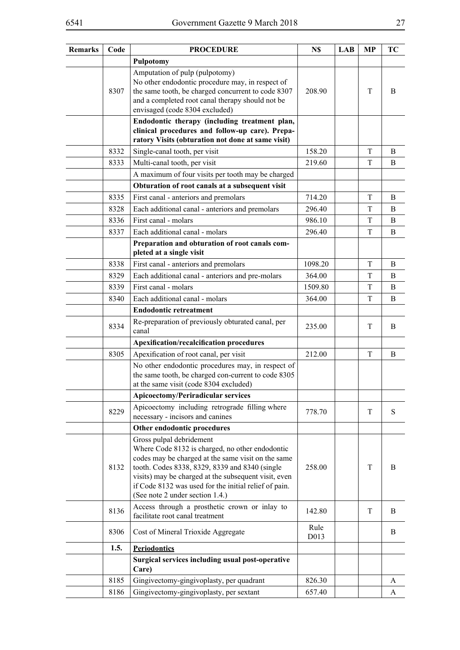| <b>Remarks</b> | Code | <b>PROCEDURE</b>                                                                                                                                                                                                                                                                                                                        | N\$          | <b>LAB</b> | MP | TC          |
|----------------|------|-----------------------------------------------------------------------------------------------------------------------------------------------------------------------------------------------------------------------------------------------------------------------------------------------------------------------------------------|--------------|------------|----|-------------|
|                |      | Pulpotomy                                                                                                                                                                                                                                                                                                                               |              |            |    |             |
|                | 8307 | Amputation of pulp (pulpotomy)<br>No other endodontic procedure may, in respect of<br>the same tooth, be charged concurrent to code 8307<br>and a completed root canal therapy should not be<br>envisaged (code 8304 excluded)                                                                                                          | 208.90       |            | T  | B           |
|                |      | Endodontic therapy (including treatment plan,<br>clinical procedures and follow-up care). Prepa-<br>ratory Visits (obturation not done at same visit)                                                                                                                                                                                   |              |            |    |             |
|                | 8332 | Single-canal tooth, per visit                                                                                                                                                                                                                                                                                                           | 158.20       |            | T  | B           |
|                | 8333 | Multi-canal tooth, per visit                                                                                                                                                                                                                                                                                                            | 219.60       |            | T  | B           |
|                |      | A maximum of four visits per tooth may be charged                                                                                                                                                                                                                                                                                       |              |            |    |             |
|                |      | Obturation of root canals at a subsequent visit                                                                                                                                                                                                                                                                                         |              |            |    |             |
|                | 8335 | First canal - anteriors and premolars                                                                                                                                                                                                                                                                                                   | 714.20       |            | T  | B           |
|                | 8328 | Each additional canal - anteriors and premolars                                                                                                                                                                                                                                                                                         | 296.40       |            | T  | B           |
|                | 8336 | First canal - molars                                                                                                                                                                                                                                                                                                                    | 986.10       |            | T  | B           |
|                | 8337 | Each additional canal - molars                                                                                                                                                                                                                                                                                                          | 296.40       |            | T  | B           |
|                |      | Preparation and obturation of root canals com-<br>pleted at a single visit                                                                                                                                                                                                                                                              |              |            |    |             |
|                | 8338 | First canal - anteriors and premolars                                                                                                                                                                                                                                                                                                   | 1098.20      |            | T  | B           |
|                | 8329 | Each additional canal - anteriors and pre-molars                                                                                                                                                                                                                                                                                        | 364.00       |            | T  | B           |
|                | 8339 | First canal - molars                                                                                                                                                                                                                                                                                                                    | 1509.80      |            | T  | $\mathbf B$ |
|                | 8340 | Each additional canal - molars                                                                                                                                                                                                                                                                                                          | 364.00       |            | T  | B           |
|                |      | <b>Endodontic retreatment</b>                                                                                                                                                                                                                                                                                                           |              |            |    |             |
|                | 8334 | Re-preparation of previously obturated canal, per<br>canal                                                                                                                                                                                                                                                                              | 235.00       |            | T  | B           |
|                |      | Apexification/recalcification procedures                                                                                                                                                                                                                                                                                                |              |            |    |             |
|                | 8305 | Apexification of root canal, per visit                                                                                                                                                                                                                                                                                                  | 212.00       |            | T  | B           |
|                |      | No other endodontic procedures may, in respect of<br>the same tooth, be charged con-current to code 8305<br>at the same visit (code 8304 excluded)                                                                                                                                                                                      |              |            |    |             |
|                |      | <b>Apicoectomy/Periradicular services</b>                                                                                                                                                                                                                                                                                               |              |            |    |             |
|                | 8229 | Apicoectomy including retrograde filling where<br>necessary - incisors and canines                                                                                                                                                                                                                                                      | 778.70       |            | T  | S           |
|                |      | Other endodontic procedures                                                                                                                                                                                                                                                                                                             |              |            |    |             |
|                | 8132 | Gross pulpal debridement<br>Where Code 8132 is charged, no other endodontic<br>codes may be charged at the same visit on the same<br>tooth. Codes 8338, 8329, 8339 and 8340 (single<br>visits) may be charged at the subsequent visit, even<br>if Code 8132 was used for the initial relief of pain.<br>(See note 2 under section 1.4.) | 258.00       |            | T  | B           |
|                | 8136 | Access through a prosthetic crown or inlay to<br>facilitate root canal treatment                                                                                                                                                                                                                                                        | 142.80       |            | T  | B           |
|                | 8306 | Cost of Mineral Trioxide Aggregate                                                                                                                                                                                                                                                                                                      | Rule<br>D013 |            |    | B           |
|                | 1.5. | <b>Periodontics</b>                                                                                                                                                                                                                                                                                                                     |              |            |    |             |
|                |      | Surgical services including usual post-operative<br>Care)                                                                                                                                                                                                                                                                               |              |            |    |             |
|                | 8185 | Gingivectomy-gingivoplasty, per quadrant                                                                                                                                                                                                                                                                                                | 826.30       |            |    | A           |
|                | 8186 | Gingivectomy-gingivoplasty, per sextant                                                                                                                                                                                                                                                                                                 | 657.40       |            |    | A           |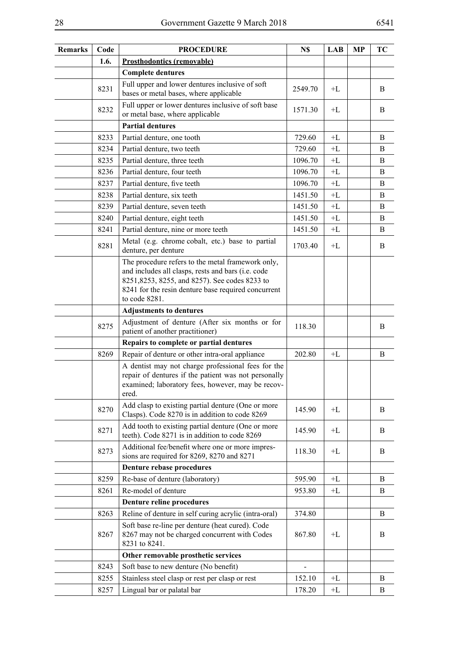| Remarks | Code | <b>PROCEDURE</b>                                                                                                                                                                                                                  | N\$     | LAB        | МP | TC |
|---------|------|-----------------------------------------------------------------------------------------------------------------------------------------------------------------------------------------------------------------------------------|---------|------------|----|----|
|         | 1.6. | <b>Prosthodontics (removable)</b>                                                                                                                                                                                                 |         |            |    |    |
|         |      | <b>Complete dentures</b>                                                                                                                                                                                                          |         |            |    |    |
|         | 8231 | Full upper and lower dentures inclusive of soft<br>bases or metal bases, where applicable                                                                                                                                         | 2549.70 | $+L$       |    | B  |
|         | 8232 | Full upper or lower dentures inclusive of soft base<br>or metal base, where applicable                                                                                                                                            | 1571.30 | $+L$       |    | B  |
|         |      | <b>Partial dentures</b>                                                                                                                                                                                                           |         |            |    |    |
|         | 8233 | Partial denture, one tooth                                                                                                                                                                                                        | 729.60  | $+L$       |    | B  |
|         | 8234 | Partial denture, two teeth                                                                                                                                                                                                        | 729.60  | $+L$       |    | B  |
|         | 8235 | Partial denture, three teeth                                                                                                                                                                                                      | 1096.70 | $+L$       |    | B  |
|         | 8236 | Partial denture, four teeth                                                                                                                                                                                                       | 1096.70 | $+L$       |    | B  |
|         | 8237 | Partial denture, five teeth                                                                                                                                                                                                       | 1096.70 | $+L$       |    | B  |
|         | 8238 | Partial denture, six teeth                                                                                                                                                                                                        | 1451.50 | $+ \Gamma$ |    | B  |
|         | 8239 | Partial denture, seven teeth                                                                                                                                                                                                      | 1451.50 | $+L$       |    | B  |
|         | 8240 | Partial denture, eight teeth                                                                                                                                                                                                      | 1451.50 | $+L$       |    | B  |
|         | 8241 | Partial denture, nine or more teeth                                                                                                                                                                                               | 1451.50 | $+L$       |    | B  |
|         | 8281 | Metal (e.g. chrome cobalt, etc.) base to partial<br>denture, per denture                                                                                                                                                          | 1703.40 | $+L$       |    | B  |
|         |      | The procedure refers to the metal framework only,<br>and includes all clasps, rests and bars (i.e. code<br>8251, 8253, 8255, and 8257). See codes 8233 to<br>8241 for the resin denture base required concurrent<br>to code 8281. |         |            |    |    |
|         |      | <b>Adjustments to dentures</b>                                                                                                                                                                                                    |         |            |    |    |
|         | 8275 | Adjustment of denture (After six months or for<br>patient of another practitioner)                                                                                                                                                | 118.30  |            |    | B  |
|         |      | Repairs to complete or partial dentures                                                                                                                                                                                           |         |            |    |    |
|         | 8269 | Repair of denture or other intra-oral appliance                                                                                                                                                                                   | 202.80  | $+L$       |    | B  |
|         |      | A dentist may not charge professional fees for the<br>repair of dentures if the patient was not personally<br>examined; laboratory fees, however, may be recov-<br>ered.                                                          |         |            |    |    |
|         | 8270 | Add clasp to existing partial denture (One or more<br>Clasps). Code 8270 is in addition to code 8269                                                                                                                              | 145.90  | $+L$       |    | B  |
|         | 8271 | Add tooth to existing partial denture (One or more<br>teeth). Code 8271 is in addition to code 8269                                                                                                                               | 145.90  | $+L$       |    | B  |
|         | 8273 | Additional fee/benefit where one or more impres-<br>sions are required for 8269, 8270 and 8271                                                                                                                                    | 118.30  | $+L$       |    | B  |
|         |      | Denture rebase procedures                                                                                                                                                                                                         |         |            |    |    |
|         | 8259 | Re-base of denture (laboratory)                                                                                                                                                                                                   | 595.90  | $+L$       |    | B  |
|         | 8261 | Re-model of denture                                                                                                                                                                                                               | 953.80  | $+L$       |    | B  |
|         |      | <b>Denture reline procedures</b>                                                                                                                                                                                                  |         |            |    |    |
|         | 8263 | Reline of denture in self curing acrylic (intra-oral)                                                                                                                                                                             | 374.80  |            |    | B  |
|         | 8267 | Soft base re-line per denture (heat cured). Code<br>8267 may not be charged concurrent with Codes<br>8231 to 8241.                                                                                                                | 867.80  | $+L$       |    | B  |
|         |      | Other removable prosthetic services                                                                                                                                                                                               |         |            |    |    |
|         | 8243 | Soft base to new denture (No benefit)                                                                                                                                                                                             |         |            |    |    |
|         | 8255 | Stainless steel clasp or rest per clasp or rest                                                                                                                                                                                   | 152.10  | $+L$       |    | B  |
|         | 8257 | Lingual bar or palatal bar                                                                                                                                                                                                        | 178.20  | $+ \Gamma$ |    | B  |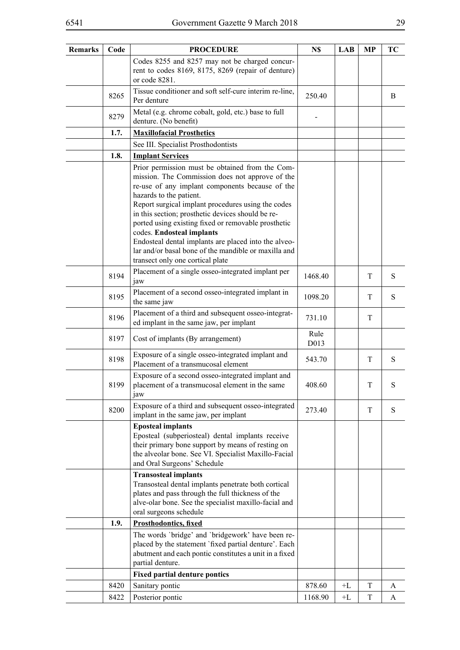| <b>Remarks</b> | Code | <b>PROCEDURE</b>                                                                                                                                                                                                                                                                                                                                                                                                                                                                                                                    | N\$          | <b>LAB</b> | MP | TC        |
|----------------|------|-------------------------------------------------------------------------------------------------------------------------------------------------------------------------------------------------------------------------------------------------------------------------------------------------------------------------------------------------------------------------------------------------------------------------------------------------------------------------------------------------------------------------------------|--------------|------------|----|-----------|
|                |      | Codes 8255 and 8257 may not be charged concur-<br>rent to codes 8169, 8175, 8269 (repair of denture)<br>or code 8281.                                                                                                                                                                                                                                                                                                                                                                                                               |              |            |    |           |
|                | 8265 | Tissue conditioner and soft self-cure interim re-line,<br>Per denture                                                                                                                                                                                                                                                                                                                                                                                                                                                               | 250.40       |            |    | B         |
|                | 8279 | Metal (e.g. chrome cobalt, gold, etc.) base to full<br>denture. (No benefit)                                                                                                                                                                                                                                                                                                                                                                                                                                                        |              |            |    |           |
|                | 1.7. | <b>Maxillofacial Prosthetics</b>                                                                                                                                                                                                                                                                                                                                                                                                                                                                                                    |              |            |    |           |
|                |      | See III. Specialist Prosthodontists                                                                                                                                                                                                                                                                                                                                                                                                                                                                                                 |              |            |    |           |
|                | 1.8. | <b>Implant Services</b>                                                                                                                                                                                                                                                                                                                                                                                                                                                                                                             |              |            |    |           |
|                |      | Prior permission must be obtained from the Com-<br>mission. The Commission does not approve of the<br>re-use of any implant components because of the<br>hazards to the patient.<br>Report surgical implant procedures using the codes<br>in this section; prosthetic devices should be re-<br>ported using existing fixed or removable prosthetic<br>codes. Endosteal implants<br>Endosteal dental implants are placed into the alveo-<br>lar and/or basal bone of the mandible or maxilla and<br>transect only one cortical plate |              |            |    |           |
|                | 8194 | Placement of a single osseo-integrated implant per<br>jaw                                                                                                                                                                                                                                                                                                                                                                                                                                                                           | 1468.40      |            | T  | S         |
|                | 8195 | Placement of a second osseo-integrated implant in<br>the same jaw                                                                                                                                                                                                                                                                                                                                                                                                                                                                   | 1098.20      |            | T  | ${\bf S}$ |
|                | 8196 | Placement of a third and subsequent osseo-integrat-<br>ed implant in the same jaw, per implant                                                                                                                                                                                                                                                                                                                                                                                                                                      | 731.10       |            | T  |           |
|                | 8197 | Cost of implants (By arrangement)                                                                                                                                                                                                                                                                                                                                                                                                                                                                                                   | Rule<br>D013 |            |    |           |
|                | 8198 | Exposure of a single osseo-integrated implant and<br>Placement of a transmucosal element                                                                                                                                                                                                                                                                                                                                                                                                                                            | 543.70       |            | T  | ${\bf S}$ |
|                | 8199 | Exposure of a second osseo-integrated implant and<br>placement of a transmucosal element in the same<br>$\mu$                                                                                                                                                                                                                                                                                                                                                                                                                       | 408.60       |            | T  | S         |
|                | 8200 | Exposure of a third and subsequent osseo-integrated<br>implant in the same jaw, per implant                                                                                                                                                                                                                                                                                                                                                                                                                                         | 273.40       |            | T  | ${\bf S}$ |
|                |      | <b>Eposteal implants</b><br>Eposteal (subperiosteal) dental implants receive<br>their primary bone support by means of resting on<br>the alveolar bone. See VI. Specialist Maxillo-Facial<br>and Oral Surgeons' Schedule                                                                                                                                                                                                                                                                                                            |              |            |    |           |
|                |      | <b>Transosteal implants</b><br>Transosteal dental implants penetrate both cortical<br>plates and pass through the full thickness of the<br>alve-olar bone. See the specialist maxillo-facial and<br>oral surgeons schedule                                                                                                                                                                                                                                                                                                          |              |            |    |           |
|                | 1.9. | <b>Prosthodontics, fixed</b>                                                                                                                                                                                                                                                                                                                                                                                                                                                                                                        |              |            |    |           |
|                |      | The words 'bridge' and 'bridgework' have been re-<br>placed by the statement `fixed partial denture'. Each<br>abutment and each pontic constitutes a unit in a fixed                                                                                                                                                                                                                                                                                                                                                                |              |            |    |           |
|                |      | partial denture.                                                                                                                                                                                                                                                                                                                                                                                                                                                                                                                    |              |            |    |           |
|                |      | <b>Fixed partial denture pontics</b>                                                                                                                                                                                                                                                                                                                                                                                                                                                                                                |              |            |    |           |
|                | 8420 | Sanitary pontic                                                                                                                                                                                                                                                                                                                                                                                                                                                                                                                     | 878.60       | $+L$       | T  | A         |
|                | 8422 | Posterior pontic                                                                                                                                                                                                                                                                                                                                                                                                                                                                                                                    | 1168.90      | $+L$       | T  | A         |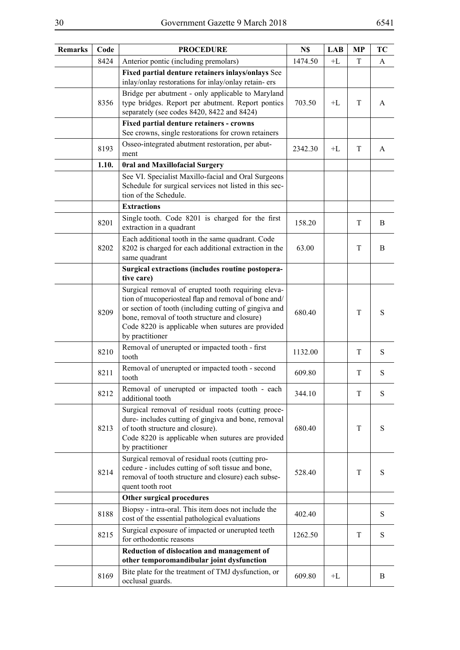| <b>Remarks</b> | Code  | <b>PROCEDURE</b>                                                                                                                                                                                                                                                                             | N\$     | <b>LAB</b> | <b>MP</b> | TC |
|----------------|-------|----------------------------------------------------------------------------------------------------------------------------------------------------------------------------------------------------------------------------------------------------------------------------------------------|---------|------------|-----------|----|
|                | 8424  | Anterior pontic (including premolars)                                                                                                                                                                                                                                                        | 1474.50 | $+L$       | T         | A  |
|                |       | Fixed partial denture retainers inlays/onlays See<br>inlay/onlay restorations for inlay/onlay retain-ers                                                                                                                                                                                     |         |            |           |    |
|                | 8356  | Bridge per abutment - only applicable to Maryland<br>type bridges. Report per abutment. Report pontics<br>separately (see codes 8420, 8422 and 8424)                                                                                                                                         | 703.50  | $+L$       | T         | A  |
|                |       | <b>Fixed partial denture retainers - crowns</b><br>See crowns, single restorations for crown retainers                                                                                                                                                                                       |         |            |           |    |
|                | 8193  | Osseo-integrated abutment restoration, per abut-<br>ment                                                                                                                                                                                                                                     | 2342.30 | $+L$       | T         | A  |
|                | 1.10. | <b>Oral and Maxillofacial Surgery</b>                                                                                                                                                                                                                                                        |         |            |           |    |
|                |       | See VI. Specialist Maxillo-facial and Oral Surgeons<br>Schedule for surgical services not listed in this sec-<br>tion of the Schedule.                                                                                                                                                       |         |            |           |    |
|                |       | <b>Extractions</b>                                                                                                                                                                                                                                                                           |         |            |           |    |
|                | 8201  | Single tooth. Code 8201 is charged for the first<br>extraction in a quadrant                                                                                                                                                                                                                 | 158.20  |            | T         | B  |
|                | 8202  | Each additional tooth in the same quadrant. Code<br>8202 is charged for each additional extraction in the<br>same quadrant                                                                                                                                                                   | 63.00   |            | T         | B  |
|                |       | Surgical extractions (includes routine postopera-<br>tive care)                                                                                                                                                                                                                              |         |            |           |    |
|                | 8209  | Surgical removal of erupted tooth requiring eleva-<br>tion of mucoperiosteal flap and removal of bone and/<br>or section of tooth (including cutting of gingiva and<br>bone, removal of tooth structure and closure)<br>Code 8220 is applicable when sutures are provided<br>by practitioner | 680.40  |            | T         | S  |
|                | 8210  | Removal of unerupted or impacted tooth - first<br>tooth                                                                                                                                                                                                                                      | 1132.00 |            | T         | S  |
|                | 8211  | Removal of unerupted or impacted tooth - second<br>tooth                                                                                                                                                                                                                                     | 609.80  |            | T         | S  |
|                | 8212  | Removal of unerupted or impacted tooth - each<br>additional tooth                                                                                                                                                                                                                            | 344.10  |            | T         | S  |
|                | 8213  | Surgical removal of residual roots (cutting proce-<br>dure-includes cutting of gingiva and bone, removal<br>of tooth structure and closure).<br>Code 8220 is applicable when sutures are provided<br>by practitioner                                                                         | 680.40  |            | T         | S  |
|                | 8214  | Surgical removal of residual roots (cutting pro-<br>cedure - includes cutting of soft tissue and bone,<br>removal of tooth structure and closure) each subse-<br>quent tooth root                                                                                                            | 528.40  |            | T         | S  |
|                |       | Other surgical procedures                                                                                                                                                                                                                                                                    |         |            |           |    |
|                | 8188  | Biopsy - intra-oral. This item does not include the<br>cost of the essential pathological evaluations                                                                                                                                                                                        | 402.40  |            |           | S  |
|                | 8215  | Surgical exposure of impacted or unerupted teeth<br>for orthodontic reasons                                                                                                                                                                                                                  | 1262.50 |            | T         | S  |
|                |       | Reduction of dislocation and management of<br>other temporomandibular joint dysfunction                                                                                                                                                                                                      |         |            |           |    |
|                | 8169  | Bite plate for the treatment of TMJ dysfunction, or<br>occlusal guards.                                                                                                                                                                                                                      | 609.80  | $+L$       |           | B  |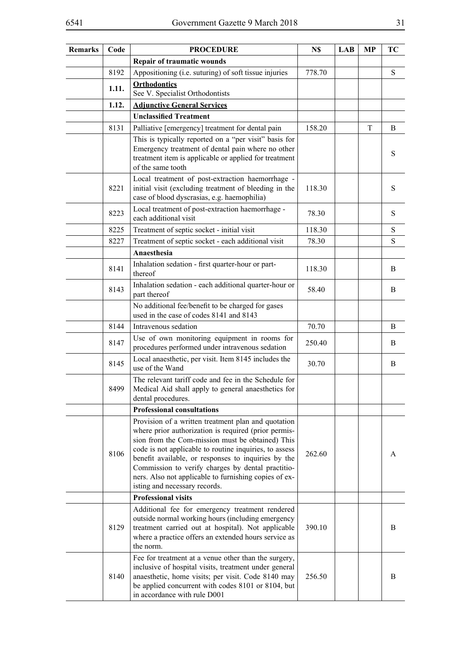| <b>Remarks</b> | Code  | <b>PROCEDURE</b>                                                                                                                                                                                                                                                                                                                                                                                                                | N\$    | <b>LAB</b> | <b>MP</b> | TC |
|----------------|-------|---------------------------------------------------------------------------------------------------------------------------------------------------------------------------------------------------------------------------------------------------------------------------------------------------------------------------------------------------------------------------------------------------------------------------------|--------|------------|-----------|----|
|                |       | <b>Repair of traumatic wounds</b>                                                                                                                                                                                                                                                                                                                                                                                               |        |            |           |    |
|                | 8192  | Appositioning (i.e. suturing) of soft tissue injuries                                                                                                                                                                                                                                                                                                                                                                           | 778.70 |            |           | S  |
|                | 1.11. | <b>Orthodontics</b><br>See V. Specialist Orthodontists                                                                                                                                                                                                                                                                                                                                                                          |        |            |           |    |
|                | 1.12. | <b>Adjunctive General Services</b>                                                                                                                                                                                                                                                                                                                                                                                              |        |            |           |    |
|                |       | <b>Unclassified Treatment</b>                                                                                                                                                                                                                                                                                                                                                                                                   |        |            |           |    |
|                | 8131  | Palliative [emergency] treatment for dental pain                                                                                                                                                                                                                                                                                                                                                                                | 158.20 |            | T         | B  |
|                |       | This is typically reported on a "per visit" basis for<br>Emergency treatment of dental pain where no other<br>treatment item is applicable or applied for treatment<br>of the same tooth                                                                                                                                                                                                                                        |        |            |           | S  |
|                | 8221  | Local treatment of post-extraction haemorrhage -<br>initial visit (excluding treatment of bleeding in the<br>case of blood dyscrasias, e.g. haemophilia)                                                                                                                                                                                                                                                                        | 118.30 |            |           | S  |
|                | 8223  | Local treatment of post-extraction haemorrhage -<br>each additional visit                                                                                                                                                                                                                                                                                                                                                       | 78.30  |            |           | S  |
|                | 8225  | Treatment of septic socket - initial visit                                                                                                                                                                                                                                                                                                                                                                                      | 118.30 |            |           | S  |
|                | 8227  | Treatment of septic socket - each additional visit                                                                                                                                                                                                                                                                                                                                                                              | 78.30  |            |           | S  |
|                |       | Anaesthesia                                                                                                                                                                                                                                                                                                                                                                                                                     |        |            |           |    |
|                | 8141  | Inhalation sedation - first quarter-hour or part-<br>thereof                                                                                                                                                                                                                                                                                                                                                                    | 118.30 |            |           | B  |
|                | 8143  | Inhalation sedation - each additional quarter-hour or<br>part thereof                                                                                                                                                                                                                                                                                                                                                           | 58.40  |            |           | B  |
|                |       | No additional fee/benefit to be charged for gases<br>used in the case of codes 8141 and 8143                                                                                                                                                                                                                                                                                                                                    |        |            |           |    |
|                | 8144  | Intravenous sedation                                                                                                                                                                                                                                                                                                                                                                                                            | 70.70  |            |           | B  |
|                | 8147  | Use of own monitoring equipment in rooms for<br>procedures performed under intravenous sedation                                                                                                                                                                                                                                                                                                                                 | 250.40 |            |           | B  |
|                | 8145  | Local anaesthetic, per visit. Item 8145 includes the<br>use of the Wand                                                                                                                                                                                                                                                                                                                                                         | 30.70  |            |           | B  |
|                | 8499  | The relevant tariff code and fee in the Schedule for<br>Medical Aid shall apply to general anaesthetics for<br>dental procedures.                                                                                                                                                                                                                                                                                               |        |            |           |    |
|                |       | <b>Professional consultations</b>                                                                                                                                                                                                                                                                                                                                                                                               |        |            |           |    |
|                | 8106  | Provision of a written treatment plan and quotation<br>where prior authorization is required (prior permis-<br>sion from the Com-mission must be obtained) This<br>code is not applicable to routine inquiries, to assess<br>benefit available, or responses to inquiries by the<br>Commission to verify charges by dental practitio-<br>ners. Also not applicable to furnishing copies of ex-<br>isting and necessary records. | 262.60 |            |           | A  |
|                |       | <b>Professional visits</b>                                                                                                                                                                                                                                                                                                                                                                                                      |        |            |           |    |
|                | 8129  | Additional fee for emergency treatment rendered<br>outside normal working hours (including emergency<br>treatment carried out at hospital). Not applicable<br>where a practice offers an extended hours service as<br>the norm.                                                                                                                                                                                                 | 390.10 |            |           | B  |
|                | 8140  | Fee for treatment at a venue other than the surgery,<br>inclusive of hospital visits, treatment under general<br>anaesthetic, home visits; per visit. Code 8140 may<br>be applied concurrent with codes 8101 or 8104, but<br>in accordance with rule D001                                                                                                                                                                       | 256.50 |            |           | B  |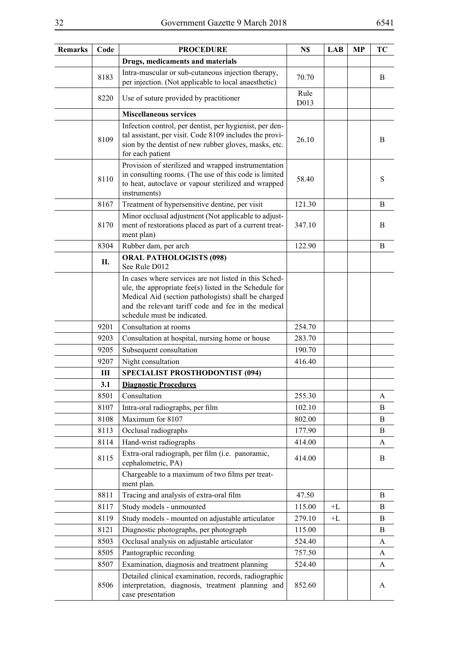| Remarks | Code | <b>PROCEDURE</b>                                                                                                                                                                                                                                             | N\$          | <b>LAB</b> | MP | TC |
|---------|------|--------------------------------------------------------------------------------------------------------------------------------------------------------------------------------------------------------------------------------------------------------------|--------------|------------|----|----|
|         |      | Drugs, medicaments and materials                                                                                                                                                                                                                             |              |            |    |    |
|         | 8183 | Intra-muscular or sub-cutaneous injection therapy,<br>per injection. (Not applicable to local anaesthetic)                                                                                                                                                   | 70.70        |            |    | B  |
|         | 8220 | Use of suture provided by practitioner                                                                                                                                                                                                                       | Rule<br>D013 |            |    |    |
|         |      | <b>Miscellaneous services</b>                                                                                                                                                                                                                                |              |            |    |    |
|         | 8109 | Infection control, per dentist, per hygienist, per den-<br>tal assistant, per visit. Code 8109 includes the provi-<br>sion by the dentist of new rubber gloves, masks, etc.<br>for each patient                                                              | 26.10        |            |    | B  |
|         | 8110 | Provision of sterilized and wrapped instrumentation<br>in consulting rooms. (The use of this code is limited<br>to heat, autoclave or vapour sterilized and wrapped<br>instruments)                                                                          | 58.40        |            |    | S  |
|         | 8167 | Treatment of hypersensitive dentine, per visit                                                                                                                                                                                                               | 121.30       |            |    | B  |
|         | 8170 | Minor occlusal adjustment (Not applicable to adjust-<br>ment of restorations placed as part of a current treat-<br>ment plan)                                                                                                                                | 347.10       |            |    | B  |
|         | 8304 | Rubber dam, per arch                                                                                                                                                                                                                                         | 122.90       |            |    | B  |
|         | П.   | <b>ORAL PATHOLOGISTS (098)</b><br>See Rule D012                                                                                                                                                                                                              |              |            |    |    |
|         |      | In cases where services are not listed in this Sched-<br>ule, the appropriate fee(s) listed in the Schedule for<br>Medical Aid (section pathologists) shall be charged<br>and the relevant tariff code and fee in the medical<br>schedule must be indicated. |              |            |    |    |
|         | 9201 | Consultation at rooms                                                                                                                                                                                                                                        | 254.70       |            |    |    |
|         | 9203 | Consultation at hospital, nursing home or house                                                                                                                                                                                                              | 283.70       |            |    |    |
|         | 9205 | Subsequent consultation                                                                                                                                                                                                                                      | 190.70       |            |    |    |
|         | 9207 | Night consultation                                                                                                                                                                                                                                           | 416.40       |            |    |    |
|         | Ш    | <b>SPECIALIST PROSTHODONTIST (094)</b>                                                                                                                                                                                                                       |              |            |    |    |
|         | 3.1  | <b>Diagnostic Procedures</b>                                                                                                                                                                                                                                 |              |            |    |    |
|         | 8501 | Consultation                                                                                                                                                                                                                                                 | 255.30       |            |    | A  |
|         | 8107 | Intra-oral radiographs, per film                                                                                                                                                                                                                             | 102.10       |            |    | B  |
|         | 8108 | Maximum for 8107                                                                                                                                                                                                                                             | 802.00       |            |    | B  |
|         | 8113 | Occlusal radiographs                                                                                                                                                                                                                                         | 177.90       |            |    | B  |
|         | 8114 | Hand-wrist radiographs                                                                                                                                                                                                                                       | 414.00       |            |    | A  |
|         | 8115 | Extra-oral radiograph, per film (i.e. panoramic,<br>cephalometric, PA)                                                                                                                                                                                       | 414.00       |            |    | B  |
|         |      | Chargeable to a maximum of two films per treat-<br>ment plan.                                                                                                                                                                                                |              |            |    |    |
|         | 8811 | Tracing and analysis of extra-oral film                                                                                                                                                                                                                      | 47.50        |            |    | B  |
|         | 8117 | Study models - unmounted                                                                                                                                                                                                                                     | 115.00       | $+L$       |    | B  |
|         | 8119 | Study models - mounted on adjustable articulator                                                                                                                                                                                                             | 279.10       | $+ \Gamma$ |    | B  |
|         | 8121 | Diagnostic photographs, per photograph                                                                                                                                                                                                                       | 115.00       |            |    | B  |
|         | 8503 | Occlusal analysis on adjustable articulator                                                                                                                                                                                                                  | 524.40       |            |    | A  |
|         | 8505 | Pantographic recording                                                                                                                                                                                                                                       | 757.50       |            |    | A  |
|         | 8507 | Examination, diagnosis and treatment planning                                                                                                                                                                                                                | 524.40       |            |    | A  |
|         | 8506 | Detailed clinical examination, records, radiographic<br>interpretation, diagnosis, treatment planning and<br>case presentation                                                                                                                               | 852.60       |            |    | A  |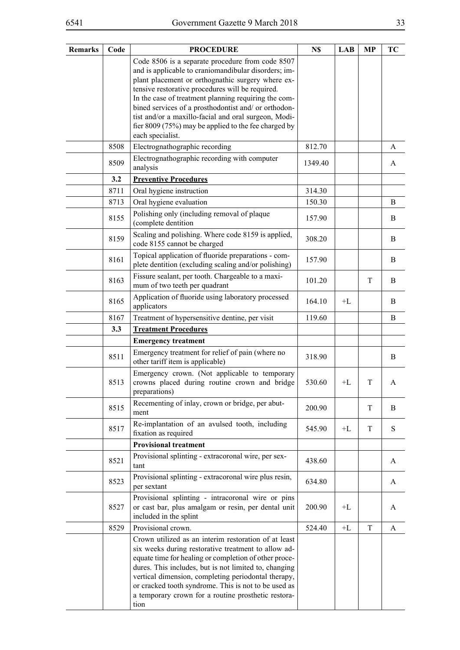| <b>Remarks</b> | Code | <b>PROCEDURE</b>                                                                                                                                                                                                                                                                                                                                                                                            | N\$     | <b>LAB</b> | <b>MP</b> | TC |
|----------------|------|-------------------------------------------------------------------------------------------------------------------------------------------------------------------------------------------------------------------------------------------------------------------------------------------------------------------------------------------------------------------------------------------------------------|---------|------------|-----------|----|
|                |      | Code 8506 is a separate procedure from code 8507<br>and is applicable to craniomandibular disorders; im-<br>plant placement or orthognathic surgery where ex-<br>tensive restorative procedures will be required.<br>In the case of treatment planning requiring the com-<br>bined services of a prosthodontist and/ or orthodon-<br>tist and/or a maxillo-facial and oral surgeon, Modi-                   |         |            |           |    |
|                |      | fier 8009 (75%) may be applied to the fee charged by<br>each specialist.                                                                                                                                                                                                                                                                                                                                    |         |            |           |    |
|                | 8508 | Electrognathographic recording                                                                                                                                                                                                                                                                                                                                                                              | 812.70  |            |           | A  |
|                | 8509 | Electrognathographic recording with computer<br>analysis                                                                                                                                                                                                                                                                                                                                                    | 1349.40 |            |           | A  |
|                | 3.2  | <b>Preventive Procedures</b>                                                                                                                                                                                                                                                                                                                                                                                |         |            |           |    |
|                | 8711 | Oral hygiene instruction                                                                                                                                                                                                                                                                                                                                                                                    | 314.30  |            |           |    |
|                | 8713 | Oral hygiene evaluation                                                                                                                                                                                                                                                                                                                                                                                     | 150.30  |            |           | B  |
|                | 8155 | Polishing only (including removal of plaque<br>(complete dentition                                                                                                                                                                                                                                                                                                                                          | 157.90  |            |           | B  |
|                | 8159 | Scaling and polishing. Where code 8159 is applied,<br>code 8155 cannot be charged                                                                                                                                                                                                                                                                                                                           | 308.20  |            |           | B  |
|                | 8161 | Topical application of fluoride preparations - com-<br>plete dentition (excluding scaling and/or polishing)                                                                                                                                                                                                                                                                                                 | 157.90  |            |           | B  |
|                | 8163 | Fissure sealant, per tooth. Chargeable to a maxi-<br>mum of two teeth per quadrant                                                                                                                                                                                                                                                                                                                          | 101.20  |            | T         | B  |
|                | 8165 | Application of fluoride using laboratory processed<br>applicators                                                                                                                                                                                                                                                                                                                                           | 164.10  | $+I$       |           | B  |
|                | 8167 | Treatment of hypersensitive dentine, per visit                                                                                                                                                                                                                                                                                                                                                              | 119.60  |            |           | B  |
|                | 3.3  | <b>Treatment Procedures</b>                                                                                                                                                                                                                                                                                                                                                                                 |         |            |           |    |
|                |      | <b>Emergency treatment</b>                                                                                                                                                                                                                                                                                                                                                                                  |         |            |           |    |
|                | 8511 | Emergency treatment for relief of pain (where no<br>other tariff item is applicable)                                                                                                                                                                                                                                                                                                                        | 318.90  |            |           | B  |
|                | 8513 | Emergency crown. (Not applicable to temporary<br>crowns placed during routine crown and bridge<br>preparations)                                                                                                                                                                                                                                                                                             | 530.60  | $+L$       | T         | A  |
|                | 8515 | Recementing of inlay, crown or bridge, per abut-<br>ment                                                                                                                                                                                                                                                                                                                                                    | 200.90  |            | T         | B  |
|                | 8517 | Re-implantation of an avulsed tooth, including<br>fixation as required                                                                                                                                                                                                                                                                                                                                      | 545.90  | +L         | T         | S  |
|                |      | <b>Provisional treatment</b>                                                                                                                                                                                                                                                                                                                                                                                |         |            |           |    |
|                | 8521 | Provisional splinting - extracoronal wire, per sex-<br>tant                                                                                                                                                                                                                                                                                                                                                 | 438.60  |            |           | A  |
|                | 8523 | Provisional splinting - extracoronal wire plus resin,<br>per sextant                                                                                                                                                                                                                                                                                                                                        | 634.80  |            |           | A  |
|                | 8527 | Provisional splinting - intracoronal wire or pins<br>or cast bar, plus amalgam or resin, per dental unit<br>included in the splint                                                                                                                                                                                                                                                                          | 200.90  | $+L$       |           | A  |
|                | 8529 | Provisional crown.                                                                                                                                                                                                                                                                                                                                                                                          | 524.40  | $+L$       | T         | A  |
|                |      | Crown utilized as an interim restoration of at least<br>six weeks during restorative treatment to allow ad-<br>equate time for healing or completion of other proce-<br>dures. This includes, but is not limited to, changing<br>vertical dimension, completing periodontal therapy,<br>or cracked tooth syndrome. This is not to be used as<br>a temporary crown for a routine prosthetic restora-<br>tion |         |            |           |    |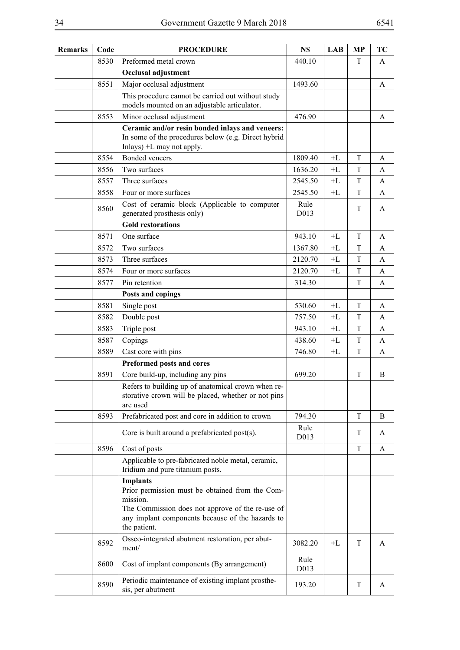| 8530<br>Preformed metal crown<br>440.10<br>T<br>A<br>Occlusal adjustment<br>Major occlusal adjustment<br>8551<br>1493.60<br>A<br>This procedure cannot be carried out without study<br>models mounted on an adjustable articulator.<br>476.90<br>8553<br>Minor occlusal adjustment<br>A<br>Ceramic and/or resin bonded inlays and veneers:<br>In some of the procedures below (e.g. Direct hybrid<br>Inlays) $+L$ may not apply.<br>8554<br>Bonded veneers<br>1809.40<br>$+L$<br>T<br>A<br>8556<br>Two surfaces<br>1636.20<br>$+L$<br>T<br>A<br>Three surfaces<br>8557<br>2545.50<br>T<br>$+L$<br>A<br>8558<br>2545.50<br>T<br>Four or more surfaces<br>$+L$<br>A<br>Cost of ceramic block (Applicable to computer<br>Rule<br>8560<br>T<br>A<br>generated prosthesis only)<br>D013<br><b>Gold restorations</b><br>One surface<br>T<br>8571<br>943.10<br>$+I$ .<br>A<br>Two surfaces<br>8572<br>1367.80<br>T<br>$+L$<br>A<br>Three surfaces<br>T<br>8573<br>2120.70<br>$+L$<br>A<br>8574<br>2120.70<br>T<br>Four or more surfaces<br>$+L$<br>A<br>314.30<br>T<br>8577<br>Pin retention<br>A<br>Posts and copings<br>8581<br>T<br>Single post<br>530.60<br>$+L$<br>A<br>8582<br>Double post<br>757.50<br>$+L$<br>T<br>A<br>T<br>8583<br>Triple post<br>943.10<br>$+L$<br>A<br>8587<br>438.60<br>T<br>Copings<br>$+L$<br>A<br>8589<br>Cast core with pins<br>T<br>746.80<br>$+L$<br>A<br>Preformed posts and cores<br>8591<br>Core build-up, including any pins<br>699.20<br>$\mathbf T$<br>B<br>Refers to building up of anatomical crown when re-<br>storative crown will be placed, whether or not pins<br>are used<br>8593<br>Prefabricated post and core in addition to crown<br>794.30<br>$\mathbf T$<br>B<br>Rule<br>Core is built around a prefabricated post(s).<br>T<br>A<br>D013<br>8596<br>Cost of posts<br>T<br>A<br>Applicable to pre-fabricated noble metal, ceramic,<br>Iridium and pure titanium posts.<br><b>Implants</b><br>Prior permission must be obtained from the Com-<br>mission.<br>The Commission does not approve of the re-use of<br>any implant components because of the hazards to<br>the patient.<br>Osseo-integrated abutment restoration, per abut-<br>8592<br>T<br>3082.20<br>$+L$<br>A<br>ment/<br>Rule<br>Cost of implant components (By arrangement)<br>8600<br>D013<br>Periodic maintenance of existing implant prosthe-<br>8590<br>193.20<br>T<br>A<br>sis, per abutment | Remarks | Code | <b>PROCEDURE</b> | N\$ | <b>LAB</b> | <b>MP</b> | <b>TC</b> |
|----------------------------------------------------------------------------------------------------------------------------------------------------------------------------------------------------------------------------------------------------------------------------------------------------------------------------------------------------------------------------------------------------------------------------------------------------------------------------------------------------------------------------------------------------------------------------------------------------------------------------------------------------------------------------------------------------------------------------------------------------------------------------------------------------------------------------------------------------------------------------------------------------------------------------------------------------------------------------------------------------------------------------------------------------------------------------------------------------------------------------------------------------------------------------------------------------------------------------------------------------------------------------------------------------------------------------------------------------------------------------------------------------------------------------------------------------------------------------------------------------------------------------------------------------------------------------------------------------------------------------------------------------------------------------------------------------------------------------------------------------------------------------------------------------------------------------------------------------------------------------------------------------------------------------------------------------------------------------------------------------------------------------------------------------------------------------------------------------------------------------------------------------------------------------------------------------------------------------------------------------------------------------------------------------------------------------------------------------------------------------------------------------------------|---------|------|------------------|-----|------------|-----------|-----------|
|                                                                                                                                                                                                                                                                                                                                                                                                                                                                                                                                                                                                                                                                                                                                                                                                                                                                                                                                                                                                                                                                                                                                                                                                                                                                                                                                                                                                                                                                                                                                                                                                                                                                                                                                                                                                                                                                                                                                                                                                                                                                                                                                                                                                                                                                                                                                                                                                                |         |      |                  |     |            |           |           |
|                                                                                                                                                                                                                                                                                                                                                                                                                                                                                                                                                                                                                                                                                                                                                                                                                                                                                                                                                                                                                                                                                                                                                                                                                                                                                                                                                                                                                                                                                                                                                                                                                                                                                                                                                                                                                                                                                                                                                                                                                                                                                                                                                                                                                                                                                                                                                                                                                |         |      |                  |     |            |           |           |
|                                                                                                                                                                                                                                                                                                                                                                                                                                                                                                                                                                                                                                                                                                                                                                                                                                                                                                                                                                                                                                                                                                                                                                                                                                                                                                                                                                                                                                                                                                                                                                                                                                                                                                                                                                                                                                                                                                                                                                                                                                                                                                                                                                                                                                                                                                                                                                                                                |         |      |                  |     |            |           |           |
|                                                                                                                                                                                                                                                                                                                                                                                                                                                                                                                                                                                                                                                                                                                                                                                                                                                                                                                                                                                                                                                                                                                                                                                                                                                                                                                                                                                                                                                                                                                                                                                                                                                                                                                                                                                                                                                                                                                                                                                                                                                                                                                                                                                                                                                                                                                                                                                                                |         |      |                  |     |            |           |           |
|                                                                                                                                                                                                                                                                                                                                                                                                                                                                                                                                                                                                                                                                                                                                                                                                                                                                                                                                                                                                                                                                                                                                                                                                                                                                                                                                                                                                                                                                                                                                                                                                                                                                                                                                                                                                                                                                                                                                                                                                                                                                                                                                                                                                                                                                                                                                                                                                                |         |      |                  |     |            |           |           |
|                                                                                                                                                                                                                                                                                                                                                                                                                                                                                                                                                                                                                                                                                                                                                                                                                                                                                                                                                                                                                                                                                                                                                                                                                                                                                                                                                                                                                                                                                                                                                                                                                                                                                                                                                                                                                                                                                                                                                                                                                                                                                                                                                                                                                                                                                                                                                                                                                |         |      |                  |     |            |           |           |
|                                                                                                                                                                                                                                                                                                                                                                                                                                                                                                                                                                                                                                                                                                                                                                                                                                                                                                                                                                                                                                                                                                                                                                                                                                                                                                                                                                                                                                                                                                                                                                                                                                                                                                                                                                                                                                                                                                                                                                                                                                                                                                                                                                                                                                                                                                                                                                                                                |         |      |                  |     |            |           |           |
|                                                                                                                                                                                                                                                                                                                                                                                                                                                                                                                                                                                                                                                                                                                                                                                                                                                                                                                                                                                                                                                                                                                                                                                                                                                                                                                                                                                                                                                                                                                                                                                                                                                                                                                                                                                                                                                                                                                                                                                                                                                                                                                                                                                                                                                                                                                                                                                                                |         |      |                  |     |            |           |           |
|                                                                                                                                                                                                                                                                                                                                                                                                                                                                                                                                                                                                                                                                                                                                                                                                                                                                                                                                                                                                                                                                                                                                                                                                                                                                                                                                                                                                                                                                                                                                                                                                                                                                                                                                                                                                                                                                                                                                                                                                                                                                                                                                                                                                                                                                                                                                                                                                                |         |      |                  |     |            |           |           |
|                                                                                                                                                                                                                                                                                                                                                                                                                                                                                                                                                                                                                                                                                                                                                                                                                                                                                                                                                                                                                                                                                                                                                                                                                                                                                                                                                                                                                                                                                                                                                                                                                                                                                                                                                                                                                                                                                                                                                                                                                                                                                                                                                                                                                                                                                                                                                                                                                |         |      |                  |     |            |           |           |
|                                                                                                                                                                                                                                                                                                                                                                                                                                                                                                                                                                                                                                                                                                                                                                                                                                                                                                                                                                                                                                                                                                                                                                                                                                                                                                                                                                                                                                                                                                                                                                                                                                                                                                                                                                                                                                                                                                                                                                                                                                                                                                                                                                                                                                                                                                                                                                                                                |         |      |                  |     |            |           |           |
|                                                                                                                                                                                                                                                                                                                                                                                                                                                                                                                                                                                                                                                                                                                                                                                                                                                                                                                                                                                                                                                                                                                                                                                                                                                                                                                                                                                                                                                                                                                                                                                                                                                                                                                                                                                                                                                                                                                                                                                                                                                                                                                                                                                                                                                                                                                                                                                                                |         |      |                  |     |            |           |           |
|                                                                                                                                                                                                                                                                                                                                                                                                                                                                                                                                                                                                                                                                                                                                                                                                                                                                                                                                                                                                                                                                                                                                                                                                                                                                                                                                                                                                                                                                                                                                                                                                                                                                                                                                                                                                                                                                                                                                                                                                                                                                                                                                                                                                                                                                                                                                                                                                                |         |      |                  |     |            |           |           |
|                                                                                                                                                                                                                                                                                                                                                                                                                                                                                                                                                                                                                                                                                                                                                                                                                                                                                                                                                                                                                                                                                                                                                                                                                                                                                                                                                                                                                                                                                                                                                                                                                                                                                                                                                                                                                                                                                                                                                                                                                                                                                                                                                                                                                                                                                                                                                                                                                |         |      |                  |     |            |           |           |
|                                                                                                                                                                                                                                                                                                                                                                                                                                                                                                                                                                                                                                                                                                                                                                                                                                                                                                                                                                                                                                                                                                                                                                                                                                                                                                                                                                                                                                                                                                                                                                                                                                                                                                                                                                                                                                                                                                                                                                                                                                                                                                                                                                                                                                                                                                                                                                                                                |         |      |                  |     |            |           |           |
|                                                                                                                                                                                                                                                                                                                                                                                                                                                                                                                                                                                                                                                                                                                                                                                                                                                                                                                                                                                                                                                                                                                                                                                                                                                                                                                                                                                                                                                                                                                                                                                                                                                                                                                                                                                                                                                                                                                                                                                                                                                                                                                                                                                                                                                                                                                                                                                                                |         |      |                  |     |            |           |           |
|                                                                                                                                                                                                                                                                                                                                                                                                                                                                                                                                                                                                                                                                                                                                                                                                                                                                                                                                                                                                                                                                                                                                                                                                                                                                                                                                                                                                                                                                                                                                                                                                                                                                                                                                                                                                                                                                                                                                                                                                                                                                                                                                                                                                                                                                                                                                                                                                                |         |      |                  |     |            |           |           |
|                                                                                                                                                                                                                                                                                                                                                                                                                                                                                                                                                                                                                                                                                                                                                                                                                                                                                                                                                                                                                                                                                                                                                                                                                                                                                                                                                                                                                                                                                                                                                                                                                                                                                                                                                                                                                                                                                                                                                                                                                                                                                                                                                                                                                                                                                                                                                                                                                |         |      |                  |     |            |           |           |
|                                                                                                                                                                                                                                                                                                                                                                                                                                                                                                                                                                                                                                                                                                                                                                                                                                                                                                                                                                                                                                                                                                                                                                                                                                                                                                                                                                                                                                                                                                                                                                                                                                                                                                                                                                                                                                                                                                                                                                                                                                                                                                                                                                                                                                                                                                                                                                                                                |         |      |                  |     |            |           |           |
|                                                                                                                                                                                                                                                                                                                                                                                                                                                                                                                                                                                                                                                                                                                                                                                                                                                                                                                                                                                                                                                                                                                                                                                                                                                                                                                                                                                                                                                                                                                                                                                                                                                                                                                                                                                                                                                                                                                                                                                                                                                                                                                                                                                                                                                                                                                                                                                                                |         |      |                  |     |            |           |           |
|                                                                                                                                                                                                                                                                                                                                                                                                                                                                                                                                                                                                                                                                                                                                                                                                                                                                                                                                                                                                                                                                                                                                                                                                                                                                                                                                                                                                                                                                                                                                                                                                                                                                                                                                                                                                                                                                                                                                                                                                                                                                                                                                                                                                                                                                                                                                                                                                                |         |      |                  |     |            |           |           |
|                                                                                                                                                                                                                                                                                                                                                                                                                                                                                                                                                                                                                                                                                                                                                                                                                                                                                                                                                                                                                                                                                                                                                                                                                                                                                                                                                                                                                                                                                                                                                                                                                                                                                                                                                                                                                                                                                                                                                                                                                                                                                                                                                                                                                                                                                                                                                                                                                |         |      |                  |     |            |           |           |
|                                                                                                                                                                                                                                                                                                                                                                                                                                                                                                                                                                                                                                                                                                                                                                                                                                                                                                                                                                                                                                                                                                                                                                                                                                                                                                                                                                                                                                                                                                                                                                                                                                                                                                                                                                                                                                                                                                                                                                                                                                                                                                                                                                                                                                                                                                                                                                                                                |         |      |                  |     |            |           |           |
|                                                                                                                                                                                                                                                                                                                                                                                                                                                                                                                                                                                                                                                                                                                                                                                                                                                                                                                                                                                                                                                                                                                                                                                                                                                                                                                                                                                                                                                                                                                                                                                                                                                                                                                                                                                                                                                                                                                                                                                                                                                                                                                                                                                                                                                                                                                                                                                                                |         |      |                  |     |            |           |           |
|                                                                                                                                                                                                                                                                                                                                                                                                                                                                                                                                                                                                                                                                                                                                                                                                                                                                                                                                                                                                                                                                                                                                                                                                                                                                                                                                                                                                                                                                                                                                                                                                                                                                                                                                                                                                                                                                                                                                                                                                                                                                                                                                                                                                                                                                                                                                                                                                                |         |      |                  |     |            |           |           |
|                                                                                                                                                                                                                                                                                                                                                                                                                                                                                                                                                                                                                                                                                                                                                                                                                                                                                                                                                                                                                                                                                                                                                                                                                                                                                                                                                                                                                                                                                                                                                                                                                                                                                                                                                                                                                                                                                                                                                                                                                                                                                                                                                                                                                                                                                                                                                                                                                |         |      |                  |     |            |           |           |
|                                                                                                                                                                                                                                                                                                                                                                                                                                                                                                                                                                                                                                                                                                                                                                                                                                                                                                                                                                                                                                                                                                                                                                                                                                                                                                                                                                                                                                                                                                                                                                                                                                                                                                                                                                                                                                                                                                                                                                                                                                                                                                                                                                                                                                                                                                                                                                                                                |         |      |                  |     |            |           |           |
|                                                                                                                                                                                                                                                                                                                                                                                                                                                                                                                                                                                                                                                                                                                                                                                                                                                                                                                                                                                                                                                                                                                                                                                                                                                                                                                                                                                                                                                                                                                                                                                                                                                                                                                                                                                                                                                                                                                                                                                                                                                                                                                                                                                                                                                                                                                                                                                                                |         |      |                  |     |            |           |           |
|                                                                                                                                                                                                                                                                                                                                                                                                                                                                                                                                                                                                                                                                                                                                                                                                                                                                                                                                                                                                                                                                                                                                                                                                                                                                                                                                                                                                                                                                                                                                                                                                                                                                                                                                                                                                                                                                                                                                                                                                                                                                                                                                                                                                                                                                                                                                                                                                                |         |      |                  |     |            |           |           |
|                                                                                                                                                                                                                                                                                                                                                                                                                                                                                                                                                                                                                                                                                                                                                                                                                                                                                                                                                                                                                                                                                                                                                                                                                                                                                                                                                                                                                                                                                                                                                                                                                                                                                                                                                                                                                                                                                                                                                                                                                                                                                                                                                                                                                                                                                                                                                                                                                |         |      |                  |     |            |           |           |
|                                                                                                                                                                                                                                                                                                                                                                                                                                                                                                                                                                                                                                                                                                                                                                                                                                                                                                                                                                                                                                                                                                                                                                                                                                                                                                                                                                                                                                                                                                                                                                                                                                                                                                                                                                                                                                                                                                                                                                                                                                                                                                                                                                                                                                                                                                                                                                                                                |         |      |                  |     |            |           |           |
|                                                                                                                                                                                                                                                                                                                                                                                                                                                                                                                                                                                                                                                                                                                                                                                                                                                                                                                                                                                                                                                                                                                                                                                                                                                                                                                                                                                                                                                                                                                                                                                                                                                                                                                                                                                                                                                                                                                                                                                                                                                                                                                                                                                                                                                                                                                                                                                                                |         |      |                  |     |            |           |           |
|                                                                                                                                                                                                                                                                                                                                                                                                                                                                                                                                                                                                                                                                                                                                                                                                                                                                                                                                                                                                                                                                                                                                                                                                                                                                                                                                                                                                                                                                                                                                                                                                                                                                                                                                                                                                                                                                                                                                                                                                                                                                                                                                                                                                                                                                                                                                                                                                                |         |      |                  |     |            |           |           |
|                                                                                                                                                                                                                                                                                                                                                                                                                                                                                                                                                                                                                                                                                                                                                                                                                                                                                                                                                                                                                                                                                                                                                                                                                                                                                                                                                                                                                                                                                                                                                                                                                                                                                                                                                                                                                                                                                                                                                                                                                                                                                                                                                                                                                                                                                                                                                                                                                |         |      |                  |     |            |           |           |
|                                                                                                                                                                                                                                                                                                                                                                                                                                                                                                                                                                                                                                                                                                                                                                                                                                                                                                                                                                                                                                                                                                                                                                                                                                                                                                                                                                                                                                                                                                                                                                                                                                                                                                                                                                                                                                                                                                                                                                                                                                                                                                                                                                                                                                                                                                                                                                                                                |         |      |                  |     |            |           |           |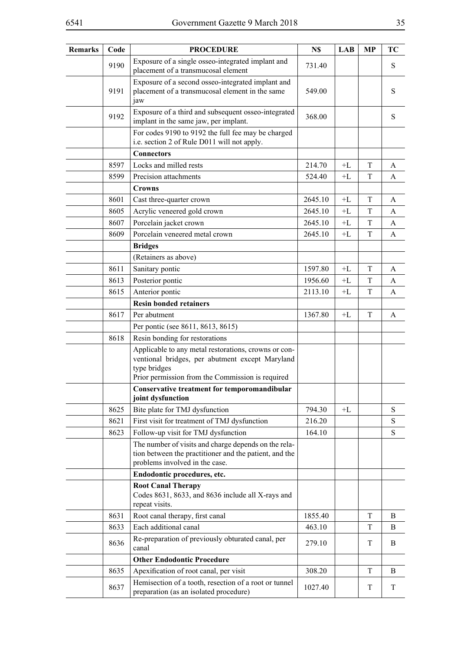| <b>Remarks</b> | Code | <b>PROCEDURE</b>                                                                                                                                                            | N\$     | LAB  | <b>MP</b>   | TC        |
|----------------|------|-----------------------------------------------------------------------------------------------------------------------------------------------------------------------------|---------|------|-------------|-----------|
|                | 9190 | Exposure of a single osseo-integrated implant and<br>placement of a transmucosal element                                                                                    | 731.40  |      |             | S         |
|                | 9191 | Exposure of a second osseo-integrated implant and<br>placement of a transmucosal element in the same<br>jaw                                                                 | 549.00  |      |             | S         |
|                | 9192 | Exposure of a third and subsequent osseo-integrated<br>implant in the same jaw, per implant.                                                                                | 368.00  |      |             | S         |
|                |      | For codes 9190 to 9192 the full fee may be charged<br>i.e. section 2 of Rule D011 will not apply.                                                                           |         |      |             |           |
|                |      | <b>Connectors</b>                                                                                                                                                           |         |      |             |           |
|                | 8597 | Locks and milled rests                                                                                                                                                      | 214.70  | +L   | T           | A         |
|                | 8599 | Precision attachments                                                                                                                                                       | 524.40  | $+L$ | T           | A         |
|                |      | Crowns                                                                                                                                                                      |         |      |             |           |
|                | 8601 | Cast three-quarter crown                                                                                                                                                    | 2645.10 | $+L$ | T           | A         |
|                | 8605 | Acrylic veneered gold crown                                                                                                                                                 | 2645.10 | $+L$ | T           | A         |
|                | 8607 | Porcelain jacket crown                                                                                                                                                      | 2645.10 | $+L$ | T           | A         |
|                | 8609 | Porcelain veneered metal crown                                                                                                                                              | 2645.10 | +L   | T           | A         |
|                |      | <b>Bridges</b>                                                                                                                                                              |         |      |             |           |
|                |      | (Retainers as above)                                                                                                                                                        |         |      |             |           |
|                | 8611 | Sanitary pontic                                                                                                                                                             | 1597.80 | $+L$ | $\mathbf T$ | A         |
|                | 8613 | Posterior pontic                                                                                                                                                            | 1956.60 | $+L$ | T           | A         |
|                | 8615 | Anterior pontic                                                                                                                                                             | 2113.10 | $+L$ | $\mathbf T$ | A         |
|                |      | <b>Resin bonded retainers</b>                                                                                                                                               |         |      |             |           |
|                | 8617 | Per abutment                                                                                                                                                                | 1367.80 | $+L$ | T           | A         |
|                |      | Per pontic (see 8611, 8613, 8615)                                                                                                                                           |         |      |             |           |
|                | 8618 | Resin bonding for restorations                                                                                                                                              |         |      |             |           |
|                |      | Applicable to any metal restorations, crowns or con-<br>ventional bridges, per abutment except Maryland<br>type bridges<br>Prior permission from the Commission is required |         |      |             |           |
|                |      | Conservative treatment for temporomandibular<br>joint dysfunction                                                                                                           |         |      |             |           |
|                | 8625 | Bite plate for TMJ dysfunction                                                                                                                                              | 794.30  | $+L$ |             | S         |
|                | 8621 | First visit for treatment of TMJ dysfunction                                                                                                                                | 216.20  |      |             | ${\bf S}$ |
|                | 8623 | Follow-up visit for TMJ dysfunction                                                                                                                                         | 164.10  |      |             | ${\bf S}$ |
|                |      | The number of visits and charge depends on the rela-<br>tion between the practitioner and the patient, and the<br>problems involved in the case.                            |         |      |             |           |
|                |      | Endodontic procedures, etc.                                                                                                                                                 |         |      |             |           |
|                |      | <b>Root Canal Therapy</b><br>Codes 8631, 8633, and 8636 include all X-rays and<br>repeat visits.                                                                            |         |      |             |           |
|                | 8631 | Root canal therapy, first canal                                                                                                                                             | 1855.40 |      | T           | B         |
|                | 8633 | Each additional canal                                                                                                                                                       | 463.10  |      | T           | B         |
|                | 8636 | Re-preparation of previously obturated canal, per<br>canal                                                                                                                  | 279.10  |      | T           | B         |
|                |      | <b>Other Endodontic Procedure</b>                                                                                                                                           |         |      |             |           |
|                | 8635 | Apexification of root canal, per visit                                                                                                                                      | 308.20  |      | T           | B         |
|                | 8637 | Hemisection of a tooth, resection of a root or tunnel<br>preparation (as an isolated procedure)                                                                             | 1027.40 |      | T           | T         |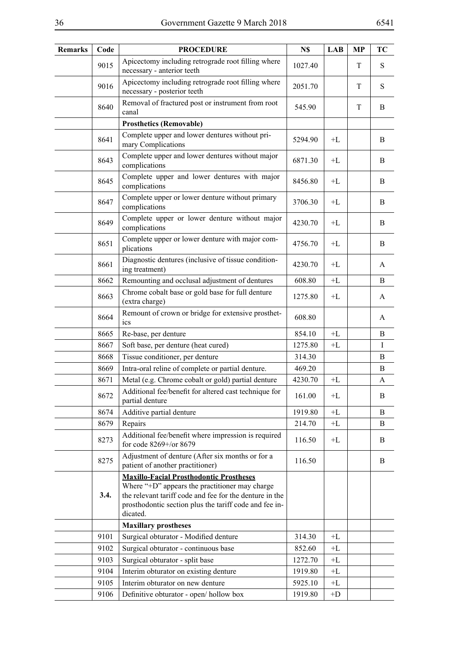| <b>Remarks</b> | Code | <b>PROCEDURE</b>                                                                                                                                                                                                                  | N\$     | <b>LAB</b>     | <b>MP</b> | <b>TC</b> |
|----------------|------|-----------------------------------------------------------------------------------------------------------------------------------------------------------------------------------------------------------------------------------|---------|----------------|-----------|-----------|
|                | 9015 | Apicectomy including retrograde root filling where<br>necessary - anterior teeth                                                                                                                                                  | 1027.40 |                | T         | S         |
|                | 9016 | Apicectomy including retrograde root filling where<br>necessary - posterior teeth                                                                                                                                                 | 2051.70 |                | T         | S         |
|                | 8640 | Removal of fractured post or instrument from root<br>canal                                                                                                                                                                        | 545.90  |                | T         | B         |
|                |      | <b>Prosthetics (Removable)</b>                                                                                                                                                                                                    |         |                |           |           |
|                | 8641 | Complete upper and lower dentures without pri-<br>mary Complications                                                                                                                                                              | 5294.90 | $+L$           |           | B         |
|                | 8643 | Complete upper and lower dentures without major<br>complications                                                                                                                                                                  | 6871.30 | $+L$           |           | B         |
|                | 8645 | Complete upper and lower dentures with major<br>complications                                                                                                                                                                     | 8456.80 | $+L$           |           | B         |
|                | 8647 | Complete upper or lower denture without primary<br>complications                                                                                                                                                                  | 3706.30 | $+L$           |           | B         |
|                | 8649 | Complete upper or lower denture without major<br>complications                                                                                                                                                                    | 4230.70 | $+L$           |           | B         |
|                | 8651 | Complete upper or lower denture with major com-<br>plications                                                                                                                                                                     | 4756.70 | $+L$           |           | B         |
|                | 8661 | Diagnostic dentures (inclusive of tissue condition-<br>ing treatment)                                                                                                                                                             | 4230.70 | $+L$           |           | A         |
|                | 8662 | Remounting and occlusal adjustment of dentures                                                                                                                                                                                    | 608.80  | $+ \mathbf{L}$ |           | B         |
|                | 8663 | Chrome cobalt base or gold base for full denture<br>(extra charge)                                                                                                                                                                | 1275.80 | $+L$           |           | A         |
|                | 8664 | Remount of crown or bridge for extensive prosthet-<br>ics                                                                                                                                                                         | 608.80  |                |           | A         |
|                | 8665 | Re-base, per denture                                                                                                                                                                                                              | 854.10  | $+L$           |           | B         |
|                | 8667 | Soft base, per denture (heat cured)                                                                                                                                                                                               | 1275.80 | $+L$           |           | $\bf{I}$  |
|                | 8668 | Tissue conditioner, per denture                                                                                                                                                                                                   | 314.30  |                |           | B         |
|                | 8669 | Intra-oral reline of complete or partial denture.                                                                                                                                                                                 | 469.20  |                |           | B         |
|                | 8671 | Metal (e.g. Chrome cobalt or gold) partial denture                                                                                                                                                                                | 4230.70 | $+L$           |           | A         |
|                | 8672 | Additional fee/benefit for altered cast technique for<br>partial denture                                                                                                                                                          | 161.00  | $+L$           |           | B         |
|                | 8674 | Additive partial denture                                                                                                                                                                                                          | 1919.80 | $+ \Gamma$     |           | B         |
|                | 8679 | Repairs                                                                                                                                                                                                                           | 214.70  | $+L$           |           | B         |
|                | 8273 | Additional fee/benefit where impression is required<br>for code 8269+/or 8679                                                                                                                                                     | 116.50  | $+L$           |           | B         |
|                | 8275 | Adjustment of denture (After six months or for a<br>patient of another practitioner)                                                                                                                                              | 116.50  |                |           | B         |
|                | 3.4. | <b>Maxillo-Facial Prosthodontic Prostheses</b><br>Where "+D" appears the practitioner may charge<br>the relevant tariff code and fee for the denture in the<br>prosthodontic section plus the tariff code and fee in-<br>dicated. |         |                |           |           |
|                |      | <b>Maxillary prostheses</b>                                                                                                                                                                                                       |         |                |           |           |
|                | 9101 | Surgical obturator - Modified denture                                                                                                                                                                                             | 314.30  | $+L$           |           |           |
|                | 9102 | Surgical obturator - continuous base                                                                                                                                                                                              | 852.60  | $+L$           |           |           |
|                | 9103 | Surgical obturator - split base                                                                                                                                                                                                   | 1272.70 | $+L$           |           |           |
|                | 9104 | Interim obturator on existing denture                                                                                                                                                                                             | 1919.80 | $+L$           |           |           |
|                | 9105 | Interim obturator on new denture                                                                                                                                                                                                  | 5925.10 | $+L$           |           |           |
|                | 9106 | Definitive obturator - open/hollow box                                                                                                                                                                                            | 1919.80 | $+D$           |           |           |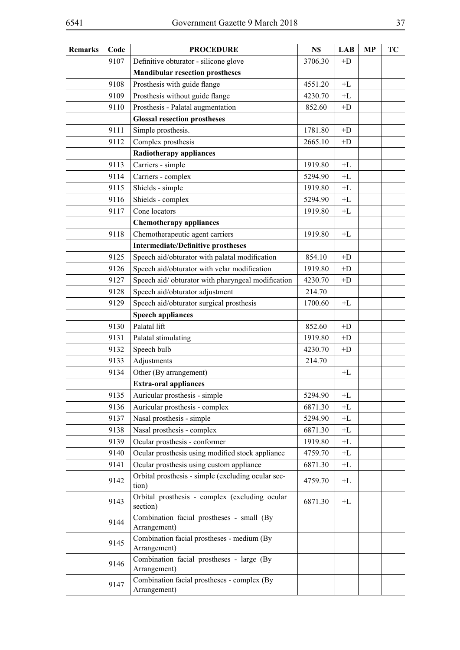| <b>Remarks</b> | Code | <b>PROCEDURE</b>                                            | N\$     | <b>LAB</b> | <b>MP</b> | TC |
|----------------|------|-------------------------------------------------------------|---------|------------|-----------|----|
|                | 9107 | Definitive obturator - silicone glove                       | 3706.30 | $+D$       |           |    |
|                |      | <b>Mandibular resection prostheses</b>                      |         |            |           |    |
|                | 9108 | Prosthesis with guide flange                                | 4551.20 | $+L$       |           |    |
|                | 9109 | Prosthesis without guide flange                             | 4230.70 | $+L$       |           |    |
|                | 9110 | Prosthesis - Palatal augmentation                           | 852.60  | $+D$       |           |    |
|                |      | <b>Glossal resection prostheses</b>                         |         |            |           |    |
|                | 9111 | Simple prosthesis.                                          | 1781.80 | $+D$       |           |    |
|                | 9112 | Complex prosthesis                                          | 2665.10 | $+D$       |           |    |
|                |      | <b>Radiotherapy appliances</b>                              |         |            |           |    |
|                | 9113 | Carriers - simple                                           | 1919.80 | $+L$       |           |    |
|                | 9114 | Carriers - complex                                          | 5294.90 | +L         |           |    |
|                | 9115 | Shields - simple                                            | 1919.80 | $+L$       |           |    |
|                | 9116 | Shields - complex                                           | 5294.90 | +L         |           |    |
|                | 9117 | Cone locators                                               | 1919.80 | $+L$       |           |    |
|                |      | <b>Chemotherapy appliances</b>                              |         |            |           |    |
|                | 9118 | Chemotherapeutic agent carriers                             | 1919.80 | $+L$       |           |    |
|                |      | <b>Intermediate/Definitive prostheses</b>                   |         |            |           |    |
|                | 9125 | Speech aid/obturator with palatal modification              | 854.10  | $+D$       |           |    |
|                | 9126 | Speech aid/obturator with velar modification                | 1919.80 | $+D$       |           |    |
|                | 9127 | Speech aid/obturator with pharyngeal modification           | 4230.70 | $+D$       |           |    |
|                | 9128 | Speech aid/obturator adjustment                             | 214.70  |            |           |    |
|                | 9129 | Speech aid/obturator surgical prosthesis                    | 1700.60 | $+L$       |           |    |
|                |      | <b>Speech appliances</b>                                    |         |            |           |    |
|                | 9130 | Palatal lift                                                | 852.60  | $+D$       |           |    |
|                | 9131 | Palatal stimulating                                         | 1919.80 | $+D$       |           |    |
|                | 9132 | Speech bulb                                                 | 4230.70 | $+D$       |           |    |
|                | 9133 | Adjustments                                                 | 214.70  |            |           |    |
|                | 9134 | Other (By arrangement)                                      |         | $+L$       |           |    |
|                |      | <b>Extra-oral appliances</b>                                |         |            |           |    |
|                | 9135 | Auricular prosthesis - simple                               | 5294.90 | +L         |           |    |
|                | 9136 | Auricular prosthesis - complex                              | 6871.30 | +L         |           |    |
|                | 9137 | Nasal prosthesis - simple                                   |         | $+L$       |           |    |
|                |      | Nasal prosthesis - complex                                  | 5294.90 |            |           |    |
|                | 9138 |                                                             | 6871.30 | +L         |           |    |
|                | 9139 | Ocular prosthesis - conformer                               | 1919.80 | $+L$       |           |    |
|                | 9140 | Ocular prosthesis using modified stock appliance            | 4759.70 | +L         |           |    |
|                | 9141 | Ocular prosthesis using custom appliance                    | 6871.30 | $+L$       |           |    |
|                | 9142 | Orbital prosthesis - simple (excluding ocular sec-<br>tion) | 4759.70 | $+L$       |           |    |
|                | 9143 | Orbital prosthesis - complex (excluding ocular<br>section)  | 6871.30 | $+L$       |           |    |
|                | 9144 | Combination facial prostheses - small (By<br>Arrangement)   |         |            |           |    |
|                | 9145 | Combination facial prostheses - medium (By<br>Arrangement)  |         |            |           |    |
|                | 9146 | Combination facial prostheses - large (By<br>Arrangement)   |         |            |           |    |
|                | 9147 | Combination facial prostheses - complex (By<br>Arrangement) |         |            |           |    |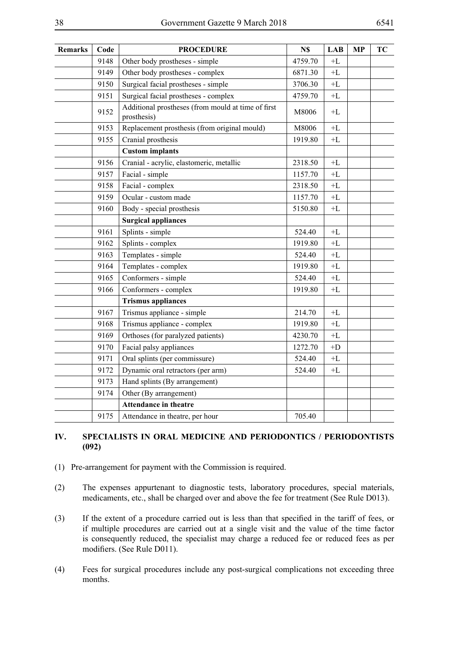| <b>Remarks</b> | Code | <b>PROCEDURE</b>                                                  | N\$     | <b>LAB</b>     | <b>MP</b> | <b>TC</b> |
|----------------|------|-------------------------------------------------------------------|---------|----------------|-----------|-----------|
|                | 9148 | Other body prostheses - simple                                    | 4759.70 | $+ \mathbf{L}$ |           |           |
|                | 9149 | Other body prostheses - complex                                   | 6871.30 | $+ \mathbf{L}$ |           |           |
|                | 9150 | Surgical facial prostheses - simple                               | 3706.30 | $+ \mathbf{L}$ |           |           |
|                | 9151 | Surgical facial prostheses - complex                              | 4759.70 | $+ \mathbf{L}$ |           |           |
|                | 9152 | Additional prostheses (from mould at time of first<br>prosthesis) | M8006   | $+ \Gamma$     |           |           |
|                | 9153 | Replacement prosthesis (from original mould)                      | M8006   | $+ \mathbf{L}$ |           |           |
|                | 9155 | Cranial prosthesis                                                | 1919.80 | $+L$           |           |           |
|                |      | <b>Custom</b> implants                                            |         |                |           |           |
|                | 9156 | Cranial - acrylic, elastomeric, metallic                          | 2318.50 | $+ \mathbf{L}$ |           |           |
|                | 9157 | Facial - simple                                                   | 1157.70 | $+ \mathbf{L}$ |           |           |
|                | 9158 | Facial - complex                                                  | 2318.50 | $+ \mathbf{L}$ |           |           |
|                | 9159 | Ocular - custom made                                              | 1157.70 | $+ \mathbf{L}$ |           |           |
|                | 9160 | Body - special prosthesis                                         | 5150.80 | $+ \mathbf{L}$ |           |           |
|                |      | <b>Surgical appliances</b>                                        |         |                |           |           |
|                | 9161 | Splints - simple                                                  | 524.40  | $+ \mathbf{L}$ |           |           |
|                | 9162 | Splints - complex                                                 | 1919.80 | $+L$           |           |           |
|                | 9163 | Templates - simple                                                | 524.40  | $+ \mathbf{L}$ |           |           |
|                | 9164 | Templates - complex                                               | 1919.80 | $+ \mathbf{L}$ |           |           |
|                | 9165 | Conformers - simple                                               | 524.40  | $+ \mathbf{L}$ |           |           |
|                | 9166 | Conformers - complex                                              | 1919.80 | $+L$           |           |           |
|                |      | <b>Trismus appliances</b>                                         |         |                |           |           |
|                | 9167 | Trismus appliance - simple                                        | 214.70  | $+ \mathbf{L}$ |           |           |
|                | 9168 | Trismus appliance - complex                                       | 1919.80 | $+ \mathbf{L}$ |           |           |
|                | 9169 | Orthoses (for paralyzed patients)                                 | 4230.70 | $+ \mathbf{L}$ |           |           |
|                | 9170 | Facial palsy appliances                                           | 1272.70 | $+D$           |           |           |
|                | 9171 | Oral splints (per commissure)                                     | 524.40  | $+ \mathbf{L}$ |           |           |
|                | 9172 | Dynamic oral retractors (per arm)                                 | 524.40  | $+ \mathbf{L}$ |           |           |
|                | 9173 | Hand splints (By arrangement)                                     |         |                |           |           |
|                | 9174 | Other (By arrangement)                                            |         |                |           |           |
|                |      | Attendance in theatre                                             |         |                |           |           |
|                | 9175 | Attendance in theatre, per hour                                   | 705.40  |                |           |           |

### **IV. SPECIALISTS IN ORAL MEDICINE AND PERIODONTICS / PERIODONTISTS (092)**

- (1) Pre-arrangement for payment with the Commission is required.
- (2) The expenses appurtenant to diagnostic tests, laboratory procedures, special materials, medicaments, etc., shall be charged over and above the fee for treatment (See Rule D013).
- (3) If the extent of a procedure carried out is less than that specified in the tariff of fees, or if multiple procedures are carried out at a single visit and the value of the time factor is consequently reduced, the specialist may charge a reduced fee or reduced fees as per modifiers. (See Rule D011).
- (4) Fees for surgical procedures include any post-surgical complications not exceeding three months.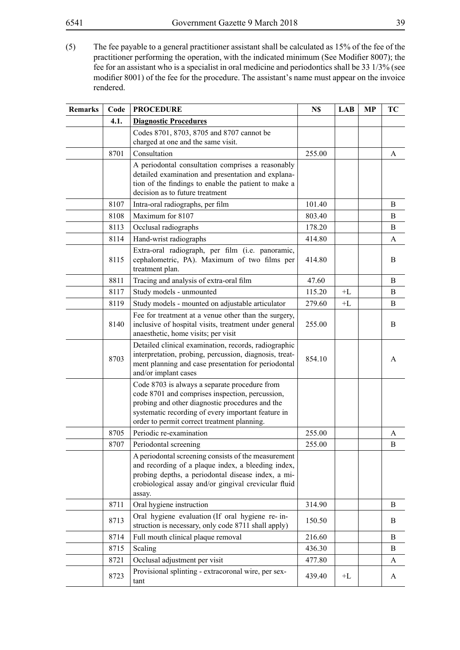(5) The fee payable to a general practitioner assistant shall be calculated as 15% of the fee of the practitioner performing the operation, with the indicated minimum (See Modifier 8007); the fee for an assistant who is a specialist in oral medicine and periodontics shall be 33 1/3% (see modifier 8001) of the fee for the procedure. The assistant's name must appear on the invoice rendered.

| <b>Remarks</b> | Code | <b>PROCEDURE</b>                                                                                                                                                                                                                                         | N\$    | <b>LAB</b> | MP | TC |
|----------------|------|----------------------------------------------------------------------------------------------------------------------------------------------------------------------------------------------------------------------------------------------------------|--------|------------|----|----|
|                | 4.1. | <b>Diagnostic Procedures</b>                                                                                                                                                                                                                             |        |            |    |    |
|                |      | Codes 8701, 8703, 8705 and 8707 cannot be<br>charged at one and the same visit.                                                                                                                                                                          |        |            |    |    |
|                | 8701 | Consultation                                                                                                                                                                                                                                             | 255.00 |            |    | A  |
|                |      | A periodontal consultation comprises a reasonably<br>detailed examination and presentation and explana-<br>tion of the findings to enable the patient to make a<br>decision as to future treatment                                                       |        |            |    |    |
|                | 8107 | Intra-oral radiographs, per film                                                                                                                                                                                                                         | 101.40 |            |    | B  |
|                | 8108 | Maximum for 8107                                                                                                                                                                                                                                         | 803.40 |            |    | B  |
|                | 8113 | Occlusal radiographs                                                                                                                                                                                                                                     | 178.20 |            |    | B  |
|                | 8114 | Hand-wrist radiographs                                                                                                                                                                                                                                   | 414.80 |            |    | A  |
|                | 8115 | Extra-oral radiograph, per film (i.e. panoramic,<br>cephalometric, PA). Maximum of two films per<br>treatment plan.                                                                                                                                      | 414.80 |            |    | B  |
|                | 8811 | Tracing and analysis of extra-oral film                                                                                                                                                                                                                  | 47.60  |            |    | B  |
|                | 8117 | Study models - unmounted                                                                                                                                                                                                                                 | 115.20 | $+L$       |    | B  |
|                | 8119 | Study models - mounted on adjustable articulator                                                                                                                                                                                                         | 279.60 | $+L$       |    | B  |
|                | 8140 | Fee for treatment at a venue other than the surgery,<br>inclusive of hospital visits, treatment under general<br>anaesthetic, home visits; per visit                                                                                                     | 255.00 |            |    | B  |
|                | 8703 | Detailed clinical examination, records, radiographic<br>interpretation, probing, percussion, diagnosis, treat-<br>ment planning and case presentation for periodontal<br>and/or implant cases                                                            | 854.10 |            |    | A  |
|                |      | Code 8703 is always a separate procedure from<br>code 8701 and comprises inspection, percussion,<br>probing and other diagnostic procedures and the<br>systematic recording of every important feature in<br>order to permit correct treatment planning. |        |            |    |    |
|                | 8705 | Periodic re-examination                                                                                                                                                                                                                                  | 255.00 |            |    | A  |
|                | 8707 | Periodontal screening                                                                                                                                                                                                                                    | 255.00 |            |    | B  |
|                |      | A periodontal screening consists of the measurement<br>and recording of a plaque index, a bleeding index,<br>probing depths, a periodontal disease index, a mi-<br>crobiological assay and/or gingival crevicular fluid<br>assay.                        |        |            |    |    |
|                | 8711 | Oral hygiene instruction                                                                                                                                                                                                                                 | 314.90 |            |    | B  |
|                | 8713 | Oral hygiene evaluation (If oral hygiene re-in-<br>struction is necessary, only code 8711 shall apply)                                                                                                                                                   | 150.50 |            |    | B  |
|                | 8714 | Full mouth clinical plaque removal                                                                                                                                                                                                                       | 216.60 |            |    | B  |
|                | 8715 | Scaling                                                                                                                                                                                                                                                  | 436.30 |            |    | B  |
|                | 8721 | Occlusal adjustment per visit                                                                                                                                                                                                                            | 477.80 |            |    | A  |
|                | 8723 | Provisional splinting - extracoronal wire, per sex-<br>tant                                                                                                                                                                                              | 439.40 | $+L$       |    | A  |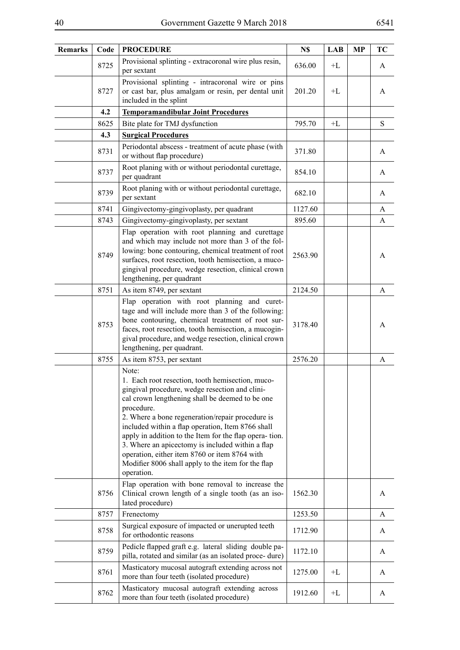| Remarks | Code | <b>PROCEDURE</b>                                                                                                                                                                                                                                                                                                                                                                                                                                                                                                         | N\$     | <b>LAB</b> | <b>MP</b> | TC        |
|---------|------|--------------------------------------------------------------------------------------------------------------------------------------------------------------------------------------------------------------------------------------------------------------------------------------------------------------------------------------------------------------------------------------------------------------------------------------------------------------------------------------------------------------------------|---------|------------|-----------|-----------|
|         | 8725 | Provisional splinting - extracoronal wire plus resin,<br>per sextant                                                                                                                                                                                                                                                                                                                                                                                                                                                     | 636.00  | +L         |           | A         |
|         | 8727 | Provisional splinting - intracoronal wire or pins<br>or cast bar, plus amalgam or resin, per dental unit<br>included in the splint                                                                                                                                                                                                                                                                                                                                                                                       | 201.20  | $+L$       |           | A         |
|         | 4.2  | <b>Temporamandibular Joint Procedures</b>                                                                                                                                                                                                                                                                                                                                                                                                                                                                                |         |            |           |           |
|         | 8625 | Bite plate for TMJ dysfunction                                                                                                                                                                                                                                                                                                                                                                                                                                                                                           | 795.70  | $+L$       |           | ${\bf S}$ |
|         | 4.3  | <b>Surgical Procedures</b>                                                                                                                                                                                                                                                                                                                                                                                                                                                                                               |         |            |           |           |
|         | 8731 | Periodontal abscess - treatment of acute phase (with<br>or without flap procedure)                                                                                                                                                                                                                                                                                                                                                                                                                                       | 371.80  |            |           | A         |
|         | 8737 | Root planing with or without periodontal curettage,<br>per quadrant                                                                                                                                                                                                                                                                                                                                                                                                                                                      | 854.10  |            |           | A         |
|         | 8739 | Root planing with or without periodontal curettage,<br>per sextant                                                                                                                                                                                                                                                                                                                                                                                                                                                       | 682.10  |            |           | A         |
|         | 8741 | Gingivectomy-gingivoplasty, per quadrant                                                                                                                                                                                                                                                                                                                                                                                                                                                                                 | 1127.60 |            |           | A         |
|         | 8743 | Gingivectomy-gingivoplasty, per sextant                                                                                                                                                                                                                                                                                                                                                                                                                                                                                  | 895.60  |            |           | A         |
|         | 8749 | Flap operation with root planning and curettage<br>and which may include not more than 3 of the fol-<br>lowing: bone contouring, chemical treatment of root<br>surfaces, root resection, tooth hemisection, a muco-<br>gingival procedure, wedge resection, clinical crown<br>lengthening, per quadrant                                                                                                                                                                                                                  | 2563.90 |            |           | A         |
|         | 8751 | As item 8749, per sextant                                                                                                                                                                                                                                                                                                                                                                                                                                                                                                | 2124.50 |            |           | A         |
|         | 8753 | Flap operation with root planning and curet-<br>tage and will include more than 3 of the following:<br>bone contouring, chemical treatment of root sur-<br>faces, root resection, tooth hemisection, a mucogin-<br>gival procedure, and wedge resection, clinical crown<br>lengthening, per quadrant.                                                                                                                                                                                                                    | 3178.40 |            |           | A         |
|         | 8755 | As item 8753, per sextant                                                                                                                                                                                                                                                                                                                                                                                                                                                                                                | 2576.20 |            |           | A         |
|         |      | Note:<br>1. Each root resection, tooth hemisection, muco-<br>gingival procedure, wedge resection and clini-<br>cal crown lengthening shall be deemed to be one<br>procedure.<br>2. Where a bone regeneration/repair procedure is<br>included within a flap operation, Item 8766 shall<br>apply in addition to the Item for the flap opera-tion.<br>3. Where an apicectomy is included within a flap<br>operation, either item 8760 or item 8764 with<br>Modifier 8006 shall apply to the item for the flap<br>operation. |         |            |           |           |
|         | 8756 | Flap operation with bone removal to increase the<br>Clinical crown length of a single tooth (as an iso-<br>lated procedure)                                                                                                                                                                                                                                                                                                                                                                                              | 1562.30 |            |           | A         |
|         | 8757 | Frenectomy                                                                                                                                                                                                                                                                                                                                                                                                                                                                                                               | 1253.50 |            |           | A         |
|         | 8758 | Surgical exposure of impacted or unerupted teeth<br>for orthodontic reasons                                                                                                                                                                                                                                                                                                                                                                                                                                              | 1712.90 |            |           | A         |
|         | 8759 | Pedicle flapped graft e.g. lateral sliding double pa-<br>pilla, rotated and similar (as an isolated proce-dure)                                                                                                                                                                                                                                                                                                                                                                                                          | 1172.10 |            |           | A         |
|         | 8761 | Masticatory mucosal autograft extending across not<br>more than four teeth (isolated procedure)                                                                                                                                                                                                                                                                                                                                                                                                                          | 1275.00 | $+L$       |           | A         |
|         | 8762 | Masticatory mucosal autograft extending across<br>more than four teeth (isolated procedure)                                                                                                                                                                                                                                                                                                                                                                                                                              | 1912.60 | $+L$       |           | A         |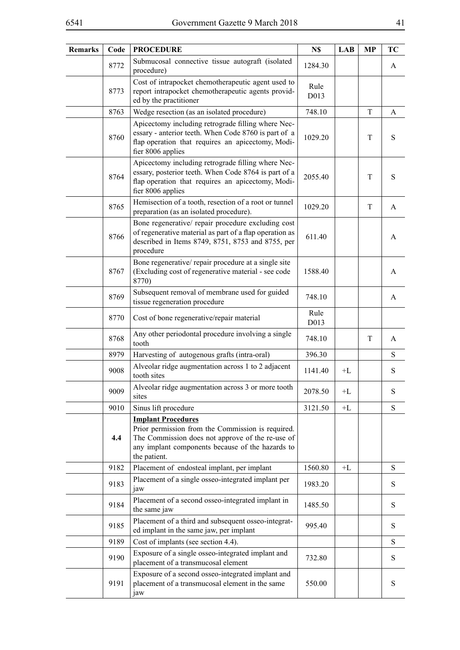| ٠ |  |
|---|--|
|   |  |
|   |  |

| <b>Remarks</b> | Code | <b>PROCEDURE</b>                                                                                                                                                                                       | N\$          | <b>LAB</b> | MP          | TC        |
|----------------|------|--------------------------------------------------------------------------------------------------------------------------------------------------------------------------------------------------------|--------------|------------|-------------|-----------|
|                | 8772 | Submucosal connective tissue autograft (isolated<br>procedure)                                                                                                                                         | 1284.30      |            |             | A         |
|                | 8773 | Cost of intrapocket chemotherapeutic agent used to<br>report intrapocket chemotherapeutic agents provid-<br>ed by the practitioner                                                                     | Rule<br>D013 |            |             |           |
|                | 8763 | Wedge resection (as an isolated procedure)                                                                                                                                                             | 748.10       |            | $\mathbf T$ | A         |
|                | 8760 | Apicectomy including retrograde filling where Nec-<br>essary - anterior teeth. When Code 8760 is part of a<br>flap operation that requires an apicectomy, Modi-<br>fier 8006 applies                   | 1029.20      |            | T           | S         |
|                | 8764 | Apicectomy including retrograde filling where Nec-<br>essary, posterior teeth. When Code 8764 is part of a<br>flap operation that requires an apicectomy, Modi-<br>fier 8006 applies                   | 2055.40      |            | T           | S         |
|                | 8765 | Hemisection of a tooth, resection of a root or tunnel<br>preparation (as an isolated procedure).                                                                                                       | 1029.20      |            | T           | A         |
|                | 8766 | Bone regenerative/ repair procedure excluding cost<br>of regenerative material as part of a flap operation as<br>described in Items 8749, 8751, 8753 and 8755, per<br>procedure                        | 611.40       |            |             | A         |
|                | 8767 | Bone regenerative/repair procedure at a single site<br>(Excluding cost of regenerative material - see code<br>8770)                                                                                    | 1588.40      |            |             | A         |
|                | 8769 | Subsequent removal of membrane used for guided<br>tissue regeneration procedure                                                                                                                        | 748.10       |            |             | A         |
|                | 8770 | Cost of bone regenerative/repair material                                                                                                                                                              | Rule<br>D013 |            |             |           |
|                | 8768 | Any other periodontal procedure involving a single<br>tooth                                                                                                                                            | 748.10       |            | T           | A         |
|                | 8979 | Harvesting of autogenous grafts (intra-oral)                                                                                                                                                           | 396.30       |            |             | S         |
|                | 9008 | Alveolar ridge augmentation across 1 to 2 adjacent<br>tooth sites                                                                                                                                      | 1141.40      | $+L$       |             | ${\bf S}$ |
|                | 9009 | Alveolar ridge augmentation across 3 or more tooth<br>sites                                                                                                                                            | 2078.50      | $+L$       |             | ${\bf S}$ |
|                | 9010 | Sinus lift procedure                                                                                                                                                                                   | 3121.50      | $+L$       |             | ${\bf S}$ |
|                | 4.4  | <b>Implant Procedures</b><br>Prior permission from the Commission is required.<br>The Commission does not approve of the re-use of<br>any implant components because of the hazards to<br>the patient. |              |            |             |           |
|                | 9182 | Placement of endosteal implant, per implant                                                                                                                                                            | 1560.80      | $+L$       |             | S         |
|                | 9183 | Placement of a single osseo-integrated implant per<br>jaw                                                                                                                                              | 1983.20      |            |             | S         |
|                | 9184 | Placement of a second osseo-integrated implant in<br>the same jaw                                                                                                                                      | 1485.50      |            |             | ${\bf S}$ |
|                | 9185 | Placement of a third and subsequent osseo-integrat-<br>ed implant in the same jaw, per implant                                                                                                         | 995.40       |            |             | ${\bf S}$ |
|                | 9189 | Cost of implants (see section 4.4).                                                                                                                                                                    |              |            |             | S         |
|                | 9190 | Exposure of a single osseo-integrated implant and<br>placement of a transmucosal element                                                                                                               | 732.80       |            |             | ${\bf S}$ |
|                | 9191 | Exposure of a second osseo-integrated implant and<br>placement of a transmucosal element in the same<br>jaw                                                                                            | 550.00       |            |             | S         |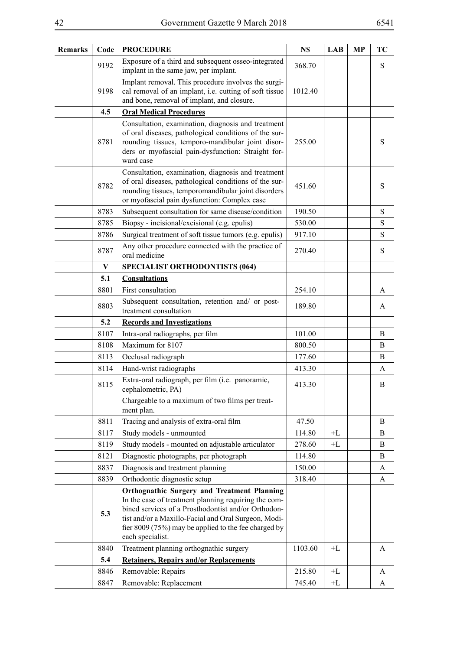| <b>Remarks</b> | Code | <b>PROCEDURE</b>                                                                                                                                                                                                                                                                                      | N\$     | <b>LAB</b> | <b>MP</b> | <b>TC</b> |
|----------------|------|-------------------------------------------------------------------------------------------------------------------------------------------------------------------------------------------------------------------------------------------------------------------------------------------------------|---------|------------|-----------|-----------|
|                | 9192 | Exposure of a third and subsequent osseo-integrated<br>implant in the same jaw, per implant.                                                                                                                                                                                                          | 368.70  |            |           | S         |
|                | 9198 | Implant removal. This procedure involves the surgi-<br>cal removal of an implant, i.e. cutting of soft tissue<br>and bone, removal of implant, and closure.                                                                                                                                           | 1012.40 |            |           |           |
|                | 4.5  | <b>Oral Medical Procedures</b>                                                                                                                                                                                                                                                                        |         |            |           |           |
|                | 8781 | Consultation, examination, diagnosis and treatment<br>of oral diseases, pathological conditions of the sur-<br>rounding tissues, temporo-mandibular joint disor-<br>ders or myofascial pain-dysfunction: Straight for-<br>ward case                                                                   | 255.00  |            |           | S         |
|                | 8782 | Consultation, examination, diagnosis and treatment<br>of oral diseases, pathological conditions of the sur-<br>rounding tissues, temporomandibular joint disorders<br>or myofascial pain dysfunction: Complex case                                                                                    | 451.60  |            |           | S         |
|                | 8783 | Subsequent consultation for same disease/condition                                                                                                                                                                                                                                                    | 190.50  |            |           | ${\bf S}$ |
|                | 8785 | Biopsy - incisional/excisional (e.g. epulis)                                                                                                                                                                                                                                                          | 530.00  |            |           | S         |
|                | 8786 | Surgical treatment of soft tissue tumors (e.g. epulis)                                                                                                                                                                                                                                                | 917.10  |            |           | S         |
|                | 8787 | Any other procedure connected with the practice of<br>oral medicine                                                                                                                                                                                                                                   | 270.40  |            |           | ${\bf S}$ |
|                | V    | <b>SPECIALIST ORTHODONTISTS (064)</b>                                                                                                                                                                                                                                                                 |         |            |           |           |
|                | 5.1  | <b>Consultations</b>                                                                                                                                                                                                                                                                                  |         |            |           |           |
|                | 8801 | First consultation                                                                                                                                                                                                                                                                                    | 254.10  |            |           | A         |
|                | 8803 | Subsequent consultation, retention and/ or post-<br>treatment consultation                                                                                                                                                                                                                            | 189.80  |            |           | A         |
|                | 5.2  | <b>Records and Investigations</b>                                                                                                                                                                                                                                                                     |         |            |           |           |
|                | 8107 | Intra-oral radiographs, per film                                                                                                                                                                                                                                                                      | 101.00  |            |           | B         |
|                | 8108 | Maximum for 8107                                                                                                                                                                                                                                                                                      | 800.50  |            |           | B         |
|                | 8113 | Occlusal radiograph                                                                                                                                                                                                                                                                                   | 177.60  |            |           | B         |
|                | 8114 | Hand-wrist radiographs                                                                                                                                                                                                                                                                                | 413.30  |            |           | A         |
|                | 8115 | Extra-oral radiograph, per film (i.e. panoramic,<br>cephalometric, PA)                                                                                                                                                                                                                                | 413.30  |            |           | B         |
|                |      | Chargeable to a maximum of two films per treat-<br>ment plan.                                                                                                                                                                                                                                         |         |            |           |           |
|                | 8811 | Tracing and analysis of extra-oral film                                                                                                                                                                                                                                                               | 47.50   |            |           | B         |
|                | 8117 | Study models - unmounted                                                                                                                                                                                                                                                                              | 114.80  | $+L$       |           | B         |
|                | 8119 | Study models - mounted on adjustable articulator                                                                                                                                                                                                                                                      | 278.60  | $+L$       |           | B         |
|                | 8121 | Diagnostic photographs, per photograph                                                                                                                                                                                                                                                                | 114.80  |            |           | B         |
|                | 8837 | Diagnosis and treatment planning                                                                                                                                                                                                                                                                      | 150.00  |            |           | A         |
|                | 8839 | Orthodontic diagnostic setup                                                                                                                                                                                                                                                                          | 318.40  |            |           | A         |
|                | 5.3  | <b>Orthognathic Surgery and Treatment Planning</b><br>In the case of treatment planning requiring the com-<br>bined services of a Prosthodontist and/or Orthodon-<br>tist and/or a Maxillo-Facial and Oral Surgeon, Modi-<br>fier 8009 (75%) may be applied to the fee charged by<br>each specialist. |         |            |           |           |
|                | 8840 | Treatment planning orthognathic surgery                                                                                                                                                                                                                                                               | 1103.60 | $+L$       |           | A         |
|                | 5.4  | <b>Retainers, Repairs and/or Replacements</b>                                                                                                                                                                                                                                                         |         |            |           |           |
|                | 8846 | Removable: Repairs                                                                                                                                                                                                                                                                                    | 215.80  | $+L$       |           | A         |
|                | 8847 | Removable: Replacement                                                                                                                                                                                                                                                                                | 745.40  | $+L$       |           | A         |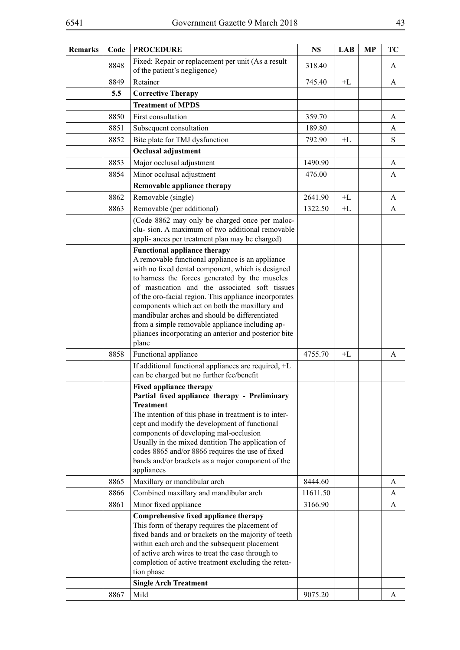| <b>Remarks</b> | Code | <b>PROCEDURE</b>                                                                                                                                                                                                                                                                                                                                                                                                                                                                                                                   | N\$      | <b>LAB</b> | <b>MP</b> | TC |
|----------------|------|------------------------------------------------------------------------------------------------------------------------------------------------------------------------------------------------------------------------------------------------------------------------------------------------------------------------------------------------------------------------------------------------------------------------------------------------------------------------------------------------------------------------------------|----------|------------|-----------|----|
|                | 8848 | Fixed: Repair or replacement per unit (As a result<br>of the patient's negligence)                                                                                                                                                                                                                                                                                                                                                                                                                                                 | 318.40   |            |           | A  |
|                | 8849 | Retainer                                                                                                                                                                                                                                                                                                                                                                                                                                                                                                                           | 745.40   | $+L$       |           | A  |
|                | 5.5  | <b>Corrective Therapy</b>                                                                                                                                                                                                                                                                                                                                                                                                                                                                                                          |          |            |           |    |
|                |      | <b>Treatment of MPDS</b>                                                                                                                                                                                                                                                                                                                                                                                                                                                                                                           |          |            |           |    |
|                | 8850 | First consultation                                                                                                                                                                                                                                                                                                                                                                                                                                                                                                                 | 359.70   |            |           | A  |
|                | 8851 | Subsequent consultation                                                                                                                                                                                                                                                                                                                                                                                                                                                                                                            | 189.80   |            |           | A  |
|                | 8852 | Bite plate for TMJ dysfunction                                                                                                                                                                                                                                                                                                                                                                                                                                                                                                     | 792.90   | $+L$       |           | S  |
|                |      | Occlusal adjustment                                                                                                                                                                                                                                                                                                                                                                                                                                                                                                                |          |            |           |    |
|                | 8853 | Major occlusal adjustment                                                                                                                                                                                                                                                                                                                                                                                                                                                                                                          | 1490.90  |            |           | A  |
|                | 8854 | Minor occlusal adjustment                                                                                                                                                                                                                                                                                                                                                                                                                                                                                                          | 476.00   |            |           | A  |
|                |      | Removable appliance therapy                                                                                                                                                                                                                                                                                                                                                                                                                                                                                                        |          |            |           |    |
|                | 8862 | Removable (single)                                                                                                                                                                                                                                                                                                                                                                                                                                                                                                                 | 2641.90  | $+L$       |           | A  |
|                | 8863 | Removable (per additional)                                                                                                                                                                                                                                                                                                                                                                                                                                                                                                         | 1322.50  | $+L$       |           | A  |
|                |      | (Code 8862 may only be charged once per maloc-<br>clu-sion. A maximum of two additional removable<br>appli- ances per treatment plan may be charged)                                                                                                                                                                                                                                                                                                                                                                               |          |            |           |    |
|                |      | <b>Functional appliance therapy</b><br>A removable functional appliance is an appliance<br>with no fixed dental component, which is designed<br>to harness the forces generated by the muscles<br>of mastication and the associated soft tissues<br>of the oro-facial region. This appliance incorporates<br>components which act on both the maxillary and<br>mandibular arches and should be differentiated<br>from a simple removable appliance including ap-<br>pliances incorporating an anterior and posterior bite<br>plane |          |            |           |    |
|                | 8858 | Functional appliance                                                                                                                                                                                                                                                                                                                                                                                                                                                                                                               | 4755.70  | $+L$       |           | A  |
|                |      | If additional functional appliances are required, +L<br>can be charged but no further fee/benefit                                                                                                                                                                                                                                                                                                                                                                                                                                  |          |            |           |    |
|                |      | <b>Fixed appliance therapy</b><br>Partial fixed appliance therapy - Preliminary<br><b>Treatment</b><br>The intention of this phase in treatment is to inter-<br>cept and modify the development of functional<br>components of developing mal-occlusion<br>Usually in the mixed dentition The application of<br>codes 8865 and/or 8866 requires the use of fixed<br>bands and/or brackets as a major component of the<br>appliances                                                                                                |          |            |           |    |
|                | 8865 | Maxillary or mandibular arch                                                                                                                                                                                                                                                                                                                                                                                                                                                                                                       | 8444.60  |            |           | A  |
|                | 8866 | Combined maxillary and mandibular arch                                                                                                                                                                                                                                                                                                                                                                                                                                                                                             | 11611.50 |            |           | A  |
|                | 8861 | Minor fixed appliance                                                                                                                                                                                                                                                                                                                                                                                                                                                                                                              | 3166.90  |            |           | A  |
|                |      | Comprehensive fixed appliance therapy<br>This form of therapy requires the placement of<br>fixed bands and or brackets on the majority of teeth<br>within each arch and the subsequent placement<br>of active arch wires to treat the case through to<br>completion of active treatment excluding the reten-<br>tion phase                                                                                                                                                                                                         |          |            |           |    |
|                |      | <b>Single Arch Treatment</b>                                                                                                                                                                                                                                                                                                                                                                                                                                                                                                       |          |            |           |    |
|                | 8867 | Mild                                                                                                                                                                                                                                                                                                                                                                                                                                                                                                                               | 9075.20  |            |           | A  |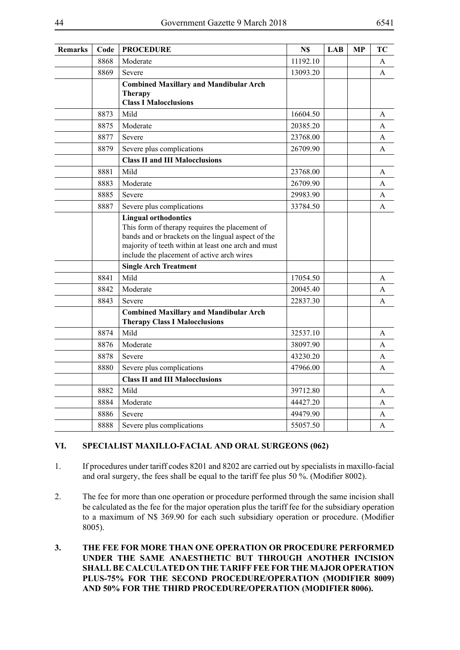| <b>Remarks</b> | Code | <b>PROCEDURE</b>                                                                                                                                                                                                                         | N\$      | <b>LAB</b> | <b>MP</b> | <b>TC</b> |
|----------------|------|------------------------------------------------------------------------------------------------------------------------------------------------------------------------------------------------------------------------------------------|----------|------------|-----------|-----------|
|                | 8868 | Moderate                                                                                                                                                                                                                                 | 11192.10 |            |           | A         |
|                | 8869 | Severe                                                                                                                                                                                                                                   | 13093.20 |            |           | A         |
|                |      | <b>Combined Maxillary and Mandibular Arch</b><br><b>Therapy</b><br><b>Class I Malocclusions</b>                                                                                                                                          |          |            |           |           |
|                | 8873 | Mild                                                                                                                                                                                                                                     | 16604.50 |            |           | A         |
|                | 8875 | Moderate                                                                                                                                                                                                                                 | 20385.20 |            |           | A         |
|                | 8877 | Severe                                                                                                                                                                                                                                   | 23768.00 |            |           | A         |
|                | 8879 | Severe plus complications                                                                                                                                                                                                                | 26709.90 |            |           | A         |
|                |      | <b>Class II and III Malocclusions</b>                                                                                                                                                                                                    |          |            |           |           |
|                | 8881 | Mild                                                                                                                                                                                                                                     | 23768.00 |            |           | A         |
|                | 8883 | Moderate                                                                                                                                                                                                                                 | 26709.90 |            |           | A         |
|                | 8885 | Severe                                                                                                                                                                                                                                   | 29983.90 |            |           | A         |
|                | 8887 | Severe plus complications                                                                                                                                                                                                                | 33784.50 |            |           | A         |
|                |      | <b>Lingual orthodontics</b><br>This form of therapy requires the placement of<br>bands and or brackets on the lingual aspect of the<br>majority of teeth within at least one arch and must<br>include the placement of active arch wires |          |            |           |           |
|                |      | <b>Single Arch Treatment</b>                                                                                                                                                                                                             |          |            |           |           |
|                | 8841 | Mild                                                                                                                                                                                                                                     | 17054.50 |            |           | A         |
|                | 8842 | Moderate                                                                                                                                                                                                                                 | 20045.40 |            |           | A         |
|                | 8843 | Severe                                                                                                                                                                                                                                   | 22837.30 |            |           | A         |
|                |      | <b>Combined Maxillary and Mandibular Arch</b><br><b>Therapy Class I Malocclusions</b>                                                                                                                                                    |          |            |           |           |
|                | 8874 | Mild                                                                                                                                                                                                                                     | 32537.10 |            |           | A         |
|                | 8876 | Moderate                                                                                                                                                                                                                                 | 38097.90 |            |           | A         |
|                | 8878 | Severe                                                                                                                                                                                                                                   | 43230.20 |            |           | A         |
|                | 8880 | Severe plus complications                                                                                                                                                                                                                | 47966.00 |            |           | A         |
|                |      | <b>Class II and III Malocclusions</b>                                                                                                                                                                                                    |          |            |           |           |
|                | 8882 | Mild                                                                                                                                                                                                                                     | 39712.80 |            |           | A         |
|                | 8884 | Moderate                                                                                                                                                                                                                                 | 44427.20 |            |           | A         |
|                | 8886 | Severe                                                                                                                                                                                                                                   | 49479.90 |            |           | A         |
|                | 8888 | Severe plus complications                                                                                                                                                                                                                | 55057.50 |            |           | A         |

# **VI. SPECIALIST MAXILLO-FACIAL AND ORAL SURGEONS (062)**

- 1. If procedures under tariff codes 8201 and 8202 are carried out by specialists in maxillo-facial and oral surgery, the fees shall be equal to the tariff fee plus 50 %. (Modifier 8002).
- 2. The fee for more than one operation or procedure performed through the same incision shall be calculated as the fee for the major operation plus the tariff fee for the subsidiary operation to a maximum of N\$ 369.90 for each such subsidiary operation or procedure. (Modifier 8005).
- **3. THE FEE FOR MORE THAN ONE OPERATION OR PROCEDURE PERFORMED UNDER THE SAME ANAESTHETIC BUT THROUGH ANOTHER INCISION SHALL BE CALCULATED ON THE TARIFF FEE FOR THE MAJOR OPERATION PLUS-75% FOR THE SECOND PROCEDURE/OPERATION (MODIFIER 8009) AND 50% FOR THE THIRD PROCEDURE/OPERATION (MODIFIER 8006).**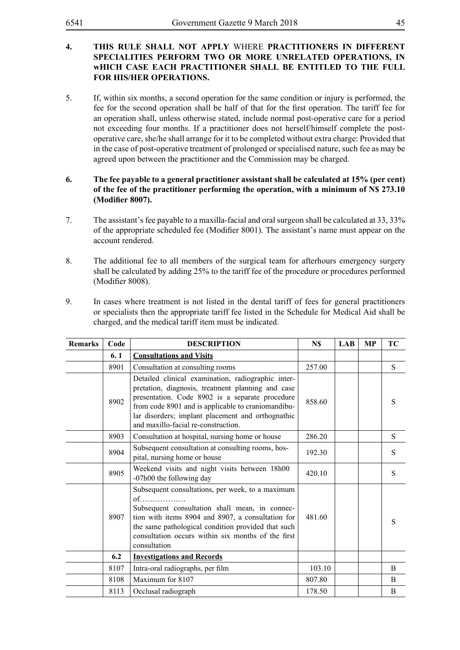### **4. THIS RULE SHALL NOT APPLY** WHERE **PRACTITIONERS IN DIFFERENT SPECIALITIES PERFORM TWO OR MORE UNRELATED OPERATIONS, IN wHICH CASE EACH PRACTITIONER SHALL BE ENTITLED TO THE FULL FOR HIS/HER OPERATIONS.**

- 5. If, within six months, a second operation for the same condition or injury is performed, the fee for the second operation shall be half of that for the first operation. The tariff fee for an operation shall, unless otherwise stated, include normal post-operative care for a period not exceeding four months. If a practitioner does not herself/himself complete the postoperative care, she/he shall arrange for it to be completed without extra charge: Provided that in the case of post-operative treatment of prolonged or specialised nature, such fee as may be agreed upon between the practitioner and the Commission may be charged.
- **6. The fee payable to a general practitioner assistant shall be calculated at 15% (per cent) of the fee of the practitioner performing the operation, with a minimum of N\$ 273.10 (Modifier 8007).**
- 7. The assistant's fee payable to a maxilla-facial and oral surgeon shall be calculated at 33, 33% of the appropriate scheduled fee (Modifier 8001). The assistant's name must appear on the account rendered.
- 8. The additional fee to all members of the surgical team for afterhours emergency surgery shall be calculated by adding 25% to the tariff fee of the procedure or procedures performed (Modifier 8008).
- 9. In cases where treatment is not listed in the dental tariff of fees for general practitioners or specialists then the appropriate tariff fee listed in the Schedule for Medical Aid shall be charged, and the medical tariff item must be indicated.

| <b>Remarks</b> | Code | <b>DESCRIPTION</b>                                                                                                                                                                                                                                                                                           | N\$    | <b>LAB</b> | МP | TC |
|----------------|------|--------------------------------------------------------------------------------------------------------------------------------------------------------------------------------------------------------------------------------------------------------------------------------------------------------------|--------|------------|----|----|
|                | 6.1  | <b>Consultations and Visits</b>                                                                                                                                                                                                                                                                              |        |            |    |    |
|                | 8901 | Consultation at consulting rooms                                                                                                                                                                                                                                                                             | 257.00 |            |    | S  |
|                | 8902 | Detailed clinical examination, radiographic inter-<br>pretation, diagnosis, treatment planning and case<br>presentation. Code 8902 is a separate procedure<br>from code 8901 and is applicable to craniomandibu-<br>lar disorders; implant placement and orthognathic<br>and maxillo-facial re-construction. | 858.60 |            |    | S  |
|                | 8903 | Consultation at hospital, nursing home or house                                                                                                                                                                                                                                                              | 286.20 |            |    | S  |
|                | 8904 | Subsequent consultation at consulting rooms, hos-<br>pital, nursing home or house                                                                                                                                                                                                                            | 192.30 |            |    | S  |
|                | 8905 | Weekend visits and night visits between 18h00<br>-07h00 the following day                                                                                                                                                                                                                                    | 420.10 |            |    | S  |
|                | 8907 | Subsequent consultations, per week, to a maximum<br>$of$<br>Subsequent consultation shall mean, in connec-<br>tion with items 8904 and 8907, a consultation for<br>the same pathological condition provided that such<br>consultation occurs within six months of the first<br>consultation                  | 481.60 |            |    | S  |
|                | 6.2  | <b>Investigations and Records</b>                                                                                                                                                                                                                                                                            |        |            |    |    |
|                | 8107 | Intra-oral radiographs, per film                                                                                                                                                                                                                                                                             | 103.10 |            |    | B  |
|                | 8108 | Maximum for 8107                                                                                                                                                                                                                                                                                             | 807.80 |            |    | B  |
|                | 8113 | Occlusal radiograph                                                                                                                                                                                                                                                                                          | 178.50 |            |    | B  |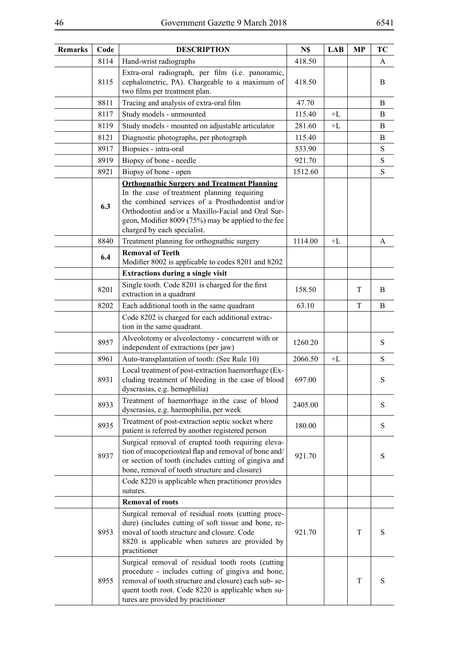| Remarks | Code | <b>DESCRIPTION</b>                                                                                                                                                                                                                                                                                | N\$     | LAB  | <b>MP</b> | TС        |
|---------|------|---------------------------------------------------------------------------------------------------------------------------------------------------------------------------------------------------------------------------------------------------------------------------------------------------|---------|------|-----------|-----------|
|         | 8114 | Hand-wrist radiographs                                                                                                                                                                                                                                                                            | 418.50  |      |           | A         |
|         | 8115 | Extra-oral radiograph, per film (i.e. panoramic,<br>cephalometric, PA). Chargeable to a maximum of<br>two films per treatment plan.                                                                                                                                                               | 418.50  |      |           | B         |
|         | 8811 | Tracing and analysis of extra-oral film                                                                                                                                                                                                                                                           | 47.70   |      |           | B         |
|         | 8117 | Study models - unmounted                                                                                                                                                                                                                                                                          | 115.40  | $+L$ |           | B         |
|         | 8119 | Study models - mounted on adjustable articulator                                                                                                                                                                                                                                                  | 281.60  | $+L$ |           | B         |
|         | 8121 | Diagnostic photographs, per photograph                                                                                                                                                                                                                                                            | 115.40  |      |           | B         |
|         | 8917 | Biopsies - intra-oral                                                                                                                                                                                                                                                                             | 533.90  |      |           | ${\bf S}$ |
|         | 8919 | Biopsy of bone - needle                                                                                                                                                                                                                                                                           | 921.70  |      |           | S         |
|         | 8921 | Biopsy of bone - open                                                                                                                                                                                                                                                                             | 1512.60 |      |           | S         |
|         | 6.3  | <b>Orthognathic Surgery and Treatment Planning</b><br>In the case of treatment planning requiring<br>the combined services of a Prosthodontist and/or<br>Orthodontist and/or a Maxillo-Facial and Oral Sur-<br>geon, Modifier 8009 (75%) may be applied to the fee<br>charged by each specialist. |         |      |           |           |
|         | 8840 | Treatment planning for orthognathic surgery                                                                                                                                                                                                                                                       | 1114.00 | $+L$ |           | A         |
|         | 6.4  | <b>Removal of Teeth</b><br>Modifier 8002 is applicable to codes 8201 and 8202                                                                                                                                                                                                                     |         |      |           |           |
|         |      | <b>Extractions during a single visit</b>                                                                                                                                                                                                                                                          |         |      |           |           |
|         | 8201 | Single tooth. Code 8201 is charged for the first<br>extraction in a quadrant                                                                                                                                                                                                                      | 158.50  |      | T         | B         |
|         | 8202 | Each additional tooth in the same quadrant                                                                                                                                                                                                                                                        | 63.10   |      | T         | B         |
|         |      | Code 8202 is charged for each additional extrac-<br>tion in the same quadrant.                                                                                                                                                                                                                    |         |      |           |           |
|         | 8957 | Alveolotomy or alveolectomy - concurrent with or<br>independent of extractions (per jaw)                                                                                                                                                                                                          | 1260.20 |      |           | S         |
|         | 8961 | Auto-transplantation of tooth: (See Rule 10)                                                                                                                                                                                                                                                      | 2066.50 | $+L$ |           | S         |
|         | 8931 | Local treatment of post-extraction haemorrhage (Ex-<br>cluding treatment of bleeding in the case of blood<br>dyscrasias, e.g. hemophilia)                                                                                                                                                         | 697.00  |      |           | S         |
|         | 8933 | Treatment of haemorrhage in the case of blood<br>dyscrasias, e.g. haemophilia, per week                                                                                                                                                                                                           | 2405.00 |      |           | S         |
|         | 8935 | Treatment of post-extraction septic socket where<br>patient is referred by another registered person                                                                                                                                                                                              | 180.00  |      |           | S         |
|         | 8937 | Surgical removal of erupted tooth requiring eleva-<br>tion of mucoperiosteal flap and removal of bone and/<br>or section of tooth (includes cutting of gingiva and<br>bone, removal of tooth structure and closure)                                                                               | 921.70  |      |           | S         |
|         |      | Code 8220 is applicable when practitioner provides<br>sutures.                                                                                                                                                                                                                                    |         |      |           |           |
|         |      | <b>Removal of roots</b>                                                                                                                                                                                                                                                                           |         |      |           |           |
|         | 8953 | Surgical removal of residual roots (cutting proce-<br>dure) (includes cutting of soft tissue and bone, re-<br>moval of tooth structure and closure. Code<br>8820 is applicable when sutures are provided by<br>practitioner                                                                       | 921.70  |      | T         | S         |
|         | 8955 | Surgical removal of residual tooth roots (cutting<br>procedure - includes cutting of gingiva and bone,<br>removal of tooth structure and closure) each sub-se-<br>quent tooth root. Code 8220 is applicable when su-<br>tures are provided by practitioner                                        |         |      | T         | S         |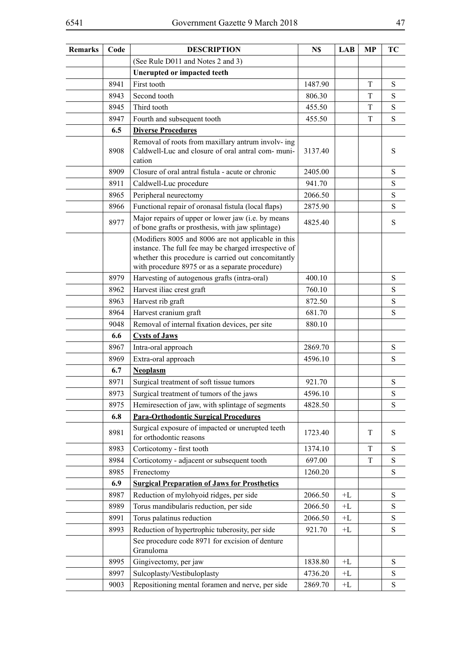| <b>Remarks</b> | Code | <b>DESCRIPTION</b>                                                                                                                                                                                                     | N\$     | LAB            | <b>MP</b> | TC        |
|----------------|------|------------------------------------------------------------------------------------------------------------------------------------------------------------------------------------------------------------------------|---------|----------------|-----------|-----------|
|                |      | (See Rule D011 and Notes 2 and 3)                                                                                                                                                                                      |         |                |           |           |
|                |      | <b>Unerupted or impacted teeth</b>                                                                                                                                                                                     |         |                |           |           |
|                | 8941 | First tooth                                                                                                                                                                                                            | 1487.90 |                | T         | ${\bf S}$ |
|                | 8943 | Second tooth                                                                                                                                                                                                           | 806.30  |                | T         | S         |
|                | 8945 | Third tooth                                                                                                                                                                                                            | 455.50  |                | T         | ${\bf S}$ |
|                | 8947 | Fourth and subsequent tooth                                                                                                                                                                                            | 455.50  |                | T         | ${\bf S}$ |
|                | 6.5  | <b>Diverse Procedures</b>                                                                                                                                                                                              |         |                |           |           |
|                | 8908 | Removal of roots from maxillary antrum involv- ing<br>Caldwell-Luc and closure of oral antral com-muni-<br>cation                                                                                                      | 3137.40 |                |           | S         |
|                | 8909 | Closure of oral antral fistula - acute or chronic                                                                                                                                                                      | 2405.00 |                |           | ${\bf S}$ |
|                | 8911 | Caldwell-Luc procedure                                                                                                                                                                                                 | 941.70  |                |           | ${\bf S}$ |
|                | 8965 | Peripheral neurectomy                                                                                                                                                                                                  | 2066.50 |                |           | ${\bf S}$ |
|                | 8966 | Functional repair of oronasal fistula (local flaps)                                                                                                                                                                    | 2875.90 |                |           | S         |
|                | 8977 | Major repairs of upper or lower jaw (i.e. by means<br>of bone grafts or prosthesis, with jaw splintage)                                                                                                                | 4825.40 |                |           | S         |
|                |      | (Modifiers 8005 and 8006 are not applicable in this<br>instance. The full fee may be charged irrespective of<br>whether this procedure is carried out concomitantly<br>with procedure 8975 or as a separate procedure) |         |                |           |           |
|                | 8979 | Harvesting of autogenous grafts (intra-oral)                                                                                                                                                                           | 400.10  |                |           | ${\bf S}$ |
|                | 8962 | Harvest iliac crest graft                                                                                                                                                                                              | 760.10  |                |           | S         |
|                | 8963 | Harvest rib graft                                                                                                                                                                                                      | 872.50  |                |           | ${\bf S}$ |
|                | 8964 | Harvest cranium graft                                                                                                                                                                                                  | 681.70  |                |           | S         |
|                | 9048 | Removal of internal fixation devices, per site                                                                                                                                                                         | 880.10  |                |           |           |
|                | 6.6  | <b>Cysts of Jaws</b>                                                                                                                                                                                                   |         |                |           |           |
|                | 8967 | Intra-oral approach                                                                                                                                                                                                    | 2869.70 |                |           | ${\bf S}$ |
|                | 8969 | Extra-oral approach                                                                                                                                                                                                    | 4596.10 |                |           | ${\bf S}$ |
|                | 6.7  | <b>Neoplasm</b>                                                                                                                                                                                                        |         |                |           |           |
|                | 8971 | Surgical treatment of soft tissue tumors                                                                                                                                                                               | 921.70  |                |           | ${\bf S}$ |
|                | 8973 | Surgical treatment of tumors of the jaws                                                                                                                                                                               | 4596.10 |                |           | S         |
|                | 8975 | Hemiresection of jaw, with splintage of segments                                                                                                                                                                       | 4828.50 |                |           | S         |
|                | 6.8  | <b>Para-Orthodontic Surgical Procedures</b>                                                                                                                                                                            |         |                |           |           |
|                | 8981 | Surgical exposure of impacted or unerupted teeth<br>for orthodontic reasons                                                                                                                                            | 1723.40 |                | T         | S         |
|                | 8983 | Corticotomy - first tooth                                                                                                                                                                                              | 1374.10 |                | T         | ${\bf S}$ |
|                | 8984 | Corticotomy - adjacent or subsequent tooth                                                                                                                                                                             | 697.00  |                | T         | S         |
|                | 8985 | Frenectomy                                                                                                                                                                                                             | 1260.20 |                |           | ${\bf S}$ |
|                | 6.9  | <b>Surgical Preparation of Jaws for Prosthetics</b>                                                                                                                                                                    |         |                |           |           |
|                | 8987 | Reduction of mylohyoid ridges, per side                                                                                                                                                                                | 2066.50 | $+ \mathbf{L}$ |           | S         |
|                | 8989 | Torus mandibularis reduction, per side                                                                                                                                                                                 | 2066.50 | $+L$           |           | ${\bf S}$ |
|                | 8991 | Torus palatinus reduction                                                                                                                                                                                              | 2066.50 | $+ \Gamma$     |           | ${\bf S}$ |
|                | 8993 | Reduction of hypertrophic tuberosity, per side                                                                                                                                                                         | 921.70  | $+L$           |           | ${\bf S}$ |
|                |      | See procedure code 8971 for excision of denture<br>Granuloma                                                                                                                                                           |         |                |           |           |
|                | 8995 | Gingivectomy, per jaw                                                                                                                                                                                                  | 1838.80 | $+L$           |           | ${\bf S}$ |
|                | 8997 | Sulcoplasty/Vestibuloplasty                                                                                                                                                                                            | 4736.20 | $+L$           |           | S         |
|                | 9003 | Repositioning mental foramen and nerve, per side                                                                                                                                                                       | 2869.70 | $+L$           |           | ${\bf S}$ |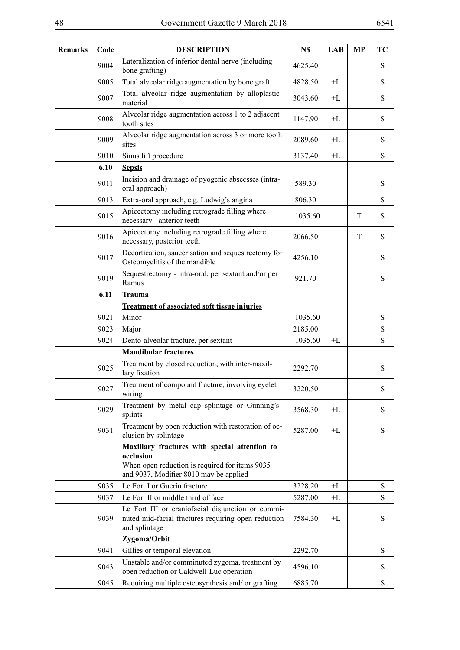| <b>Remarks</b> | Code | <b>DESCRIPTION</b>                                                                                                                                     | N\$     | <b>LAB</b> | <b>MP</b> | TC        |
|----------------|------|--------------------------------------------------------------------------------------------------------------------------------------------------------|---------|------------|-----------|-----------|
|                | 9004 | Lateralization of inferior dental nerve (including<br>bone grafting)                                                                                   | 4625.40 |            |           | S         |
|                | 9005 | Total alveolar ridge augmentation by bone graft                                                                                                        | 4828.50 | $+L$       |           | S         |
|                | 9007 | Total alveolar ridge augmentation by alloplastic<br>material                                                                                           | 3043.60 | $+L$       |           | ${\bf S}$ |
|                | 9008 | Alveolar ridge augmentation across 1 to 2 adjacent<br>tooth sites                                                                                      | 1147.90 | $+ \Gamma$ |           | ${\bf S}$ |
|                | 9009 | Alveolar ridge augmentation across 3 or more tooth<br>sites                                                                                            | 2089.60 | $+L$       |           | S         |
|                | 9010 | Sinus lift procedure                                                                                                                                   | 3137.40 | $+L$       |           | S         |
|                | 6.10 | <b>Sepsis</b>                                                                                                                                          |         |            |           |           |
|                | 9011 | Incision and drainage of pyogenic abscesses (intra-<br>oral approach)                                                                                  | 589.30  |            |           | S         |
|                | 9013 | Extra-oral approach, e.g. Ludwig's angina                                                                                                              | 806.30  |            |           | ${\bf S}$ |
|                | 9015 | Apicectomy including retrograde filling where<br>necessary - anterior teeth                                                                            | 1035.60 |            | T         | S         |
|                | 9016 | Apicectomy including retrograde filling where<br>necessary, posterior teeth                                                                            | 2066.50 |            | T         | S         |
|                | 9017 | Decortication, saucerisation and sequestrectomy for<br>Osteomyelitis of the mandible                                                                   | 4256.10 |            |           | S         |
|                | 9019 | Sequestrectomy - intra-oral, per sextant and/or per<br>Ramus                                                                                           | 921.70  |            |           | S         |
|                | 6.11 | <b>Trauma</b>                                                                                                                                          |         |            |           |           |
|                |      | <b>Treatment of associated soft tissue injuries</b>                                                                                                    |         |            |           |           |
|                | 9021 | Minor                                                                                                                                                  | 1035.60 |            |           | S         |
|                | 9023 | Major                                                                                                                                                  | 2185.00 |            |           | S         |
|                | 9024 | Dento-alveolar fracture, per sextant                                                                                                                   | 1035.60 | $+L$       |           | ${\bf S}$ |
|                |      | <b>Mandibular fractures</b>                                                                                                                            |         |            |           |           |
|                | 9025 | Treatment by closed reduction, with inter-maxil-<br>lary fixation                                                                                      | 2292.70 |            |           | S         |
|                | 9027 | Treatment of compound fracture, involving eyelet<br>wiring                                                                                             | 3220.50 |            |           | ${\bf S}$ |
|                | 9029 | Treatment by metal cap splintage or Gunning's<br>splints                                                                                               | 3568.30 | $+L$       |           | S         |
|                | 9031 | Treatment by open reduction with restoration of oc-<br>clusion by splintage                                                                            | 5287.00 | $+L$       |           | S         |
|                |      | Maxillary fractures with special attention to<br>occlusion<br>When open reduction is required for items 9035<br>and 9037, Modifier 8010 may be applied |         |            |           |           |
|                | 9035 | Le Fort I or Guerin fracture                                                                                                                           | 3228.20 | $+L$       |           | S         |
|                | 9037 | Le Fort II or middle third of face                                                                                                                     | 5287.00 | $+L$       |           | S         |
|                | 9039 | Le Fort III or craniofacial disjunction or commi-<br>nuted mid-facial fractures requiring open reduction<br>and splintage                              | 7584.30 | $+L$       |           | S         |
|                |      | Zygoma/Orbit                                                                                                                                           |         |            |           |           |
|                | 9041 | Gillies or temporal elevation                                                                                                                          | 2292.70 |            |           | S         |
|                | 9043 | Unstable and/or comminuted zygoma, treatment by<br>open reduction or Caldwell-Luc operation                                                            | 4596.10 |            |           | S         |
|                | 9045 | Requiring multiple osteosynthesis and/ or grafting                                                                                                     | 6885.70 |            |           | S         |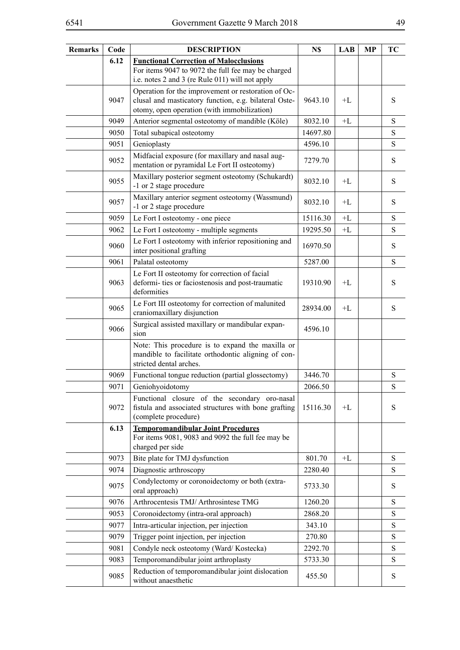| <b>Remarks</b> | Code | <b>DESCRIPTION</b>                                                                                                                                          | N\$      | <b>LAB</b> | <b>MP</b> | TC        |
|----------------|------|-------------------------------------------------------------------------------------------------------------------------------------------------------------|----------|------------|-----------|-----------|
|                | 6.12 | <b>Functional Correction of Malocclusions</b><br>For items 9047 to 9072 the full fee may be charged<br>i.e. notes 2 and 3 (re Rule 011) will not apply      |          |            |           |           |
|                | 9047 | Operation for the improvement or restoration of Oc-<br>clusal and masticatory function, e.g. bilateral Oste-<br>otomy, open operation (with immobilization) | 9643.10  | $+L$       |           | S         |
|                | 9049 | Anterior segmental osteotomy of mandible (Köle)                                                                                                             | 8032.10  | $+L$       |           | S         |
|                | 9050 | Total subapical osteotomy                                                                                                                                   | 14697.80 |            |           | ${\bf S}$ |
|                | 9051 | Genioplasty                                                                                                                                                 | 4596.10  |            |           | S         |
|                | 9052 | Midfacial exposure (for maxillary and nasal aug-<br>mentation or pyramidal Le Fort II osteotomy)                                                            | 7279.70  |            |           | ${\bf S}$ |
|                | 9055 | Maxillary posterior segment osteotomy (Schukardt)<br>-1 or 2 stage procedure                                                                                | 8032.10  | $+L$       |           | S         |
|                | 9057 | Maxillary anterior segment osteotomy (Wassmund)<br>-1 or 2 stage procedure                                                                                  | 8032.10  | $+L$       |           | S         |
|                | 9059 | Le Fort I osteotomy - one piece                                                                                                                             | 15116.30 | $+ \Gamma$ |           | ${\bf S}$ |
|                | 9062 | Le Fort I osteotomy - multiple segments                                                                                                                     | 19295.50 | $+ \Gamma$ |           | ${\bf S}$ |
|                | 9060 | Le Fort I osteotomy with inferior repositioning and<br>inter positional grafting                                                                            | 16970.50 |            |           | ${\bf S}$ |
|                | 9061 | Palatal osteotomy                                                                                                                                           | 5287.00  |            |           | S         |
|                | 9063 | Le Fort II osteotomy for correction of facial<br>deformi- ties or faciostenosis and post-traumatic<br>deformities                                           | 19310.90 | $+I$ .     |           | S         |
|                | 9065 | Le Fort III osteotomy for correction of malunited<br>craniomaxillary disjunction                                                                            | 28934.00 | $+L$       |           | ${\bf S}$ |
|                | 9066 | Surgical assisted maxillary or mandibular expan-<br>sion                                                                                                    | 4596.10  |            |           |           |
|                |      | Note: This procedure is to expand the maxilla or<br>mandible to facilitate orthodontic aligning of con-<br>stricted dental arches.                          |          |            |           |           |
|                | 9069 | Functional tongue reduction (partial glossectomy)                                                                                                           | 3446.70  |            |           | S         |
|                | 9071 | Geniohyoidotomy                                                                                                                                             | 2066.50  |            |           | S         |
|                | 9072 | Functional closure of the secondary oro-nasal<br>fistula and associated structures with bone grafting<br>(complete procedure)                               | 15116.30 | $+L$       |           | S         |
|                | 6.13 | <b>Temporomandibular Joint Procedures</b><br>For items 9081, 9083 and 9092 the full fee may be<br>charged per side                                          |          |            |           |           |
|                | 9073 | Bite plate for TMJ dysfunction                                                                                                                              | 801.70   | $+L$       |           | S         |
|                | 9074 | Diagnostic arthroscopy                                                                                                                                      | 2280.40  |            |           | S         |
|                | 9075 | Condylectomy or coronoidectomy or both (extra-<br>oral approach)                                                                                            | 5733.30  |            |           | S         |
|                | 9076 | Arthrocentesis TMJ/ Arthrosintese TMG                                                                                                                       | 1260.20  |            |           | S         |
|                | 9053 | Coronoidectomy (intra-oral approach)                                                                                                                        | 2868.20  |            |           | ${\bf S}$ |
|                | 9077 | Intra-articular injection, per injection                                                                                                                    | 343.10   |            |           | S         |
|                | 9079 | Trigger point injection, per injection                                                                                                                      | 270.80   |            |           | ${\bf S}$ |
|                | 9081 | Condyle neck osteotomy (Ward/Kostecka)                                                                                                                      | 2292.70  |            |           | S         |
|                | 9083 | Temporomandibular joint arthroplasty                                                                                                                        | 5733.30  |            |           | ${\bf S}$ |
|                | 9085 | Reduction of temporomandibular joint dislocation<br>without anaesthetic                                                                                     | 455.50   |            |           | S         |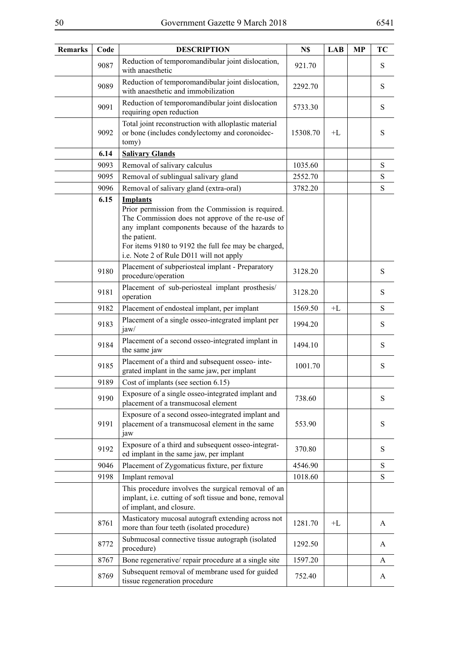| <b>Remarks</b> | Code | <b>DESCRIPTION</b>                                                                                                                                                                                                                                                                             | N\$      | <b>LAB</b> | <b>MP</b> | TC        |
|----------------|------|------------------------------------------------------------------------------------------------------------------------------------------------------------------------------------------------------------------------------------------------------------------------------------------------|----------|------------|-----------|-----------|
|                | 9087 | Reduction of temporomandibular joint dislocation,<br>with anaesthetic                                                                                                                                                                                                                          | 921.70   |            |           | S         |
|                | 9089 | Reduction of temporomandibular joint dislocation,<br>with anaesthetic and immobilization                                                                                                                                                                                                       | 2292.70  |            |           | ${\bf S}$ |
|                | 9091 | Reduction of temporomandibular joint dislocation<br>requiring open reduction                                                                                                                                                                                                                   | 5733.30  |            |           | S         |
|                | 9092 | Total joint reconstruction with alloplastic material<br>or bone (includes condylectomy and coronoidec-<br>tomy)                                                                                                                                                                                | 15308.70 | $+I$       |           | S         |
|                | 6.14 | <b>Salivary Glands</b>                                                                                                                                                                                                                                                                         |          |            |           |           |
|                | 9093 | Removal of salivary calculus                                                                                                                                                                                                                                                                   | 1035.60  |            |           | ${\bf S}$ |
|                | 9095 | Removal of sublingual salivary gland                                                                                                                                                                                                                                                           | 2552.70  |            |           | S         |
|                | 9096 | Removal of salivary gland (extra-oral)                                                                                                                                                                                                                                                         | 3782.20  |            |           | ${\bf S}$ |
|                | 6.15 | <b>Implants</b><br>Prior permission from the Commission is required.<br>The Commission does not approve of the re-use of<br>any implant components because of the hazards to<br>the patient.<br>For items 9180 to 9192 the full fee may be charged,<br>i.e. Note 2 of Rule D011 will not apply |          |            |           |           |
|                | 9180 | Placement of subperiosteal implant - Preparatory<br>procedure/operation                                                                                                                                                                                                                        | 3128.20  |            |           | S         |
|                | 9181 | Placement of sub-periosteal implant prosthesis/<br>operation                                                                                                                                                                                                                                   | 3128.20  |            |           | S         |
|                | 9182 | Placement of endosteal implant, per implant                                                                                                                                                                                                                                                    | 1569.50  | $+L$       |           | S         |
|                | 9183 | Placement of a single osseo-integrated implant per<br>jaw/                                                                                                                                                                                                                                     | 1994.20  |            |           | S         |
|                | 9184 | Placement of a second osseo-integrated implant in<br>the same jaw                                                                                                                                                                                                                              | 1494.10  |            |           | S         |
|                | 9185 | Placement of a third and subsequent osseo-inte-<br>grated implant in the same jaw, per implant                                                                                                                                                                                                 | 1001.70  |            |           | S         |
|                | 9189 | Cost of implants (see section 6.15)                                                                                                                                                                                                                                                            |          |            |           |           |
|                | 9190 | Exposure of a single osseo-integrated implant and<br>placement of a transmucosal element                                                                                                                                                                                                       | 738.60   |            |           | S         |
|                | 9191 | Exposure of a second osseo-integrated implant and<br>placement of a transmucosal element in the same<br>jaw                                                                                                                                                                                    | 553.90   |            |           | S         |
|                | 9192 | Exposure of a third and subsequent osseo-integrat-<br>ed implant in the same jaw, per implant                                                                                                                                                                                                  | 370.80   |            |           | S         |
|                | 9046 | Placement of Zygomaticus fixture, per fixture                                                                                                                                                                                                                                                  | 4546.90  |            |           | ${\bf S}$ |
|                | 9198 | Implant removal                                                                                                                                                                                                                                                                                | 1018.60  |            |           | ${\bf S}$ |
|                |      | This procedure involves the surgical removal of an<br>implant, i.e. cutting of soft tissue and bone, removal<br>of implant, and closure.                                                                                                                                                       |          |            |           |           |
|                | 8761 | Masticatory mucosal autograft extending across not<br>more than four teeth (isolated procedure)                                                                                                                                                                                                | 1281.70  | $+L$       |           | A         |
|                | 8772 | Submucosal connective tissue autograph (isolated<br>procedure)                                                                                                                                                                                                                                 | 1292.50  |            |           | A         |
|                | 8767 | Bone regenerative/repair procedure at a single site                                                                                                                                                                                                                                            | 1597.20  |            |           | A         |
|                | 8769 | Subsequent removal of membrane used for guided<br>tissue regeneration procedure                                                                                                                                                                                                                | 752.40   |            |           | A         |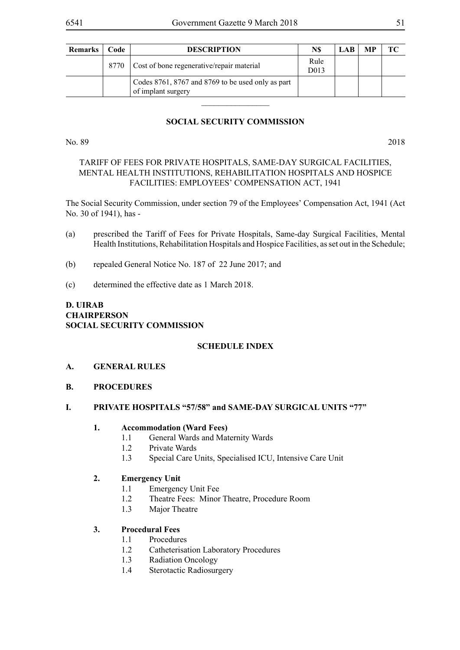|      | <b>DESCRIPTION</b>                                                      | N\$                       | LAB- | MP | TС |
|------|-------------------------------------------------------------------------|---------------------------|------|----|----|
| 8770 | Cost of bone regenerative/repair material                               | Rule<br>D <sub>0</sub> 13 |      |    |    |
|      | Codes 8761, 8767 and 8769 to be used only as part<br>of implant surgery |                           |      |    |    |

## **SOCIAL SECURITY COMMISSION**

No. 89 2018

### TARIFF OF FEES FOR PRIVATE HOSPITALS, SAME-DAY SURGICAL FACILITIES, MENTAL HEALTH INSTITUTIONS, REHABILITATION HOSPITALS AND HOSPICE FACILITIES: EMPLOYEES' COMPENSATION ACT, 1941

The Social Security Commission, under section 79 of the Employees' Compensation Act, 1941 (Act No. 30 of 1941), has -

- (a) prescribed the Tariff of Fees for Private Hospitals, Same-day Surgical Facilities, Mental Health Institutions, Rehabilitation Hospitals and Hospice Facilities, as set out in the Schedule;
- (b) repealed General Notice No. 187 of 22 June 2017; and
- (c) determined the effective date as 1 March 2018.

# **D. UIRAB CHAIRPERSON SOCIAL SECURITY COMMISSION**

### **SCHEDULE INDEX**

- **A. GENERAL RULES**
- **B. PROCEDURES**

### **I. PRIVATE HOSPITALS "57/58" and SAME-DAY SURGICAL UNITS "77"**

### **1. Accommodation (Ward Fees)**

- 1.1 General Wards and Maternity Wards
- 1.2 Private Wards
- 1.3 Special Care Units, Specialised ICU, Intensive Care Unit

# **2. Emergency Unit**

- 1.1 Emergency Unit Fee
- 1.2 Theatre Fees: Minor Theatre, Procedure Room
- 1.3 Major Theatre

### **3. Procedural Fees**

- 1.1 Procedures
- 1.2 Catheterisation Laboratory Procedures
- 1.3 Radiation Oncology
- 1.4 Sterotactic Radiosurgery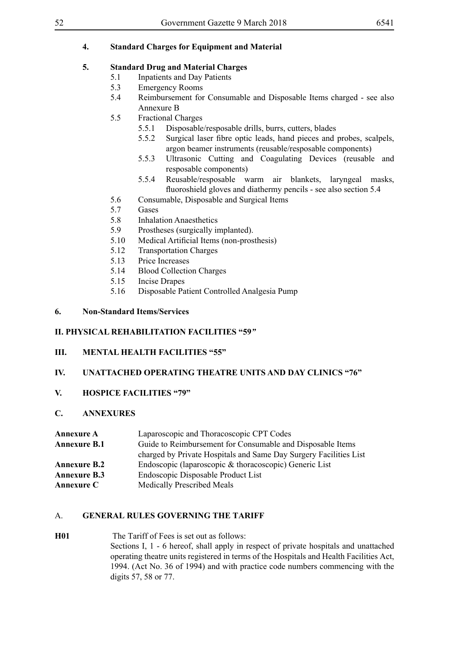# **4. Standard Charges for Equipment and Material**

# **5. Standard Drug and Material Charges**

- 5.1 Inpatients and Day Patients
- 5.3 Emergency Rooms
- 5.4 Reimbursement for Consumable and Disposable Items charged see also Annexure B
- 5.5 Fractional Charges
	- 5.5.1 Disposable/resposable drills, burrs, cutters, blades
	- 5.5.2 Surgical laser fibre optic leads, hand pieces and probes, scalpels, argon beamer instruments (reusable/resposable components)
	- 5.5.3 Ultrasonic Cutting and Coagulating Devices (reusable and resposable components)
	- 5.5.4 Reusable/resposable warm air blankets, laryngeal masks, fluoroshield gloves and diathermy pencils - see also section 5.4
- 5.6 Consumable, Disposable and Surgical Items
- 5.7 Gases
- 5.8 Inhalation Anaesthetics
- 5.9 Prostheses (surgically implanted).
- 5.10 Medical Artificial Items (non-prosthesis)
- 5.12 Transportation Charges
- 5.13 Price Increases
- 5.14 Blood Collection Charges
- 5.15 Incise Drapes
- 5.16 Disposable Patient Controlled Analgesia Pump

#### **6. Non-Standard Items/Services**

### **II. PHYSICAL REHABILITATION FACILITIES "59***"*

## **III. MENTAL HEALTH FACILITIES "55"**

### **IV. UNATTACHED OPERATING THEATRE UNITS AND DAY CLINICS "76"**

### **V. HOSPICE FACILITIES "79"**

### **C. ANNEXURES**

| <b>Annexure A</b>   | Laparoscopic and Thoracoscopic CPT Codes                          |
|---------------------|-------------------------------------------------------------------|
| <b>Annexure B.1</b> | Guide to Reimbursement for Consumable and Disposable Items        |
|                     | charged by Private Hospitals and Same Day Surgery Facilities List |
| <b>Annexure B.2</b> | Endoscopic (laparoscopic & thoracoscopic) Generic List            |
| <b>Annexure B.3</b> | Endoscopic Disposable Product List                                |
| <b>Annexure C</b>   | <b>Medically Prescribed Meals</b>                                 |

### A. **GENERAL RULES GOVERNING THE TARIFF**

**H01** The Tariff of Fees is set out as follows: Sections I, 1 - 6 hereof, shall apply in respect of private hospitals and unattached operating theatre units registered in terms of the Hospitals and Health Facilities Act, 1994. (Act No. 36 of 1994) and with practice code numbers commencing with the digits 57, 58 or 77.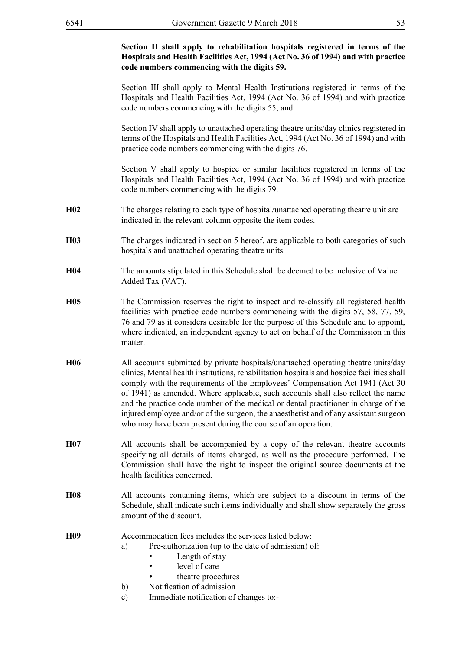#### **Section II shall apply to rehabilitation hospitals registered in terms of the Hospitals and Health Facilities Act, 1994 (Act No. 36 of 1994) and with practice code numbers commencing with the digits 59.**

Section III shall apply to Mental Health Institutions registered in terms of the Hospitals and Health Facilities Act, 1994 (Act No. 36 of 1994) and with practice code numbers commencing with the digits 55; and

Section IV shall apply to unattached operating theatre units/day clinics registered in terms of the Hospitals and Health Facilities Act, 1994 (Act No. 36 of 1994) and with practice code numbers commencing with the digits 76.

Section V shall apply to hospice or similar facilities registered in terms of the Hospitals and Health Facilities Act, 1994 (Act No. 36 of 1994) and with practice code numbers commencing with the digits 79.

- **H02** The charges relating to each type of hospital/unattached operating theatre unit are indicated in the relevant column opposite the item codes.
- **H03** The charges indicated in section 5 hereof, are applicable to both categories of such hospitals and unattached operating theatre units.
- **H04** The amounts stipulated in this Schedule shall be deemed to be inclusive of Value Added Tax (VAT).
- **H05** The Commission reserves the right to inspect and re-classify all registered health facilities with practice code numbers commencing with the digits 57, 58, 77, 59, 76 and 79 as it considers desirable for the purpose of this Schedule and to appoint, where indicated, an independent agency to act on behalf of the Commission in this matter.
- **H06** All accounts submitted by private hospitals/unattached operating theatre units/day clinics, Mental health institutions, rehabilitation hospitals and hospice facilities shall comply with the requirements of the Employees' Compensation Act 1941 (Act 30 of 1941) as amended. Where applicable, such accounts shall also reflect the name and the practice code number of the medical or dental practitioner in charge of the injured employee and/or of the surgeon, the anaesthetist and of any assistant surgeon who may have been present during the course of an operation.
- **H07** All accounts shall be accompanied by a copy of the relevant theatre accounts specifying all details of items charged, as well as the procedure performed. The Commission shall have the right to inspect the original source documents at the health facilities concerned.
- **H08** All accounts containing items, which are subject to a discount in terms of the Schedule, shall indicate such items individually and shall show separately the gross amount of the discount.

**H09** Accommodation fees includes the services listed below:

- a) Pre-authorization (up to the date of admission) of:
	- Length of stay
	- level of care
	- theatre procedures
- b) Notification of admission
- c) Immediate notification of changes to:-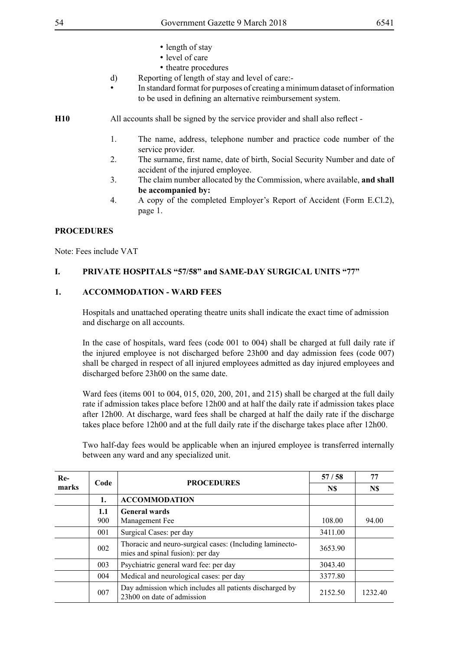- length of stay
- level of care
- theatre procedures
- d) Reporting of length of stay and level of care:-
- In standard format for purposes of creating a minimum dataset of information to be used in defining an alternative reimbursement system.
- **H10** All accounts shall be signed by the service provider and shall also reflect
	- 1. The name, address, telephone number and practice code number of the service provider.
	- 2. The surname, first name, date of birth, Social Security Number and date of accident of the injured employee.
	- 3. The claim number allocated by the Commission, where available, **and shall be accompanied by:**
	- 4. A copy of the completed Employer's Report of Accident (Form E.Cl.2), page 1.

## **PROCEDURES**

Note: Fees include VAT

## **I. PRIVATE HOSPITALS "57/58" and SAME-DAY SURGICAL UNITS "77"**

### **1. ACCOMMODATION - WARD FEES**

Hospitals and unattached operating theatre units shall indicate the exact time of admission and discharge on all accounts.

In the case of hospitals, ward fees (code 001 to 004) shall be charged at full daily rate if the injured employee is not discharged before 23h00 and day admission fees (code 007) shall be charged in respect of all injured employees admitted as day injured employees and discharged before 23h00 on the same date.

Ward fees (items 001 to 004, 015, 020, 200, 201, and 215) shall be charged at the full daily rate if admission takes place before 12h00 and at half the daily rate if admission takes place after 12h00. At discharge, ward fees shall be charged at half the daily rate if the discharge takes place before 12h00 and at the full daily rate if the discharge takes place after 12h00.

Two half-day fees would be applicable when an injured employee is transferred internally between any ward and any specialized unit.

| $Re-$ | Code | <b>PROCEDURES</b>                                                                            | 57/58   | 77      |
|-------|------|----------------------------------------------------------------------------------------------|---------|---------|
| marks |      |                                                                                              | N\$     | N\$     |
|       | 1.   | <b>ACCOMMODATION</b>                                                                         |         |         |
|       | 1.1  | <b>General wards</b>                                                                         |         |         |
|       | 900  | Management Fee                                                                               | 108.00  | 94.00   |
|       | 001  | Surgical Cases: per day                                                                      | 3411.00 |         |
|       | 002  | Thoracic and neuro-surgical cases: (Including laminecto-<br>mies and spinal fusion): per day | 3653.90 |         |
|       | 003  | Psychiatric general ward fee: per day                                                        | 3043.40 |         |
|       | 004  | Medical and neurological cases: per day                                                      | 3377.80 |         |
|       | 007  | Day admission which includes all patients discharged by<br>23h00 on date of admission        | 2152.50 | 1232.40 |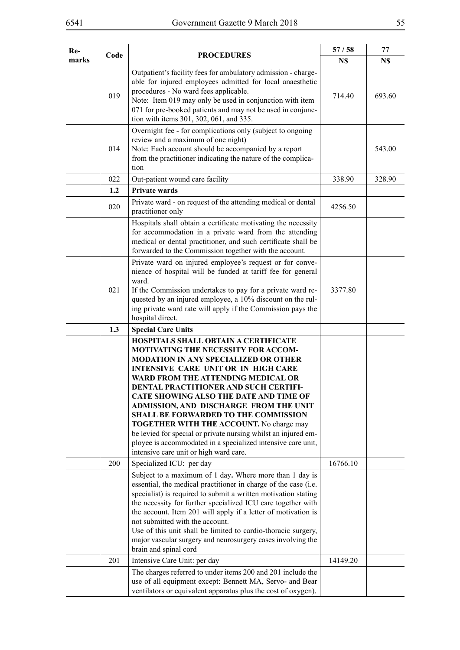| Re-   |      |                                                                                                                                                                                                                                                                                                                                                                                                                                                                                                                                                                          | 57/58    | 77     |
|-------|------|--------------------------------------------------------------------------------------------------------------------------------------------------------------------------------------------------------------------------------------------------------------------------------------------------------------------------------------------------------------------------------------------------------------------------------------------------------------------------------------------------------------------------------------------------------------------------|----------|--------|
| marks | Code | <b>PROCEDURES</b>                                                                                                                                                                                                                                                                                                                                                                                                                                                                                                                                                        | N\$      | N\$    |
|       | 019  | Outpatient's facility fees for ambulatory admission - charge-<br>able for injured employees admitted for local anaesthetic<br>procedures - No ward fees applicable.<br>Note: Item 019 may only be used in conjunction with item<br>071 for pre-booked patients and may not be used in conjunc-<br>tion with items 301, 302, 061, and 335.                                                                                                                                                                                                                                | 714.40   | 693.60 |
|       | 014  | Overnight fee - for complications only (subject to ongoing<br>review and a maximum of one night)<br>Note: Each account should be accompanied by a report<br>from the practitioner indicating the nature of the complica-<br>tion                                                                                                                                                                                                                                                                                                                                         |          | 543.00 |
|       | 022  | Out-patient wound care facility                                                                                                                                                                                                                                                                                                                                                                                                                                                                                                                                          | 338.90   | 328.90 |
|       | 1.2  | Private wards                                                                                                                                                                                                                                                                                                                                                                                                                                                                                                                                                            |          |        |
|       | 020  | Private ward - on request of the attending medical or dental<br>practitioner only                                                                                                                                                                                                                                                                                                                                                                                                                                                                                        | 4256.50  |        |
|       |      | Hospitals shall obtain a certificate motivating the necessity<br>for accommodation in a private ward from the attending<br>medical or dental practitioner, and such certificate shall be<br>forwarded to the Commission together with the account.                                                                                                                                                                                                                                                                                                                       |          |        |
|       | 021  | Private ward on injured employee's request or for conve-<br>nience of hospital will be funded at tariff fee for general<br>ward.<br>If the Commission undertakes to pay for a private ward re-<br>quested by an injured employee, a 10% discount on the rul-<br>ing private ward rate will apply if the Commission pays the<br>hospital direct.                                                                                                                                                                                                                          | 3377.80  |        |
|       | 1.3  | <b>Special Care Units</b>                                                                                                                                                                                                                                                                                                                                                                                                                                                                                                                                                |          |        |
|       |      | <b>HOSPITALS SHALL OBTAIN A CERTIFICATE</b><br>MOTIVATING THE NECESSITY FOR ACCOM-<br><b>MODATION IN ANY SPECIALIZED OR OTHER</b><br>INTENSIVE CARE UNIT OR IN HIGH CARE<br>WARD FROM THE ATTENDING MEDICAL OR<br>DENTAL PRACTITIONER AND SUCH CERTIFI-<br>CATE SHOWING ALSO THE DATE AND TIME OF<br>ADMISSION, AND DISCHARGE FROM THE UNIT<br>SHALL BE FORWARDED TO THE COMMISSION<br><b>TOGETHER WITH THE ACCOUNT.</b> No charge may<br>be levied for special or private nursing whilst an injured em-<br>ployee is accommodated in a specialized intensive care unit, |          |        |
|       |      | intensive care unit or high ward care.                                                                                                                                                                                                                                                                                                                                                                                                                                                                                                                                   |          |        |
|       | 200  | Specialized ICU: per day                                                                                                                                                                                                                                                                                                                                                                                                                                                                                                                                                 | 16766.10 |        |
|       |      | Subject to a maximum of 1 day. Where more than 1 day is<br>essential, the medical practitioner in charge of the case (i.e.<br>specialist) is required to submit a written motivation stating<br>the necessity for further specialized ICU care together with<br>the account. Item 201 will apply if a letter of motivation is<br>not submitted with the account.<br>Use of this unit shall be limited to cardio-thoracic surgery,<br>major vascular surgery and neurosurgery cases involving the<br>brain and spinal cord                                                |          |        |
|       | 201  | Intensive Care Unit: per day                                                                                                                                                                                                                                                                                                                                                                                                                                                                                                                                             | 14149.20 |        |
|       |      | The charges referred to under items 200 and 201 include the<br>use of all equipment except: Bennett MA, Servo- and Bear<br>ventilators or equivalent apparatus plus the cost of oxygen).                                                                                                                                                                                                                                                                                                                                                                                 |          |        |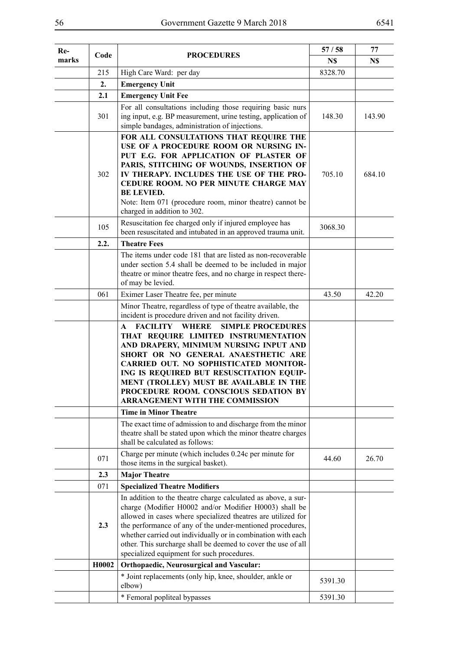| Re-   | Code  | <b>PROCEDURES</b>                                                                                                                                                                                                                                                                                                                                                                                                                   | 57/58   | 77     |
|-------|-------|-------------------------------------------------------------------------------------------------------------------------------------------------------------------------------------------------------------------------------------------------------------------------------------------------------------------------------------------------------------------------------------------------------------------------------------|---------|--------|
| marks |       |                                                                                                                                                                                                                                                                                                                                                                                                                                     | N\$     | N\$    |
|       | 215   | High Care Ward: per day                                                                                                                                                                                                                                                                                                                                                                                                             | 8328.70 |        |
|       | 2.    | <b>Emergency Unit</b>                                                                                                                                                                                                                                                                                                                                                                                                               |         |        |
|       | 2.1   | <b>Emergency Unit Fee</b>                                                                                                                                                                                                                                                                                                                                                                                                           |         |        |
|       | 301   | For all consultations including those requiring basic nurs<br>ing input, e.g. BP measurement, urine testing, application of<br>simple bandages, administration of injections.                                                                                                                                                                                                                                                       | 148.30  | 143.90 |
|       | 302   | FOR ALL CONSULTATIONS THAT REQUIRE THE<br>USE OF A PROCEDURE ROOM OR NURSING IN-<br>PUT E.G. FOR APPLICATION OF PLASTER OF<br>PARIS, STITCHING OF WOUNDS, INSERTION OF<br>IV THERAPY. INCLUDES THE USE OF THE PRO-<br>CEDURE ROOM. NO PER MINUTE CHARGE MAY<br><b>BE LEVIED.</b><br>Note: Item 071 (procedure room, minor theatre) cannot be<br>charged in addition to 302.                                                         | 705.10  | 684.10 |
|       | 105   | Resuscitation fee charged only if injured employee has<br>been resuscitated and intubated in an approved trauma unit.                                                                                                                                                                                                                                                                                                               | 3068.30 |        |
|       | 2.2.  | <b>Theatre Fees</b>                                                                                                                                                                                                                                                                                                                                                                                                                 |         |        |
|       |       | The items under code 181 that are listed as non-recoverable<br>under section 5.4 shall be deemed to be included in major<br>theatre or minor theatre fees, and no charge in respect there-<br>of may be levied.                                                                                                                                                                                                                     |         |        |
|       | 061   | Eximer Laser Theatre fee, per minute                                                                                                                                                                                                                                                                                                                                                                                                | 43.50   | 42.20  |
|       |       | Minor Theatre, regardless of type of theatre available, the<br>incident is procedure driven and not facility driven.                                                                                                                                                                                                                                                                                                                |         |        |
|       |       | <b>FACILITY WHERE</b><br><b>SIMPLE PROCEDURES</b><br>A<br>THAT REQUIRE LIMITED INSTRUMENTATION<br>AND DRAPERY, MINIMUM NURSING INPUT AND<br>SHORT OR NO GENERAL ANAESTHETIC ARE<br>CARRIED OUT. NO SOPHISTICATED MONITOR-<br>ING IS REQUIRED BUT RESUSCITATION EQUIP-<br>MENT (TROLLEY) MUST BE AVAILABLE IN THE<br>PROCEDURE ROOM. CONSCIOUS SEDATION BY<br>ARRANGEMENT WITH THE COMMISSION                                        |         |        |
|       |       | <b>Time in Minor Theatre</b>                                                                                                                                                                                                                                                                                                                                                                                                        |         |        |
|       |       | The exact time of admission to and discharge from the minor<br>theatre shall be stated upon which the minor theatre charges<br>shall be calculated as follows:                                                                                                                                                                                                                                                                      |         |        |
|       | 071   | Charge per minute (which includes 0.24c per minute for<br>those items in the surgical basket).                                                                                                                                                                                                                                                                                                                                      | 44.60   | 26.70  |
|       | 2.3   | <b>Major Theatre</b>                                                                                                                                                                                                                                                                                                                                                                                                                |         |        |
|       | 071   | <b>Specialized Theatre Modifiers</b>                                                                                                                                                                                                                                                                                                                                                                                                |         |        |
|       | 2.3   | In addition to the theatre charge calculated as above, a sur-<br>charge (Modifier H0002 and/or Modifier H0003) shall be<br>allowed in cases where specialized theatres are utilized for<br>the performance of any of the under-mentioned procedures,<br>whether carried out individually or in combination with each<br>other. This surcharge shall be deemed to cover the use of all<br>specialized equipment for such procedures. |         |        |
|       | H0002 | <b>Orthopaedic, Neurosurgical and Vascular:</b>                                                                                                                                                                                                                                                                                                                                                                                     |         |        |
|       |       | * Joint replacements (only hip, knee, shoulder, ankle or<br>elbow)                                                                                                                                                                                                                                                                                                                                                                  | 5391.30 |        |
|       |       | * Femoral popliteal bypasses                                                                                                                                                                                                                                                                                                                                                                                                        | 5391.30 |        |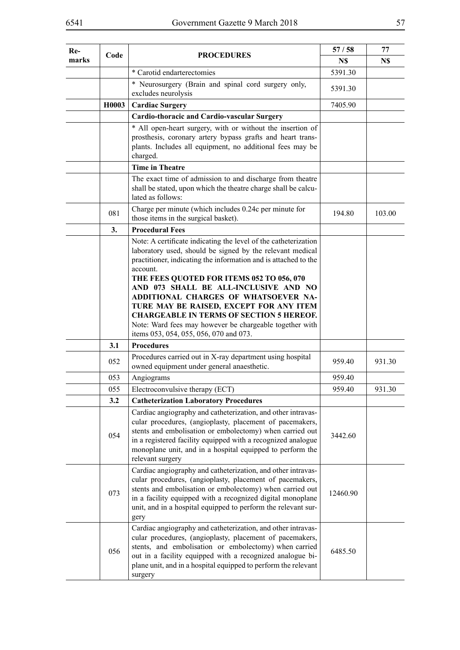| $Re-$ | Code  | <b>PROCEDURES</b>                                                                                                                                                                                                                                                                                                                                                                    | 57/58    | 77     |
|-------|-------|--------------------------------------------------------------------------------------------------------------------------------------------------------------------------------------------------------------------------------------------------------------------------------------------------------------------------------------------------------------------------------------|----------|--------|
| marks |       |                                                                                                                                                                                                                                                                                                                                                                                      | N\$      | N\$    |
|       |       | * Carotid endarterectomies                                                                                                                                                                                                                                                                                                                                                           | 5391.30  |        |
|       |       | * Neurosurgery (Brain and spinal cord surgery only,<br>excludes neurolysis                                                                                                                                                                                                                                                                                                           | 5391.30  |        |
|       | H0003 | <b>Cardiac Surgery</b>                                                                                                                                                                                                                                                                                                                                                               | 7405.90  |        |
|       |       | <b>Cardio-thoracic and Cardio-vascular Surgery</b>                                                                                                                                                                                                                                                                                                                                   |          |        |
|       |       | * All open-heart surgery, with or without the insertion of<br>prosthesis, coronary artery bypass grafts and heart trans-<br>plants. Includes all equipment, no additional fees may be<br>charged.                                                                                                                                                                                    |          |        |
|       |       | <b>Time in Theatre</b>                                                                                                                                                                                                                                                                                                                                                               |          |        |
|       |       | The exact time of admission to and discharge from theatre<br>shall be stated, upon which the theatre charge shall be calcu-<br>lated as follows:                                                                                                                                                                                                                                     |          |        |
|       | 081   | Charge per minute (which includes 0.24c per minute for<br>those items in the surgical basket).                                                                                                                                                                                                                                                                                       | 194.80   | 103.00 |
|       | 3.    | <b>Procedural Fees</b>                                                                                                                                                                                                                                                                                                                                                               |          |        |
|       |       | Note: A certificate indicating the level of the catheterization<br>laboratory used, should be signed by the relevant medical<br>practitioner, indicating the information and is attached to the<br>account.<br>THE FEES QUOTED FOR ITEMS 052 TO 056, 070<br>AND 073 SHALL BE ALL-INCLUSIVE AND NO<br>ADDITIONAL CHARGES OF WHATSOEVER NA-<br>TURE MAY BE RAISED, EXCEPT FOR ANY ITEM |          |        |
|       |       | <b>CHARGEABLE IN TERMS OF SECTION 5 HEREOF.</b><br>Note: Ward fees may however be chargeable together with                                                                                                                                                                                                                                                                           |          |        |
|       |       | items 053, 054, 055, 056, 070 and 073.                                                                                                                                                                                                                                                                                                                                               |          |        |
|       | 3.1   | <b>Procedures</b>                                                                                                                                                                                                                                                                                                                                                                    |          |        |
|       | 052   | Procedures carried out in X-ray department using hospital<br>owned equipment under general anaesthetic.                                                                                                                                                                                                                                                                              | 959.40   | 931.30 |
|       | 053   | Angiograms                                                                                                                                                                                                                                                                                                                                                                           | 959.40   |        |
|       | 055   | Electroconvulsive therapy (ECT)                                                                                                                                                                                                                                                                                                                                                      | 959.40   | 931.30 |
|       | 3.2   | <b>Catheterization Laboratory Procedures</b>                                                                                                                                                                                                                                                                                                                                         |          |        |
|       | 054   | Cardiac angiography and catheterization, and other intravas-<br>cular procedures, (angioplasty, placement of pacemakers,<br>stents and embolisation or embolectomy) when carried out<br>in a registered facility equipped with a recognized analogue<br>monoplane unit, and in a hospital equipped to perform the<br>relevant surgery                                                | 3442.60  |        |
|       | 073   | Cardiac angiography and catheterization, and other intravas-<br>cular procedures, (angioplasty, placement of pacemakers,<br>stents and embolisation or embolectomy) when carried out<br>in a facility equipped with a recognized digital monoplane<br>unit, and in a hospital equipped to perform the relevant sur-<br>gery                                                          | 12460.90 |        |
|       | 056   | Cardiac angiography and catheterization, and other intravas-<br>cular procedures, (angioplasty, placement of pacemakers,<br>stents, and embolisation or embolectomy) when carried<br>out in a facility equipped with a recognized analogue bi-<br>plane unit, and in a hospital equipped to perform the relevant<br>surgery                                                          | 6485.50  |        |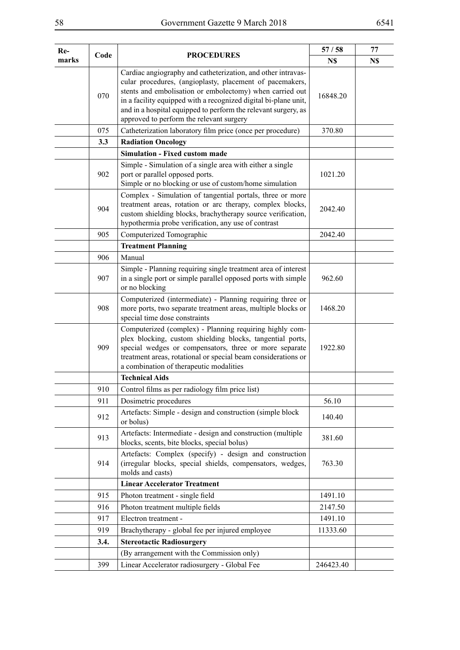| Re-   | Code | <b>PROCEDURES</b>                                                                                                                                                                                                                                                                                                                                                     | 57/58     | 77  |
|-------|------|-----------------------------------------------------------------------------------------------------------------------------------------------------------------------------------------------------------------------------------------------------------------------------------------------------------------------------------------------------------------------|-----------|-----|
| marks |      |                                                                                                                                                                                                                                                                                                                                                                       | N\$       | N\$ |
|       | 070  | Cardiac angiography and catheterization, and other intravas-<br>cular procedures, (angioplasty, placement of pacemakers,<br>stents and embolisation or embolectomy) when carried out<br>in a facility equipped with a recognized digital bi-plane unit,<br>and in a hospital equipped to perform the relevant surgery, as<br>approved to perform the relevant surgery | 16848.20  |     |
|       | 075  | Catheterization laboratory film price (once per procedure)                                                                                                                                                                                                                                                                                                            | 370.80    |     |
|       | 3.3  | <b>Radiation Oncology</b>                                                                                                                                                                                                                                                                                                                                             |           |     |
|       |      | <b>Simulation - Fixed custom made</b>                                                                                                                                                                                                                                                                                                                                 |           |     |
|       | 902  | Simple - Simulation of a single area with either a single<br>port or parallel opposed ports.<br>Simple or no blocking or use of custom/home simulation                                                                                                                                                                                                                | 1021.20   |     |
|       | 904  | Complex - Simulation of tangential portals, three or more<br>treatment areas, rotation or arc therapy, complex blocks,<br>custom shielding blocks, brachytherapy source verification,<br>hypothermia probe verification, any use of contrast                                                                                                                          | 2042.40   |     |
|       | 905  | Computerized Tomographic                                                                                                                                                                                                                                                                                                                                              | 2042.40   |     |
|       |      | <b>Treatment Planning</b>                                                                                                                                                                                                                                                                                                                                             |           |     |
|       | 906  | Manual                                                                                                                                                                                                                                                                                                                                                                |           |     |
|       | 907  | Simple - Planning requiring single treatment area of interest<br>in a single port or simple parallel opposed ports with simple<br>or no blocking                                                                                                                                                                                                                      | 962.60    |     |
|       | 908  | Computerized (intermediate) - Planning requiring three or<br>more ports, two separate treatment areas, multiple blocks or<br>special time dose constraints                                                                                                                                                                                                            | 1468.20   |     |
|       | 909  | Computerized (complex) - Planning requiring highly com-<br>plex blocking, custom shielding blocks, tangential ports,<br>special wedges or compensators, three or more separate<br>treatment areas, rotational or special beam considerations or<br>a combination of therapeutic modalities                                                                            | 1922.80   |     |
|       |      | <b>Technical Aids</b>                                                                                                                                                                                                                                                                                                                                                 |           |     |
|       | 910  | Control films as per radiology film price list)                                                                                                                                                                                                                                                                                                                       |           |     |
|       | 911  | Dosimetric procedures                                                                                                                                                                                                                                                                                                                                                 | 56.10     |     |
|       | 912  | Artefacts: Simple - design and construction (simple block<br>or bolus)                                                                                                                                                                                                                                                                                                | 140.40    |     |
|       | 913  | Artefacts: Intermediate - design and construction (multiple<br>blocks, scents, bite blocks, special bolus)                                                                                                                                                                                                                                                            | 381.60    |     |
|       | 914  | Artefacts: Complex (specify) - design and construction<br>(irregular blocks, special shields, compensators, wedges,<br>molds and casts)                                                                                                                                                                                                                               | 763.30    |     |
|       |      | <b>Linear Accelerator Treatment</b>                                                                                                                                                                                                                                                                                                                                   |           |     |
|       | 915  | Photon treatment - single field                                                                                                                                                                                                                                                                                                                                       | 1491.10   |     |
|       | 916  | Photon treatment multiple fields                                                                                                                                                                                                                                                                                                                                      | 2147.50   |     |
|       | 917  | Electron treatment -                                                                                                                                                                                                                                                                                                                                                  | 1491.10   |     |
|       | 919  | Brachytherapy - global fee per injured employee                                                                                                                                                                                                                                                                                                                       | 11333.60  |     |
|       | 3.4. | <b>Stereotactic Radiosurgery</b>                                                                                                                                                                                                                                                                                                                                      |           |     |
|       |      | (By arrangement with the Commission only)                                                                                                                                                                                                                                                                                                                             |           |     |
|       | 399  | Linear Accelerator radiosurgery - Global Fee                                                                                                                                                                                                                                                                                                                          | 246423.40 |     |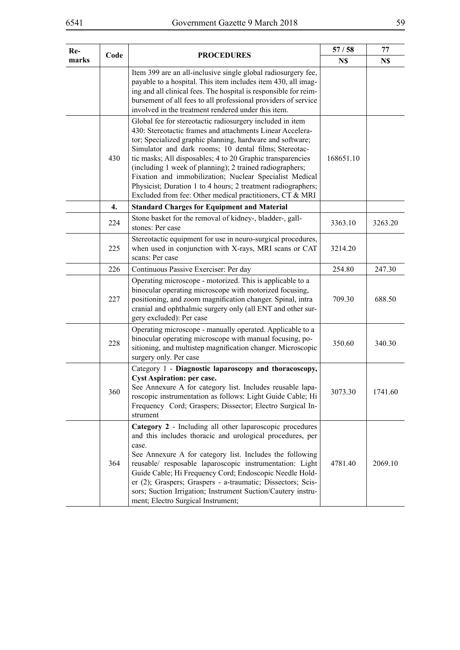| Re-   | Code | <b>PROCEDURES</b>                                                                                                                                                                                                                                                                                                                                                                                                                                                                                                                                             | 57/58     | 77      |
|-------|------|---------------------------------------------------------------------------------------------------------------------------------------------------------------------------------------------------------------------------------------------------------------------------------------------------------------------------------------------------------------------------------------------------------------------------------------------------------------------------------------------------------------------------------------------------------------|-----------|---------|
| marks |      |                                                                                                                                                                                                                                                                                                                                                                                                                                                                                                                                                               | N\$       | N\$     |
|       |      | Item 399 are an all-inclusive single global radiosurgery fee,<br>payable to a hospital. This item includes item 430, all imag-<br>ing and all clinical fees. The hospital is responsible for reim-<br>bursement of all fees to all professional providers of service<br>involved in the treatment rendered under this item.                                                                                                                                                                                                                                   |           |         |
|       | 430  | Global fee for stereotactic radiosurgery included in item<br>430: Stereotactic frames and attachments Linear Accelera-<br>tor; Specialized graphic planning, hardware and software;<br>Simulator and dark rooms; 10 dental films; Stereotac-<br>tic masks; All disposables; 4 to 20 Graphic transparencies<br>(including 1 week of planning); 2 trained radiographers;<br>Fixation and immobilization; Nuclear Specialist Medical<br>Physicist; Duration 1 to 4 hours; 2 treatment radiographers;<br>Excluded from fee: Other medical practitioners, CT & MRI | 168651.10 |         |
|       | 4.   | <b>Standard Charges for Equipment and Material</b>                                                                                                                                                                                                                                                                                                                                                                                                                                                                                                            |           |         |
|       | 224  | Stone basket for the removal of kidney-, bladder-, gall-<br>stones: Per case                                                                                                                                                                                                                                                                                                                                                                                                                                                                                  | 3363.10   | 3263.20 |
|       | 225  | Stereotactic equipment for use in neuro-surgical procedures,<br>when used in conjunction with X-rays, MRI scans or CAT<br>scans: Per case                                                                                                                                                                                                                                                                                                                                                                                                                     | 3214.20   |         |
|       | 226  | Continuous Passive Exerciser: Per day                                                                                                                                                                                                                                                                                                                                                                                                                                                                                                                         | 254.80    | 247.30  |
|       | 227  | Operating microscope - motorized. This is applicable to a<br>binocular operating microscope with motorized focusing,<br>positioning, and zoom magnification changer. Spinal, intra<br>cranial and ophthalmic surgery only (all ENT and other sur-<br>gery excluded): Per case                                                                                                                                                                                                                                                                                 | 709.30    | 688.50  |
|       | 228  | Operating microscope - manually operated. Applicable to a<br>binocular operating microscope with manual focusing, po-<br>sitioning, and multistep magnification changer. Microscopic<br>surgery only. Per case                                                                                                                                                                                                                                                                                                                                                | 350.60    | 340.30  |
|       | 360  | Category 1 - Diagnostic laparoscopy and thoracoscopy,<br><b>Cyst Aspiration: per case.</b><br>See Annexure A for category list. Includes reusable lapa-<br>roscopic instrumentation as follows: Light Guide Cable; Hi<br>Frequency Cord; Graspers; Dissector; Electro Surgical In-<br>strument                                                                                                                                                                                                                                                                | 3073.30   | 1741.60 |
|       | 364  | Category 2 - Including all other laparoscopic procedures<br>and this includes thoracic and urological procedures, per<br>case.<br>See Annexure A for category list. Includes the following<br>reusable/ resposable laparoscopic instrumentation: Light<br>Guide Cable; Hi Frequency Cord; Endoscopic Needle Hold-<br>er (2); Graspers; Graspers - a-traumatic; Dissectors; Scis-<br>sors; Suction Irrigation; Instrument Suction/Cautery instru-<br>ment; Electro Surgical Instrument;                                                                        | 4781.40   | 2069.10 |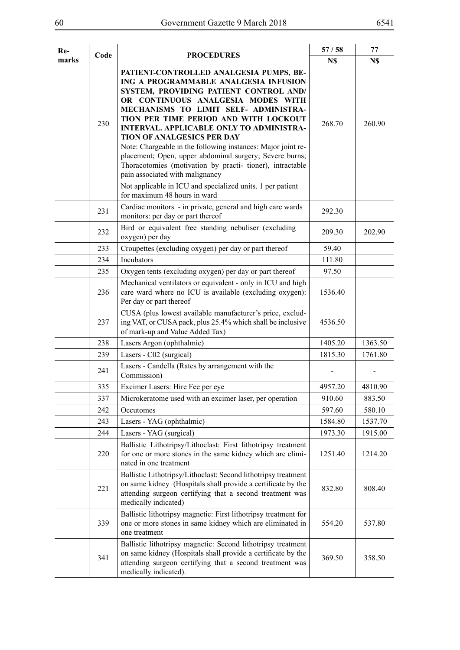| Re-<br>Code |     | <b>PROCEDURES</b>                                                                                                                                                                                                                                                                                                                                                                                                                                                                                                                                              | 57/58   | 77      |
|-------------|-----|----------------------------------------------------------------------------------------------------------------------------------------------------------------------------------------------------------------------------------------------------------------------------------------------------------------------------------------------------------------------------------------------------------------------------------------------------------------------------------------------------------------------------------------------------------------|---------|---------|
| marks       |     |                                                                                                                                                                                                                                                                                                                                                                                                                                                                                                                                                                | N\$     | N\$     |
|             | 230 | PATIENT-CONTROLLED ANALGESIA PUMPS, BE-<br>ING A PROGRAMMABLE ANALGESIA INFUSION<br>SYSTEM, PROVIDING PATIENT CONTROL AND/<br>OR CONTINUOUS ANALGESIA MODES WITH<br>MECHANISMS TO LIMIT SELF- ADMINISTRA-<br>TION PER TIME PERIOD AND WITH LOCKOUT<br>INTERVAL. APPLICABLE ONLY TO ADMINISTRA-<br><b>TION OF ANALGESICS PER DAY</b><br>Note: Chargeable in the following instances: Major joint re-<br>placement; Open, upper abdominal surgery; Severe burns;<br>Thoracotomies (motivation by practi- tioner), intractable<br>pain associated with malignancy | 268.70  | 260.90  |
|             |     | Not applicable in ICU and specialized units. 1 per patient<br>for maximum 48 hours in ward                                                                                                                                                                                                                                                                                                                                                                                                                                                                     |         |         |
|             | 231 | Cardiac monitors - in private, general and high care wards<br>monitors: per day or part thereof                                                                                                                                                                                                                                                                                                                                                                                                                                                                | 292.30  |         |
|             | 232 | Bird or equivalent free standing nebuliser (excluding<br>oxygen) per day                                                                                                                                                                                                                                                                                                                                                                                                                                                                                       | 209.30  | 202.90  |
|             | 233 | Croupettes (excluding oxygen) per day or part thereof                                                                                                                                                                                                                                                                                                                                                                                                                                                                                                          | 59.40   |         |
|             | 234 | Incubators                                                                                                                                                                                                                                                                                                                                                                                                                                                                                                                                                     | 111.80  |         |
|             | 235 | Oxygen tents (excluding oxygen) per day or part thereof                                                                                                                                                                                                                                                                                                                                                                                                                                                                                                        | 97.50   |         |
|             | 236 | Mechanical ventilators or equivalent - only in ICU and high<br>care ward where no ICU is available (excluding oxygen):<br>Per day or part thereof                                                                                                                                                                                                                                                                                                                                                                                                              | 1536.40 |         |
|             | 237 | CUSA (plus lowest available manufacturer's price, exclud-<br>ing VAT, or CUSA pack, plus 25.4% which shall be inclusive<br>of mark-up and Value Added Tax)                                                                                                                                                                                                                                                                                                                                                                                                     | 4536.50 |         |
|             | 238 | Lasers Argon (ophthalmic)                                                                                                                                                                                                                                                                                                                                                                                                                                                                                                                                      | 1405.20 | 1363.50 |
|             | 239 | Lasers - C02 (surgical)                                                                                                                                                                                                                                                                                                                                                                                                                                                                                                                                        | 1815.30 | 1761.80 |
|             | 241 | Lasers - Candella (Rates by arrangement with the<br>Commission)                                                                                                                                                                                                                                                                                                                                                                                                                                                                                                |         |         |
|             | 335 | Excimer Lasers: Hire Fee per eye                                                                                                                                                                                                                                                                                                                                                                                                                                                                                                                               | 4957.20 | 4810.90 |
|             | 337 | Microkeratome used with an excimer laser, per operation                                                                                                                                                                                                                                                                                                                                                                                                                                                                                                        | 910.60  | 883.50  |
|             | 242 | Occutomes                                                                                                                                                                                                                                                                                                                                                                                                                                                                                                                                                      | 597.60  | 580.10  |
|             | 243 | Lasers - YAG (ophthalmic)                                                                                                                                                                                                                                                                                                                                                                                                                                                                                                                                      | 1584.80 | 1537.70 |
|             | 244 | Lasers - YAG (surgical)                                                                                                                                                                                                                                                                                                                                                                                                                                                                                                                                        | 1973.30 | 1915.00 |
|             | 220 | Ballistic Lithotripsy/Lithoclast: First lithotripsy treatment<br>for one or more stones in the same kidney which are elimi-<br>nated in one treatment                                                                                                                                                                                                                                                                                                                                                                                                          | 1251.40 | 1214.20 |
|             | 221 | Ballistic Lithotripsy/Lithoclast: Second lithotripsy treatment<br>on same kidney (Hospitals shall provide a certificate by the<br>attending surgeon certifying that a second treatment was<br>medically indicated)                                                                                                                                                                                                                                                                                                                                             | 832.80  | 808.40  |
|             | 339 | Ballistic lithotripsy magnetic: First lithotripsy treatment for<br>one or more stones in same kidney which are eliminated in<br>one treatment                                                                                                                                                                                                                                                                                                                                                                                                                  | 554.20  | 537.80  |
|             | 341 | Ballistic lithotripsy magnetic: Second lithotripsy treatment<br>on same kidney (Hospitals shall provide a certificate by the<br>attending surgeon certifying that a second treatment was<br>medically indicated).                                                                                                                                                                                                                                                                                                                                              | 369.50  | 358.50  |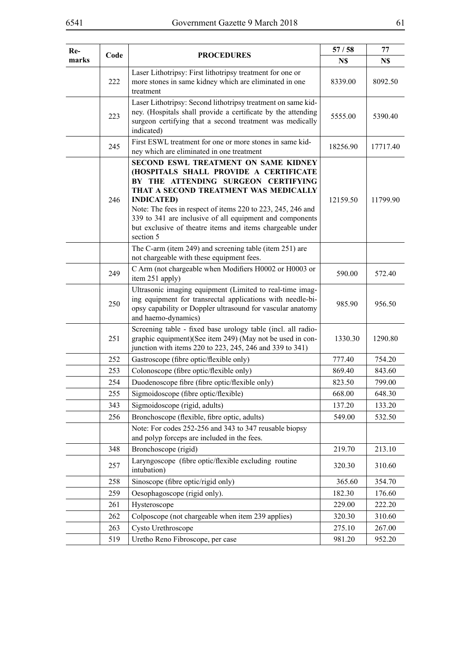| marks<br>N\$<br>N\$<br>Laser Lithotripsy: First lithotripsy treatment for one or<br>222<br>more stones in same kidney which are eliminated in one<br>8339.00<br>8092.50<br>treatment<br>Laser Lithotripsy: Second lithotripsy treatment on same kid-<br>ney. (Hospitals shall provide a certificate by the attending<br>223<br>5555.00<br>5390.40<br>surgeon certifying that a second treatment was medically<br>indicated)<br>First ESWL treatment for one or more stones in same kid-<br>245<br>18256.90<br>17717.40<br>ney which are eliminated in one treatment<br>SECOND ESWL TREATMENT ON SAME KIDNEY<br>(HOSPITALS SHALL PROVIDE A CERTIFICATE<br>BY THE ATTENDING SURGEON CERTIFYING<br>THAT A SECOND TREATMENT WAS MEDICALLY<br>246<br><b>INDICATED)</b><br>12159.50<br>11799.90<br>Note: The fees in respect of items 220 to 223, 245, 246 and<br>339 to 341 are inclusive of all equipment and components<br>but exclusive of theatre items and items chargeable under<br>section 5<br>The C-arm (item 249) and screening table (item 251) are<br>not chargeable with these equipment fees.<br>C Arm (not chargeable when Modifiers H0002 or H0003 or<br>249<br>590.00<br>572.40<br>item 251 apply)<br>Ultrasonic imaging equipment (Limited to real-time imag-<br>ing equipment for transrectal applications with needle-bi-<br>250<br>985.90<br>956.50<br>opsy capability or Doppler ultrasound for vascular anatomy<br>and haemo-dynamics)<br>Screening table - fixed base urology table (incl. all radio-<br>graphic equipment)(See item 249) (May not be used in con-<br>251<br>1330.30<br>1290.80<br>junction with items 220 to 223, 245, 246 and 339 to 341)<br>252<br>Gastroscope (fibre optic/flexible only)<br>777.40<br>754.20<br>Colonoscope (fibre optic/flexible only)<br>253<br>869.40<br>843.60<br>Duodenoscope fibre (fibre optic/flexible only)<br>254<br>823.50<br>799.00<br>255<br>Sigmoidoscope (fibre optic/flexible)<br>668.00<br>648.30<br>Sigmoidoscope (rigid, adults)<br>343<br>137.20<br>133.20<br>Bronchoscope (flexible, fibre optic, adults)<br>549.00<br>256<br>532.50<br>Note: For codes 252-256 and 343 to 347 reusable biopsy<br>and polyp forceps are included in the fees.<br>348<br>Bronchoscope (rigid)<br>219.70<br>213.10<br>Laryngoscope (fibre optic/flexible excluding routine<br>257<br>310.60<br>320.30<br>intubation)<br>Sinoscope (fibre optic/rigid only)<br>365.60<br>354.70<br>258<br>Oesophagoscope (rigid only).<br>259<br>182.30<br>176.60<br>Hysteroscope<br>229.00<br>222.20<br>261<br>262<br>Colposcope (not chargeable when item 239 applies)<br>320.30<br>310.60<br>Cysto Urethroscope<br>275.10<br>267.00<br>263 | Re- |      |                   | 57/58 | 77 |
|-----------------------------------------------------------------------------------------------------------------------------------------------------------------------------------------------------------------------------------------------------------------------------------------------------------------------------------------------------------------------------------------------------------------------------------------------------------------------------------------------------------------------------------------------------------------------------------------------------------------------------------------------------------------------------------------------------------------------------------------------------------------------------------------------------------------------------------------------------------------------------------------------------------------------------------------------------------------------------------------------------------------------------------------------------------------------------------------------------------------------------------------------------------------------------------------------------------------------------------------------------------------------------------------------------------------------------------------------------------------------------------------------------------------------------------------------------------------------------------------------------------------------------------------------------------------------------------------------------------------------------------------------------------------------------------------------------------------------------------------------------------------------------------------------------------------------------------------------------------------------------------------------------------------------------------------------------------------------------------------------------------------------------------------------------------------------------------------------------------------------------------------------------------------------------------------------------------------------------------------------------------------------------------------------------------------------------------------------------------------------------------------------------------------------------------------------------------------------------------------------------------------------------------------------------------------------------------------------------------------------------------------------------------------------------------------|-----|------|-------------------|-------|----|
|                                                                                                                                                                                                                                                                                                                                                                                                                                                                                                                                                                                                                                                                                                                                                                                                                                                                                                                                                                                                                                                                                                                                                                                                                                                                                                                                                                                                                                                                                                                                                                                                                                                                                                                                                                                                                                                                                                                                                                                                                                                                                                                                                                                                                                                                                                                                                                                                                                                                                                                                                                                                                                                                                         |     | Code | <b>PROCEDURES</b> |       |    |
|                                                                                                                                                                                                                                                                                                                                                                                                                                                                                                                                                                                                                                                                                                                                                                                                                                                                                                                                                                                                                                                                                                                                                                                                                                                                                                                                                                                                                                                                                                                                                                                                                                                                                                                                                                                                                                                                                                                                                                                                                                                                                                                                                                                                                                                                                                                                                                                                                                                                                                                                                                                                                                                                                         |     |      |                   |       |    |
|                                                                                                                                                                                                                                                                                                                                                                                                                                                                                                                                                                                                                                                                                                                                                                                                                                                                                                                                                                                                                                                                                                                                                                                                                                                                                                                                                                                                                                                                                                                                                                                                                                                                                                                                                                                                                                                                                                                                                                                                                                                                                                                                                                                                                                                                                                                                                                                                                                                                                                                                                                                                                                                                                         |     |      |                   |       |    |
|                                                                                                                                                                                                                                                                                                                                                                                                                                                                                                                                                                                                                                                                                                                                                                                                                                                                                                                                                                                                                                                                                                                                                                                                                                                                                                                                                                                                                                                                                                                                                                                                                                                                                                                                                                                                                                                                                                                                                                                                                                                                                                                                                                                                                                                                                                                                                                                                                                                                                                                                                                                                                                                                                         |     |      |                   |       |    |
|                                                                                                                                                                                                                                                                                                                                                                                                                                                                                                                                                                                                                                                                                                                                                                                                                                                                                                                                                                                                                                                                                                                                                                                                                                                                                                                                                                                                                                                                                                                                                                                                                                                                                                                                                                                                                                                                                                                                                                                                                                                                                                                                                                                                                                                                                                                                                                                                                                                                                                                                                                                                                                                                                         |     |      |                   |       |    |
|                                                                                                                                                                                                                                                                                                                                                                                                                                                                                                                                                                                                                                                                                                                                                                                                                                                                                                                                                                                                                                                                                                                                                                                                                                                                                                                                                                                                                                                                                                                                                                                                                                                                                                                                                                                                                                                                                                                                                                                                                                                                                                                                                                                                                                                                                                                                                                                                                                                                                                                                                                                                                                                                                         |     |      |                   |       |    |
|                                                                                                                                                                                                                                                                                                                                                                                                                                                                                                                                                                                                                                                                                                                                                                                                                                                                                                                                                                                                                                                                                                                                                                                                                                                                                                                                                                                                                                                                                                                                                                                                                                                                                                                                                                                                                                                                                                                                                                                                                                                                                                                                                                                                                                                                                                                                                                                                                                                                                                                                                                                                                                                                                         |     |      |                   |       |    |
|                                                                                                                                                                                                                                                                                                                                                                                                                                                                                                                                                                                                                                                                                                                                                                                                                                                                                                                                                                                                                                                                                                                                                                                                                                                                                                                                                                                                                                                                                                                                                                                                                                                                                                                                                                                                                                                                                                                                                                                                                                                                                                                                                                                                                                                                                                                                                                                                                                                                                                                                                                                                                                                                                         |     |      |                   |       |    |
|                                                                                                                                                                                                                                                                                                                                                                                                                                                                                                                                                                                                                                                                                                                                                                                                                                                                                                                                                                                                                                                                                                                                                                                                                                                                                                                                                                                                                                                                                                                                                                                                                                                                                                                                                                                                                                                                                                                                                                                                                                                                                                                                                                                                                                                                                                                                                                                                                                                                                                                                                                                                                                                                                         |     |      |                   |       |    |
|                                                                                                                                                                                                                                                                                                                                                                                                                                                                                                                                                                                                                                                                                                                                                                                                                                                                                                                                                                                                                                                                                                                                                                                                                                                                                                                                                                                                                                                                                                                                                                                                                                                                                                                                                                                                                                                                                                                                                                                                                                                                                                                                                                                                                                                                                                                                                                                                                                                                                                                                                                                                                                                                                         |     |      |                   |       |    |
|                                                                                                                                                                                                                                                                                                                                                                                                                                                                                                                                                                                                                                                                                                                                                                                                                                                                                                                                                                                                                                                                                                                                                                                                                                                                                                                                                                                                                                                                                                                                                                                                                                                                                                                                                                                                                                                                                                                                                                                                                                                                                                                                                                                                                                                                                                                                                                                                                                                                                                                                                                                                                                                                                         |     |      |                   |       |    |
|                                                                                                                                                                                                                                                                                                                                                                                                                                                                                                                                                                                                                                                                                                                                                                                                                                                                                                                                                                                                                                                                                                                                                                                                                                                                                                                                                                                                                                                                                                                                                                                                                                                                                                                                                                                                                                                                                                                                                                                                                                                                                                                                                                                                                                                                                                                                                                                                                                                                                                                                                                                                                                                                                         |     |      |                   |       |    |
|                                                                                                                                                                                                                                                                                                                                                                                                                                                                                                                                                                                                                                                                                                                                                                                                                                                                                                                                                                                                                                                                                                                                                                                                                                                                                                                                                                                                                                                                                                                                                                                                                                                                                                                                                                                                                                                                                                                                                                                                                                                                                                                                                                                                                                                                                                                                                                                                                                                                                                                                                                                                                                                                                         |     |      |                   |       |    |
|                                                                                                                                                                                                                                                                                                                                                                                                                                                                                                                                                                                                                                                                                                                                                                                                                                                                                                                                                                                                                                                                                                                                                                                                                                                                                                                                                                                                                                                                                                                                                                                                                                                                                                                                                                                                                                                                                                                                                                                                                                                                                                                                                                                                                                                                                                                                                                                                                                                                                                                                                                                                                                                                                         |     |      |                   |       |    |
|                                                                                                                                                                                                                                                                                                                                                                                                                                                                                                                                                                                                                                                                                                                                                                                                                                                                                                                                                                                                                                                                                                                                                                                                                                                                                                                                                                                                                                                                                                                                                                                                                                                                                                                                                                                                                                                                                                                                                                                                                                                                                                                                                                                                                                                                                                                                                                                                                                                                                                                                                                                                                                                                                         |     |      |                   |       |    |
|                                                                                                                                                                                                                                                                                                                                                                                                                                                                                                                                                                                                                                                                                                                                                                                                                                                                                                                                                                                                                                                                                                                                                                                                                                                                                                                                                                                                                                                                                                                                                                                                                                                                                                                                                                                                                                                                                                                                                                                                                                                                                                                                                                                                                                                                                                                                                                                                                                                                                                                                                                                                                                                                                         |     |      |                   |       |    |
|                                                                                                                                                                                                                                                                                                                                                                                                                                                                                                                                                                                                                                                                                                                                                                                                                                                                                                                                                                                                                                                                                                                                                                                                                                                                                                                                                                                                                                                                                                                                                                                                                                                                                                                                                                                                                                                                                                                                                                                                                                                                                                                                                                                                                                                                                                                                                                                                                                                                                                                                                                                                                                                                                         |     |      |                   |       |    |
|                                                                                                                                                                                                                                                                                                                                                                                                                                                                                                                                                                                                                                                                                                                                                                                                                                                                                                                                                                                                                                                                                                                                                                                                                                                                                                                                                                                                                                                                                                                                                                                                                                                                                                                                                                                                                                                                                                                                                                                                                                                                                                                                                                                                                                                                                                                                                                                                                                                                                                                                                                                                                                                                                         |     |      |                   |       |    |
|                                                                                                                                                                                                                                                                                                                                                                                                                                                                                                                                                                                                                                                                                                                                                                                                                                                                                                                                                                                                                                                                                                                                                                                                                                                                                                                                                                                                                                                                                                                                                                                                                                                                                                                                                                                                                                                                                                                                                                                                                                                                                                                                                                                                                                                                                                                                                                                                                                                                                                                                                                                                                                                                                         |     |      |                   |       |    |
|                                                                                                                                                                                                                                                                                                                                                                                                                                                                                                                                                                                                                                                                                                                                                                                                                                                                                                                                                                                                                                                                                                                                                                                                                                                                                                                                                                                                                                                                                                                                                                                                                                                                                                                                                                                                                                                                                                                                                                                                                                                                                                                                                                                                                                                                                                                                                                                                                                                                                                                                                                                                                                                                                         |     |      |                   |       |    |
|                                                                                                                                                                                                                                                                                                                                                                                                                                                                                                                                                                                                                                                                                                                                                                                                                                                                                                                                                                                                                                                                                                                                                                                                                                                                                                                                                                                                                                                                                                                                                                                                                                                                                                                                                                                                                                                                                                                                                                                                                                                                                                                                                                                                                                                                                                                                                                                                                                                                                                                                                                                                                                                                                         |     |      |                   |       |    |
|                                                                                                                                                                                                                                                                                                                                                                                                                                                                                                                                                                                                                                                                                                                                                                                                                                                                                                                                                                                                                                                                                                                                                                                                                                                                                                                                                                                                                                                                                                                                                                                                                                                                                                                                                                                                                                                                                                                                                                                                                                                                                                                                                                                                                                                                                                                                                                                                                                                                                                                                                                                                                                                                                         |     |      |                   |       |    |
|                                                                                                                                                                                                                                                                                                                                                                                                                                                                                                                                                                                                                                                                                                                                                                                                                                                                                                                                                                                                                                                                                                                                                                                                                                                                                                                                                                                                                                                                                                                                                                                                                                                                                                                                                                                                                                                                                                                                                                                                                                                                                                                                                                                                                                                                                                                                                                                                                                                                                                                                                                                                                                                                                         |     |      |                   |       |    |
| Uretho Reno Fibroscope, per case<br>981.20<br>952.20<br>519                                                                                                                                                                                                                                                                                                                                                                                                                                                                                                                                                                                                                                                                                                                                                                                                                                                                                                                                                                                                                                                                                                                                                                                                                                                                                                                                                                                                                                                                                                                                                                                                                                                                                                                                                                                                                                                                                                                                                                                                                                                                                                                                                                                                                                                                                                                                                                                                                                                                                                                                                                                                                             |     |      |                   |       |    |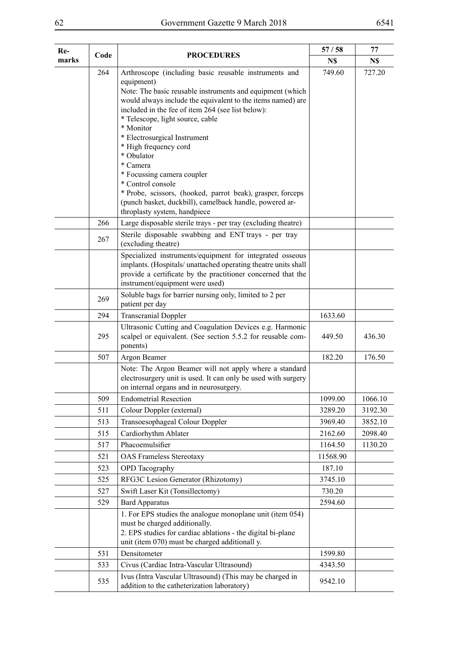| Re-   | Code | <b>PROCEDURES</b>                                                                                                                                                                                                                                                                                                                                                                                                                                                                                                                                                                                    | 57/58    | 77      |
|-------|------|------------------------------------------------------------------------------------------------------------------------------------------------------------------------------------------------------------------------------------------------------------------------------------------------------------------------------------------------------------------------------------------------------------------------------------------------------------------------------------------------------------------------------------------------------------------------------------------------------|----------|---------|
| marks |      |                                                                                                                                                                                                                                                                                                                                                                                                                                                                                                                                                                                                      | N\$      | N\$     |
|       | 264  | Arthroscope (including basic reusable instruments and<br>equipment)<br>Note: The basic reusable instruments and equipment (which<br>would always include the equivalent to the items named) are<br>included in the fee of item 264 (see list below):<br>* Telescope, light source, cable<br>* Monitor<br>* Electrosurgical Instrument<br>* High frequency cord<br>* Obulator<br>* Camera<br>* Focussing camera coupler<br>* Control console<br>* Probe, scissors, (hooked, parrot beak), grasper, forceps<br>(punch basket, duckbill), camelback handle, powered ar-<br>throplasty system, handpiece | 749.60   | 727.20  |
|       | 266  | Large disposable sterile trays - per tray (excluding theatre)                                                                                                                                                                                                                                                                                                                                                                                                                                                                                                                                        |          |         |
|       | 267  | Sterile disposable swabbing and ENT trays - per tray<br>(excluding theatre)                                                                                                                                                                                                                                                                                                                                                                                                                                                                                                                          |          |         |
|       |      | Specialized instruments/equipment for integrated osseous<br>implants. (Hospitals/ unattached operating theatre units shall<br>provide a certificate by the practitioner concerned that the<br>instrument/equipment were used)                                                                                                                                                                                                                                                                                                                                                                        |          |         |
|       | 269  | Soluble bags for barrier nursing only, limited to 2 per<br>patient per day                                                                                                                                                                                                                                                                                                                                                                                                                                                                                                                           |          |         |
|       | 294  | <b>Transcranial Doppler</b>                                                                                                                                                                                                                                                                                                                                                                                                                                                                                                                                                                          | 1633.60  |         |
|       | 295  | Ultrasonic Cutting and Coagulation Devices e.g. Harmonic<br>scalpel or equivalent. (See section 5.5.2 for reusable com-<br>ponents)                                                                                                                                                                                                                                                                                                                                                                                                                                                                  | 449.50   | 436.30  |
|       | 507  | Argon Beamer                                                                                                                                                                                                                                                                                                                                                                                                                                                                                                                                                                                         | 182.20   | 176.50  |
|       |      | Note: The Argon Beamer will not apply where a standard<br>electrosurgery unit is used. It can only be used with surgery<br>on internal organs and in neurosurgery.                                                                                                                                                                                                                                                                                                                                                                                                                                   |          |         |
|       | 509  | <b>Endometrial Resection</b>                                                                                                                                                                                                                                                                                                                                                                                                                                                                                                                                                                         | 1099.00  | 1066.10 |
|       | 511  | Colour Doppler (external)                                                                                                                                                                                                                                                                                                                                                                                                                                                                                                                                                                            | 3289.20  | 3192.30 |
|       | 513  | Transoesophageal Colour Doppler                                                                                                                                                                                                                                                                                                                                                                                                                                                                                                                                                                      | 3969.40  | 3852.10 |
|       | 515  | Cardiorhythm Ablater                                                                                                                                                                                                                                                                                                                                                                                                                                                                                                                                                                                 | 2162.60  | 2098.40 |
|       | 517  | Phacoemulsifier                                                                                                                                                                                                                                                                                                                                                                                                                                                                                                                                                                                      | 1164.50  | 1130.20 |
|       | 521  | <b>OAS Frameless Stereotaxy</b>                                                                                                                                                                                                                                                                                                                                                                                                                                                                                                                                                                      | 11568.90 |         |
|       | 523  | <b>OPD</b> Tacography                                                                                                                                                                                                                                                                                                                                                                                                                                                                                                                                                                                | 187.10   |         |
|       | 525  | RFG3C Lesion Generator (Rhizotomy)                                                                                                                                                                                                                                                                                                                                                                                                                                                                                                                                                                   | 3745.10  |         |
|       | 527  | Swift Laser Kit (Tonsillectomy)                                                                                                                                                                                                                                                                                                                                                                                                                                                                                                                                                                      | 730.20   |         |
|       | 529  | <b>Bard Apparatus</b>                                                                                                                                                                                                                                                                                                                                                                                                                                                                                                                                                                                | 2594.60  |         |
|       |      | 1. For EPS studies the analogue monoplane unit (item 054)<br>must be charged additionally.<br>2. EPS studies for cardiac ablations - the digital bi-plane<br>unit (item 070) must be charged additionall y.                                                                                                                                                                                                                                                                                                                                                                                          |          |         |
|       | 531  | Densitometer                                                                                                                                                                                                                                                                                                                                                                                                                                                                                                                                                                                         | 1599.80  |         |
|       | 533  | Civus (Cardiac Intra-Vascular Ultrasound)                                                                                                                                                                                                                                                                                                                                                                                                                                                                                                                                                            | 4343.50  |         |
|       | 535  | Ivus (Intra Vascular Ultrasound) (This may be charged in<br>addition to the catheterization laboratory)                                                                                                                                                                                                                                                                                                                                                                                                                                                                                              | 9542.10  |         |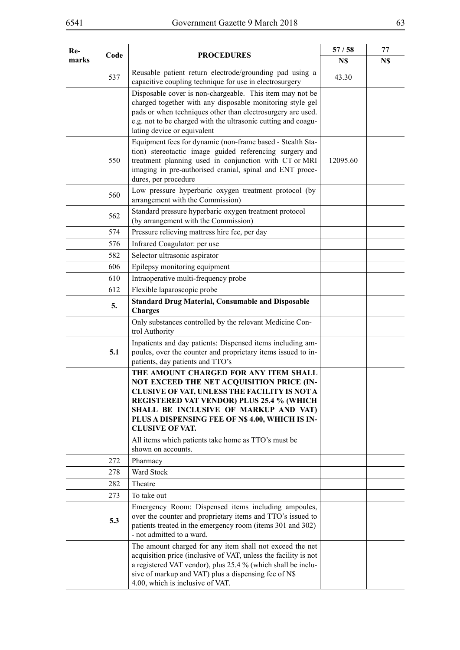| Re-<br>marks | Code | <b>PROCEDURES</b>                                                                                                                                                                                                                                                                                            | 57/58<br>N\$ | 77<br>N\$ |
|--------------|------|--------------------------------------------------------------------------------------------------------------------------------------------------------------------------------------------------------------------------------------------------------------------------------------------------------------|--------------|-----------|
|              | 537  | Reusable patient return electrode/grounding pad using a<br>capacitive coupling technique for use in electrosurgery                                                                                                                                                                                           | 43.30        |           |
|              |      | Disposable cover is non-chargeable. This item may not be<br>charged together with any disposable monitoring style gel<br>pads or when techniques other than electrosurgery are used.<br>e.g. not to be charged with the ultrasonic cutting and coagu-<br>lating device or equivalent                         |              |           |
|              | 550  | Equipment fees for dynamic (non-frame based - Stealth Sta-<br>tion) stereotactic image guided referencing surgery and<br>treatment planning used in conjunction with CT or MRI<br>imaging in pre-authorised cranial, spinal and ENT proce-<br>dures, per procedure                                           | 12095.60     |           |
|              | 560  | Low pressure hyperbaric oxygen treatment protocol (by<br>arrangement with the Commission)                                                                                                                                                                                                                    |              |           |
|              | 562  | Standard pressure hyperbaric oxygen treatment protocol<br>(by arrangement with the Commission)                                                                                                                                                                                                               |              |           |
|              | 574  | Pressure relieving mattress hire fee, per day                                                                                                                                                                                                                                                                |              |           |
|              | 576  | Infrared Coagulator: per use                                                                                                                                                                                                                                                                                 |              |           |
|              | 582  | Selector ultrasonic aspirator                                                                                                                                                                                                                                                                                |              |           |
|              | 606  | Epilepsy monitoring equipment                                                                                                                                                                                                                                                                                |              |           |
|              | 610  | Intraoperative multi-frequency probe                                                                                                                                                                                                                                                                         |              |           |
|              | 612  | Flexible laparoscopic probe                                                                                                                                                                                                                                                                                  |              |           |
|              | 5.   | <b>Standard Drug Material, Consumable and Disposable</b><br><b>Charges</b>                                                                                                                                                                                                                                   |              |           |
|              |      | Only substances controlled by the relevant Medicine Con-<br>trol Authority                                                                                                                                                                                                                                   |              |           |
|              | 5.1  | Inpatients and day patients: Dispensed items including am-<br>poules, over the counter and proprietary items issued to in-<br>patients, day patients and TTO's                                                                                                                                               |              |           |
|              |      | THE AMOUNT CHARGED FOR ANY ITEM SHALL<br>NOT EXCEED THE NET ACQUISITION PRICE (IN-<br>CLUSIVE OF VAT, UNLESS THE FACILITY IS NOT A<br><b>REGISTERED VAT VENDOR) PLUS 25.4 % (WHICH</b><br>SHALL BE INCLUSIVE OF MARKUP AND VAT)<br>PLUS A DISPENSING FEE OF N\$ 4.00, WHICH IS IN-<br><b>CLUSIVE OF VAT.</b> |              |           |
|              |      | All items which patients take home as TTO's must be<br>shown on accounts.                                                                                                                                                                                                                                    |              |           |
|              | 272  | Pharmacy                                                                                                                                                                                                                                                                                                     |              |           |
|              | 278  | Ward Stock                                                                                                                                                                                                                                                                                                   |              |           |
|              | 282  | Theatre                                                                                                                                                                                                                                                                                                      |              |           |
|              | 273  | To take out                                                                                                                                                                                                                                                                                                  |              |           |
|              | 5.3  | Emergency Room: Dispensed items including ampoules,<br>over the counter and proprietary items and TTO's issued to<br>patients treated in the emergency room (items 301 and 302)<br>- not admitted to a ward.                                                                                                 |              |           |
|              |      | The amount charged for any item shall not exceed the net<br>acquisition price (inclusive of VAT, unless the facility is not<br>a registered VAT vendor), plus 25.4 % (which shall be inclu-<br>sive of markup and VAT) plus a dispensing fee of N\$<br>4.00, which is inclusive of VAT.                      |              |           |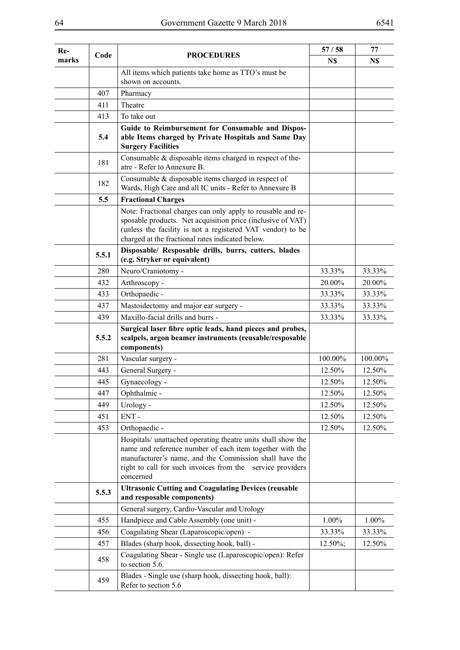| $Re-$<br>Code<br>marks |       |                                                                                                                                                                                                                                                               | 57/58       | 77      |
|------------------------|-------|---------------------------------------------------------------------------------------------------------------------------------------------------------------------------------------------------------------------------------------------------------------|-------------|---------|
|                        |       | <b>PROCEDURES</b>                                                                                                                                                                                                                                             | N\$         | N\$     |
|                        |       | All items which patients take home as TTO's must be<br>shown on accounts.                                                                                                                                                                                     |             |         |
|                        | 407   | Pharmacy                                                                                                                                                                                                                                                      |             |         |
|                        | 411   | Theatre                                                                                                                                                                                                                                                       |             |         |
|                        | 413   | To take out                                                                                                                                                                                                                                                   |             |         |
|                        | 5.4   | Guide to Reimbursement for Consumable and Dispos-<br>able Items charged by Private Hospitals and Same Day<br><b>Surgery Facilities</b>                                                                                                                        |             |         |
|                        | 181   | Consumable & disposable items charged in respect of the-<br>atre - Refer to Annexure B.                                                                                                                                                                       |             |         |
|                        | 182   | Consumable & disposable items charged in respect of<br>Wards, High Care and all IC units - Refer to Annexure B                                                                                                                                                |             |         |
|                        | 5.5   | <b>Fractional Charges</b>                                                                                                                                                                                                                                     |             |         |
|                        |       | Note: Fractional charges can only apply to reusable and re-<br>sposable products. Net acquisition price (inclusive of VAT)<br>(unless the facility is not a registered VAT vendor) to be<br>charged at the fractional rates indicated below.                  |             |         |
|                        | 5.5.1 | Disposable/ Resposable drills, burrs, cutters, blades<br>(e.g. Stryker or equivalent)                                                                                                                                                                         |             |         |
|                        | 280   | Neuro/Craniotomy -                                                                                                                                                                                                                                            | 33.33%      | 33.33%  |
|                        | 432   | Arthroscopy -                                                                                                                                                                                                                                                 | 20.00%      | 20.00%  |
|                        | 433   | Orthopaedic -                                                                                                                                                                                                                                                 | 33.33%      | 33.33%  |
|                        | 437   | Mastoidectomy and major ear surgery -                                                                                                                                                                                                                         | 33.33%      | 33.33%  |
|                        | 439   | Maxillo-facial drills and burrs -                                                                                                                                                                                                                             | 33.33%      | 33.33%  |
|                        | 5.5.2 | Surgical laser fibre optic leads, hand pieces and probes,<br>scalpels, argon beamer instruments (reusable/resposable<br>components)                                                                                                                           |             |         |
|                        | 281   | Vascular surgery -                                                                                                                                                                                                                                            | 100.00%     | 100.00% |
|                        | 443   | General Surgery -                                                                                                                                                                                                                                             | 12.50%      | 12.50%  |
|                        | 445   | Gynaecology -                                                                                                                                                                                                                                                 | 12.50%      | 12.50%  |
|                        | 447   | Ophthalmic -                                                                                                                                                                                                                                                  | 12.50%      | 12.50%  |
|                        | 449   | Urology -                                                                                                                                                                                                                                                     | 12.50%      | 12.50%  |
|                        | 451   | ENT-                                                                                                                                                                                                                                                          | 12.50%      | 12.50%  |
|                        | 453   | Orthopaedic -                                                                                                                                                                                                                                                 | 12.50%      | 12.50%  |
|                        |       | Hospitals/ unattached operating theatre units shall show the<br>name and reference number of each item together with the<br>manufacturer's name, and the Commission shall have the<br>right to call for such invoices from the service providers<br>concerned |             |         |
|                        | 5.5.3 | <b>Ultrasonic Cutting and Coagulating Devices (reusable</b><br>and resposable components)                                                                                                                                                                     |             |         |
|                        |       | General surgery, Cardio-Vascular and Urology                                                                                                                                                                                                                  |             |         |
|                        | 455   | Handpiece and Cable Assembly (one unit) -                                                                                                                                                                                                                     | 1.00%       | 1.00%   |
|                        | 456   | Coagulating Shear (Laparoscopic/open) -                                                                                                                                                                                                                       | 33.33%      | 33.33%  |
|                        | 457   | Blades (sharp hook, dissecting hook, ball) -                                                                                                                                                                                                                  | $12.50\%$ ; | 12.50%  |
|                        | 458   | Coagulating Shear - Single use (Laparoscopic/open): Refer<br>to section 5.6.                                                                                                                                                                                  |             |         |
|                        | 459   | Blades - Single use (sharp hook, dissecting hook, ball):<br>Refer to section 5.6                                                                                                                                                                              |             |         |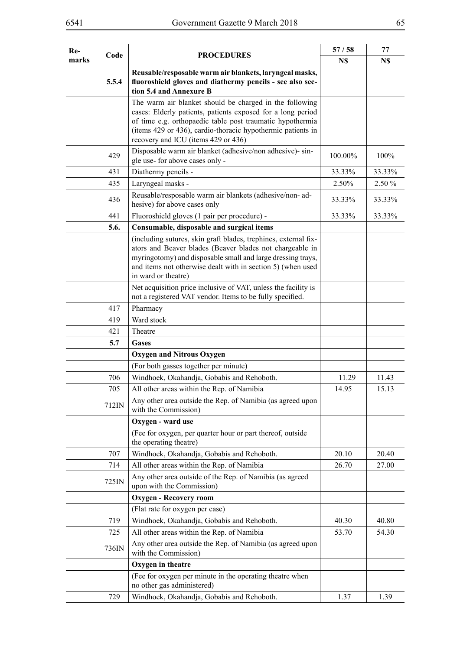| Re-   | Code<br><b>PROCEDURES</b> | 57/58                                                                                                                                                                                                                                                                                     | 77      |        |
|-------|---------------------------|-------------------------------------------------------------------------------------------------------------------------------------------------------------------------------------------------------------------------------------------------------------------------------------------|---------|--------|
| marks |                           |                                                                                                                                                                                                                                                                                           | N\$     | N\$    |
|       | 5.5.4                     | Reusable/resposable warm air blankets, laryngeal masks,<br>fluoroshield gloves and diathermy pencils - see also sec-<br>tion 5.4 and Annexure B                                                                                                                                           |         |        |
|       |                           | The warm air blanket should be charged in the following<br>cases: Elderly patients, patients exposed for a long period<br>of time e.g. orthopaedic table post traumatic hypothermia<br>(items 429 or 436), cardio-thoracic hypothermic patients in<br>recovery and ICU (items 429 or 436) |         |        |
|       | 429                       | Disposable warm air blanket (adhesive/non adhesive)- sin-<br>gle use- for above cases only -                                                                                                                                                                                              | 100.00% | 100%   |
|       | 431                       | Diathermy pencils -                                                                                                                                                                                                                                                                       | 33.33%  | 33.33% |
|       | 435                       | Laryngeal masks -                                                                                                                                                                                                                                                                         | 2.50%   | 2.50 % |
|       | 436                       | Reusable/resposable warm air blankets (adhesive/non-ad-<br>hesive) for above cases only                                                                                                                                                                                                   | 33.33%  | 33.33% |
|       | 441                       | Fluoroshield gloves (1 pair per procedure) -                                                                                                                                                                                                                                              | 33.33%  | 33.33% |
|       | 5.6.                      | Consumable, disposable and surgical items                                                                                                                                                                                                                                                 |         |        |
|       |                           | (including sutures, skin graft blades, trephines, external fix-<br>ators and Beaver blades (Beaver blades not chargeable in<br>myringotomy) and disposable small and large dressing trays,<br>and items not otherwise dealt with in section 5) (when used<br>in ward or theatre)          |         |        |
|       |                           | Net acquisition price inclusive of VAT, unless the facility is<br>not a registered VAT vendor. Items to be fully specified.                                                                                                                                                               |         |        |
|       | 417                       | Pharmacy                                                                                                                                                                                                                                                                                  |         |        |
|       | 419                       | Ward stock                                                                                                                                                                                                                                                                                |         |        |
|       | 421                       | Theatre                                                                                                                                                                                                                                                                                   |         |        |
|       | 5.7                       | <b>Gases</b>                                                                                                                                                                                                                                                                              |         |        |
|       |                           | <b>Oxygen and Nitrous Oxygen</b>                                                                                                                                                                                                                                                          |         |        |
|       |                           | (For both gasses together per minute)                                                                                                                                                                                                                                                     |         |        |
|       | 706                       | Windhoek, Okahandja, Gobabis and Rehoboth.                                                                                                                                                                                                                                                | 11.29   | 11.43  |
|       | 705<br>712IN              | All other areas within the Rep. of Namibia<br>Any other area outside the Rep. of Namibia (as agreed upon<br>with the Commission)                                                                                                                                                          | 14.95   | 15.13  |
|       |                           | Oxygen - ward use                                                                                                                                                                                                                                                                         |         |        |
|       |                           | (Fee for oxygen, per quarter hour or part thereof, outside<br>the operating theatre)                                                                                                                                                                                                      |         |        |
|       | 707                       | Windhoek, Okahandja, Gobabis and Rehoboth.                                                                                                                                                                                                                                                | 20.10   | 20.40  |
|       | 714                       | All other areas within the Rep. of Namibia                                                                                                                                                                                                                                                | 26.70   | 27.00  |
|       | 725IN                     | Any other area outside of the Rep. of Namibia (as agreed<br>upon with the Commission)                                                                                                                                                                                                     |         |        |
|       |                           | <b>Oxygen - Recovery room</b>                                                                                                                                                                                                                                                             |         |        |
|       |                           | (Flat rate for oxygen per case)                                                                                                                                                                                                                                                           |         |        |
|       | 719                       | Windhoek, Okahandja, Gobabis and Rehoboth.                                                                                                                                                                                                                                                | 40.30   | 40.80  |
|       | 725                       | All other areas within the Rep. of Namibia                                                                                                                                                                                                                                                | 53.70   | 54.30  |
|       | 736IN                     | Any other area outside the Rep. of Namibia (as agreed upon<br>with the Commission)                                                                                                                                                                                                        |         |        |
|       |                           | Oxygen in theatre                                                                                                                                                                                                                                                                         |         |        |
|       |                           | (Fee for oxygen per minute in the operating theatre when<br>no other gas administered)                                                                                                                                                                                                    |         |        |
|       | 729                       | Windhoek, Okahandja, Gobabis and Rehoboth.                                                                                                                                                                                                                                                | 1.37    | 1.39   |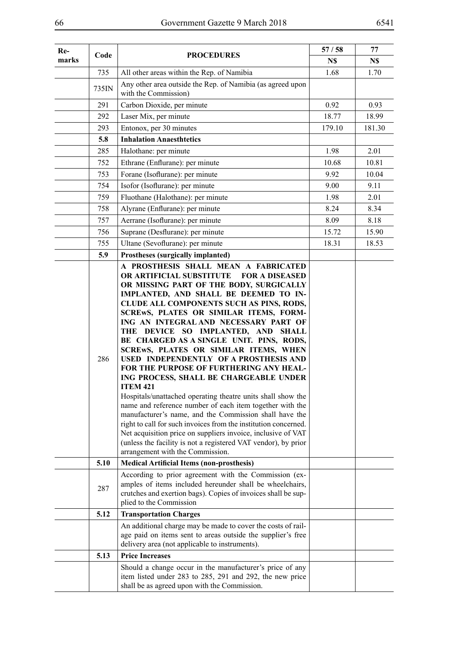| Re-   | Code  | <b>PROCEDURES</b>                                                                                                                                                                                                                                                                                                                                                                                                                                                                                                                                                                                                                                                                                                                                                                                                                                                                                                                                                               | 57/58  | 77     |
|-------|-------|---------------------------------------------------------------------------------------------------------------------------------------------------------------------------------------------------------------------------------------------------------------------------------------------------------------------------------------------------------------------------------------------------------------------------------------------------------------------------------------------------------------------------------------------------------------------------------------------------------------------------------------------------------------------------------------------------------------------------------------------------------------------------------------------------------------------------------------------------------------------------------------------------------------------------------------------------------------------------------|--------|--------|
| marks |       |                                                                                                                                                                                                                                                                                                                                                                                                                                                                                                                                                                                                                                                                                                                                                                                                                                                                                                                                                                                 | N\$    | N\$    |
|       | 735   | All other areas within the Rep. of Namibia                                                                                                                                                                                                                                                                                                                                                                                                                                                                                                                                                                                                                                                                                                                                                                                                                                                                                                                                      | 1.68   | 1.70   |
|       | 735IN | Any other area outside the Rep. of Namibia (as agreed upon<br>with the Commission)                                                                                                                                                                                                                                                                                                                                                                                                                                                                                                                                                                                                                                                                                                                                                                                                                                                                                              |        |        |
|       | 291   | Carbon Dioxide, per minute                                                                                                                                                                                                                                                                                                                                                                                                                                                                                                                                                                                                                                                                                                                                                                                                                                                                                                                                                      | 0.92   | 0.93   |
|       | 292   | Laser Mix, per minute                                                                                                                                                                                                                                                                                                                                                                                                                                                                                                                                                                                                                                                                                                                                                                                                                                                                                                                                                           | 18.77  | 18.99  |
|       | 293   | Entonox, per 30 minutes                                                                                                                                                                                                                                                                                                                                                                                                                                                                                                                                                                                                                                                                                                                                                                                                                                                                                                                                                         | 179.10 | 181.30 |
|       | 5.8   | <b>Inhalation Anaesthtetics</b>                                                                                                                                                                                                                                                                                                                                                                                                                                                                                                                                                                                                                                                                                                                                                                                                                                                                                                                                                 |        |        |
|       | 285   | Halothane: per minute                                                                                                                                                                                                                                                                                                                                                                                                                                                                                                                                                                                                                                                                                                                                                                                                                                                                                                                                                           | 1.98   | 2.01   |
|       | 752   | Ethrane (Enflurane): per minute                                                                                                                                                                                                                                                                                                                                                                                                                                                                                                                                                                                                                                                                                                                                                                                                                                                                                                                                                 | 10.68  | 10.81  |
|       | 753   | Forane (Isoflurane): per minute                                                                                                                                                                                                                                                                                                                                                                                                                                                                                                                                                                                                                                                                                                                                                                                                                                                                                                                                                 | 9.92   | 10.04  |
|       | 754   | Isofor (Isoflurane): per minute                                                                                                                                                                                                                                                                                                                                                                                                                                                                                                                                                                                                                                                                                                                                                                                                                                                                                                                                                 | 9.00   | 9.11   |
|       | 759   | Fluothane (Halothane): per minute                                                                                                                                                                                                                                                                                                                                                                                                                                                                                                                                                                                                                                                                                                                                                                                                                                                                                                                                               | 1.98   | 2.01   |
|       | 758   | Alyrane (Enflurane): per minute                                                                                                                                                                                                                                                                                                                                                                                                                                                                                                                                                                                                                                                                                                                                                                                                                                                                                                                                                 | 8.24   | 8.34   |
|       | 757   | Aerrane (Isoflurane): per minute                                                                                                                                                                                                                                                                                                                                                                                                                                                                                                                                                                                                                                                                                                                                                                                                                                                                                                                                                | 8.09   | 8.18   |
|       | 756   | Suprane (Desflurane): per minute                                                                                                                                                                                                                                                                                                                                                                                                                                                                                                                                                                                                                                                                                                                                                                                                                                                                                                                                                | 15.72  | 15.90  |
|       | 755   | Ultane (Sevoflurane): per minute                                                                                                                                                                                                                                                                                                                                                                                                                                                                                                                                                                                                                                                                                                                                                                                                                                                                                                                                                | 18.31  | 18.53  |
|       | 5.9   | Prostheses (surgically implanted)                                                                                                                                                                                                                                                                                                                                                                                                                                                                                                                                                                                                                                                                                                                                                                                                                                                                                                                                               |        |        |
|       | 286   | OR ARTIFICIAL SUBSTITUTE<br><b>FOR A DISEASED</b><br>OR MISSING PART OF THE BODY, SURGICALLY<br>IMPLANTED, AND SHALL BE DEEMED TO IN-<br>CLUDE ALL COMPONENTS SUCH AS PINS, RODS,<br>SCREWS, PLATES OR SIMILAR ITEMS, FORM-<br>ING AN INTEGRAL AND NECESSARY PART OF<br>THE DEVICE SO IMPLANTED, AND SHALL<br>BE CHARGED AS A SINGLE UNIT. PINS, RODS,<br>SCREWS, PLATES OR SIMILAR ITEMS, WHEN<br>USED INDEPENDENTLY OF A PROSTHESIS AND<br>FOR THE PURPOSE OF FURTHERING ANY HEAL-<br>ING PROCESS, SHALL BE CHARGEABLE UNDER<br><b>ITEM 421</b><br>Hospitals/unattached operating theatre units shall show the<br>name and reference number of each item together with the<br>manufacturer's name, and the Commission shall have the<br>right to call for such invoices from the institution concerned.<br>Net acquisition price on suppliers invoice, inclusive of VAT<br>(unless the facility is not a registered VAT vendor), by prior<br>arrangement with the Commission. |        |        |
|       | 5.10  | <b>Medical Artificial Items (non-prosthesis)</b>                                                                                                                                                                                                                                                                                                                                                                                                                                                                                                                                                                                                                                                                                                                                                                                                                                                                                                                                |        |        |
|       | 287   | According to prior agreement with the Commission (ex-<br>amples of items included hereunder shall be wheelchairs,<br>crutches and exertion bags). Copies of invoices shall be sup-<br>plied to the Commission                                                                                                                                                                                                                                                                                                                                                                                                                                                                                                                                                                                                                                                                                                                                                                   |        |        |
|       | 5.12  | <b>Transportation Charges</b>                                                                                                                                                                                                                                                                                                                                                                                                                                                                                                                                                                                                                                                                                                                                                                                                                                                                                                                                                   |        |        |
|       |       | An additional charge may be made to cover the costs of rail-<br>age paid on items sent to areas outside the supplier's free<br>delivery area (not applicable to instruments).                                                                                                                                                                                                                                                                                                                                                                                                                                                                                                                                                                                                                                                                                                                                                                                                   |        |        |
|       | 5.13  | <b>Price Increases</b>                                                                                                                                                                                                                                                                                                                                                                                                                                                                                                                                                                                                                                                                                                                                                                                                                                                                                                                                                          |        |        |
|       |       | Should a change occur in the manufacturer's price of any<br>item listed under 283 to 285, 291 and 292, the new price<br>shall be as agreed upon with the Commission.                                                                                                                                                                                                                                                                                                                                                                                                                                                                                                                                                                                                                                                                                                                                                                                                            |        |        |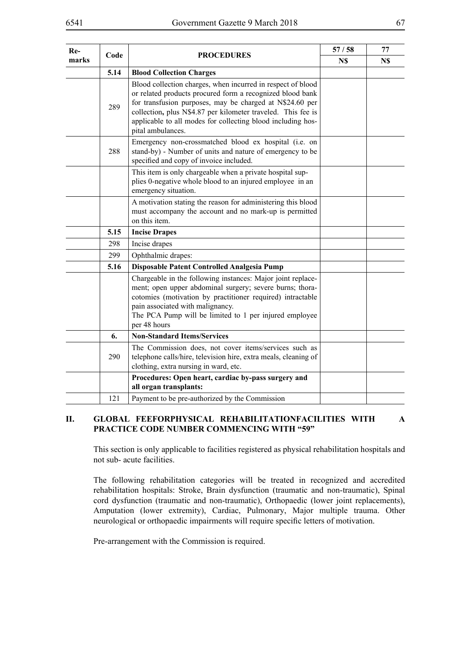| Re-   | Code |                                                                                                                                                                                                                                                                                                                                          | 57/58 | 77  |
|-------|------|------------------------------------------------------------------------------------------------------------------------------------------------------------------------------------------------------------------------------------------------------------------------------------------------------------------------------------------|-------|-----|
| marks |      | <b>PROCEDURES</b>                                                                                                                                                                                                                                                                                                                        | N\$   | N\$ |
|       | 5.14 | <b>Blood Collection Charges</b>                                                                                                                                                                                                                                                                                                          |       |     |
|       | 289  | Blood collection charges, when incurred in respect of blood<br>or related products procured form a recognized blood bank<br>for transfusion purposes, may be charged at N\$24.60 per<br>collection, plus N\$4.87 per kilometer traveled. This fee is<br>applicable to all modes for collecting blood including hos-<br>pital ambulances. |       |     |
|       | 288  | Emergency non-crossmatched blood ex hospital (i.e. on<br>stand-by) - Number of units and nature of emergency to be<br>specified and copy of invoice included.                                                                                                                                                                            |       |     |
|       |      | This item is only chargeable when a private hospital sup-<br>plies 0-negative whole blood to an injured employee in an<br>emergency situation.                                                                                                                                                                                           |       |     |
|       |      | A motivation stating the reason for administering this blood<br>must accompany the account and no mark-up is permitted<br>on this item.                                                                                                                                                                                                  |       |     |
|       | 5.15 | <b>Incise Drapes</b>                                                                                                                                                                                                                                                                                                                     |       |     |
|       | 298  | Incise drapes                                                                                                                                                                                                                                                                                                                            |       |     |
|       | 299  | Ophthalmic drapes:                                                                                                                                                                                                                                                                                                                       |       |     |
|       | 5.16 | Disposable Patent Controlled Analgesia Pump                                                                                                                                                                                                                                                                                              |       |     |
|       |      | Chargeable in the following instances: Major joint replace-<br>ment; open upper abdominal surgery; severe burns; thora-<br>cotomies (motivation by practitioner required) intractable<br>pain associated with malignancy.<br>The PCA Pump will be limited to 1 per injured employee<br>per 48 hours                                      |       |     |
|       | 6.   | <b>Non-Standard Items/Services</b>                                                                                                                                                                                                                                                                                                       |       |     |
|       | 290  | The Commission does, not cover items/services such as<br>telephone calls/hire, television hire, extra meals, cleaning of<br>clothing, extra nursing in ward, etc.                                                                                                                                                                        |       |     |
|       |      | Procedures: Open heart, cardiac by-pass surgery and<br>all organ transplants:                                                                                                                                                                                                                                                            |       |     |
|       | 121  | Payment to be pre-authorized by the Commission                                                                                                                                                                                                                                                                                           |       |     |

#### **II. GLOBAL FEEFORPHYSICAL REHABILITATIONFACILITIES WITH A PRACTICE CODE NUMBER COMMENCING WITH "59"**

This section is only applicable to facilities registered as physical rehabilitation hospitals and not sub- acute facilities.

The following rehabilitation categories will be treated in recognized and accredited rehabilitation hospitals: Stroke, Brain dysfunction (traumatic and non-traumatic), Spinal cord dysfunction (traumatic and non-traumatic), Orthopaedic (lower joint replacements), Amputation (lower extremity), Cardiac, Pulmonary, Major multiple trauma. Other neurological or orthopaedic impairments will require specific letters of motivation.

Pre-arrangement with the Commission is required.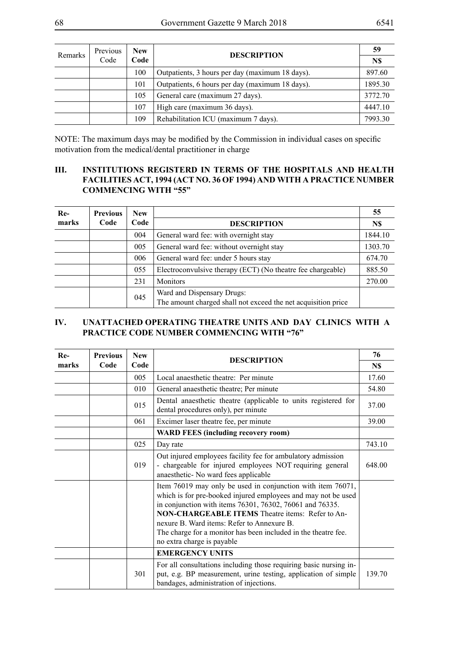| <b>Remarks</b> | Previous | <b>New</b> | <b>DESCRIPTION</b>                              | 59                                             |
|----------------|----------|------------|-------------------------------------------------|------------------------------------------------|
|                | Code     | Code       |                                                 | N\$<br>897.60<br>1895.30<br>3772.70<br>4447.10 |
|                |          | 100        | Outpatients, 3 hours per day (maximum 18 days). |                                                |
|                |          | 101        | Outpatients, 6 hours per day (maximum 18 days). |                                                |
|                |          | 105        | General care (maximum 27 days).                 |                                                |
|                |          | 107        | High care (maximum 36 days).                    |                                                |
|                |          | 109        | Rehabilitation ICU (maximum 7 days).            | 7993.30                                        |

NOTE: The maximum days may be modified by the Commission in individual cases on specific motivation from the medical/dental practitioner in charge

#### **III. INSTITUTIONS REGISTERD IN TERMS OF THE HOSPITALS AND HEALTH FACILITIES ACT, 1994 (ACT NO. 36 OF 1994) AND WITH A PRACTICE NUMBER COMMENCING WITH "55"**

| $Re-$ | <b>Previous</b> | <b>New</b> |                                                                                             | 55      |
|-------|-----------------|------------|---------------------------------------------------------------------------------------------|---------|
| marks | Code            | Code       | <b>DESCRIPTION</b>                                                                          | N\$     |
|       |                 | 004        | General ward fee: with overnight stay                                                       | 1844.10 |
|       |                 | 005        | General ward fee: without overnight stay                                                    | 1303.70 |
|       |                 | 006        | General ward fee: under 5 hours stay                                                        | 674.70  |
|       |                 | 055        | Electroconvulsive therapy (ECT) (No theatre fee chargeable)                                 | 885.50  |
|       |                 | 231        | <b>Monitors</b>                                                                             | 270.00  |
|       |                 | 045        | Ward and Dispensary Drugs:<br>The amount charged shall not exceed the net acquisition price |         |

# **IV. UNATTACHED OPERATING THEATRE UNITS AND DAY CLINICS WITH A PRACTICE CODE NUMBER COMMENCING WITH "76"**

| Re-   | <b>Previous</b> | <b>New</b> | <b>DESCRIPTION</b>                                                                                                                                                                                                                                                                                                                                                                                |        |
|-------|-----------------|------------|---------------------------------------------------------------------------------------------------------------------------------------------------------------------------------------------------------------------------------------------------------------------------------------------------------------------------------------------------------------------------------------------------|--------|
| marks | Code            | Code       |                                                                                                                                                                                                                                                                                                                                                                                                   | N\$    |
|       |                 | 005        | Local anaesthetic theatre: Per minute                                                                                                                                                                                                                                                                                                                                                             | 17.60  |
|       |                 | 010        | General anaesthetic theatre; Per minute                                                                                                                                                                                                                                                                                                                                                           | 54.80  |
|       |                 | 015        | Dental anaesthetic theatre (applicable to units registered for<br>dental procedures only), per minute                                                                                                                                                                                                                                                                                             | 37.00  |
|       |                 | 061        | Excimer laser theatre fee, per minute                                                                                                                                                                                                                                                                                                                                                             | 39.00  |
|       |                 |            | <b>WARD FEES (including recovery room)</b>                                                                                                                                                                                                                                                                                                                                                        |        |
|       |                 | 025        | Day rate                                                                                                                                                                                                                                                                                                                                                                                          | 743.10 |
|       |                 | 019        | Out injured employees facility fee for ambulatory admission<br>- chargeable for injured employees NOT requiring general<br>anaesthetic- No ward fees applicable                                                                                                                                                                                                                                   | 648.00 |
|       |                 |            | Item 76019 may only be used in conjunction with item 76071,<br>which is for pre-booked injured employees and may not be used<br>in conjunction with items 76301, 76302, 76061 and 76335.<br><b>NON-CHARGEABLE ITEMS</b> Theatre items: Refer to An-<br>nexure B. Ward items: Refer to Annexure B.<br>The charge for a monitor has been included in the theatre fee.<br>no extra charge is payable |        |
|       |                 |            | <b>EMERGENCY UNITS</b>                                                                                                                                                                                                                                                                                                                                                                            |        |
|       |                 | 301        | For all consultations including those requiring basic nursing in-<br>put, e.g. BP measurement, urine testing, application of simple<br>bandages, administration of injections.                                                                                                                                                                                                                    | 139.70 |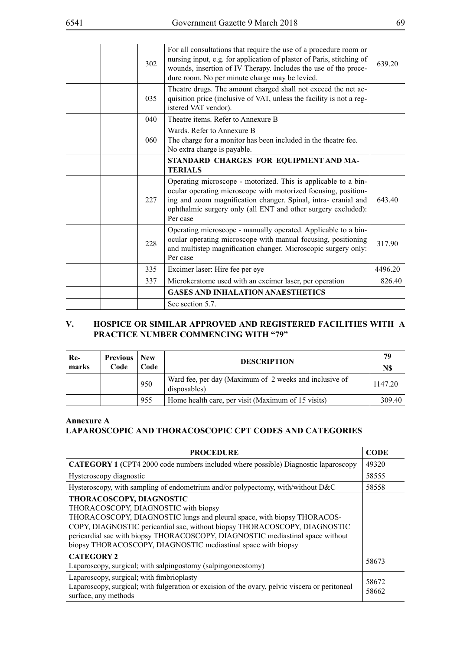|  | 302 | For all consultations that require the use of a procedure room or<br>nursing input, e.g. for application of plaster of Paris, stitching of<br>wounds, insertion of IV Therapy. Includes the use of the proce-<br>dure room. No per minute charge may be levied.                 | 639.20  |
|--|-----|---------------------------------------------------------------------------------------------------------------------------------------------------------------------------------------------------------------------------------------------------------------------------------|---------|
|  | 035 | Theatre drugs. The amount charged shall not exceed the net ac-<br>quisition price (inclusive of VAT, unless the facility is not a reg-<br>istered VAT vendor).                                                                                                                  |         |
|  | 040 | Theatre items. Refer to Annexure B                                                                                                                                                                                                                                              |         |
|  | 060 | Wards. Refer to Annexure B<br>The charge for a monitor has been included in the theatre fee.<br>No extra charge is payable.                                                                                                                                                     |         |
|  |     | STANDARD CHARGES FOR EQUIPMENT AND MA-<br><b>TERIALS</b>                                                                                                                                                                                                                        |         |
|  | 227 | Operating microscope - motorized. This is applicable to a bin-<br>ocular operating microscope with motorized focusing, position-<br>ing and zoom magnification changer. Spinal, intra- cranial and<br>ophthalmic surgery only (all ENT and other surgery excluded):<br>Per case | 643.40  |
|  | 228 | Operating microscope - manually operated. Applicable to a bin-<br>ocular operating microscope with manual focusing, positioning<br>and multistep magnification changer. Microscopic surgery only:<br>Per case                                                                   | 317.90  |
|  | 335 | Excimer laser: Hire fee per eye                                                                                                                                                                                                                                                 | 4496.20 |
|  | 337 | Microkeratome used with an excimer laser, per operation                                                                                                                                                                                                                         | 826.40  |
|  |     | <b>GASES AND INHALATION ANAESTHETICS</b>                                                                                                                                                                                                                                        |         |
|  |     | See section 5.7.                                                                                                                                                                                                                                                                |         |

### **V. HOSPICE OR SIMILAR APPROVED AND REGISTERED FACILITIES WITH A PRACTICE NUMBER COMMENCING WITH "79"**

| Re-<br>marks | <b>Previous</b> New<br>Code | Code | <b>DESCRIPTION</b>                                                     | 79<br>N\$ |
|--------------|-----------------------------|------|------------------------------------------------------------------------|-----------|
|              |                             | 950  | Ward fee, per day (Maximum of 2 weeks and inclusive of<br>disposables) | 1147.20   |
|              |                             | 955  | Home health care, per visit (Maximum of 15 visits)                     | 309.40    |

### **Annexure A LAPAROSCOPIC AND THORACOSCOPIC CPT CODES AND CATEGORIES**

| <b>PROCEDURE</b>                                                                                                                                                                                                                                                                                                                                                            |                |  |  |  |
|-----------------------------------------------------------------------------------------------------------------------------------------------------------------------------------------------------------------------------------------------------------------------------------------------------------------------------------------------------------------------------|----------------|--|--|--|
| <b>CATEGORY 1 (CPT4 2000 code numbers included where possible) Diagnostic laparoscopy</b>                                                                                                                                                                                                                                                                                   |                |  |  |  |
| Hysteroscopy diagnostic                                                                                                                                                                                                                                                                                                                                                     |                |  |  |  |
| Hysteroscopy, with sampling of endometrium and/or polypectomy, with/without D&C                                                                                                                                                                                                                                                                                             |                |  |  |  |
| THORACOSCOPY, DIAGNOSTIC<br>THORACOSCOPY, DIAGNOSTIC with biopsy<br>THORACOSCOPY, DIAGNOSTIC lungs and pleural space, with biopsy THORACOS-<br>COPY, DIAGNOSTIC pericardial sac, without biopsy THORACOSCOPY, DIAGNOSTIC<br>pericardial sac with biopsy THORACOSCOPY, DIAGNOSTIC mediastinal space without<br>biopsy THORACOSCOPY, DIAGNOSTIC mediastinal space with biopsy |                |  |  |  |
| <b>CATEGORY 2</b><br>Laparoscopy, surgical; with salpingostomy (salpingoneostomy)                                                                                                                                                                                                                                                                                           | 58673          |  |  |  |
| Laparoscopy, surgical; with fimbrioplasty<br>Laparoscopy, surgical; with fulgeration or excision of the ovary, pelvic viscera or peritoneal<br>surface, any methods                                                                                                                                                                                                         | 58672<br>58662 |  |  |  |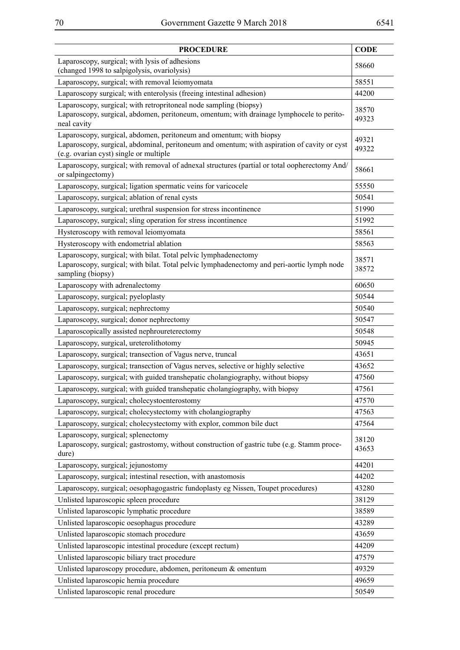| <b>PROCEDURE</b>                                                                                                                                                                                             |                |  |  |  |
|--------------------------------------------------------------------------------------------------------------------------------------------------------------------------------------------------------------|----------------|--|--|--|
| Laparoscopy, surgical; with lysis of adhesions<br>(changed 1998 to salpigolysis, ovariolysis)                                                                                                                |                |  |  |  |
| Laparoscopy, surgical; with removal leiomyomata                                                                                                                                                              |                |  |  |  |
| Laparoscopy surgical; with enterolysis (freeing intestinal adhesion)                                                                                                                                         | 44200          |  |  |  |
| Laparoscopy, surgical; with retropritoneal node sampling (biopsy)<br>Laparoscopy, surgical, abdomen, peritoneum, omentum; with drainage lymphocele to perito-<br>neal cavity                                 |                |  |  |  |
| Laparoscopy, surgical, abdomen, peritoneum and omentum; with biopsy<br>Laparoscopy, surgical, abdominal, peritoneum and omentum; with aspiration of cavity or cyst<br>(e.g. ovarian cyst) single or multiple |                |  |  |  |
| Laparoscopy, surgical; with removal of adnexal structures (partial or total oopherectomy And/<br>or salpingectomy)                                                                                           |                |  |  |  |
| Laparoscopy, surgical; ligation spermatic veins for varicocele                                                                                                                                               | 55550          |  |  |  |
| Laparoscopy, surgical; ablation of renal cysts                                                                                                                                                               | 50541          |  |  |  |
| Laparoscopy, surgical; urethral suspension for stress incontinence                                                                                                                                           | 51990          |  |  |  |
| Laparoscopy, surgical; sling operation for stress incontinence                                                                                                                                               | 51992          |  |  |  |
| Hysteroscopy with removal leiomyomata                                                                                                                                                                        | 58561          |  |  |  |
| Hysteroscopy with endometrial ablation                                                                                                                                                                       | 58563          |  |  |  |
| Laparoscopy, surgical; with bilat. Total pelvic lymphadenectomy<br>Laparoscopy, surgical; with bilat. Total pelvic lymphadenectomy and peri-aortic lymph node<br>sampling (biopsy)                           | 38571<br>38572 |  |  |  |
| Laparoscopy with adrenalectomy                                                                                                                                                                               | 60650          |  |  |  |
| Laparoscopy, surgical; pyeloplasty                                                                                                                                                                           | 50544          |  |  |  |
| Laparoscopy, surgical; nephrectomy                                                                                                                                                                           | 50540          |  |  |  |
| Laparoscopy, surgical; donor nephrectomy                                                                                                                                                                     | 50547          |  |  |  |
| Laparoscopically assisted nephroureterectomy                                                                                                                                                                 | 50548          |  |  |  |
| Laparoscopy, surgical, ureterolithotomy                                                                                                                                                                      | 50945          |  |  |  |
| Laparoscopy, surgical; transection of Vagus nerve, truncal                                                                                                                                                   | 43651          |  |  |  |
| Laparoscopy, surgical; transection of Vagus nerves, selective or highly selective                                                                                                                            | 43652          |  |  |  |
| Laparoscopy, surgical; with guided transhepatic cholangiography, without biopsy                                                                                                                              | 47560          |  |  |  |
| Laparoscopy, surgical; with guided transhepatic cholangiography, with biopsy                                                                                                                                 | 47561          |  |  |  |
| Laparoscopy, surgical; cholecystoenterostomy                                                                                                                                                                 | 47570          |  |  |  |
| Laparoscopy, surgical; cholecystectomy with cholangiography                                                                                                                                                  | 47563          |  |  |  |
| Laparoscopy, surgical; cholecystectomy with explor, common bile duct                                                                                                                                         | 47564          |  |  |  |
| Laparoscopy, surgical; splenectomy<br>Laparoscopy, surgical; gastrostomy, without construction of gastric tube (e.g. Stamm proce-<br>dure)                                                                   | 38120<br>43653 |  |  |  |
| Laparoscopy, surgical; jejunostomy                                                                                                                                                                           | 44201          |  |  |  |
| Laparoscopy, surgical; intestinal resection, with anastomosis                                                                                                                                                | 44202          |  |  |  |
| Laparoscopy, surgical; oesophagogastric fundoplasty eg Nissen, Toupet procedures)                                                                                                                            | 43280          |  |  |  |
| Unlisted laparoscopic spleen procedure                                                                                                                                                                       | 38129          |  |  |  |
| Unlisted laparoscopic lymphatic procedure                                                                                                                                                                    | 38589          |  |  |  |
| Unlisted laparoscopic oesophagus procedure                                                                                                                                                                   | 43289          |  |  |  |
| Unlisted laparoscopic stomach procedure                                                                                                                                                                      | 43659          |  |  |  |
| Unlisted laparoscopic intestinal procedure (except rectum)                                                                                                                                                   | 44209          |  |  |  |
| Unlisted laparoscopic biliary tract procedure                                                                                                                                                                | 47579          |  |  |  |
| Unlisted laparoscopy procedure, abdomen, peritoneum & omentum                                                                                                                                                | 49329          |  |  |  |
| Unlisted laparoscopic hernia procedure                                                                                                                                                                       | 49659          |  |  |  |
| Unlisted laparoscopic renal procedure                                                                                                                                                                        | 50549          |  |  |  |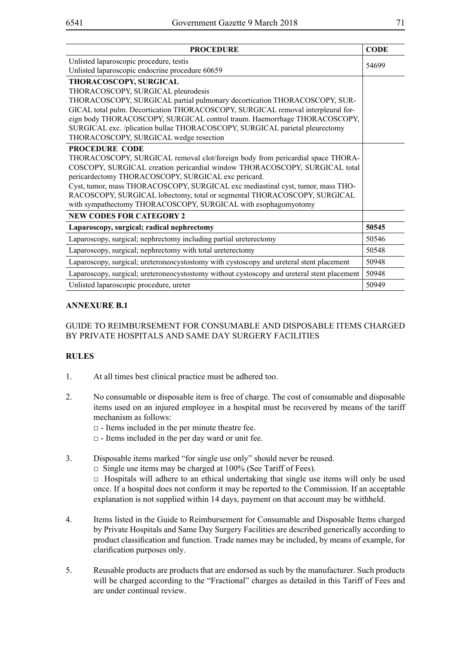| <b>PROCEDURE</b>                                                                                                                           |       |  |  |  |
|--------------------------------------------------------------------------------------------------------------------------------------------|-------|--|--|--|
| Unlisted laparoscopic procedure, testis                                                                                                    |       |  |  |  |
| Unlisted laparoscopic endocrine procedure 60659                                                                                            |       |  |  |  |
| THORACOSCOPY, SURGICAL                                                                                                                     |       |  |  |  |
| THORACOSCOPY, SURGICAL pleurodesis                                                                                                         |       |  |  |  |
| THORACOSCOPY, SURGICAL partial pulmonary decortication THORACOSCOPY, SUR-                                                                  |       |  |  |  |
| GICAL total pulm. Decortication THORACOSCOPY, SURGICAL removal interpleural for-                                                           |       |  |  |  |
| eign body THORACOSCOPY, SURGICAL control traum. Haemorrhage THORACOSCOPY,                                                                  |       |  |  |  |
| SURGICAL exc. /plication bullae THORACOSCOPY, SURGICAL parietal pleurectomy                                                                |       |  |  |  |
| THORACOSCOPY, SURGICAL wedge resection                                                                                                     |       |  |  |  |
| <b>PROCEDURE CODE</b>                                                                                                                      |       |  |  |  |
| THORACOSCOPY, SURGICAL removal clot/foreign body from pericardial space THORA-                                                             |       |  |  |  |
| COSCOPY, SURGICAL creation pericardial window THORACOSCOPY, SURGICAL total                                                                 |       |  |  |  |
| pericardectomy THORACOSCOPY, SURGICAL exc pericard.                                                                                        |       |  |  |  |
| Cyst, tumor, mass THORACOSCOPY, SURGICAL exc mediastinal cyst, tumor, mass THO-                                                            |       |  |  |  |
| RACOSCOPY, SURGICAL lobectomy, total or segmental THORACOSCOPY, SURGICAL<br>with sympathectomy THORACOSCOPY, SURGICAL with esophagomyotomy |       |  |  |  |
|                                                                                                                                            |       |  |  |  |
| <b>NEW CODES FOR CATEGORY 2</b>                                                                                                            |       |  |  |  |
| Laparoscopy, surgical; radical nephrectomy                                                                                                 | 50545 |  |  |  |
| Laparoscopy, surgical; nephrectomy including partial ureterectomy                                                                          | 50546 |  |  |  |
| Laparoscopy, surgical; nephrectomy with total ureterectomy                                                                                 | 50548 |  |  |  |
| Laparoscopy, surgical; ureteroneocystostomy with cystoscopy and ureteral stent placement                                                   | 50948 |  |  |  |
| Laparoscopy, surgical; ureteroneocystostomy without cystoscopy and ureteral stent placement                                                | 50948 |  |  |  |
| Unlisted laparoscopic procedure, ureter                                                                                                    |       |  |  |  |

### **ANNEXURE B.1**

#### GUIDE TO REIMBURSEMENT FOR CONSUMABLE AND DISPOSABLE ITEMS CHARGED BY PRIVATE HOSPITALS AND SAME DAY SURGERY FACILITIES

#### **RULES**

- 1. At all times best clinical practice must be adhered too.
- 2. No consumable or disposable item is free of charge. The cost of consumable and disposable items used on an injured employee in a hospital must be recovered by means of the tariff mechanism as follows:

 $\Box$  - Items included in the per minute theatre fee.

- $\Box$  Items included in the per day ward or unit fee.
- 3. Disposable items marked "for single use only" should never be reused.
	- $\Box$  Single use items may be charged at 100% (See Tariff of Fees).

 $\Box$  Hospitals will adhere to an ethical undertaking that single use items will only be used once. If a hospital does not conform it may be reported to the Commission. If an acceptable explanation is not supplied within 14 days, payment on that account may be withheld.

- 4. Items listed in the Guide to Reimbursement for Consumable and Disposable Items charged by Private Hospitals and Same Day Surgery Facilities are described generically according to product classification and function. Trade names may be included, by means of example, for clarification purposes only.
- 5. Reusable products are products that are endorsed as such by the manufacturer. Such products will be charged according to the "Fractional" charges as detailed in this Tariff of Fees and are under continual review.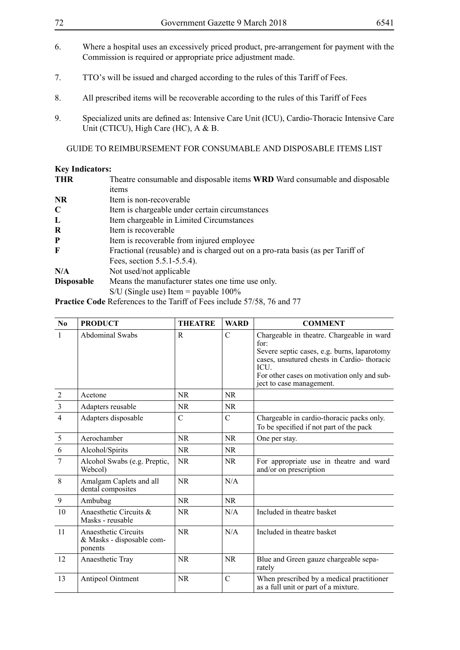| 72                | Government Gazette 9 March 2018<br>6541                                                                                                                   |  |  |  |  |
|-------------------|-----------------------------------------------------------------------------------------------------------------------------------------------------------|--|--|--|--|
| 6.                | Where a hospital uses an excessively priced product, pre-arrangement for payment with the<br>Commission is required or appropriate price adjustment made. |  |  |  |  |
| 7.                | TTO's will be issued and charged according to the rules of this Tariff of Fees.                                                                           |  |  |  |  |
| 8.                | All prescribed items will be recoverable according to the rules of this Tariff of Fees                                                                    |  |  |  |  |
| 9.                | Specialized units are defined as: Intensive Care Unit (ICU), Cardio-Thoracic Intensive Care<br>Unit (CTICU), High Care (HC), A & B.                       |  |  |  |  |
|                   | <b>GUIDE TO REIMBURSEMENT FOR CONSUMABLE AND DISPOSABLE ITEMS LIST</b>                                                                                    |  |  |  |  |
|                   | <b>Key Indicators:</b>                                                                                                                                    |  |  |  |  |
| <b>THR</b>        | Theatre consumable and disposable items WRD Ward consumable and disposable<br>items                                                                       |  |  |  |  |
| <b>NR</b>         | Item is non-recoverable.                                                                                                                                  |  |  |  |  |
| $\mathbf C$       | Item is chargeable under certain circumstances                                                                                                            |  |  |  |  |
| $\mathbf{L}$      | Item chargeable in Limited Circumstances                                                                                                                  |  |  |  |  |
| $\bf R$           | Item is recoverable                                                                                                                                       |  |  |  |  |
| ${\bf P}$         | Item is recoverable from injured employee                                                                                                                 |  |  |  |  |
| F                 | Fractional (reusable) and is charged out on a pro-rata basis (as per Tariff of                                                                            |  |  |  |  |
|                   | Fees, section 5.5.1-5.5.4).                                                                                                                               |  |  |  |  |
| N/A               | Not used/not applicable                                                                                                                                   |  |  |  |  |
| <b>Disposable</b> | Means the manufacturer states one time use only.                                                                                                          |  |  |  |  |
|                   | $S/U$ (Single use) Item = payable 100%                                                                                                                    |  |  |  |  |

**Practice Code** References to the Tariff of Fees include 57/58, 76 and 77

| No             | <b>PRODUCT</b>                                               | <b>THEATRE</b> | <b>WARD</b>   | <b>COMMENT</b>                                                                                                                                                                                                                    |
|----------------|--------------------------------------------------------------|----------------|---------------|-----------------------------------------------------------------------------------------------------------------------------------------------------------------------------------------------------------------------------------|
| $\mathbf{1}$   | <b>Abdominal Swabs</b>                                       | R              | $\mathcal{C}$ | Chargeable in theatre. Chargeable in ward<br>for:<br>Severe septic cases, e.g. burns, laparotomy<br>cases, unsutured chests in Cardio-thoracic<br>ICU.<br>For other cases on motivation only and sub-<br>ject to case management. |
| $\overline{2}$ | Acetone                                                      | <b>NR</b>      | NR.           |                                                                                                                                                                                                                                   |
| $\mathfrak{Z}$ | Adapters reusable                                            | NR.            | NR.           |                                                                                                                                                                                                                                   |
| $\overline{4}$ | Adapters disposable                                          | $\mathcal{C}$  | $\mathcal{C}$ | Chargeable in cardio-thoracic packs only.<br>To be specified if not part of the pack                                                                                                                                              |
| $\sqrt{5}$     | Aerochamber                                                  | <b>NR</b>      | <b>NR</b>     | One per stay.                                                                                                                                                                                                                     |
| 6              | Alcohol/Spirits                                              | <b>NR</b>      | NR.           |                                                                                                                                                                                                                                   |
| 7              | Alcohol Swabs (e.g. Preptic,<br>Webcol)                      | <b>NR</b>      | NR.           | For appropriate use in the atre and ward<br>and/or on prescription                                                                                                                                                                |
| 8              | Amalgam Caplets and all<br>dental composites                 | <b>NR</b>      | N/A           |                                                                                                                                                                                                                                   |
| $\overline{9}$ | Ambubag                                                      | <b>NR</b>      | NR            |                                                                                                                                                                                                                                   |
| 10             | Anaesthetic Circuits &<br>Masks - reusable                   | <b>NR</b>      | N/A           | Included in theatre basket                                                                                                                                                                                                        |
| 11             | Anaesthetic Circuits<br>& Masks - disposable com-<br>ponents | <b>NR</b>      | N/A           | Included in theatre basket                                                                                                                                                                                                        |
| 12             | Anaesthetic Tray                                             | <b>NR</b>      | <b>NR</b>     | Blue and Green gauze chargeable sepa-<br>rately                                                                                                                                                                                   |
| 13             | Antipeol Ointment                                            | <b>NR</b>      | $\mathcal{C}$ | When prescribed by a medical practitioner<br>as a full unit or part of a mixture.                                                                                                                                                 |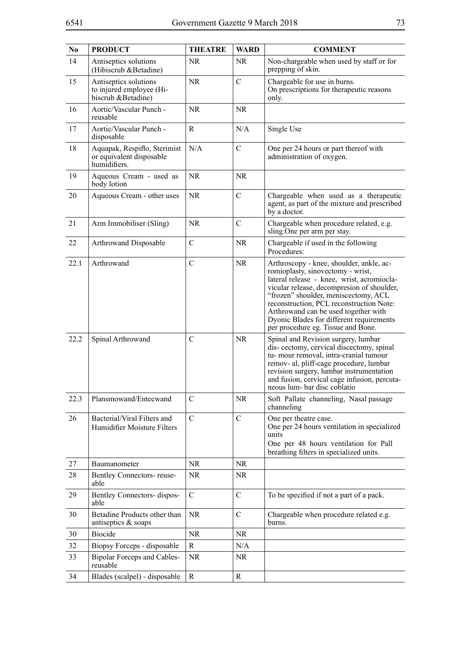| N <sub>0</sub> | <b>PRODUCT</b>                                                           | <b>THEATRE</b> | <b>WARD</b>   | <b>COMMENT</b>                                                                                                                                                                                                                                                                                                                                                                          |
|----------------|--------------------------------------------------------------------------|----------------|---------------|-----------------------------------------------------------------------------------------------------------------------------------------------------------------------------------------------------------------------------------------------------------------------------------------------------------------------------------------------------------------------------------------|
| 14             | Antiseptics solutions<br>(Hibiscrub & Betadine)                          | <b>NR</b>      | <b>NR</b>     | Non-chargeable when used by staff or for<br>prepping of skin.                                                                                                                                                                                                                                                                                                                           |
| 15             | Antiseptics solutions<br>to injured employee (Hi-<br>biscrub &Betadine)  | <b>NR</b>      | $\mathcal{C}$ | Chargeable for use in burns.<br>On prescriptions for therapeutic reasons<br>only.                                                                                                                                                                                                                                                                                                       |
| 16             | Aortic/Vascular Punch -<br>reusable                                      | <b>NR</b>      | <b>NR</b>     |                                                                                                                                                                                                                                                                                                                                                                                         |
| 17             | Aortic/Vascular Punch -<br>disposable                                    | R              | N/A           | Single Use                                                                                                                                                                                                                                                                                                                                                                              |
| 18             | Aquapak, Respiflo, Sterimist<br>or equivalent disposable<br>humidifiers. | N/A            | $\mathcal{C}$ | One per 24 hours or part thereof with<br>administration of oxygen.                                                                                                                                                                                                                                                                                                                      |
| 19             | Aqueous Cream - used as<br>body lotion                                   | <b>NR</b>      | <b>NR</b>     |                                                                                                                                                                                                                                                                                                                                                                                         |
| 20             | Aqueous Cream - other uses                                               | <b>NR</b>      | $\mathcal{C}$ | Chargeable when used as a therapeutic<br>agent, as part of the mixture and prescribed<br>by a doctor.                                                                                                                                                                                                                                                                                   |
| 21             | Arm Immobiliser (Sling)                                                  | <b>NR</b>      | $\mathcal{C}$ | Chargeable when procedure related, e.g.<br>sling. One per arm per stay.                                                                                                                                                                                                                                                                                                                 |
| 22             | Arthrowand Disposable                                                    | $\mathcal{C}$  | <b>NR</b>     | Chargeable if used in the following<br>Procedures:                                                                                                                                                                                                                                                                                                                                      |
| 22.1           | Arthrowand                                                               | $\mathcal{C}$  | <b>NR</b>     | Arthroscopy - knee, shoulder, ankle, ac-<br>romioplasty, sinovectomy - wrist,<br>lateral release - knee, wrist, acromiocla-<br>vicular release, decompresion of shoulder,<br>"frozen" shoulder, meniscectomy, ACL<br>reconstruction, PCL reconstruction Note:<br>Arthrowand can be used together with<br>Dyonic Blades for different requirements<br>per procedure eg. Tissue and Bone. |
| 22.2           | Spinal Arthrowand                                                        | $\mathcal{C}$  | <b>NR</b>     | Spinal and Revision surgery, lumbar<br>dis- cectomy, cervical discectomy, spinal<br>tu- mour removal, intra-cranial tumour<br>remov- al, pliff-cage procedure, lumbar<br>revision surgery, lumbar instrumentation<br>and fusion, cervical cage infusion, percuta-<br>neous lum-bar disc coblatio                                                                                        |
| 22.3           | Plansmowand/Entecwand                                                    | $\mathcal{C}$  | <b>NR</b>     | Soft Pallate channeling, Nasal passage<br>channeling                                                                                                                                                                                                                                                                                                                                    |
| 26             | Bacterial/Viral Filters and<br>Humidifier Moisture Filters               | $\mathcal{C}$  | $\mathcal{C}$ | One per theatre case.<br>One per 24 hours ventilation in specialized<br>units<br>One per 48 hours ventilation for Pall<br>breathing filters in specialized units.                                                                                                                                                                                                                       |
| 27             | Baumanometer                                                             | <b>NR</b>      | <b>NR</b>     |                                                                                                                                                                                                                                                                                                                                                                                         |
| 28             | Bentley Connectors-reuse-<br>able                                        | NR             | NR.           |                                                                                                                                                                                                                                                                                                                                                                                         |
| 29             | Bentley Connectors- dispos-<br>able                                      | $\mathcal{C}$  | $\mathcal{C}$ | To be specified if not a part of a pack.                                                                                                                                                                                                                                                                                                                                                |
| 30             | Betadine Products other than<br>antiseptics & soaps                      | <b>NR</b>      | $\mathcal{C}$ | Chargeable when procedure related e.g.<br>burns.                                                                                                                                                                                                                                                                                                                                        |
| 30             | <b>Biocide</b>                                                           | <b>NR</b>      | <b>NR</b>     |                                                                                                                                                                                                                                                                                                                                                                                         |
| 32             | Biopsy Forceps - disposable                                              | $\mathbf R$    | N/A           |                                                                                                                                                                                                                                                                                                                                                                                         |
| 33             | <b>Bipolar Forceps and Cables-</b><br>reusable                           | <b>NR</b>      | NR.           |                                                                                                                                                                                                                                                                                                                                                                                         |
| 34             | Blades (scalpel) - disposable                                            | R              | $\mathbf R$   |                                                                                                                                                                                                                                                                                                                                                                                         |
|                |                                                                          |                |               |                                                                                                                                                                                                                                                                                                                                                                                         |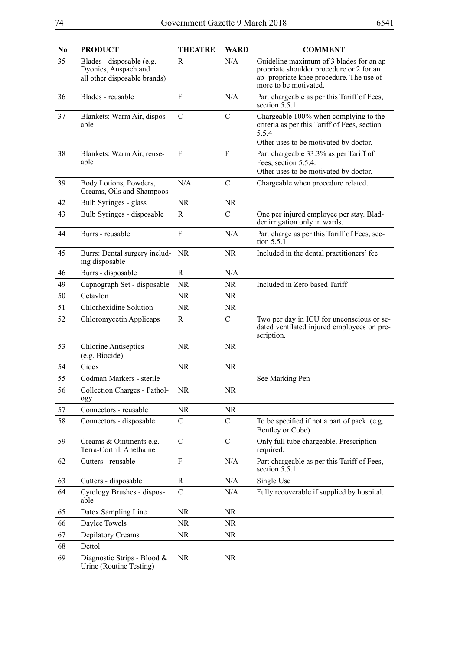| N <sub>0</sub> | <b>PRODUCT</b>                                                                    | <b>THEATRE</b> | <b>WARD</b>   | <b>COMMENT</b>                                                                                                                                            |
|----------------|-----------------------------------------------------------------------------------|----------------|---------------|-----------------------------------------------------------------------------------------------------------------------------------------------------------|
| 35             | Blades - disposable (e.g.<br>Dyonics, Anspach and<br>all other disposable brands) | R              | N/A           | Guideline maximum of 3 blades for an ap-<br>propriate shoulder procedure or 2 for an<br>ap- propriate knee procedure. The use of<br>more to be motivated. |
| 36             | Blades - reusable                                                                 | F              | N/A           | Part chargeable as per this Tariff of Fees,<br>section 5.5.1                                                                                              |
| 37             | Blankets: Warm Air, dispos-<br>able                                               | $\mathcal{C}$  | $\mathcal{C}$ | Chargeable 100% when complying to the<br>criteria as per this Tariff of Fees, section<br>5.5.4<br>Other uses to be motivated by doctor.                   |
| 38             | Blankets: Warm Air, reuse-<br>able                                                | F              | F             | Part chargeable 33.3% as per Tariff of<br>Fees, section 5.5.4.<br>Other uses to be motivated by doctor.                                                   |
| 39             | Body Lotions, Powders,<br>Creams, Oils and Shampoos                               | N/A            | $\mathcal{C}$ | Chargeable when procedure related.                                                                                                                        |
| 42             | Bulb Syringes - glass                                                             | <b>NR</b>      | <b>NR</b>     |                                                                                                                                                           |
| 43             | Bulb Syringes - disposable                                                        | R              | $\mathsf{C}$  | One per injured employee per stay. Blad-<br>der irrigation only in wards.                                                                                 |
| 44             | Burrs - reusable                                                                  | $\mathbf{F}$   | N/A           | Part charge as per this Tariff of Fees, sec-<br>tion $5.5.\overline{1}$                                                                                   |
| 45             | Burrs: Dental surgery includ-<br>ing disposable                                   | <b>NR</b>      | <b>NR</b>     | Included in the dental practitioners' fee                                                                                                                 |
| 46             | Burrs - disposable                                                                | R              | N/A           |                                                                                                                                                           |
| 49             | Capnograph Set - disposable                                                       | <b>NR</b>      | <b>NR</b>     | Included in Zero based Tariff                                                                                                                             |
| 50             | Cetavlon                                                                          | <b>NR</b>      | <b>NR</b>     |                                                                                                                                                           |
| 51             | Chlorhexidine Solution                                                            | <b>NR</b>      | <b>NR</b>     |                                                                                                                                                           |
| 52             | Chloromycetin Applicaps                                                           | R              | $\mathcal{C}$ | Two per day in ICU for unconscious or se-<br>dated ventilated injured employees on pre-<br>scription.                                                     |
| 53             | <b>Chlorine Antiseptics</b><br>(e.g. Biocide)                                     | <b>NR</b>      | <b>NR</b>     |                                                                                                                                                           |
| 54             | Cidex                                                                             | <b>NR</b>      | <b>NR</b>     |                                                                                                                                                           |
| 55             | Codman Markers - sterile                                                          |                |               | See Marking Pen                                                                                                                                           |
| 56             | Collection Charges - Pathol-<br>ogy                                               | <b>NR</b>      | <b>NR</b>     |                                                                                                                                                           |
| 57             | Connectors - reusable                                                             | <b>NR</b>      | <b>NR</b>     |                                                                                                                                                           |
| 58             | Connectors - disposable                                                           | $\mathcal{C}$  | $\mathcal{C}$ | To be specified if not a part of pack. (e.g.<br>Bentley or Cobe)                                                                                          |
| 59             | Creams & Ointments e.g.<br>Terra-Cortril, Anethaine                               | $\mathcal{C}$  | $\mathcal{C}$ | Only full tube chargeable. Prescription<br>required.                                                                                                      |
| 62             | Cutters - reusable                                                                | $\mathbf{F}$   | N/A           | Part chargeable as per this Tariff of Fees,<br>section 5.5.1                                                                                              |
| 63             | Cutters - disposable                                                              | R              | N/A           | Single Use                                                                                                                                                |
| 64             | Cytology Brushes - dispos-<br>able                                                | $\mathbf C$    | N/A           | Fully recoverable if supplied by hospital.                                                                                                                |
| 65             | Datex Sampling Line                                                               | <b>NR</b>      | <b>NR</b>     |                                                                                                                                                           |
| 66             | Daylee Towels                                                                     | NR.            | NR.           |                                                                                                                                                           |
| 67             | Depilatory Creams                                                                 | <b>NR</b>      | <b>NR</b>     |                                                                                                                                                           |
| 68             | Dettol                                                                            |                |               |                                                                                                                                                           |
| 69             | Diagnostic Strips - Blood &<br>Urine (Routine Testing)                            | <b>NR</b>      | <b>NR</b>     |                                                                                                                                                           |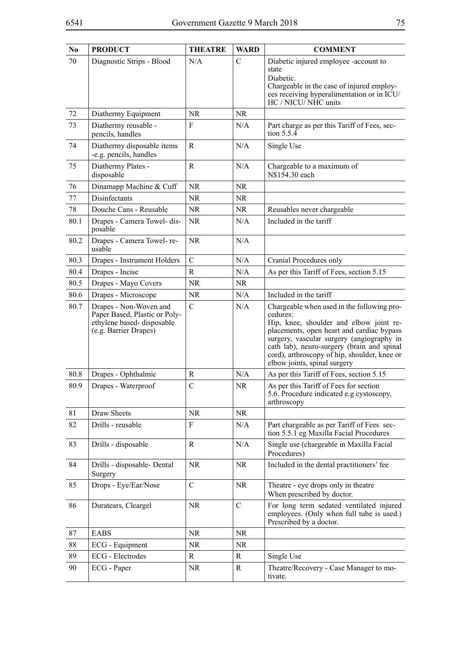| N <sub>0</sub> | <b>PRODUCT</b>                                                                                                | <b>THEATRE</b> | <b>WARD</b>   | <b>COMMENT</b>                                                                                                                                                                                                                                                                                                            |
|----------------|---------------------------------------------------------------------------------------------------------------|----------------|---------------|---------------------------------------------------------------------------------------------------------------------------------------------------------------------------------------------------------------------------------------------------------------------------------------------------------------------------|
| 70             | Diagnostic Strips - Blood                                                                                     | N/A            | C             | Diabetic injured employee -account to<br>state<br>Diabetic.<br>Chargeable in the case of injured employ-<br>ees receiving hyperalimentation or in ICU/<br>HC / NICU/NHC units                                                                                                                                             |
| 72             | Diathermy Equipment                                                                                           | <b>NR</b>      | <b>NR</b>     |                                                                                                                                                                                                                                                                                                                           |
| 73             | Diathermy reusable -<br>pencils, handles                                                                      | F              | N/A           | Part charge as per this Tariff of Fees, sec-<br>tion 5.5.4                                                                                                                                                                                                                                                                |
| 74             | Diathermy disposable items<br>-e.g. pencils, handles                                                          | $\mathbf R$    | N/A           | Single Use                                                                                                                                                                                                                                                                                                                |
| 75             | Diathermy Plates -<br>disposable                                                                              | $\mathbf R$    | N/A           | Chargeable to a maximum of<br>N\$154.30 each                                                                                                                                                                                                                                                                              |
| 76             | Dinamapp Machine & Cuff                                                                                       | <b>NR</b>      | NR            |                                                                                                                                                                                                                                                                                                                           |
| 77             | Disinfectants                                                                                                 | NR.            | <b>NR</b>     |                                                                                                                                                                                                                                                                                                                           |
| 78             | Douche Cans - Reusable                                                                                        | <b>NR</b>      | NR            | Reusables never chargeable                                                                                                                                                                                                                                                                                                |
| 80.1           | Drapes - Camera Towel- dis-<br>posable                                                                        | <b>NR</b>      | N/A           | Included in the tariff                                                                                                                                                                                                                                                                                                    |
| 80.2           | Drapes - Camera Towel- re-<br>usable                                                                          | <b>NR</b>      | N/A           |                                                                                                                                                                                                                                                                                                                           |
| 80.3           | Drapes - Instrument Holders                                                                                   | $\mathbf C$    | N/A           | Cranial Procedures only                                                                                                                                                                                                                                                                                                   |
| 80.4           | Drapes - Incise                                                                                               | R              | N/A           | As per this Tariff of Fees, section 5.15                                                                                                                                                                                                                                                                                  |
| 80.5           | Drapes - Mayo Covers                                                                                          | NR.            | NR            |                                                                                                                                                                                                                                                                                                                           |
| 80.6           | Drapes - Microscope                                                                                           | <b>NR</b>      | N/A           | Included in the tariff                                                                                                                                                                                                                                                                                                    |
| 80.7           | Drapes - Non-Woven and<br>Paper Based, Plastic or Poly-<br>ethylene based-disposable<br>(e.g. Barrier Drapes) | $\mathcal{C}$  | N/A           | Chargeable when used in the following pro-<br>cedures:<br>Hip, knee, shoulder and elbow joint re-<br>placements, open heart and cardiac bypass<br>surgery, vascular surgery (angiography in<br>cath lab), neuro-surgery (brain and spinal<br>cord), arthroscopy of hip, shoulder, knee or<br>elbow joints, spinal surgery |
| 80.8           | Drapes - Ophthalmic                                                                                           | R              | N/A           | As per this Tariff of Fees, section 5.15                                                                                                                                                                                                                                                                                  |
| 80.9           | Drapes - Waterproof                                                                                           | $\mathcal{C}$  | NR.           | As per this Tariff of Fees for section<br>5.6. Procedure indicated e.g cystoscopy,<br>arthroscopy                                                                                                                                                                                                                         |
| 81             | Draw Sheets                                                                                                   | NR             | NR            |                                                                                                                                                                                                                                                                                                                           |
| 82             | Drills - reusable                                                                                             | F              | N/A           | Part chargeable as per Tariff of Fees sec-<br>tion 5.5.1 eg Maxilla Facial Procedures                                                                                                                                                                                                                                     |
| 83             | Drills - disposable                                                                                           | R              | N/A           | Single use (chargeable in Maxilla Facial<br>Procedures)                                                                                                                                                                                                                                                                   |
| 84             | Drills - disposable- Dental<br>Surgery                                                                        | <b>NR</b>      | <b>NR</b>     | Included in the dental practitioners' fee                                                                                                                                                                                                                                                                                 |
| 85             | Drops - Eye/Ear/Nose                                                                                          | $\mathcal{C}$  | NR.           | Theatre - eye drops only in theatre<br>When prescribed by doctor.                                                                                                                                                                                                                                                         |
| 86             | Duratears, Cleargel                                                                                           | <b>NR</b>      | $\mathcal{C}$ | For long term sedated ventilated injured<br>employees. (Only when full tube is used.)<br>Prescribed by a doctor.                                                                                                                                                                                                          |
| 87             | <b>EABS</b>                                                                                                   | NR.            | <b>NR</b>     |                                                                                                                                                                                                                                                                                                                           |
| 88             | ECG - Equipment                                                                                               | <b>NR</b>      | <b>NR</b>     |                                                                                                                                                                                                                                                                                                                           |
| 89             | <b>ECG</b> - Electrodes                                                                                       | R              | R             | Single Use                                                                                                                                                                                                                                                                                                                |
| 90             | ECG - Paper                                                                                                   | NR             | R             | Theatre/Recovery - Case Manager to mo-<br>tivate.                                                                                                                                                                                                                                                                         |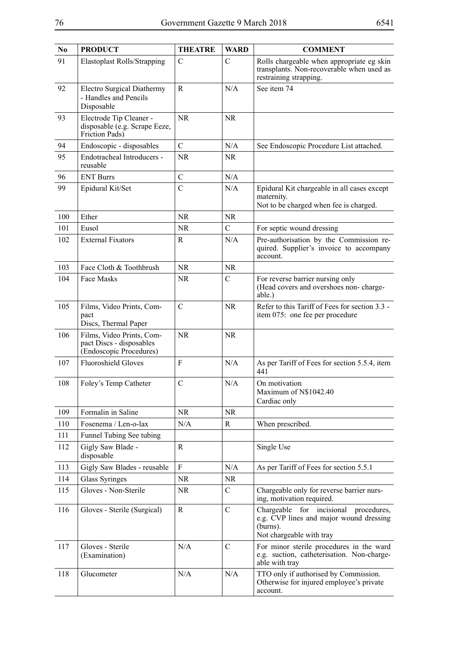| N <sub>0</sub> | <b>PRODUCT</b>                                                                   | <b>THEATRE</b>   | <b>WARD</b>   | <b>COMMENT</b>                                                                                                           |
|----------------|----------------------------------------------------------------------------------|------------------|---------------|--------------------------------------------------------------------------------------------------------------------------|
| 91             | <b>Elastoplast Rolls/Strapping</b>                                               | $\mathcal{C}$    | $\mathcal{C}$ | Rolls chargeable when appropriate eg skin<br>transplants. Non-recoverable when used as<br>restraining strapping.         |
| 92             | <b>Electro Surgical Diathermy</b><br>- Handles and Pencils<br>Disposable         | $\mathbf R$      | N/A           | See item 74                                                                                                              |
| 93             | Electrode Tip Cleaner -<br>disposable (e.g. Scrape Eeze,<br>Friction Pads)       | <b>NR</b>        | <b>NR</b>     |                                                                                                                          |
| 94             | Endoscopic - disposables                                                         | $\overline{C}$   | N/A           | See Endoscopic Procedure List attached.                                                                                  |
| 95             | Endotracheal Introducers -<br>reusable                                           | <b>NR</b>        | <b>NR</b>     |                                                                                                                          |
| 96             | <b>ENT Burrs</b>                                                                 | $\overline{C}$   | N/A           |                                                                                                                          |
| 99             | Epidural Kit/Set                                                                 | $\overline{C}$   | N/A           | Epidural Kit chargeable in all cases except<br>maternity.<br>Not to be charged when fee is charged.                      |
| 100            | Ether                                                                            | <b>NR</b>        | NR            |                                                                                                                          |
| 101            | Eusol                                                                            | <b>NR</b>        | $\mathcal{C}$ | For septic wound dressing                                                                                                |
| 102            | <b>External Fixators</b>                                                         | R                | N/A           | Pre-authorisation by the Commission re-<br>quired. Supplier's invoice to accompany<br>account.                           |
| 103            | Face Cloth & Toothbrush                                                          | <b>NR</b>        | NR.           |                                                                                                                          |
| 104            | Face Masks                                                                       | <b>NR</b>        | $\mathsf{C}$  | For reverse barrier nursing only<br>(Head covers and overshoes non-charge-<br>able.)                                     |
| 105            | Films, Video Prints, Com-<br>pact<br>Discs, Thermal Paper                        | $\overline{C}$   | <b>NR</b>     | Refer to this Tariff of Fees for section 3.3 -<br>item 075: one fee per procedure                                        |
| 106            | Films, Video Prints, Com-<br>pact Discs - disposables<br>(Endoscopic Procedures) | <b>NR</b>        | <b>NR</b>     |                                                                                                                          |
| 107            | <b>Fluoroshield Gloves</b>                                                       | F                | N/A           | As per Tariff of Fees for section 5.5.4, item<br>441                                                                     |
| 108            | Foley's Temp Catheter                                                            | $\mathcal{C}$    | N/A           | On motivation<br>Maximum of N\$1042.40<br>Cardiac only                                                                   |
| 109            | Formalin in Saline                                                               | <b>NR</b>        | <b>NR</b>     |                                                                                                                          |
| 110            | Fosenema / Len-o-lax                                                             | N/A              | R             | When prescribed.                                                                                                         |
| 111            | Funnel Tubing See tubing                                                         |                  |               |                                                                                                                          |
| 112            | Gigly Saw Blade -<br>disposable                                                  | R                |               | Single Use                                                                                                               |
| 113            | Gigly Saw Blades - reusable                                                      | $\boldsymbol{F}$ | N/A           | As per Tariff of Fees for section 5.5.1                                                                                  |
| 114            | <b>Glass Syringes</b>                                                            | <b>NR</b>        | <b>NR</b>     |                                                                                                                          |
| 115            | Gloves - Non-Sterile                                                             | <b>NR</b>        | $\mathcal{C}$ | Chargeable only for reverse barrier nurs-<br>ing, motivation required.                                                   |
| 116            | Gloves - Sterile (Surgical)                                                      | R                | $\mathcal{C}$ | Chargeable for incisional procedures,<br>e.g. CVP lines and major wound dressing<br>(burns).<br>Not chargeable with tray |
| 117            | Gloves - Sterile<br>(Examination)                                                | N/A              | $\mathcal{C}$ | For minor sterile procedures in the ward<br>e.g. suction, catheterisation. Non-charge-<br>able with tray                 |
| 118            | Glucometer                                                                       | N/A              | N/A           | TTO only if authorised by Commission.<br>Otherwise for injured employee's private<br>account.                            |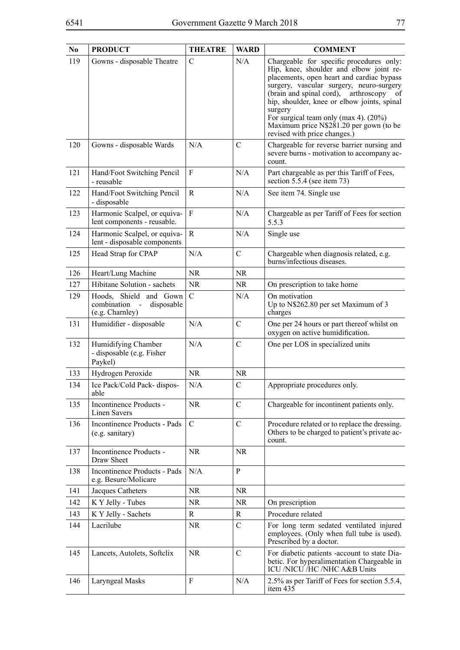| N <sub>0</sub> | <b>PRODUCT</b>                                                           | <b>THEATRE</b>   | <b>WARD</b>   | <b>COMMENT</b>                                                                                                                                                                                                                                                                                                                                                                                               |
|----------------|--------------------------------------------------------------------------|------------------|---------------|--------------------------------------------------------------------------------------------------------------------------------------------------------------------------------------------------------------------------------------------------------------------------------------------------------------------------------------------------------------------------------------------------------------|
| 119            | Gowns - disposable Theatre                                               | $\mathcal{C}$    | N/A           | Chargeable for specific procedures only:<br>Hip, knee, shoulder and elbow joint re-<br>placements, open heart and cardiac bypass<br>surgery, vascular surgery, neuro-surgery<br>(brain and spinal cord), arthroscopy<br>-of<br>hip, shoulder, knee or elbow joints, spinal<br>surgery<br>For surgical team only (max 4). $(20\%)$<br>Maximum price N\$281.20 per gown (to be<br>revised with price changes.) |
| 120            | Gowns - disposable Wards                                                 | N/A              | C             | Chargeable for reverse barrier nursing and<br>severe burns - motivation to accompany ac-<br>count.                                                                                                                                                                                                                                                                                                           |
| 121            | Hand/Foot Switching Pencil<br>- reusable                                 | F                | N/A           | Part chargeable as per this Tariff of Fees,<br>section $5.5.4$ (see item 73)                                                                                                                                                                                                                                                                                                                                 |
| 122            | Hand/Foot Switching Pencil<br>- disposable                               | R                | N/A           | See item 74. Single use                                                                                                                                                                                                                                                                                                                                                                                      |
| 123            | Harmonic Scalpel, or equiva-<br>lent components - reusable.              | ${\bf F}$        | N/A           | Chargeable as per Tariff of Fees for section<br>5.5.3                                                                                                                                                                                                                                                                                                                                                        |
| 124            | Harmonic Scalpel, or equiva-<br>lent - disposable components             | R                | N/A           | Single use                                                                                                                                                                                                                                                                                                                                                                                                   |
| 125            | Head Strap for CPAP                                                      | N/A              | $\mathcal{C}$ | Chargeable when diagnosis related, e.g.<br>burns/infectious diseases.                                                                                                                                                                                                                                                                                                                                        |
| 126            | Heart/Lung Machine                                                       | <b>NR</b>        | <b>NR</b>     |                                                                                                                                                                                                                                                                                                                                                                                                              |
| 127            | Hibitane Solution - sachets                                              | NR.              | <b>NR</b>     | On prescription to take home                                                                                                                                                                                                                                                                                                                                                                                 |
| 129            | Hoods, Shield and Gown<br>combination -<br>disposable<br>(e.g. Charnley) | $\mathbf C$      | N/A           | On motivation<br>Up to N\$262.80 per set Maximum of 3<br>charges                                                                                                                                                                                                                                                                                                                                             |
| 131            | Humidifier - disposable                                                  | N/A              | $\mathcal{C}$ | One per 24 hours or part thereof whilst on<br>oxygen on active humidification.                                                                                                                                                                                                                                                                                                                               |
| 132            | Humidifying Chamber<br>- disposable (e.g. Fisher<br>Paykel)              | N/A              | $\mathcal{C}$ | One per LOS in specialized units                                                                                                                                                                                                                                                                                                                                                                             |
| 133            | Hydrogen Peroxide                                                        | <b>NR</b>        | <b>NR</b>     |                                                                                                                                                                                                                                                                                                                                                                                                              |
| 134            | Ice Pack/Cold Pack- dispos-<br>able                                      | N/A              | $\mathcal{C}$ | Appropriate procedures only.                                                                                                                                                                                                                                                                                                                                                                                 |
| 135            | Incontinence Products -<br>Linen Savers                                  | <b>NR</b>        | $\mathcal{C}$ | Chargeable for incontinent patients only.                                                                                                                                                                                                                                                                                                                                                                    |
| 136            | Incontinence Products - Pads<br>(e.g. sanitary)                          | $\mathcal{C}$    | $\mathcal{C}$ | Procedure related or to replace the dressing.<br>Others to be charged to patient's private ac-<br>count.                                                                                                                                                                                                                                                                                                     |
| 137            | Incontinence Products -<br>Draw Sheet                                    | <b>NR</b>        | <b>NR</b>     |                                                                                                                                                                                                                                                                                                                                                                                                              |
| 138            | Incontinence Products - Pads<br>e.g. Besure/Molicare                     | N/A              | $\mathbf{P}$  |                                                                                                                                                                                                                                                                                                                                                                                                              |
| 141            | Jacques Catheters                                                        | NR               | <b>NR</b>     |                                                                                                                                                                                                                                                                                                                                                                                                              |
| 142            | K Y Jelly - Tubes                                                        | NR               | <b>NR</b>     | On prescription                                                                                                                                                                                                                                                                                                                                                                                              |
| 143            | K Y Jelly - Sachets                                                      | R                | R             | Procedure related                                                                                                                                                                                                                                                                                                                                                                                            |
| 144            | Lacrilube                                                                | NR.              | $\mathsf{C}$  | For long term sedated ventilated injured<br>employees. (Only when full tube is used).<br>Prescribed by a doctor.                                                                                                                                                                                                                                                                                             |
| 145            | Lancets, Autolets, Softclix                                              | <b>NR</b>        | $\mathcal{C}$ | For diabetic patients -account to state Dia-<br>betic. For hyperalimentation Chargeable in<br>ICU /NICU /HC /NHC A&B Units                                                                                                                                                                                                                                                                                   |
| 146            | Laryngeal Masks                                                          | $\boldsymbol{F}$ | N/A           | 2.5% as per Tariff of Fees for section 5.5.4,<br>item 435                                                                                                                                                                                                                                                                                                                                                    |
|                |                                                                          |                  |               |                                                                                                                                                                                                                                                                                                                                                                                                              |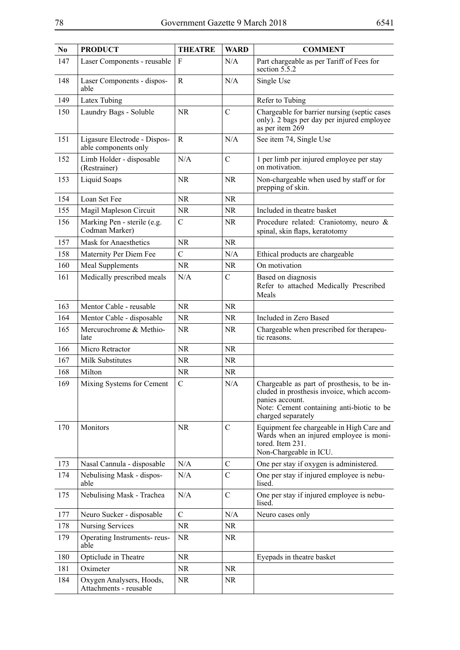| N <sub>0</sub> | <b>PRODUCT</b>                                       | <b>THEATRE</b> | <b>WARD</b>   | <b>COMMENT</b>                                                                                                                                                                  |
|----------------|------------------------------------------------------|----------------|---------------|---------------------------------------------------------------------------------------------------------------------------------------------------------------------------------|
| 147            | Laser Components - reusable                          | F              | N/A           | Part chargeable as per Tariff of Fees for<br>section 5.5.2                                                                                                                      |
| 148            | Laser Components - dispos-<br>able                   | R              | N/A           | Single Use                                                                                                                                                                      |
| 149            | Latex Tubing                                         |                |               | Refer to Tubing                                                                                                                                                                 |
| 150            | Laundry Bags - Soluble                               | <b>NR</b>      | $\mathsf{C}$  | Chargeable for barrier nursing (septic cases<br>only). 2 bags per day per injured employee<br>as per item 269                                                                   |
| 151            | Ligasure Electrode - Dispos-<br>able components only | $\mathbf R$    | N/A           | See item 74, Single Use                                                                                                                                                         |
| 152            | Limb Holder - disposable<br>(Restrainer)             | N/A            | $\mathcal{C}$ | 1 per limb per injured employee per stay<br>on motivation.                                                                                                                      |
| 153            | Liquid Soaps                                         | <b>NR</b>      | <b>NR</b>     | Non-chargeable when used by staff or for<br>prepping of skin.                                                                                                                   |
| 154            | Loan Set Fee                                         | <b>NR</b>      | NR.           |                                                                                                                                                                                 |
| 155            | Magil Mapleson Circuit                               | <b>NR</b>      | NR.           | Included in theatre basket                                                                                                                                                      |
| 156            | Marking Pen - sterile (e.g.<br>Codman Marker)        | $\mathcal{C}$  | NR            | Procedure related: Craniotomy, neuro &<br>spinal, skin flaps, keratotomy                                                                                                        |
| 157            | <b>Mask for Anaesthetics</b>                         | <b>NR</b>      | NR.           |                                                                                                                                                                                 |
| 158            | Maternity Per Diem Fee                               | $\mathcal{C}$  | N/A           | Ethical products are chargeable                                                                                                                                                 |
| 160            | Meal Supplements                                     | <b>NR</b>      | NR.           | On motivation                                                                                                                                                                   |
| 161            | Medically prescribed meals                           | N/A            | C             | Based on diagnosis<br>Refer to attached Medically Prescribed<br>Meals                                                                                                           |
| 163            | Mentor Cable - reusable                              | <b>NR</b>      | <b>NR</b>     |                                                                                                                                                                                 |
| 164            | Mentor Cable - disposable                            | <b>NR</b>      | NR.           | Included in Zero Based                                                                                                                                                          |
| 165            | Mercurochrome & Methio-<br>late                      | <b>NR</b>      | NR            | Chargeable when prescribed for therapeu-<br>tic reasons.                                                                                                                        |
| 166            | Micro Retractor                                      | <b>NR</b>      | <b>NR</b>     |                                                                                                                                                                                 |
| 167            | Milk Substitutes                                     | <b>NR</b>      | <b>NR</b>     |                                                                                                                                                                                 |
| 168            | Milton                                               | <b>NR</b>      | <b>NR</b>     |                                                                                                                                                                                 |
| 169            | Mixing Systems for Cement                            | $\mathcal{C}$  | N/A           | Chargeable as part of prosthesis, to be in-<br>cluded in prosthesis invoice, which accom-<br>panies account.<br>Note: Cement containing anti-biotic to be<br>charged separately |
| 170            | Monitors                                             | <b>NR</b>      | $\mathcal{C}$ | Equipment fee chargeable in High Care and<br>Wards when an injured employee is moni-<br>tored. Item 231.<br>Non-Chargeable in ICU.                                              |
| 173            | Nasal Cannula - disposable                           | N/A            | $\mathcal{C}$ | One per stay if oxygen is administered.                                                                                                                                         |
| 174            | Nebulising Mask - dispos-<br>able                    | N/A            | $\mathsf{C}$  | One per stay if injured employee is nebu-<br>lised.                                                                                                                             |
| 175            | Nebulising Mask - Trachea                            | N/A            | $\mathcal{C}$ | One per stay if injured employee is nebu-<br>lised.                                                                                                                             |
| 177            | Neuro Sucker - disposable                            | $\mathcal{C}$  | N/A           | Neuro cases only                                                                                                                                                                |
| 178            | <b>Nursing Services</b>                              | <b>NR</b>      | NR            |                                                                                                                                                                                 |
| 179            | Operating Instruments-reus-<br>able                  | NR.            | NR            |                                                                                                                                                                                 |
| 180            | Opticlude in Theatre                                 | <b>NR</b>      |               | Eyepads in theatre basket                                                                                                                                                       |
| 181            | Oximeter                                             | NR.            | NR.           |                                                                                                                                                                                 |
| 184            | Oxygen Analysers, Hoods,<br>Attachments - reusable   | <b>NR</b>      | <b>NR</b>     |                                                                                                                                                                                 |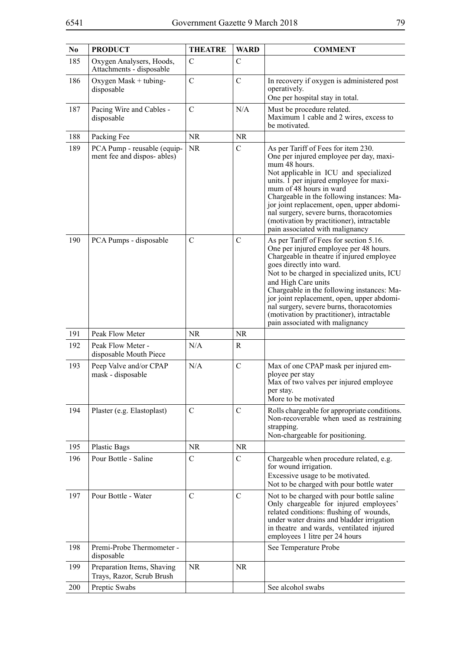| N <sub>0</sub> | <b>PRODUCT</b>                                            | <b>THEATRE</b> | <b>WARD</b>   | <b>COMMENT</b>                                                                                                                                                                                                                                                                                                                                                                                                                                           |
|----------------|-----------------------------------------------------------|----------------|---------------|----------------------------------------------------------------------------------------------------------------------------------------------------------------------------------------------------------------------------------------------------------------------------------------------------------------------------------------------------------------------------------------------------------------------------------------------------------|
| 185            | Oxygen Analysers, Hoods,<br>Attachments - disposable      | $\mathcal{C}$  | C             |                                                                                                                                                                                                                                                                                                                                                                                                                                                          |
| 186            | Oxygen Mask + tubing-<br>disposable                       | $\overline{C}$ | $\mathcal{C}$ | In recovery if oxygen is administered post<br>operatively.<br>One per hospital stay in total.                                                                                                                                                                                                                                                                                                                                                            |
| 187            | Pacing Wire and Cables -<br>disposable                    | $\mathbf C$    | N/A           | Must be procedure related.<br>Maximum 1 cable and 2 wires, excess to<br>be motivated.                                                                                                                                                                                                                                                                                                                                                                    |
| 188            | Packing Fee                                               | <b>NR</b>      | <b>NR</b>     |                                                                                                                                                                                                                                                                                                                                                                                                                                                          |
| 189            | PCA Pump - reusable (equip-<br>ment fee and dispos-ables) | <b>NR</b>      | $\mathcal{C}$ | As per Tariff of Fees for item 230.<br>One per injured employee per day, maxi-<br>mum 48 hours.<br>Not applicable in ICU and specialized<br>units. 1 per injured employee for maxi-<br>mum of 48 hours in ward<br>Chargeable in the following instances: Ma-<br>jor joint replacement, open, upper abdomi-<br>nal surgery, severe burns, thoracotomies<br>(motivation by practitioner), intractable<br>pain associated with malignancy                   |
| 190            | PCA Pumps - disposable                                    | $\mathcal{C}$  | $\mathcal{C}$ | As per Tariff of Fees for section 5.16.<br>One per injured employee per 48 hours.<br>Chargeable in theatre if injured employee<br>goes directly into ward.<br>Not to be charged in specialized units, ICU<br>and High Care units<br>Chargeable in the following instances: Ma-<br>jor joint replacement, open, upper abdomi-<br>nal surgery, severe burns, thoracotomies<br>(motivation by practitioner), intractable<br>pain associated with malignancy |
| 191            | Peak Flow Meter                                           | <b>NR</b>      | <b>NR</b>     |                                                                                                                                                                                                                                                                                                                                                                                                                                                          |
| 192            | Peak Flow Meter -<br>disposable Mouth Piece               | N/A            | R             |                                                                                                                                                                                                                                                                                                                                                                                                                                                          |
| 193            | Peep Valve and/or CPAP<br>mask - disposable               | N/A            | $\mathcal{C}$ | Max of one CPAP mask per injured em-<br>ployee per stay<br>Max of two valves per injured employee<br>per stay.<br>More to be motivated                                                                                                                                                                                                                                                                                                                   |
| 194            | Plaster (e.g. Elastoplast)                                | $\mathcal{C}$  | $\mathcal{C}$ | Rolls chargeable for appropriate conditions.<br>Non-recoverable when used as restraining<br>strapping.<br>Non-chargeable for positioning.                                                                                                                                                                                                                                                                                                                |
| 195            | <b>Plastic Bags</b>                                       | <b>NR</b>      | <b>NR</b>     |                                                                                                                                                                                                                                                                                                                                                                                                                                                          |
| 196            | Pour Bottle - Saline                                      | $\mathcal{C}$  | $\mathcal{C}$ | Chargeable when procedure related, e.g.<br>for wound irrigation.<br>Excessive usage to be motivated.<br>Not to be charged with pour bottle water                                                                                                                                                                                                                                                                                                         |
| 197            | Pour Bottle - Water                                       | $\mathbf C$    | $\mathcal{C}$ | Not to be charged with pour bottle saline<br>Only chargeable for injured employees'<br>related conditions: flushing of wounds,<br>under water drains and bladder irrigation<br>in theatre and wards, ventilated injured<br>employees 1 litre per 24 hours                                                                                                                                                                                                |
| 198            | Premi-Probe Thermometer -<br>disposable                   |                |               | See Temperature Probe                                                                                                                                                                                                                                                                                                                                                                                                                                    |
| 199            | Preparation Items, Shaving<br>Trays, Razor, Scrub Brush   | NR.            | NR.           |                                                                                                                                                                                                                                                                                                                                                                                                                                                          |
| 200            | Preptic Swabs                                             |                |               | See alcohol swabs                                                                                                                                                                                                                                                                                                                                                                                                                                        |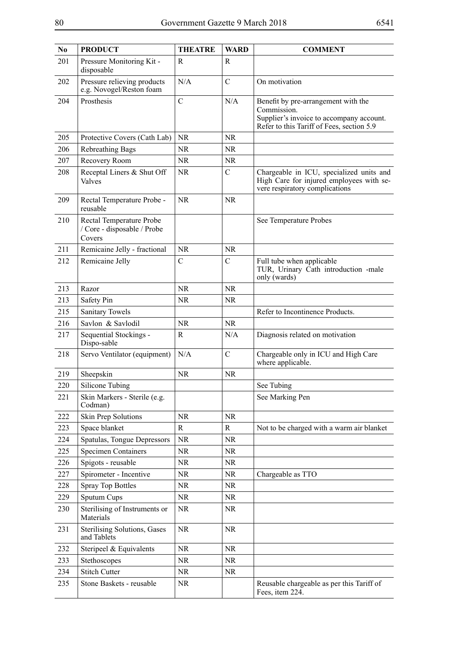| N <sub>0</sub> | <b>PRODUCT</b>                                                    | <b>THEATRE</b> | <b>WARD</b>   | <b>COMMENT</b>                                                                                                                              |
|----------------|-------------------------------------------------------------------|----------------|---------------|---------------------------------------------------------------------------------------------------------------------------------------------|
| 201            | Pressure Monitoring Kit -<br>disposable                           | R              | R             |                                                                                                                                             |
| 202            | Pressure relieving products<br>e.g. Novogel/Reston foam           | N/A            | $\mathbf C$   | On motivation                                                                                                                               |
| 204            | Prosthesis                                                        | $\mathcal{C}$  | N/A           | Benefit by pre-arrangement with the<br>Commission.<br>Supplier's invoice to accompany account.<br>Refer to this Tariff of Fees, section 5.9 |
| 205            | Protective Covers (Cath Lab)                                      | <b>NR</b>      | <b>NR</b>     |                                                                                                                                             |
| 206            | Rebreathing Bags                                                  | <b>NR</b>      | NR.           |                                                                                                                                             |
| 207            | Recovery Room                                                     | <b>NR</b>      | <b>NR</b>     |                                                                                                                                             |
| 208            | Receptal Liners & Shut Off<br>Valves                              | <b>NR</b>      | $\mathbf C$   | Chargeable in ICU, specialized units and<br>High Care for injured employees with se-<br>vere respiratory complications                      |
| 209            | Rectal Temperature Probe -<br>reusable                            | <b>NR</b>      | <b>NR</b>     |                                                                                                                                             |
| 210            | Rectal Temperature Probe<br>/ Core - disposable / Probe<br>Covers |                |               | See Temperature Probes                                                                                                                      |
| 211            | Remicaine Jelly - fractional                                      | <b>NR</b>      | <b>NR</b>     |                                                                                                                                             |
| 212            | Remicaine Jelly                                                   | $\mathcal{C}$  | $\mathcal{C}$ | Full tube when applicable<br>TUR, Urinary Cath introduction -male<br>only (wards)                                                           |
| 213            | Razor                                                             | <b>NR</b>      | <b>NR</b>     |                                                                                                                                             |
| 213            | Safety Pin                                                        | <b>NR</b>      | NR.           |                                                                                                                                             |
| 215            | <b>Sanitary Towels</b>                                            |                |               | Refer to Incontinence Products.                                                                                                             |
| 216            | Savlon & Savlodil                                                 | <b>NR</b>      | <b>NR</b>     |                                                                                                                                             |
| 217            | Sequential Stockings -<br>Dispo-sable                             | $\mathbf R$    | N/A           | Diagnosis related on motivation                                                                                                             |
| 218            | Servo Ventilator (equipment)                                      | N/A            | $\mathbf C$   | Chargeable only in ICU and High Care<br>where applicable.                                                                                   |
| 219            | Sheepskin                                                         | <b>NR</b>      | <b>NR</b>     |                                                                                                                                             |
| 220            | Silicone Tubing                                                   |                |               | See Tubing                                                                                                                                  |
| 221            | Skin Markers - Sterile (e.g.<br>Codman)                           |                |               | See Marking Pen                                                                                                                             |
| 222            | Skin Prep Solutions                                               | <b>NR</b>      | <b>NR</b>     |                                                                                                                                             |
| 223            | Space blanket                                                     | R              | $\mathbb{R}$  | Not to be charged with a warm air blanket                                                                                                   |
| 224            | Spatulas, Tongue Depressors                                       | <b>NR</b>      | <b>NR</b>     |                                                                                                                                             |
| 225            | <b>Specimen Containers</b>                                        | <b>NR</b>      | NR            |                                                                                                                                             |
| 226            | Spigots - reusable                                                | <b>NR</b>      | NR            |                                                                                                                                             |
| 227            | Spirometer - Incentive                                            | <b>NR</b>      | NR            | Chargeable as TTO                                                                                                                           |
| 228            | <b>Spray Top Bottles</b>                                          | <b>NR</b>      | <b>NR</b>     |                                                                                                                                             |
| 229            | Sputum Cups                                                       | <b>NR</b>      | NR.           |                                                                                                                                             |
| 230            | Sterilising of Instruments or<br>Materials                        | <b>NR</b>      | <b>NR</b>     |                                                                                                                                             |
| 231            | Sterilising Solutions, Gases<br>and Tablets                       | <b>NR</b>      | <b>NR</b>     |                                                                                                                                             |
| 232            | Steripeel & Equivalents                                           | $\rm NR$       | <b>NR</b>     |                                                                                                                                             |
| 233            | Stethoscopes                                                      | <b>NR</b>      | NR            |                                                                                                                                             |
| 234            | <b>Stitch Cutter</b>                                              | <b>NR</b>      | <b>NR</b>     |                                                                                                                                             |
| 235            | Stone Baskets - reusable                                          | $\rm NR$       |               | Reusable chargeable as per this Tariff of<br>Fees, item 224.                                                                                |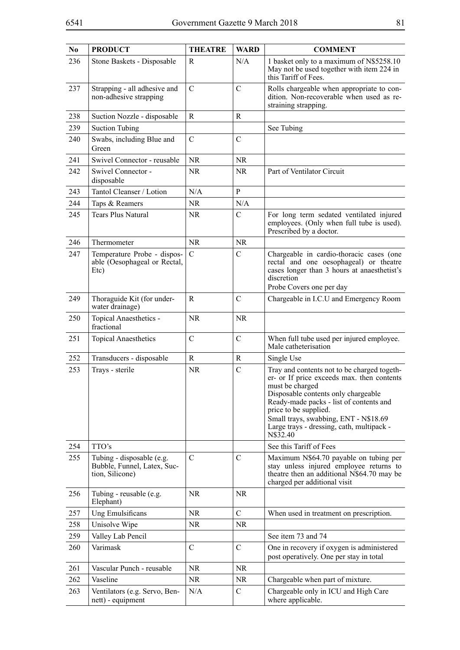| N <sub>0</sub> | <b>PRODUCT</b>                                                              | <b>THEATRE</b> | <b>WARD</b>   | <b>COMMENT</b>                                                                                                                                                                                                                                                                                                            |
|----------------|-----------------------------------------------------------------------------|----------------|---------------|---------------------------------------------------------------------------------------------------------------------------------------------------------------------------------------------------------------------------------------------------------------------------------------------------------------------------|
| 236            | Stone Baskets - Disposable                                                  | R              | N/A           | 1 basket only to a maximum of N\$5258.10<br>May not be used together with item 224 in<br>this Tariff of Fees.                                                                                                                                                                                                             |
| 237            | Strapping - all adhesive and<br>non-adhesive strapping                      | $\mathcal{C}$  | $\mathcal{C}$ | Rolls chargeable when appropriate to con-<br>dition. Non-recoverable when used as re-<br>straining strapping.                                                                                                                                                                                                             |
| 238            | Suction Nozzle - disposable                                                 | R              | R             |                                                                                                                                                                                                                                                                                                                           |
| 239            | <b>Suction Tubing</b>                                                       |                |               | See Tubing                                                                                                                                                                                                                                                                                                                |
| 240            | Swabs, including Blue and<br>Green                                          | $\mathcal{C}$  | $\mathcal{C}$ |                                                                                                                                                                                                                                                                                                                           |
| 241            | Swivel Connector - reusable                                                 | <b>NR</b>      | <b>NR</b>     |                                                                                                                                                                                                                                                                                                                           |
| 242            | Swivel Connector -<br>disposable                                            | <b>NR</b>      | <b>NR</b>     | Part of Ventilator Circuit                                                                                                                                                                                                                                                                                                |
| 243            | Tantol Cleanser / Lotion                                                    | N/A            | $\mathbf{P}$  |                                                                                                                                                                                                                                                                                                                           |
| 244            | Taps & Reamers                                                              | NR             | N/A           |                                                                                                                                                                                                                                                                                                                           |
| 245            | <b>Tears Plus Natural</b>                                                   | <b>NR</b>      | $\mathcal{C}$ | For long term sedated ventilated injured<br>employees. (Only when full tube is used).<br>Prescribed by a doctor.                                                                                                                                                                                                          |
| 246            | Thermometer                                                                 | <b>NR</b>      | <b>NR</b>     |                                                                                                                                                                                                                                                                                                                           |
| 247            | Temperature Probe - dispos-<br>able (Oesophageal or Rectal,<br>Etc)         | $\mathcal{C}$  | $\mathcal{C}$ | Chargeable in cardio-thoracic cases (one<br>rectal and one oesophageal) or theatre<br>cases longer than 3 hours at anaesthetist's<br>discretion<br>Probe Covers one per day                                                                                                                                               |
| 249            | Thoraguide Kit (for under-<br>water drainage)                               | R              | $\mathcal{C}$ | Chargeable in I.C.U and Emergency Room                                                                                                                                                                                                                                                                                    |
| 250            | Topical Anaesthetics -<br>fractional                                        | <b>NR</b>      | <b>NR</b>     |                                                                                                                                                                                                                                                                                                                           |
| 251            | <b>Topical Anaesthetics</b>                                                 | $\mathcal{C}$  | $\mathcal{C}$ | When full tube used per injured employee.<br>Male catheterisation                                                                                                                                                                                                                                                         |
| 252            | Transducers - disposable                                                    | R              | R             | Single Use                                                                                                                                                                                                                                                                                                                |
| 253            | Trays - sterile                                                             | <b>NR</b>      | $\mathcal{C}$ | Tray and contents not to be charged togeth-<br>er- or If price exceeds max. then contents<br>must be charged<br>Disposable contents only chargeable<br>Ready-made packs - list of contents and<br>price to be supplied.<br>Small trays, swabbing, ENT - N\$18.69<br>Large trays - dressing, cath, multipack -<br>N\$32.40 |
| 254            | TTO's                                                                       |                |               | See this Tariff of Fees                                                                                                                                                                                                                                                                                                   |
| 255            | Tubing - disposable (e.g.<br>Bubble, Funnel, Latex, Suc-<br>tion, Silicone) | $\mathsf{C}$   | $\mathcal{C}$ | Maximum N\$64.70 payable on tubing per<br>stay unless injured employee returns to<br>theatre then an additional N\$64.70 may be<br>charged per additional visit                                                                                                                                                           |
| 256            | Tubing - reusable (e.g.<br>Elephant)                                        | <b>NR</b>      | NR.           |                                                                                                                                                                                                                                                                                                                           |
| 257            | Ung Emulsificans                                                            | NR.            | $\mathcal{C}$ | When used in treatment on prescription.                                                                                                                                                                                                                                                                                   |
| 258            | Unisolve Wipe                                                               | NR.            | NR            |                                                                                                                                                                                                                                                                                                                           |
| 259            | Valley Lab Pencil                                                           |                |               | See item 73 and 74                                                                                                                                                                                                                                                                                                        |
| 260            | Varimask                                                                    | $\mathcal{C}$  | $\mathcal{C}$ | One in recovery if oxygen is administered<br>post operatively. One per stay in total                                                                                                                                                                                                                                      |
| 261            | Vascular Punch - reusable                                                   | <b>NR</b>      | <b>NR</b>     |                                                                                                                                                                                                                                                                                                                           |
| 262            | Vaseline                                                                    | <b>NR</b>      | <b>NR</b>     | Chargeable when part of mixture.                                                                                                                                                                                                                                                                                          |
| 263            | Ventilators (e.g. Servo, Ben-<br>nett) - equipment                          | N/A            | $\mathcal{C}$ | Chargeable only in ICU and High Care<br>where applicable.                                                                                                                                                                                                                                                                 |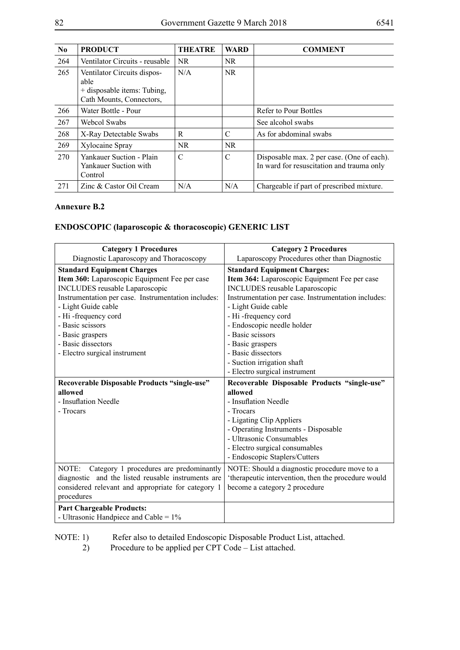| $\mathbf{N}\mathbf{0}$ | <b>PRODUCT</b>                                                                                 | <b>THEATRE</b> | <b>WARD</b> | <b>COMMENT</b>                                                                          |
|------------------------|------------------------------------------------------------------------------------------------|----------------|-------------|-----------------------------------------------------------------------------------------|
| 264                    | Ventilator Circuits - reusable                                                                 | NR.            | NR.         |                                                                                         |
| 265                    | Ventilator Circuits dispos-<br>able<br>+ disposable items: Tubing,<br>Cath Mounts, Connectors, | N/A            | NR.         |                                                                                         |
| 266                    | Water Bottle - Pour                                                                            |                |             | Refer to Pour Bottles                                                                   |
| 267                    | Webcol Swabs                                                                                   |                |             | See alcohol swabs                                                                       |
| 268                    | X-Ray Detectable Swabs                                                                         | R              | C           | As for abdominal swabs                                                                  |
| 269                    | Xylocaine Spray                                                                                | NR.            | NR.         |                                                                                         |
| 270                    | Yankauer Suction - Plain<br>Yankauer Suction with<br>Control                                   | C              | C           | Disposable max. 2 per case. (One of each).<br>In ward for resuscitation and trauma only |
| 271                    | Zinc & Castor Oil Cream                                                                        | N/A            | N/A         | Chargeable if part of prescribed mixture.                                               |

#### **Annexure B.2**

# **ENDOSCOPIC (laparoscopic & thoracoscopic) GENERIC LIST**

| <b>Category 1 Procedures</b>                        | <b>Category 2 Procedures</b>                        |
|-----------------------------------------------------|-----------------------------------------------------|
| Diagnostic Laparoscopy and Thoracoscopy             | Laparoscopy Procedures other than Diagnostic        |
| <b>Standard Equipment Charges</b>                   | <b>Standard Equipment Charges:</b>                  |
| Item 360: Laparoscopic Equipment Fee per case       | Item 364: Laparoscopic Equipment Fee per case       |
| <b>INCLUDES</b> reusable Laparoscopic               | <b>INCLUDES</b> reusable Laparoscopic               |
| Instrumentation per case. Instrumentation includes: | Instrumentation per case. Instrumentation includes: |
| - Light Guide cable                                 | - Light Guide cable                                 |
| - Hi-frequency cord                                 | - Hi-frequency cord                                 |
| - Basic scissors                                    | - Endoscopic needle holder                          |
| - Basic graspers                                    | - Basic scissors                                    |
| - Basic dissectors                                  | - Basic graspers                                    |
| - Electro surgical instrument                       | - Basic dissectors                                  |
|                                                     | - Suction irrigation shaft                          |
|                                                     | - Electro surgical instrument                       |
| Recoverable Disposable Products "single-use"        | Recoverable Disposable Products "single-use"        |
| allowed                                             | allowed                                             |
| - Insuflation Needle                                | - Insuflation Needle                                |
| - Trocars                                           | - Trocars                                           |
|                                                     | - Ligating Clip Appliers                            |
|                                                     | - Operating Instruments - Disposable                |
|                                                     | - Ultrasonic Consumables                            |
|                                                     | - Electro surgical consumables                      |
|                                                     | - Endoscopic Staplers/Cutters                       |
| NOTE:<br>Category 1 procedures are predominantly    | NOTE: Should a diagnostic procedure move to a       |
| diagnostic and the listed reusable instruments are  | 'therapeutic intervention, then the procedure would |
| considered relevant and appropriate for category 1  | become a category 2 procedure                       |
| procedures                                          |                                                     |
| <b>Part Chargeable Products:</b>                    |                                                     |
| - Ultrasonic Handpiece and Cable = $1\%$            |                                                     |

NOTE: 1) Refer also to detailed Endoscopic Disposable Product List, attached.<br>2) Procedure to be applied per CPT Code – List attached.

Procedure to be applied per CPT Code – List attached.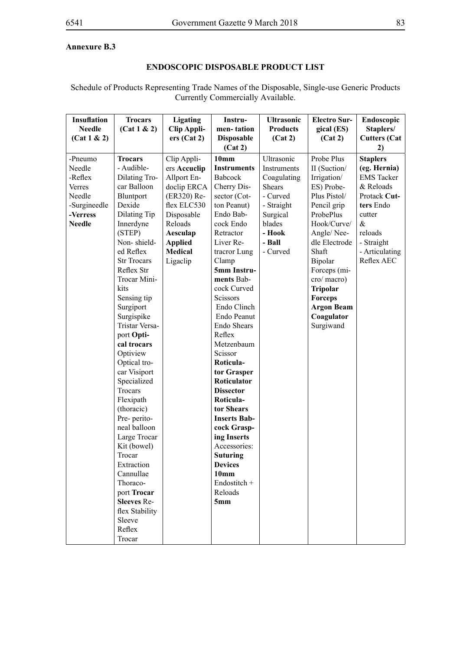# **Annexure B.3**

# **ENDOSCOPIC DISPOSABLE PRODUCT LIST**

Schedule of Products Representing Trade Names of the Disposable, Single-use Generic Products Currently Commercially Available.

| <b>Insuflation</b> | <b>Trocars</b>        | <b>Ligating</b>    | Instru-             | <b>Ultrasonic</b> | <b>Electro Sur-</b> | Endoscopic          |
|--------------------|-----------------------|--------------------|---------------------|-------------------|---------------------|---------------------|
| <b>Needle</b>      | (Cat 1 & 2)           | <b>Clip Appli-</b> | men-tation          | <b>Products</b>   | gical (ES)          | Staplers/           |
| (Cat 1 & 2)        |                       | ers (Cat 2)        | <b>Disposable</b>   | (Cat 2)           | (Cat 2)             | <b>Cutters</b> (Cat |
|                    |                       |                    | (Cat 2)             |                   |                     | 2)                  |
| -Pneumo            | <b>Trocars</b>        | Clip Appli-        | 10 <sub>mm</sub>    | Ultrasonic        | Probe Plus          | <b>Staplers</b>     |
| Needle             | - Audible-            | ers Accuclip       | <b>Instruments</b>  | Instruments       | II (Suction/        | (eg. Hernia)        |
| -Reflex            | Dilating Tro-         | Allport En-        | Babcock             | Coagulating       | Irrigation/         | <b>EMS</b> Tacker   |
| Verres             | car Balloon           | doclip ERCA        | Cherry Dis-         | <b>Shears</b>     | ES) Probe-          | & Reloads           |
| Needle             | Bluntport             | (ER320) Re-        | sector (Cot-        | - Curved          | Plus Pistol/        | Protack Cut-        |
| -Surgineedle       | Dexide                | flex ELC530        | ton Peanut)         | - Straight        | Pencil grip         | ters Endo           |
| -Verress           | Dilating Tip          | Disposable         | Endo Bab-           | Surgical          | ProbePlus           | cutter              |
| <b>Needle</b>      | Innerdyne             | Reloads            | cock Endo           | blades            | Hook/Curve/         | $\&$                |
|                    | (STEP)                | Aesculap           | Retractor           | - Hook            | Angle/Nee-          | reloads             |
|                    | Non-shield-           | <b>Applied</b>     | Liver Re-           | - Ball            | dle Electrode       | - Straight          |
|                    | ed Reflex             | Medical            | tracror Lung        | - Curved          | Shaft               | - Articulating      |
|                    | <b>Str Trocars</b>    | Ligaclip           | Clamp               |                   | Bipolar             | Reflex AEC          |
|                    | Reflex Str            |                    | 5mm Instru-         |                   | Forceps (mi-        |                     |
|                    | Trocar Mini-          |                    | ments Bab-          |                   | cro/macro)          |                     |
|                    | kits                  |                    | cock Curved         |                   | <b>Tripolar</b>     |                     |
|                    | Sensing tip           |                    | Scissors            |                   | Forceps             |                     |
|                    | Surgiport             |                    | Endo Clinch         |                   | <b>Argon Beam</b>   |                     |
|                    | Surgispike            |                    | Endo Peanut         |                   | Coagulator          |                     |
|                    | <b>Tristar Versa-</b> |                    | Endo Shears         |                   | Surgiwand           |                     |
|                    | port Opti-            |                    | Reflex              |                   |                     |                     |
|                    | cal trocars           |                    | Metzenbaum          |                   |                     |                     |
|                    | Optiview              |                    | Scissor             |                   |                     |                     |
|                    | Optical tro-          |                    | Roticula-           |                   |                     |                     |
|                    | car Visiport          |                    | tor Grasper         |                   |                     |                     |
|                    | Specialized           |                    | Roticulator         |                   |                     |                     |
|                    | Trocars               |                    | <b>Dissector</b>    |                   |                     |                     |
|                    | Flexipath             |                    | Roticula-           |                   |                     |                     |
|                    | (thoracic)            |                    | tor Shears          |                   |                     |                     |
|                    | Pre- perito-          |                    | <b>Inserts Bab-</b> |                   |                     |                     |
|                    | neal balloon          |                    | cock Grasp-         |                   |                     |                     |
|                    | Large Trocar          |                    | ing Inserts         |                   |                     |                     |
|                    | Kit (bowel)           |                    | Accessories:        |                   |                     |                     |
|                    | Trocar                |                    | <b>Suturing</b>     |                   |                     |                     |
|                    | Extraction            |                    | <b>Devices</b>      |                   |                     |                     |
|                    | Cannullae             |                    | 10mm                |                   |                     |                     |
|                    | Thoraco-              |                    | Endostitch +        |                   |                     |                     |
|                    | port Trocar           |                    | Reloads             |                   |                     |                     |
|                    | <b>Sleeves Re-</b>    |                    | 5mm                 |                   |                     |                     |
|                    | flex Stability        |                    |                     |                   |                     |                     |
|                    | Sleeve                |                    |                     |                   |                     |                     |
|                    | Reflex                |                    |                     |                   |                     |                     |
|                    | Trocar                |                    |                     |                   |                     |                     |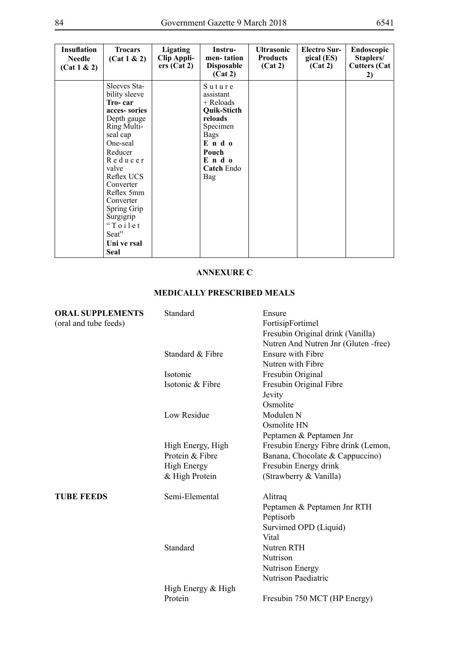| <b>Insuflation</b><br><b>Needle</b><br>(Cat 1 & 2) | <b>Trocars</b><br>(Cat 1 & 2)                                                                                                                                                                                                                                                           | <b>Ligating</b><br>Clip Appli-<br>ers (Cat 2) | Instru-<br>men-tation<br><b>Disposable</b><br>(Cat 2)                                                                                        | <b>Ultrasonic</b><br><b>Products</b><br>(Cat 2) | <b>Electro Sur-</b><br>gical (ES)<br>(Cat 2) | <b>Endoscopic</b><br>Staplers/<br><b>Cutters (Cat</b><br>2) |
|----------------------------------------------------|-----------------------------------------------------------------------------------------------------------------------------------------------------------------------------------------------------------------------------------------------------------------------------------------|-----------------------------------------------|----------------------------------------------------------------------------------------------------------------------------------------------|-------------------------------------------------|----------------------------------------------|-------------------------------------------------------------|
|                                                    | Sleeves Sta-<br>bility sleeve<br>Tro-car<br>acces-sories<br>Depth gauge<br>Ring Multi-<br>seal cap<br>One-seal<br>Reducer<br>Reducer<br>valve<br>Reflex UCS<br>Converter<br>Reflex 5mm<br>Converter<br>Spring Grip<br>Surgigrip<br>$\lq$ To ilet<br>Seat"<br>Uni ve rsal<br><b>Seal</b> |                                               | Suture<br>assistant<br>$+$ Reloads<br>Quik-Sticth<br>reloads<br>Specimen<br>Bags<br>Endo<br>Pouch<br>Endo<br><b>Catch Endo</b><br><b>Bag</b> |                                                 |                                              |                                                             |

## **ANNEXURE C**

# **MEDICALLY PRESCRIBED MEALS**

| <b>ORAL SUPPLEMENTS</b> | Standard           | Ensure                               |
|-------------------------|--------------------|--------------------------------------|
| (oral and tube feeds)   |                    | FortisipFortimel                     |
|                         |                    | Fresubin Original drink (Vanilla)    |
|                         |                    | Nutren And Nutren Jnr (Gluten -free) |
|                         | Standard & Fibre   | Ensure with Fibre                    |
|                         |                    | Nutren with Fibre                    |
|                         | Isotonic           | Fresubin Original                    |
|                         | Isotonic & Fibre   | Fresubin Original Fibre              |
|                         |                    | Jevity                               |
|                         |                    | Osmolite                             |
|                         | Low Residue        | Modulen N                            |
|                         |                    | Osmolite HN                          |
|                         |                    | Peptamen & Peptamen Jnr              |
|                         | High Energy, High  | Fresubin Energy Fibre drink (Lemon,  |
|                         | Protein & Fibre    | Banana, Chocolate & Cappuccino)      |
|                         | <b>High Energy</b> | Fresubin Energy drink                |
|                         | & High Protein     | (Strawberry & Vanilla)               |
| <b>TUBE FEEDS</b>       | Semi-Elemental     | Alitraq                              |
|                         |                    | Peptamen & Peptamen Jnr RTH          |
|                         |                    | Peptisorb                            |
|                         |                    | Survimed OPD (Liquid)                |
|                         |                    | Vital                                |
|                         | Standard           | Nutren RTH                           |
|                         |                    | Nutrison                             |
|                         |                    | Nutrison Energy                      |
|                         |                    | <b>Nutrison Paediatric</b>           |
|                         | High Energy & High |                                      |
|                         | Protein            | Fresubin 750 MCT (HP Energy)         |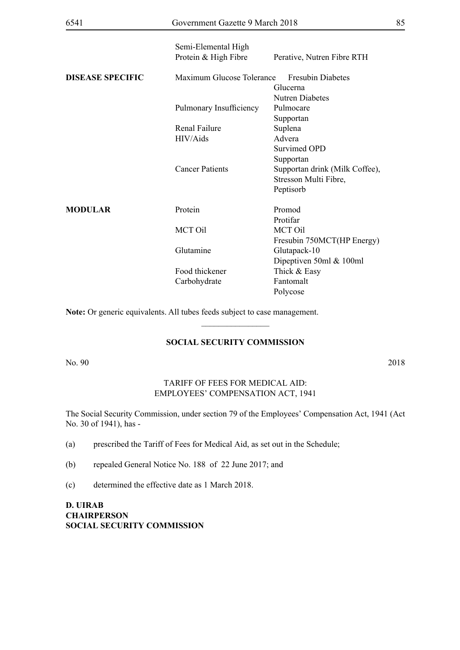| 6541                    | Government Gazette 9 March 2018             |                                                  | 85 |
|-------------------------|---------------------------------------------|--------------------------------------------------|----|
|                         | Semi-Elemental High<br>Protein & High Fibre | Perative, Nutren Fibre RTH                       |    |
| <b>DISEASE SPECIFIC</b> | Maximum Glucose Tolerance                   | <b>Fresubin Diabetes</b><br>Glucerna             |    |
|                         | Pulmonary Insufficiency                     | <b>Nutren Diabetes</b><br>Pulmocare<br>Supportan |    |
|                         | Renal Failure                               | Suplena                                          |    |
|                         | HIV/Aids                                    | Advera                                           |    |
|                         |                                             | <b>Survimed OPD</b>                              |    |
|                         |                                             | Supportan                                        |    |
|                         | <b>Cancer Patients</b>                      | Supportan drink (Milk Coffee),                   |    |
|                         |                                             | Stresson Multi Fibre,                            |    |
|                         |                                             | Peptisorb                                        |    |
| <b>MODULAR</b>          | Protein                                     | Promod                                           |    |
|                         |                                             | Protifar                                         |    |
|                         | <b>MCT Oil</b>                              | <b>MCT Oil</b>                                   |    |
|                         |                                             | Fresubin 750MCT(HP Energy)                       |    |
|                         | Glutamine                                   | Glutapack-10                                     |    |
|                         |                                             | Dipeptiven 50ml & 100ml                          |    |
|                         | Food thickener                              | Thick & Easy                                     |    |
|                         | Carbohydrate                                | Fantomalt                                        |    |
|                         |                                             | Polycose                                         |    |

**Note:** Or generic equivalents. All tubes feeds subject to case management.

## **SOCIAL SECURITY COMMISSION**

 $\overline{\phantom{a}}$  , where  $\overline{\phantom{a}}$ 

No. 90 2018

### TARIFF OF FEES FOR MEDICAL AID: EMPLOYEES' COMPENSATION ACT, 1941

The Social Security Commission, under section 79 of the Employees' Compensation Act, 1941 (Act No. 30 of 1941), has -

(a) prescribed the Tariff of Fees for Medical Aid, as set out in the Schedule;

(b) repealed General Notice No. 188 of 22 June 2017; and

(c) determined the effective date as 1 March 2018.

**D. UIRAB CHAIRPERSON SOCIAL SECURITY COMMISSION**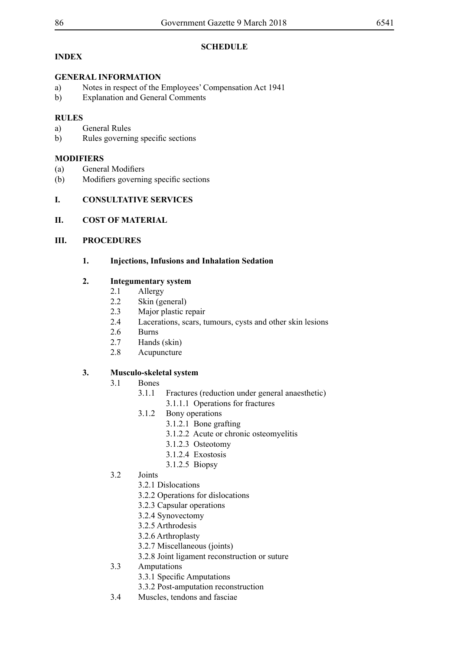**SCHEDULE** 

# **INDEX**

# **GENERAL INFORMATION**

- a) Notes in respect of the Employees' Compensation Act 1941
- b) Explanation and General Comments

# **RULES**

- a) General Rules
- b) Rules governing specific sections

# **MODIFIERS**

- (a) General Modifiers
- (b) Modifiers governing specific sections

# **I. CONSULTATIVE SERVICES**

# **II. COST OF MATERIAL**

# **III. PROCEDURES**

# **1. Injections, Infusions and Inhalation Sedation**

# **2. Integumentary system**

- 2.1 Allergy
- 2.2 Skin (general)
- 2.3 Major plastic repair
- 2.4 Lacerations, scars, tumours, cysts and other skin lesions
- 2.6 Burns
- 2.7 Hands (skin)
- 2.8 Acupuncture

# **3. Musculo-skeletal system**

- 3.1 Bones
	- 3.1.1 Fractures (reduction under general anaesthetic) 3.1.1.1 Operations for fractures
	- 3.1.2 Bony operations
		- 3.1.2.1 Bone grafting
		- 3.1.2.2 Acute or chronic osteomyelitis
		- 3.1.2.3 Osteotomy
		- 3.1.2.4 Exostosis
		- 3.1.2.5 Biopsy
- 3.2 Joints
	- 3.2.1 Dislocations
	- 3.2.2 Operations for dislocations
	- 3.2.3 Capsular operations
	- 3.2.4 Synovectomy
	- 3.2.5 Arthrodesis
	- 3.2.6 Arthroplasty
	- 3.2.7 Miscellaneous (joints)
	- 3.2.8 Joint ligament reconstruction or suture
- 3.3 Amputations
	- 3.3.1 Specific Amputations
	- 3.3.2 Post-amputation reconstruction
- 3.4 Muscles, tendons and fasciae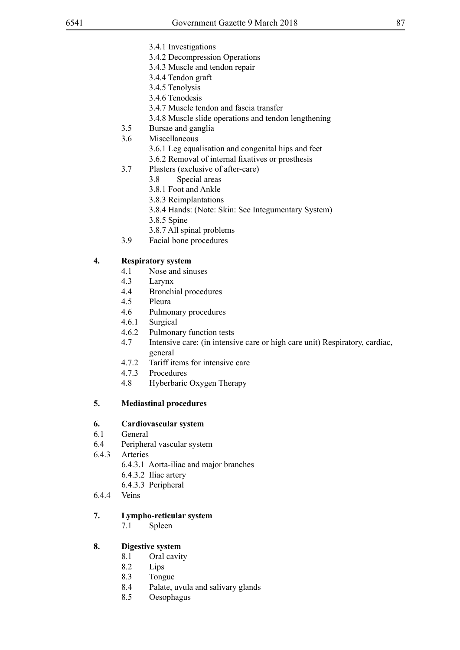- 3.4.1 Investigations
- 3.4.2 Decompression Operations
- 3.4.3 Muscle and tendon repair
- 3.4.4 Tendon graft
- 3.4.5 Tenolysis
- 3.4.6 Tenodesis
- 3.4.7 Muscle tendon and fascia transfer
- 3.4.8 Muscle slide operations and tendon lengthening
- 3.5 Bursae and ganglia
- 3.6 Miscellaneous
	- 3.6.1 Leg equalisation and congenital hips and feet
	- 3.6.2 Removal of internal fixatives or prosthesis
- 3.7 Plasters (exclusive of after-care)
	- 3.8 Special areas
	- 3.8.1 Foot and Ankle
	- 3.8.3 Reimplantations
	- 3.8.4 Hands: (Note: Skin: See Integumentary System)
	- 3.8.5 Spine
	- 3.8.7 All spinal problems
- 3.9 Facial bone procedures

# **4. Respiratory system**

- 4.1 Nose and sinuses
- 4.3 Larynx
- 4.4 Bronchial procedures
- 4.5 Pleura
- 4.6 Pulmonary procedures
- 4.6.1 Surgical
- 4.6.2 Pulmonary function tests
- 4.7 Intensive care: (in intensive care or high care unit) Respiratory, cardiac, general
- 4.7.2 Tariff items for intensive care
- 4.7.3 Procedures
- 4.8 Hyberbaric Oxygen Therapy

# **5. Mediastinal procedures**

## **6. Cardiovascular system**

- 6.1 General
- 6.4 Peripheral vascular system
- 6.4.3 Arteries
	- 6.4.3.1 Aorta-iliac and major branches
	- 6.4.3.2 Iliac artery
	- 6.4.3.3 Peripheral
- 6.4.4 Veins

## **7. Lympho-reticular system**

7.1 Spleen

## **8. Digestive system**

- 8.1 Oral cavity
- 8.2 Lips
- 8.3 Tongue
- 8.4 Palate, uvula and salivary glands
- 8.5 Oesophagus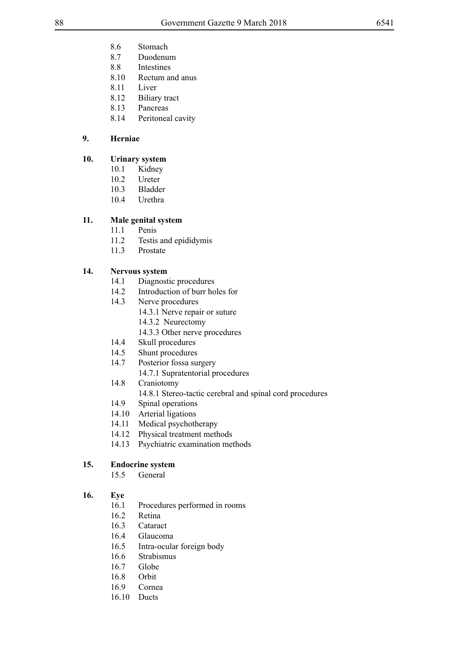- 8.6 Stomach
- 8.7 Duodenum
- 8.8 Intestines
- 8.10 Rectum and anus
- 8.11 Liver
- 8.12 Biliary tract
- 8.13 Pancreas
- 8.14 Peritoneal cavity

# **9. Herniae**

# **10. Urinary system**

- 10.1 Kidney
- 10.2 Ureter
- 10.3 Bladder
- 10.4 Urethra

# **11. Male genital system**

- 11.1 Penis
- 11.2 Testis and epididymis
- 11.3 Prostate

# **14. Nervous system**

- 14.1 Diagnostic procedures<br>14.2 Introduction of burr ho
- Introduction of burr holes for
- 14.3 Nerve procedures
	- 14.3.1 Nerve repair or suture
	- 14.3.2 Neurectomy
	- 14.3.3 Other nerve procedures
- 14.4 Skull procedures
- 14.5 Shunt procedures
- 14.7 Posterior fossa surgery
	- 14.7.1 Supratentorial procedures
- 14.8 Craniotomy
	- 14.8.1 Stereo-tactic cerebral and spinal cord procedures
- 14.9 Spinal operations
- 14.10 Arterial ligations
- 14.11 Medical psychotherapy
- 14.12 Physical treatment methods
- 14.13 Psychiatric examination methods

# **15. Endocrine system**

15.5 General

# **16. Eye**

- 16.1 Procedures performed in rooms
- 16.2 Retina
- 16.3 Cataract
- 16.4 Glaucoma
- 16.5 Intra-ocular foreign body
- 16.6 Strabismus
- 16.7 Globe
- 16.8 Orbit
- 16.9 Cornea
- 16.10 Ducts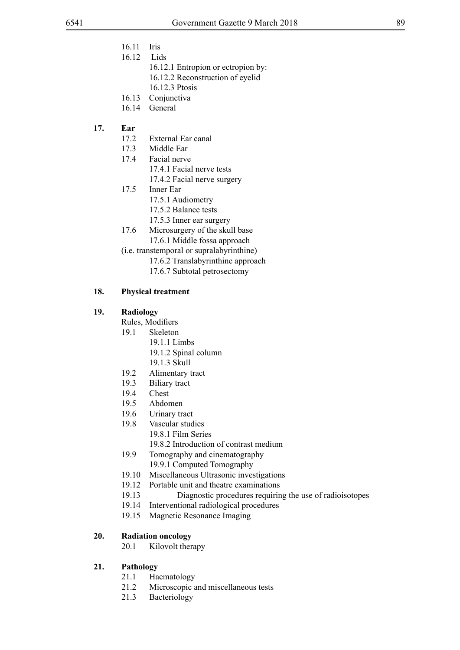- 16.11 Iris
- 16.12 Lids
	- 16.12.1 Entropion or ectropion by:
	- 16.12.2 Reconstruction of eyelid
	- 16.12.3 Ptosis
- 16.13 Conjunctiva
- 16.14 General

## **17. Ear**

- 17.2 External Ear canal
- 17.3 Middle Ear
- 17.4 Facial nerve
	- 17.4.1 Facial nerve tests
	- 17.4.2 Facial nerve surgery
- 17.5 Inner Ear
	- 17.5.1 Audiometry
	- 17.5.2 Balance tests
	- 17.5.3 Inner ear surgery
- 17.6 Microsurgery of the skull base 17.6.1 Middle fossa approach
- (i.e. transtemporal or supralabyrinthine)
	- 17.6.2 Translabyrinthine approach
	- 17.6.7 Subtotal petrosectomy

## **18. Physical treatment**

## **19. Radiology**

- Rules, Modifiers
- 19.1 Skeleton
	- 19.1.1 Limbs
	- 19.1.2 Spinal column
	- 19.1.3 Skull
- 19.2 Alimentary tract
- 19.3 Biliary tract
- 19.4 Chest
- 19.5 Abdomen
- 19.6 Urinary tract
- 19.8 Vascular studies
	- 19.8.1 Film Series
	- 19.8.2 Introduction of contrast medium
- 19.9 Tomography and cinematography 19.9.1 Computed Tomography
- 19.10 Miscellaneous Ultrasonic investigations
- 19.12 Portable unit and theatre examinations
- 19.13 Diagnostic procedures requiring the use of radioisotopes
- 19.14 Interventional radiological procedures
- 19.15 Magnetic Resonance Imaging

## **20. Radiation oncology**

20.1 Kilovolt therapy

## **21. Pathology**

- 21.1 Haematology
- 21.2 Microscopic and miscellaneous tests
- 21.3 Bacteriology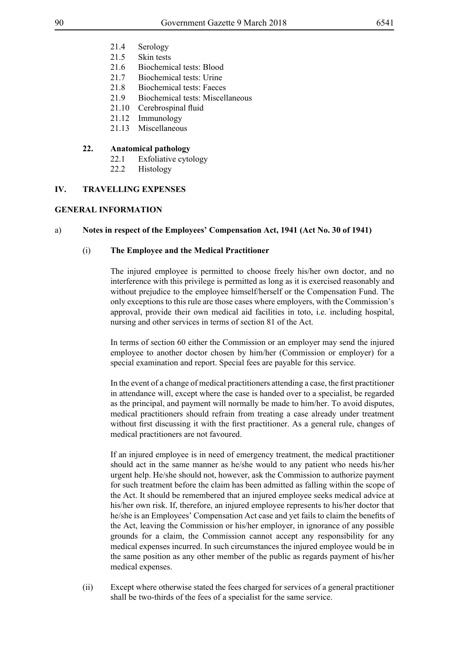- 21.4 Serology
- 21.5 Skin tests
- 21.6 Biochemical tests: Blood
- 21.7 Biochemical tests: Urine
- 21.8 Biochemical tests: Faeces
- 21.9 Biochemical tests: Miscellaneous
- 21.10 Cerebrospinal fluid
- 21.12 Immunology
- 21.13 Miscellaneous

### **22. Anatomical pathology**

- 22.1 Exfoliative cytology
- 22.2 Histology

## **IV. TRAVELLING EXPENSES**

## **GENERAL INFORMATION**

## a) **Notes in respect of the Employees' Compensation Act, 1941 (Act No. 30 of 1941)**

## (i) **The Employee and the Medical Practitioner**

The injured employee is permitted to choose freely his/her own doctor, and no interference with this privilege is permitted as long as it is exercised reasonably and without prejudice to the employee himself/herself or the Compensation Fund. The only exceptions to this rule are those cases where employers, with the Commission's approval, provide their own medical aid facilities in toto, i.e. including hospital, nursing and other services in terms of section 81 of the Act.

In terms of section 60 either the Commission or an employer may send the injured employee to another doctor chosen by him/her (Commission or employer) for a special examination and report. Special fees are payable for this service.

In the event of a change of medical practitioners attending a case, the first practitioner in attendance will, except where the case is handed over to a specialist, be regarded as the principal, and payment will normally be made to him/her. To avoid disputes, medical practitioners should refrain from treating a case already under treatment without first discussing it with the first practitioner. As a general rule, changes of medical practitioners are not favoured.

If an injured employee is in need of emergency treatment, the medical practitioner should act in the same manner as he/she would to any patient who needs his/her urgent help. He/she should not, however, ask the Commission to authorize payment for such treatment before the claim has been admitted as falling within the scope of the Act. It should be remembered that an injured employee seeks medical advice at his/her own risk. If, therefore, an injured employee represents to his/her doctor that he/she is an Employees' Compensation Act case and yet fails to claim the benefits of the Act, leaving the Commission or his/her employer, in ignorance of any possible grounds for a claim, the Commission cannot accept any responsibility for any medical expenses incurred. In such circumstances the injured employee would be in the same position as any other member of the public as regards payment of his/her medical expenses.

(ii) Except where otherwise stated the fees charged for services of a general practitioner shall be two-thirds of the fees of a specialist for the same service.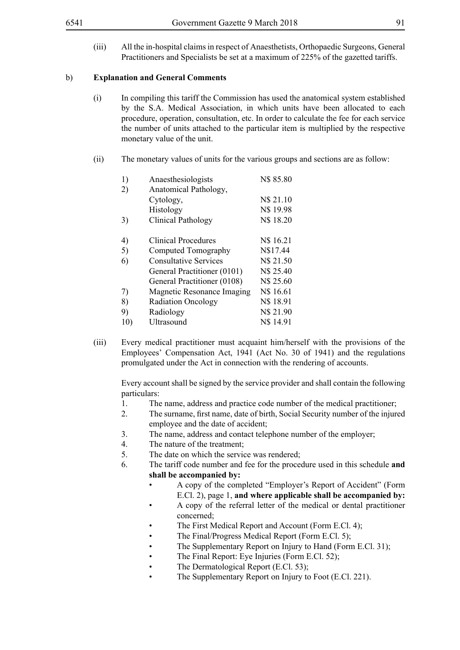(iii) All the in-hospital claims in respect of Anaesthetists, Orthopaedic Surgeons, General Practitioners and Specialists be set at a maximum of 225% of the gazetted tariffs.

#### b) **Explanation and General Comments**

- (i) In compiling this tariff the Commission has used the anatomical system established by the S.A. Medical Association, in which units have been allocated to each procedure, operation, consultation, etc. In order to calculate the fee for each service the number of units attached to the particular item is multiplied by the respective monetary value of the unit.
- (ii) The monetary values of units for the various groups and sections are as follow:

| 1)  | Anaesthesiologists           | N\$85.80  |
|-----|------------------------------|-----------|
| 2)  | Anatomical Pathology,        |           |
|     | Cytology,                    | N\$ 21.10 |
|     | Histology                    | N\$ 19.98 |
| 3)  | <b>Clinical Pathology</b>    | N\$ 18.20 |
|     |                              |           |
| 4)  | <b>Clinical Procedures</b>   | N\$ 16.21 |
| 5)  | Computed Tomography          | N\$17.44  |
| 6)  | <b>Consultative Services</b> | N\$ 21.50 |
|     | General Practitioner (0101)  | N\$ 25.40 |
|     | General Practitioner (0108)  | N\$ 25.60 |
| 7)  | Magnetic Resonance Imaging   | N\$ 16.61 |
| 8)  | <b>Radiation Oncology</b>    | N\$ 18.91 |
| 9)  | Radiology                    | N\$ 21.90 |
| 10) | Ultrasound                   | N\$ 14.91 |

(iii) Every medical practitioner must acquaint him/herself with the provisions of the Employees' Compensation Act, 1941 (Act No. 30 of 1941) and the regulations promulgated under the Act in connection with the rendering of accounts.

Every account shall be signed by the service provider and shall contain the following particulars:

- 1. The name, address and practice code number of the medical practitioner;
- 2. The surname, first name, date of birth, Social Security number of the injured employee and the date of accident;
- 3. The name, address and contact telephone number of the employer;
- 4. The nature of the treatment;
- 5. The date on which the service was rendered;
- 6. The tariff code number and fee for the procedure used in this schedule **and shall be accompanied by:**
	- A copy of the completed "Employer's Report of Accident" (Form E.Cl. 2), page 1, **and where applicable shall be accompanied by:**
	- A copy of the referral letter of the medical or dental practitioner concerned;
	- The First Medical Report and Account (Form E.Cl. 4);
	- The Final/Progress Medical Report (Form E.Cl. 5);
	- The Supplementary Report on Injury to Hand (Form E.Cl. 31);
	- The Final Report: Eye Injuries (Form E.Cl. 52);
	- The Dermatological Report (E.Cl. 53);
	- The Supplementary Report on Injury to Foot (E.Cl. 221).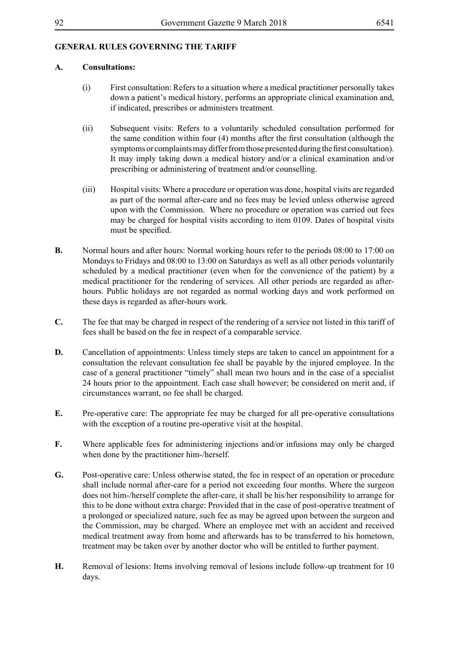# **GENERAL RULES GOVERNING THE TARIFF**

## **A. Consultations:**

- (i) First consultation: Refers to a situation where a medical practitioner personally takes down a patient's medical history, performs an appropriate clinical examination and, if indicated, prescribes or administers treatment.
- (ii) Subsequent visits: Refers to a voluntarily scheduled consultation performed for the same condition within four (4) months after the first consultation (although the symptoms or complaints may differ from those presented during the first consultation). It may imply taking down a medical history and/or a clinical examination and/or prescribing or administering of treatment and/or counselling.
- (iii) Hospital visits: Where a procedure or operation was done, hospital visits are regarded as part of the normal after-care and no fees may be levied unless otherwise agreed upon with the Commission. Where no procedure or operation was carried out fees may be charged for hospital visits according to item 0109. Dates of hospital visits must be specified.
- **B.** Normal hours and after hours: Normal working hours refer to the periods 08:00 to 17:00 on Mondays to Fridays and 08:00 to 13:00 on Saturdays as well as all other periods voluntarily scheduled by a medical practitioner (even when for the convenience of the patient) by a medical practitioner for the rendering of services. All other periods are regarded as afterhours. Public holidays are not regarded as normal working days and work performed on these days is regarded as after-hours work.
- **C.** The fee that may be charged in respect of the rendering of a service not listed in this tariff of fees shall be based on the fee in respect of a comparable service.
- **D.** Cancellation of appointments: Unless timely steps are taken to cancel an appointment for a consultation the relevant consultation fee shall be payable by the injured employee. In the case of a general practitioner "timely" shall mean two hours and in the case of a specialist 24 hours prior to the appointment. Each case shall however; be considered on merit and, if circumstances warrant, no fee shall be charged.
- **E.** Pre-operative care: The appropriate fee may be charged for all pre-operative consultations with the exception of a routine pre-operative visit at the hospital.
- **F.** Where applicable fees for administering injections and/or infusions may only be charged when done by the practitioner him-/herself.
- **G.** Post-operative care: Unless otherwise stated, the fee in respect of an operation or procedure shall include normal after-care for a period not exceeding four months. Where the surgeon does not him-/herself complete the after-care, it shall be his/her responsibility to arrange for this to be done without extra charge: Provided that in the case of post-operative treatment of a prolonged or specialized nature, such fee as may be agreed upon between the surgeon and the Commission, may be charged. Where an employee met with an accident and received medical treatment away from home and afterwards has to be transferred to his hometown, treatment may be taken over by another doctor who will be entitled to further payment.
- **H.** Removal of lesions: Items involving removal of lesions include follow-up treatment for 10 days.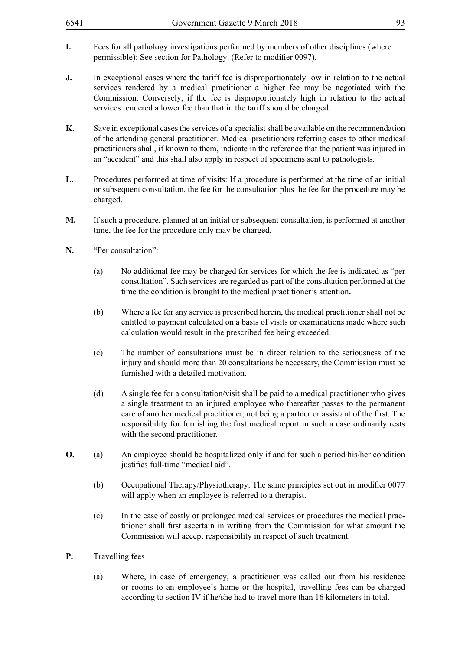- **I.** Fees for all pathology investigations performed by members of other disciplines (where permissible): See section for Pathology. (Refer to modifier 0097).
- **J.** In exceptional cases where the tariff fee is disproportionately low in relation to the actual services rendered by a medical practitioner a higher fee may be negotiated with the Commission. Conversely, if the fee is disproportionately high in relation to the actual services rendered a lower fee than that in the tariff should be charged.
- **K.** Save in exceptional cases the services of a specialist shall be available on the recommendation of the attending general practitioner. Medical practitioners referring cases to other medical practitioners shall, if known to them, indicate in the reference that the patient was injured in an "accident" and this shall also apply in respect of specimens sent to pathologists.
- **L.** Procedures performed at time of visits: If a procedure is performed at the time of an initial or subsequent consultation, the fee for the consultation plus the fee for the procedure may be charged.
- **M.** If such a procedure, planned at an initial or subsequent consultation, is performed at another time, the fee for the procedure only may be charged.
- **N.** "Per consultation":
	- (a) No additional fee may be charged for services for which the fee is indicated as "per consultation". Such services are regarded as part of the consultation performed at the time the condition is brought to the medical practitioner's attention**.**
	- (b) Where a fee for any service is prescribed herein, the medical practitioner shall not be entitled to payment calculated on a basis of visits or examinations made where such calculation would result in the prescribed fee being exceeded.
	- (c) The number of consultations must be in direct relation to the seriousness of the injury and should more than 20 consultations be necessary, the Commission must be furnished with a detailed motivation.
	- (d) A single fee for a consultation/visit shall be paid to a medical practitioner who gives a single treatment to an injured employee who thereafter passes to the permanent care of another medical practitioner, not being a partner or assistant of the first. The responsibility for furnishing the first medical report in such a case ordinarily rests with the second practitioner.
- **O.** (a) An employee should be hospitalized only if and for such a period his/her condition justifies full-time "medical aid".
	- (b) Occupational Therapy/Physiotherapy: The same principles set out in modifier 0077 will apply when an employee is referred to a therapist.
	- (c) In the case of costly or prolonged medical services or procedures the medical practitioner shall first ascertain in writing from the Commission for what amount the Commission will accept responsibility in respect of such treatment.
- **P.** Travelling fees
	- (a) Where, in case of emergency, a practitioner was called out from his residence or rooms to an employee's home or the hospital, travelling fees can be charged according to section IV if he/she had to travel more than 16 kilometers in total.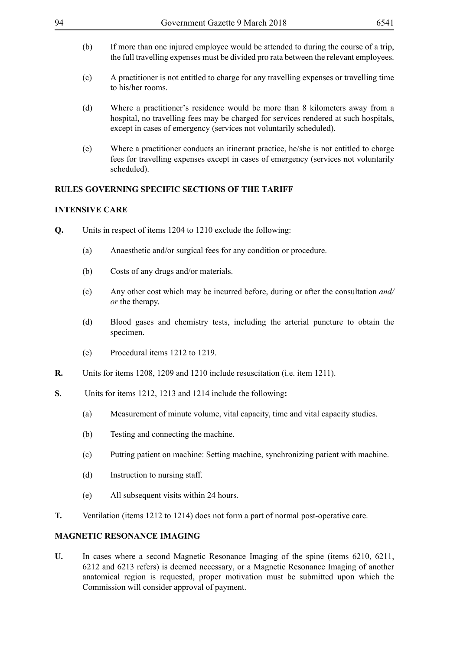- (b) If more than one injured employee would be attended to during the course of a trip, the full travelling expenses must be divided pro rata between the relevant employees.
- (c) A practitioner is not entitled to charge for any travelling expenses or travelling time to his/her rooms.
- (d) Where a practitioner's residence would be more than 8 kilometers away from a hospital, no travelling fees may be charged for services rendered at such hospitals, except in cases of emergency (services not voluntarily scheduled).
- (e) Where a practitioner conducts an itinerant practice, he/she is not entitled to charge fees for travelling expenses except in cases of emergency (services not voluntarily scheduled).

## **RULES GOVERNING SPECIFIC SECTIONS OF THE TARIFF**

### **INTENSIVE CARE**

- **Q.** Units in respect of items 1204 to 1210 exclude the following:
	- (a) Anaesthetic and/or surgical fees for any condition or procedure.
	- (b) Costs of any drugs and/or materials.
	- (c) Any other cost which may be incurred before, during or after the consultation *and/ or* the therapy.
	- (d) Blood gases and chemistry tests, including the arterial puncture to obtain the specimen.
	- (e) Procedural items 1212 to 1219.
- **R.** Units for items 1208, 1209 and 1210 include resuscitation (i.e. item 1211).
- **S.** Units for items 1212, 1213 and 1214 include the following**:**
	- (a) Measurement of minute volume, vital capacity, time and vital capacity studies.
	- (b) Testing and connecting the machine.
	- (c) Putting patient on machine: Setting machine, synchronizing patient with machine.
	- (d) Instruction to nursing staff.
	- (e) All subsequent visits within 24 hours.
- **T.** Ventilation (items 1212 to 1214) does not form a part of normal post-operative care.

## **MAGNETIC RESONANCE IMAGING**

**U.** In cases where a second Magnetic Resonance Imaging of the spine (items 6210, 6211, 6212 and 6213 refers) is deemed necessary, or a Magnetic Resonance Imaging of another anatomical region is requested, proper motivation must be submitted upon which the Commission will consider approval of payment.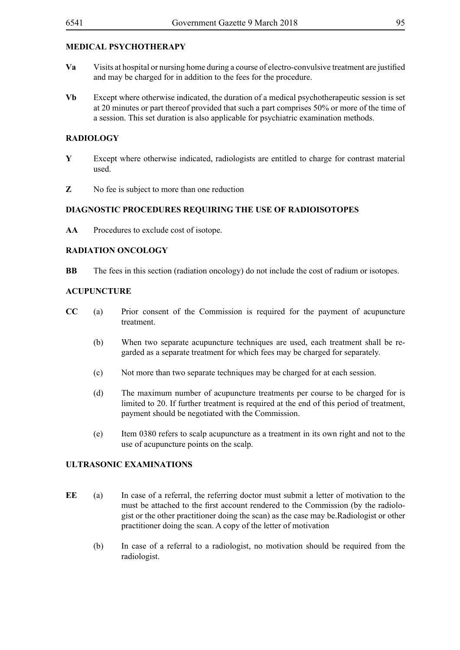# **MEDICAL PSYCHOTHERAPY**

- **Va** Visits at hospital or nursing home during a course of electro-convulsive treatment are justified and may be charged for in addition to the fees for the procedure.
- **Vb** Except where otherwise indicated, the duration of a medical psychotherapeutic session is set at 20 minutes or part thereof provided that such a part comprises 50% or more of the time of a session. This set duration is also applicable for psychiatric examination methods.

### **RADIOLOGY**

- **Y** Except where otherwise indicated, radiologists are entitled to charge for contrast material used.
- **Z** No fee is subject to more than one reduction

#### **DIAGNOSTIC PROCEDURES REQUIRING THE USE OF RADIOISOTOPES**

**AA** Procedures to exclude cost of isotope.

## **RADIATION ONCOLOGY**

**BB** The fees in this section (radiation oncology) do not include the cost of radium or isotopes.

#### **ACUPUNCTURE**

- **CC** (a) Prior consent of the Commission is required for the payment of acupuncture treatment.
	- (b) When two separate acupuncture techniques are used, each treatment shall be regarded as a separate treatment for which fees may be charged for separately.
	- (c) Not more than two separate techniques may be charged for at each session.
	- (d) The maximum number of acupuncture treatments per course to be charged for is limited to 20. If further treatment is required at the end of this period of treatment, payment should be negotiated with the Commission.
	- (e) Item 0380 refers to scalp acupuncture as a treatment in its own right and not to the use of acupuncture points on the scalp.

#### **ULTRASONIC EXAMINATIONS**

- **EE** (a) In case of a referral, the referring doctor must submit a letter of motivation to the must be attached to the first account rendered to the Commission (by the radiologist or the other practitioner doing the scan) as the case may be.Radiologist or other practitioner doing the scan. A copy of the letter of motivation
	- (b) In case of a referral to a radiologist, no motivation should be required from the radiologist.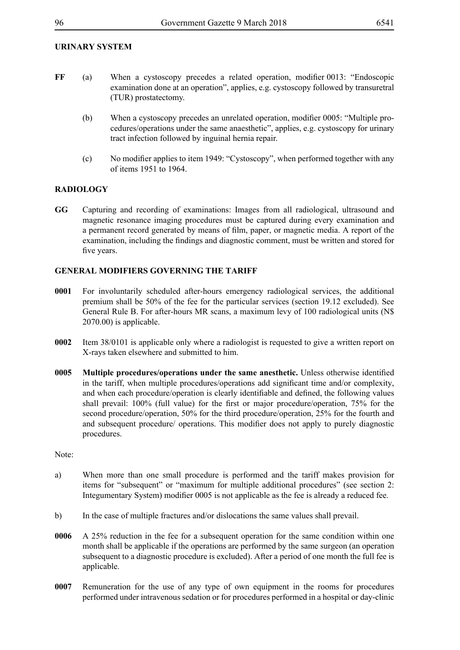## **URINARY SYSTEM**

- **FF** (a) When a cystoscopy precedes a related operation, modifier 0013: "Endoscopic examination done at an operation", applies, e.g. cystoscopy followed by transuretral (TUR) prostatectomy.
	- (b) When a cystoscopy precedes an unrelated operation, modifier 0005: "Multiple procedures/operations under the same anaesthetic", applies, e.g. cystoscopy for urinary tract infection followed by inguinal hernia repair.
	- (c) No modifier applies to item 1949: "Cystoscopy", when performed together with any of items 1951 to 1964.

## **RADIOLOGY**

**GG** Capturing and recording of examinations: Images from all radiological, ultrasound and magnetic resonance imaging procedures must be captured during every examination and a permanent record generated by means of film, paper, or magnetic media. A report of the examination, including the findings and diagnostic comment, must be written and stored for five years.

## **GENERAL MODIFIERS GOVERNING THE TARIFF**

- **0001** For involuntarily scheduled after-hours emergency radiological services, the additional premium shall be 50% of the fee for the particular services (section 19.12 excluded). See General Rule B. For after-hours MR scans, a maximum levy of 100 radiological units (N\$ 2070.00) is applicable.
- **0002** Item 38/0101 is applicable only where a radiologist is requested to give a written report on X-rays taken elsewhere and submitted to him.
- **0005 Multiple procedures/operations under the same anesthetic.** Unless otherwise identified in the tariff, when multiple procedures/operations add significant time and/or complexity, and when each procedure/operation is clearly identifiable and defined, the following values shall prevail: 100% (full value) for the first or major procedure/operation, 75% for the second procedure/operation, 50% for the third procedure/operation, 25% for the fourth and and subsequent procedure/ operations. This modifier does not apply to purely diagnostic procedures.

Note:

- a) When more than one small procedure is performed and the tariff makes provision for items for "subsequent" or "maximum for multiple additional procedures" (see section 2: Integumentary System) modifier 0005 is not applicable as the fee is already a reduced fee.
- b) In the case of multiple fractures and/or dislocations the same values shall prevail.
- **0006** A 25% reduction in the fee for a subsequent operation for the same condition within one month shall be applicable if the operations are performed by the same surgeon (an operation subsequent to a diagnostic procedure is excluded). After a period of one month the full fee is applicable.
- **0007** Remuneration for the use of any type of own equipment in the rooms for procedures performed under intravenous sedation or for procedures performed in a hospital or day-clinic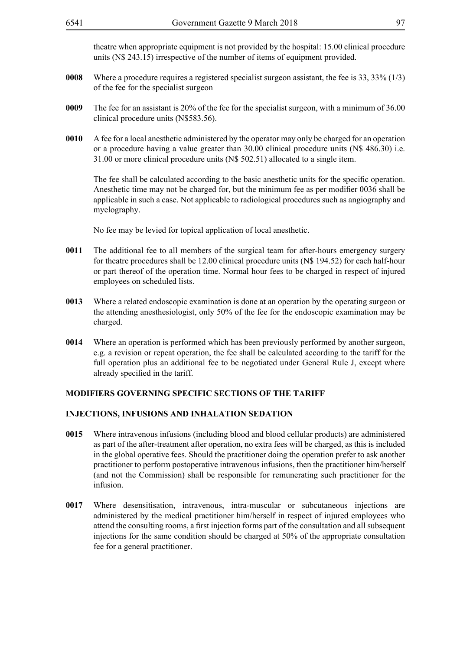theatre when appropriate equipment is not provided by the hospital: 15.00 clinical procedure units (N\$ 243.15) irrespective of the number of items of equipment provided.

- **0008** Where a procedure requires a registered specialist surgeon assistant, the fee is 33, 33% (1/3) of the fee for the specialist surgeon
- **0009** The fee for an assistant is 20% of the fee for the specialist surgeon, with a minimum of 36.00 clinical procedure units (N\$583.56).
- **0010** A fee for a local anesthetic administered by the operator may only be charged for an operation or a procedure having a value greater than 30.00 clinical procedure units (N\$ 486.30) i.e. 31.00 or more clinical procedure units (N\$ 502.51) allocated to a single item.

The fee shall be calculated according to the basic anesthetic units for the specific operation. Anesthetic time may not be charged for, but the minimum fee as per modifier 0036 shall be applicable in such a case. Not applicable to radiological procedures such as angiography and myelography.

No fee may be levied for topical application of local anesthetic.

- **0011** The additional fee to all members of the surgical team for after-hours emergency surgery for theatre procedures shall be 12.00 clinical procedure units (N\$ 194.52) for each half-hour or part thereof of the operation time. Normal hour fees to be charged in respect of injured employees on scheduled lists.
- **0013** Where a related endoscopic examination is done at an operation by the operating surgeon or the attending anesthesiologist, only 50% of the fee for the endoscopic examination may be charged.
- **0014** Where an operation is performed which has been previously performed by another surgeon, e.g. a revision or repeat operation, the fee shall be calculated according to the tariff for the full operation plus an additional fee to be negotiated under General Rule J, except where already specified in the tariff.

#### **MODIFIERS GOVERNING SPECIFIC SECTIONS OF THE TARIFF**

#### **INJECTIONS, INFUSIONS AND INHALATION SEDATION**

- **0015** Where intravenous infusions (including blood and blood cellular products) are administered as part of the after-treatment after operation, no extra fees will be charged, as this is included in the global operative fees. Should the practitioner doing the operation prefer to ask another practitioner to perform postoperative intravenous infusions, then the practitioner him/herself (and not the Commission) shall be responsible for remunerating such practitioner for the infusion.
- **0017** Where desensitisation, intravenous, intra-muscular or subcutaneous injections are administered by the medical practitioner him/herself in respect of injured employees who attend the consulting rooms, a first injection forms part of the consultation and all subsequent injections for the same condition should be charged at 50% of the appropriate consultation fee for a general practitioner.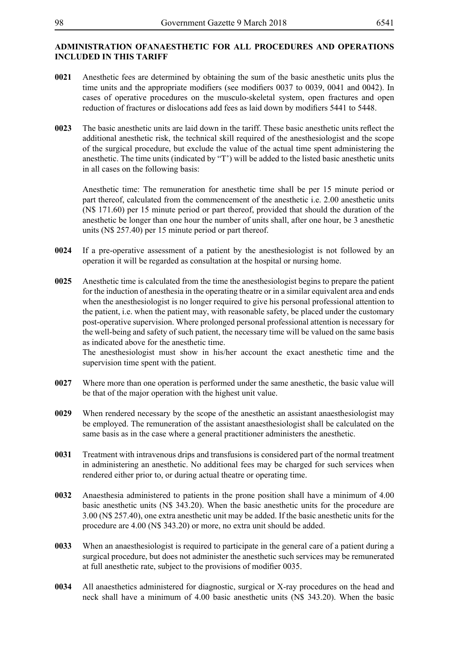## **ADMINISTRATION OFANAESTHETIC FOR ALL PROCEDURES AND OPERATIONS INCLUDED IN THIS TARIFF**

- **0021** Anesthetic fees are determined by obtaining the sum of the basic anesthetic units plus the time units and the appropriate modifiers (see modifiers 0037 to 0039, 0041 and 0042). In cases of operative procedures on the musculo-skeletal system, open fractures and open reduction of fractures or dislocations add fees as laid down by modifiers 5441 to 5448.
- **0023** The basic anesthetic units are laid down in the tariff. These basic anesthetic units reflect the additional anesthetic risk, the technical skill required of the anesthesiologist and the scope of the surgical procedure, but exclude the value of the actual time spent administering the anesthetic. The time units (indicated by "T') will be added to the listed basic anesthetic units in all cases on the following basis:

Anesthetic time: The remuneration for anesthetic time shall be per 15 minute period or part thereof, calculated from the commencement of the anesthetic i.e. 2.00 anesthetic units (N\$ 171.60) per 15 minute period or part thereof, provided that should the duration of the anesthetic be longer than one hour the number of units shall, after one hour, be 3 anesthetic units (N\$ 257.40) per 15 minute period or part thereof.

- **0024** If a pre-operative assessment of a patient by the anesthesiologist is not followed by an operation it will be regarded as consultation at the hospital or nursing home.
- **0025** Anesthetic time is calculated from the time the anesthesiologist begins to prepare the patient for the induction of anesthesia in the operating theatre or in a similar equivalent area and ends when the anesthesiologist is no longer required to give his personal professional attention to the patient, i.e. when the patient may, with reasonable safety, be placed under the customary post-operative supervision. Where prolonged personal professional attention is necessary for the well-being and safety of such patient, the necessary time will be valued on the same basis as indicated above for the anesthetic time.

The anesthesiologist must show in his/her account the exact anesthetic time and the supervision time spent with the patient.

- **0027** Where more than one operation is performed under the same anesthetic, the basic value will be that of the major operation with the highest unit value.
- **0029** When rendered necessary by the scope of the anesthetic an assistant anaesthesiologist may be employed. The remuneration of the assistant anaesthesiologist shall be calculated on the same basis as in the case where a general practitioner administers the anesthetic.
- **0031** Treatment with intravenous drips and transfusions is considered part of the normal treatment in administering an anesthetic. No additional fees may be charged for such services when rendered either prior to, or during actual theatre or operating time.
- **0032** Anaesthesia administered to patients in the prone position shall have a minimum of 4.00 basic anesthetic units (N\$ 343.20). When the basic anesthetic units for the procedure are 3.00 (N\$ 257.40), one extra anesthetic unit may be added. If the basic anesthetic units for the procedure are 4.00 (N\$ 343.20) or more, no extra unit should be added.
- **0033** When an anaesthesiologist is required to participate in the general care of a patient during a surgical procedure, but does not administer the anesthetic such services may be remunerated at full anesthetic rate, subject to the provisions of modifier 0035.
- **0034** All anaesthetics administered for diagnostic, surgical or X-ray procedures on the head and neck shall have a minimum of 4.00 basic anesthetic units (N\$ 343.20). When the basic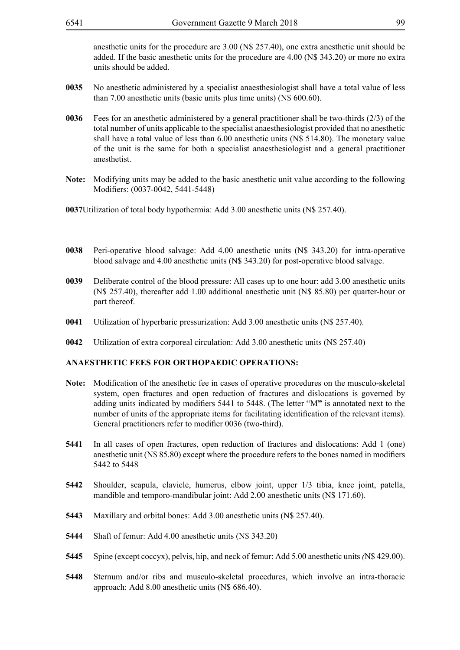anesthetic units for the procedure are 3.00 (N\$ 257.40), one extra anesthetic unit should be added. If the basic anesthetic units for the procedure are 4.00 (N\$ 343.20) or more no extra units should be added.

- **0035** No anesthetic administered by a specialist anaesthesiologist shall have a total value of less than 7.00 anesthetic units (basic units plus time units) (N\$ 600.60).
- **0036** Fees for an anesthetic administered by a general practitioner shall be two-thirds (2/3) of the total number of units applicable to the specialist anaesthesiologist provided that no anesthetic shall have a total value of less than 6.00 anesthetic units (N\$ 514.80). The monetary value of the unit is the same for both a specialist anaesthesiologist and a general practitioner anesthetist.
- **Note:** Modifying units may be added to the basic anesthetic unit value according to the following Modifiers: (0037-0042, 5441-5448)

**0037**Utilization of total body hypothermia: Add 3.00 anesthetic units (N\$ 257.40).

- **0038** Peri-operative blood salvage: Add 4.00 anesthetic units (N\$ 343.20) for intra-operative blood salvage and 4.00 anesthetic units (N\$ 343.20) for post-operative blood salvage.
- **0039** Deliberate control of the blood pressure: All cases up to one hour: add 3.00 anesthetic units (N\$ 257.40), thereafter add 1.00 additional anesthetic unit (N\$ 85.80) per quarter-hour or part thereof.
- **0041** Utilization of hyperbaric pressurization: Add 3.00 anesthetic units (N\$ 257.40).
- **0042** Utilization of extra corporeal circulation: Add 3.00 anesthetic units (N\$ 257.40)

#### **ANAESTHETIC FEES FOR ORTHOPAEDIC OPERATIONS:**

- **Note:** Modification of the anesthetic fee in cases of operative procedures on the musculo-skeletal system, open fractures and open reduction of fractures and dislocations is governed by adding units indicated by modifiers 5441 to 5448. (The letter "M**"** is annotated next to the number of units of the appropriate items for facilitating identification of the relevant items). General practitioners refer to modifier 0036 (two-third).
- **5441** In all cases of open fractures, open reduction of fractures and dislocations: Add 1 (one) anesthetic unit (N\$ 85.80) except where the procedure refers to the bones named in modifiers 5442 to 5448
- **5442** Shoulder, scapula, clavicle, humerus, elbow joint, upper 1/3 tibia, knee joint, patella, mandible and temporo-mandibular joint: Add 2.00 anesthetic units (N\$ 171.60).
- **5443** Maxillary and orbital bones: Add 3.00 anesthetic units (N\$ 257.40).
- **5444** Shaft of femur: Add 4.00 anesthetic units (N\$ 343.20)
- **5445** Spine (except coccyx), pelvis, hip, and neck of femur: Add 5.00 anesthetic units *(*N\$ 429.00).
- **5448** Sternum and/or ribs and musculo-skeletal procedures, which involve an intra-thoracic approach: Add 8.00 anesthetic units (N\$ 686.40).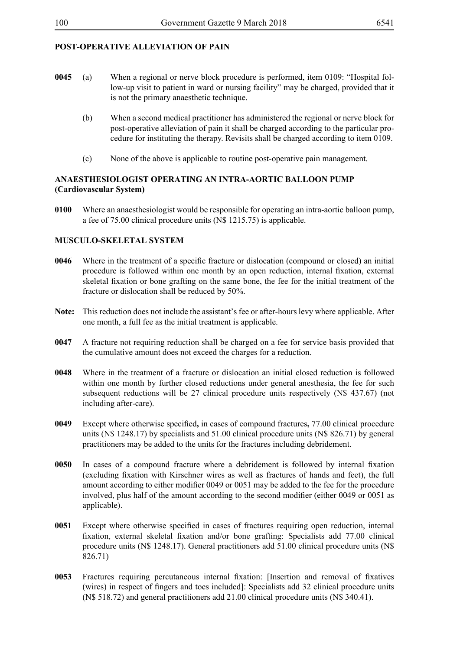# **POST-OPERATIVE ALLEVIATION OF PAIN**

- **0045** (a) When a regional or nerve block procedure is performed, item 0109: "Hospital follow-up visit to patient in ward or nursing facility" may be charged, provided that it is not the primary anaesthetic technique.
	- (b) When a second medical practitioner has administered the regional or nerve block for post-operative alleviation of pain it shall be charged according to the particular procedure for instituting the therapy. Revisits shall be charged according to item 0109.
	- (c) None of the above is applicable to routine post-operative pain management.

# **ANAESTHESIOLOGIST OPERATING AN INTRA-AORTIC BALLOON PUMP (Cardiovascular System)**

**0100** Where an anaesthesiologist would be responsible for operating an intra-aortic balloon pump, a fee of 75.00 clinical procedure units (N\$ 1215.75) is applicable.

# **MUSCULO-SKELETAL SYSTEM**

- **0046** Where in the treatment of a specific fracture or dislocation (compound or closed) an initial procedure is followed within one month by an open reduction, internal fixation, external skeletal fixation or bone grafting on the same bone, the fee for the initial treatment of the fracture or dislocation shall be reduced by 50%.
- **Note:** This reduction does not include the assistant's fee or after-hours levy where applicable. After one month, a full fee as the initial treatment is applicable.
- **0047** A fracture not requiring reduction shall be charged on a fee for service basis provided that the cumulative amount does not exceed the charges for a reduction.
- **0048** Where in the treatment of a fracture or dislocation an initial closed reduction is followed within one month by further closed reductions under general anesthesia, the fee for such subsequent reductions will be 27 clinical procedure units respectively (N\$ 437.67) (not including after-care).
- **0049** Except where otherwise specified**,** in cases of compound fractures**,** 77.00 clinical procedure units (N\$ 1248.17) by specialists and 51.00 clinical procedure units (N\$ 826.71) by general practitioners may be added to the units for the fractures including debridement.
- **0050** In cases of a compound fracture where a debridement is followed by internal fixation (excluding fixation with Kirschner wires as well as fractures of hands and feet), the full amount according to either modifier 0049 or 0051 may be added to the fee for the procedure involved, plus half of the amount according to the second modifier (either 0049 or 0051 as applicable).
- **0051** Except where otherwise specified in cases of fractures requiring open reduction, internal fixation, external skeletal fixation and/or bone grafting: Specialists add 77.00 clinical procedure units (N\$ 1248.17). General practitioners add 51.00 clinical procedure units (N\$ 826.71)
- **0053** Fractures requiring percutaneous internal fixation: [Insertion and removal of fixatives (wires) in respect of fingers and toes included]: Specialists add 32 clinical procedure units (N\$ 518.72) and general practitioners add 21.00 clinical procedure units (N\$ 340.41).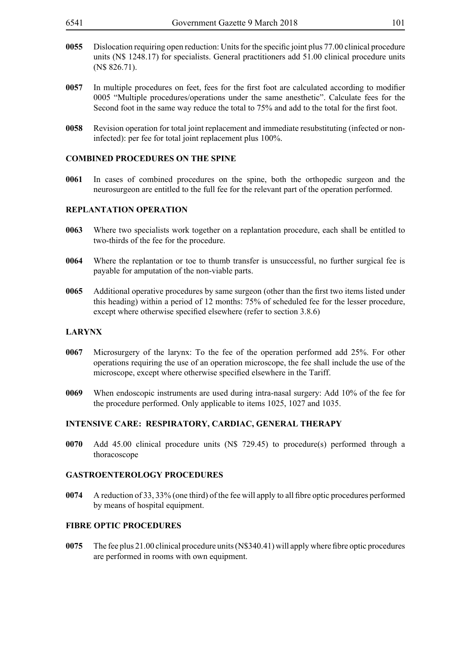- **0055** Dislocation requiring open reduction: Units for the specific joint plus 77.00 clinical procedure units (N\$ 1248.17) for specialists. General practitioners add 51.00 clinical procedure units (N\$ 826.71).
- **0057** In multiple procedures on feet, fees for the first foot are calculated according to modifier 0005 "Multiple procedures/operations under the same anesthetic". Calculate fees for the Second foot in the same way reduce the total to 75% and add to the total for the first foot.
- **0058** Revision operation for total joint replacement and immediate resubstituting (infected or noninfected): per fee for total joint replacement plus 100%.

### **COMBINED PROCEDURES ON THE SPINE**

**0061** In cases of combined procedures on the spine, both the orthopedic surgeon and the neurosurgeon are entitled to the full fee for the relevant part of the operation performed.

## **REPLANTATION OPERATION**

- **0063** Where two specialists work together on a replantation procedure, each shall be entitled to two-thirds of the fee for the procedure.
- **0064** Where the replantation or toe to thumb transfer is unsuccessful, no further surgical fee is payable for amputation of the non-viable parts.
- **0065** Additional operative procedures by same surgeon (other than the first two items listed under this heading) within a period of 12 months: 75% of scheduled fee for the lesser procedure, except where otherwise specified elsewhere (refer to section 3.8.6)

#### **LARYNX**

- **0067** Microsurgery of the larynx: To the fee of the operation performed add 25%. For other operations requiring the use of an operation microscope, the fee shall include the use of the microscope, except where otherwise specified elsewhere in the Tariff.
- **0069** When endoscopic instruments are used during intra-nasal surgery: Add 10% of the fee for the procedure performed. Only applicable to items 1025, 1027 and 1035.

#### **INTENSIVE CARE: RESPIRATORY, CARDIAC, GENERAL THERAPY**

**0070** Add 45.00 clinical procedure units (N\$ 729.45) to procedure(s) performed through a thoracoscope

#### **GASTROENTEROLOGY PROCEDURES**

**0074** A reduction of 33, 33% (one third) of the fee will apply to all fibre optic procedures performed by means of hospital equipment.

### **FIBRE OPTIC PROCEDURES**

**0075** The fee plus 21.00 clinical procedure units (N\$340.41) will apply where fibre optic procedures are performed in rooms with own equipment.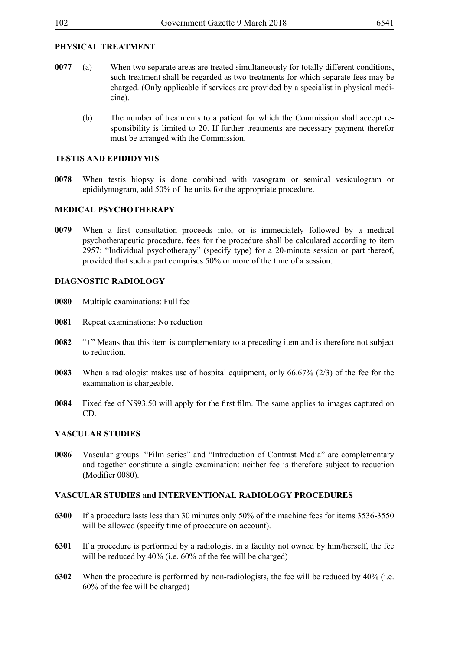# **PHYSICAL TREATMENT**

- **0077** (a) When two separate areas are treated simultaneously for totally different conditions, **s**uch treatment shall be regarded as two treatments for which separate fees may be charged. (Only applicable if services are provided by a specialist in physical medicine).
	- (b) The number of treatments to a patient for which the Commission shall accept responsibility is limited to 20. If further treatments are necessary payment therefor must be arranged with the Commission.

## **TESTIS AND EPIDIDYMIS**

**0078** When testis biopsy is done combined with vasogram or seminal vesiculogram or epididymogram, add 50% of the units for the appropriate procedure.

## **MEDICAL PSYCHOTHERAPY**

**0079** When a first consultation proceeds into, or is immediately followed by a medical psychotherapeutic procedure, fees for the procedure shall be calculated according to item 2957: "Individual psychotherapy" (specify type) for a 20-minute session or part thereof, provided that such a part comprises 50% or more of the time of a session.

## **DIAGNOSTIC RADIOLOGY**

- **0080** Multiple examinations: Full fee
- **0081** Repeat examinations: No reduction
- **0082** "+" Means that this item is complementary to a preceding item and is therefore not subject to reduction.
- **0083** When a radiologist makes use of hospital equipment, only 66.67% (2/3) of the fee for the examination is chargeable.
- **0084** Fixed fee of N\$93.50 will apply for the first film. The same applies to images captured on CD.

## **VASCULAR STUDIES**

**0086** Vascular groups: "Film series" and "Introduction of Contrast Media" are complementary and together constitute a single examination: neither fee is therefore subject to reduction (Modifier 0080).

## **VASCULAR STUDIES and INTERVENTIONAL RADIOLOGY PROCEDURES**

- **6300** If a procedure lasts less than 30 minutes only 50% of the machine fees for items 3536-3550 will be allowed (specify time of procedure on account).
- **6301** If a procedure is performed by a radiologist in a facility not owned by him/herself, the fee will be reduced by 40% (i.e. 60% of the fee will be charged)
- **6302** When the procedure is performed by non-radiologists, the fee will be reduced by 40% (i.e. 60% of the fee will be charged)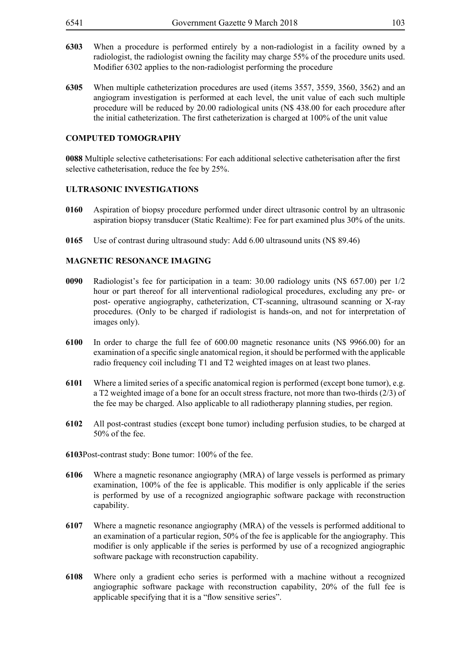- **6303** When a procedure is performed entirely by a non-radiologist in a facility owned by a radiologist, the radiologist owning the facility may charge 55% of the procedure units used. Modifier 6302 applies to the non-radiologist performing the procedure
- **6305** When multiple catheterization procedures are used (items 3557, 3559, 3560, 3562) and an angiogram investigation is performed at each level, the unit value of each such multiple procedure will be reduced by 20.00 radiological units (N\$ 438.00 for each procedure after the initial catheterization. The first catheterization is charged at 100% of the unit value

#### **COMPUTED TOMOGRAPHY**

**0088** Multiple selective catheterisations: For each additional selective catheterisation after the first selective catheterisation, reduce the fee by 25%.

#### **ULTRASONIC INVESTIGATIONS**

- **0160** Aspiration of biopsy procedure performed under direct ultrasonic control by an ultrasonic aspiration biopsy transducer (Static Realtime): Fee for part examined plus 30% of the units.
- **0165** Use of contrast during ultrasound study: Add 6.00 ultrasound units (N\$ 89.46)

#### **MAGNETIC RESONANCE IMAGING**

- **0090** Radiologist's fee for participation in a team: 30.00 radiology units (N\$ 657.00) per 1/2 hour or part thereof for all interventional radiological procedures, excluding any pre- or post- operative angiography, catheterization, CT-scanning, ultrasound scanning or X-ray procedures. (Only to be charged if radiologist is hands-on, and not for interpretation of images only).
- **6100** In order to charge the full fee of 600.00 magnetic resonance units (N\$ 9966.00) for an examination of a specific single anatomical region, it should be performed with the applicable radio frequency coil including T1 and T2 weighted images on at least two planes.
- **6101** Where a limited series of a specific anatomical region is performed (except bone tumor), e.g. a T2 weighted image of a bone for an occult stress fracture, not more than two-thirds (2/3) of the fee may be charged. Also applicable to all radiotherapy planning studies, per region.
- **6102** All post-contrast studies (except bone tumor) including perfusion studies, to be charged at 50% of the fee.
- **6103**Post-contrast study: Bone tumor: 100% of the fee.
- **6106** Where a magnetic resonance angiography (MRA) of large vessels is performed as primary examination, 100% of the fee is applicable. This modifier is only applicable if the series is performed by use of a recognized angiographic software package with reconstruction capability.
- **6107** Where a magnetic resonance angiography (MRA) of the vessels is performed additional to an examination of a particular region, 50% of the fee is applicable for the angiography. This modifier is only applicable if the series is performed by use of a recognized angiographic software package with reconstruction capability.
- **6108** Where only a gradient echo series is performed with a machine without a recognized angiographic software package with reconstruction capability, 20% of the full fee is applicable specifying that it is a "flow sensitive series".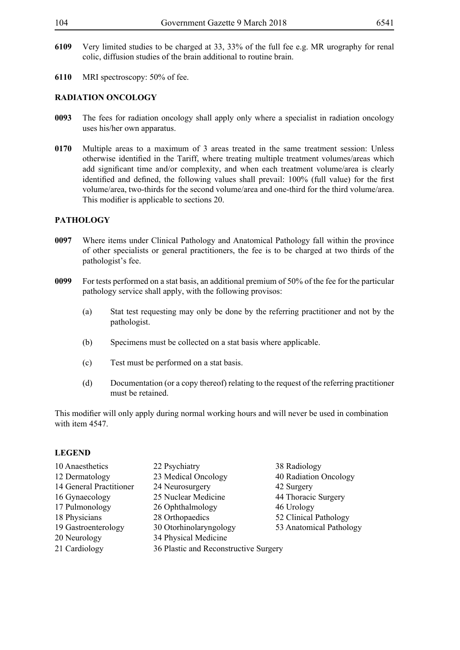- **6109** Very limited studies to be charged at 33, 33% of the full fee e.g. MR urography for renal colic, diffusion studies of the brain additional to routine brain.
- **6110** MRI spectroscopy: 50% of fee.

## **RADIATION ONCOLOGY**

- **0093** The fees for radiation oncology shall apply only where a specialist in radiation oncology uses his/her own apparatus.
- **0170** Multiple areas to a maximum of 3 areas treated in the same treatment session: Unless otherwise identified in the Tariff, where treating multiple treatment volumes/areas which add significant time and/or complexity, and when each treatment volume/area is clearly identified and defined, the following values shall prevail: 100% (full value) for the first volume/area, two-thirds for the second volume/area and one-third for the third volume/area. This modifier is applicable to sections 20.

## **PATHOLOGY**

- **0097** Where items under Clinical Pathology and Anatomical Pathology fall within the province of other specialists or general practitioners, the fee is to be charged at two thirds of the pathologist's fee.
- **0099** For tests performed on a stat basis, an additional premium of 50% of the fee for the particular pathology service shall apply, with the following provisos:
	- (a) Stat test requesting may only be done by the referring practitioner and not by the pathologist.
	- (b) Specimens must be collected on a stat basis where applicable.
	- (c) Test must be performed on a stat basis.
	- (d) Documentation (or a copy thereof) relating to the request of the referring practitioner must be retained.

This modifier will only apply during normal working hours and will never be used in combination with item 4547.

# **LEGEND**

- 10 Anaesthetics 22 Psychiatry 38 Radiology 12 Dermatology 23 Medical Oncology 40 Radiation Oncology 14 General Practitioner 24 Neurosurgery 42 Surgery 16 Gynaecology 25 Nuclear Medicine 44 Thoracic Surgery 17 Pulmonology 26 Ophthalmology 46 Urology 18 Physicians 28 Orthopaedics 52 Clinical Pathology 19 Gastroenterology 30 Otorhinolaryngology 53 Anatomical Pathology 20 Neurology 34 Physical Medicine 21 Cardiology 36 Plastic and Reconstructive Surgery
- -
	-
	-
	-
	-
	-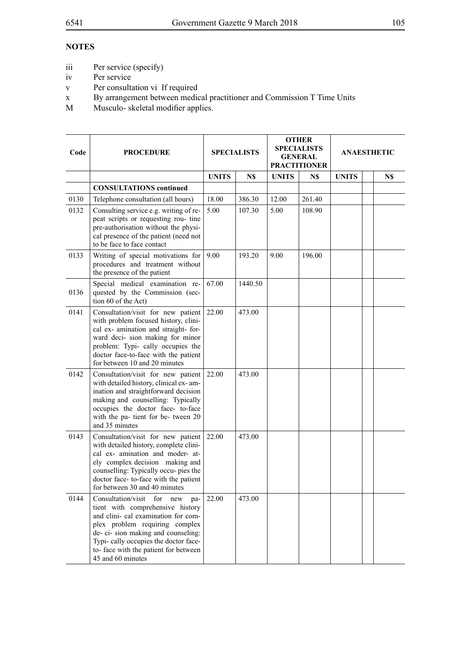## **NOTES**

- iii Per service (specify)
- iv Per service
- v Per consultation vi If required
- x By arrangement between medical practitioner and Commission T Time Units
- M Musculo- skeletal modifier applies.

| Code | <b>PROCEDURE</b>                                                                                                                                                                                                                                                                               | <b>SPECIALISTS</b> |         | <b>OTHER</b><br><b>SPECIALISTS</b><br><b>GENERAL</b><br><b>PRACTITIONER</b> |        | <b>ANAESTHETIC</b> |  |     |
|------|------------------------------------------------------------------------------------------------------------------------------------------------------------------------------------------------------------------------------------------------------------------------------------------------|--------------------|---------|-----------------------------------------------------------------------------|--------|--------------------|--|-----|
|      |                                                                                                                                                                                                                                                                                                | <b>UNITS</b>       | N\$     | <b>UNITS</b>                                                                | N\$    | <b>UNITS</b>       |  | N\$ |
|      | <b>CONSULTATIONS</b> continued                                                                                                                                                                                                                                                                 |                    |         |                                                                             |        |                    |  |     |
| 0130 | Telephone consultation (all hours)                                                                                                                                                                                                                                                             | 18.00              | 386.30  | 12.00                                                                       | 261.40 |                    |  |     |
| 0132 | Consulting service e.g. writing of re-<br>peat scripts or requesting rou- tine<br>pre-authorisation without the physi-<br>cal presence of the patient (need not<br>to be face to face contact                                                                                                  | 5.00               | 107.30  | 5.00                                                                        | 108.90 |                    |  |     |
| 0133 | Writing of special motivations for<br>procedures and treatment without<br>the presence of the patient                                                                                                                                                                                          | 9.00               | 193.20  | 9.00                                                                        | 196.00 |                    |  |     |
| 0136 | Special medical examination re-<br>quested by the Commission (sec-<br>tion 60 of the Act)                                                                                                                                                                                                      | 67.00              | 1440.50 |                                                                             |        |                    |  |     |
| 0141 | Consultation/visit for new patient<br>with problem focused history, clini-<br>cal ex- amination and straight- for-<br>ward deci- sion making for minor<br>problem: Typi- cally occupies the<br>doctor face-to-face with the patient<br>for between 10 and 20 minutes                           | 22.00              | 473.00  |                                                                             |        |                    |  |     |
| 0142 | Consultation/visit for new patient<br>with detailed history, clinical ex-am-<br>ination and straightforward decision<br>making and counselling: Typically<br>occupies the doctor face- to-face<br>with the pa- tient for be- tween 20<br>and 35 minutes                                        | 22.00              | 473.00  |                                                                             |        |                    |  |     |
| 0143 | Consultation/visit for new patient<br>with detailed history, complete clini-<br>cal ex- amination and moder- at-<br>ely complex decision making and<br>counselling: Typically occu- pies the<br>doctor face-to-face with the patient<br>for between 30 and 40 minutes                          | 22.00              | 473.00  |                                                                             |        |                    |  |     |
| 0144 | Consultation/visit<br>for new<br>pa-<br>tient with comprehensive history<br>and clini- cal examination for com-<br>plex problem requiring complex<br>de- ci- sion making and counseling:<br>Typi-cally occupies the doctor face-<br>to- face with the patient for between<br>45 and 60 minutes | 22.00              | 473.00  |                                                                             |        |                    |  |     |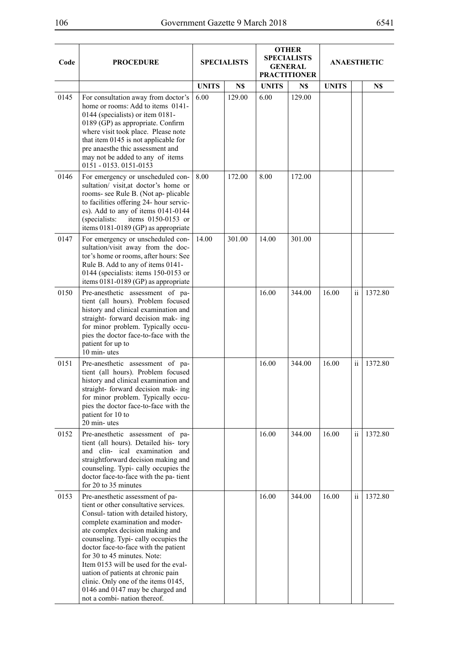| ٧<br>I |
|--------|
|--------|

| Code | <b>PROCEDURE</b>                                                                                                                                                                                                                                                                                                                                                                                                                                                                               | <b>SPECIALISTS</b> |        | <b>OTHER</b><br><b>SPECIALISTS</b><br><b>GENERAL</b><br><b>PRACTITIONER</b> |        | <b>ANAESTHETIC</b> |                     |         |
|------|------------------------------------------------------------------------------------------------------------------------------------------------------------------------------------------------------------------------------------------------------------------------------------------------------------------------------------------------------------------------------------------------------------------------------------------------------------------------------------------------|--------------------|--------|-----------------------------------------------------------------------------|--------|--------------------|---------------------|---------|
|      |                                                                                                                                                                                                                                                                                                                                                                                                                                                                                                | <b>UNITS</b>       | N\$    | <b>UNITS</b>                                                                | N\$    | <b>UNITS</b>       |                     | N\$     |
| 0145 | For consultation away from doctor's<br>home or rooms: Add to items 0141-<br>0144 (specialists) or item 0181-<br>0189 (GP) as appropriate. Confirm<br>where visit took place. Please note<br>that item 0145 is not applicable for<br>pre anaesthe thic assessment and<br>may not be added to any of items<br>0151 - 0153. 0151-0153                                                                                                                                                             | 6.00               | 129.00 | 6.00                                                                        | 129.00 |                    |                     |         |
| 0146 | For emergency or unscheduled con-<br>sultation/ visit,at doctor's home or<br>rooms- see Rule B. (Not ap-plicable<br>to facilities offering 24- hour servic-<br>es). Add to any of items 0141-0144<br>(specialists:<br>items 0150-0153 or<br>items 0181-0189 (GP) as appropriate                                                                                                                                                                                                                | 8.00               | 172.00 | 8.00                                                                        | 172.00 |                    |                     |         |
| 0147 | For emergency or unscheduled con-<br>sultation/visit away from the doc-<br>tor's home or rooms, after hours: See<br>Rule B. Add to any of items 0141-<br>0144 (specialists: items 150-0153 or<br>items 0181-0189 (GP) as appropriate                                                                                                                                                                                                                                                           | 14.00              | 301.00 | 14.00                                                                       | 301.00 |                    |                     |         |
| 0150 | Pre-anesthetic assessment of pa-<br>tient (all hours). Problem focused<br>history and clinical examination and<br>straight- forward decision mak- ing<br>for minor problem. Typically occu-<br>pies the doctor face-to-face with the<br>patient for up to<br>10 min-utes                                                                                                                                                                                                                       |                    |        | 16.00                                                                       | 344.00 | 16.00              | $\ddot{\mathbf{i}}$ | 1372.80 |
| 0151 | Pre-anesthetic assessment of pa-<br>tient (all hours). Problem focused<br>history and clinical examination and<br>straight- forward decision mak- ing<br>for minor problem. Typically occu-<br>pies the doctor face-to-face with the<br>patient for 10 to<br>20 min-utes                                                                                                                                                                                                                       |                    |        | 16.00                                                                       | 344.00 | 16.00              | $\ddot{\rm n}$      | 1372.80 |
| 0152 | Pre-anesthetic assessment of pa-<br>tient (all hours). Detailed his- tory<br>and clin- ical examination and<br>straightforward decision making and<br>counseling. Typi- cally occupies the<br>doctor face-to-face with the pa- tient<br>for 20 to 35 minutes                                                                                                                                                                                                                                   |                    |        | 16.00                                                                       | 344.00 | 16.00              | $\ddot{\mathbf{1}}$ | 1372.80 |
| 0153 | Pre-anesthetic assessment of pa-<br>tient or other consultative services.<br>Consul-tation with detailed history,<br>complete examination and moder-<br>ate complex decision making and<br>counseling. Typi-cally occupies the<br>doctor face-to-face with the patient<br>for 30 to 45 minutes. Note:<br>Item 0153 will be used for the eval-<br>uation of patients at chronic pain<br>clinic. Only one of the items 0145,<br>0146 and 0147 may be charged and<br>not a combi- nation thereof. |                    |        | 16.00                                                                       | 344.00 | 16.00              | $\ddot{\rm n}$      | 1372.80 |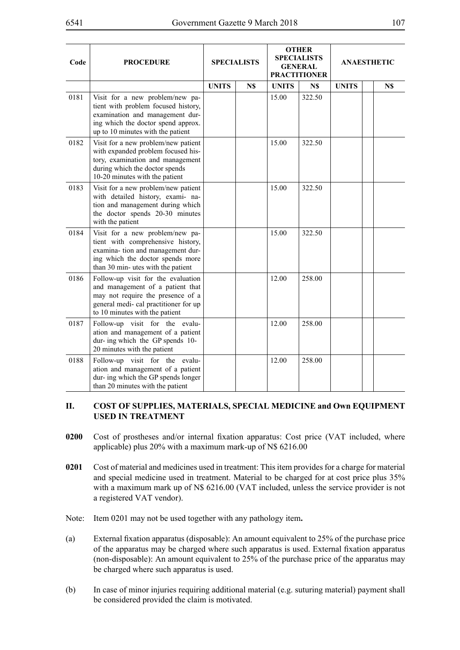| Code | <b>PROCEDURE</b>                                                                                                                                                                       |              | <b>SPECIALISTS</b> |              | <b>OTHER</b><br><b>SPECIALISTS</b><br><b>GENERAL</b><br><b>PRACTITIONER</b> |              | <b>ANAESTHETIC</b> |     |
|------|----------------------------------------------------------------------------------------------------------------------------------------------------------------------------------------|--------------|--------------------|--------------|-----------------------------------------------------------------------------|--------------|--------------------|-----|
|      |                                                                                                                                                                                        | <b>UNITS</b> | N\$                | <b>UNITS</b> | N\$                                                                         | <b>UNITS</b> |                    | N\$ |
| 0181 | Visit for a new problem/new pa-<br>tient with problem focused history,<br>examination and management dur-<br>ing which the doctor spend approx.<br>up to 10 minutes with the patient   |              |                    | 15.00        | 322.50                                                                      |              |                    |     |
| 0182 | Visit for a new problem/new patient<br>with expanded problem focused his-<br>tory, examination and management<br>during which the doctor spends<br>10-20 minutes with the patient      |              |                    | 15.00        | 322.50                                                                      |              |                    |     |
| 0183 | Visit for a new problem/new patient<br>with detailed history, exami- na-<br>tion and management during which<br>the doctor spends 20-30 minutes<br>with the patient                    |              |                    | 15.00        | 322.50                                                                      |              |                    |     |
| 0184 | Visit for a new problem/new pa-<br>tient with comprehensive history,<br>examina- tion and management dur-<br>ing which the doctor spends more<br>than 30 min- utes with the patient    |              |                    | 15.00        | 322.50                                                                      |              |                    |     |
| 0186 | Follow-up visit for the evaluation<br>and management of a patient that<br>may not require the presence of a<br>general medi- cal practitioner for up<br>to 10 minutes with the patient |              |                    | 12.00        | 258.00                                                                      |              |                    |     |
| 0187 | Follow-up visit for the evalu-<br>ation and management of a patient<br>dur- ing which the GP spends 10-<br>20 minutes with the patient                                                 |              |                    | 12.00        | 258.00                                                                      |              |                    |     |
| 0188 | Follow-up visit for the evalu-<br>ation and management of a patient<br>dur- ing which the GP spends longer<br>than 20 minutes with the patient                                         |              |                    | 12.00        | 258.00                                                                      |              |                    |     |

## **II. COST OF SUPPLIES, MATERIALS, SPECIAL MEDICINE and Own EQUIPMENT USED IN TREATMENT**

- **0200** Cost of prostheses and/or internal fixation apparatus: Cost price (VAT included, where applicable) plus 20% with a maximum mark-up of N\$ 6216.00
- **0201** Cost of material and medicines used in treatment: This item provides for a charge for material and special medicine used in treatment. Material to be charged for at cost price plus 35% with a maximum mark up of N\$ 6216.00 (VAT included, unless the service provider is not a registered VAT vendor).
- Note: Item 0201 may not be used together with any pathology item**.**
- (a) External fixation apparatus (disposable): An amount equivalent to 25% of the purchase price of the apparatus may be charged where such apparatus is used. External fixation apparatus (non-disposable): An amount equivalent to 25% of the purchase price of the apparatus may be charged where such apparatus is used.
- (b) In case of minor injuries requiring additional material (e.g. suturing material) payment shall be considered provided the claim is motivated.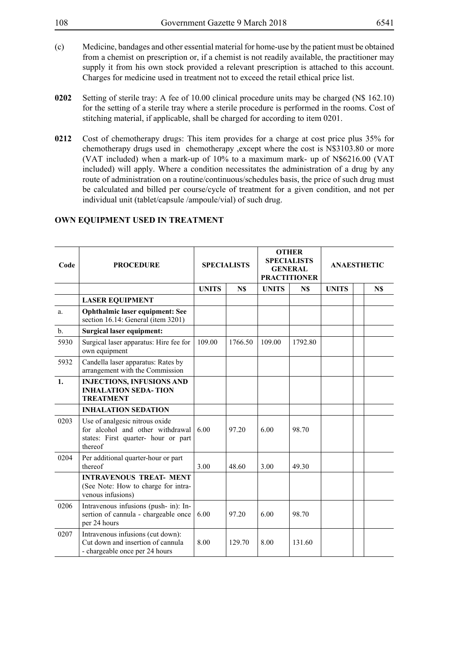- 108 Government Gazette 9 March 2018 6541
- (c) Medicine, bandages and other essential material for home-use by the patient must be obtained from a chemist on prescription or, if a chemist is not readily available, the practitioner may supply it from his own stock provided a relevant prescription is attached to this account. Charges for medicine used in treatment not to exceed the retail ethical price list.
- **0202** Setting of sterile tray: A fee of 10.00 clinical procedure units may be charged (N\$ 162.10) for the setting of a sterile tray where a sterile procedure is performed in the rooms. Cost of stitching material, if applicable, shall be charged for according to item 0201.
- **0212** Cost of chemotherapy drugs: This item provides for a charge at cost price plus 35% for chemotherapy drugs used in chemotherapy ,except where the cost is N\$3103.80 or more (VAT included) when a mark-up of 10% to a maximum mark- up of N\$6216.00 (VAT included) will apply. Where a condition necessitates the administration of a drug by any route of administration on a routine/continuous/schedules basis, the price of such drug must be calculated and billed per course/cycle of treatment for a given condition, and not per individual unit (tablet/capsule /ampoule/vial) of such drug.

| Code           | <b>PROCEDURE</b>                                                                                                     |              | <b>OTHER</b><br><b>SPECIALISTS</b><br><b>SPECIALISTS</b><br><b>GENERAL</b><br><b>PRACTITIONER</b> |              |         | <b>ANAESTHETIC</b> |  |     |
|----------------|----------------------------------------------------------------------------------------------------------------------|--------------|---------------------------------------------------------------------------------------------------|--------------|---------|--------------------|--|-----|
|                |                                                                                                                      | <b>UNITS</b> | N\$                                                                                               | <b>UNITS</b> | N\$     | <b>UNITS</b>       |  | N\$ |
|                | <b>LASER EQUIPMENT</b>                                                                                               |              |                                                                                                   |              |         |                    |  |     |
| a.             | Ophthalmic laser equipment: See<br>section 16.14: General (item 3201)                                                |              |                                                                                                   |              |         |                    |  |     |
| $\mathbf{b}$ . | <b>Surgical laser equipment:</b>                                                                                     |              |                                                                                                   |              |         |                    |  |     |
| 5930           | Surgical laser apparatus: Hire fee for<br>own equipment                                                              | 109.00       | 1766.50                                                                                           | 109.00       | 1792.80 |                    |  |     |
| 5932           | Candella laser apparatus: Rates by<br>arrangement with the Commission                                                |              |                                                                                                   |              |         |                    |  |     |
| $\mathbf{1}$ . | <b>INJECTIONS, INFUSIONS AND</b><br><b>INHALATION SEDA-TION</b><br><b>TREATMENT</b>                                  |              |                                                                                                   |              |         |                    |  |     |
|                | <b>INHALATION SEDATION</b>                                                                                           |              |                                                                                                   |              |         |                    |  |     |
| 0203           | Use of analgesic nitrous oxide<br>for alcohol and other withdrawal<br>states: First quarter- hour or part<br>thereof | 6.00         | 97.20                                                                                             | 6.00         | 98.70   |                    |  |     |
| 0204           | Per additional quarter-hour or part<br>thereof                                                                       | 3.00         | 48.60                                                                                             | 3.00         | 49.30   |                    |  |     |
|                | <b>INTRAVENOUS TREAT- MENT</b><br>(See Note: How to charge for intra-<br>venous infusions)                           |              |                                                                                                   |              |         |                    |  |     |
| 0206           | Intravenous infusions (push- in): In-<br>sertion of cannula - chargeable once<br>per 24 hours                        | 6.00         | 97.20                                                                                             | 6.00         | 98.70   |                    |  |     |
| 0207           | Intravenous infusions (cut down):<br>Cut down and insertion of cannula<br>- chargeable once per 24 hours             | 8.00         | 129.70                                                                                            | 8.00         | 131.60  |                    |  |     |

# **OWN EQUIPMENT USED IN TREATMENT**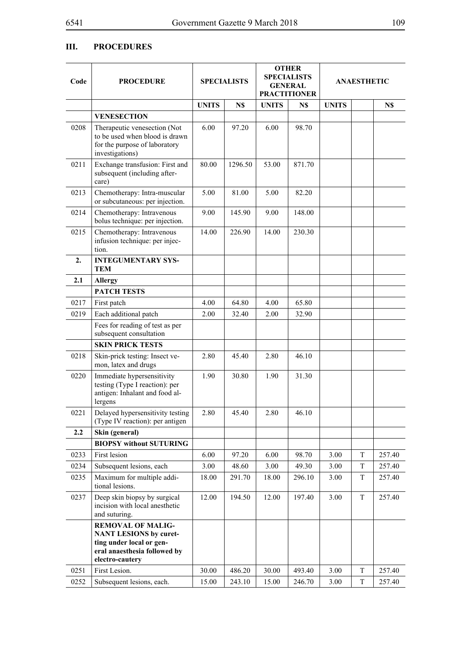## **III. PROCEDURES**

| Code | <b>PROCEDURE</b>                                                                                                   | <b>SPECIALISTS</b> |         |              | <b>OTHER</b><br><b>SPECIALISTS</b><br><b>GENERAL</b><br><b>PRACTITIONER</b> |              | <b>ANAESTHETIC</b> |        |
|------|--------------------------------------------------------------------------------------------------------------------|--------------------|---------|--------------|-----------------------------------------------------------------------------|--------------|--------------------|--------|
|      |                                                                                                                    | <b>UNITS</b>       | N\$     | <b>UNITS</b> | N\$                                                                         | <b>UNITS</b> |                    | N\$    |
|      | <b>VENESECTION</b>                                                                                                 |                    |         |              |                                                                             |              |                    |        |
| 0208 | Therapeutic venesection (Not<br>to be used when blood is drawn<br>for the purpose of laboratory<br>investigations) | 6.00               | 97.20   | 6.00         | 98.70                                                                       |              |                    |        |
| 0211 | Exchange transfusion: First and<br>subsequent (including after-<br>care)                                           | 80.00              | 1296.50 | 53.00        | 871.70                                                                      |              |                    |        |
| 0213 | Chemotherapy: Intra-muscular<br>or subcutaneous: per injection.                                                    | 5.00               | 81.00   | 5.00         | 82.20                                                                       |              |                    |        |
| 0214 | Chemotherapy: Intravenous<br>bolus technique: per injection.                                                       | 9.00               | 145.90  | 9.00         | 148.00                                                                      |              |                    |        |
| 0215 | Chemotherapy: Intravenous<br>infusion technique: per injec-<br>tion.                                               | 14.00              | 226.90  | 14.00        | 230.30                                                                      |              |                    |        |
| 2.   | <b>INTEGUMENTARY SYS-</b><br><b>TEM</b>                                                                            |                    |         |              |                                                                             |              |                    |        |
| 2.1  | <b>Allergy</b>                                                                                                     |                    |         |              |                                                                             |              |                    |        |
|      | <b>PATCH TESTS</b>                                                                                                 |                    |         |              |                                                                             |              |                    |        |
| 0217 | First patch                                                                                                        | 4.00               | 64.80   | 4.00         | 65.80                                                                       |              |                    |        |
| 0219 | Each additional patch                                                                                              | 2.00               | 32.40   | 2.00         | 32.90                                                                       |              |                    |        |
|      | Fees for reading of test as per<br>subsequent consultation                                                         |                    |         |              |                                                                             |              |                    |        |
|      | <b>SKIN PRICK TESTS</b>                                                                                            |                    |         |              |                                                                             |              |                    |        |
| 0218 | Skin-prick testing: Insect ve-<br>mon, latex and drugs                                                             | 2.80               | 45.40   | 2.80         | 46.10                                                                       |              |                    |        |
| 0220 | Immediate hypersensitivity<br>testing (Type I reaction): per<br>antigen: Inhalant and food al-<br>lergens          | 1.90               | 30.80   | 1.90         | 31.30                                                                       |              |                    |        |
| 0221 | Delayed hypersensitivity testing<br>(Type IV reaction): per antigen                                                | 2.80               | 45.40   | 2.80         | 46.10                                                                       |              |                    |        |
| 2.2  | Skin (general)                                                                                                     |                    |         |              |                                                                             |              |                    |        |
|      | <b>BIOPSY without SUTURING</b>                                                                                     |                    |         |              |                                                                             |              |                    |        |
| 0233 | First lesion                                                                                                       | 6.00               | 97.20   | 6.00         | 98.70                                                                       | 3.00         | T                  | 257.40 |
| 0234 | Subsequent lesions, each                                                                                           | 3.00               | 48.60   | 3.00         | 49.30                                                                       | 3.00         | T                  | 257.40 |
| 0235 | Maximum for multiple addi-<br>tional lesions.                                                                      | 18.00              | 291.70  | 18.00        | 296.10                                                                      | 3.00         | T                  | 257.40 |
| 0237 | Deep skin biopsy by surgical<br>incision with local anesthetic<br>and suturing.                                    | 12.00              | 194.50  | 12.00        | 197.40                                                                      | 3.00         | T                  | 257.40 |
|      | <b>REMOVAL OF MALIG-</b><br><b>NANT LESIONS by curet-</b>                                                          |                    |         |              |                                                                             |              |                    |        |
|      | ting under local or gen-<br>eral anaesthesia followed by<br>electro-cautery                                        |                    |         |              |                                                                             |              |                    |        |
| 0251 | First Lesion.                                                                                                      | 30.00              | 486.20  | 30.00        | 493.40                                                                      | 3.00         | T                  | 257.40 |
| 0252 | Subsequent lesions, each.                                                                                          | 15.00              | 243.10  | 15.00        | 246.70                                                                      | 3.00         | T                  | 257.40 |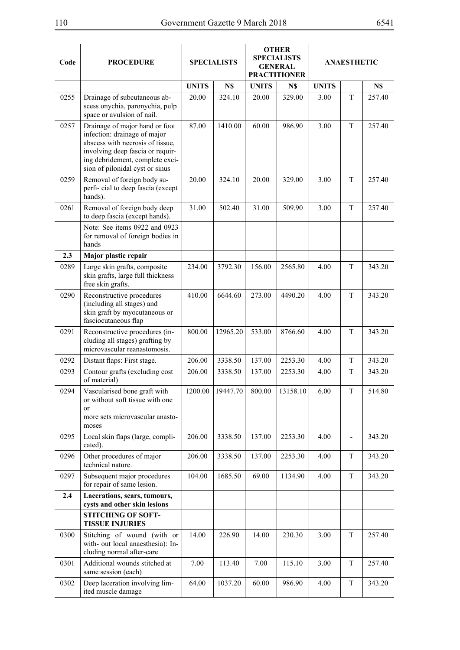| Code | <b>PROCEDURE</b>                                                                                                                                                                                             | <b>SPECIALISTS</b> |          |              | <b>OTHER</b><br><b>SPECIALISTS</b><br><b>GENERAL</b><br><b>PRACTITIONER</b> | <b>ANAESTHETIC</b> |   |        |
|------|--------------------------------------------------------------------------------------------------------------------------------------------------------------------------------------------------------------|--------------------|----------|--------------|-----------------------------------------------------------------------------|--------------------|---|--------|
|      |                                                                                                                                                                                                              | <b>UNITS</b>       | N\$      | <b>UNITS</b> | N\$                                                                         | <b>UNITS</b>       |   | N\$    |
| 0255 | Drainage of subcutaneous ab-<br>scess onychia, paronychia, pulp<br>space or avulsion of nail.                                                                                                                | 20.00              | 324.10   | 20.00        | 329.00                                                                      | 3.00               | T | 257.40 |
| 0257 | Drainage of major hand or foot<br>infection: drainage of major<br>abscess with necrosis of tissue,<br>involving deep fascia or requir-<br>ing debridement, complete exci-<br>sion of pilonidal cyst or sinus | 87.00              | 1410.00  | 60.00        | 986.90                                                                      | 3.00               | T | 257.40 |
| 0259 | Removal of foreign body su-<br>perfi-cial to deep fascia (except<br>hands).                                                                                                                                  | 20.00              | 324.10   | 20.00        | 329.00                                                                      | 3.00               | T | 257.40 |
| 0261 | Removal of foreign body deep<br>to deep fascia (except hands).                                                                                                                                               | 31.00              | 502.40   | 31.00        | 509.90                                                                      | 3.00               | T | 257.40 |
|      | Note: See items 0922 and 0923<br>for removal of foreign bodies in<br>hands                                                                                                                                   |                    |          |              |                                                                             |                    |   |        |
| 2.3  | Major plastic repair                                                                                                                                                                                         |                    |          |              |                                                                             |                    |   |        |
| 0289 | Large skin grafts, composite<br>skin grafts, large full thickness<br>free skin grafts.                                                                                                                       | 234.00             | 3792.30  | 156.00       | 2565.80                                                                     | 4.00               | T | 343.20 |
| 0290 | Reconstructive procedures<br>(including all stages) and<br>skin graft by myocutaneous or<br>fasciocutaneous flap                                                                                             | 410.00             | 6644.60  | 273.00       | 4490.20                                                                     | 4.00               | T | 343.20 |
| 0291 | Reconstructive procedures (in-<br>cluding all stages) grafting by<br>microvascular reanastomosis.                                                                                                            | 800.00             | 12965.20 | 533.00       | 8766.60                                                                     | 4.00               | T | 343.20 |
| 0292 | Distant flaps: First stage.                                                                                                                                                                                  | 206.00             | 3338.50  | 137.00       | 2253.30                                                                     | 4.00               | T | 343.20 |
| 0293 | Contour grafts (excluding cost<br>of material)                                                                                                                                                               | 206.00             | 3338.50  | 137.00       | 2253.30                                                                     | 4.00               | T | 343.20 |
| 0294 | Vascularised bone graft with<br>or without soft tissue with one<br><sub>or</sub><br>more sets microvascular anasto-<br>moses                                                                                 | 1200.00            | 19447.70 | 800.00       | 13158.10                                                                    | 6.00               | T | 514.80 |
| 0295 | Local skin flaps (large, compli-<br>cated).                                                                                                                                                                  | 206.00             | 3338.50  | 137.00       | 2253.30                                                                     | 4.00               |   | 343.20 |
| 0296 | Other procedures of major<br>technical nature.                                                                                                                                                               | 206.00             | 3338.50  | 137.00       | 2253.30                                                                     | 4.00               | T | 343.20 |
| 0297 | Subsequent major procedures<br>for repair of same lesion.                                                                                                                                                    | 104.00             | 1685.50  | 69.00        | 1134.90                                                                     | 4.00               | T | 343.20 |
| 2.4  | Lacerations, scars, tumours,<br>cysts and other skin lesions                                                                                                                                                 |                    |          |              |                                                                             |                    |   |        |
|      | <b>STITCHING OF SOFT-</b><br><b>TISSUE INJURIES</b>                                                                                                                                                          |                    |          |              |                                                                             |                    |   |        |
| 0300 | Stitching of wound (with or<br>with- out local anaesthesia): In-<br>cluding normal after-care                                                                                                                | 14.00              | 226.90   | 14.00        | 230.30                                                                      | 3.00               | T | 257.40 |
| 0301 | Additional wounds stitched at<br>same session (each)                                                                                                                                                         | 7.00               | 113.40   | 7.00         | 115.10                                                                      | 3.00               | T | 257.40 |
| 0302 | Deep laceration involving lim-<br>ited muscle damage                                                                                                                                                         | 64.00              | 1037.20  | 60.00        | 986.90                                                                      | 4.00               | T | 343.20 |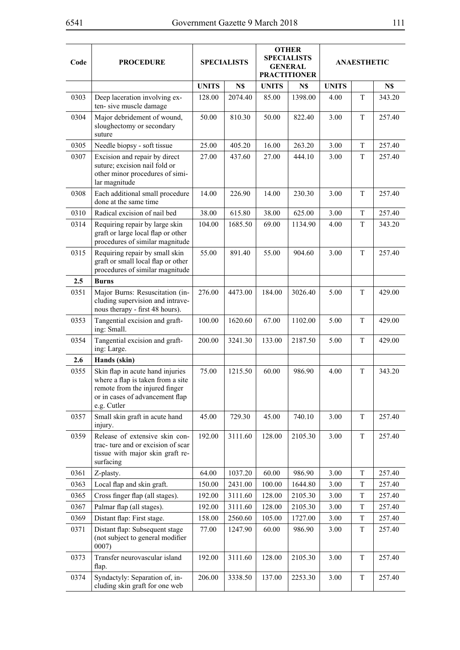| Code | <b>PROCEDURE</b>                                                                                                                                          | <b>SPECIALISTS</b> |         | <b>OTHER</b><br><b>SPECIALISTS</b><br><b>GENERAL</b><br><b>PRACTITIONER</b> |         | <b>ANAESTHETIC</b> |         |        |
|------|-----------------------------------------------------------------------------------------------------------------------------------------------------------|--------------------|---------|-----------------------------------------------------------------------------|---------|--------------------|---------|--------|
|      |                                                                                                                                                           | <b>UNITS</b>       | N\$     | <b>UNITS</b>                                                                | N\$     | <b>UNITS</b>       |         | N\$    |
| 0303 | Deep laceration involving ex-<br>ten-sive muscle damage                                                                                                   | 128.00             | 2074.40 | 85.00                                                                       | 1398.00 | 4.00               | T       | 343.20 |
| 0304 | Major debridement of wound,<br>sloughectomy or secondary<br>suture                                                                                        | 50.00              | 810.30  | 50.00                                                                       | 822.40  | 3.00               | T       | 257.40 |
| 0305 | Needle biopsy - soft tissue                                                                                                                               | 25.00              | 405.20  | 16.00                                                                       | 263.20  | 3.00               | T       | 257.40 |
| 0307 | Excision and repair by direct<br>suture; excision nail fold or<br>other minor procedures of simi-<br>lar magnitude                                        | 27.00              | 437.60  | 27.00                                                                       | 444.10  | 3.00               | T       | 257.40 |
| 0308 | Each additional small procedure<br>done at the same time                                                                                                  | 14.00              | 226.90  | 14.00                                                                       | 230.30  | 3.00               | T       | 257.40 |
| 0310 | Radical excision of nail bed                                                                                                                              | 38.00              | 615.80  | 38.00                                                                       | 625.00  | 3.00               | T       | 257.40 |
| 0314 | Requiring repair by large skin<br>graft or large local flap or other<br>procedures of similar magnitude                                                   | 104.00             | 1685.50 | 69.00                                                                       | 1134.90 | 4.00               | T       | 343.20 |
| 0315 | Requiring repair by small skin<br>graft or small local flap or other<br>procedures of similar magnitude                                                   | 55.00              | 891.40  | 55.00                                                                       | 904.60  | 3.00               | T       | 257.40 |
| 2.5  | <b>Burns</b>                                                                                                                                              |                    |         |                                                                             |         |                    |         |        |
| 0351 | Major Burns: Resuscitation (in-<br>cluding supervision and intrave-<br>nous therapy - first 48 hours).                                                    | 276.00             | 4473.00 | 184.00                                                                      | 3026.40 | 5.00               | T       | 429.00 |
| 0353 | Tangential excision and graft-<br>ing: Small.                                                                                                             | 100.00             | 1620.60 | 67.00                                                                       | 1102.00 | 5.00               | $\rm T$ | 429.00 |
| 0354 | Tangential excision and graft-<br>ing: Large.                                                                                                             | 200.00             | 3241.30 | 133.00                                                                      | 2187.50 | 5.00               | T       | 429.00 |
| 2.6  | Hands (skin)                                                                                                                                              |                    |         |                                                                             |         |                    |         |        |
| 0355 | Skin flap in acute hand injuries<br>where a flap is taken from a site<br>remote from the injured finger<br>or in cases of advancement flap<br>e.g. Cutler | 75.00              | 1215.50 | 60.00                                                                       | 986.90  | 4.00               | T       | 343.20 |
| 0357 | Small skin graft in acute hand<br>injury.                                                                                                                 | 45.00              | 729.30  | 45.00                                                                       | 740.10  | 3.00               | T       | 257.40 |
| 0359 | Release of extensive skin con-<br>trac- ture and or excision of scar<br>tissue with major skin graft re-<br>surfacing                                     | 192.00             | 3111.60 | 128.00                                                                      | 2105.30 | 3.00               | T       | 257.40 |
| 0361 | Z-plasty.                                                                                                                                                 | 64.00              | 1037.20 | 60.00                                                                       | 986.90  | 3.00               | T       | 257.40 |
| 0363 | Local flap and skin graft.                                                                                                                                | 150.00             | 2431.00 | 100.00                                                                      | 1644.80 | 3.00               | T       | 257.40 |
| 0365 | Cross finger flap (all stages).                                                                                                                           | 192.00             | 3111.60 | 128.00                                                                      | 2105.30 | 3.00               | T       | 257.40 |
| 0367 | Palmar flap (all stages).                                                                                                                                 | 192.00             | 3111.60 | 128.00                                                                      | 2105.30 | 3.00               | T       | 257.40 |
| 0369 | Distant flap: First stage.                                                                                                                                | 158.00             | 2560.60 | 105.00                                                                      | 1727.00 | 3.00               | T       | 257.40 |
| 0371 | Distant flap: Subsequent stage<br>(not subject to general modifier<br>0007)                                                                               | 77.00              | 1247.90 | 60.00                                                                       | 986.90  | 3.00               | T       | 257.40 |
| 0373 | Transfer neurovascular island<br>flap.                                                                                                                    | 192.00             | 3111.60 | 128.00                                                                      | 2105.30 | 3.00               | T       | 257.40 |
| 0374 | Syndactyly: Separation of, in-<br>cluding skin graft for one web                                                                                          | 206.00             | 3338.50 | 137.00                                                                      | 2253.30 | 3.00               | T       | 257.40 |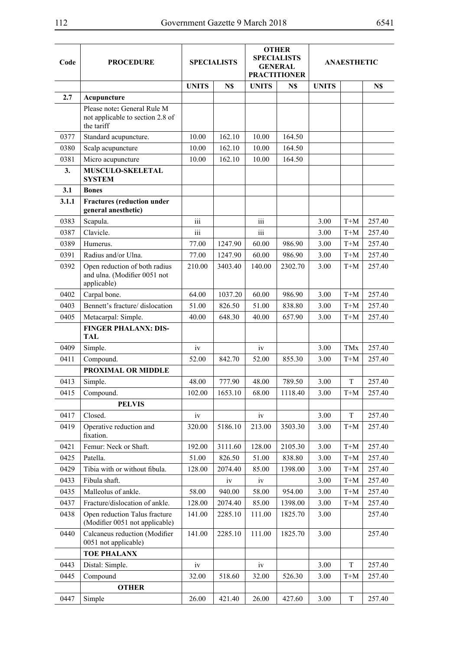| Code  | <b>PROCEDURE</b>                                                              | <b>SPECIALISTS</b> |         | <b>OTHER</b><br><b>SPECIALISTS</b><br><b>GENERAL</b><br><b>PRACTITIONER</b> |         |              | <b>ANAESTHETIC</b> |        |
|-------|-------------------------------------------------------------------------------|--------------------|---------|-----------------------------------------------------------------------------|---------|--------------|--------------------|--------|
|       |                                                                               | <b>UNITS</b>       | N\$     | <b>UNITS</b>                                                                | N\$     | <b>UNITS</b> |                    | N\$    |
| 2.7   | Acupuncture                                                                   |                    |         |                                                                             |         |              |                    |        |
|       | Please note: General Rule M<br>not applicable to section 2.8 of<br>the tariff |                    |         |                                                                             |         |              |                    |        |
| 0377  | Standard acupuncture.                                                         | 10.00              | 162.10  | 10.00                                                                       | 164.50  |              |                    |        |
| 0380  | Scalp acupuncture                                                             | 10.00              | 162.10  | 10.00                                                                       | 164.50  |              |                    |        |
| 0381  | Micro acupuncture                                                             | 10.00              | 162.10  | 10.00                                                                       | 164.50  |              |                    |        |
| 3.    | MUSCULO-SKELETAL<br><b>SYSTEM</b>                                             |                    |         |                                                                             |         |              |                    |        |
| 3.1   | <b>Bones</b>                                                                  |                    |         |                                                                             |         |              |                    |        |
| 3.1.1 | <b>Fractures</b> (reduction under<br>general anesthetic)                      |                    |         |                                                                             |         |              |                    |        |
| 0383  | Scapula.                                                                      | iii                |         | iii                                                                         |         | 3.00         | $T+M$              | 257.40 |
| 0387  | Clavicle.                                                                     | iii                |         | iii                                                                         |         | 3.00         | $T+M$              | 257.40 |
| 0389  | Humerus.                                                                      | 77.00              | 1247.90 | 60.00                                                                       | 986.90  | 3.00         | $T+M$              | 257.40 |
| 0391  | Radius and/or Ulna.                                                           | 77.00              | 1247.90 | 60.00                                                                       | 986.90  | 3.00         | $T+M$              | 257.40 |
| 0392  | Open reduction of both radius<br>and ulna. (Modifier 0051 not<br>applicable)  | 210.00             | 3403.40 | 140.00                                                                      | 2302.70 | 3.00         | $T+M$              | 257.40 |
| 0402  | Carpal bone.                                                                  | 64.00              | 1037.20 | 60.00                                                                       | 986.90  | 3.00         | $T+M$              | 257.40 |
| 0403  | Bennett's fracture/ dislocation                                               | 51.00              | 826.50  | 51.00                                                                       | 838.80  | 3.00         | $T+M$              | 257.40 |
| 0405  | Metacarpal: Simple.                                                           | 40.00              | 648.30  | 40.00                                                                       | 657.90  | 3.00         | $T+M$              | 257.40 |
|       | <b>FINGER PHALANX: DIS-</b><br><b>TAL</b>                                     |                    |         |                                                                             |         |              |                    |        |
| 0409  | Simple.                                                                       | iv                 |         | iv                                                                          |         | 3.00         | <b>TMx</b>         | 257.40 |
| 0411  | Compound.                                                                     | 52.00              | 842.70  | 52.00                                                                       | 855.30  | 3.00         | $T+M$              | 257.40 |
|       | PROXIMAL OR MIDDLE                                                            |                    |         |                                                                             |         |              |                    |        |
| 0413  | Simple.                                                                       | 48.00              | 777.90  | 48.00                                                                       | 789.50  | 3.00         | T                  | 257.40 |
| 0415  | Compound.                                                                     | 102.00             | 1653.10 | 68.00                                                                       | 1118.40 | 3.00         | T+M                | 257.40 |
|       | <b>PELVIS</b>                                                                 |                    |         |                                                                             |         |              |                    |        |
| 0417  | Closed.                                                                       | iv                 |         | iv                                                                          |         | 3.00         | T                  | 257.40 |
| 0419  | Operative reduction and<br>fixation.                                          | 320.00             | 5186.10 | 213.00                                                                      | 3503.30 | 3.00         | $T+M$              | 257.40 |
| 0421  | Femur: Neck or Shaft.                                                         | 192.00             | 3111.60 | 128.00                                                                      | 2105.30 | 3.00         | $T+M$              | 257.40 |
| 0425  | Patella.                                                                      | 51.00              | 826.50  | 51.00                                                                       | 838.80  | 3.00         | $T+M$              | 257.40 |
| 0429  | Tibia with or without fibula.                                                 | 128.00             | 2074.40 | 85.00                                                                       | 1398.00 | 3.00         | $T+M$              | 257.40 |
| 0433  | Fibula shaft.                                                                 |                    | iv      | iv                                                                          |         | 3.00         | $T+M$              | 257.40 |
| 0435  | Malleolus of ankle.                                                           | 58.00              | 940.00  | 58.00                                                                       | 954.00  | 3.00         | $T+M$              | 257.40 |
| 0437  | Fracture/dislocation of ankle.                                                | 128.00             | 2074.40 | 85.00                                                                       | 1398.00 | 3.00         | $T+M$              | 257.40 |
| 0438  | Open reduction Talus fracture<br>(Modifier 0051 not applicable)               | 141.00             | 2285.10 | 111.00                                                                      | 1825.70 | 3.00         |                    | 257.40 |
| 0440  | Calcaneus reduction (Modifier<br>0051 not applicable)                         | 141.00             | 2285.10 | 111.00                                                                      | 1825.70 | 3.00         |                    | 257.40 |
|       | <b>TOE PHALANX</b>                                                            |                    |         |                                                                             |         |              |                    |        |
| 0443  | Distal: Simple.                                                               | iv                 |         | iv                                                                          |         | 3.00         | T                  | 257.40 |
| 0445  | Compound                                                                      | 32.00              | 518.60  | 32.00                                                                       | 526.30  | 3.00         | $T+M$              | 257.40 |
|       | <b>OTHER</b>                                                                  |                    |         |                                                                             |         |              |                    |        |
| 0447  | Simple                                                                        | 26.00              | 421.40  | 26.00                                                                       | 427.60  | 3.00         | T                  | 257.40 |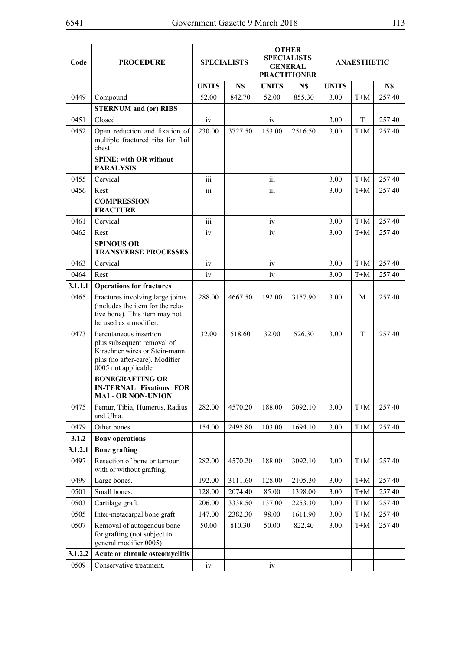| Code    | <b>PROCEDURE</b>                                                                                                                               | <b>SPECIALISTS</b> |         | <b>OTHER</b><br><b>SPECIALISTS</b><br><b>GENERAL</b><br><b>PRACTITIONER</b> |         | <b>ANAESTHETIC</b> |       |        |
|---------|------------------------------------------------------------------------------------------------------------------------------------------------|--------------------|---------|-----------------------------------------------------------------------------|---------|--------------------|-------|--------|
|         |                                                                                                                                                | <b>UNITS</b>       | N\$     | <b>UNITS</b>                                                                | N\$     | <b>UNITS</b>       |       | N\$    |
| 0449    | Compound                                                                                                                                       | 52.00              | 842.70  | 52.00                                                                       | 855.30  | 3.00               | $T+M$ | 257.40 |
|         | <b>STERNUM</b> and (or) RIBS                                                                                                                   |                    |         |                                                                             |         |                    |       |        |
| 0451    | Closed                                                                                                                                         | iv                 |         | iv                                                                          |         | 3.00               | T     | 257.40 |
| 0452    | Open reduction and fixation of<br>multiple fractured ribs for flail<br>chest                                                                   | 230.00             | 3727.50 | 153.00                                                                      | 2516.50 | 3.00               | $T+M$ | 257.40 |
|         | <b>SPINE: with OR without</b><br><b>PARALYSIS</b>                                                                                              |                    |         |                                                                             |         |                    |       |        |
| 0455    | Cervical                                                                                                                                       | iii                |         | iii                                                                         |         | 3.00               | $T+M$ | 257.40 |
| 0456    | Rest                                                                                                                                           | $\overline{111}$   |         | $\overline{111}$                                                            |         | 3.00               | $T+M$ | 257.40 |
|         | <b>COMPRESSION</b><br><b>FRACTURE</b>                                                                                                          |                    |         |                                                                             |         |                    |       |        |
| 0461    | Cervical                                                                                                                                       | iii                |         | iv                                                                          |         | 3.00               | $T+M$ | 257.40 |
| 0462    | Rest                                                                                                                                           | iv                 |         | iv                                                                          |         | 3.00               | $T+M$ | 257.40 |
|         | <b>SPINOUS OR</b><br><b>TRANSVERSE PROCESSES</b>                                                                                               |                    |         |                                                                             |         |                    |       |        |
| 0463    | Cervical                                                                                                                                       | iv                 |         | iv                                                                          |         | 3.00               | $T+M$ | 257.40 |
| 0464    | Rest                                                                                                                                           | iv                 |         | iv                                                                          |         | 3.00               | $T+M$ | 257.40 |
| 3.1.1.1 | <b>Operations for fractures</b>                                                                                                                |                    |         |                                                                             |         |                    |       |        |
| 0465    | Fractures involving large joints<br>(includes the item for the rela-<br>tive bone). This item may not<br>be used as a modifier.                | 288.00             | 4667.50 | 192.00                                                                      | 3157.90 | 3.00               | М     | 257.40 |
| 0473    | Percutaneous insertion<br>plus subsequent removal of<br>Kirschner wires or Stein-mann<br>pins (no after-care). Modifier<br>0005 not applicable | 32.00              | 518.60  | 32.00                                                                       | 526.30  | 3.00               | T     | 257.40 |
|         | <b>BONEGRAFTING OR</b><br><b>IN-TERNAL Fixations FOR</b><br><b>MAL- OR NON-UNION</b>                                                           |                    |         |                                                                             |         |                    |       |        |
| 0475    | Femur, Tibia, Humerus, Radius<br>and Ulna.                                                                                                     | 282.00             | 4570.20 | 188.00                                                                      | 3092.10 | 3.00               | $T+M$ | 257.40 |
| 0479    | Other bones.                                                                                                                                   | 154.00             | 2495.80 | 103.00                                                                      | 1694.10 | 3.00               | $T+M$ | 257.40 |
| 3.1.2   | <b>Bony operations</b>                                                                                                                         |                    |         |                                                                             |         |                    |       |        |
| 3.1.2.1 | <b>Bone grafting</b>                                                                                                                           |                    |         |                                                                             |         |                    |       |        |
| 0497    | Resection of bone or tumour<br>with or without grafting.                                                                                       | 282.00             | 4570.20 | 188.00                                                                      | 3092.10 | 3.00               | $T+M$ | 257.40 |
| 0499    | Large bones.                                                                                                                                   | 192.00             | 3111.60 | 128.00                                                                      | 2105.30 | 3.00               | $T+M$ | 257.40 |
| 0501    | Small bones.                                                                                                                                   | 128.00             | 2074.40 | 85.00                                                                       | 1398.00 | 3.00               | $T+M$ | 257.40 |
| 0503    | Cartilage graft.                                                                                                                               | 206.00             | 3338.50 | 137.00                                                                      | 2253.30 | 3.00               | $T+M$ | 257.40 |
| 0505    | Inter-metacarpal bone graft                                                                                                                    | 147.00             | 2382.30 | 98.00                                                                       | 1611.90 | 3.00               | $T+M$ | 257.40 |
| 0507    | Removal of autogenous bone<br>for grafting (not subject to<br>general modifier 0005)                                                           | 50.00              | 810.30  | 50.00                                                                       | 822.40  | 3.00               | $T+M$ | 257.40 |
| 3.1.2.2 | Acute or chronic osteomyelitis                                                                                                                 |                    |         |                                                                             |         |                    |       |        |
| 0509    | Conservative treatment.                                                                                                                        | iv                 |         | iv                                                                          |         |                    |       |        |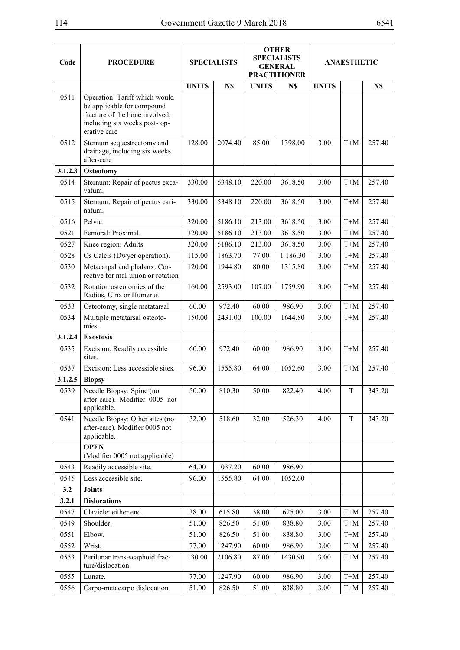| Code    | <b>PROCEDURE</b>                                                                                                                               | <b>SPECIALISTS</b> |         | <b>OTHER</b><br><b>SPECIALISTS</b><br><b>GENERAL</b><br><b>PRACTITIONER</b> |               | <b>ANAESTHETIC</b> |       |        |
|---------|------------------------------------------------------------------------------------------------------------------------------------------------|--------------------|---------|-----------------------------------------------------------------------------|---------------|--------------------|-------|--------|
|         |                                                                                                                                                | <b>UNITS</b>       | N\$     | <b>UNITS</b>                                                                | N\$           | <b>UNITS</b>       |       | N\$    |
| 0511    | Operation: Tariff which would<br>be applicable for compound<br>fracture of the bone involved,<br>including six weeks post- op-<br>erative care |                    |         |                                                                             |               |                    |       |        |
| 0512    | Sternum sequestrectomy and<br>drainage, including six weeks<br>after-care                                                                      | 128.00             | 2074.40 | 85.00                                                                       | 1398.00       | 3.00               | $T+M$ | 257.40 |
| 3.1.2.3 | <b>Osteotomy</b>                                                                                                                               |                    |         |                                                                             |               |                    |       |        |
| 0514    | Sternum: Repair of pectus exca-<br>vatum.                                                                                                      | 330.00             | 5348.10 | 220.00                                                                      | 3618.50       | 3.00               | $T+M$ | 257.40 |
| 0515    | Sternum: Repair of pectus cari-<br>natum.                                                                                                      | 330.00             | 5348.10 | 220.00                                                                      | 3618.50       | 3.00               | $T+M$ | 257.40 |
| 0516    | Pelvic.                                                                                                                                        | 320.00             | 5186.10 | 213.00                                                                      | 3618.50       | 3.00               | $T+M$ | 257.40 |
| 0521    | Femoral: Proximal.                                                                                                                             | 320.00             | 5186.10 | 213.00                                                                      | 3618.50       | 3.00               | $T+M$ | 257.40 |
| 0527    | Knee region: Adults                                                                                                                            | 320.00             | 5186.10 | 213.00                                                                      | 3618.50       | 3.00               | $T+M$ | 257.40 |
| 0528    | Os Calcis (Dwyer operation).                                                                                                                   | 115.00             | 1863.70 | 77.00                                                                       | 1 1 8 6 . 3 0 | 3.00               | $T+M$ | 257.40 |
| 0530    | Metacarpal and phalanx: Cor-<br>rective for mal-union or rotation                                                                              | 120.00             | 1944.80 | 80.00                                                                       | 1315.80       | 3.00               | $T+M$ | 257.40 |
| 0532    | Rotation osteotomies of the<br>Radius, Ulna or Humerus                                                                                         | 160.00             | 2593.00 | 107.00                                                                      | 1759.90       | 3.00               | $T+M$ | 257.40 |
| 0533    | Osteotomy, single metatarsal                                                                                                                   | 60.00              | 972.40  | 60.00                                                                       | 986.90        | 3.00               | $T+M$ | 257.40 |
| 0534    | Multiple metatarsal osteoto-<br>mies.                                                                                                          | 150.00             | 2431.00 | 100.00                                                                      | 1644.80       | 3.00               | $T+M$ | 257.40 |
| 3.1.2.4 | <b>Exostosis</b>                                                                                                                               |                    |         |                                                                             |               |                    |       |        |
| 0535    | Excision: Readily accessible<br>sites.                                                                                                         | 60.00              | 972.40  | 60.00                                                                       | 986.90        | 3.00               | $T+M$ | 257.40 |
| 0537    | Excision: Less accessible sites.                                                                                                               | 96.00              | 1555.80 | 64.00                                                                       | 1052.60       | 3.00               | $T+M$ | 257.40 |
| 3.1.2.5 | <b>Biopsy</b>                                                                                                                                  |                    |         |                                                                             |               |                    |       |        |
| 0539    | Needle Biopsy: Spine (no<br>after-care). Modifier 0005 not<br>applicable.                                                                      | 50.00              | 810.30  | 50.00                                                                       | 822.40        | 4.00               | T     | 343.20 |
| 0541    | Needle Biopsy: Other sites (no<br>after-care). Modifier 0005 not<br>applicable.                                                                | 32.00              | 518.60  | 32.00                                                                       | 526.30        | 4.00               | T     | 343.20 |
|         | <b>OPEN</b><br>(Modifier 0005 not applicable)                                                                                                  |                    |         |                                                                             |               |                    |       |        |
| 0543    | Readily accessible site.                                                                                                                       | 64.00              | 1037.20 | 60.00                                                                       | 986.90        |                    |       |        |
| 0545    | Less accessible site.                                                                                                                          | 96.00              | 1555.80 | 64.00                                                                       | 1052.60       |                    |       |        |
| 3.2     | <b>Joints</b>                                                                                                                                  |                    |         |                                                                             |               |                    |       |        |
| 3.2.1   | <b>Dislocations</b>                                                                                                                            |                    |         |                                                                             |               |                    |       |        |
| 0547    | Clavicle: either end.                                                                                                                          | 38.00              | 615.80  | 38.00                                                                       | 625.00        | 3.00               | $T+M$ | 257.40 |
| 0549    | Shoulder.                                                                                                                                      | 51.00              | 826.50  | 51.00                                                                       | 838.80        | 3.00               | $T+M$ | 257.40 |
| 0551    | Elbow.                                                                                                                                         | 51.00              | 826.50  | 51.00                                                                       | 838.80        | 3.00               | $T+M$ | 257.40 |
| 0552    | Wrist.                                                                                                                                         | 77.00              | 1247.90 | 60.00                                                                       | 986.90        | 3.00               | $T+M$ | 257.40 |
| 0553    | Perilunar trans-scaphoid frac-<br>ture/dislocation                                                                                             | 130.00             | 2106.80 | 87.00                                                                       | 1430.90       | 3.00               | $T+M$ | 257.40 |
| 0555    | Lunate.                                                                                                                                        | 77.00              | 1247.90 | 60.00                                                                       | 986.90        | 3.00               | $T+M$ | 257.40 |
| 0556    | Carpo-metacarpo dislocation                                                                                                                    | 51.00              | 826.50  | 51.00                                                                       | 838.80        | 3.00               | $T+M$ | 257.40 |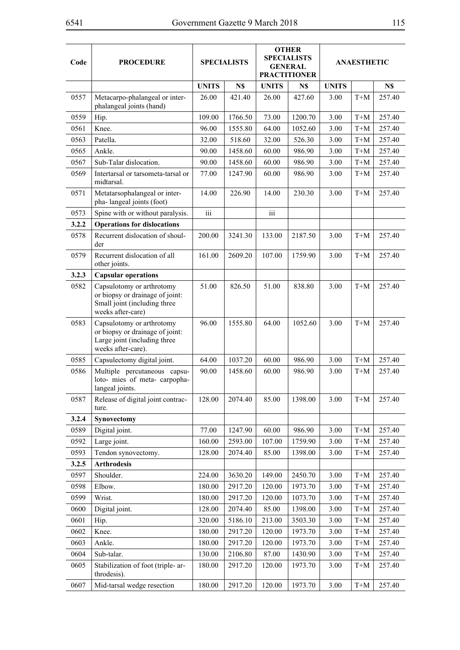| Code  | <b>PROCEDURE</b>                                                                                                   | <b>SPECIALISTS</b> |         | <b>OTHER</b><br><b>SPECIALISTS</b><br><b>GENERAL</b><br><b>PRACTITIONER</b> |         |              | ANAESTHETIC |        |
|-------|--------------------------------------------------------------------------------------------------------------------|--------------------|---------|-----------------------------------------------------------------------------|---------|--------------|-------------|--------|
|       |                                                                                                                    | <b>UNITS</b>       | N\$     | <b>UNITS</b>                                                                | N\$     | <b>UNITS</b> |             | N\$    |
| 0557  | Metacarpo-phalangeal or inter-<br>phalangeal joints (hand)                                                         | 26.00              | 421.40  | 26.00                                                                       | 427.60  | 3.00         | $T+M$       | 257.40 |
| 0559  | Hip.                                                                                                               | 109.00             | 1766.50 | 73.00                                                                       | 1200.70 | 3.00         | $T+M$       | 257.40 |
| 0561  | Knee.                                                                                                              | 96.00              | 1555.80 | 64.00                                                                       | 1052.60 | 3.00         | $T+M$       | 257.40 |
| 0563  | Patella.                                                                                                           | 32.00              | 518.60  | 32.00                                                                       | 526.30  | 3.00         | $T+M$       | 257.40 |
| 0565  | Ankle.                                                                                                             | 90.00              | 1458.60 | 60.00                                                                       | 986.90  | 3.00         | $T+M$       | 257.40 |
| 0567  | Sub-Talar dislocation.                                                                                             | 90.00              | 1458.60 | 60.00                                                                       | 986.90  | 3.00         | $T+M$       | 257.40 |
| 0569  | Intertarsal or tarsometa-tarsal or<br>midtarsal.                                                                   | 77.00              | 1247.90 | 60.00                                                                       | 986.90  | 3.00         | $T+M$       | 257.40 |
| 0571  | Metatarsophalangeal or inter-<br>pha-langeal joints (foot)                                                         | 14.00              | 226.90  | 14.00                                                                       | 230.30  | 3.00         | $T+M$       | 257.40 |
| 0573  | Spine with or without paralysis.                                                                                   | iii                |         | $\overline{\textbf{iii}}$                                                   |         |              |             |        |
| 3.2.2 | <b>Operations for dislocations</b>                                                                                 |                    |         |                                                                             |         |              |             |        |
| 0578  | Recurrent dislocation of shoul-<br>der                                                                             | 200.00             | 3241.30 | 133.00                                                                      | 2187.50 | 3.00         | $T+M$       | 257.40 |
| 0579  | Recurrent dislocation of all<br>other joints.                                                                      | 161.00             | 2609.20 | 107.00                                                                      | 1759.90 | 3.00         | $T+M$       | 257.40 |
| 3.2.3 | <b>Capsular operations</b>                                                                                         |                    |         |                                                                             |         |              |             |        |
| 0582  | Capsulotomy or arthrotomy<br>or biopsy or drainage of joint:<br>Small joint (including three<br>weeks after-care)  | 51.00              | 826.50  | 51.00                                                                       | 838.80  | 3.00         | $T+M$       | 257.40 |
| 0583  | Capsulotomy or arthrotomy<br>or biopsy or drainage of joint:<br>Large joint (including three<br>weeks after-care). | 96.00              | 1555.80 | 64.00                                                                       | 1052.60 | 3.00         | $T+M$       | 257.40 |
| 0585  | Capsulectomy digital joint.                                                                                        | 64.00              | 1037.20 | 60.00                                                                       | 986.90  | 3.00         | $T+M$       | 257.40 |
| 0586  | Multiple percutaneous capsu-<br>loto- mies of meta- carpopha-<br>langeal joints.                                   | 90.00              | 1458.60 | 60.00                                                                       | 986.90  | 3.00         | $T+M$       | 257.40 |
| 0587  | Release of digital joint contrac-<br>ture.                                                                         | 128.00             | 2074.40 | 85.00                                                                       | 1398.00 | 3.00         | $T+M$       | 257.40 |
| 3.2.4 | Synovectomy                                                                                                        |                    |         |                                                                             |         |              |             |        |
| 0589  | Digital joint.                                                                                                     | 77.00              | 1247.90 | 60.00                                                                       | 986.90  | 3.00         | $T+M$       | 257.40 |
| 0592  | Large joint.                                                                                                       | 160.00             | 2593.00 | 107.00                                                                      | 1759.90 | 3.00         | $T+M$       | 257.40 |
| 0593  | Tendon synovectomy.                                                                                                | 128.00             | 2074.40 | 85.00                                                                       | 1398.00 | 3.00         | $T+M$       | 257.40 |
| 3.2.5 | <b>Arthrodesis</b>                                                                                                 |                    |         |                                                                             |         |              |             |        |
| 0597  | Shoulder.                                                                                                          | 224.00             | 3630.20 | 149.00                                                                      | 2450.70 | 3.00         | $T+M$       | 257.40 |
| 0598  | Elbow.                                                                                                             | 180.00             | 2917.20 | 120.00                                                                      | 1973.70 | 3.00         | $T+M$       | 257.40 |
| 0599  | Wrist.                                                                                                             | 180.00             | 2917.20 | 120.00                                                                      | 1073.70 | 3.00         | $T+M$       | 257.40 |
| 0600  | Digital joint.                                                                                                     | 128.00             | 2074.40 | 85.00                                                                       | 1398.00 | 3.00         | $T+M$       | 257.40 |
| 0601  | Hip.                                                                                                               | 320.00             | 5186.10 | 213.00                                                                      | 3503.30 | 3.00         | $T+M$       | 257.40 |
| 0602  | Knee.                                                                                                              | 180.00             | 2917.20 | 120.00                                                                      | 1973.70 | 3.00         | $T+M$       | 257.40 |
| 0603  | Ankle.                                                                                                             | 180.00             | 2917.20 | 120.00                                                                      | 1973.70 | 3.00         | $T+M$       | 257.40 |
| 0604  | Sub-talar.                                                                                                         | 130.00             | 2106.80 | 87.00                                                                       | 1430.90 | 3.00         | $T+M$       | 257.40 |
| 0605  | Stabilization of foot (triple-ar-<br>throdesis).                                                                   | 180.00             | 2917.20 | 120.00                                                                      | 1973.70 | 3.00         | $T+M$       | 257.40 |
| 0607  | Mid-tarsal wedge resection                                                                                         | 180.00             | 2917.20 | 120.00                                                                      | 1973.70 | 3.00         | $T+M$       | 257.40 |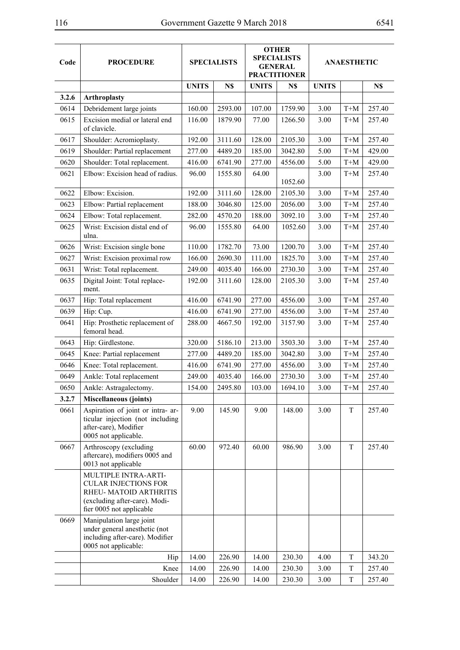| ×<br>۰, | ٧ |  |
|---------|---|--|
|         |   |  |

| Code  | <b>PROCEDURE</b>                                                                                                                           | <b>SPECIALISTS</b> |         |              | <b>OTHER</b><br><b>SPECIALISTS</b><br><b>GENERAL</b><br><b>PRACTITIONER</b> |              | <b>ANAESTHETIC</b>  |        |
|-------|--------------------------------------------------------------------------------------------------------------------------------------------|--------------------|---------|--------------|-----------------------------------------------------------------------------|--------------|---------------------|--------|
|       |                                                                                                                                            | <b>UNITS</b>       | N\$     | <b>UNITS</b> | N\$                                                                         | <b>UNITS</b> |                     | N\$    |
| 3.2.6 | <b>Arthroplasty</b>                                                                                                                        |                    |         |              |                                                                             |              |                     |        |
| 0614  | Debridement large joints                                                                                                                   | 160.00             | 2593.00 | 107.00       | 1759.90                                                                     | 3.00         | $\mbox{T+}\mbox{M}$ | 257.40 |
| 0615  | Excision medial or lateral end<br>of clavicle.                                                                                             | 116.00             | 1879.90 | 77.00        | 1266.50                                                                     | 3.00         | $T+M$               | 257.40 |
| 0617  | Shoulder: Acromioplasty.                                                                                                                   | 192.00             | 3111.60 | 128.00       | 2105.30                                                                     | 3.00         | $T+M$               | 257.40 |
| 0619  | Shoulder: Partial replacement                                                                                                              | 277.00             | 4489.20 | 185.00       | 3042.80                                                                     | 5.00         | $T+M$               | 429.00 |
| 0620  | Shoulder: Total replacement.                                                                                                               | 416.00             | 6741.90 | 277.00       | 4556.00                                                                     | 5.00         | $T+M$               | 429.00 |
| 0621  | Elbow: Excision head of radius.                                                                                                            | 96.00              | 1555.80 | 64.00        | 1052.60                                                                     | 3.00         | $T+M$               | 257.40 |
| 0622  | Elbow: Excision.                                                                                                                           | 192.00             | 3111.60 | 128.00       | 2105.30                                                                     | 3.00         | $T+M$               | 257.40 |
| 0623  | Elbow: Partial replacement                                                                                                                 | 188.00             | 3046.80 | 125.00       | 2056.00                                                                     | 3.00         | $T+M$               | 257.40 |
| 0624  | Elbow: Total replacement.                                                                                                                  | 282.00             | 4570.20 | 188.00       | 3092.10                                                                     | 3.00         | $T+M$               | 257.40 |
| 0625  | Wrist: Excision distal end of<br>ulna.                                                                                                     | 96.00              | 1555.80 | 64.00        | 1052.60                                                                     | 3.00         | $T+M$               | 257.40 |
| 0626  | Wrist: Excision single bone                                                                                                                | 110.00             | 1782.70 | 73.00        | 1200.70                                                                     | 3.00         | $T+M$               | 257.40 |
| 0627  | Wrist: Excision proximal row                                                                                                               | 166.00             | 2690.30 | 111.00       | 1825.70                                                                     | 3.00         | $T+M$               | 257.40 |
| 0631  | Wrist: Total replacement.                                                                                                                  | 249.00             | 4035.40 | 166.00       | 2730.30                                                                     | 3.00         | $T+M$               | 257.40 |
| 0635  | Digital Joint: Total replace-<br>ment.                                                                                                     | 192.00             | 3111.60 | 128.00       | 2105.30                                                                     | 3.00         | $T+M$               | 257.40 |
| 0637  | Hip: Total replacement                                                                                                                     | 416.00             | 6741.90 | 277.00       | 4556.00                                                                     | 3.00         | $T+M$               | 257.40 |
| 0639  | Hip: Cup.                                                                                                                                  | 416.00             | 6741.90 | 277.00       | 4556.00                                                                     | 3.00         | $T+M$               | 257.40 |
| 0641  | Hip: Prosthetic replacement of<br>femoral head.                                                                                            | 288.00             | 4667.50 | 192.00       | 3157.90                                                                     | 3.00         | $T+M$               | 257.40 |
| 0643  | Hip: Girdlestone.                                                                                                                          | 320.00             | 5186.10 | 213.00       | 3503.30                                                                     | 3.00         | $\mbox{T+}\mbox{M}$ | 257.40 |
| 0645  | Knee: Partial replacement                                                                                                                  | 277.00             | 4489.20 | 185.00       | 3042.80                                                                     | 3.00         | $T+M$               | 257.40 |
| 0646  | Knee: Total replacement.                                                                                                                   | 416.00             | 6741.90 | 277.00       | 4556.00                                                                     | 3.00         | $T+M$               | 257.40 |
| 0649  | Ankle: Total replacement                                                                                                                   | 249.00             | 4035.40 | 166.00       | 2730.30                                                                     | 3.00         | $T+M$               | 257.40 |
| 0650  | Ankle: Astragalectomy.                                                                                                                     | 154.00             | 2495.80 | 103.00       | 1694.10                                                                     | 3.00         | $T+M$               | 257.40 |
| 3.2.7 | <b>Miscellaneous (joints)</b>                                                                                                              |                    |         |              |                                                                             |              |                     |        |
| 0661  | Aspiration of joint or intra- ar-<br>ticular injection (not including<br>after-care), Modifier<br>0005 not applicable.                     | 9.00               | 145.90  | 9.00         | 148.00                                                                      | 3.00         | T                   | 257.40 |
| 0667  | Arthroscopy (excluding<br>aftercare), modifiers 0005 and<br>0013 not applicable                                                            | 60.00              | 972.40  | 60.00        | 986.90                                                                      | 3.00         | T                   | 257.40 |
|       | MULTIPLE INTRA-ARTI-<br><b>CULAR INJECTIONS FOR</b><br>RHEU- MATOID ARTHRITIS<br>(excluding after-care). Modi-<br>fier 0005 not applicable |                    |         |              |                                                                             |              |                     |        |
| 0669  | Manipulation large joint<br>under general anesthetic (not<br>including after-care). Modifier<br>0005 not applicable:                       |                    |         |              |                                                                             |              |                     |        |
|       | Hip                                                                                                                                        | 14.00              | 226.90  | 14.00        | 230.30                                                                      | 4.00         | T                   | 343.20 |
|       | Knee                                                                                                                                       | 14.00              | 226.90  | 14.00        | 230.30                                                                      | 3.00         | T                   | 257.40 |
|       | Shoulder                                                                                                                                   | 14.00              | 226.90  | 14.00        | 230.30                                                                      | 3.00         | T                   | 257.40 |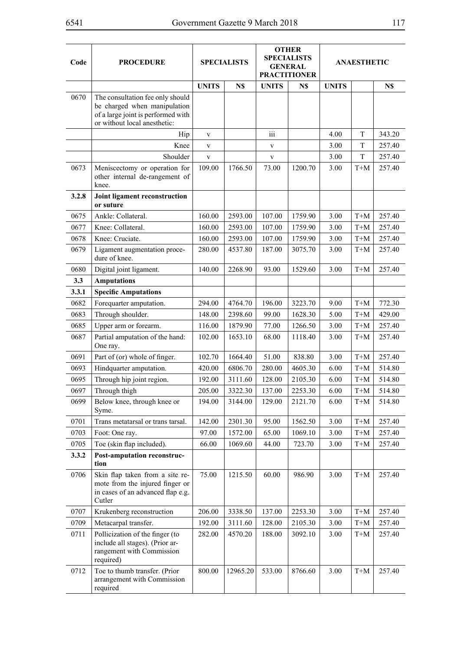| Code  | <b>PROCEDURE</b>                                                                                                                       | <b>SPECIALISTS</b> |          | <b>OTHER</b><br><b>SPECIALISTS</b><br><b>GENERAL</b><br><b>PRACTITIONER</b> |         | <b>ANAESTHETIC</b> |                                 |        |
|-------|----------------------------------------------------------------------------------------------------------------------------------------|--------------------|----------|-----------------------------------------------------------------------------|---------|--------------------|---------------------------------|--------|
|       |                                                                                                                                        | <b>UNITS</b>       | N\$      | <b>UNITS</b>                                                                | N\$     | <b>UNITS</b>       |                                 | N\$    |
| 0670  | The consultation fee only should<br>be charged when manipulation<br>of a large joint is performed with<br>or without local anesthetic: |                    |          |                                                                             |         |                    |                                 |        |
|       | Hip                                                                                                                                    | $\mathbf{V}$       |          | iii                                                                         |         | 4.00               | T                               | 343.20 |
|       | Knee                                                                                                                                   | $\mathbf{V}$       |          | $\mathbf V$                                                                 |         | 3.00               | T                               | 257.40 |
|       | Shoulder                                                                                                                               | $\mathbf V$        |          | $\mathbf V$                                                                 |         | 3.00               | T                               | 257.40 |
| 0673  | Meniscectomy or operation for<br>other internal de-rangement of<br>knee.                                                               | 109.00             | 1766.50  | 73.00                                                                       | 1200.70 | 3.00               | $T+M$                           | 257.40 |
| 3.2.8 | Joint ligament reconstruction<br>or suture                                                                                             |                    |          |                                                                             |         |                    |                                 |        |
| 0675  | Ankle: Collateral.                                                                                                                     | 160.00             | 2593.00  | 107.00                                                                      | 1759.90 | 3.00               | $T+M$                           | 257.40 |
| 0677  | Knee: Collateral.                                                                                                                      | 160.00             | 2593.00  | 107.00                                                                      | 1759.90 | 3.00               | $T+M$                           | 257.40 |
| 0678  | Knee: Cruciate.                                                                                                                        | 160.00             | 2593.00  | 107.00                                                                      | 1759.90 | 3.00               | $T+M$                           | 257.40 |
| 0679  | Ligament augmentation proce-<br>dure of knee.                                                                                          | 280.00             | 4537.80  | 187.00                                                                      | 3075.70 | 3.00               | $T+M$                           | 257.40 |
| 0680  | Digital joint ligament.                                                                                                                | 140.00             | 2268.90  | 93.00                                                                       | 1529.60 | 3.00               | $T+M$                           | 257.40 |
| 3.3   | <b>Amputations</b>                                                                                                                     |                    |          |                                                                             |         |                    |                                 |        |
| 3.3.1 | <b>Specific Amputations</b>                                                                                                            |                    |          |                                                                             |         |                    |                                 |        |
| 0682  | Forequarter amputation.                                                                                                                | 294.00             | 4764.70  | 196.00                                                                      | 3223.70 | 9.00               | $T+M$                           | 772.30 |
| 0683  | Through shoulder.                                                                                                                      | 148.00             | 2398.60  | 99.00                                                                       | 1628.30 | 5.00               | $T+M$                           | 429.00 |
| 0685  | Upper arm or forearm.                                                                                                                  | 116.00             | 1879.90  | 77.00                                                                       | 1266.50 | 3.00               | $T+M$                           | 257.40 |
| 0687  | Partial amputation of the hand:<br>One ray.                                                                                            | 102.00             | 1653.10  | 68.00                                                                       | 1118.40 | 3.00               | $T+M$                           | 257.40 |
| 0691  | Part of (or) whole of finger.                                                                                                          | 102.70             | 1664.40  | 51.00                                                                       | 838.80  | 3.00               | $T+M$                           | 257.40 |
| 0693  | Hindquarter amputation.                                                                                                                | 420.00             | 6806.70  | 280.00                                                                      | 4605.30 | 6.00               | $T+M$                           | 514.80 |
| 0695  | Through hip joint region.                                                                                                              | 192.00             | 3111.60  | 128.00                                                                      | 2105.30 | 6.00               | $T+M$                           | 514.80 |
| 0697  | Through thigh                                                                                                                          | 205.00             | 3322.30  | 137.00                                                                      | 2253.30 | 6.00               | $T+M$                           | 514.80 |
| 0699  | Below knee, through knee or<br>Syme.                                                                                                   | 194.00             | 3144.00  | 129.00                                                                      | 2121.70 | 6.00               | $T+M$                           | 514.80 |
| 0701  | Trans metatarsal or trans tarsal.                                                                                                      | 142.00             | 2301.30  | 95.00                                                                       | 1562.50 | 3.00               | $T+M$                           | 257.40 |
| 0703  | Foot: One ray.                                                                                                                         | 97.00              | 1572.00  | 65.00                                                                       | 1069.10 | 3.00               | $\mbox{T+}\mbox{M}$             | 257.40 |
| 0705  | Toe (skin flap included).                                                                                                              | 66.00              | 1069.60  | 44.00                                                                       | 723.70  | 3.00               | $T+M$                           | 257.40 |
| 3.3.2 | <b>Post-amputation reconstruc-</b><br>tion                                                                                             |                    |          |                                                                             |         |                    |                                 |        |
| 0706  | Skin flap taken from a site re-<br>mote from the injured finger or<br>in cases of an advanced flap e.g.<br>Cutler                      | 75.00              | 1215.50  | 60.00                                                                       | 986.90  | 3.00               | $T+M$                           | 257.40 |
| 0707  | Krukenberg reconstruction                                                                                                              | 206.00             | 3338.50  | 137.00                                                                      | 2253.30 | 3.00               | $T+M$                           | 257.40 |
| 0709  | Metacarpal transfer.                                                                                                                   | 192.00             | 3111.60  | 128.00                                                                      | 2105.30 | 3.00               | $\mbox{T+}\mbox{M}$             | 257.40 |
| 0711  | Pollicization of the finger (to<br>include all stages). (Prior ar-<br>rangement with Commission<br>required)                           | 282.00             | 4570.20  | 188.00                                                                      | 3092.10 | 3.00               | $T+M$                           | 257.40 |
| 0712  | Toe to thumb transfer. (Prior<br>arrangement with Commission<br>required                                                               | 800.00             | 12965.20 | 533.00                                                                      | 8766.60 | 3.00               | $\mathbf{T} \text{+}\mathbf{M}$ | 257.40 |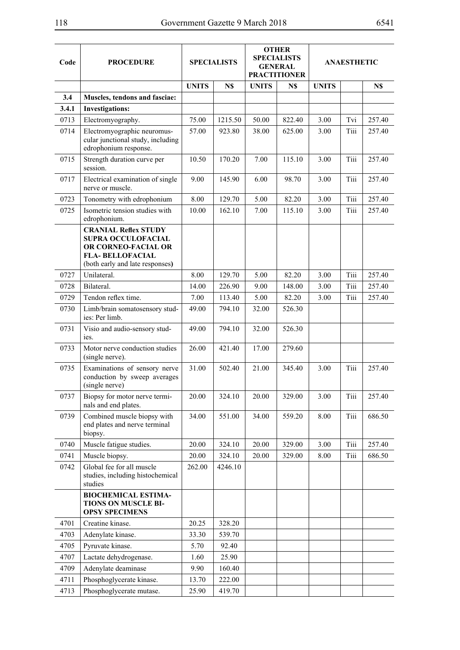| Code  | <b>PROCEDURE</b>                                                                                                                       | <b>SPECIALISTS</b> |         |              | <b>OTHER</b><br><b>SPECIALISTS</b><br><b>GENERAL</b><br><b>PRACTITIONER</b> | <b>ANAESTHETIC</b> |      |        |
|-------|----------------------------------------------------------------------------------------------------------------------------------------|--------------------|---------|--------------|-----------------------------------------------------------------------------|--------------------|------|--------|
|       |                                                                                                                                        | <b>UNITS</b>       | N\$     | <b>UNITS</b> | N\$                                                                         | <b>UNITS</b>       |      | N\$    |
| 3.4   | Muscles, tendons and fasciae:                                                                                                          |                    |         |              |                                                                             |                    |      |        |
| 3.4.1 | <b>Investigations:</b>                                                                                                                 |                    |         |              |                                                                             |                    |      |        |
| 0713  | Electromyography.                                                                                                                      | 75.00              | 1215.50 | 50.00        | 822.40                                                                      | 3.00               | Tvi  | 257.40 |
| 0714  | Electromyographic neuromus-<br>cular junctional study, including<br>edrophonium response.                                              | 57.00              | 923.80  | 38.00        | 625.00                                                                      | 3.00               | Tiii | 257.40 |
| 0715  | Strength duration curve per<br>session.                                                                                                | 10.50              | 170.20  | 7.00         | 115.10                                                                      | 3.00               | Tiii | 257.40 |
| 0717  | Electrical examination of single<br>nerve or muscle.                                                                                   | 9.00               | 145.90  | 6.00         | 98.70                                                                       | 3.00               | Tiii | 257.40 |
| 0723  | Tonometry with edrophonium                                                                                                             | 8.00               | 129.70  | 5.00         | 82.20                                                                       | 3.00               | Tiii | 257.40 |
| 0725  | Isometric tension studies with<br>edrophonium.                                                                                         | 10.00              | 162.10  | 7.00         | 115.10                                                                      | 3.00               | Tiii | 257.40 |
|       | <b>CRANIAL Reflex STUDY</b><br>SUPRA OCCULOFACIAL<br>OR CORNEO-FACIAL OR<br><b>FLA- BELLOFACIAL</b><br>(both early and late responses) |                    |         |              |                                                                             |                    |      |        |
| 0727  | Unilateral.                                                                                                                            | 8.00               | 129.70  | 5.00         | 82.20                                                                       | 3.00               | Tiii | 257.40 |
| 0728  | Bilateral.                                                                                                                             | 14.00              | 226.90  | 9.00         | 148.00                                                                      | 3.00               | Tiii | 257.40 |
| 0729  | Tendon reflex time.                                                                                                                    | 7.00               | 113.40  | 5.00         | 82.20                                                                       | 3.00               | Tiii | 257.40 |
| 0730  | Limb/brain somatosensory stud-<br>ies: Per limb.                                                                                       | 49.00              | 794.10  | 32.00        | 526.30                                                                      |                    |      |        |
| 0731  | Visio and audio-sensory stud-<br>ies.                                                                                                  | 49.00              | 794.10  | 32.00        | 526.30                                                                      |                    |      |        |
| 0733  | Motor nerve conduction studies<br>(single nerve).                                                                                      | 26.00              | 421.40  | 17.00        | 279.60                                                                      |                    |      |        |
| 0735  | Examinations of sensory nerve<br>conduction by sweep averages<br>(single nerve)                                                        | 31.00              | 502.40  | 21.00        | 345.40                                                                      | 3.00               | Tiii | 257.40 |
| 0737  | Biopsy for motor nerve termi-<br>nals and end plates.                                                                                  | 20.00              | 324.10  | 20.00        | 329.00                                                                      | 3.00               | Tiii | 257.40 |
| 0739  | Combined muscle biopsy with<br>end plates and nerve terminal<br>biopsy.                                                                | 34.00              | 551.00  | 34.00        | 559.20                                                                      | 8.00               | Tiii | 686.50 |
| 0740  | Muscle fatigue studies.                                                                                                                | 20.00              | 324.10  | 20.00        | 329.00                                                                      | 3.00               | Tiii | 257.40 |
| 0741  | Muscle biopsy.                                                                                                                         | 20.00              | 324.10  | 20.00        | 329.00                                                                      | 8.00               | Tiii | 686.50 |
| 0742  | Global fee for all muscle<br>studies, including histochemical<br>studies                                                               | 262.00             | 4246.10 |              |                                                                             |                    |      |        |
|       | <b>BIOCHEMICAL ESTIMA-</b><br>TIONS ON MUSCLE BI-<br><b>OPSY SPECIMENS</b>                                                             |                    |         |              |                                                                             |                    |      |        |
| 4701  | Creatine kinase.                                                                                                                       | 20.25              | 328.20  |              |                                                                             |                    |      |        |
| 4703  | Adenylate kinase.                                                                                                                      | 33.30              | 539.70  |              |                                                                             |                    |      |        |
| 4705  | Pyruvate kinase.                                                                                                                       | 5.70               | 92.40   |              |                                                                             |                    |      |        |
| 4707  | Lactate dehydrogenase.                                                                                                                 | 1.60               | 25.90   |              |                                                                             |                    |      |        |
| 4709  | Adenylate deaminase                                                                                                                    | 9.90               | 160.40  |              |                                                                             |                    |      |        |
| 4711  | Phosphoglycerate kinase.                                                                                                               | 13.70              | 222.00  |              |                                                                             |                    |      |        |
| 4713  | Phosphoglycerate mutase.                                                                                                               | 25.90              | 419.70  |              |                                                                             |                    |      |        |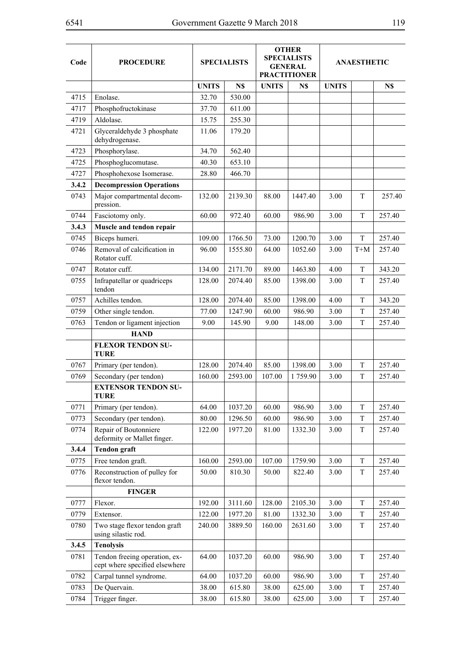| Code  | <b>PROCEDURE</b>                                                | <b>SPECIALISTS</b> |         |              | <b>OTHER</b><br><b>SPECIALISTS</b><br><b>GENERAL</b><br><b>PRACTITIONER</b> | <b>ANAESTHETIC</b> |       |        |
|-------|-----------------------------------------------------------------|--------------------|---------|--------------|-----------------------------------------------------------------------------|--------------------|-------|--------|
|       |                                                                 | <b>UNITS</b>       | N\$     | <b>UNITS</b> | N\$                                                                         | <b>UNITS</b>       |       | N\$    |
| 4715  | Enolase.                                                        | 32.70              | 530.00  |              |                                                                             |                    |       |        |
| 4717  | Phosphofructokinase                                             | 37.70              | 611.00  |              |                                                                             |                    |       |        |
| 4719  | Aldolase.                                                       | 15.75              | 255.30  |              |                                                                             |                    |       |        |
| 4721  | Glyceraldehyde 3 phosphate<br>dehydrogenase.                    | 11.06              | 179.20  |              |                                                                             |                    |       |        |
| 4723  | Phosphorylase.                                                  | 34.70              | 562.40  |              |                                                                             |                    |       |        |
| 4725  | Phosphoglucomutase.                                             | 40.30              | 653.10  |              |                                                                             |                    |       |        |
| 4727  | Phosphohexose Isomerase.                                        | 28.80              | 466.70  |              |                                                                             |                    |       |        |
| 3.4.2 | <b>Decompression Operations</b>                                 |                    |         |              |                                                                             |                    |       |        |
| 0743  | Major compartmental decom-<br>pression.                         | 132.00             | 2139.30 | 88.00        | 1447.40                                                                     | 3.00               | T     | 257.40 |
| 0744  | Fasciotomy only.                                                | 60.00              | 972.40  | 60.00        | 986.90                                                                      | 3.00               | T     | 257.40 |
| 3.4.3 | Muscle and tendon repair                                        |                    |         |              |                                                                             |                    |       |        |
| 0745  | Biceps humeri.                                                  | 109.00             | 1766.50 | 73.00        | 1200.70                                                                     | 3.00               | T     | 257.40 |
| 0746  | Removal of calcification in<br>Rotator cuff.                    | 96.00              | 1555.80 | 64.00        | 1052.60                                                                     | 3.00               | $T+M$ | 257.40 |
| 0747  | Rotator cuff.                                                   | 134.00             | 2171.70 | 89.00        | 1463.80                                                                     | 4.00               | T     | 343.20 |
| 0755  | Infrapatellar or quadriceps<br>tendon                           | 128.00             | 2074.40 | 85.00        | 1398.00                                                                     | 3.00               | T     | 257.40 |
| 0757  | Achilles tendon.                                                | 128.00             | 2074.40 | 85.00        | 1398.00                                                                     | 4.00               | T     | 343.20 |
| 0759  | Other single tendon.                                            | 77.00              | 1247.90 | 60.00        | 986.90                                                                      | 3.00               | T     | 257.40 |
| 0763  | Tendon or ligament injection                                    | 9.00               | 145.90  | 9.00         | 148.00                                                                      | 3.00               | T     | 257.40 |
|       | <b>HAND</b>                                                     |                    |         |              |                                                                             |                    |       |        |
|       | <b>FLEXOR TENDON SU-</b><br><b>TURE</b>                         |                    |         |              |                                                                             |                    |       |        |
| 0767  | Primary (per tendon).                                           | 128.00             | 2074.40 | 85.00        | 1398.00                                                                     | 3.00               | T     | 257.40 |
| 0769  | Secondary (per tendon)                                          | 160.00             | 2593.00 | 107.00       | 1759.90                                                                     | 3.00               | T     | 257.40 |
|       | <b>EXTENSOR TENDON SU-</b><br><b>TURE</b>                       |                    |         |              |                                                                             |                    |       |        |
| 0771  | Primary (per tendon).                                           | 64.00              | 1037.20 | 60.00        | 986.90                                                                      | 3.00               | T     | 257.40 |
| 0773  | Secondary (per tendon).                                         | 80.00              | 1296.50 | 60.00        | 986.90                                                                      | 3.00               | T     | 257.40 |
| 0774  | Repair of Boutonniere<br>deformity or Mallet finger.            | 122.00             | 1977.20 | 81.00        | 1332.30                                                                     | 3.00               | T     | 257.40 |
| 3.4.4 | <b>Tendon</b> graft                                             |                    |         |              |                                                                             |                    |       |        |
| 0775  | Free tendon graft.                                              | 160.00             | 2593.00 | 107.00       | 1759.90                                                                     | 3.00               | T     | 257.40 |
| 0776  | Reconstruction of pulley for<br>flexor tendon.                  | 50.00              | 810.30  | 50.00        | 822.40                                                                      | 3.00               | T     | 257.40 |
|       | <b>FINGER</b>                                                   |                    |         |              |                                                                             |                    |       |        |
| 0777  | Flexor.                                                         | 192.00             | 3111.60 | 128.00       | 2105.30                                                                     | 3.00               | T     | 257.40 |
| 0779  | Extensor.                                                       | 122.00             | 1977.20 | 81.00        | 1332.30                                                                     | 3.00               | T     | 257.40 |
| 0780  | Two stage flexor tendon graft<br>using silastic rod.            | 240.00             | 3889.50 | 160.00       | 2631.60                                                                     | 3.00               | T     | 257.40 |
| 3.4.5 | <b>Tenolysis</b>                                                |                    |         |              |                                                                             |                    |       |        |
| 0781  | Tendon freeing operation, ex-<br>cept where specified elsewhere | 64.00              | 1037.20 | 60.00        | 986.90                                                                      | 3.00               | T     | 257.40 |
| 0782  | Carpal tunnel syndrome.                                         | 64.00              | 1037.20 | 60.00        | 986.90                                                                      | 3.00               | T     | 257.40 |
| 0783  | De Quervain.                                                    | 38.00              | 615.80  | 38.00        | 625.00                                                                      | 3.00               | T     | 257.40 |
| 0784  | Trigger finger.                                                 | 38.00              | 615.80  | 38.00        | 625.00                                                                      | 3.00               | T     | 257.40 |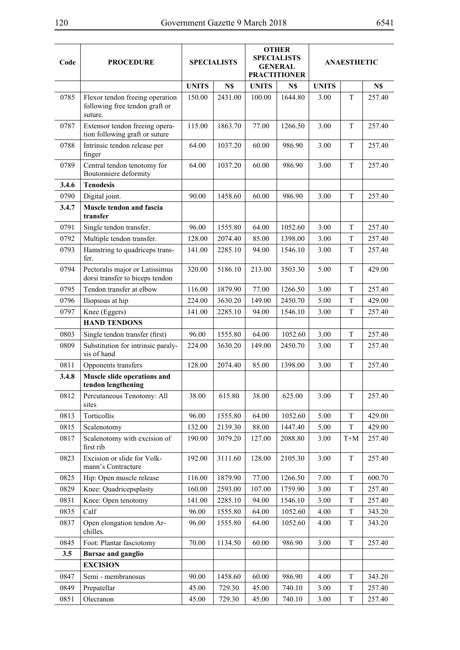| Code  | <b>PROCEDURE</b>                                                             |              | <b>SPECIALISTS</b> |              | <b>OTHER</b><br><b>SPECIALISTS</b><br><b>GENERAL</b><br><b>PRACTITIONER</b> | <b>ANAESTHETIC</b> |             |        |  |
|-------|------------------------------------------------------------------------------|--------------|--------------------|--------------|-----------------------------------------------------------------------------|--------------------|-------------|--------|--|
|       |                                                                              | <b>UNITS</b> | N\$                | <b>UNITS</b> | N\$                                                                         | <b>UNITS</b>       |             | N\$    |  |
| 0785  | Flexor tendon freeing operation<br>following free tendon graft or<br>suture. | 150.00       | 2431.00            | 100.00       | 1644.80                                                                     | 3.00               | T           | 257.40 |  |
| 0787  | Extensor tendon freeing opera-<br>tion following graft or suture             | 115.00       | 1863.70            | 77.00        | 1266.50                                                                     | 3.00               | T           | 257.40 |  |
| 0788  | Intrinsic tendon release per<br>finger                                       | 64.00        | 1037.20            | 60.00        | 986.90                                                                      | 3.00               | T           | 257.40 |  |
| 0789  | Central tendon tenotomy for<br>Boutonniere deformity                         | 64.00        | 1037.20            | 60.00        | 986.90                                                                      | 3.00               | T           | 257.40 |  |
| 3.4.6 | <b>Tenodesis</b>                                                             |              |                    |              |                                                                             |                    |             |        |  |
| 0790  | Digital joint.                                                               | 90.00        | 1458.60            | 60.00        | 986.90                                                                      | 3.00               | T           | 257.40 |  |
| 3.4.7 | Muscle tendon and fascia<br>transfer                                         |              |                    |              |                                                                             |                    |             |        |  |
| 0791  | Single tendon transfer.                                                      | 96.00        | 1555.80            | 64.00        | 1052.60                                                                     | 3.00               | T           | 257.40 |  |
| 0792  | Multiple tendon transfer.                                                    | 128.00       | 2074.40            | 85.00        | 1398.00                                                                     | 3.00               | T           | 257.40 |  |
| 0793  | Hamstring to quadriceps trans-<br>fer.                                       | 141.00       | 2285.10            | 94.00        | 1546.10                                                                     | 3.00               | T           | 257.40 |  |
| 0794  | Pectoralis major or Latissimus<br>dorsi transfer to biceps tendon            | 320.00       | 5186.10            | 213.00       | 3503.30                                                                     | 5.00               | T           | 429.00 |  |
| 0795  | Tendon transfer at elbow                                                     | 116.00       | 1879.90            | 77.00        | 1266.50                                                                     | 3.00               | T           | 257.40 |  |
| 0796  | Iliopsoas at hip                                                             | 224.00       | 3630.20            | 149.00       | 2450.70                                                                     | 5.00               | T           | 429.00 |  |
| 0797  | Knee (Eggers)                                                                | 141.00       | 2285.10            | 94.00        | 1546.10                                                                     | 3.00               | T           | 257.40 |  |
|       | <b>HAND TENDONS</b>                                                          |              |                    |              |                                                                             |                    |             |        |  |
| 0803  | Single tendon transfer (first)                                               | 96.00        | 1555.80            | 64.00        | 1052.60                                                                     | 3.00               | T           | 257.40 |  |
| 0809  | Substitution for intrinsic paraly-<br>sis of hand                            | 224.00       | 3630.20            | 149.00       | 2450.70                                                                     | 3.00               | T           | 257.40 |  |
| 0811  | Opponents transfers                                                          | 128.00       | 2074.40            | 85.00        | 1398.00                                                                     | 3.00               | T           | 257.40 |  |
| 3.4.8 | Muscle slide operations and<br>tendon lengthening                            |              |                    |              |                                                                             |                    |             |        |  |
| 0812  | Percutaneous Tenotomy: All<br>sites                                          | 38.00        | 615.80             | 38.00        | 625.00                                                                      | 3.00               | T           | 257.40 |  |
| 0813  | Torticollis                                                                  | 96.00        | 1555.80            | 64.00        | 1052.60                                                                     | 5.00               | $\mathbf T$ | 429.00 |  |
| 0815  | Scalenotomy                                                                  | 132.00       | 2139.30            | 88.00        | 1447.40                                                                     | 5.00               | T           | 429.00 |  |
| 0817  | Scalenotomy with excision of<br>first rib                                    | 190.00       | 3079.20            | 127.00       | 2088.80                                                                     | 3.00               | $T+M$       | 257.40 |  |
| 0823  | Excision or slide for Volk-<br>mann's Contracture                            | 192.00       | 3111.60            | 128.00       | 2105.30                                                                     | 3.00               | T           | 257.40 |  |
| 0825  | Hip: Open muscle release                                                     | 116.00       | 1879.90            | 77.00        | 1266.50                                                                     | 7.00               | T           | 600.70 |  |
| 0829  | Knee: Quadricepsplasty                                                       | 160.00       | 2593.00            | 107.00       | 1759.90                                                                     | 3.00               | $\mathbf T$ | 257.40 |  |
| 0831  | Knee: Open tenotomy                                                          | 141.00       | 2285.10            | 94.00        | 1546.10                                                                     | 3.00               | T           | 257.40 |  |
| 0835  | Calf                                                                         | 96.00        | 1555.80            | 64.00        | 1052.60                                                                     | 4.00               | T           | 343.20 |  |
| 0837  | Open elongation tendon Ar-<br>chilles.                                       | 96.00        | 1555.80            | 64.00        | 1052.60                                                                     | 4.00               | T           | 343.20 |  |
| 0845  | Foot: Plantar fasciotomy                                                     | 70.00        | 1134.50            | 60.00        | 986.90                                                                      | 3.00               | T           | 257.40 |  |
| 3.5   | <b>Bursae and ganglio</b>                                                    |              |                    |              |                                                                             |                    |             |        |  |
|       | <b>EXCISION</b>                                                              |              |                    |              |                                                                             |                    |             |        |  |
| 0847  | Semi - membranosus                                                           | 90.00        | 1458.60            | 60.00        | 986.90                                                                      | 4.00               | T           | 343.20 |  |
| 0849  | Prepatellar                                                                  | 45.00        | 729.30             | 45.00        | 740.10                                                                      | 3.00               | T           | 257.40 |  |
| 0851  | Olecranon                                                                    | 45.00        | 729.30             | 45.00        | 740.10                                                                      | 3.00               | $\mathbf T$ | 257.40 |  |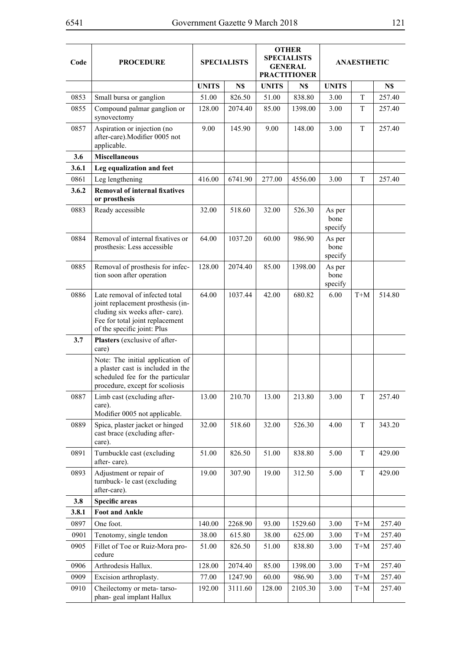| Code  | <b>PROCEDURE</b>                                                                                                                                                        | <b>SPECIALISTS</b> |         | <b>OTHER</b><br><b>SPECIALISTS</b><br><b>GENERAL</b><br><b>PRACTITIONER</b> |         |                           | <b>ANAESTHETIC</b>  |        |
|-------|-------------------------------------------------------------------------------------------------------------------------------------------------------------------------|--------------------|---------|-----------------------------------------------------------------------------|---------|---------------------------|---------------------|--------|
|       |                                                                                                                                                                         | <b>UNITS</b>       | N\$     | <b>UNITS</b>                                                                | N\$     | <b>UNITS</b>              |                     | N\$    |
| 0853  | Small bursa or ganglion                                                                                                                                                 | 51.00              | 826.50  | 51.00                                                                       | 838.80  | 3.00                      | T                   | 257.40 |
| 0855  | Compound palmar ganglion or<br>synovectomy                                                                                                                              | 128.00             | 2074.40 | 85.00                                                                       | 1398.00 | 3.00                      | T                   | 257.40 |
| 0857  | Aspiration or injection (no<br>after-care).Modifier 0005 not<br>applicable.                                                                                             | 9.00               | 145.90  | 9.00                                                                        | 148.00  | 3.00                      | T                   | 257.40 |
| 3.6   | <b>Miscellaneous</b>                                                                                                                                                    |                    |         |                                                                             |         |                           |                     |        |
| 3.6.1 | Leg equalization and feet                                                                                                                                               |                    |         |                                                                             |         |                           |                     |        |
| 0861  | Leg lengthening                                                                                                                                                         | 416.00             | 6741.90 | 277.00                                                                      | 4556.00 | 3.00                      | T                   | 257.40 |
| 3.6.2 | <b>Removal of internal fixatives</b><br>or prosthesis                                                                                                                   |                    |         |                                                                             |         |                           |                     |        |
| 0883  | Ready accessible                                                                                                                                                        | 32.00              | 518.60  | 32.00                                                                       | 526.30  | As per<br>bone<br>specify |                     |        |
| 0884  | Removal of internal fixatives or<br>prosthesis: Less accessible                                                                                                         | 64.00              | 1037.20 | 60.00                                                                       | 986.90  | As per<br>bone<br>specify |                     |        |
| 0885  | Removal of prosthesis for infec-<br>tion soon after operation                                                                                                           | 128.00             | 2074.40 | 85.00                                                                       | 1398.00 | As per<br>bone<br>specify |                     |        |
| 0886  | Late removal of infected total<br>joint replacement prosthesis (in-<br>cluding six weeks after-care).<br>Fee for total joint replacement<br>of the specific joint: Plus | 64.00              | 1037.44 | 42.00                                                                       | 680.82  | 6.00                      | $T+M$               | 514.80 |
| 3.7   | Plasters (exclusive of after-<br>care)                                                                                                                                  |                    |         |                                                                             |         |                           |                     |        |
|       | Note: The initial application of<br>a plaster cast is included in the<br>scheduled fee for the particular<br>procedure, except for scoliosis                            |                    |         |                                                                             |         |                           |                     |        |
| 0887  | Limb cast (excluding after-<br>care).<br>Modifier 0005 not applicable.                                                                                                  | 13.00              | 210.70  | 13.00                                                                       | 213.80  | 3.00                      | T                   | 257.40 |
| 0889  | Spica, plaster jacket or hinged<br>cast brace (excluding after-<br>care).                                                                                               | 32.00              | 518.60  | 32.00                                                                       | 526.30  | 4.00                      | T                   | 343.20 |
| 0891  | Turnbuckle cast (excluding<br>after-care).                                                                                                                              | 51.00              | 826.50  | 51.00                                                                       | 838.80  | 5.00                      | T                   | 429.00 |
| 0893  | Adjustment or repair of<br>turnbuck- le cast (excluding<br>after-care).                                                                                                 | 19.00              | 307.90  | 19.00                                                                       | 312.50  | 5.00                      | T                   | 429.00 |
| 3.8   | <b>Specific areas</b>                                                                                                                                                   |                    |         |                                                                             |         |                           |                     |        |
| 3.8.1 | <b>Foot and Ankle</b>                                                                                                                                                   |                    |         |                                                                             |         |                           |                     |        |
| 0897  | One foot.                                                                                                                                                               | 140.00             | 2268.90 | 93.00                                                                       | 1529.60 | 3.00                      | $T+M$               | 257.40 |
| 0901  | Tenotomy, single tendon                                                                                                                                                 | 38.00              | 615.80  | 38.00                                                                       | 625.00  | 3.00                      | $\mbox{T+}\mbox{M}$ | 257.40 |
| 0905  | Fillet of Toe or Ruiz-Mora pro-<br>cedure                                                                                                                               | 51.00              | 826.50  | 51.00                                                                       | 838.80  | 3.00                      | $\mbox{T+}\mbox{M}$ | 257.40 |
| 0906  | Arthrodesis Hallux.                                                                                                                                                     | 128.00             | 2074.40 | 85.00                                                                       | 1398.00 | 3.00                      | $\mbox{T+}\mbox{M}$ | 257.40 |
| 0909  | Excision arthroplasty.                                                                                                                                                  | 77.00              | 1247.90 | 60.00                                                                       | 986.90  | 3.00                      | $T+M$               | 257.40 |
| 0910  | Cheilectomy or meta-tarso-<br>phan-geal implant Hallux                                                                                                                  | 192.00             | 3111.60 | 128.00                                                                      | 2105.30 | 3.00                      | $T+M$               | 257.40 |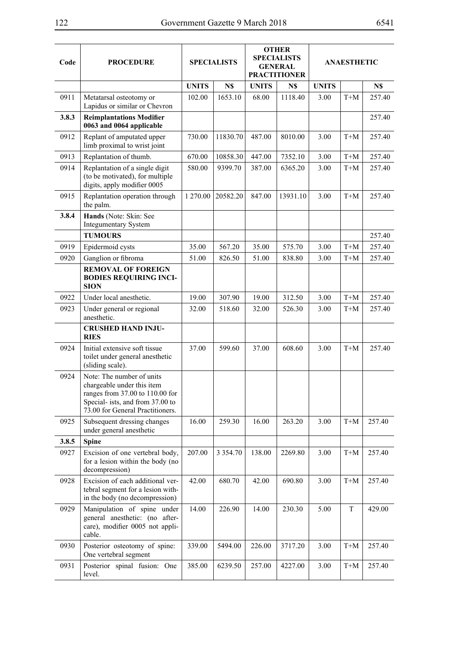| Code  | <b>PROCEDURE</b>                                                                                                                                                   | <b>SPECIALISTS</b> |             | <b>OTHER</b><br><b>SPECIALISTS</b><br><b>GENERAL</b><br><b>PRACTITIONER</b> |          |              | <b>ANAESTHETIC</b> |        |
|-------|--------------------------------------------------------------------------------------------------------------------------------------------------------------------|--------------------|-------------|-----------------------------------------------------------------------------|----------|--------------|--------------------|--------|
|       |                                                                                                                                                                    | <b>UNITS</b>       | N\$         | <b>UNITS</b>                                                                | N\$      | <b>UNITS</b> |                    | N\$    |
| 0911  | Metatarsal osteotomy or<br>Lapidus or similar or Chevron                                                                                                           | 102.00             | 1653.10     | 68.00                                                                       | 1118.40  | 3.00         | $T+M$              | 257.40 |
| 3.8.3 | <b>Reimplantations Modifier</b><br>0063 and 0064 applicable                                                                                                        |                    |             |                                                                             |          |              |                    | 257.40 |
| 0912  | Replant of amputated upper<br>limb proximal to wrist joint                                                                                                         | 730.00             | 11830.70    | 487.00                                                                      | 8010.00  | 3.00         | $T+M$              | 257.40 |
| 0913  | Replantation of thumb.                                                                                                                                             | 670.00             | 10858.30    | 447.00                                                                      | 7352.10  | 3.00         | $T+M$              | 257.40 |
| 0914  | Replantation of a single digit<br>(to be motivated), for multiple<br>digits, apply modifier 0005                                                                   | 580.00             | 9399.70     | 387.00                                                                      | 6365.20  | 3.00         | $T+M$              | 257.40 |
| 0915  | Replantation operation through<br>the palm.                                                                                                                        | 1 270.00           | 20582.20    | 847.00                                                                      | 13931.10 | 3.00         | $T+M$              | 257.40 |
| 3.8.4 | Hands (Note: Skin: See<br><b>Integumentary System</b>                                                                                                              |                    |             |                                                                             |          |              |                    |        |
|       | <b>TUMOURS</b>                                                                                                                                                     |                    |             |                                                                             |          |              |                    | 257.40 |
| 0919  | Epidermoid cysts                                                                                                                                                   | 35.00              | 567.20      | 35.00                                                                       | 575.70   | 3.00         | $T+M$              | 257.40 |
| 0920  | Ganglion or fibroma                                                                                                                                                | 51.00              | 826.50      | 51.00                                                                       | 838.80   | 3.00         | $T+M$              | 257.40 |
|       | <b>REMOVAL OF FOREIGN</b><br><b>BODIES REQUIRING INCI-</b><br><b>SION</b>                                                                                          |                    |             |                                                                             |          |              |                    |        |
| 0922  | Under local anesthetic.                                                                                                                                            | 19.00              | 307.90      | 19.00                                                                       | 312.50   | 3.00         | $T+M$              | 257.40 |
| 0923  | Under general or regional<br>anesthetic.                                                                                                                           | 32.00              | 518.60      | 32.00                                                                       | 526.30   | 3.00         | $T+M$              | 257.40 |
|       | <b>CRUSHED HAND INJU-</b><br><b>RIES</b>                                                                                                                           |                    |             |                                                                             |          |              |                    |        |
| 0924  | Initial extensive soft tissue<br>toilet under general anesthetic<br>(sliding scale).                                                                               | 37.00              | 599.60      | 37.00                                                                       | 608.60   | 3.00         | $T+M$              | 257.40 |
| 0924  | Note: The number of units<br>chargeable under this item<br>ranges from 37.00 to 110.00 for<br>Special- ists, and from 37.00 to<br>73.00 for General Practitioners. |                    |             |                                                                             |          |              |                    |        |
| 0925  | Subsequent dressing changes<br>under general anesthetic                                                                                                            | 16.00              | 259.30      | 16.00                                                                       | 263.20   | 3.00         | $T+M$              | 257.40 |
| 3.8.5 | <b>Spine</b>                                                                                                                                                       |                    |             |                                                                             |          |              |                    |        |
| 0927  | Excision of one vertebral body,<br>for a lesion within the body (no<br>decompression)                                                                              | 207.00             | 3 3 5 4 .70 | 138.00                                                                      | 2269.80  | 3.00         | $T+M$              | 257.40 |
| 0928  | Excision of each additional ver-<br>tebral segment for a lesion with-<br>in the body (no decompression)                                                            | 42.00              | 680.70      | 42.00                                                                       | 690.80   | 3.00         | $T+M$              | 257.40 |
| 0929  | Manipulation of spine under<br>general anesthetic: (no after-<br>care), modifier 0005 not appli-<br>cable.                                                         | 14.00              | 226.90      | 14.00                                                                       | 230.30   | 5.00         | T                  | 429.00 |
| 0930  | Posterior osteotomy of spine:<br>One vertebral segment                                                                                                             | 339.00             | 5494.00     | 226.00                                                                      | 3717.20  | 3.00         | $T+M$              | 257.40 |
| 0931  | Posterior spinal fusion: One<br>level.                                                                                                                             | 385.00             | 6239.50     | 257.00                                                                      | 4227.00  | 3.00         | $T+M$              | 257.40 |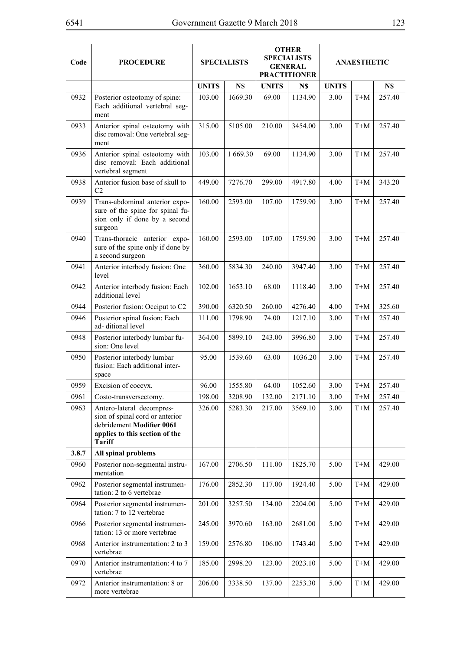⊣

| Code  | <b>PROCEDURE</b>                                                                                                                             | <b>SPECIALISTS</b> |          | <b>OTHER</b><br><b>SPECIALISTS</b><br><b>GENERAL</b><br><b>PRACTITIONER</b> |         | <b>ANAESTHETIC</b> |       |        |
|-------|----------------------------------------------------------------------------------------------------------------------------------------------|--------------------|----------|-----------------------------------------------------------------------------|---------|--------------------|-------|--------|
|       |                                                                                                                                              | <b>UNITS</b>       | N\$      | <b>UNITS</b>                                                                | N\$     | <b>UNITS</b>       |       | N\$    |
| 0932  | Posterior osteotomy of spine:<br>Each additional vertebral seg-<br>ment                                                                      | 103.00             | 1669.30  | 69.00                                                                       | 1134.90 | 3.00               | $T+M$ | 257.40 |
| 0933  | Anterior spinal osteotomy with<br>disc removal: One vertebral seg-<br>ment                                                                   | 315.00             | 5105.00  | 210.00                                                                      | 3454.00 | 3.00               | $T+M$ | 257.40 |
| 0936  | Anterior spinal osteotomy with<br>disc removal: Each additional<br>vertebral segment                                                         | 103.00             | 1 669.30 | 69.00                                                                       | 1134.90 | 3.00               | $T+M$ | 257.40 |
| 0938  | Anterior fusion base of skull to<br>C <sub>2</sub>                                                                                           | 449.00             | 7276.70  | 299.00                                                                      | 4917.80 | 4.00               | $T+M$ | 343.20 |
| 0939  | Trans-abdominal anterior expo-<br>sure of the spine for spinal fu-<br>sion only if done by a second<br>surgeon                               | 160.00             | 2593.00  | 107.00                                                                      | 1759.90 | 3.00               | $T+M$ | 257.40 |
| 0940  | Trans-thoracic anterior expo-<br>sure of the spine only if done by<br>a second surgeon                                                       | 160.00             | 2593.00  | 107.00                                                                      | 1759.90 | 3.00               | $T+M$ | 257.40 |
| 0941  | Anterior interbody fusion: One<br>level                                                                                                      | 360.00             | 5834.30  | 240.00                                                                      | 3947.40 | 3.00               | $T+M$ | 257.40 |
| 0942  | Anterior interbody fusion: Each<br>additional level                                                                                          | 102.00             | 1653.10  | 68.00                                                                       | 1118.40 | 3.00               | $T+M$ | 257.40 |
| 0944  | Posterior fusion: Occiput to C2                                                                                                              | 390.00             | 6320.50  | 260.00                                                                      | 4276.40 | 4.00               | $T+M$ | 325.60 |
| 0946  | Posterior spinal fusion: Each<br>ad-ditional level                                                                                           | 111.00             | 1798.90  | 74.00                                                                       | 1217.10 | 3.00               | $T+M$ | 257.40 |
| 0948  | Posterior interbody lumbar fu-<br>sion: One level                                                                                            | 364.00             | 5899.10  | 243.00                                                                      | 3996.80 | 3.00               | $T+M$ | 257.40 |
| 0950  | Posterior interbody lumbar<br>fusion: Each additional inter-<br>space                                                                        | 95.00              | 1539.60  | 63.00                                                                       | 1036.20 | 3.00               | $T+M$ | 257.40 |
| 0959  | Excision of coccyx.                                                                                                                          | 96.00              | 1555.80  | 64.00                                                                       | 1052.60 | 3.00               | $T+M$ | 257.40 |
| 0961  | Costo-transversectomy.                                                                                                                       | 198.00             | 3208.90  | 132.00                                                                      | 2171.10 | 3.00               | $T+M$ | 257.40 |
| 0963  | Antero-lateral decompres-<br>sion of spinal cord or anterior<br>debridement Modifier 0061<br>applies to this section of the<br><b>Tariff</b> | 326.00             | 5283.30  | 217.00                                                                      | 3569.10 | 3.00               | $T+M$ | 257.40 |
| 3.8.7 | All spinal problems                                                                                                                          |                    |          |                                                                             |         |                    |       |        |
| 0960  | Posterior non-segmental instru-<br>mentation                                                                                                 | 167.00             | 2706.50  | 111.00                                                                      | 1825.70 | 5.00               | $T+M$ | 429.00 |
| 0962  | Posterior segmental instrumen-<br>tation: 2 to 6 vertebrae                                                                                   | 176.00             | 2852.30  | 117.00                                                                      | 1924.40 | 5.00               | $T+M$ | 429.00 |
| 0964  | Posterior segmental instrumen-<br>tation: 7 to 12 vertebrae                                                                                  | 201.00             | 3257.50  | 134.00                                                                      | 2204.00 | 5.00               | $T+M$ | 429.00 |
| 0966  | Posterior segmental instrumen-<br>tation: 13 or more vertebrae                                                                               | 245.00             | 3970.60  | 163.00                                                                      | 2681.00 | 5.00               | $T+M$ | 429.00 |
| 0968  | Anterior instrumentation: 2 to 3<br>vertebrae                                                                                                | 159.00             | 2576.80  | 106.00                                                                      | 1743.40 | 5.00               | $T+M$ | 429.00 |
| 0970  | Anterior instrumentation: 4 to 7<br>vertebrae                                                                                                | 185.00             | 2998.20  | 123.00                                                                      | 2023.10 | 5.00               | $T+M$ | 429.00 |
| 0972  | Anterior instrumentation: 8 or<br>more vertebrae                                                                                             | 206.00             | 3338.50  | 137.00                                                                      | 2253.30 | 5.00               | $T+M$ | 429.00 |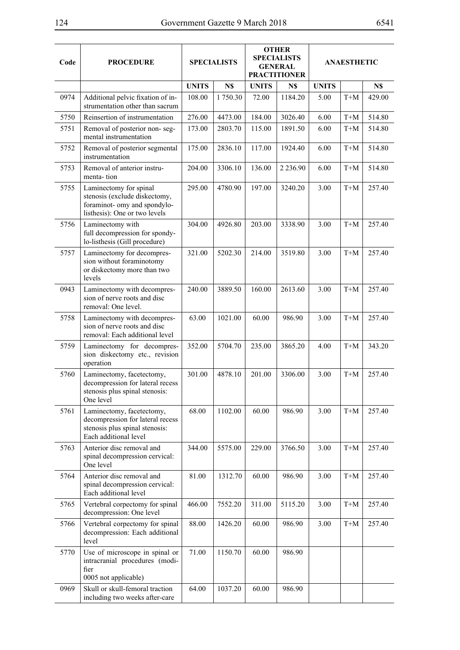| Code | <b>PROCEDURE</b>                                                                                                         |              | <b>SPECIALISTS</b> |              | <b>OTHER</b><br><b>SPECIALISTS</b><br><b>GENERAL</b><br><b>PRACTITIONER</b> | <b>ANAESTHETIC</b> |                     |        |  |
|------|--------------------------------------------------------------------------------------------------------------------------|--------------|--------------------|--------------|-----------------------------------------------------------------------------|--------------------|---------------------|--------|--|
|      |                                                                                                                          | <b>UNITS</b> | N\$                | <b>UNITS</b> | N\$                                                                         | <b>UNITS</b>       |                     | N\$    |  |
| 0974 | Additional pelvic fixation of in-<br>strumentation other than sacrum                                                     | 108.00       | 1750.30            | 72.00        | 1184.20                                                                     | 5.00               | $T+M$               | 429.00 |  |
| 5750 | Reinsertion of instrumentation                                                                                           | 276.00       | 4473.00            | 184.00       | 3026.40                                                                     | 6.00               | $T+M$               | 514.80 |  |
| 5751 | Removal of posterior non-seg-<br>mental instrumentation                                                                  | 173.00       | 2803.70            | 115.00       | 1891.50                                                                     | 6.00               | $T+M$               | 514.80 |  |
| 5752 | Removal of posterior segmental<br>instrumentation                                                                        | 175.00       | 2836.10            | 117.00       | 1924.40                                                                     | 6.00               | $T+M$               | 514.80 |  |
| 5753 | Removal of anterior instru-<br>menta-tion                                                                                | 204.00       | 3306.10            | 136.00       | 2 2 3 6 . 9 0                                                               | 6.00               | $T+M$               | 514.80 |  |
| 5755 | Laminectomy for spinal<br>stenosis (exclude diskectomy,<br>foraminot- omy and spondylo-<br>listhesis): One or two levels | 295.00       | 4780.90            | 197.00       | 3240.20                                                                     | 3.00               | $T+M$               | 257.40 |  |
| 5756 | Laminectomy with<br>full decompression for spondy-<br>lo-listhesis (Gill procedure)                                      | 304.00       | 4926.80            | 203.00       | 3338.90                                                                     | 3.00               | $T+M$               | 257.40 |  |
| 5757 | Laminectomy for decompres-<br>sion without foraminotomy<br>or diskectomy more than two<br>levels                         | 321.00       | 5202.30            | 214.00       | 3519.80                                                                     | 3.00               | $T+M$               | 257.40 |  |
| 0943 | Laminectomy with decompres-<br>sion of nerve roots and disc<br>removal: One level.                                       | 240.00       | 3889.50            | 160.00       | 2613.60                                                                     | 3.00               | $T+M$               | 257.40 |  |
| 5758 | Laminectomy with decompres-<br>sion of nerve roots and disc<br>removal: Each additional level                            | 63.00        | 1021.00            | 60.00        | 986.90                                                                      | 3.00               | $T+M$               | 257.40 |  |
| 5759 | Laminectomy for decompres-<br>sion diskectomy etc., revision<br>operation                                                | 352.00       | 5704.70            | 235.00       | 3865.20                                                                     | 4.00               | $\mbox{T+}\mbox{M}$ | 343.20 |  |
| 5760 | Laminectomy, facetectomy,<br>decompression for lateral recess<br>stenosis plus spinal stenosis:<br>One level             | 301.00       | 4878.10            | 201.00       | 3306.00                                                                     | 3.00               | $T+M$               | 257.40 |  |
| 5761 | Laminectomy, facetectomy,<br>decompression for lateral recess<br>stenosis plus spinal stenosis:<br>Each additional level | 68.00        | 1102.00            | 60.00        | 986.90                                                                      | 3.00               | $T+M$               | 257.40 |  |
| 5763 | Anterior disc removal and<br>spinal decompression cervical:<br>One level                                                 | 344.00       | 5575.00            | 229.00       | 3766.50                                                                     | 3.00               | $T+M$               | 257.40 |  |
| 5764 | Anterior disc removal and<br>spinal decompression cervical:<br>Each additional level                                     | 81.00        | 1312.70            | 60.00        | 986.90                                                                      | 3.00               | $T+M$               | 257.40 |  |
| 5765 | Vertebral corpectomy for spinal<br>decompression: One level                                                              | 466.00       | 7552.20            | 311.00       | 5115.20                                                                     | 3.00               | $T+M$               | 257.40 |  |
| 5766 | Vertebral corpectomy for spinal<br>decompression: Each additional<br>level                                               | 88.00        | 1426.20            | 60.00        | 986.90                                                                      | 3.00               | $T+M$               | 257.40 |  |
| 5770 | Use of microscope in spinal or<br>intracranial procedures (modi-<br>fier<br>0005 not applicable)                         | 71.00        | 1150.70            | 60.00        | 986.90                                                                      |                    |                     |        |  |
| 0969 | Skull or skull-femoral traction<br>including two weeks after-care                                                        | 64.00        | 1037.20            | 60.00        | 986.90                                                                      |                    |                     |        |  |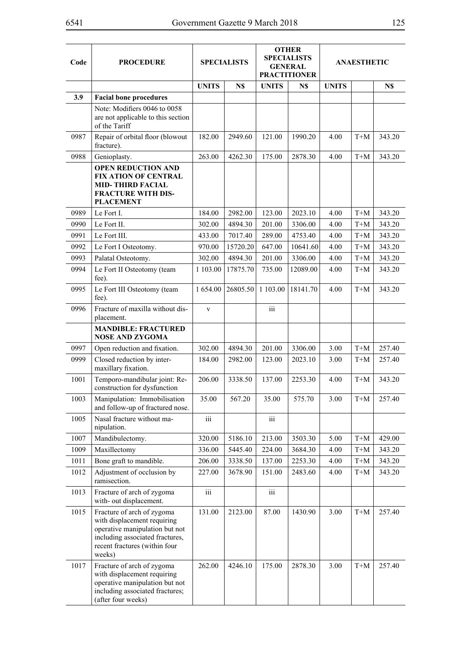| Code | <b>PROCEDURE</b>                                                                                                                                                          | <b>OTHER</b><br><b>SPECIALISTS</b><br><b>SPECIALISTS</b><br><b>GENERAL</b><br><b>PRACTITIONER</b> |          |              | <b>ANAESTHETIC</b> |              |                     |        |
|------|---------------------------------------------------------------------------------------------------------------------------------------------------------------------------|---------------------------------------------------------------------------------------------------|----------|--------------|--------------------|--------------|---------------------|--------|
|      |                                                                                                                                                                           | <b>UNITS</b>                                                                                      | N\$      | <b>UNITS</b> | N\$                | <b>UNITS</b> |                     | N\$    |
| 3.9  | <b>Facial bone procedures</b>                                                                                                                                             |                                                                                                   |          |              |                    |              |                     |        |
|      | Note: Modifiers 0046 to 0058<br>are not applicable to this section<br>of the Tariff                                                                                       |                                                                                                   |          |              |                    |              |                     |        |
| 0987 | Repair of orbital floor (blowout<br>fracture).                                                                                                                            | 182.00                                                                                            | 2949.60  | 121.00       | 1990.20            | 4.00         | $T+M$               | 343.20 |
| 0988 | Genioplasty.                                                                                                                                                              | 263.00                                                                                            | 4262.30  | 175.00       | 2878.30            | 4.00         | $T+M$               | 343.20 |
|      | <b>OPEN REDUCTION AND</b><br><b>FIX ATION OF CENTRAL</b><br><b>MID-THIRD FACIAL</b><br><b>FRACTURE WITH DIS-</b><br><b>PLACEMENT</b>                                      |                                                                                                   |          |              |                    |              |                     |        |
| 0989 | Le Fort I.                                                                                                                                                                | 184.00                                                                                            | 2982.00  | 123.00       | 2023.10            | 4.00         | $T+M$               | 343.20 |
| 0990 | Le Fort II.                                                                                                                                                               | 302.00                                                                                            | 4894.30  | 201.00       | 3306.00            | 4.00         | $T+M$               | 343.20 |
| 0991 | Le Fort III.                                                                                                                                                              | 433.00                                                                                            | 7017.40  | 289.00       | 4753.40            | 4.00         | $T+M$               | 343.20 |
| 0992 | Le Fort I Osteotomy.                                                                                                                                                      | 970.00                                                                                            | 15720.20 | 647.00       | 10641.60           | 4.00         | $T+M$               | 343.20 |
| 0993 | Palatal Osteotomy.                                                                                                                                                        | 302.00                                                                                            | 4894.30  | 201.00       | 3306.00            | 4.00         | $T+M$               | 343.20 |
| 0994 | Le Fort II Osteotomy (team<br>fee).                                                                                                                                       | 1 103.00                                                                                          | 17875.70 | 735.00       | 12089.00           | 4.00         | $T+M$               | 343.20 |
| 0995 | Le Fort III Osteotomy (team<br>fee).                                                                                                                                      | 1 654.00                                                                                          | 26805.50 | 1 103.00     | 18141.70           | 4.00         | $T+M$               | 343.20 |
| 0996 | Fracture of maxilla without dis-<br>placement.                                                                                                                            | $\mathbf{V}$                                                                                      |          | iii          |                    |              |                     |        |
|      | <b>MANDIBLE: FRACTURED</b><br><b>NOSE AND ZYGOMA</b>                                                                                                                      |                                                                                                   |          |              |                    |              |                     |        |
| 0997 | Open reduction and fixation.                                                                                                                                              | 302.00                                                                                            | 4894.30  | 201.00       | 3306.00            | 3.00         | $T+M$               | 257.40 |
| 0999 | Closed reduction by inter-<br>maxillary fixation.                                                                                                                         | 184.00                                                                                            | 2982.00  | 123.00       | 2023.10            | 3.00         | $T+M$               | 257.40 |
| 1001 | Temporo-mandibular joint: Re-<br>construction for dysfunction                                                                                                             | 206.00                                                                                            | 3338.50  | 137.00       | 2253.30            | 4.00         | $T+M$               | 343.20 |
| 1003 | Manipulation: Immobilisation<br>and follow-up of fractured nose.                                                                                                          | 35.00                                                                                             | 567.20   | 35.00        | 575.70             | 3.00         | $T+M$               | 257.40 |
| 1005 | Nasal fracture without ma-<br>nipulation.                                                                                                                                 | $\overline{\text{iii}}$                                                                           |          | iii          |                    |              |                     |        |
| 1007 | Mandibulectomy.                                                                                                                                                           | 320.00                                                                                            | 5186.10  | 213.00       | 3503.30            | 5.00         | $T+M$               | 429.00 |
| 1009 | Maxillectomy                                                                                                                                                              | 336.00                                                                                            | 5445.40  | 224.00       | 3684.30            | 4.00         | $\mbox{T+}\mbox{M}$ | 343.20 |
| 1011 | Bone graft to mandible.                                                                                                                                                   | 206.00                                                                                            | 3338.50  | 137.00       | 2253.30            | 4.00         | $T+M$               | 343.20 |
| 1012 | Adjustment of occlusion by<br>ramisection.                                                                                                                                | 227.00                                                                                            | 3678.90  | 151.00       | 2483.60            | 4.00         | $T+M$               | 343.20 |
| 1013 | Fracture of arch of zygoma<br>with- out displacement.                                                                                                                     | $\rm iii$                                                                                         |          | iii          |                    |              |                     |        |
| 1015 | Fracture of arch of zygoma<br>with displacement requiring<br>operative manipulation but not<br>including associated fractures,<br>recent fractures (within four<br>weeks) | 131.00                                                                                            | 2123.00  | 87.00        | 1430.90            | 3.00         | $T+M$               | 257.40 |
| 1017 | Fracture of arch of zygoma<br>with displacement requiring<br>operative manipulation but not<br>including associated fractures;<br>(after four weeks)                      | 262.00                                                                                            | 4246.10  | 175.00       | 2878.30            | 3.00         | $T+M$               | 257.40 |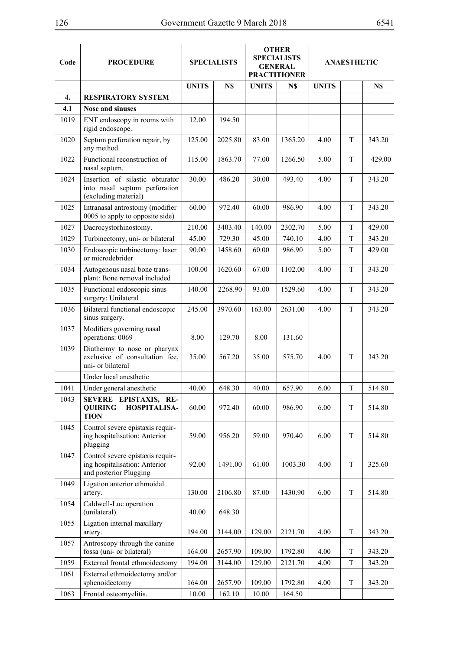| ٧<br>۰, |  |
|---------|--|
|---------|--|

| Code               | <b>PROCEDURE</b>                                                                            | <b>SPECIALISTS</b> |         | <b>OTHER</b><br><b>SPECIALISTS</b><br><b>GENERAL</b><br><b>PRACTITIONER</b> |         | <b>ANAESTHETIC</b> |   |        |
|--------------------|---------------------------------------------------------------------------------------------|--------------------|---------|-----------------------------------------------------------------------------|---------|--------------------|---|--------|
|                    |                                                                                             | <b>UNITS</b>       | N\$     | <b>UNITS</b>                                                                | N\$     | <b>UNITS</b>       |   | N\$    |
| $\boldsymbol{4}$ . | <b>RESPIRATORY SYSTEM</b>                                                                   |                    |         |                                                                             |         |                    |   |        |
| 4.1                | <b>Nose and sinuses</b>                                                                     |                    |         |                                                                             |         |                    |   |        |
| 1019               | ENT endoscopy in rooms with<br>rigid endoscope.                                             | 12.00              | 194.50  |                                                                             |         |                    |   |        |
| 1020               | Septum perforation repair, by<br>any method.                                                | 125.00             | 2025.80 | 83.00                                                                       | 1365.20 | 4.00               | T | 343.20 |
| 1022               | Functional reconstruction of<br>nasal septum.                                               | 115.00             | 1863.70 | 77.00                                                                       | 1266.50 | 5.00               | T | 429.00 |
| 1024               | Insertion of silastic obturator<br>into nasal septum perforation<br>(excluding material)    | 30.00              | 486.20  | 30.00                                                                       | 493.40  | 4.00               | T | 343.20 |
| 1025               | Intranasal antrostomy (modifier<br>0005 to apply to opposite side)                          | 60.00              | 972.40  | 60.00                                                                       | 986.90  | 4.00               | T | 343.20 |
| 1027               | Dacrocystorhinostomy.                                                                       | 210.00             | 3403.40 | 140.00                                                                      | 2302.70 | 5.00               | T | 429.00 |
| 1029               | Turbinectomy, uni- or bilateral                                                             | 45.00              | 729.30  | 45.00                                                                       | 740.10  | 4.00               | T | 343.20 |
| 1030               | Endoscopic turbinectomy: laser<br>or microdebrider                                          | 90.00              | 1458.60 | 60.00                                                                       | 986.90  | 5.00               | T | 429.00 |
| 1034               | Autogenous nasal bone trans-<br>plant: Bone removal included                                | 100.00             | 1620.60 | 67.00                                                                       | 1102.00 | 4.00               | T | 343.20 |
| 1035               | Functional endoscopic sinus<br>surgery: Unilateral                                          | 140.00             | 2268.90 | 93.00                                                                       | 1529.60 | 4.00               | T | 343.20 |
| 1036               | Bilateral functional endoscopic<br>sinus surgery.                                           | 245.00             | 3970.60 | 163.00                                                                      | 2631.00 | 4.00               | T | 343.20 |
| 1037               | Modifiers governing nasal<br>operations: 0069                                               | 8.00               | 129.70  | 8.00                                                                        | 131.60  |                    |   |        |
| 1039               | Diathermy to nose or pharynx<br>exclusive of consultation fee,<br>uni- or bilateral         | 35.00              | 567.20  | 35.00                                                                       | 575.70  | 4.00               | T | 343.20 |
|                    | Under local anesthetic                                                                      |                    |         |                                                                             |         |                    |   |        |
| 1041               | Under general anesthetic                                                                    | 40.00              | 648.30  | 40.00                                                                       | 657.90  | 6.00               | T | 514.80 |
| 1043               | SEVERE EPISTAXIS, RE-<br><b>QUIRING</b><br><b>HOSPITALISA-</b><br><b>TION</b>               | 60.00              | 972.40  | 60.00                                                                       | 986.90  | 6.00               | T | 514.80 |
| 1045               | Control severe epistaxis requir-<br>ing hospitalisation: Anterior<br>plugging               | 59.00              | 956.20  | 59.00                                                                       | 970.40  | 6.00               | T | 514.80 |
| 1047               | Control severe epistaxis requir-<br>ing hospitalisation: Anterior<br>and posterior Plugging | 92.00              | 1491.00 | 61.00                                                                       | 1003.30 | 4.00               | T | 325.60 |
| 1049               | Ligation anterior ethmoidal<br>artery.                                                      | 130.00             | 2106.80 | 87.00                                                                       | 1430.90 | 6.00               | T | 514.80 |
| 1054               | Caldwell-Luc operation<br>(unilateral).                                                     | 40.00              | 648.30  |                                                                             |         |                    |   |        |
| 1055               | Ligation internal maxillary<br>artery.                                                      | 194.00             | 3144.00 | 129.00                                                                      | 2121.70 | 4.00               | T | 343.20 |
| 1057               | Antroscopy through the canine<br>fossa (uni- or bilateral)                                  | 164.00             | 2657.90 | 109.00                                                                      | 1792.80 | 4.00               | T | 343.20 |
| 1059               | External frontal ethmoidectomy                                                              | 194.00             | 3144.00 | 129.00                                                                      | 2121.70 | 4.00               | T | 343.20 |
| 1061               | External ethmoidectomy and/or<br>sphenoidectomy                                             | 164.00             | 2657.90 | 109.00                                                                      | 1792.80 | 4.00               | T | 343.20 |
| 1063               | Frontal osteomyelitis.                                                                      | 10.00              | 162.10  | 10.00                                                                       | 164.50  |                    |   |        |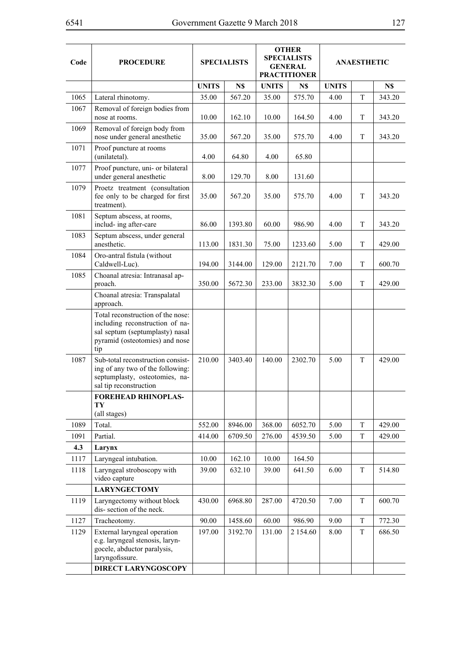| Code | <b>PROCEDURE</b>                                                                                                                                 | <b>SPECIALISTS</b> |         |              | <b>OTHER</b><br><b>SPECIALISTS</b><br><b>GENERAL</b><br><b>PRACTITIONER</b> |              | <b>ANAESTHETIC</b> |        |
|------|--------------------------------------------------------------------------------------------------------------------------------------------------|--------------------|---------|--------------|-----------------------------------------------------------------------------|--------------|--------------------|--------|
|      |                                                                                                                                                  | <b>UNITS</b>       | N\$     | <b>UNITS</b> | N\$                                                                         | <b>UNITS</b> |                    | N\$    |
| 1065 | Lateral rhinotomy.                                                                                                                               | 35.00              | 567.20  | 35.00        | 575.70                                                                      | 4.00         | T                  | 343.20 |
| 1067 | Removal of foreign bodies from<br>nose at rooms.                                                                                                 | 10.00              | 162.10  | 10.00        | 164.50                                                                      | 4.00         | T                  | 343.20 |
| 1069 | Removal of foreign body from<br>nose under general anesthetic                                                                                    | 35.00              | 567.20  | 35.00        | 575.70                                                                      | 4.00         | T                  | 343.20 |
| 1071 | Proof puncture at rooms<br>(unilatetal).                                                                                                         | 4.00               | 64.80   | 4.00         | 65.80                                                                       |              |                    |        |
| 1077 | Proof puncture, uni- or bilateral<br>under general anesthetic                                                                                    | 8.00               | 129.70  | 8.00         | 131.60                                                                      |              |                    |        |
| 1079 | Proetz treatment (consultation<br>fee only to be charged for first<br>treatment).                                                                | 35.00              | 567.20  | 35.00        | 575.70                                                                      | 4.00         | T                  | 343.20 |
| 1081 | Septum abscess, at rooms,<br>includ- ing after-care                                                                                              | 86.00              | 1393.80 | 60.00        | 986.90                                                                      | 4.00         | T                  | 343.20 |
| 1083 | Septum abscess, under general<br>anesthetic.                                                                                                     | 113.00             | 1831.30 | 75.00        | 1233.60                                                                     | 5.00         | T                  | 429.00 |
| 1084 | Oro-antral fistula (without<br>Caldwell-Luc).                                                                                                    | 194.00             | 3144.00 | 129.00       | 2121.70                                                                     | 7.00         | T                  | 600.70 |
| 1085 | Choanal atresia: Intranasal ap-<br>proach.                                                                                                       | 350.00             | 5672.30 | 233.00       | 3832.30                                                                     | 5.00         | T                  | 429.00 |
|      | Choanal atresia: Transpalatal<br>approach.                                                                                                       |                    |         |              |                                                                             |              |                    |        |
|      | Total reconstruction of the nose:<br>including reconstruction of na-<br>sal septum (septumplasty) nasal<br>pyramid (osteotomies) and nose<br>tip |                    |         |              |                                                                             |              |                    |        |
| 1087 | Sub-total reconstruction consist-<br>ing of any two of the following:<br>septumplasty, osteotomies, na-<br>sal tip reconstruction                | 210.00             | 3403.40 | 140.00       | 2302.70                                                                     | 5.00         | T                  | 429.00 |
|      | <b>FOREHEAD RHINOPLAS-</b><br>TY<br>(all stages)                                                                                                 |                    |         |              |                                                                             |              |                    |        |
| 1089 | Total.                                                                                                                                           | 552.00             | 8946.00 | 368.00       | 6052.70                                                                     | 5.00         | T                  | 429.00 |
| 1091 | Partial.                                                                                                                                         | 414.00             | 6709.50 | 276.00       | 4539.50                                                                     | 5.00         | T                  | 429.00 |
| 4.3  | Larynx                                                                                                                                           |                    |         |              |                                                                             |              |                    |        |
| 1117 | Laryngeal intubation.                                                                                                                            | 10.00              | 162.10  | 10.00        | 164.50                                                                      |              |                    |        |
| 1118 | Laryngeal stroboscopy with<br>video capture                                                                                                      | 39.00              | 632.10  | 39.00        | 641.50                                                                      | 6.00         | T                  | 514.80 |
|      | <b>LARYNGECTOMY</b>                                                                                                                              |                    |         |              |                                                                             |              |                    |        |
| 1119 | Laryngectomy without block<br>dis-section of the neck.                                                                                           | 430.00             | 6968.80 | 287.00       | 4720.50                                                                     | 7.00         | T                  | 600.70 |
| 1127 | Tracheotomy.                                                                                                                                     | 90.00              | 1458.60 | 60.00        | 986.90                                                                      | 9.00         | T                  | 772.30 |
| 1129 | External laryngeal operation<br>e.g. laryngeal stenosis, laryn-<br>gocele, abductor paralysis,<br>laryngofissure.                                | 197.00             | 3192.70 | 131.00       | 2 1 5 4 .60                                                                 | 8.00         | T                  | 686.50 |
|      | <b>DIRECT LARYNGOSCOPY</b>                                                                                                                       |                    |         |              |                                                                             |              |                    |        |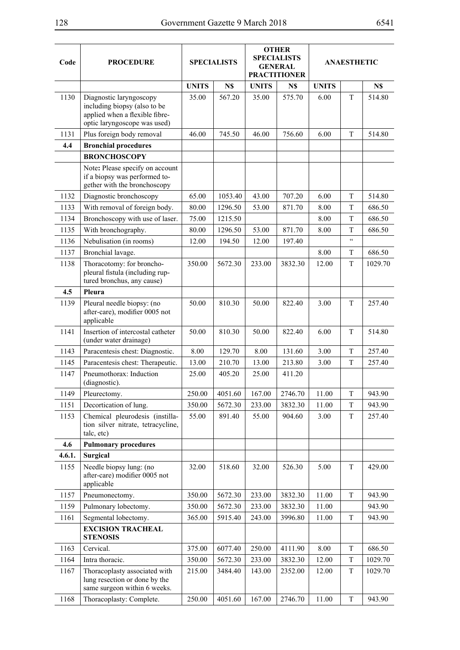| ٧<br>۰, |  |
|---------|--|
|---------|--|

| Code   | <b>PROCEDURE</b>                                                                                                          | <b>SPECIALISTS</b> |         | <b>OTHER</b><br><b>SPECIALISTS</b><br><b>GENERAL</b><br><b>PRACTITIONER</b> |         | <b>ANAESTHETIC</b> |                          |         |  |
|--------|---------------------------------------------------------------------------------------------------------------------------|--------------------|---------|-----------------------------------------------------------------------------|---------|--------------------|--------------------------|---------|--|
|        |                                                                                                                           | <b>UNITS</b>       | N\$     | <b>UNITS</b>                                                                | N\$     | <b>UNITS</b>       |                          | N\$     |  |
| 1130   | Diagnostic laryngoscopy<br>including biopsy (also to be<br>applied when a flexible fibre-<br>optic laryngoscope was used) | 35.00              | 567.20  | 35.00                                                                       | 575.70  | 6.00               | T                        | 514.80  |  |
| 1131   | Plus foreign body removal                                                                                                 | 46.00              | 745.50  | 46.00                                                                       | 756.60  | 6.00               | T                        | 514.80  |  |
| 4.4    | <b>Bronchial procedures</b>                                                                                               |                    |         |                                                                             |         |                    |                          |         |  |
|        | <b>BRONCHOSCOPY</b>                                                                                                       |                    |         |                                                                             |         |                    |                          |         |  |
|        | Note: Please specify on account<br>if a biopsy was performed to-<br>gether with the bronchoscopy                          |                    |         |                                                                             |         |                    |                          |         |  |
| 1132   | Diagnostic bronchoscopy                                                                                                   | 65.00              | 1053.40 | 43.00                                                                       | 707.20  | 6.00               | T                        | 514.80  |  |
| 1133   | With removal of foreign body.                                                                                             | 80.00              | 1296.50 | 53.00                                                                       | 871.70  | 8.00               | T                        | 686.50  |  |
| 1134   | Bronchoscopy with use of laser.                                                                                           | 75.00              | 1215.50 |                                                                             |         | 8.00               | T                        | 686.50  |  |
| 1135   | With bronchography.                                                                                                       | 80.00              | 1296.50 | 53.00                                                                       | 871.70  | 8.00               | T                        | 686.50  |  |
| 1136   | Nebulisation (in rooms)                                                                                                   | 12.00              | 194.50  | 12.00                                                                       | 197.40  |                    | $\overline{\mathcal{C}}$ |         |  |
| 1137   | Bronchial lavage.                                                                                                         |                    |         |                                                                             |         | 8.00               | T                        | 686.50  |  |
| 1138   | Thoracotomy: for broncho-<br>pleural fistula (including rup-<br>tured bronchus, any cause)                                | 350.00             | 5672.30 | 233.00                                                                      | 3832.30 | 12.00              | T                        | 1029.70 |  |
| 4.5    | Pleura                                                                                                                    |                    |         |                                                                             |         |                    |                          |         |  |
| 1139   | Pleural needle biopsy: (no<br>after-care), modifier 0005 not<br>applicable                                                | 50.00              | 810.30  | 50.00                                                                       | 822.40  | 3.00               | T                        | 257.40  |  |
| 1141   | Insertion of intercostal catheter<br>(under water drainage)                                                               | 50.00              | 810.30  | 50.00                                                                       | 822.40  | 6.00               | T                        | 514.80  |  |
| 1143   | Paracentesis chest: Diagnostic.                                                                                           | 8.00               | 129.70  | 8.00                                                                        | 131.60  | 3.00               | $\mathbf T$              | 257.40  |  |
| 1145   | Paracentesis chest: Therapeutic.                                                                                          | 13.00              | 210.70  | 13.00                                                                       | 213.80  | 3.00               | T                        | 257.40  |  |
| 1147   | Pneumothorax: Induction<br>(diagnostic).                                                                                  | 25.00              | 405.20  | 25.00                                                                       | 411.20  |                    |                          |         |  |
| 1149   | Pleurectomy.                                                                                                              | 250.00             | 4051.60 | 167.00                                                                      | 2746.70 | 11.00              | $\mathbf T$              | 943.90  |  |
| 1151   | Decortication of lung.                                                                                                    | 350.00             | 5672.30 | 233.00                                                                      | 3832.30 | 11.00              | T                        | 943.90  |  |
| 1153   | Chemical pleurodesis (instilla-<br>tion silver nitrate, tetracycline,<br>talc, etc)                                       | 55.00              | 891.40  | 55.00                                                                       | 904.60  | 3.00               | T                        | 257.40  |  |
| 4.6    | <b>Pulmonary procedures</b>                                                                                               |                    |         |                                                                             |         |                    |                          |         |  |
| 4.6.1. | <b>Surgical</b>                                                                                                           |                    |         |                                                                             |         |                    |                          |         |  |
| 1155   | Needle biopsy lung: (no<br>after-care) modifier 0005 not<br>applicable                                                    | 32.00              | 518.60  | 32.00                                                                       | 526.30  | 5.00               | T                        | 429.00  |  |
| 1157   | Pneumonectomy.                                                                                                            | 350.00             | 5672.30 | 233.00                                                                      | 3832.30 | 11.00              | T                        | 943.90  |  |
| 1159   | Pulmonary lobectomy.                                                                                                      | 350.00             | 5672.30 | 233.00                                                                      | 3832.30 | 11.00              |                          | 943.90  |  |
| 1161   | Segmental lobectomy.                                                                                                      | 365.00             | 5915.40 | 243.00                                                                      | 3996.80 | 11.00              | T                        | 943.90  |  |
|        | <b>EXCISION TRACHEAL</b><br><b>STENOSIS</b>                                                                               |                    |         |                                                                             |         |                    |                          |         |  |
| 1163   | Cervical.                                                                                                                 | 375.00             | 6077.40 | 250.00                                                                      | 4111.90 | 8.00               | T                        | 686.50  |  |
| 1164   | Intra thoracic.                                                                                                           | 350.00             | 5672.30 | 233.00                                                                      | 3832.30 | 12.00              | T                        | 1029.70 |  |
| 1167   | Thoracoplasty associated with<br>lung resection or done by the<br>same surgeon within 6 weeks.                            | 215.00             | 3484.40 | 143.00                                                                      | 2352.00 | 12.00              | T                        | 1029.70 |  |
| 1168   | Thoracoplasty: Complete.                                                                                                  | 250.00             | 4051.60 | 167.00                                                                      | 2746.70 | 11.00              | T                        | 943.90  |  |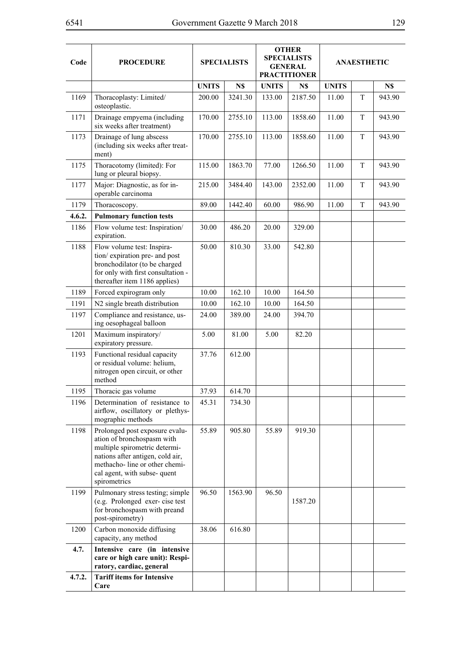| Code   | <b>PROCEDURE</b>                                                                                                                                                                                                   |              | <b>SPECIALISTS</b> | <b>OTHER</b><br><b>SPECIALISTS</b><br><b>GENERAL</b><br><b>PRACTITIONER</b> |         |              | <b>ANAESTHETIC</b> |        |
|--------|--------------------------------------------------------------------------------------------------------------------------------------------------------------------------------------------------------------------|--------------|--------------------|-----------------------------------------------------------------------------|---------|--------------|--------------------|--------|
|        |                                                                                                                                                                                                                    | <b>UNITS</b> | N\$                | <b>UNITS</b>                                                                | N\$     | <b>UNITS</b> |                    | N\$    |
| 1169   | Thoracoplasty: Limited/<br>osteoplastic.                                                                                                                                                                           | 200.00       | 3241.30            | 133.00                                                                      | 2187.50 | 11.00        | T                  | 943.90 |
| 1171   | Drainage empyema (including<br>six weeks after treatment)                                                                                                                                                          | 170.00       | 2755.10            | 113.00                                                                      | 1858.60 | 11.00        | T                  | 943.90 |
| 1173   | Drainage of lung abscess<br>(including six weeks after treat-<br>ment)                                                                                                                                             | 170.00       | 2755.10            | 113.00                                                                      | 1858.60 | 11.00        | T                  | 943.90 |
| 1175   | Thoracotomy (limited): For<br>lung or pleural biopsy.                                                                                                                                                              | 115.00       | 1863.70            | 77.00                                                                       | 1266.50 | 11.00        | T                  | 943.90 |
| 1177   | Major: Diagnostic, as for in-<br>operable carcinoma                                                                                                                                                                | 215.00       | 3484.40            | 143.00                                                                      | 2352.00 | 11.00        | T                  | 943.90 |
| 1179   | Thoracoscopy.                                                                                                                                                                                                      | 89.00        | 1442.40            | 60.00                                                                       | 986.90  | 11.00        | T                  | 943.90 |
| 4.6.2. | <b>Pulmonary function tests</b>                                                                                                                                                                                    |              |                    |                                                                             |         |              |                    |        |
| 1186   | Flow volume test: Inspiration/<br>expiration.                                                                                                                                                                      | 30.00        | 486.20             | 20.00                                                                       | 329.00  |              |                    |        |
| 1188   | Flow volume test: Inspira-<br>tion/expiration pre- and post<br>bronchodilator (to be charged<br>for only with first consultation -<br>thereafter item 1186 applies)                                                | 50.00        | 810.30             | 33.00                                                                       | 542.80  |              |                    |        |
| 1189   | Forced expirogram only                                                                                                                                                                                             | 10.00        | 162.10             | 10.00                                                                       | 164.50  |              |                    |        |
| 1191   | N2 single breath distribution                                                                                                                                                                                      | 10.00        | 162.10             | 10.00                                                                       | 164.50  |              |                    |        |
| 1197   | Compliance and resistance, us-<br>ing oesophageal balloon                                                                                                                                                          | 24.00        | 389.00             | 24.00                                                                       | 394.70  |              |                    |        |
| 1201   | Maximum inspiratory/<br>expiratory pressure.                                                                                                                                                                       | 5.00         | 81.00              | 5.00                                                                        | 82.20   |              |                    |        |
| 1193   | Functional residual capacity<br>or residual volume: helium,<br>nitrogen open circuit, or other<br>method                                                                                                           | 37.76        | 612.00             |                                                                             |         |              |                    |        |
| 1195   | Thoracic gas volume                                                                                                                                                                                                | 37.93        | 614.70             |                                                                             |         |              |                    |        |
| 1196   | Determination of resistance to<br>airflow, oscillatory or plethys-<br>mographic methods                                                                                                                            | 45.31        | 734.30             |                                                                             |         |              |                    |        |
| 1198   | Prolonged post exposure evalu-<br>ation of bronchospasm with<br>multiple spirometric determi-<br>nations after antigen, cold air,<br>methacho-line or other chemi-<br>cal agent, with subse- quent<br>spirometrics | 55.89        | 905.80             | 55.89                                                                       | 919.30  |              |                    |        |
| 1199   | Pulmonary stress testing; simple<br>(e.g. Prolonged exer-cise test<br>for bronchospasm with preand<br>post-spirometry)                                                                                             | 96.50        | 1563.90            | 96.50                                                                       | 1587.20 |              |                    |        |
| 1200   | Carbon monoxide diffusing<br>capacity, any method                                                                                                                                                                  | 38.06        | 616.80             |                                                                             |         |              |                    |        |
| 4.7.   | Intensive care (in intensive<br>care or high care unit): Respi-<br>ratory, cardiac, general                                                                                                                        |              |                    |                                                                             |         |              |                    |        |
| 4.7.2. | <b>Tariff items for Intensive</b>                                                                                                                                                                                  |              |                    |                                                                             |         |              |                    |        |
|        | Care                                                                                                                                                                                                               |              |                    |                                                                             |         |              |                    |        |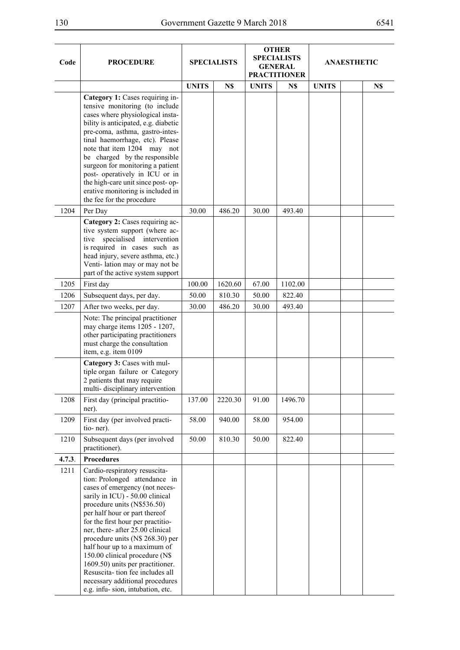$\overline{\phantom{a}}$ 

| ٧<br>۰, |  |
|---------|--|
|---------|--|

 $\overline{\phantom{0}}$ 

| Code   | <b>PROCEDURE</b>                                                                                                                                                                                                                                                                                                                                                                                                                                                                                                                 |              | <b>SPECIALISTS</b> |              | <b>OTHER</b><br><b>SPECIALISTS</b><br><b>GENERAL</b><br><b>PRACTITIONER</b> |              | ANAESTHETIC |     |
|--------|----------------------------------------------------------------------------------------------------------------------------------------------------------------------------------------------------------------------------------------------------------------------------------------------------------------------------------------------------------------------------------------------------------------------------------------------------------------------------------------------------------------------------------|--------------|--------------------|--------------|-----------------------------------------------------------------------------|--------------|-------------|-----|
|        |                                                                                                                                                                                                                                                                                                                                                                                                                                                                                                                                  | <b>UNITS</b> | N\$                | <b>UNITS</b> | N\$                                                                         | <b>UNITS</b> |             | N\$ |
|        | Category 1: Cases requiring in-<br>tensive monitoring (to include<br>cases where physiological insta-<br>bility is anticipated, e.g. diabetic<br>pre-coma, asthma, gastro-intes-<br>tinal haemorrhage, etc). Please<br>note that item 1204 may not<br>be charged by the responsible<br>surgeon for monitoring a patient<br>post- operatively in ICU or in<br>the high-care unit since post-op-<br>erative monitoring is included in<br>the fee for the procedure                                                                 |              |                    |              |                                                                             |              |             |     |
| 1204   | Per Day                                                                                                                                                                                                                                                                                                                                                                                                                                                                                                                          | 30.00        | 486.20             | 30.00        | 493.40                                                                      |              |             |     |
|        | Category 2: Cases requiring ac-<br>tive system support (where ac-<br>specialised intervention<br>tive<br>is required in cases such as<br>head injury, severe asthma, etc.)<br>Venti-lation may or may not be<br>part of the active system support                                                                                                                                                                                                                                                                                |              |                    |              |                                                                             |              |             |     |
| 1205   | First day                                                                                                                                                                                                                                                                                                                                                                                                                                                                                                                        | 100.00       | 1620.60            | 67.00        | 1102.00                                                                     |              |             |     |
| 1206   | Subsequent days, per day.                                                                                                                                                                                                                                                                                                                                                                                                                                                                                                        | 50.00        | 810.30             | 50.00        | 822.40                                                                      |              |             |     |
| 1207   | After two weeks, per day.                                                                                                                                                                                                                                                                                                                                                                                                                                                                                                        | 30.00        | 486.20             | 30.00        | 493.40                                                                      |              |             |     |
|        | Note: The principal practitioner<br>may charge items 1205 - 1207,<br>other participating practitioners<br>must charge the consultation<br>item, e.g. item 0109                                                                                                                                                                                                                                                                                                                                                                   |              |                    |              |                                                                             |              |             |     |
|        | Category 3: Cases with mul-<br>tiple organ failure or Category<br>2 patients that may require<br>multi-disciplinary intervention                                                                                                                                                                                                                                                                                                                                                                                                 |              |                    |              |                                                                             |              |             |     |
| 1208   | First day (principal practitio-<br>ner).                                                                                                                                                                                                                                                                                                                                                                                                                                                                                         | 137.00       | 2220.30            | 91.00        | 1496.70                                                                     |              |             |     |
| 1209   | First day (per involved practi-<br>tio-ner).                                                                                                                                                                                                                                                                                                                                                                                                                                                                                     | 58.00        | 940.00             | 58.00        | 954.00                                                                      |              |             |     |
| 1210   | Subsequent days (per involved<br>practitioner).                                                                                                                                                                                                                                                                                                                                                                                                                                                                                  | 50.00        | 810.30             | 50.00        | 822.40                                                                      |              |             |     |
| 4.7.3. | <b>Procedures</b>                                                                                                                                                                                                                                                                                                                                                                                                                                                                                                                |              |                    |              |                                                                             |              |             |     |
| 1211   | Cardio-respiratory resuscita-<br>tion: Prolonged attendance in<br>cases of emergency (not neces-<br>sarily in ICU) - 50.00 clinical<br>procedure units (N\$536.50)<br>per half hour or part thereof<br>for the first hour per practitio-<br>ner, there- after 25.00 clinical<br>procedure units (N\$ 268.30) per<br>half hour up to a maximum of<br>150.00 clinical procedure (N\$<br>1609.50) units per practitioner.<br>Resuscita-tion fee includes all<br>necessary additional procedures<br>e.g. infu-sion, intubation, etc. |              |                    |              |                                                                             |              |             |     |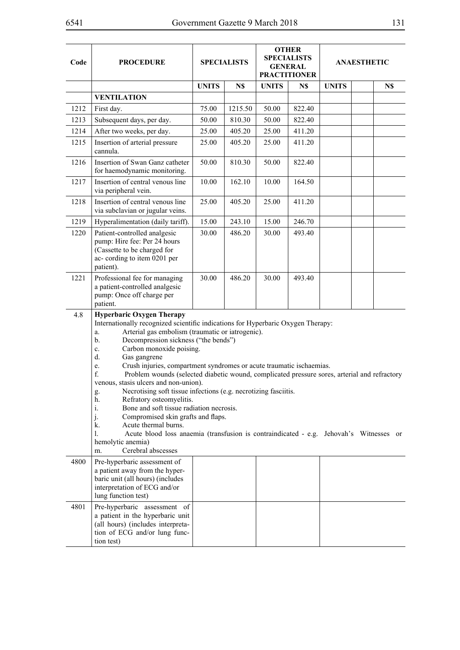| Code | <b>PROCEDURE</b>                                                                                                                                                                                                                                                                                                                                                                                                                                                                                                                                                                                                                                                                                                                                                                                                                                                                                                  |              | <b>SPECIALISTS</b> |              | <b>OTHER</b><br><b>SPECIALISTS</b><br><b>GENERAL</b><br><b>PRACTITIONER</b> |              | <b>ANAESTHETIC</b> |     |  |  |
|------|-------------------------------------------------------------------------------------------------------------------------------------------------------------------------------------------------------------------------------------------------------------------------------------------------------------------------------------------------------------------------------------------------------------------------------------------------------------------------------------------------------------------------------------------------------------------------------------------------------------------------------------------------------------------------------------------------------------------------------------------------------------------------------------------------------------------------------------------------------------------------------------------------------------------|--------------|--------------------|--------------|-----------------------------------------------------------------------------|--------------|--------------------|-----|--|--|
|      |                                                                                                                                                                                                                                                                                                                                                                                                                                                                                                                                                                                                                                                                                                                                                                                                                                                                                                                   | <b>UNITS</b> | N\$                | <b>UNITS</b> | N\$                                                                         | <b>UNITS</b> |                    | N\$ |  |  |
|      | <b>VENTILATION</b>                                                                                                                                                                                                                                                                                                                                                                                                                                                                                                                                                                                                                                                                                                                                                                                                                                                                                                |              |                    |              |                                                                             |              |                    |     |  |  |
| 1212 | First day.                                                                                                                                                                                                                                                                                                                                                                                                                                                                                                                                                                                                                                                                                                                                                                                                                                                                                                        | 75.00        | 1215.50            | 50.00        | 822.40                                                                      |              |                    |     |  |  |
| 1213 | Subsequent days, per day.                                                                                                                                                                                                                                                                                                                                                                                                                                                                                                                                                                                                                                                                                                                                                                                                                                                                                         | 50.00        | 810.30             | 50.00        | 822.40                                                                      |              |                    |     |  |  |
| 1214 | After two weeks, per day.                                                                                                                                                                                                                                                                                                                                                                                                                                                                                                                                                                                                                                                                                                                                                                                                                                                                                         | 25.00        | 405.20             | 25.00        | 411.20                                                                      |              |                    |     |  |  |
| 1215 | Insertion of arterial pressure<br>cannula.                                                                                                                                                                                                                                                                                                                                                                                                                                                                                                                                                                                                                                                                                                                                                                                                                                                                        | 25.00        | 405.20             | 25.00        | 411.20                                                                      |              |                    |     |  |  |
| 1216 | Insertion of Swan Ganz catheter<br>for haemodynamic monitoring.                                                                                                                                                                                                                                                                                                                                                                                                                                                                                                                                                                                                                                                                                                                                                                                                                                                   | 50.00        | 810.30             | 50.00        | 822.40                                                                      |              |                    |     |  |  |
| 1217 | Insertion of central venous line<br>via peripheral vein.                                                                                                                                                                                                                                                                                                                                                                                                                                                                                                                                                                                                                                                                                                                                                                                                                                                          | 10.00        | 162.10             | 10.00        | 164.50                                                                      |              |                    |     |  |  |
| 1218 | Insertion of central venous line<br>via subclavian or jugular veins.                                                                                                                                                                                                                                                                                                                                                                                                                                                                                                                                                                                                                                                                                                                                                                                                                                              | 25.00        | 405.20             | 25.00        | 411.20                                                                      |              |                    |     |  |  |
| 1219 | Hyperalimentation (daily tariff).                                                                                                                                                                                                                                                                                                                                                                                                                                                                                                                                                                                                                                                                                                                                                                                                                                                                                 | 15.00        | 243.10             | 15.00        | 246.70                                                                      |              |                    |     |  |  |
| 1220 | Patient-controlled analgesic<br>pump: Hire fee: Per 24 hours<br>(Cassette to be charged for<br>ac-cording to item 0201 per<br>patient).                                                                                                                                                                                                                                                                                                                                                                                                                                                                                                                                                                                                                                                                                                                                                                           | 30.00        | 486.20             | 30.00        | 493.40                                                                      |              |                    |     |  |  |
| 1221 | Professional fee for managing<br>a patient-controlled analgesic<br>pump: Once off charge per<br>patient.                                                                                                                                                                                                                                                                                                                                                                                                                                                                                                                                                                                                                                                                                                                                                                                                          | 30.00        | 486.20             | 30.00        | 493.40                                                                      |              |                    |     |  |  |
| 4.8  | <b>Hyperbaric Oxygen Therapy</b><br>Internationally recognized scientific indications for Hyperbaric Oxygen Therapy:<br>Arterial gas embolism (traumatic or iatrogenic).<br>a.<br>Decompression sickness ("the bends")<br>b.<br>Carbon monoxide poising.<br>c.<br>d.<br>Gas gangrene<br>Crush injuries, compartment syndromes or acute traumatic ischaemias.<br>e.<br>f.<br>Problem wounds (selected diabetic wound, complicated pressure sores, arterial and refractory<br>venous, stasis ulcers and non-union).<br>Necrotising soft tissue infections (e.g. necrotizing fasciitis.<br>g.<br>h.<br>Refratory osteomyelitis.<br>Bone and soft tissue radiation necrosis.<br>$\overline{1}$ .<br>Compromised skin grafts and flaps.<br>J.<br>Acute thermal burns.<br>k.<br>1.<br>Acute blood loss anaemia (transfusion is contraindicated - e.g. Jehovah's Witnesses or<br>hemolytic anemia)<br>Cerebral abscesses |              |                    |              |                                                                             |              |                    |     |  |  |
| 4800 | Pre-hyperbaric assessment of<br>a patient away from the hyper-<br>baric unit (all hours) (includes<br>interpretation of ECG and/or<br>lung function test)                                                                                                                                                                                                                                                                                                                                                                                                                                                                                                                                                                                                                                                                                                                                                         |              |                    |              |                                                                             |              |                    |     |  |  |
| 4801 | Pre-hyperbaric assessment of<br>a patient in the hyperbaric unit<br>(all hours) (includes interpreta-<br>tion of ECG and/or lung func-<br>tion test)                                                                                                                                                                                                                                                                                                                                                                                                                                                                                                                                                                                                                                                                                                                                                              |              |                    |              |                                                                             |              |                    |     |  |  |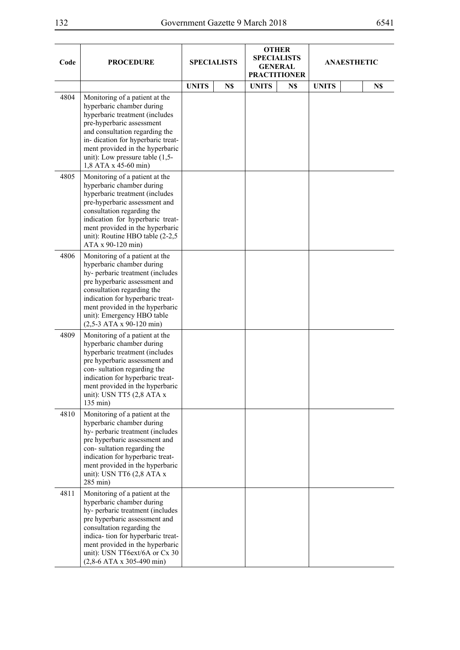۰.

 $\overline{\phantom{a}}$ 

| ٧<br>۰, |  |
|---------|--|
|---------|--|

 $\overline{\phantom{a}}$ 

| Code | <b>PROCEDURE</b>                                                                                                                                                                                                                                                                                       | <b>SPECIALISTS</b> |     | <b>OTHER</b><br><b>SPECIALISTS</b><br><b>GENERAL</b><br><b>PRACTITIONER</b> |     | <b>ANAESTHETIC</b> |     |
|------|--------------------------------------------------------------------------------------------------------------------------------------------------------------------------------------------------------------------------------------------------------------------------------------------------------|--------------------|-----|-----------------------------------------------------------------------------|-----|--------------------|-----|
|      |                                                                                                                                                                                                                                                                                                        | <b>UNITS</b>       | N\$ | <b>UNITS</b>                                                                | N\$ | <b>UNITS</b>       | N\$ |
| 4804 | Monitoring of a patient at the<br>hyperbaric chamber during<br>hyperbaric treatment (includes<br>pre-hyperbaric assessment<br>and consultation regarding the<br>in-dication for hyperbaric treat-<br>ment provided in the hyperbaric<br>unit): Low pressure table $(1,5-$<br>1,8 ATA x 45-60 min)      |                    |     |                                                                             |     |                    |     |
| 4805 | Monitoring of a patient at the<br>hyperbaric chamber during<br>hyperbaric treatment (includes<br>pre-hyperbaric assessment and<br>consultation regarding the<br>indication for hyperbaric treat-<br>ment provided in the hyperbaric<br>unit): Routine HBO table (2-2,5<br>ATA x 90-120 min)            |                    |     |                                                                             |     |                    |     |
| 4806 | Monitoring of a patient at the<br>hyperbaric chamber during<br>hy-perbaric treatment (includes<br>pre hyperbaric assessment and<br>consultation regarding the<br>indication for hyperbaric treat-<br>ment provided in the hyperbaric<br>unit): Emergency HBO table<br>$(2,5-3$ ATA x 90-120 min)       |                    |     |                                                                             |     |                    |     |
| 4809 | Monitoring of a patient at the<br>hyperbaric chamber during<br>hyperbaric treatment (includes<br>pre hyperbaric assessment and<br>con-sultation regarding the<br>indication for hyperbaric treat-<br>ment provided in the hyperbaric<br>unit): USN TT5 (2,8 ATA x<br>135 min)                          |                    |     |                                                                             |     |                    |     |
| 4810 | Monitoring of a patient at the<br>hyperbaric chamber during<br>hy-perbaric treatment (includes<br>pre hyperbaric assessment and<br>con-sultation regarding the<br>indication for hyperbaric treat-<br>ment provided in the hyperbaric<br>unit): USN TT6 (2,8 ATA x<br>285 min)                         |                    |     |                                                                             |     |                    |     |
| 4811 | Monitoring of a patient at the<br>hyperbaric chamber during<br>hy-perbaric treatment (includes<br>pre hyperbaric assessment and<br>consultation regarding the<br>indica- tion for hyperbaric treat-<br>ment provided in the hyperbaric<br>unit): USN TT6ext/6A or Cx 30<br>$(2,8-6$ ATA x 305-490 min) |                    |     |                                                                             |     |                    |     |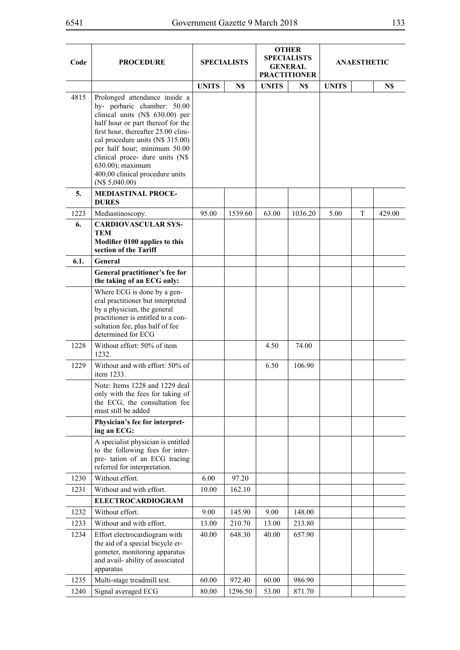| Code | <b>PROCEDURE</b>                                                                                                                                                                                                                                                                                                                                            |              | <b>SPECIALISTS</b> |              | <b>OTHER</b><br><b>SPECIALISTS</b><br><b>GENERAL</b><br><b>PRACTITIONER</b> | <b>ANAESTHETIC</b> |   |        |
|------|-------------------------------------------------------------------------------------------------------------------------------------------------------------------------------------------------------------------------------------------------------------------------------------------------------------------------------------------------------------|--------------|--------------------|--------------|-----------------------------------------------------------------------------|--------------------|---|--------|
|      |                                                                                                                                                                                                                                                                                                                                                             | <b>UNITS</b> | N\$                | <b>UNITS</b> | N\$                                                                         | <b>UNITS</b>       |   | N\$    |
| 4815 | Prolonged attendance inside a<br>hy- perbaric chamber: 50.00<br>clinical units (N\$ 630.00) per<br>half hour or part thereof for the<br>first hour, thereafter 25.00 clini-<br>cal procedure units (N\$ 315.00)<br>per half hour; minimum 50.00<br>clinical proce- dure units (N\$<br>630.00); maximum<br>400,00 clinical procedure units<br>(N\$ 5,040.00) |              |                    |              |                                                                             |                    |   |        |
| 5.   | <b>MEDIASTINAL PROCE-</b><br><b>DURES</b>                                                                                                                                                                                                                                                                                                                   |              |                    |              |                                                                             |                    |   |        |
| 1223 | Mediastinoscopy.                                                                                                                                                                                                                                                                                                                                            | 95.00        | 1539.60            | 63.00        | 1036.20                                                                     | 5.00               | T | 429.00 |
| 6.   | <b>CARDIOVASCULAR SYS-</b><br><b>TEM</b><br>Modifier 0100 applies to this<br>section of the Tariff                                                                                                                                                                                                                                                          |              |                    |              |                                                                             |                    |   |        |
| 6.1. | General                                                                                                                                                                                                                                                                                                                                                     |              |                    |              |                                                                             |                    |   |        |
|      | General practitioner's fee for<br>the taking of an ECG only:                                                                                                                                                                                                                                                                                                |              |                    |              |                                                                             |                    |   |        |
|      | Where ECG is done by a gen-<br>eral practitioner but interpreted<br>by a physician, the general<br>practitioner is entitled to a con-<br>sultation fee, plus half of fee<br>determined for ECG                                                                                                                                                              |              |                    |              |                                                                             |                    |   |        |
| 1228 | Without effort: 50% of item<br>1232.                                                                                                                                                                                                                                                                                                                        |              |                    | 4.50         | 74.00                                                                       |                    |   |        |
| 1229 | Without and with effort: 50% of<br>item 1233.                                                                                                                                                                                                                                                                                                               |              |                    | 6.50         | 106.90                                                                      |                    |   |        |
|      | Note: Items 1228 and 1229 deal<br>only with the fees for taking of<br>the ECG, the consultation fee<br>must still be added                                                                                                                                                                                                                                  |              |                    |              |                                                                             |                    |   |        |
|      | Physician's fee for interpret-<br>ing an ECG:                                                                                                                                                                                                                                                                                                               |              |                    |              |                                                                             |                    |   |        |
|      | A specialist physician is entitled<br>to the following fees for inter-<br>pre- tation of an ECG tracing<br>referred for interpretation.                                                                                                                                                                                                                     |              |                    |              |                                                                             |                    |   |        |
| 1230 | Without effort.                                                                                                                                                                                                                                                                                                                                             | 6.00         | 97.20              |              |                                                                             |                    |   |        |
| 1231 | Without and with effort.                                                                                                                                                                                                                                                                                                                                    | 10.00        | 162.10             |              |                                                                             |                    |   |        |
|      | <b>ELECTROCARDIOGRAM</b>                                                                                                                                                                                                                                                                                                                                    |              |                    |              |                                                                             |                    |   |        |
| 1232 | Without effort.                                                                                                                                                                                                                                                                                                                                             | 9.00         | 145.90             | 9.00         | 148.00                                                                      |                    |   |        |
| 1233 | Without and with effort.                                                                                                                                                                                                                                                                                                                                    | 13.00        | 210.70             | 13.00        | 213.80                                                                      |                    |   |        |
| 1234 | Effort electrocardiogram with<br>the aid of a special bicycle er-<br>gometer, monitoring apparatus<br>and avail- ability of associated<br>apparatus                                                                                                                                                                                                         | 40.00        | 648.30             | 40.00        | 657.90                                                                      |                    |   |        |
| 1235 | Multi-stage treadmill test.                                                                                                                                                                                                                                                                                                                                 | 60.00        | 972.40             | 60.00        | 986.90                                                                      |                    |   |        |
| 1240 | Signal averaged ECG                                                                                                                                                                                                                                                                                                                                         | 80.00        | 1296.50            | 53.00        | 871.70                                                                      |                    |   |        |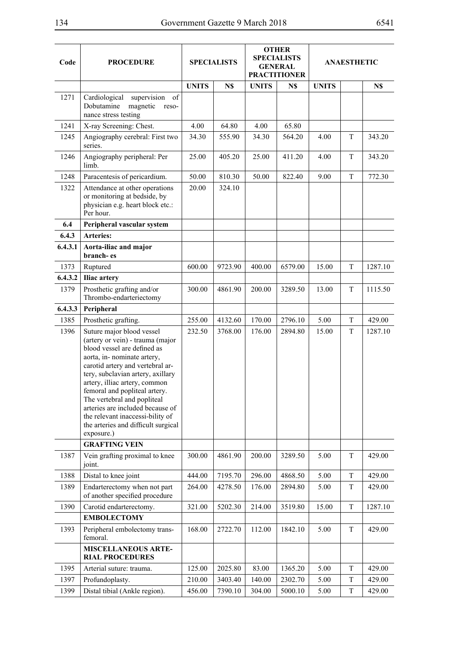| Code    | <b>PROCEDURE</b>                                                                                                                                                                                                                                                                                                                                                                                                                   |              | <b>SPECIALISTS</b> |              | <b>OTHER</b><br><b>SPECIALISTS</b><br><b>GENERAL</b><br><b>PRACTITIONER</b> | <b>ANAESTHETIC</b> |   |         |
|---------|------------------------------------------------------------------------------------------------------------------------------------------------------------------------------------------------------------------------------------------------------------------------------------------------------------------------------------------------------------------------------------------------------------------------------------|--------------|--------------------|--------------|-----------------------------------------------------------------------------|--------------------|---|---------|
|         |                                                                                                                                                                                                                                                                                                                                                                                                                                    | <b>UNITS</b> | N\$                | <b>UNITS</b> | N\$                                                                         | <b>UNITS</b>       |   | N\$     |
| 1271    | Cardiological<br>supervision of<br>Dobutamine<br>magnetic<br>reso-<br>nance stress testing                                                                                                                                                                                                                                                                                                                                         |              |                    |              |                                                                             |                    |   |         |
| 1241    | X-ray Screening: Chest.                                                                                                                                                                                                                                                                                                                                                                                                            | 4.00         | 64.80              | 4.00         | 65.80                                                                       |                    |   |         |
| 1245    | Angiography cerebral: First two<br>series.                                                                                                                                                                                                                                                                                                                                                                                         | 34.30        | 555.90             | 34.30        | 564.20                                                                      | 4.00               | T | 343.20  |
| 1246    | Angiography peripheral: Per<br>limb.                                                                                                                                                                                                                                                                                                                                                                                               | 25.00        | 405.20             | 25.00        | 411.20                                                                      | 4.00               | T | 343.20  |
| 1248    | Paracentesis of pericardium.                                                                                                                                                                                                                                                                                                                                                                                                       | 50.00        | 810.30             | 50.00        | 822.40                                                                      | 9.00               | T | 772.30  |
| 1322    | Attendance at other operations<br>or monitoring at bedside, by<br>physician e.g. heart block etc.:<br>Per hour.                                                                                                                                                                                                                                                                                                                    | 20.00        | 324.10             |              |                                                                             |                    |   |         |
| 6.4     | Peripheral vascular system                                                                                                                                                                                                                                                                                                                                                                                                         |              |                    |              |                                                                             |                    |   |         |
| 6.4.3   | <b>Arteries:</b>                                                                                                                                                                                                                                                                                                                                                                                                                   |              |                    |              |                                                                             |                    |   |         |
| 6.4.3.1 | Aorta-iliac and major<br>branch-es                                                                                                                                                                                                                                                                                                                                                                                                 |              |                    |              |                                                                             |                    |   |         |
| 1373    | Ruptured                                                                                                                                                                                                                                                                                                                                                                                                                           | 600.00       | 9723.90            | 400.00       | 6579.00                                                                     | 15.00              | T | 1287.10 |
| 6.4.3.2 | Iliac artery                                                                                                                                                                                                                                                                                                                                                                                                                       |              |                    |              |                                                                             |                    |   |         |
| 1379    | Prosthetic grafting and/or<br>Thrombo-endarteriectomy                                                                                                                                                                                                                                                                                                                                                                              | 300.00       | 4861.90            | 200.00       | 3289.50                                                                     | 13.00              | T | 1115.50 |
| 6.4.3.3 | Peripheral                                                                                                                                                                                                                                                                                                                                                                                                                         |              |                    |              |                                                                             |                    |   |         |
| 1385    | Prosthetic grafting.                                                                                                                                                                                                                                                                                                                                                                                                               | 255.00       | 4132.60            | 170.00       | 2796.10                                                                     | 5.00               | T | 429.00  |
| 1396    | Suture major blood vessel<br>(artery or vein) - trauma (major<br>blood vessel are defined as<br>aorta, in- nominate artery,<br>carotid artery and vertebral ar-<br>tery, subclavian artery, axillary<br>artery, illiac artery, common<br>femoral and popliteal artery.<br>The vertebral and popliteal<br>arteries are included because of<br>the relevant inaccessi-bility of<br>the arteries and difficult surgical<br>exposure.) | 232.50       | 3768.00            | 176.00       | 2894.80                                                                     | 15.00              | T | 1287.10 |
|         | <b>GRAFTING VEIN</b>                                                                                                                                                                                                                                                                                                                                                                                                               |              |                    |              |                                                                             |                    |   |         |
| 1387    | Vein grafting proximal to knee<br>joint.                                                                                                                                                                                                                                                                                                                                                                                           | 300.00       | 4861.90            | 200.00       | 3289.50                                                                     | 5.00               | T | 429.00  |
| 1388    | Distal to knee joint                                                                                                                                                                                                                                                                                                                                                                                                               | 444.00       | 7195.70            | 296.00       | 4868.50                                                                     | 5.00               | T | 429.00  |
| 1389    | Endarterectomy when not part<br>of another specified procedure                                                                                                                                                                                                                                                                                                                                                                     | 264.00       | 4278.50            | 176.00       | 2894.80                                                                     | 5.00               | T | 429.00  |
| 1390    | Carotid endarterectomy.                                                                                                                                                                                                                                                                                                                                                                                                            | 321.00       | 5202.30            | 214.00       | 3519.80                                                                     | 15.00              | T | 1287.10 |
|         | <b>EMBOLECTOMY</b>                                                                                                                                                                                                                                                                                                                                                                                                                 |              |                    |              |                                                                             |                    |   |         |
| 1393    | Peripheral embolectomy trans-<br>femoral.                                                                                                                                                                                                                                                                                                                                                                                          | 168.00       | 2722.70            | 112.00       | 1842.10                                                                     | 5.00               | T | 429.00  |
|         | <b>MISCELLANEOUS ARTE-</b><br><b>RIAL PROCEDURES</b>                                                                                                                                                                                                                                                                                                                                                                               |              |                    |              |                                                                             |                    |   |         |
| 1395    | Arterial suture: trauma.                                                                                                                                                                                                                                                                                                                                                                                                           | 125.00       | 2025.80            | 83.00        | 1365.20                                                                     | 5.00               | T | 429.00  |
| 1397    | Profundoplasty.                                                                                                                                                                                                                                                                                                                                                                                                                    | 210.00       | 3403.40            | 140.00       | 2302.70                                                                     | 5.00               | T | 429.00  |
| 1399    | Distal tibial (Ankle region).                                                                                                                                                                                                                                                                                                                                                                                                      | 456.00       | 7390.10            | 304.00       | 5000.10                                                                     | 5.00               | T | 429.00  |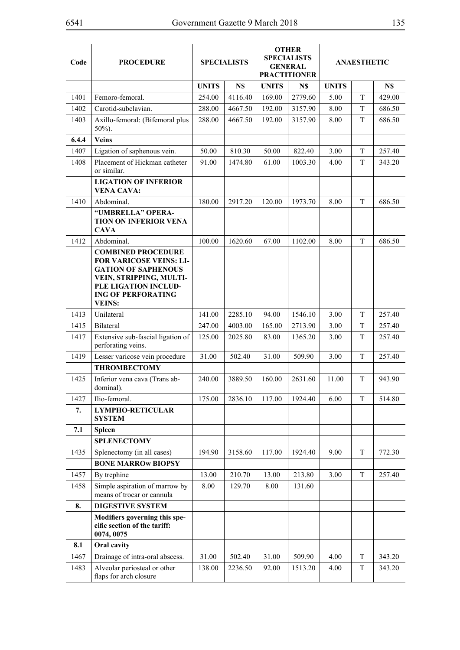| Code  | <b>PROCEDURE</b>                                                                                                                                                                           | <b>SPECIALISTS</b> |         |              | <b>OTHER</b><br><b>SPECIALISTS</b><br><b>GENERAL</b><br><b>PRACTITIONER</b> |              | <b>ANAESTHETIC</b> |        |
|-------|--------------------------------------------------------------------------------------------------------------------------------------------------------------------------------------------|--------------------|---------|--------------|-----------------------------------------------------------------------------|--------------|--------------------|--------|
|       |                                                                                                                                                                                            | <b>UNITS</b>       | N\$     | <b>UNITS</b> | N\$                                                                         | <b>UNITS</b> |                    | N\$    |
| 1401  | Femoro-femoral.                                                                                                                                                                            | 254.00             | 4116.40 | 169.00       | 2779.60                                                                     | 5.00         | T                  | 429.00 |
| 1402  | Carotid-subclavian.                                                                                                                                                                        | 288.00             | 4667.50 | 192.00       | 3157.90                                                                     | 8.00         | T                  | 686.50 |
| 1403  | Axillo-femoral: (Bifemoral plus<br>$50\%$ ).                                                                                                                                               | 288.00             | 4667.50 | 192.00       | 3157.90                                                                     | 8.00         | T                  | 686.50 |
| 6.4.4 | <b>Veins</b>                                                                                                                                                                               |                    |         |              |                                                                             |              |                    |        |
| 1407  | Ligation of saphenous vein.                                                                                                                                                                | 50.00              | 810.30  | 50.00        | 822.40                                                                      | 3.00         | T                  | 257.40 |
| 1408  | Placement of Hickman catheter<br>or similar.                                                                                                                                               | 91.00              | 1474.80 | 61.00        | 1003.30                                                                     | 4.00         | T                  | 343.20 |
|       | <b>LIGATION OF INFERIOR</b><br><b>VENA CAVA:</b>                                                                                                                                           |                    |         |              |                                                                             |              |                    |        |
| 1410  | Abdominal.                                                                                                                                                                                 | 180.00             | 2917.20 | 120.00       | 1973.70                                                                     | 8.00         | T                  | 686.50 |
|       | "UMBRELLA" OPERA-<br>TION ON INFERIOR VENA<br><b>CAVA</b>                                                                                                                                  |                    |         |              |                                                                             |              |                    |        |
| 1412  | Abdominal.                                                                                                                                                                                 | 100.00             | 1620.60 | 67.00        | 1102.00                                                                     | 8.00         | T                  | 686.50 |
|       | <b>COMBINED PROCEDURE</b><br><b>FOR VARICOSE VEINS: LI-</b><br><b>GATION OF SAPHENOUS</b><br>VEIN, STRIPPING, MULTI-<br>PLE LIGATION INCLUD-<br><b>ING OF PERFORATING</b><br><b>VEINS:</b> |                    |         |              |                                                                             |              |                    |        |
| 1413  | Unilateral                                                                                                                                                                                 | 141.00             | 2285.10 | 94.00        | 1546.10                                                                     | 3.00         | T                  | 257.40 |
| 1415  | Bilateral                                                                                                                                                                                  | 247.00             | 4003.00 | 165.00       | 2713.90                                                                     | 3.00         | T                  | 257.40 |
| 1417  | Extensive sub-fascial ligation of<br>perforating veins.                                                                                                                                    | 125.00             | 2025.80 | 83.00        | 1365.20                                                                     | 3.00         | T                  | 257.40 |
| 1419  | Lesser varicose vein procedure                                                                                                                                                             | 31.00              | 502.40  | 31.00        | 509.90                                                                      | 3.00         | T                  | 257.40 |
|       | <b>THROMBECTOMY</b>                                                                                                                                                                        |                    |         |              |                                                                             |              |                    |        |
| 1425  | Inferior vena cava (Trans ab-<br>dominal).                                                                                                                                                 | 240.00             | 3889.50 | 160.00       | 2631.60                                                                     | 11.00        | T                  | 943.90 |
| 1427  | Ilio-femoral.                                                                                                                                                                              | 175.00             | 2836.10 | 117.00       | 1924.40                                                                     | 6.00         | $\mathbf T$        | 514.80 |
| 7.    | <b>LYMPHO-RETICULAR</b><br><b>SYSTEM</b>                                                                                                                                                   |                    |         |              |                                                                             |              |                    |        |
| 7.1   | <b>Spleen</b>                                                                                                                                                                              |                    |         |              |                                                                             |              |                    |        |
|       | <b>SPLENECTOMY</b>                                                                                                                                                                         |                    |         |              |                                                                             |              |                    |        |
| 1435  | Splenectomy (in all cases)                                                                                                                                                                 | 194.90             | 3158.60 | 117.00       | 1924.40                                                                     | 9.00         | T                  | 772.30 |
|       | <b>BONE MARROW BIOPSY</b>                                                                                                                                                                  |                    |         |              |                                                                             |              |                    |        |
| 1457  | By trephine                                                                                                                                                                                | 13.00              | 210.70  | 13.00        | 213.80                                                                      | 3.00         | T                  | 257.40 |
| 1458  | Simple aspiration of marrow by<br>means of trocar or cannula                                                                                                                               | 8.00               | 129.70  | 8.00         | 131.60                                                                      |              |                    |        |
| 8.    | <b>DIGESTIVE SYSTEM</b>                                                                                                                                                                    |                    |         |              |                                                                             |              |                    |        |
|       | Modifiers governing this spe-<br>cific section of the tariff:<br>0074, 0075                                                                                                                |                    |         |              |                                                                             |              |                    |        |
| 8.1   | Oral cavity                                                                                                                                                                                |                    |         |              |                                                                             |              |                    |        |
| 1467  | Drainage of intra-oral abscess.                                                                                                                                                            | 31.00              | 502.40  | 31.00        | 509.90                                                                      | 4.00         | T                  | 343.20 |
| 1483  | Alveolar periosteal or other<br>flaps for arch closure                                                                                                                                     | 138.00             | 2236.50 | 92.00        | 1513.20                                                                     | 4.00         | T                  | 343.20 |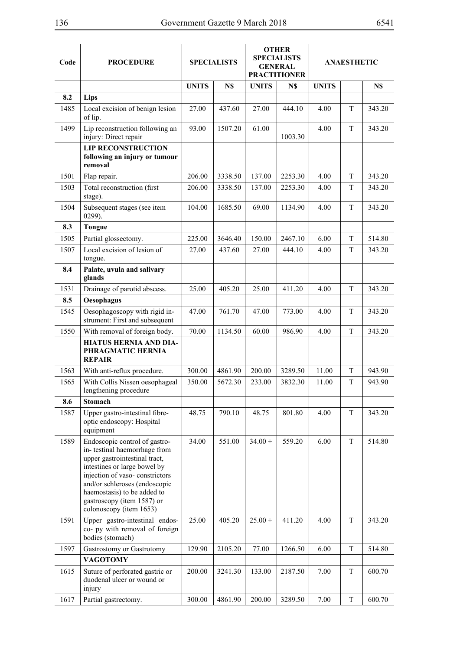| Code | <b>PROCEDURE</b>                                                                                                                                                                                                                                                                          |              | <b>SPECIALISTS</b> |              | <b>OTHER</b><br><b>SPECIALISTS</b><br><b>GENERAL</b><br><b>PRACTITIONER</b> |              | <b>ANAESTHETIC</b> |        |
|------|-------------------------------------------------------------------------------------------------------------------------------------------------------------------------------------------------------------------------------------------------------------------------------------------|--------------|--------------------|--------------|-----------------------------------------------------------------------------|--------------|--------------------|--------|
|      |                                                                                                                                                                                                                                                                                           | <b>UNITS</b> | N\$                | <b>UNITS</b> | N\$                                                                         | <b>UNITS</b> |                    | N\$    |
| 8.2  | Lips                                                                                                                                                                                                                                                                                      |              |                    |              |                                                                             |              |                    |        |
| 1485 | Local excision of benign lesion<br>of lip.                                                                                                                                                                                                                                                | 27.00        | 437.60             | 27.00        | 444.10                                                                      | 4.00         | T                  | 343.20 |
| 1499 | Lip reconstruction following an<br>injury: Direct repair                                                                                                                                                                                                                                  | 93.00        | 1507.20            | 61.00        | 1003.30                                                                     | 4.00         | T                  | 343.20 |
|      | <b>LIP RECONSTRUCTION</b><br>following an injury or tumour<br>removal                                                                                                                                                                                                                     |              |                    |              |                                                                             |              |                    |        |
| 1501 | Flap repair.                                                                                                                                                                                                                                                                              | 206.00       | 3338.50            | 137.00       | 2253.30                                                                     | 4.00         | T                  | 343.20 |
| 1503 | Total reconstruction (first<br>stage).                                                                                                                                                                                                                                                    | 206.00       | 3338.50            | 137.00       | 2253.30                                                                     | 4.00         | T                  | 343.20 |
| 1504 | Subsequent stages (see item<br>0299).                                                                                                                                                                                                                                                     | 104.00       | 1685.50            | 69.00        | 1134.90                                                                     | 4.00         | T                  | 343.20 |
| 8.3  | <b>Tongue</b>                                                                                                                                                                                                                                                                             |              |                    |              |                                                                             |              |                    |        |
| 1505 | Partial glossectomy.                                                                                                                                                                                                                                                                      | 225.00       | 3646.40            | 150.00       | 2467.10                                                                     | 6.00         | T                  | 514.80 |
| 1507 | Local excision of lesion of<br>tongue.                                                                                                                                                                                                                                                    | 27.00        | 437.60             | 27.00        | 444.10                                                                      | 4.00         | T                  | 343.20 |
| 8.4  | Palate, uvula and salivary<br>glands                                                                                                                                                                                                                                                      |              |                    |              |                                                                             |              |                    |        |
| 1531 | Drainage of parotid abscess.                                                                                                                                                                                                                                                              | 25.00        | 405.20             | 25.00        | 411.20                                                                      | 4.00         | T                  | 343.20 |
| 8.5  | Oesophagus                                                                                                                                                                                                                                                                                |              |                    |              |                                                                             |              |                    |        |
| 1545 | Oesophagoscopy with rigid in-<br>strument: First and subsequent                                                                                                                                                                                                                           | 47.00        | 761.70             | 47.00        | 773.00                                                                      | 4.00         | T                  | 343.20 |
| 1550 | With removal of foreign body.                                                                                                                                                                                                                                                             | 70.00        | 1134.50            | 60.00        | 986.90                                                                      | 4.00         | T                  | 343.20 |
|      | <b>HIATUS HERNIA AND DIA-</b><br>PHRAGMATIC HERNIA<br><b>REPAIR</b>                                                                                                                                                                                                                       |              |                    |              |                                                                             |              |                    |        |
| 1563 | With anti-reflux procedure.                                                                                                                                                                                                                                                               | 300.00       | 4861.90            | 200.00       | 3289.50                                                                     | 11.00        | T                  | 943.90 |
| 1565 | With Collis Nissen oesophageal<br>lengthening procedure                                                                                                                                                                                                                                   | 350.00       | 5672.30            | 233.00       | 3832.30                                                                     | 11.00        | T                  | 943.90 |
| 8.6  | <b>Stomach</b>                                                                                                                                                                                                                                                                            |              |                    |              |                                                                             |              |                    |        |
| 1587 | Upper gastro-intestinal fibre-<br>optic endoscopy: Hospital<br>equipment                                                                                                                                                                                                                  | 48.75        | 790.10             | 48.75        | 801.80                                                                      | 4.00         | T                  | 343.20 |
| 1589 | Endoscopic control of gastro-<br>in-testinal haemorrhage from<br>upper gastrointestinal tract,<br>intestines or large bowel by<br>injection of vaso-constrictors<br>and/or schleroses (endoscopic<br>haemostasis) to be added to<br>gastroscopy (item 1587) or<br>colonoscopy (item 1653) | 34.00        | 551.00             | $34.00 +$    | 559.20                                                                      | 6.00         | T                  | 514.80 |
| 1591 | Upper gastro-intestinal endos-<br>co- py with removal of foreign<br>bodies (stomach)                                                                                                                                                                                                      | 25.00        | 405.20             | $25.00 +$    | 411.20                                                                      | 4.00         | $\mathbf T$        | 343.20 |
| 1597 | Gastrostomy or Gastrotomy                                                                                                                                                                                                                                                                 | 129.90       | 2105.20            | 77.00        | 1266.50                                                                     | 6.00         | $\mathbf T$        | 514.80 |
|      | <b>VAGOTOMY</b>                                                                                                                                                                                                                                                                           |              |                    |              |                                                                             |              |                    |        |
| 1615 | Suture of perforated gastric or<br>duodenal ulcer or wound or<br>injury                                                                                                                                                                                                                   | 200.00       | 3241.30            | 133.00       | 2187.50                                                                     | 7.00         | T                  | 600.70 |
| 1617 | Partial gastrectomy.                                                                                                                                                                                                                                                                      | 300.00       | 4861.90            | 200.00       | 3289.50                                                                     | 7.00         | $\mathbf T$        | 600.70 |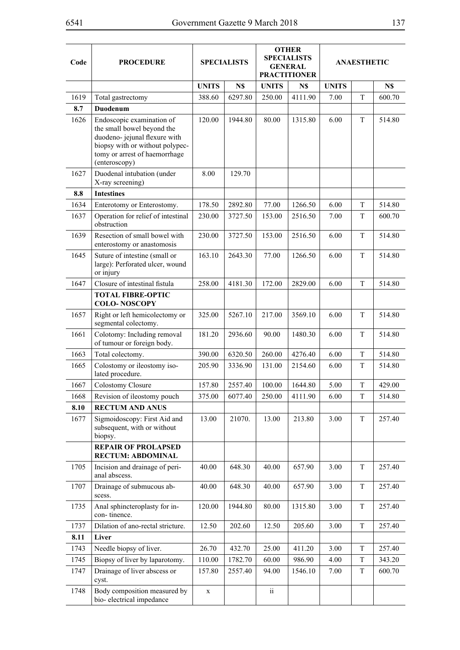| Code         | <b>PROCEDURE</b>                                                                                                                                                              | <b>SPECIALISTS</b> |         | <b>OTHER</b><br><b>SPECIALISTS</b><br><b>GENERAL</b><br><b>PRACTITIONER</b> |         |              | <b>ANAESTHETIC</b> |        |
|--------------|-------------------------------------------------------------------------------------------------------------------------------------------------------------------------------|--------------------|---------|-----------------------------------------------------------------------------|---------|--------------|--------------------|--------|
|              |                                                                                                                                                                               | <b>UNITS</b>       | N\$     | <b>UNITS</b>                                                                | N\$     | <b>UNITS</b> |                    | N\$    |
| 1619         | Total gastrectomy                                                                                                                                                             | 388.60             | 6297.80 | 250.00                                                                      | 4111.90 | 7.00         | T                  | 600.70 |
| 8.7          | Duodenum                                                                                                                                                                      |                    |         |                                                                             |         |              |                    |        |
| 1626         | Endoscopic examination of<br>the small bowel beyond the<br>duodeno- jejunal flexure with<br>biopsy with or without polypec-<br>tomy or arrest of haemorrhage<br>(enteroscopy) | 120.00             | 1944.80 | 80.00                                                                       | 1315.80 | 6.00         | T                  | 514.80 |
| 1627         | Duodenal intubation (under<br>X-ray screening)                                                                                                                                | 8.00               | 129.70  |                                                                             |         |              |                    |        |
| 8.8          | <b>Intestines</b>                                                                                                                                                             |                    |         |                                                                             |         |              |                    |        |
| 1634         | Enterotomy or Enterostomy.                                                                                                                                                    | 178.50             | 2892.80 | 77.00                                                                       | 1266.50 | 6.00         | T                  | 514.80 |
| 1637         | Operation for relief of intestinal<br>obstruction                                                                                                                             | 230.00             | 3727.50 | 153.00                                                                      | 2516.50 | 7.00         | T                  | 600.70 |
| 1639         | Resection of small bowel with<br>enterostomy or anastomosis                                                                                                                   | 230.00             | 3727.50 | 153.00                                                                      | 2516.50 | 6.00         | T                  | 514.80 |
| 1645         | Suture of intestine (small or<br>large): Perforated ulcer, wound<br>or injury                                                                                                 | 163.10             | 2643.30 | 77.00                                                                       | 1266.50 | 6.00         | T                  | 514.80 |
| 1647         | Closure of intestinal fistula                                                                                                                                                 | 258.00             | 4181.30 | 172.00                                                                      | 2829.00 | 6.00         | $\mathbf T$        | 514.80 |
|              | <b>TOTAL FIBRE-OPTIC</b><br><b>COLO-NOSCOPY</b>                                                                                                                               |                    |         |                                                                             |         |              |                    |        |
| 1657         | Right or left hemicolectomy or<br>segmental colectomy.                                                                                                                        | 325.00             | 5267.10 | 217.00                                                                      | 3569.10 | 6.00         | T                  | 514.80 |
| 1661         | Colotomy: Including removal<br>of tumour or foreign body.                                                                                                                     | 181.20             | 2936.60 | 90.00                                                                       | 1480.30 | 6.00         | T                  | 514.80 |
| 1663         | Total colectomy.                                                                                                                                                              | 390.00             | 6320.50 | 260.00                                                                      | 4276.40 | 6.00         | T                  | 514.80 |
| 1665         | Colostomy or ileostomy iso-<br>lated procedure.                                                                                                                               | 205.90             | 3336.90 | 131.00                                                                      | 2154.60 | 6.00         | T                  | 514.80 |
| 1667         | Colostomy Closure                                                                                                                                                             | 157.80             | 2557.40 | 100.00                                                                      | 1644.80 | 5.00         | T                  | 429.00 |
| 1668         | Revision of ileostomy pouch                                                                                                                                                   | 375.00             | 6077.40 | 250.00                                                                      | 4111.90 | 6.00         | $\mathbf T$        | 514.80 |
| 8.10<br>1677 | <b>RECTUM AND ANUS</b><br>Sigmoidoscopy: First Aid and<br>subsequent, with or without<br>biopsy.                                                                              | 13.00              | 21070.  | 13.00                                                                       | 213.80  | 3.00         | T                  | 257.40 |
|              | <b>REPAIR OF PROLAPSED</b><br><b>RECTUM: ABDOMINAL</b>                                                                                                                        |                    |         |                                                                             |         |              |                    |        |
| 1705         | Incision and drainage of peri-<br>anal abscess.                                                                                                                               | 40.00              | 648.30  | 40.00                                                                       | 657.90  | 3.00         | T                  | 257.40 |
| 1707         | Drainage of submucous ab-<br>scess.                                                                                                                                           | 40.00              | 648.30  | 40.00                                                                       | 657.90  | 3.00         | T                  | 257.40 |
| 1735         | Anal sphincteroplasty for in-<br>con-tinence.                                                                                                                                 | 120.00             | 1944.80 | 80.00                                                                       | 1315.80 | 3.00         | T                  | 257.40 |
| 1737         | Dilation of ano-rectal stricture.                                                                                                                                             | 12.50              | 202.60  | 12.50                                                                       | 205.60  | 3.00         | T                  | 257.40 |
| 8.11         | Liver                                                                                                                                                                         |                    |         |                                                                             |         |              |                    |        |
| 1743         | Needle biopsy of liver.                                                                                                                                                       | 26.70              | 432.70  | 25.00                                                                       | 411.20  | 3.00         | T                  | 257.40 |
| 1745         | Biopsy of liver by laparotomy.                                                                                                                                                | 110.00             | 1782.70 | 60.00                                                                       | 986.90  | 4.00         | T                  | 343.20 |
| 1747         | Drainage of liver abscess or<br>cyst.                                                                                                                                         | 157.80             | 2557.40 | 94.00                                                                       | 1546.10 | 7.00         | T                  | 600.70 |
| 1748         | Body composition measured by<br>bio-electrical impedance                                                                                                                      | X                  |         | $\ddot{\mathbf{i}}$                                                         |         |              |                    |        |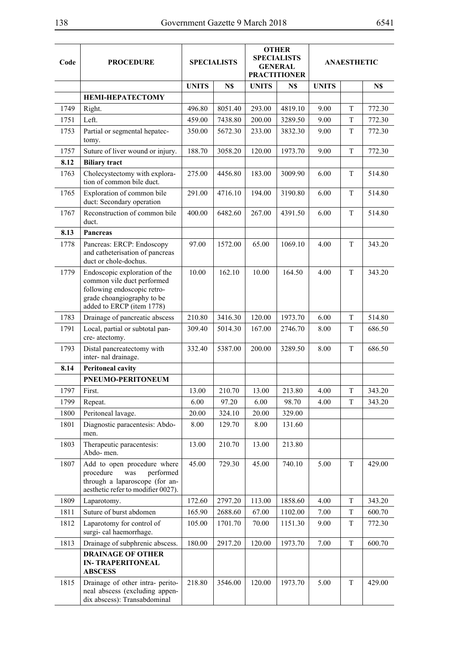| 38   |                                                                                            |              | Government Gazette 9 March 2018 |              |                                                                             |              |                    | 6541   |  |
|------|--------------------------------------------------------------------------------------------|--------------|---------------------------------|--------------|-----------------------------------------------------------------------------|--------------|--------------------|--------|--|
| Code | <b>PROCEDURE</b>                                                                           |              | <b>SPECIALISTS</b>              |              | <b>OTHER</b><br><b>SPECIALISTS</b><br><b>GENERAL</b><br><b>PRACTITIONER</b> |              | <b>ANAESTHETIC</b> |        |  |
|      |                                                                                            | <b>UNITS</b> | N\$                             | <b>UNITS</b> | N\$                                                                         | <b>UNITS</b> |                    | N\$    |  |
|      | <b>HEMI-HEPATECTOMY</b>                                                                    |              |                                 |              |                                                                             |              |                    |        |  |
| 1749 | Right.                                                                                     | 496.80       | 8051.40                         | 293.00       | 4819.10                                                                     | 9.00         | T                  | 772.30 |  |
| 1751 | Left.                                                                                      | 459.00       | 7438.80                         | 200.00       | 3289.50                                                                     | 9.00         | T                  | 772.30 |  |
| 1753 | Partial or segmental hepatec-<br>tomy.                                                     | 350.00       | 5672.30                         | 233.00       | 3832.30                                                                     | 9.00         | T                  | 772.30 |  |
| 1757 | Suture of liver wound or injury.                                                           | 188.70       | 3058.20                         | 120.00       | 1973.70                                                                     | 9.00         | T                  | 772.30 |  |
| 8.12 | <b>Biliary tract</b>                                                                       |              |                                 |              |                                                                             |              |                    |        |  |
| 1763 | Cholecystectomy with explora-<br>tion of common bile duct.                                 | 275.00       | 4456.80                         | 183.00       | 3009.90                                                                     | 6.00         | T                  | 514.80 |  |
| 1765 | Exploration of common bile<br>duct: Secondary operation                                    | 291.00       | 4716.10                         | 194.00       | 3190.80                                                                     | 6.00         | T                  | 514.80 |  |
| 1767 | Reconstruction of common bile<br>duct.                                                     | 400.00       | 6482.60                         | 267.00       | 4391.50                                                                     | 6.00         | T                  | 514.80 |  |
| 8.13 | <b>Pancreas</b>                                                                            |              |                                 |              |                                                                             |              |                    |        |  |
| 1778 | Pancreas: ERCP: Endoscopy<br>and catheterisation of pancreas<br>duct or chole-dochus.      | 97.00        | 1572.00                         | 65.00        | 1069.10                                                                     | 4.00         | T                  | 343.20 |  |
| 1779 | Endoscopic exploration of the<br>common vile duct performed<br>following endoscopic retro- | 10.00        | 162.10                          | 10.00        | 164.50                                                                      | 4.00         | T                  | 343.20 |  |

|      |                                                                                                                                                       | <b>UNITS</b> | N\$     | <b>UNITS</b> | N\$     | <b>UNITS</b> |             | N\$    |
|------|-------------------------------------------------------------------------------------------------------------------------------------------------------|--------------|---------|--------------|---------|--------------|-------------|--------|
|      | <b>HEMI-HEPATECTOMY</b>                                                                                                                               |              |         |              |         |              |             |        |
| 1749 | Right.                                                                                                                                                | 496.80       | 8051.40 | 293.00       | 4819.10 | 9.00         | T           | 772.30 |
| 1751 | Left.                                                                                                                                                 | 459.00       | 7438.80 | 200.00       | 3289.50 | 9.00         | T           | 772.30 |
| 1753 | Partial or segmental hepatec-<br>tomy.                                                                                                                | 350.00       | 5672.30 | 233.00       | 3832.30 | 9.00         | T           | 772.30 |
| 1757 | Suture of liver wound or injury.                                                                                                                      | 188.70       | 3058.20 | 120.00       | 1973.70 | 9.00         | T           | 772.30 |
| 8.12 | <b>Biliary</b> tract                                                                                                                                  |              |         |              |         |              |             |        |
| 1763 | Cholecystectomy with explora-<br>tion of common bile duct.                                                                                            | 275.00       | 4456.80 | 183.00       | 3009.90 | 6.00         | T           | 514.80 |
| 1765 | Exploration of common bile<br>duct: Secondary operation                                                                                               | 291.00       | 4716.10 | 194.00       | 3190.80 | 6.00         | T           | 514.80 |
| 1767 | Reconstruction of common bile<br>duct.                                                                                                                | 400.00       | 6482.60 | 267.00       | 4391.50 | 6.00         | T           | 514.80 |
| 8.13 | <b>Pancreas</b>                                                                                                                                       |              |         |              |         |              |             |        |
| 1778 | Pancreas: ERCP: Endoscopy<br>and catheterisation of pancreas<br>duct or chole-dochus.                                                                 | 97.00        | 1572.00 | 65.00        | 1069.10 | 4.00         | T           | 343.20 |
| 1779 | Endoscopic exploration of the<br>common vile duct performed<br>following endoscopic retro-<br>grade choangiography to be<br>added to ERCP (item 1778) | 10.00        | 162.10  | 10.00        | 164.50  | 4.00         | T           | 343.20 |
| 1783 | Drainage of pancreatic abscess                                                                                                                        | 210.80       | 3416.30 | 120.00       | 1973.70 | 6.00         | T           | 514.80 |
| 1791 | Local, partial or subtotal pan-<br>cre-atectomy.                                                                                                      | 309.40       | 5014.30 | 167.00       | 2746.70 | 8.00         | T           | 686.50 |
| 1793 | Distal pancreatectomy with<br>inter- nal drainage.                                                                                                    | 332.40       | 5387.00 | 200.00       | 3289.50 | 8.00         | T           | 686.50 |
| 8.14 | <b>Peritoneal cavity</b>                                                                                                                              |              |         |              |         |              |             |        |
|      | PNEUMO-PERITONEUM                                                                                                                                     |              |         |              |         |              |             |        |
| 1797 | First.                                                                                                                                                | 13.00        | 210.70  | 13.00        | 213.80  | 4.00         | T           | 343.20 |
| 1799 | Repeat.                                                                                                                                               | 6.00         | 97.20   | 6.00         | 98.70   | 4.00         | T           | 343.20 |
| 1800 | Peritoneal lavage.                                                                                                                                    | 20.00        | 324.10  | 20.00        | 329.00  |              |             |        |
| 1801 | Diagnostic paracentesis: Abdo-<br>men.                                                                                                                | 8.00         | 129.70  | 8.00         | 131.60  |              |             |        |
| 1803 | Therapeutic paracentesis:<br>Abdo-men.                                                                                                                | 13.00        | 210.70  | 13.00        | 213.80  |              |             |        |
| 1807 | Add to open procedure where<br>procedure<br>was<br>performed<br>through a laparoscope (for an-<br>aesthetic refer to modifier 0027).                  | 45.00        | 729.30  | 45.00        | 740.10  | 5.00         | T           | 429.00 |
| 1809 | Laparotomy.                                                                                                                                           | 172.60       | 2797.20 | 113.00       | 1858.60 | 4.00         | T           | 343.20 |
| 1811 | Suture of burst abdomen                                                                                                                               | 165.90       | 2688.60 | 67.00        | 1102.00 | 7.00         | $\mathbf T$ | 600.70 |
| 1812 | Laparotomy for control of<br>surgi- cal haemorrhage.                                                                                                  | 105.00       | 1701.70 | 70.00        | 1151.30 | 9.00         | T           | 772.30 |
| 1813 | Drainage of subphrenic abscess.                                                                                                                       | 180.00       | 2917.20 | 120.00       | 1973.70 | 7.00         | T           | 600.70 |
|      | <b>DRAINAGE OF OTHER</b><br><b>IN-TRAPERITONEAL</b><br><b>ABSCESS</b>                                                                                 |              |         |              |         |              |             |        |
| 1815 | Drainage of other intra- perito-<br>neal abscess (excluding appen-<br>dix abscess): Transabdominal                                                    | 218.80       | 3546.00 | 120.00       | 1973.70 | 5.00         | T           | 429.00 |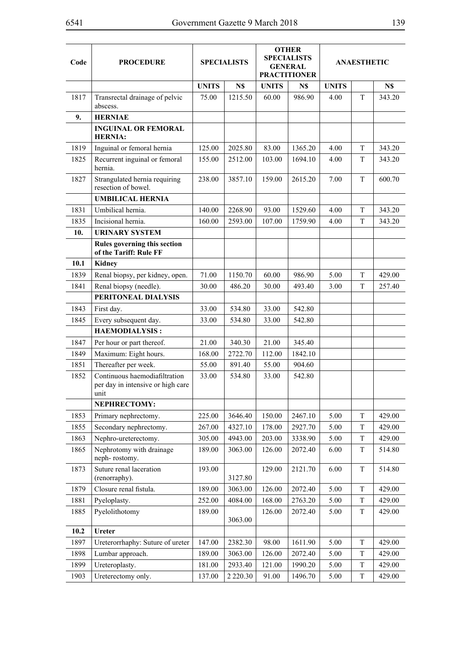| Code | <b>PROCEDURE</b>                                                           | <b>SPECIALISTS</b> |               | <b>OTHER</b><br><b>SPECIALISTS</b><br><b>GENERAL</b><br><b>PRACTITIONER</b> |         | <b>ANAESTHETIC</b> |             |        |
|------|----------------------------------------------------------------------------|--------------------|---------------|-----------------------------------------------------------------------------|---------|--------------------|-------------|--------|
|      |                                                                            | <b>UNITS</b>       | N\$           | <b>UNITS</b>                                                                | N\$     | <b>UNITS</b>       |             | N\$    |
| 1817 | Transrectal drainage of pelvic<br>abscess.                                 | 75.00              | 1215.50       | 60.00                                                                       | 986.90  | 4.00               | T           | 343.20 |
| 9.   | <b>HERNIAE</b>                                                             |                    |               |                                                                             |         |                    |             |        |
|      | <b>INGUINAL OR FEMORAL</b><br><b>HERNIA:</b>                               |                    |               |                                                                             |         |                    |             |        |
| 1819 | Inguinal or femoral hernia                                                 | 125.00             | 2025.80       | 83.00                                                                       | 1365.20 | 4.00               | T           | 343.20 |
| 1825 | Recurrent inguinal or femoral<br>hernia.                                   | 155.00             | 2512.00       | 103.00                                                                      | 1694.10 | 4.00               | T           | 343.20 |
| 1827 | Strangulated hernia requiring<br>resection of bowel.                       | 238.00             | 3857.10       | 159.00                                                                      | 2615.20 | 7.00               | T           | 600.70 |
|      | <b>UMBILICAL HERNIA</b>                                                    |                    |               |                                                                             |         |                    |             |        |
| 1831 | Umbilical hernia.                                                          | 140.00             | 2268.90       | 93.00                                                                       | 1529.60 | 4.00               | T           | 343.20 |
| 1835 | Incisional hernia.                                                         | 160.00             | 2593.00       | 107.00                                                                      | 1759.90 | 4.00               | T           | 343.20 |
| 10.  | <b>URINARY SYSTEM</b>                                                      |                    |               |                                                                             |         |                    |             |        |
|      | Rules governing this section<br>of the Tariff: Rule FF                     |                    |               |                                                                             |         |                    |             |        |
| 10.1 | <b>Kidney</b>                                                              |                    |               |                                                                             |         |                    |             |        |
| 1839 | Renal biopsy, per kidney, open.                                            | 71.00              | 1150.70       | 60.00                                                                       | 986.90  | 5.00               | T           | 429.00 |
| 1841 | Renal biopsy (needle).                                                     | 30.00              | 486.20        | 30.00                                                                       | 493.40  | 3.00               | T           | 257.40 |
|      | PERITONEAL DIALYSIS                                                        |                    |               |                                                                             |         |                    |             |        |
| 1843 | First day.                                                                 | 33.00              | 534.80        | 33.00                                                                       | 542.80  |                    |             |        |
| 1845 | Every subsequent day.                                                      | 33.00              | 534.80        | 33.00                                                                       | 542.80  |                    |             |        |
|      | <b>HAEMODIALYSIS:</b>                                                      |                    |               |                                                                             |         |                    |             |        |
| 1847 | Per hour or part thereof.                                                  | 21.00              | 340.30        | 21.00                                                                       | 345.40  |                    |             |        |
| 1849 | Maximum: Eight hours.                                                      | 168.00             | 2722.70       | 112.00                                                                      | 1842.10 |                    |             |        |
| 1851 | Thereafter per week.                                                       | 55.00              | 891.40        | 55.00                                                                       | 904.60  |                    |             |        |
| 1852 | Continuous haemodiafiltration<br>per day in intensive or high care<br>unit | 33.00              | 534.80        | 33.00                                                                       | 542.80  |                    |             |        |
|      | NEPHRECTOMY:                                                               |                    |               |                                                                             |         |                    |             |        |
| 1853 | Primary nephrectomy.                                                       | 225.00             | 3646.40       | 150.00                                                                      | 2467.10 | 5.00               | T           | 429.00 |
| 1855 | Secondary nephrectomy.                                                     | 267.00             | 4327.10       | 178.00                                                                      | 2927.70 | 5.00               | $\mathbf T$ | 429.00 |
| 1863 | Nephro-ureterectomy.                                                       | 305.00             | 4943.00       | 203.00                                                                      | 3338.90 | 5.00               | T           | 429.00 |
| 1865 | Nephrotomy with drainage<br>neph-rostomy.                                  | 189.00             | 3063.00       | 126.00                                                                      | 2072.40 | 6.00               | T           | 514.80 |
| 1873 | Suture renal laceration<br>(renorraphy).                                   | 193.00             | 3127.80       | 129.00                                                                      | 2121.70 | 6.00               | $\mathbf T$ | 514.80 |
| 1879 | Closure renal fistula.                                                     | 189.00             | 3063.00       | 126.00                                                                      | 2072.40 | 5.00               | T           | 429.00 |
| 1881 | Pyeloplasty.                                                               | 252.00             | 4084.00       | 168.00                                                                      | 2763.20 | 5.00               | $\rm T$     | 429.00 |
| 1885 | Pyelolithotomy                                                             | 189.00             | 3063.00       | 126.00                                                                      | 2072.40 | 5.00               | T           | 429.00 |
| 10.2 | Ureter                                                                     |                    |               |                                                                             |         |                    |             |        |
| 1897 | Ureterorrhaphy: Suture of ureter                                           | 147.00             | 2382.30       | 98.00                                                                       | 1611.90 | 5.00               | $\mathbf T$ | 429.00 |
| 1898 | Lumbar approach.                                                           | 189.00             | 3063.00       | 126.00                                                                      | 2072.40 | 5.00               | T           | 429.00 |
| 1899 | Ureteroplasty.                                                             | 181.00             | 2933.40       | 121.00                                                                      | 1990.20 | 5.00               | $\rm T$     | 429.00 |
| 1903 | Ureterectomy only.                                                         | 137.00             | 2 2 2 0 . 3 0 | 91.00                                                                       | 1496.70 | 5.00               | T           | 429.00 |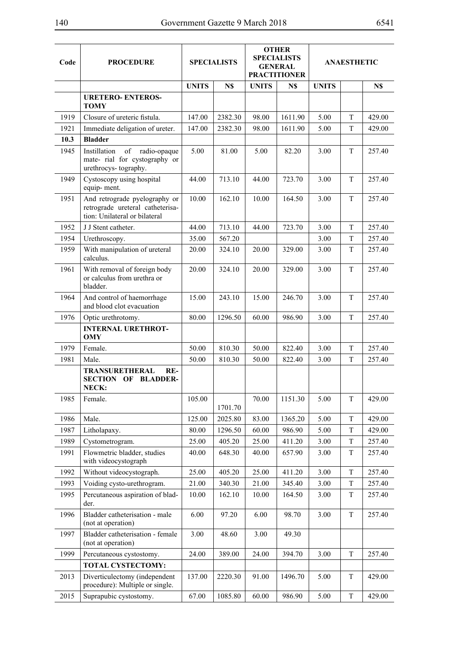| Code | <b>PROCEDURE</b>                                                                                   | <b>SPECIALISTS</b> |         | <b>OTHER</b><br><b>SPECIALISTS</b><br><b>GENERAL</b><br><b>PRACTITIONER</b> |         | <b>ANAESTHETIC</b> |             |        |
|------|----------------------------------------------------------------------------------------------------|--------------------|---------|-----------------------------------------------------------------------------|---------|--------------------|-------------|--------|
|      |                                                                                                    | <b>UNITS</b>       | N\$     | <b>UNITS</b>                                                                | N\$     | <b>UNITS</b>       |             | N\$    |
|      | <b>URETERO- ENTEROS-</b><br><b>TOMY</b>                                                            |                    |         |                                                                             |         |                    |             |        |
| 1919 | Closure of ureteric fistula.                                                                       | 147.00             | 2382.30 | 98.00                                                                       | 1611.90 | 5.00               | T           | 429.00 |
| 1921 | Immediate deligation of ureter.                                                                    | 147.00             | 2382.30 | 98.00                                                                       | 1611.90 | 5.00               | T           | 429.00 |
| 10.3 | <b>Bladder</b>                                                                                     |                    |         |                                                                             |         |                    |             |        |
| 1945 | Instillation<br>of<br>radio-opaque<br>mate- rial for cystography or<br>urethrocys-tography.        | 5.00               | 81.00   | 5.00                                                                        | 82.20   | 3.00               | T           | 257.40 |
| 1949 | Cystoscopy using hospital<br>equip-ment.                                                           | 44.00              | 713.10  | 44.00                                                                       | 723.70  | 3.00               | T           | 257.40 |
| 1951 | And retrograde pyelography or<br>retrograde ureteral catheterisa-<br>tion: Unilateral or bilateral | 10.00              | 162.10  | 10.00                                                                       | 164.50  | 3.00               | T           | 257.40 |
| 1952 | J.J. Stent catheter.                                                                               | 44.00              | 713.10  | 44.00                                                                       | 723.70  | 3.00               | T           | 257.40 |
| 1954 | Urethroscopy.                                                                                      | 35.00              | 567.20  |                                                                             |         | 3.00               | T           | 257.40 |
| 1959 | With manipulation of ureteral<br>calculus.                                                         | 20.00              | 324.10  | 20.00                                                                       | 329.00  | 3.00               | T           | 257.40 |
| 1961 | With removal of foreign body<br>or calculus from urethra or<br>bladder.                            | 20.00              | 324.10  | 20.00                                                                       | 329.00  | 3.00               | T           | 257.40 |
| 1964 | And control of haemorrhage<br>and blood clot evacuation                                            | 15.00              | 243.10  | 15.00                                                                       | 246.70  | 3.00               | T           | 257.40 |
| 1976 | Optic urethrotomy.                                                                                 | 80.00              | 1296.50 | 60.00                                                                       | 986.90  | 3.00               | T           | 257.40 |
|      | <b>INTERNAL URETHROT-</b><br><b>OMY</b>                                                            |                    |         |                                                                             |         |                    |             |        |
| 1979 | Female.                                                                                            | 50.00              | 810.30  | 50.00                                                                       | 822.40  | 3.00               | T           | 257.40 |
| 1981 | Male.                                                                                              | 50.00              | 810.30  | 50.00                                                                       | 822.40  | 3.00               | T           | 257.40 |
|      | <b>TRANSURETHERAL</b><br>$RE-$<br><b>SECTION</b><br><b>BLADDER-</b><br>OF<br>NECK:                 |                    |         |                                                                             |         |                    |             |        |
| 1985 | Female.                                                                                            | 105.00             | 1701.70 | 70.00                                                                       | 1151.30 | 5.00               | T           | 429.00 |
| 1986 | Male.                                                                                              | 125.00             | 2025.80 | 83.00                                                                       | 1365.20 | 5.00               | T           | 429.00 |
| 1987 | Litholapaxy.                                                                                       | 80.00              | 1296.50 | 60.00                                                                       | 986.90  | 5.00               | $\mathbf T$ | 429.00 |
| 1989 | Cystometrogram.                                                                                    | 25.00              | 405.20  | 25.00                                                                       | 411.20  | 3.00               | $\mathbf T$ | 257.40 |
| 1991 | Flowmetric bladder, studies<br>with videocystograph                                                | 40.00              | 648.30  | 40.00                                                                       | 657.90  | 3.00               | $\mathbf T$ | 257.40 |
| 1992 | Without videocystograph.                                                                           | 25.00              | 405.20  | 25.00                                                                       | 411.20  | 3.00               | $\mathbf T$ | 257.40 |
| 1993 | Voiding cysto-urethrogram.                                                                         | 21.00              | 340.30  | 21.00                                                                       | 345.40  | 3.00               | T           | 257.40 |
| 1995 | Percutaneous aspiration of blad-<br>der.                                                           | 10.00              | 162.10  | 10.00                                                                       | 164.50  | 3.00               | T           | 257.40 |
| 1996 | Bladder catheterisation - male<br>(not at operation)                                               | 6.00               | 97.20   | 6.00                                                                        | 98.70   | 3.00               | T           | 257.40 |
| 1997 | Bladder catheterisation - female<br>(not at operation)                                             | 3.00               | 48.60   | 3.00                                                                        | 49.30   |                    |             |        |
| 1999 | Percutaneous cystostomy.                                                                           | 24.00              | 389.00  | 24.00                                                                       | 394.70  | 3.00               | $\mathbf T$ | 257.40 |
|      | TOTAL CYSTECTOMY:                                                                                  |                    |         |                                                                             |         |                    |             |        |
| 2013 | Diverticulectomy (independent<br>procedure): Multiple or single.                                   | 137.00             | 2220.30 | 91.00                                                                       | 1496.70 | 5.00               | T           | 429.00 |
| 2015 | Suprapubic cystostomy.                                                                             | 67.00              | 1085.80 | 60.00                                                                       | 986.90  | 5.00               | $\mathbf T$ | 429.00 |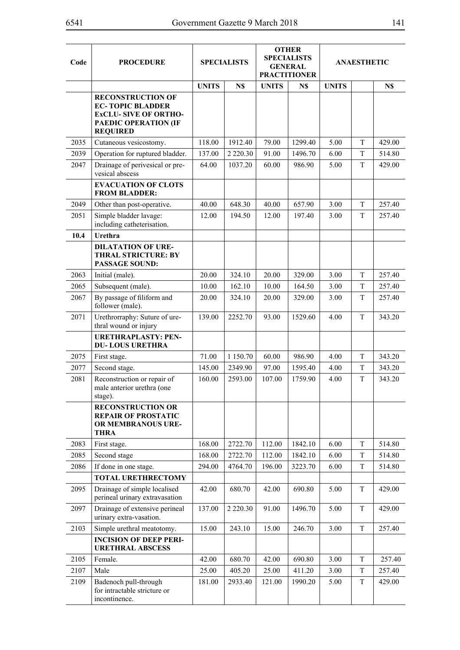| Code | <b>PROCEDURE</b>                                                                                                                     | <b>SPECIALISTS</b> |               | <b>OTHER</b><br><b>SPECIALISTS</b><br><b>GENERAL</b><br><b>PRACTITIONER</b> |         | <b>ANAESTHETIC</b> |         |        |
|------|--------------------------------------------------------------------------------------------------------------------------------------|--------------------|---------------|-----------------------------------------------------------------------------|---------|--------------------|---------|--------|
|      |                                                                                                                                      | <b>UNITS</b>       | N\$           | <b>UNITS</b>                                                                | N\$     | <b>UNITS</b>       |         | N\$    |
|      | <b>RECONSTRUCTION OF</b><br><b>EC-TOPIC BLADDER</b><br><b>EXCLU-SIVE OF ORTHO-</b><br><b>PAEDIC OPERATION (IF</b><br><b>REQUIRED</b> |                    |               |                                                                             |         |                    |         |        |
| 2035 | Cutaneous vesicostomy.                                                                                                               | 118.00             | 1912.40       | 79.00                                                                       | 1299.40 | 5.00               | T       | 429.00 |
| 2039 | Operation for ruptured bladder.                                                                                                      | 137.00             | 2 2 2 0 . 3 0 | 91.00                                                                       | 1496.70 | 6.00               | T       | 514.80 |
| 2047 | Drainage of perivesical or pre-<br>vesical abscess                                                                                   | 64.00              | 1037.20       | 60.00                                                                       | 986.90  | 5.00               | T       | 429.00 |
|      | <b>EVACUATION OF CLOTS</b><br><b>FROM BLADDER:</b>                                                                                   |                    |               |                                                                             |         |                    |         |        |
| 2049 | Other than post-operative.                                                                                                           | 40.00              | 648.30        | 40.00                                                                       | 657.90  | 3.00               | T       | 257.40 |
| 2051 | Simple bladder lavage:<br>including catheterisation.                                                                                 | 12.00              | 194.50        | 12.00                                                                       | 197.40  | 3.00               | T       | 257.40 |
| 10.4 | Urethra                                                                                                                              |                    |               |                                                                             |         |                    |         |        |
|      | <b>DILATATION OF URE-</b><br><b>THRAL STRICTURE: BY</b><br><b>PASSAGE SOUND:</b>                                                     |                    |               |                                                                             |         |                    |         |        |
| 2063 | Initial (male).                                                                                                                      | 20.00              | 324.10        | 20.00                                                                       | 329.00  | 3.00               | T       | 257.40 |
| 2065 | Subsequent (male).                                                                                                                   | 10.00              | 162.10        | 10.00                                                                       | 164.50  | 3.00               | T       | 257.40 |
| 2067 | By passage of filiform and<br>follower (male).                                                                                       | 20.00              | 324.10        | 20.00                                                                       | 329.00  | 3.00               | T       | 257.40 |
| 2071 | Urethrorraphy: Suture of ure-<br>thral wound or injury                                                                               | 139.00             | 2252.70       | 93.00                                                                       | 1529.60 | 4.00               | T       | 343.20 |
|      | <b>URETHRAPLASTY: PEN-</b><br><b>DU-LOUS URETHRA</b>                                                                                 |                    |               |                                                                             |         |                    |         |        |
| 2075 | First stage.                                                                                                                         | 71.00              | 1 150.70      | 60.00                                                                       | 986.90  | 4.00               | T       | 343.20 |
| 2077 | Second stage.                                                                                                                        | 145.00             | 2349.90       | 97.00                                                                       | 1595.40 | 4.00               | T       | 343.20 |
| 2081 | Reconstruction or repair of<br>male anterior urethra (one<br>stage).                                                                 | 160.00             | 2593.00       | 107.00                                                                      | 1759.90 | 4.00               | T       | 343.20 |
|      | <b>RECONSTRUCTION OR</b><br><b>REPAIR OF PROSTATIC</b><br>OR MEMBRANOUS URE-<br><b>THRA</b>                                          |                    |               |                                                                             |         |                    |         |        |
| 2083 | First stage.                                                                                                                         | 168.00             | 2722.70       | 112.00                                                                      | 1842.10 | 6.00               | T       | 514.80 |
| 2085 | Second stage                                                                                                                         | 168.00             | 2722.70       | 112.00                                                                      | 1842.10 | 6.00               | T       | 514.80 |
| 2086 | If done in one stage.                                                                                                                | 294.00             | 4764.70       | 196.00                                                                      | 3223.70 | 6.00               | T       | 514.80 |
|      | <b>TOTAL URETHRECTOMY</b>                                                                                                            |                    |               |                                                                             |         |                    |         |        |
| 2095 | Drainage of simple localised<br>perineal urinary extravasation                                                                       | 42.00              | 680.70        | 42.00                                                                       | 690.80  | 5.00               | T       | 429.00 |
| 2097 | Drainage of extensive perineal<br>urinary extra-vasation.                                                                            | 137.00             | 2 2 2 0 . 3 0 | 91.00                                                                       | 1496.70 | 5.00               | T       | 429.00 |
| 2103 | Simple urethral meatotomy.                                                                                                           | 15.00              | 243.10        | 15.00                                                                       | 246.70  | 3.00               | $\rm T$ | 257.40 |
|      | <b>INCISION OF DEEP PERI-</b><br><b>URETHRAL ABSCESS</b>                                                                             |                    |               |                                                                             |         |                    |         |        |
| 2105 | Female.                                                                                                                              | 42.00              | 680.70        | 42.00                                                                       | 690.80  | 3.00               | T       | 257.40 |
| 2107 | Male                                                                                                                                 | 25.00              | 405.20        | 25.00                                                                       | 411.20  | 3.00               | T       | 257.40 |
| 2109 | Badenoch pull-through<br>for intractable stricture or<br>incontinence.                                                               | 181.00             | 2933.40       | 121.00                                                                      | 1990.20 | 5.00               | T       | 429.00 |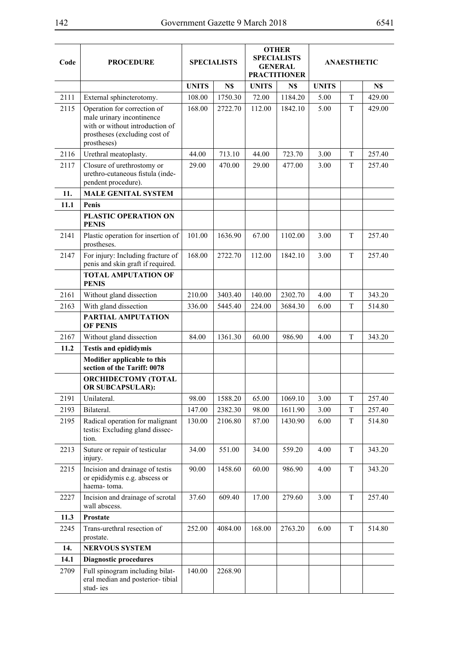| Code | <b>PROCEDURE</b>                                                                                                                            | <b>SPECIALISTS</b> |         | <b>OTHER</b><br><b>SPECIALISTS</b><br><b>GENERAL</b><br><b>PRACTITIONER</b> |         | <b>ANAESTHETIC</b> |   |        |
|------|---------------------------------------------------------------------------------------------------------------------------------------------|--------------------|---------|-----------------------------------------------------------------------------|---------|--------------------|---|--------|
|      |                                                                                                                                             | <b>UNITS</b>       | N\$     | <b>UNITS</b>                                                                | N\$     | <b>UNITS</b>       |   | N\$    |
| 2111 | External sphincterotomy.                                                                                                                    | 108.00             | 1750.30 | 72.00                                                                       | 1184.20 | 5.00               | T | 429.00 |
| 2115 | Operation for correction of<br>male urinary incontinence<br>with or without introduction of<br>prostheses (excluding cost of<br>prostheses) | 168.00             | 2722.70 | 112.00                                                                      | 1842.10 | 5.00               | T | 429.00 |
| 2116 | Urethral meatoplasty.                                                                                                                       | 44.00              | 713.10  | 44.00                                                                       | 723.70  | 3.00               | T | 257.40 |
| 2117 | Closure of urethrostomy or<br>urethro-cutaneous fistula (inde-<br>pendent procedure).                                                       | 29.00              | 470.00  | 29.00                                                                       | 477.00  | 3.00               | T | 257.40 |
| 11.  | <b>MALE GENITAL SYSTEM</b>                                                                                                                  |                    |         |                                                                             |         |                    |   |        |
| 11.1 | Penis                                                                                                                                       |                    |         |                                                                             |         |                    |   |        |
|      | PLASTIC OPERATION ON<br><b>PENIS</b>                                                                                                        |                    |         |                                                                             |         |                    |   |        |
| 2141 | Plastic operation for insertion of<br>prostheses.                                                                                           | 101.00             | 1636.90 | 67.00                                                                       | 1102.00 | 3.00               | T | 257.40 |
| 2147 | For injury: Including fracture of<br>penis and skin graft if required.                                                                      | 168.00             | 2722.70 | 112.00                                                                      | 1842.10 | 3.00               | T | 257.40 |
|      | <b>TOTAL AMPUTATION OF</b><br><b>PENIS</b>                                                                                                  |                    |         |                                                                             |         |                    |   |        |
| 2161 | Without gland dissection                                                                                                                    | 210.00             | 3403.40 | 140.00                                                                      | 2302.70 | 4.00               | T | 343.20 |
| 2163 | With gland dissection                                                                                                                       | 336.00             | 5445.40 | 224.00                                                                      | 3684.30 | 6.00               | T | 514.80 |
|      | PARTIAL AMPUTATION<br><b>OF PENIS</b>                                                                                                       |                    |         |                                                                             |         |                    |   |        |
| 2167 | Without gland dissection                                                                                                                    | 84.00              | 1361.30 | 60.00                                                                       | 986.90  | 4.00               | T | 343.20 |
| 11.2 | <b>Testis and epididymis</b>                                                                                                                |                    |         |                                                                             |         |                    |   |        |
|      | Modifier applicable to this<br>section of the Tariff: 0078                                                                                  |                    |         |                                                                             |         |                    |   |        |
|      | <b>ORCHIDECTOMY (TOTAL</b><br><b>OR SUBCAPSULAR):</b>                                                                                       |                    |         |                                                                             |         |                    |   |        |
| 2191 | Unilateral.                                                                                                                                 | 98.00              | 1588.20 | 65.00                                                                       | 1069.10 | 3.00               | T | 257.40 |
| 2193 | Bilateral.                                                                                                                                  | 147.00             | 2382.30 | 98.00                                                                       | 1611.90 | 3.00               | T | 257.40 |
| 2195 | Radical operation for malignant<br>testis: Excluding gland dissec-<br>tion.                                                                 | 130.00             | 2106.80 | 87.00                                                                       | 1430.90 | 6.00               | T | 514.80 |
| 2213 | Suture or repair of testicular<br>injury.                                                                                                   | 34.00              | 551.00  | 34.00                                                                       | 559.20  | 4.00               | T | 343.20 |
| 2215 | Incision and drainage of testis<br>or epididymis e.g. abscess or<br>haema-toma.                                                             | 90.00              | 1458.60 | 60.00                                                                       | 986.90  | 4.00               | T | 343.20 |
| 2227 | Incision and drainage of scrotal<br>wall abscess.                                                                                           | 37.60              | 609.40  | 17.00                                                                       | 279.60  | 3.00               | T | 257.40 |
| 11.3 | <b>Prostate</b>                                                                                                                             |                    |         |                                                                             |         |                    |   |        |
| 2245 | Trans-urethral resection of<br>prostate.                                                                                                    | 252.00             | 4084.00 | 168.00                                                                      | 2763.20 | 6.00               | T | 514.80 |
| 14.  | <b>NERVOUS SYSTEM</b>                                                                                                                       |                    |         |                                                                             |         |                    |   |        |
| 14.1 | <b>Diagnostic procedures</b>                                                                                                                |                    |         |                                                                             |         |                    |   |        |
| 2709 | Full spinogram including bilat-<br>eral median and posterior-tibial<br>stud-ies                                                             | 140.00             | 2268.90 |                                                                             |         |                    |   |        |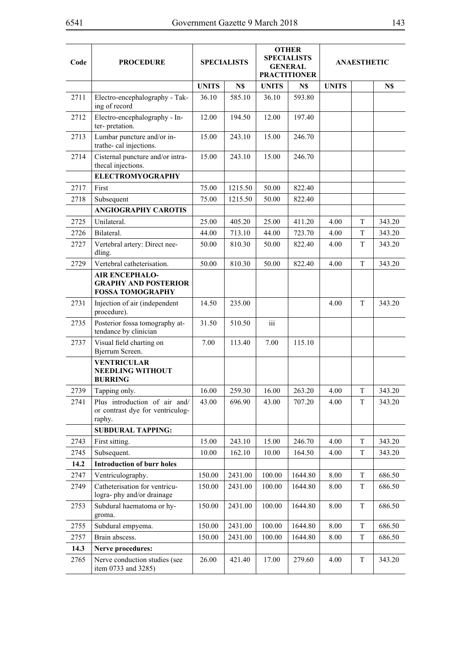| Code | <b>PROCEDURE</b>                                                                |              | <b>SPECIALISTS</b> |                         | <b>OTHER</b><br><b>SPECIALISTS</b><br><b>GENERAL</b><br><b>PRACTITIONER</b> |              | <b>ANAESTHETIC</b> |        |
|------|---------------------------------------------------------------------------------|--------------|--------------------|-------------------------|-----------------------------------------------------------------------------|--------------|--------------------|--------|
|      |                                                                                 | <b>UNITS</b> | N\$                | <b>UNITS</b>            | N\$                                                                         | <b>UNITS</b> |                    | N\$    |
| 2711 | Electro-encephalography - Tak-<br>ing of record                                 | 36.10        | 585.10             | 36.10                   | 593.80                                                                      |              |                    |        |
| 2712 | Electro-encephalography - In-<br>ter-pretation.                                 | 12.00        | 194.50             | 12.00                   | 197.40                                                                      |              |                    |        |
| 2713 | Lumbar puncture and/or in-<br>trathe-cal injections.                            | 15.00        | 243.10             | 15.00                   | 246.70                                                                      |              |                    |        |
| 2714 | Cisternal puncture and/or intra-<br>thecal injections.                          | 15.00        | 243.10             | 15.00                   | 246.70                                                                      |              |                    |        |
|      | <b>ELECTROMYOGRAPHY</b>                                                         |              |                    |                         |                                                                             |              |                    |        |
| 2717 | First                                                                           | 75.00        | 1215.50            | 50.00                   | 822.40                                                                      |              |                    |        |
| 2718 | Subsequent                                                                      | 75.00        | 1215.50            | 50.00                   | 822.40                                                                      |              |                    |        |
|      | <b>ANGIOGRAPHY CAROTIS</b>                                                      |              |                    |                         |                                                                             |              |                    |        |
| 2725 | Unilateral.                                                                     | 25.00        | 405.20             | 25.00                   | 411.20                                                                      | 4.00         | T                  | 343.20 |
| 2726 | Bilateral.                                                                      | 44.00        | 713.10             | 44.00                   | 723.70                                                                      | 4.00         | T                  | 343.20 |
| 2727 | Vertebral artery: Direct nee-<br>dling.                                         | 50.00        | 810.30             | 50.00                   | 822.40                                                                      | 4.00         | T                  | 343.20 |
| 2729 | Vertebral catheterisation.                                                      | 50.00        | 810.30             | 50.00                   | 822.40                                                                      | 4.00         | T                  | 343.20 |
|      | <b>AIR ENCEPHALO-</b><br><b>GRAPHY AND POSTERIOR</b><br><b>FOSSA TOMOGRAPHY</b> |              |                    |                         |                                                                             |              |                    |        |
| 2731 | Injection of air (independent<br>procedure).                                    | 14.50        | 235.00             |                         |                                                                             | 4.00         | T                  | 343.20 |
| 2735 | Posterior fossa tomography at-<br>tendance by clinician                         | 31.50        | 510.50             | $\overline{\text{iii}}$ |                                                                             |              |                    |        |
| 2737 | Visual field charting on<br>Bjerrum Screen.                                     | 7.00         | 113.40             | 7.00                    | 115.10                                                                      |              |                    |        |
|      | <b>VENTRICULAR</b><br><b>NEEDLING WITHOUT</b><br><b>BURRING</b>                 |              |                    |                         |                                                                             |              |                    |        |
| 2739 | Tapping only.                                                                   | 16.00        | 259.30             | 16.00                   | 263.20                                                                      | 4.00         | T                  | 343.20 |
| 2741 | Plus introduction of air and/<br>or contrast dye for ventriculog-<br>raphy.     | 43.00        | 696.90             | 43.00                   | 707.20                                                                      | 4.00         | T                  | 343.20 |
|      | <b>SUBDURAL TAPPING:</b>                                                        |              |                    |                         |                                                                             |              |                    |        |
| 2743 | First sitting.                                                                  | 15.00        | 243.10             | 15.00                   | 246.70                                                                      | 4.00         | T                  | 343.20 |
| 2745 | Subsequent.                                                                     | 10.00        | 162.10             | 10.00                   | 164.50                                                                      | 4.00         | T                  | 343.20 |
| 14.2 | <b>Introduction of burr holes</b>                                               |              |                    |                         |                                                                             |              |                    |        |
| 2747 | Ventriculography.                                                               | 150.00       | 2431.00            | 100.00                  | 1644.80                                                                     | 8.00         | T                  | 686.50 |
| 2749 | Catheterisation for ventricu-<br>logra-phy and/or drainage                      | 150.00       | 2431.00            | 100.00                  | 1644.80                                                                     | 8.00         | T                  | 686.50 |
| 2753 | Subdural haematoma or hy-<br>groma.                                             | 150.00       | 2431.00            | 100.00                  | 1644.80                                                                     | 8.00         | T                  | 686.50 |
| 2755 | Subdural empyema.                                                               | 150.00       | 2431.00            | 100.00                  | 1644.80                                                                     | 8.00         | T                  | 686.50 |
| 2757 | Brain abscess.                                                                  | 150.00       | 2431.00            | 100.00                  | 1644.80                                                                     | 8.00         | T                  | 686.50 |
| 14.3 | Nerve procedures:                                                               |              |                    |                         |                                                                             |              |                    |        |
| 2765 | Nerve conduction studies (see<br>item 0733 and 3285)                            | 26.00        | 421.40             | 17.00                   | 279.60                                                                      | 4.00         | T                  | 343.20 |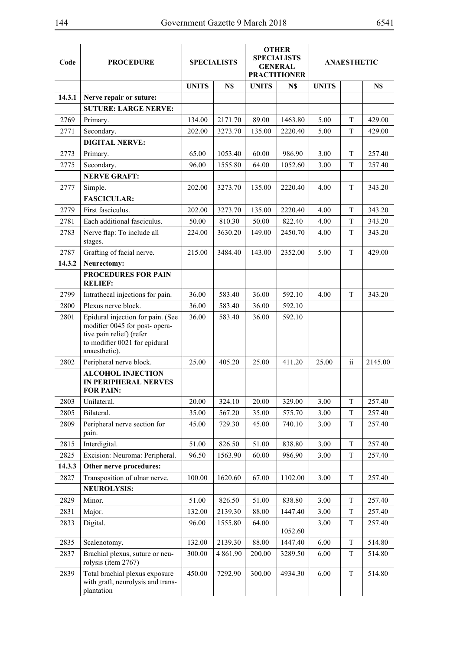| Code   | <b>PROCEDURE</b>                                                                                                                                  | <b>SPECIALISTS</b> |               | <b>OTHER</b><br><b>SPECIALISTS</b><br><b>GENERAL</b><br><b>PRACTITIONER</b> |         | <b>ANAESTHETIC</b> |                     |         |
|--------|---------------------------------------------------------------------------------------------------------------------------------------------------|--------------------|---------------|-----------------------------------------------------------------------------|---------|--------------------|---------------------|---------|
|        |                                                                                                                                                   | <b>UNITS</b>       | N\$           | <b>UNITS</b>                                                                | N\$     | <b>UNITS</b>       |                     | N\$     |
| 14.3.1 | Nerve repair or suture:                                                                                                                           |                    |               |                                                                             |         |                    |                     |         |
|        | <b>SUTURE: LARGE NERVE:</b>                                                                                                                       |                    |               |                                                                             |         |                    |                     |         |
| 2769   | Primary.                                                                                                                                          | 134.00             | 2171.70       | 89.00                                                                       | 1463.80 | 5.00               | T                   | 429.00  |
| 2771   | Secondary.                                                                                                                                        | 202.00             | 3273.70       | 135.00                                                                      | 2220.40 | 5.00               | T                   | 429.00  |
|        | <b>DIGITAL NERVE:</b>                                                                                                                             |                    |               |                                                                             |         |                    |                     |         |
| 2773   | Primary.                                                                                                                                          | 65.00              | 1053.40       | 60.00                                                                       | 986.90  | 3.00               | T                   | 257.40  |
| 2775   | Secondary.                                                                                                                                        | 96.00              | 1555.80       | 64.00                                                                       | 1052.60 | 3.00               | T                   | 257.40  |
|        | <b>NERVE GRAFT:</b>                                                                                                                               |                    |               |                                                                             |         |                    |                     |         |
| 2777   | Simple.                                                                                                                                           | 202.00             | 3273.70       | 135.00                                                                      | 2220.40 | 4.00               | T                   | 343.20  |
|        | <b>FASCICULAR:</b>                                                                                                                                |                    |               |                                                                             |         |                    |                     |         |
| 2779   | First fasciculus.                                                                                                                                 | 202.00             | 3273.70       | 135.00                                                                      | 2220.40 | 4.00               | T                   | 343.20  |
| 2781   | Each additional fasciculus.                                                                                                                       | 50.00              | 810.30        | 50.00                                                                       | 822.40  | 4.00               | T                   | 343.20  |
| 2783   | Nerve flap: To include all<br>stages.                                                                                                             | 224.00             | 3630.20       | 149.00                                                                      | 2450.70 | 4.00               | T                   | 343.20  |
| 2787   | Grafting of facial nerve.                                                                                                                         | 215.00             | 3484.40       | 143.00                                                                      | 2352.00 | 5.00               | T                   | 429.00  |
| 14.3.2 | Neurectomy:                                                                                                                                       |                    |               |                                                                             |         |                    |                     |         |
|        | <b>PROCEDURES FOR PAIN</b><br><b>RELIEF:</b>                                                                                                      |                    |               |                                                                             |         |                    |                     |         |
| 2799   | Intrathecal injections for pain.                                                                                                                  | 36.00              | 583.40        | 36.00                                                                       | 592.10  | 4.00               | T                   | 343.20  |
| 2800   | Plexus nerve block.                                                                                                                               | 36.00              | 583.40        | 36.00                                                                       | 592.10  |                    |                     |         |
| 2801   | Epidural injection for pain. (See<br>modifier 0045 for post- opera-<br>tive pain relief) (refer<br>to modifier 0021 for epidural<br>anaesthetic). | 36.00              | 583.40        | 36.00                                                                       | 592.10  |                    |                     |         |
| 2802   | Peripheral nerve block.                                                                                                                           | 25.00              | 405.20        | 25.00                                                                       | 411.20  | 25.00              | $\ddot{\mathbf{i}}$ | 2145.00 |
|        | <b>ALCOHOL INJECTION</b><br><b>IN PERIPHERAL NERVES</b><br><b>FOR PAIN:</b>                                                                       |                    |               |                                                                             |         |                    |                     |         |
| 2803   | Unilateral.                                                                                                                                       | 20.00              | 324.10        | 20.00                                                                       | 329.00  | 3.00               | T                   | 257.40  |
| 2805   | Bilateral.                                                                                                                                        | 35.00              | 567.20        | 35.00                                                                       | 575.70  | 3.00               | T                   | 257.40  |
| 2809   | Peripheral nerve section for<br>pain.                                                                                                             | 45.00              | 729.30        | 45.00                                                                       | 740.10  | 3.00               | T                   | 257.40  |
| 2815   | Interdigital.                                                                                                                                     | 51.00              | 826.50        | 51.00                                                                       | 838.80  | 3.00               | T                   | 257.40  |
| 2825   | Excision: Neuroma: Peripheral.                                                                                                                    | 96.50              | 1563.90       | 60.00                                                                       | 986.90  | 3.00               | T                   | 257.40  |
| 14.3.3 | Other nerve procedures:                                                                                                                           |                    |               |                                                                             |         |                    |                     |         |
| 2827   | Transposition of ulnar nerve.                                                                                                                     | 100.00             | 1620.60       | 67.00                                                                       | 1102.00 | 3.00               | T                   | 257.40  |
|        | <b>NEUROLYSIS:</b>                                                                                                                                |                    |               |                                                                             |         |                    |                     |         |
| 2829   | Minor.                                                                                                                                            | 51.00              | 826.50        | 51.00                                                                       | 838.80  | 3.00               | T                   | 257.40  |
| 2831   | Major.                                                                                                                                            | 132.00             | 2139.30       | 88.00                                                                       | 1447.40 | 3.00               | T                   | 257.40  |
| 2833   | Digital.                                                                                                                                          | 96.00              | 1555.80       | 64.00                                                                       | 1052.60 | 3.00               | T                   | 257.40  |
| 2835   | Scalenotomy.                                                                                                                                      | 132.00             | 2139.30       | 88.00                                                                       | 1447.40 | 6.00               | T                   | 514.80  |
| 2837   | Brachial plexus, suture or neu-<br>rolysis (item 2767)                                                                                            | 300.00             | 4 8 6 1 . 9 0 | 200.00                                                                      | 3289.50 | 6.00               | T                   | 514.80  |
| 2839   | Total brachial plexus exposure<br>with graft, neurolysis and trans-<br>plantation                                                                 | 450.00             | 7292.90       | 300.00                                                                      | 4934.30 | 6.00               | T                   | 514.80  |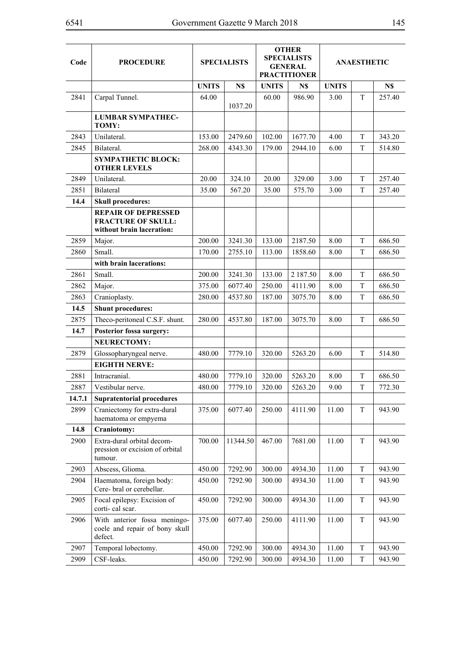| Code   | <b>PROCEDURE</b>                                                                     | <b>SPECIALISTS</b> |          | <b>OTHER</b><br><b>SPECIALISTS</b><br><b>GENERAL</b><br><b>PRACTITIONER</b> |          | <b>ANAESTHETIC</b> |             |        |
|--------|--------------------------------------------------------------------------------------|--------------------|----------|-----------------------------------------------------------------------------|----------|--------------------|-------------|--------|
|        |                                                                                      | <b>UNITS</b>       | N\$      | <b>UNITS</b>                                                                | N\$      | <b>UNITS</b>       |             | N\$    |
| 2841   | Carpal Tunnel.                                                                       | 64.00              | 1037.20  | 60.00                                                                       | 986.90   | 3.00               | T           | 257.40 |
|        | <b>LUMBAR SYMPATHEC-</b><br>TOMY:                                                    |                    |          |                                                                             |          |                    |             |        |
| 2843   | Unilateral.                                                                          | 153.00             | 2479.60  | 102.00                                                                      | 1677.70  | 4.00               | T           | 343.20 |
| 2845   | Bilateral.                                                                           | 268.00             | 4343.30  | 179.00                                                                      | 2944.10  | 6.00               | T           | 514.80 |
|        | <b>SYMPATHETIC BLOCK:</b><br><b>OTHER LEVELS</b>                                     |                    |          |                                                                             |          |                    |             |        |
| 2849   | Unilateral.                                                                          | 20.00              | 324.10   | 20.00                                                                       | 329.00   | 3.00               | T           | 257.40 |
| 2851   | Bilateral                                                                            | 35.00              | 567.20   | 35.00                                                                       | 575.70   | 3.00               | T           | 257.40 |
| 14.4   | <b>Skull procedures:</b>                                                             |                    |          |                                                                             |          |                    |             |        |
|        | <b>REPAIR OF DEPRESSED</b><br><b>FRACTURE OF SKULL:</b><br>without brain laceration: |                    |          |                                                                             |          |                    |             |        |
| 2859   | Major.                                                                               | 200.00             | 3241.30  | 133.00                                                                      | 2187.50  | 8.00               | T           | 686.50 |
| 2860   | Small.                                                                               | 170.00             | 2755.10  | 113.00                                                                      | 1858.60  | 8.00               | T           | 686.50 |
|        | with brain lacerations:                                                              |                    |          |                                                                             |          |                    |             |        |
| 2861   | Small.                                                                               | 200.00             | 3241.30  | 133.00                                                                      | 2 187.50 | 8.00               | T           | 686.50 |
| 2862   | Major.                                                                               | 375.00             | 6077.40  | 250.00                                                                      | 4111.90  | 8.00               | T           | 686.50 |
| 2863   | Cranioplasty.                                                                        | 280.00             | 4537.80  | 187.00                                                                      | 3075.70  | 8.00               | T           | 686.50 |
| 14.5   | <b>Shunt procedures:</b>                                                             |                    |          |                                                                             |          |                    |             |        |
| 2875   | Theco-peritoneal C.S.F. shunt.                                                       | 280.00             | 4537.80  | 187.00                                                                      | 3075.70  | 8.00               | T           | 686.50 |
| 14.7   | Posterior fossa surgery:                                                             |                    |          |                                                                             |          |                    |             |        |
|        | <b>NEURECTOMY:</b>                                                                   |                    |          |                                                                             |          |                    |             |        |
| 2879   | Glossopharyngeal nerve.                                                              | 480.00             | 7779.10  | 320.00                                                                      | 5263.20  | 6.00               | $\mathbf T$ | 514.80 |
|        | <b>EIGHTH NERVE:</b>                                                                 |                    |          |                                                                             |          |                    |             |        |
| 2881   | Intracranial.                                                                        | 480.00             | 7779.10  | 320.00                                                                      | 5263.20  | 8.00               | T           | 686.50 |
| 2887   | Vestibular nerve.                                                                    | 480.00             | 7779.10  | 320.00                                                                      | 5263.20  | 9.00               | T           | 772.30 |
| 14.7.1 | <b>Supratentorial procedures</b>                                                     |                    |          |                                                                             |          |                    |             |        |
| 2899   | Craniectomy for extra-dural<br>haematoma or empyema                                  | 375.00             | 6077.40  | 250.00                                                                      | 4111.90  | 11.00              | T           | 943.90 |
| 14.8   | Craniotomy:                                                                          |                    |          |                                                                             |          |                    |             |        |
| 2900   | Extra-dural orbital decom-<br>pression or excision of orbital<br>tumour.             | 700.00             | 11344.50 | 467.00                                                                      | 7681.00  | 11.00              | T           | 943.90 |
| 2903   | Abscess, Glioma.                                                                     | 450.00             | 7292.90  | 300.00                                                                      | 4934.30  | 11.00              | T           | 943.90 |
| 2904   | Haematoma, foreign body:<br>Cere- bral or cerebellar.                                | 450.00             | 7292.90  | 300.00                                                                      | 4934.30  | 11.00              | T           | 943.90 |
| 2905   | Focal epilepsy: Excision of<br>corti-cal scar.                                       | 450.00             | 7292.90  | 300.00                                                                      | 4934.30  | 11.00              | T           | 943.90 |
| 2906   | With anterior fossa meningo-<br>coele and repair of bony skull<br>defect.            | 375.00             | 6077.40  | 250.00                                                                      | 4111.90  | 11.00              | $\mathbf T$ | 943.90 |
| 2907   | Temporal lobectomy.                                                                  | 450.00             | 7292.90  | 300.00                                                                      | 4934.30  | 11.00              | T           | 943.90 |
| 2909   | CSF-leaks.                                                                           | 450.00             | 7292.90  | 300.00                                                                      | 4934.30  | 11.00              | T           | 943.90 |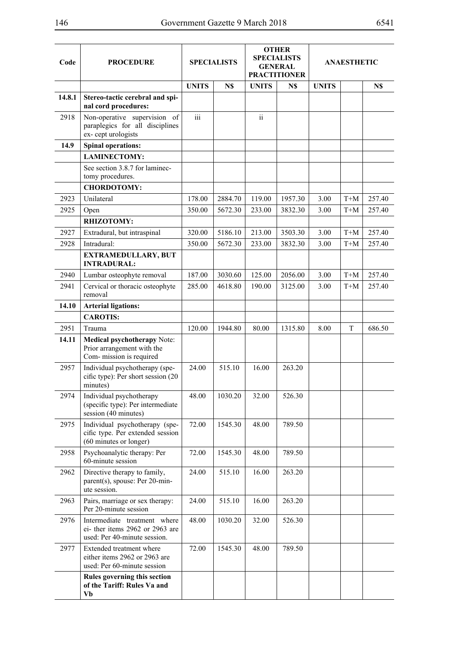| Code   | <b>PROCEDURE</b>                                                                                |              | <b>SPECIALISTS</b> |                 | <b>OTHER</b><br><b>SPECIALISTS</b><br><b>GENERAL</b><br><b>PRACTITIONER</b> | <b>ANAESTHETIC</b> |       |        |  |
|--------|-------------------------------------------------------------------------------------------------|--------------|--------------------|-----------------|-----------------------------------------------------------------------------|--------------------|-------|--------|--|
|        |                                                                                                 | <b>UNITS</b> | N\$                | <b>UNITS</b>    | N\$                                                                         | <b>UNITS</b>       |       | N\$    |  |
| 14.8.1 | Stereo-tactic cerebral and spi-<br>nal cord procedures:                                         |              |                    |                 |                                                                             |                    |       |        |  |
| 2918   | Non-operative supervision of<br>paraplegics for all disciplines<br>ex-cept urologists           | iii          |                    | $\ddot{\rm ii}$ |                                                                             |                    |       |        |  |
| 14.9   | <b>Spinal operations:</b>                                                                       |              |                    |                 |                                                                             |                    |       |        |  |
|        | <b>LAMINECTOMY:</b>                                                                             |              |                    |                 |                                                                             |                    |       |        |  |
|        | See section 3.8.7 for laminec-<br>tomy procedures.                                              |              |                    |                 |                                                                             |                    |       |        |  |
|        | <b>CHORDOTOMY:</b>                                                                              |              |                    |                 |                                                                             |                    |       |        |  |
| 2923   | Unilateral                                                                                      | 178.00       | 2884.70            | 119.00          | 1957.30                                                                     | 3.00               | $T+M$ | 257.40 |  |
| 2925   | Open                                                                                            | 350.00       | 5672.30            | 233.00          | 3832.30                                                                     | 3.00               | $T+M$ | 257.40 |  |
|        | RHIZOTOMY:                                                                                      |              |                    |                 |                                                                             |                    |       |        |  |
| 2927   | Extradural, but intraspinal                                                                     | 320.00       | 5186.10            | 213.00          | 3503.30                                                                     | 3.00               | $T+M$ | 257.40 |  |
| 2928   | Intradural:<br><b>EXTRAMEDULLARY, BUT</b>                                                       | 350.00       | 5672.30            | 233.00          | 3832.30                                                                     | 3.00               | $T+M$ | 257.40 |  |
| 2940   | <b>INTRADURAL:</b><br>Lumbar osteophyte removal                                                 | 187.00       | 3030.60            | 125.00          | 2056.00                                                                     | 3.00               | $T+M$ | 257.40 |  |
| 2941   | Cervical or thoracic osteophyte<br>removal                                                      | 285.00       | 4618.80            | 190.00          | 3125.00                                                                     | 3.00               | $T+M$ | 257.40 |  |
| 14.10  | <b>Arterial ligations:</b>                                                                      |              |                    |                 |                                                                             |                    |       |        |  |
|        | <b>CAROTIS:</b>                                                                                 |              |                    |                 |                                                                             |                    |       |        |  |
| 2951   | Trauma                                                                                          | 120.00       | 1944.80            | 80.00           | 1315.80                                                                     | 8.00               | T     | 686.50 |  |
| 14.11  | Medical psychotherapy Note:<br>Prior arrangement with the<br>Com- mission is required           |              |                    |                 |                                                                             |                    |       |        |  |
| 2957   | Individual psychotherapy (spe-<br>cific type): Per short session (20<br>minutes)                | 24.00        | 515.10             | 16.00           | 263.20                                                                      |                    |       |        |  |
| 2974   | Individual psychotherapy<br>(specific type): Per intermediate<br>session (40 minutes)           | 48.00        | 1030.20            | 32.00           | 526.30                                                                      |                    |       |        |  |
| 2975   | Individual psychotherapy (spe-<br>cific type. Per extended session<br>(60 minutes or longer)    | 72.00        | 1545.30            | 48.00           | 789.50                                                                      |                    |       |        |  |
| 2958   | Psychoanalytic therapy: Per<br>60-minute session                                                | 72.00        | 1545.30            | 48.00           | 789.50                                                                      |                    |       |        |  |
| 2962   | Directive therapy to family,<br>parent(s), spouse: Per 20-min-<br>ute session.                  | 24.00        | 515.10             | 16.00           | 263.20                                                                      |                    |       |        |  |
| 2963   | Pairs, marriage or sex therapy:<br>Per 20-minute session                                        | 24.00        | 515.10             | 16.00           | 263.20                                                                      |                    |       |        |  |
| 2976   | Intermediate treatment where<br>ei- ther items 2962 or 2963 are<br>used: Per 40-minute session. | 48.00        | 1030.20            | 32.00           | 526.30                                                                      |                    |       |        |  |
| 2977   | Extended treatment where<br>either items 2962 or 2963 are<br>used: Per 60-minute session        | 72.00        | 1545.30            | 48.00           | 789.50                                                                      |                    |       |        |  |
|        | Rules governing this section<br>of the Tariff: Rules Va and<br>Vb                               |              |                    |                 |                                                                             |                    |       |        |  |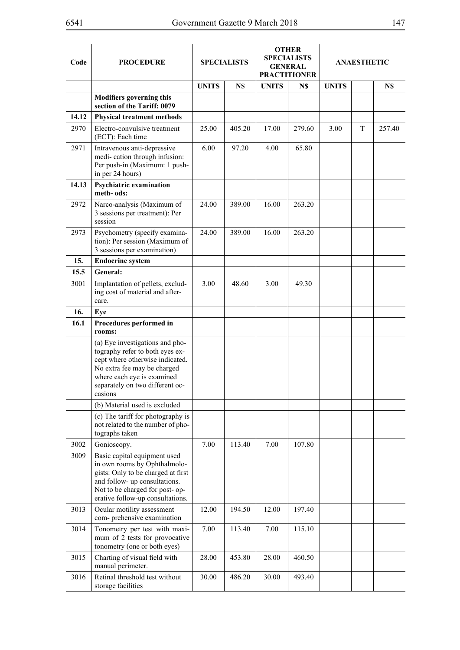| Code  | <b>PROCEDURE</b>                                                                                                                                                                                                 |              | <b>SPECIALISTS</b> |              | <b>OTHER</b><br><b>SPECIALISTS</b><br><b>GENERAL</b><br><b>PRACTITIONER</b> | <b>ANAESTHETIC</b> |   |        |
|-------|------------------------------------------------------------------------------------------------------------------------------------------------------------------------------------------------------------------|--------------|--------------------|--------------|-----------------------------------------------------------------------------|--------------------|---|--------|
|       |                                                                                                                                                                                                                  | <b>UNITS</b> | N\$                | <b>UNITS</b> | N\$                                                                         | <b>UNITS</b>       |   | N\$    |
|       | <b>Modifiers governing this</b><br>section of the Tariff: 0079                                                                                                                                                   |              |                    |              |                                                                             |                    |   |        |
| 14.12 | <b>Physical treatment methods</b>                                                                                                                                                                                |              |                    |              |                                                                             |                    |   |        |
| 2970  | Electro-convulsive treatment<br>(ECT): Each time                                                                                                                                                                 | 25.00        | 405.20             | 17.00        | 279.60                                                                      | 3.00               | T | 257.40 |
| 2971  | Intravenous anti-depressive<br>medi-cation through infusion:<br>Per push-in (Maximum: 1 push-<br>in per 24 hours)                                                                                                | 6.00         | 97.20              | 4.00         | 65.80                                                                       |                    |   |        |
| 14.13 | <b>Psychiatric examination</b><br>meth-ods:                                                                                                                                                                      |              |                    |              |                                                                             |                    |   |        |
| 2972  | Narco-analysis (Maximum of<br>3 sessions per treatment): Per<br>session                                                                                                                                          | 24.00        | 389.00             | 16.00        | 263.20                                                                      |                    |   |        |
| 2973  | Psychometry (specify examina-<br>tion): Per session (Maximum of<br>3 sessions per examination)                                                                                                                   | 24.00        | 389.00             | 16.00        | 263.20                                                                      |                    |   |        |
| 15.   | <b>Endocrine system</b>                                                                                                                                                                                          |              |                    |              |                                                                             |                    |   |        |
| 15.5  | General:                                                                                                                                                                                                         |              |                    |              |                                                                             |                    |   |        |
| 3001  | Implantation of pellets, exclud-<br>ing cost of material and after-<br>care.                                                                                                                                     | 3.00         | 48.60              | 3.00         | 49.30                                                                       |                    |   |        |
| 16.   | Eye                                                                                                                                                                                                              |              |                    |              |                                                                             |                    |   |        |
| 16.1  | Procedures performed in<br>rooms:                                                                                                                                                                                |              |                    |              |                                                                             |                    |   |        |
|       | (a) Eye investigations and pho-<br>tography refer to both eyes ex-<br>cept where otherwise indicated.<br>No extra fee may be charged<br>where each eye is examined<br>separately on two different oc-<br>casions |              |                    |              |                                                                             |                    |   |        |
|       | (b) Material used is excluded                                                                                                                                                                                    |              |                    |              |                                                                             |                    |   |        |
|       | (c) The tariff for photography is<br>not related to the number of pho-<br>tographs taken                                                                                                                         |              |                    |              |                                                                             |                    |   |        |
| 3002  | Gonioscopy.                                                                                                                                                                                                      | 7.00         | 113.40             | 7.00         | 107.80                                                                      |                    |   |        |
| 3009  | Basic capital equipment used<br>in own rooms by Ophthalmolo-<br>gists: Only to be charged at first<br>and follow- up consultations.<br>Not to be charged for post- op-<br>erative follow-up consultations.       |              |                    |              |                                                                             |                    |   |        |
| 3013  | Ocular motility assessment<br>com- prehensive examination                                                                                                                                                        | 12.00        | 194.50             | 12.00        | 197.40                                                                      |                    |   |        |
| 3014  | Tonometry per test with maxi-<br>mum of 2 tests for provocative<br>tonometry (one or both eyes)                                                                                                                  | 7.00         | 113.40             | 7.00         | 115.10                                                                      |                    |   |        |
| 3015  | Charting of visual field with<br>manual perimeter.                                                                                                                                                               | 28.00        | 453.80             | 28.00        | 460.50                                                                      |                    |   |        |
| 3016  | Retinal threshold test without<br>storage facilities                                                                                                                                                             | 30.00        | 486.20             | 30.00        | 493.40                                                                      |                    |   |        |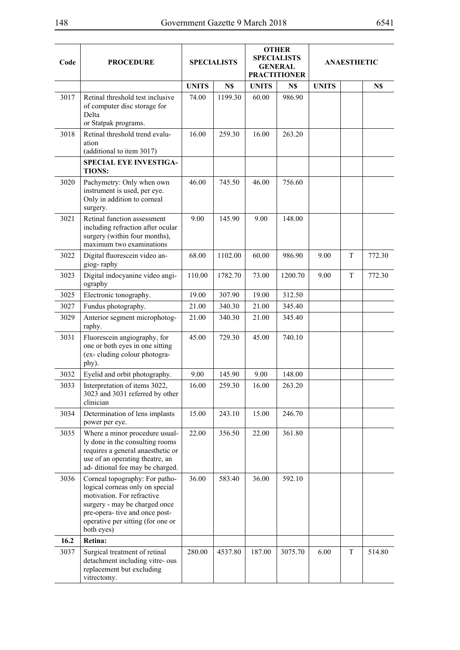| Code | <b>PROCEDURE</b>                                                                                                                                                                                                      | <b>SPECIALISTS</b> |         | <b>OTHER</b><br><b>SPECIALISTS</b><br><b>GENERAL</b><br><b>PRACTITIONER</b> |         | <b>ANAESTHETIC</b> |   |        |
|------|-----------------------------------------------------------------------------------------------------------------------------------------------------------------------------------------------------------------------|--------------------|---------|-----------------------------------------------------------------------------|---------|--------------------|---|--------|
|      |                                                                                                                                                                                                                       | <b>UNITS</b>       | N\$     | <b>UNITS</b>                                                                | N\$     | <b>UNITS</b>       |   | N\$    |
| 3017 | Retinal threshold test inclusive<br>of computer disc storage for<br>Delta<br>or Statpak programs.                                                                                                                     | 74.00              | 1199.30 | 60.00                                                                       | 986.90  |                    |   |        |
| 3018 | Retinal threshold trend evalu-<br>ation<br>(additional to item 3017)                                                                                                                                                  | 16.00              | 259.30  | 16.00                                                                       | 263.20  |                    |   |        |
|      | <b>SPECIAL EYE INVESTIGA-</b><br><b>TIONS:</b>                                                                                                                                                                        |                    |         |                                                                             |         |                    |   |        |
| 3020 | Pachymetry: Only when own<br>instrument is used, per eye.<br>Only in addition to corneal<br>surgery.                                                                                                                  | 46.00              | 745.50  | 46.00                                                                       | 756.60  |                    |   |        |
| 3021 | Retinal function assessment<br>including refraction after ocular<br>surgery (within four months),<br>maximum two examinations                                                                                         | 9.00               | 145.90  | 9.00                                                                        | 148.00  |                    |   |        |
| 3022 | Digital fluorescein video an-<br>giog-raphy                                                                                                                                                                           | 68.00              | 1102.00 | 60.00                                                                       | 986.90  | 9.00               | T | 772.30 |
| 3023 | Digital indocyanine video angi-<br>ography                                                                                                                                                                            | 110.00             | 1782.70 | 73.00                                                                       | 1200.70 | 9.00               | T | 772.30 |
| 3025 | Electronic tonography.                                                                                                                                                                                                | 19.00              | 307.90  | 19.00                                                                       | 312.50  |                    |   |        |
| 3027 | Fundus photography.                                                                                                                                                                                                   | 21.00              | 340.30  | 21.00                                                                       | 345.40  |                    |   |        |
| 3029 | Anterior segment microphotog-<br>raphy.                                                                                                                                                                               | 21.00              | 340.30  | 21.00                                                                       | 345.40  |                    |   |        |
| 3031 | Fluorescein angiography, for<br>one or both eyes in one sitting<br>(ex-cluding colour photogra-<br>phy).                                                                                                              | 45.00              | 729.30  | 45.00                                                                       | 740.10  |                    |   |        |
| 3032 | Eyelid and orbit photography.                                                                                                                                                                                         | 9.00               | 145.90  | 9.00                                                                        | 148.00  |                    |   |        |
| 3033 | Interpretation of items 3022,<br>3023 and 3031 referred by other<br>clinician                                                                                                                                         | 16.00              | 259.30  | 16.00                                                                       | 263.20  |                    |   |        |
| 3034 | Determination of lens implants<br>power per eye.                                                                                                                                                                      | 15.00              | 243.10  | 15.00                                                                       | 246.70  |                    |   |        |
| 3035 | Where a minor procedure usual-<br>ly done in the consulting rooms<br>requires a general anaesthetic or<br>use of an operating theatre, an<br>ad-ditional fee may be charged.                                          | 22.00              | 356.50  | 22.00                                                                       | 361.80  |                    |   |        |
| 3036 | Corneal topography: For patho-<br>logical corneas only on special<br>motivation. For refractive<br>surgery - may be charged once<br>pre-opera- tive and once post-<br>operative per sitting (for one or<br>both eyes) | 36.00              | 583.40  | 36.00                                                                       | 592.10  |                    |   |        |
| 16.2 | Retina:                                                                                                                                                                                                               |                    |         |                                                                             |         |                    |   |        |
| 3037 | Surgical treatment of retinal<br>detachment including vitre- ous<br>replacement but excluding<br>vitrectomy.                                                                                                          | 280.00             | 4537.80 | 187.00                                                                      | 3075.70 | 6.00               | T | 514.80 |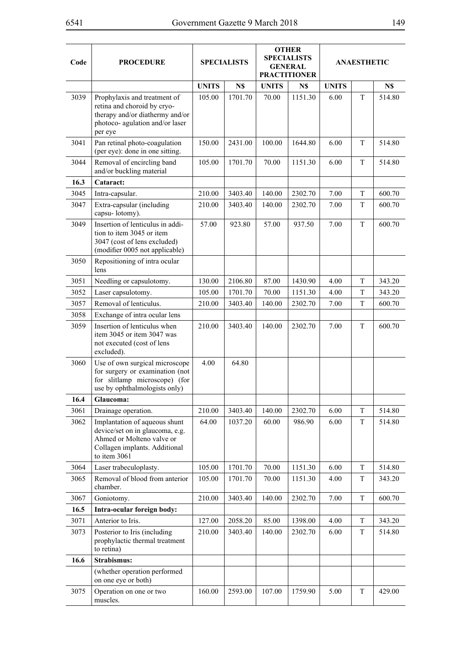| Code         | <b>PROCEDURE</b>                                                                                                                               |              | <b>OTHER</b><br><b>SPECIALISTS</b><br><b>SPECIALISTS</b><br><b>GENERAL</b><br><b>PRACTITIONER</b> |              | <b>ANAESTHETIC</b> |              |             |        |
|--------------|------------------------------------------------------------------------------------------------------------------------------------------------|--------------|---------------------------------------------------------------------------------------------------|--------------|--------------------|--------------|-------------|--------|
|              |                                                                                                                                                | <b>UNITS</b> | N\$                                                                                               | <b>UNITS</b> | N\$                | <b>UNITS</b> |             | N\$    |
| 3039         | Prophylaxis and treatment of<br>retina and choroid by cryo-<br>therapy and/or diathermy and/or<br>photoco- agulation and/or laser<br>per eye   | 105.00       | 1701.70                                                                                           | 70.00        | 1151.30            | 6.00         | T           | 514.80 |
| 3041         | Pan retinal photo-coagulation<br>(per eye): done in one sitting.                                                                               | 150.00       | 2431.00                                                                                           | 100.00       | 1644.80            | 6.00         | T           | 514.80 |
| 3044         | Removal of encircling band<br>and/or buckling material                                                                                         | 105.00       | 1701.70                                                                                           | 70.00        | 1151.30            | 6.00         | T           | 514.80 |
| 16.3         | Cataract:                                                                                                                                      |              |                                                                                                   |              |                    |              |             |        |
| 3045         | Intra-capsular.                                                                                                                                | 210.00       | 3403.40                                                                                           | 140.00       | 2302.70            | 7.00         | T           | 600.70 |
| 3047         | Extra-capsular (including<br>capsu-lotomy).                                                                                                    | 210.00       | 3403.40                                                                                           | 140.00       | 2302.70            | 7.00         | T           | 600.70 |
| 3049         | Insertion of lenticulus in addi-<br>tion to item 3045 or item<br>3047 (cost of lens excluded)<br>(modifier 0005 not applicable)                | 57.00        | 923.80                                                                                            | 57.00        | 937.50             | 7.00         | T           | 600.70 |
| 3050         | Repositioning of intra ocular<br>lens                                                                                                          |              |                                                                                                   |              |                    |              |             |        |
| 3051         | Needling or capsulotomy.                                                                                                                       | 130.00       | 2106.80                                                                                           | 87.00        | 1430.90            | 4.00         | T           | 343.20 |
| 3052         | Laser capsulotomy.                                                                                                                             | 105.00       | 1701.70                                                                                           | 70.00        | 1151.30            | 4.00         | T           | 343.20 |
| 3057         | Removal of lenticulus.                                                                                                                         | 210.00       | 3403.40                                                                                           | 140.00       | 2302.70            | 7.00         | T           | 600.70 |
| 3058<br>3059 | Exchange of intra ocular lens<br>Insertion of lenticulus when<br>item 3045 or item 3047 was                                                    | 210.00       | 3403.40                                                                                           | 140.00       | 2302.70            | 7.00         | T           | 600.70 |
|              | not executed (cost of lens<br>excluded).                                                                                                       |              |                                                                                                   |              |                    |              |             |        |
| 3060         | Use of own surgical microscope<br>for surgery or examination (not<br>for slitlamp microscope) (for<br>use by ophthalmologists only)            | 4.00         | 64.80                                                                                             |              |                    |              |             |        |
| 16.4         | Glaucoma:                                                                                                                                      |              |                                                                                                   |              |                    |              |             |        |
| 3061         | Drainage operation.                                                                                                                            | 210.00       | 3403.40                                                                                           | 140.00       | 2302.70            | 6.00         | T           | 514.80 |
| 3062         | Implantation of aqueous shunt<br>device/set on in glaucoma, e.g.<br>Ahmed or Molteno valve or<br>Collagen implants. Additional<br>to item 3061 | 64.00        | 1037.20                                                                                           | 60.00        | 986.90             | 6.00         | T           | 514.80 |
| 3064         | Laser trabeculoplasty.                                                                                                                         | 105.00       | 1701.70                                                                                           | 70.00        | 1151.30            | 6.00         | T           | 514.80 |
| 3065         | Removal of blood from anterior<br>chamber.                                                                                                     | 105.00       | 1701.70                                                                                           | 70.00        | 1151.30            | 4.00         | T           | 343.20 |
| 3067         | Goniotomy.                                                                                                                                     | 210.00       | 3403.40                                                                                           | 140.00       | 2302.70            | 7.00         | $\mathbf T$ | 600.70 |
| 16.5         | Intra-ocular foreign body:                                                                                                                     |              |                                                                                                   |              |                    |              |             |        |
| 3071         | Anterior to Iris.                                                                                                                              | 127.00       | 2058.20                                                                                           | 85.00        | 1398.00            | 4.00         | T           | 343.20 |
| 3073         | Posterior to Iris (including<br>prophylactic thermal treatment<br>to retina)                                                                   | 210.00       | 3403.40                                                                                           | 140.00       | 2302.70            | 6.00         | T           | 514.80 |
| 16.6         | Strabismus:                                                                                                                                    |              |                                                                                                   |              |                    |              |             |        |
|              | (whether operation performed<br>on one eye or both)                                                                                            |              |                                                                                                   |              |                    |              |             |        |
| 3075         | Operation on one or two<br>muscles.                                                                                                            | 160.00       | 2593.00                                                                                           | 107.00       | 1759.90            | 5.00         | T           | 429.00 |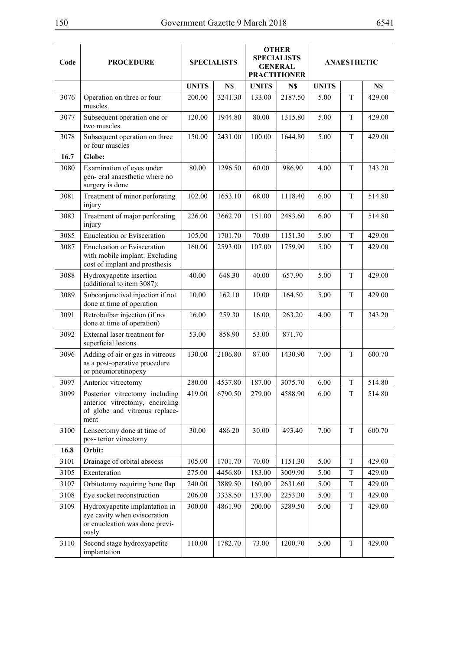| Code | <b>PROCEDURE</b>                                                                                            |              | <b>SPECIALISTS</b> |              | <b>OTHER</b><br><b>SPECIALISTS</b><br><b>GENERAL</b><br><b>PRACTITIONER</b> | <b>ANAESTHETIC</b> |             |        |
|------|-------------------------------------------------------------------------------------------------------------|--------------|--------------------|--------------|-----------------------------------------------------------------------------|--------------------|-------------|--------|
|      |                                                                                                             | <b>UNITS</b> | N\$                | <b>UNITS</b> | N\$                                                                         | <b>UNITS</b>       |             | N\$    |
| 3076 | Operation on three or four<br>muscles.                                                                      | 200.00       | 3241.30            | 133.00       | 2187.50                                                                     | 5.00               | T           | 429.00 |
| 3077 | Subsequent operation one or<br>two muscles.                                                                 | 120.00       | 1944.80            | 80.00        | 1315.80                                                                     | 5.00               | T           | 429.00 |
| 3078 | Subsequent operation on three<br>or four muscles                                                            | 150.00       | 2431.00            | 100.00       | 1644.80                                                                     | 5.00               | T           | 429.00 |
| 16.7 | Globe:                                                                                                      |              |                    |              |                                                                             |                    |             |        |
| 3080 | Examination of eyes under<br>gen-eral anaesthetic where no<br>surgery is done                               | 80.00        | 1296.50            | 60.00        | 986.90                                                                      | 4.00               | T           | 343.20 |
| 3081 | Treatment of minor perforating<br>injury                                                                    | 102.00       | 1653.10            | 68.00        | 1118.40                                                                     | 6.00               | T           | 514.80 |
| 3083 | Treatment of major perforating<br>injury                                                                    | 226.00       | 3662.70            | 151.00       | 2483.60                                                                     | 6.00               | T           | 514.80 |
| 3085 | <b>Enucleation or Evisceration</b>                                                                          | 105.00       | 1701.70            | 70.00        | 1151.30                                                                     | 5.00               | T           | 429.00 |
| 3087 | <b>Enucleation or Evisceration</b><br>with mobile implant: Excluding<br>cost of implant and prosthesis      | 160.00       | 2593.00            | 107.00       | 1759.90                                                                     | 5.00               | T           | 429.00 |
| 3088 | Hydroxyapetite insertion<br>(additional to item 3087):                                                      | 40.00        | 648.30             | 40.00        | 657.90                                                                      | 5.00               | T           | 429.00 |
| 3089 | Subconjunctival injection if not<br>done at time of operation                                               | 10.00        | 162.10             | 10.00        | 164.50                                                                      | 5.00               | T           | 429.00 |
| 3091 | Retrobulbar injection (if not<br>done at time of operation)                                                 | 16.00        | 259.30             | 16.00        | 263.20                                                                      | 4.00               | $\mathbf T$ | 343.20 |
| 3092 | External laser treatment for<br>superficial lesions                                                         | 53.00        | 858.90             | 53.00        | 871.70                                                                      |                    |             |        |
| 3096 | Adding of air or gas in vitreous<br>as a post-operative procedure<br>or pneumoretinopexy                    | 130.00       | 2106.80            | 87.00        | 1430.90                                                                     | 7.00               | T           | 600.70 |
| 3097 | Anterior vitrectomy                                                                                         | 280.00       | 4537.80            | 187.00       | 3075.70                                                                     | 6.00               | T           | 514.80 |
| 3099 | Posterior vitrectomy including<br>anterior vitrectomy, encircling<br>of globe and vitreous replace-<br>ment | 419.00       | 6790.50            | 279.00       | 4588.90                                                                     | 6.00               | $\rm T$     | 514.80 |
| 3100 | Lensectomy done at time of<br>pos-terior vitrectomy                                                         | 30.00        | 486.20             | 30.00        | 493.40                                                                      | 7.00               | T           | 600.70 |
| 16.8 | Orbit:                                                                                                      |              |                    |              |                                                                             |                    |             |        |
| 3101 | Drainage of orbital abscess                                                                                 | 105.00       | 1701.70            | 70.00        | 1151.30                                                                     | 5.00               | T           | 429.00 |
| 3105 | Exenteration                                                                                                | 275.00       | 4456.80            | 183.00       | 3009.90                                                                     | 5.00               | T           | 429.00 |
| 3107 | Orbitotomy requiring bone flap                                                                              | 240.00       | 3889.50            | 160.00       | 2631.60                                                                     | 5.00               | T           | 429.00 |
| 3108 | Eye socket reconstruction                                                                                   | 206.00       | 3338.50            | 137.00       | 2253.30                                                                     | 5.00               | T           | 429.00 |
| 3109 | Hydroxyapetite implantation in<br>eye cavity when evisceration<br>or enucleation was done previ-<br>ously   | 300.00       | 4861.90            | 200.00       | 3289.50                                                                     | 5.00               | T           | 429.00 |
| 3110 | Second stage hydroxyapetite<br>implantation                                                                 | 110.00       | 1782.70            | 73.00        | 1200.70                                                                     | 5.00               | T           | 429.00 |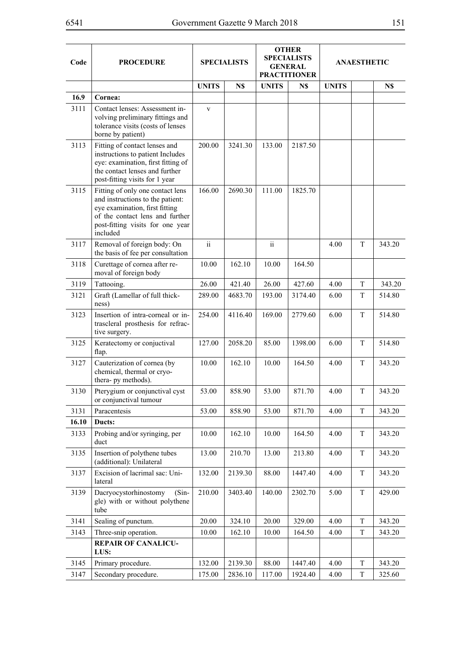| Code  | <b>PROCEDURE</b>                                                                                                                                                                          |                 | <b>SPECIALISTS</b> |               | <b>OTHER</b><br><b>SPECIALISTS</b><br><b>GENERAL</b><br><b>PRACTITIONER</b> | ANAESTHETIC  |   |        |
|-------|-------------------------------------------------------------------------------------------------------------------------------------------------------------------------------------------|-----------------|--------------------|---------------|-----------------------------------------------------------------------------|--------------|---|--------|
|       |                                                                                                                                                                                           | <b>UNITS</b>    | N\$                | <b>UNITS</b>  | N\$                                                                         | <b>UNITS</b> |   | N\$    |
| 16.9  | Cornea:                                                                                                                                                                                   |                 |                    |               |                                                                             |              |   |        |
| 3111  | Contact lenses: Assessment in-<br>volving preliminary fittings and<br>tolerance visits (costs of lenses<br>borne by patient)                                                              | V               |                    |               |                                                                             |              |   |        |
| 3113  | Fitting of contact lenses and<br>instructions to patient Includes<br>eye: examination, first fitting of<br>the contact lenses and further<br>post-fitting visits for 1 year               | 200.00          | 3241.30            | 133.00        | 2187.50                                                                     |              |   |        |
| 3115  | Fitting of only one contact lens<br>and instructions to the patient:<br>eye examination, first fitting<br>of the contact lens and further<br>post-fitting visits for one year<br>included | 166.00          | 2690.30            | 111.00        | 1825.70                                                                     |              |   |        |
| 3117  | Removal of foreign body: On<br>the basis of fee per consultation                                                                                                                          | $\ddot{\rm ii}$ |                    | $\mathrm{ii}$ |                                                                             | 4.00         | T | 343.20 |
| 3118  | Curettage of cornea after re-<br>moval of foreign body                                                                                                                                    | 10.00           | 162.10             | 10.00         | 164.50                                                                      |              |   |        |
| 3119  | Tattooing.                                                                                                                                                                                | 26.00           | 421.40             | 26.00         | 427.60                                                                      | 4.00         | T | 343.20 |
| 3121  | Graft (Lamellar of full thick-<br>ness)                                                                                                                                                   | 289.00          | 4683.70            | 193.00        | 3174.40                                                                     | 6.00         | T | 514.80 |
| 3123  | Insertion of intra-corneal or in-<br>trascleral prosthesis for refrac-<br>tive surgery.                                                                                                   | 254.00          | 4116.40            | 169.00        | 2779.60                                                                     | 6.00         | T | 514.80 |
| 3125  | Keratectomy or conjuctival<br>flap.                                                                                                                                                       | 127.00          | 2058.20            | 85.00         | 1398.00                                                                     | 6.00         | T | 514.80 |
| 3127  | Cauterization of cornea (by<br>chemical, thermal or cryo-<br>thera- py methods).                                                                                                          | 10.00           | 162.10             | 10.00         | 164.50                                                                      | 4.00         | T | 343.20 |
| 3130  | Pterygium or conjunctival cyst<br>or conjunctival tumour                                                                                                                                  | 53.00           | 858.90             | 53.00         | 871.70                                                                      | 4.00         | T | 343.20 |
| 3131  | Paracentesis                                                                                                                                                                              | 53.00           | 858.90             | 53.00         | 871.70                                                                      | 4.00         | T | 343.20 |
| 16.10 | Ducts:                                                                                                                                                                                    |                 |                    |               |                                                                             |              |   |        |
| 3133  | Probing and/or syringing, per<br>duct                                                                                                                                                     | 10.00           | 162.10             | 10.00         | 164.50                                                                      | 4.00         | T | 343.20 |
| 3135  | Insertion of polythene tubes<br>(additional): Unilateral                                                                                                                                  | 13.00           | 210.70             | 13.00         | 213.80                                                                      | 4.00         | T | 343.20 |
| 3137  | Excision of lacrimal sac: Uni-<br>lateral                                                                                                                                                 | 132.00          | 2139.30            | 88.00         | 1447.40                                                                     | 4.00         | T | 343.20 |
| 3139  | Dacryocystorhinostomy<br>$(Sin-$<br>gle) with or without polythene<br>tube                                                                                                                | 210.00          | 3403.40            | 140.00        | 2302.70                                                                     | 5.00         | T | 429.00 |
| 3141  | Sealing of punctum.                                                                                                                                                                       | 20.00           | 324.10             | 20.00         | 329.00                                                                      | 4.00         | T | 343.20 |
| 3143  | Three-snip operation.                                                                                                                                                                     | 10.00           | 162.10             | 10.00         | 164.50                                                                      | 4.00         | T | 343.20 |
|       | <b>REPAIR OF CANALICU-</b><br>LUS:                                                                                                                                                        |                 |                    |               |                                                                             |              |   |        |
| 3145  | Primary procedure.                                                                                                                                                                        | 132.00          | 2139.30            | 88.00         | 1447.40                                                                     | 4.00         | T | 343.20 |
| 3147  | Secondary procedure.                                                                                                                                                                      | 175.00          | 2836.10            | 117.00        | 1924.40                                                                     | 4.00         | T | 325.60 |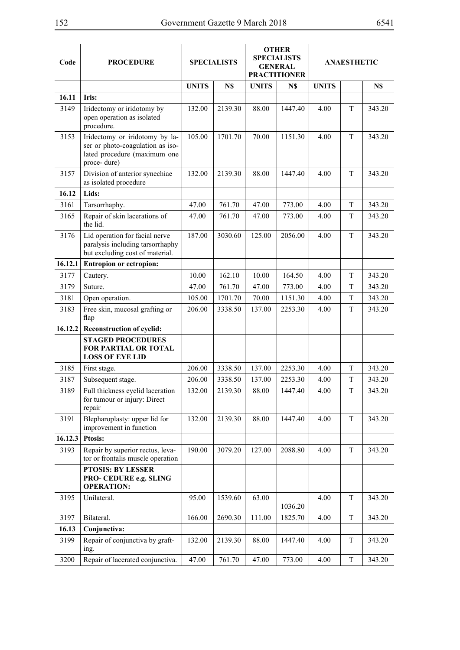| ٧<br>۰, |  |
|---------|--|
|---------|--|

| Code    | <b>PROCEDURE</b>                                                                                                  |              | <b>SPECIALISTS</b> |              | <b>OTHER</b><br><b>SPECIALISTS</b><br><b>GENERAL</b><br><b>PRACTITIONER</b> | <b>ANAESTHETIC</b> |             |        |
|---------|-------------------------------------------------------------------------------------------------------------------|--------------|--------------------|--------------|-----------------------------------------------------------------------------|--------------------|-------------|--------|
|         |                                                                                                                   | <b>UNITS</b> | N\$                | <b>UNITS</b> | N\$                                                                         | <b>UNITS</b>       |             | N\$    |
| 16.11   | Iris:                                                                                                             |              |                    |              |                                                                             |                    |             |        |
| 3149    | Iridectomy or iridotomy by<br>open operation as isolated<br>procedure.                                            | 132.00       | 2139.30            | 88.00        | 1447.40                                                                     | 4.00               | T           | 343.20 |
| 3153    | Iridectomy or iridotomy by la-<br>ser or photo-coagulation as iso-<br>lated procedure (maximum one<br>proce-dure) | 105.00       | 1701.70            | 70.00        | 1151.30                                                                     | 4.00               | T           | 343.20 |
| 3157    | Division of anterior synechiae<br>as isolated procedure                                                           | 132.00       | 2139.30            | 88.00        | 1447.40                                                                     | 4.00               | T           | 343.20 |
| 16.12   | Lids:                                                                                                             |              |                    |              |                                                                             |                    |             |        |
| 3161    | Tarsorrhaphy.                                                                                                     | 47.00        | 761.70             | 47.00        | 773.00                                                                      | 4.00               | T           | 343.20 |
| 3165    | Repair of skin lacerations of<br>the lid.                                                                         | 47.00        | 761.70             | 47.00        | 773.00                                                                      | 4.00               | T           | 343.20 |
| 3176    | Lid operation for facial nerve<br>paralysis including tarsorrhaphy<br>but excluding cost of material.             | 187.00       | 3030.60            | 125.00       | 2056.00                                                                     | 4.00               | T           | 343.20 |
| 16.12.1 | <b>Entropion or ectropion:</b>                                                                                    |              |                    |              |                                                                             |                    |             |        |
| 3177    | Cautery.                                                                                                          | 10.00        | 162.10             | 10.00        | 164.50                                                                      | 4.00               | T           | 343.20 |
| 3179    | Suture.                                                                                                           | 47.00        | 761.70             | 47.00        | 773.00                                                                      | 4.00               | T           | 343.20 |
| 3181    | Open operation.                                                                                                   | 105.00       | 1701.70            | 70.00        | 1151.30                                                                     | 4.00               | T           | 343.20 |
| 3183    | Free skin, mucosal grafting or<br>flap                                                                            | 206.00       | 3338.50            | 137.00       | 2253.30                                                                     | 4.00               | T           | 343.20 |
| 16.12.2 | <b>Reconstruction of eyelid:</b>                                                                                  |              |                    |              |                                                                             |                    |             |        |
|         | <b>STAGED PROCEDURES</b><br>FOR PARTIAL OR TOTAL<br><b>LOSS OF EYE LID</b>                                        |              |                    |              |                                                                             |                    |             |        |
| 3185    | First stage.                                                                                                      | 206.00       | 3338.50            | 137.00       | 2253.30                                                                     | 4.00               | $\mathbf T$ | 343.20 |
| 3187    | Subsequent stage.                                                                                                 | 206.00       | 3338.50            | 137.00       | 2253.30                                                                     | 4.00               | $\mathbf T$ | 343.20 |
| 3189    | Full thickness eyelid laceration<br>for tumour or injury: Direct<br>repair                                        | 132.00       | 2139.30            | 88.00        | 1447.40                                                                     | 4.00               | T           | 343.20 |
| 3191    | Blepharoplasty: upper lid for<br>improvement in function                                                          | 132.00       | 2139.30            | 88.00        | 1447.40                                                                     | 4.00               | T           | 343.20 |
| 16.12.3 | <b>Ptosis:</b>                                                                                                    |              |                    |              |                                                                             |                    |             |        |
| 3193    | Repair by superior rectus, leva-<br>tor or frontalis muscle operation                                             | 190.00       | 3079.20            | 127.00       | 2088.80                                                                     | 4.00               | T           | 343.20 |
|         | <b>PTOSIS: BY LESSER</b><br>PRO- CEDURE e.g. SLING<br><b>OPERATION:</b>                                           |              |                    |              |                                                                             |                    |             |        |
| 3195    | Unilateral.                                                                                                       | 95.00        | 1539.60            | 63.00        | 1036.20                                                                     | 4.00               | T           | 343.20 |
| 3197    | Bilateral.                                                                                                        | 166.00       | 2690.30            | 111.00       | 1825.70                                                                     | 4.00               | $\mathbf T$ | 343.20 |
| 16.13   | Conjunctiva:                                                                                                      |              |                    |              |                                                                             |                    |             |        |
| 3199    | Repair of conjunctiva by graft-<br>ing.                                                                           | 132.00       | 2139.30            | 88.00        | 1447.40                                                                     | 4.00               | T           | 343.20 |
| 3200    | Repair of lacerated conjunctiva.                                                                                  | 47.00        | 761.70             | 47.00        | 773.00                                                                      | 4.00               | $\mathbf T$ | 343.20 |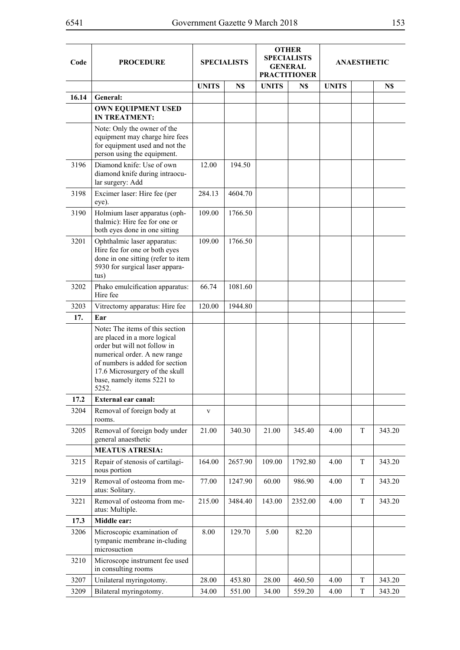| Code  | <b>PROCEDURE</b>                                                                                                                                                                                                                            |              | <b>SPECIALISTS</b> |              | <b>OTHER</b><br><b>SPECIALISTS</b><br><b>GENERAL</b><br><b>PRACTITIONER</b> | <b>ANAESTHETIC</b> |   |        |
|-------|---------------------------------------------------------------------------------------------------------------------------------------------------------------------------------------------------------------------------------------------|--------------|--------------------|--------------|-----------------------------------------------------------------------------|--------------------|---|--------|
|       |                                                                                                                                                                                                                                             | <b>UNITS</b> | N\$                | <b>UNITS</b> | N\$                                                                         | <b>UNITS</b>       |   | N\$    |
| 16.14 | General:                                                                                                                                                                                                                                    |              |                    |              |                                                                             |                    |   |        |
|       | <b>OWN EQUIPMENT USED</b><br><b>IN TREATMENT:</b>                                                                                                                                                                                           |              |                    |              |                                                                             |                    |   |        |
|       | Note: Only the owner of the<br>equipment may charge hire fees<br>for equipment used and not the<br>person using the equipment.                                                                                                              |              |                    |              |                                                                             |                    |   |        |
| 3196  | Diamond knife: Use of own<br>diamond knife during intraocu-<br>lar surgery: Add                                                                                                                                                             | 12.00        | 194.50             |              |                                                                             |                    |   |        |
| 3198  | Excimer laser: Hire fee (per<br>eye).                                                                                                                                                                                                       | 284.13       | 4604.70            |              |                                                                             |                    |   |        |
| 3190  | Holmium laser apparatus (oph-<br>thalmic): Hire fee for one or<br>both eyes done in one sitting                                                                                                                                             | 109.00       | 1766.50            |              |                                                                             |                    |   |        |
| 3201  | Ophthalmic laser apparatus:<br>Hire fee for one or both eyes<br>done in one sitting (refer to item<br>5930 for surgical laser appara-<br>tus)                                                                                               | 109.00       | 1766.50            |              |                                                                             |                    |   |        |
| 3202  | Phako emulcification apparatus:<br>Hire fee                                                                                                                                                                                                 | 66.74        | 1081.60            |              |                                                                             |                    |   |        |
| 3203  | Vitrectomy apparatus: Hire fee                                                                                                                                                                                                              | 120.00       | 1944.80            |              |                                                                             |                    |   |        |
| 17.   | Ear                                                                                                                                                                                                                                         |              |                    |              |                                                                             |                    |   |        |
|       | Note: The items of this section<br>are placed in a more logical<br>order but will not follow in<br>numerical order. A new range<br>of numbers is added for section<br>17.6 Microsurgery of the skull<br>base, namely items 5221 to<br>5252. |              |                    |              |                                                                             |                    |   |        |
| 17.2  | External ear canal:                                                                                                                                                                                                                         |              |                    |              |                                                                             |                    |   |        |
| 3204  | Removal of foreign body at<br>rooms.                                                                                                                                                                                                        | $\mathbf{V}$ |                    |              |                                                                             |                    |   |        |
| 3205  | Removal of foreign body under<br>general anaesthetic                                                                                                                                                                                        | 21.00        | 340.30             | 21.00        | 345.40                                                                      | 4.00               | T | 343.20 |
|       | <b>MEATUS ATRESIA:</b>                                                                                                                                                                                                                      |              |                    |              |                                                                             |                    |   |        |
| 3215  | Repair of stenosis of cartilagi-<br>nous portion                                                                                                                                                                                            | 164.00       | 2657.90            | 109.00       | 1792.80                                                                     | 4.00               | T | 343.20 |
| 3219  | Removal of osteoma from me-<br>atus: Solitary.                                                                                                                                                                                              | 77.00        | 1247.90            | 60.00        | 986.90                                                                      | 4.00               | T | 343.20 |
| 3221  | Removal of osteoma from me-<br>atus: Multiple.                                                                                                                                                                                              | 215.00       | 3484.40            | 143.00       | 2352.00                                                                     | 4.00               | T | 343.20 |
| 17.3  | Middle ear:                                                                                                                                                                                                                                 |              |                    |              |                                                                             |                    |   |        |
| 3206  | Microscopic examination of<br>tympanic membrane in-cluding<br>microsuction                                                                                                                                                                  | 8.00         | 129.70             | 5.00         | 82.20                                                                       |                    |   |        |
| 3210  | Microscope instrument fee used<br>in consulting rooms                                                                                                                                                                                       |              |                    |              |                                                                             |                    |   |        |
| 3207  | Unilateral myringotomy.                                                                                                                                                                                                                     | 28.00        | 453.80             | 28.00        | 460.50                                                                      | 4.00               | T | 343.20 |
| 3209  | Bilateral myringotomy.                                                                                                                                                                                                                      | 34.00        | 551.00             | 34.00        | 559.20                                                                      | 4.00               | T | 343.20 |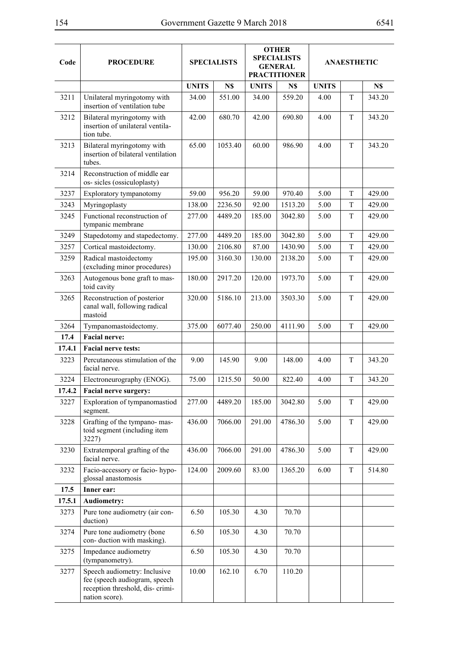$\overline{\phantom{a}}$ 

| Code   | <b>PROCEDURE</b>                                                                                                   | <b>SPECIALISTS</b> |         | <b>OTHER</b><br><b>SPECIALISTS</b><br><b>GENERAL</b><br><b>PRACTITIONER</b> |         | <b>ANAESTHETIC</b> |             |        |
|--------|--------------------------------------------------------------------------------------------------------------------|--------------------|---------|-----------------------------------------------------------------------------|---------|--------------------|-------------|--------|
|        |                                                                                                                    | <b>UNITS</b>       | N\$     | <b>UNITS</b>                                                                | N\$     | <b>UNITS</b>       |             | N\$    |
| 3211   | Unilateral myringotomy with<br>insertion of ventilation tube                                                       | 34.00              | 551.00  | 34.00                                                                       | 559.20  | 4.00               | $\mathbf T$ | 343.20 |
| 3212   | Bilateral myringotomy with<br>insertion of unilateral ventila-<br>tion tube.                                       | 42.00              | 680.70  | 42.00                                                                       | 690.80  | 4.00               | T           | 343.20 |
| 3213   | Bilateral myringotomy with<br>insertion of bilateral ventilation<br>tubes.                                         | 65.00              | 1053.40 | 60.00                                                                       | 986.90  | 4.00               | T           | 343.20 |
| 3214   | Reconstruction of middle ear<br>os- sicles (ossiculoplasty)                                                        |                    |         |                                                                             |         |                    |             |        |
| 3237   | Exploratory tympanotomy                                                                                            | 59.00              | 956.20  | 59.00                                                                       | 970.40  | 5.00               | T           | 429.00 |
| 3243   | Myringoplasty                                                                                                      | 138.00             | 2236.50 | 92.00                                                                       | 1513.20 | 5.00               | T           | 429.00 |
| 3245   | Functional reconstruction of<br>tympanic membrane                                                                  | 277.00             | 4489.20 | 185.00                                                                      | 3042.80 | 5.00               | T           | 429.00 |
| 3249   | Stapedotomy and stapedectomy.                                                                                      | 277.00             | 4489.20 | 185.00                                                                      | 3042.80 | 5.00               | T           | 429.00 |
| 3257   | Cortical mastoidectomy.                                                                                            | 130.00             | 2106.80 | 87.00                                                                       | 1430.90 | 5.00               | T           | 429.00 |
| 3259   | Radical mastoidectomy<br>(excluding minor procedures)                                                              | 195.00             | 3160.30 | 130.00                                                                      | 2138.20 | 5.00               | T           | 429.00 |
| 3263   | Autogenous bone graft to mas-<br>toid cavity                                                                       | 180.00             | 2917.20 | 120.00                                                                      | 1973.70 | 5.00               | T           | 429.00 |
| 3265   | Reconstruction of posterior<br>canal wall, following radical<br>mastoid                                            | 320.00             | 5186.10 | 213.00                                                                      | 3503.30 | 5.00               | T           | 429.00 |
| 3264   | Tympanomastoidectomy.                                                                                              | 375.00             | 6077.40 | 250.00                                                                      | 4111.90 | 5.00               | T           | 429.00 |
| 17.4   | <b>Facial nerve:</b>                                                                                               |                    |         |                                                                             |         |                    |             |        |
| 17.4.1 | <b>Facial nerve tests:</b>                                                                                         |                    |         |                                                                             |         |                    |             |        |
| 3223   | Percutaneous stimulation of the<br>facial nerve.                                                                   | 9.00               | 145.90  | 9.00                                                                        | 148.00  | 4.00               | T           | 343.20 |
| 3224   | Electroneurography (ENOG).                                                                                         | 75.00              | 1215.50 | 50.00                                                                       | 822.40  | 4.00               | $\mathbf T$ | 343.20 |
| 17.4.2 | Facial nerve surgery:                                                                                              |                    |         |                                                                             |         |                    |             |        |
| 3227   | Exploration of tympanomastiod<br>segment.                                                                          | 277.00             | 4489.20 | 185.00                                                                      | 3042.80 | 5.00               | T           | 429.00 |
| 3228   | Grafting of the tympano-mas-<br>toid segment (including item<br>3227)                                              | 436.00             | 7066.00 | 291.00                                                                      | 4786.30 | 5.00               | $\mathbf T$ | 429.00 |
| 3230   | Extratemporal grafting of the<br>facial nerve.                                                                     | 436.00             | 7066.00 | 291.00                                                                      | 4786.30 | 5.00               | T           | 429.00 |
| 3232   | Facio-accessory or facio-hypo-<br>glossal anastomosis                                                              | 124.00             | 2009.60 | 83.00                                                                       | 1365.20 | 6.00               | T           | 514.80 |
| 17.5   | Inner ear:                                                                                                         |                    |         |                                                                             |         |                    |             |        |
| 17.5.1 | <b>Audiometry:</b>                                                                                                 |                    |         |                                                                             |         |                    |             |        |
| 3273   | Pure tone audiometry (air con-<br>duction)                                                                         | 6.50               | 105.30  | 4.30                                                                        | 70.70   |                    |             |        |
| 3274   | Pure tone audiometry (bone<br>con-duction with masking).                                                           | 6.50               | 105.30  | 4.30                                                                        | 70.70   |                    |             |        |
| 3275   | Impedance audiometry<br>(tympanometry).                                                                            | 6.50               | 105.30  | 4.30                                                                        | 70.70   |                    |             |        |
| 3277   | Speech audiometry: Inclusive<br>fee (speech audiogram, speech<br>reception threshold, dis-crimi-<br>nation score). | 10.00              | 162.10  | 6.70                                                                        | 110.20  |                    |             |        |

÷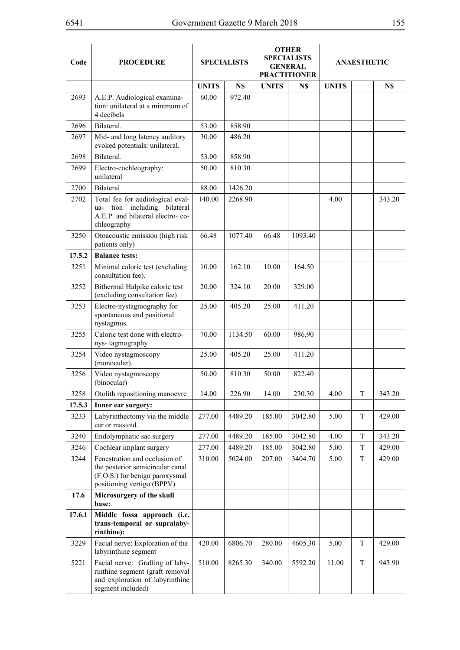| Code   | <b>PROCEDURE</b>                                                                                                                  | <b>SPECIALISTS</b> |         | <b>OTHER</b><br><b>SPECIALISTS</b><br><b>GENERAL</b><br><b>PRACTITIONER</b> |         | <b>ANAESTHETIC</b> |   |        |
|--------|-----------------------------------------------------------------------------------------------------------------------------------|--------------------|---------|-----------------------------------------------------------------------------|---------|--------------------|---|--------|
|        |                                                                                                                                   | <b>UNITS</b>       | N\$     | <b>UNITS</b>                                                                | N\$     | <b>UNITS</b>       |   | N\$    |
| 2693   | A.E.P. Audiological examina-<br>tion: unilateral at a minimum of<br>4 decibels                                                    | 60.00              | 972.40  |                                                                             |         |                    |   |        |
| 2696   | Bilateral.                                                                                                                        | 53.00              | 858.90  |                                                                             |         |                    |   |        |
| 2697   | Mid- and long latency auditory<br>evoked potentials: unilateral.                                                                  | 30.00              | 486.20  |                                                                             |         |                    |   |        |
| 2698   | Bilateral.                                                                                                                        | 53.00              | 858.90  |                                                                             |         |                    |   |        |
| 2699   | Electro-cochleography:<br>unilateral                                                                                              | 50.00              | 810.30  |                                                                             |         |                    |   |        |
| 2700   | <b>Bilateral</b>                                                                                                                  | 88.00              | 1426.20 |                                                                             |         |                    |   |        |
| 2702   | Total fee for audiological eval-<br>ua- tion including bilateral<br>A.E.P. and bilateral electro-co-<br>chleography               | 140.00             | 2268.90 |                                                                             |         | 4.00               |   | 343.20 |
| 3250   | Otoacoustic emission (high risk<br>patients only)                                                                                 | 66.48              | 1077.40 | 66.48                                                                       | 1093.40 |                    |   |        |
| 17.5.2 | <b>Balance tests:</b>                                                                                                             |                    |         |                                                                             |         |                    |   |        |
| 3251   | Minimal caloric test (excluding<br>consultation fee).                                                                             | 10.00              | 162.10  | 10.00                                                                       | 164.50  |                    |   |        |
| 3252   | Bithermal Halpike caloric test<br>(excluding consultation fee)                                                                    | 20.00              | 324.10  | 20.00                                                                       | 329.00  |                    |   |        |
| 3253   | Electro-nystagmography for<br>spontaneous and positional<br>nystagmus.                                                            | 25.00              | 405.20  | 25.00                                                                       | 411.20  |                    |   |        |
| 3255   | Caloric test done with electro-<br>nys-tagmography                                                                                | 70.00              | 1134.50 | 60.00                                                                       | 986.90  |                    |   |        |
| 3254   | Video nystagmoscopy<br>(monocular).                                                                                               | 25.00              | 405.20  | 25.00                                                                       | 411.20  |                    |   |        |
| 3256   | Video nystagmoscopy<br>(binocular)                                                                                                | 50.00              | 810.30  | 50.00                                                                       | 822.40  |                    |   |        |
| 3258   | Otolith repositioning manoevre                                                                                                    | 14.00              | 226.90  | 14.00                                                                       | 230.30  | 4.00               | T | 343.20 |
| 17.5.3 | Inner ear surgery:                                                                                                                |                    |         |                                                                             |         |                    |   |        |
| 3233   | Labyrinthectomy via the middle<br>ear or mastoid.                                                                                 | 277.00             | 4489.20 | 185.00                                                                      | 3042.80 | 5.00               | T | 429.00 |
| 3240   | Endolymphatic sac surgery                                                                                                         | 277.00             | 4489.20 | 185.00                                                                      | 3042.80 | 4.00               | T | 343.20 |
| 3246   | Cochlear implant surgery                                                                                                          | 277.00             | 4489.20 | 185.00                                                                      | 3042.80 | 5.00               | T | 429.00 |
| 3244   | Fenestration and occlusion of<br>the posterior semicircular canal<br>(F.O.S.) for benign paroxysmal<br>positioning vertigo (BPPV) | 310.00             | 5024.00 | 207.00                                                                      | 3404.70 | 5.00               | T | 429.00 |
| 17.6   | Microsurgery of the skull<br>base:                                                                                                |                    |         |                                                                             |         |                    |   |        |
| 17.6.1 | Middle fossa approach (i.e.<br>trans-temporal or supralaby-<br>rinthine):                                                         |                    |         |                                                                             |         |                    |   |        |
| 3229   | Facial nerve: Exploration of the<br>labyrinthine segment                                                                          | 420.00             | 6806.70 | 280.00                                                                      | 4605.30 | 5.00               | T | 429.00 |
| 5221   | Facial nerve: Grafting of laby-<br>rinthine segment (graft removal<br>and exploration of labyrinthine<br>segment included)        | 510.00             | 8265.30 | 340.00                                                                      | 5592.20 | 11.00              | T | 943.90 |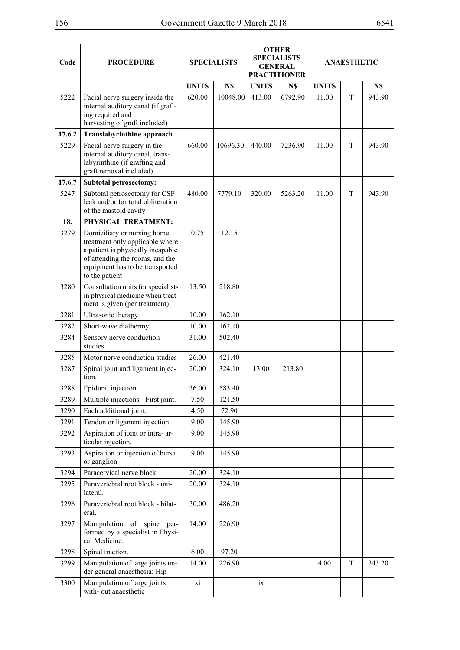| Code   | <b>PROCEDURE</b>                                                                                                                                                                            |              | <b>SPECIALISTS</b> |              | <b>OTHER</b><br><b>SPECIALISTS</b><br><b>GENERAL</b><br><b>PRACTITIONER</b> |              | <b>ANAESTHETIC</b> |        |
|--------|---------------------------------------------------------------------------------------------------------------------------------------------------------------------------------------------|--------------|--------------------|--------------|-----------------------------------------------------------------------------|--------------|--------------------|--------|
|        |                                                                                                                                                                                             | <b>UNITS</b> | N\$                | <b>UNITS</b> | N\$                                                                         | <b>UNITS</b> |                    | N\$    |
| 5222   | Facial nerve surgery inside the<br>internal auditory canal (if graft-<br>ing required and<br>harvesting of graft included)                                                                  | 620.00       | 10048.00           | 413.00       | 6792.90                                                                     | 11.00        | $\mathbf T$        | 943.90 |
| 17.6.2 | Translabyrinthine approach                                                                                                                                                                  |              |                    |              |                                                                             |              |                    |        |
| 5229   | Facial nerve surgery in the<br>internal auditory canal, trans-<br>labyrinthine (if grafting and<br>graft removal included)                                                                  | 660.00       | 10696.30           | 440.00       | 7236.90                                                                     | 11.00        | T                  | 943.90 |
| 17.6.7 | <b>Subtotal petrosectomy:</b>                                                                                                                                                               |              |                    |              |                                                                             |              |                    |        |
| 5247   | Subtotal petrosectomy for CSF<br>leak and/or for total obliteration<br>of the mastoid cavity                                                                                                | 480.00       | 7779.10            | 320.00       | 5263.20                                                                     | 11.00        | T                  | 943.90 |
| 18.    | PHYSICAL TREATMENT:                                                                                                                                                                         |              |                    |              |                                                                             |              |                    |        |
| 3279   | Domiciliary or nursing home<br>treatment only applicable where<br>a patient is physically incapable<br>of attending the rooms, and the<br>equipment has to be transported<br>to the patient | 0.75         | 12.15              |              |                                                                             |              |                    |        |
| 3280   | Consultation units for specialists<br>in physical medicine when treat-<br>ment is given (per treatment)                                                                                     | 13.50        | 218.80             |              |                                                                             |              |                    |        |
| 3281   | Ultrasonic therapy.                                                                                                                                                                         | 10.00        | 162.10             |              |                                                                             |              |                    |        |
| 3282   | Short-wave diathermy.                                                                                                                                                                       | 10.00        | 162.10             |              |                                                                             |              |                    |        |
| 3284   | Sensory nerve conduction<br>studies                                                                                                                                                         | 31.00        | 502.40             |              |                                                                             |              |                    |        |
| 3285   | Motor nerve conduction studies                                                                                                                                                              | 26.00        | 421.40             |              |                                                                             |              |                    |        |
| 3287   | Spinal joint and ligament injec-<br>tion.                                                                                                                                                   | 20.00        | 324.10             | 13.00        | 213.80                                                                      |              |                    |        |
| 3288   | Epidural injection.                                                                                                                                                                         | 36.00        | 583.40             |              |                                                                             |              |                    |        |
| 3289   | Multiple injections - First joint.                                                                                                                                                          | 7.50         | 121.50             |              |                                                                             |              |                    |        |
| 3290   | Each additional joint.                                                                                                                                                                      | 4.50         | 72.90              |              |                                                                             |              |                    |        |
| 3291   | Tendon or ligament injection.                                                                                                                                                               | 9.00         | 145.90             |              |                                                                             |              |                    |        |
| 3292   | Aspiration of joint or intra- ar-<br>ticular injection.                                                                                                                                     | 9.00         | 145.90             |              |                                                                             |              |                    |        |
| 3293   | Aspiration or injection of bursa<br>or ganglion                                                                                                                                             | 9.00         | 145.90             |              |                                                                             |              |                    |        |
| 3294   | Paracervical nerve block.                                                                                                                                                                   | 20.00        | 324.10             |              |                                                                             |              |                    |        |
| 3295   | Paravertebral root block - uni-<br>lateral.                                                                                                                                                 | 20.00        | 324.10             |              |                                                                             |              |                    |        |
| 3296   | Paravertebral root block - bilat-<br>eral.                                                                                                                                                  | 30.00        | 486.20             |              |                                                                             |              |                    |        |
| 3297   | Manipulation of spine per-<br>formed by a specialist in Physi-<br>cal Medicine.                                                                                                             | 14.00        | 226.90             |              |                                                                             |              |                    |        |
| 3298   | Spinal traction.                                                                                                                                                                            | 6.00         | 97.20              |              |                                                                             |              |                    |        |
| 3299   | Manipulation of large joints un-<br>der general anaesthesia: Hip                                                                                                                            | 14.00        | 226.90             |              |                                                                             | 4.00         | T                  | 343.20 |
| 3300   | Manipulation of large joints<br>with-out anaesthetic                                                                                                                                        | xi           |                    | ix           |                                                                             |              |                    |        |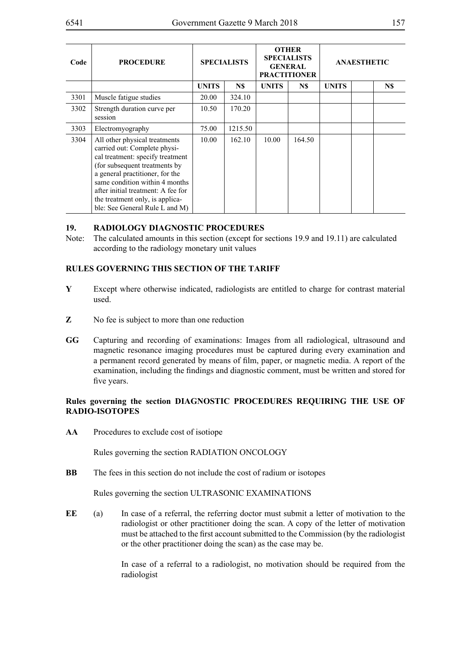| Code | <b>PROCEDURE</b>                                                                                                                                                                                                                                                                                                   | <b>SPECIALISTS</b> |         | <b>OTHER</b><br><b>SPECIALISTS</b><br><b>GENERAL</b><br><b>PRACTITIONER</b> |        | <b>ANAESTHETIC</b> |  |     |
|------|--------------------------------------------------------------------------------------------------------------------------------------------------------------------------------------------------------------------------------------------------------------------------------------------------------------------|--------------------|---------|-----------------------------------------------------------------------------|--------|--------------------|--|-----|
|      |                                                                                                                                                                                                                                                                                                                    | <b>UNITS</b>       | N\$     | <b>UNITS</b>                                                                | N\$    | <b>UNITS</b>       |  | N\$ |
| 3301 | Muscle fatigue studies                                                                                                                                                                                                                                                                                             | 20.00              | 324.10  |                                                                             |        |                    |  |     |
| 3302 | Strength duration curve per<br>session                                                                                                                                                                                                                                                                             | 10.50              | 170.20  |                                                                             |        |                    |  |     |
| 3303 | Electromyography                                                                                                                                                                                                                                                                                                   | 75.00              | 1215.50 |                                                                             |        |                    |  |     |
| 3304 | All other physical treatments<br>carried out: Complete physi-<br>cal treatment: specify treatment<br>(for subsequent treatments by<br>a general practitioner, for the<br>same condition within 4 months<br>after initial treatment: A fee for<br>the treatment only, is applica-<br>ble: See General Rule L and M) | 10.00              | 162.10  | 10.00                                                                       | 164.50 |                    |  |     |

### **19. RADIOLOGY DIAGNOSTIC PROCEDURES**

Note: The calculated amounts in this section (except for sections 19.9 and 19.11) are calculated according to the radiology monetary unit values

### **RULES GOVERNING THIS SECTION OF THE TARIFF**

- **Y** Except where otherwise indicated, radiologists are entitled to charge for contrast material used.
- **Z** No fee is subject to more than one reduction
- **GG** Capturing and recording of examinations: Images from all radiological, ultrasound and magnetic resonance imaging procedures must be captured during every examination and a permanent record generated by means of film, paper, or magnetic media. A report of the examination, including the findings and diagnostic comment, must be written and stored for five years.

# **Rules governing the section DIAGNOSTIC PROCEDURES REQUIRING THE USE OF RADIO-ISOTOPES**

**AA** Procedures to exclude cost of isotiope

Rules governing the section RADIATION ONCOLOGY

**BB** The fees in this section do not include the cost of radium or isotopes

Rules governing the section ULTRASONIC EXAMINATIONS

**EE** (a) In case of a referral, the referring doctor must submit a letter of motivation to the radiologist or other practitioner doing the scan. A copy of the letter of motivation must be attached to the first account submitted to the Commission (by the radiologist or the other practitioner doing the scan) as the case may be.

> In case of a referral to a radiologist, no motivation should be required from the radiologist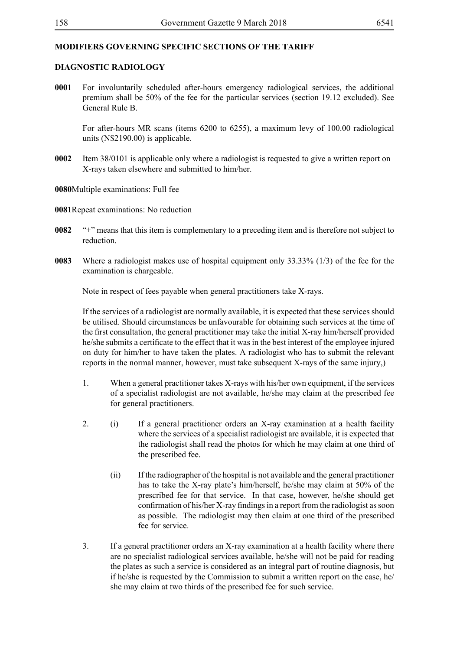# **MODIFIERS GOVERNING SPECIFIC SECTIONS OF THE TARIFF**

### **DIAGNOSTIC RADIOLOGY**

**0001** For involuntarily scheduled after-hours emergency radiological services, the additional premium shall be 50% of the fee for the particular services (section 19.12 excluded). See General Rule B.

For after-hours MR scans (items 6200 to 6255), a maximum levy of 100.00 radiological units (N\$2190.00) is applicable.

- **0002** Item 38/0101 is applicable only where a radiologist is requested to give a written report on X-rays taken elsewhere and submitted to him/her.
- **0080**Multiple examinations: Full fee

**0081**Repeat examinations: No reduction

- **0082** "+" means that this item is complementary to a preceding item and is therefore not subject to reduction.
- **0083** Where a radiologist makes use of hospital equipment only 33.33% (1/3) of the fee for the examination is chargeable.

Note in respect of fees payable when general practitioners take X-rays.

If the services of a radiologist are normally available, it is expected that these services should be utilised. Should circumstances be unfavourable for obtaining such services at the time of the first consultation, the general practitioner may take the initial X-ray him/herself provided he/she submits a certificate to the effect that it was in the best interest of the employee injured on duty for him/her to have taken the plates. A radiologist who has to submit the relevant reports in the normal manner, however, must take subsequent X-rays of the same injury,)

- 1. When a general practitioner takes X-rays with his/her own equipment, if the services of a specialist radiologist are not available, he/she may claim at the prescribed fee for general practitioners.
- 2. (i) If a general practitioner orders an X-ray examination at a health facility where the services of a specialist radiologist are available, it is expected that the radiologist shall read the photos for which he may claim at one third of the prescribed fee.
	- (ii) If the radiographer of the hospital is not available and the general practitioner has to take the X-ray plate's him/herself, he/she may claim at 50% of the prescribed fee for that service. In that case, however, he/she should get confirmation of his/her X-ray findings in a report from the radiologist as soon as possible. The radiologist may then claim at one third of the prescribed fee for service.
- 3. If a general practitioner orders an X-ray examination at a health facility where there are no specialist radiological services available, he/she will not be paid for reading the plates as such a service is considered as an integral part of routine diagnosis, but if he/she is requested by the Commission to submit a written report on the case, he/ she may claim at two thirds of the prescribed fee for such service.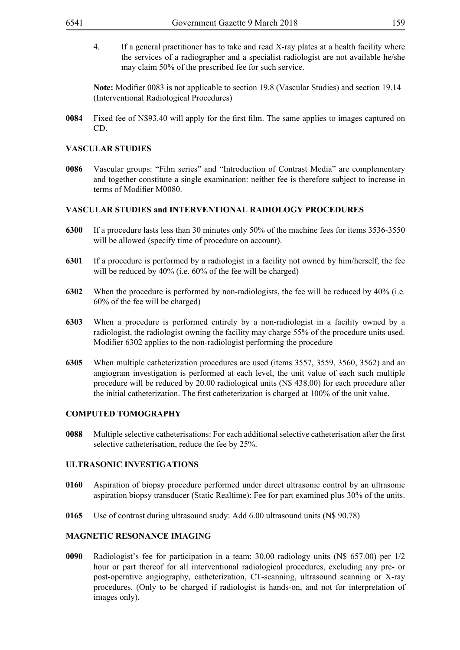4. If a general practitioner has to take and read X-ray plates at a health facility where the services of a radiographer and a specialist radiologist are not available he/she may claim 50% of the prescribed fee for such service.

**Note:** Modifier 0083 is not applicable to section 19.8 (Vascular Studies) and section 19.14 (Interventional Radiological Procedures)

**0084** Fixed fee of N\$93.40 will apply for the first film. The same applies to images captured on CD.

## **VASCULAR STUDIES**

**0086** Vascular groups: "Film series" and "Introduction of Contrast Media" are complementary and together constitute a single examination: neither fee is therefore subject to increase in terms of Modifier M0080.

#### **VASCULAR STUDIES and INTERVENTIONAL RADIOLOGY PROCEDURES**

- **6300** If a procedure lasts less than 30 minutes only 50% of the machine fees for items 3536-3550 will be allowed (specify time of procedure on account).
- **6301** If a procedure is performed by a radiologist in a facility not owned by him/herself, the fee will be reduced by 40% (i.e. 60% of the fee will be charged)
- **6302** When the procedure is performed by non-radiologists, the fee will be reduced by 40% (i.e. 60% of the fee will be charged)
- **6303** When a procedure is performed entirely by a non-radiologist in a facility owned by a radiologist, the radiologist owning the facility may charge 55% of the procedure units used. Modifier 6302 applies to the non-radiologist performing the procedure
- **6305** When multiple catheterization procedures are used (items 3557, 3559, 3560, 3562) and an angiogram investigation is performed at each level, the unit value of each such multiple procedure will be reduced by 20.00 radiological units (N\$ 438.00) for each procedure after the initial catheterization. The first catheterization is charged at 100% of the unit value.

### **COMPUTED TOMOGRAPHY**

**0088** Multiple selective catheterisations: For each additional selective catheterisation after the first selective catheterisation, reduce the fee by 25%.

#### **ULTRASONIC INVESTIGATIONS**

- **0160** Aspiration of biopsy procedure performed under direct ultrasonic control by an ultrasonic aspiration biopsy transducer (Static Realtime): Fee for part examined plus 30% of the units.
- **0165** Use of contrast during ultrasound study: Add 6.00 ultrasound units (N\$ 90.78)

### **MAGNETIC RESONANCE IMAGING**

**0090** Radiologist's fee for participation in a team: 30.00 radiology units (N\$ 657.00) per 1/2 hour or part thereof for all interventional radiological procedures, excluding any pre- or post-operative angiography, catheterization, CT-scanning, ultrasound scanning or X-ray procedures. (Only to be charged if radiologist is hands-on, and not for interpretation of images only).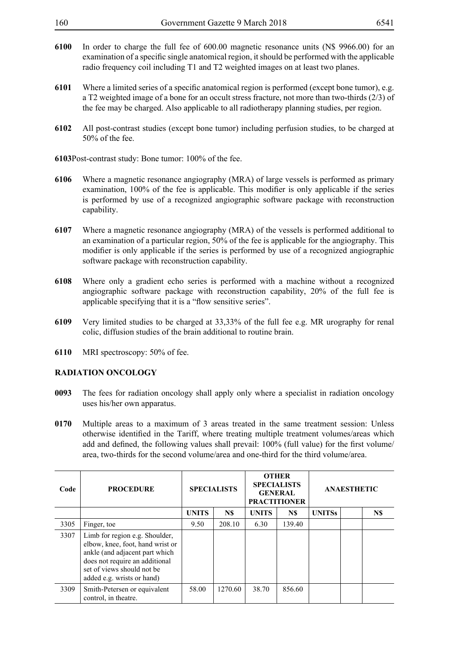| 160 | Government Gazette 9 March 2018 | 6541 |
|-----|---------------------------------|------|
|-----|---------------------------------|------|

- **6100** In order to charge the full fee of 600.00 magnetic resonance units (N\$ 9966.00) for an examination of a specific single anatomical region, it should be performed with the applicable radio frequency coil including T1 and T2 weighted images on at least two planes.
- **6101** Where a limited series of a specific anatomical region is performed (except bone tumor), e.g. a T2 weighted image of a bone for an occult stress fracture, not more than two-thirds (2/3) of the fee may be charged. Also applicable to all radiotherapy planning studies, per region.
- **6102** All post-contrast studies (except bone tumor) including perfusion studies, to be charged at 50% of the fee.

**6103**Post-contrast study: Bone tumor: 100% of the fee.

- **6106** Where a magnetic resonance angiography (MRA) of large vessels is performed as primary examination, 100% of the fee is applicable. This modifier is only applicable if the series is performed by use of a recognized angiographic software package with reconstruction capability.
- **6107** Where a magnetic resonance angiography (MRA) of the vessels is performed additional to an examination of a particular region, 50% of the fee is applicable for the angiography. This modifier is only applicable if the series is performed by use of a recognized angiographic software package with reconstruction capability.
- **6108** Where only a gradient echo series is performed with a machine without a recognized angiographic software package with reconstruction capability, 20% of the full fee is applicable specifying that it is a "flow sensitive series".
- **6109** Very limited studies to be charged at 33,33% of the full fee e.g. MR urography for renal colic, diffusion studies of the brain additional to routine brain.
- **6110** MRI spectroscopy: 50% of fee.

# **RADIATION ONCOLOGY**

- **0093** The fees for radiation oncology shall apply only where a specialist in radiation oncology uses his/her own apparatus.
- **0170** Multiple areas to a maximum of 3 areas treated in the same treatment session: Unless otherwise identified in the Tariff, where treating multiple treatment volumes/areas which add and defined, the following values shall prevail: 100% (full value) for the first volume/ area, two-thirds for the second volume/area and one-third for the third volume/area.

| Code | <b>PROCEDURE</b>                                                                                                                                                                                   |              | <b>SPECIALISTS</b> | <b>OTHER</b><br><b>SPECIALISTS</b><br><b>GENERAL</b><br><b>PRACTITIONER</b> |        | <b>ANAESTHETIC</b> |     |  |
|------|----------------------------------------------------------------------------------------------------------------------------------------------------------------------------------------------------|--------------|--------------------|-----------------------------------------------------------------------------|--------|--------------------|-----|--|
|      |                                                                                                                                                                                                    | <b>UNITS</b> | N\$                | <b>UNITS</b>                                                                | N\$    | <b>UNITSs</b>      | N\$ |  |
| 3305 | Finger, toe                                                                                                                                                                                        | 9.50         | 208.10             | 6.30                                                                        | 139.40 |                    |     |  |
| 3307 | Limb for region e.g. Shoulder,<br>elbow, knee, foot, hand wrist or<br>ankle (and adjacent part which<br>does not require an additional<br>set of views should not be<br>added e.g. wrists or hand) |              |                    |                                                                             |        |                    |     |  |
| 3309 | Smith-Petersen or equivalent<br>control, in theatre.                                                                                                                                               | 58.00        | 1270.60            | 38.70                                                                       | 856.60 |                    |     |  |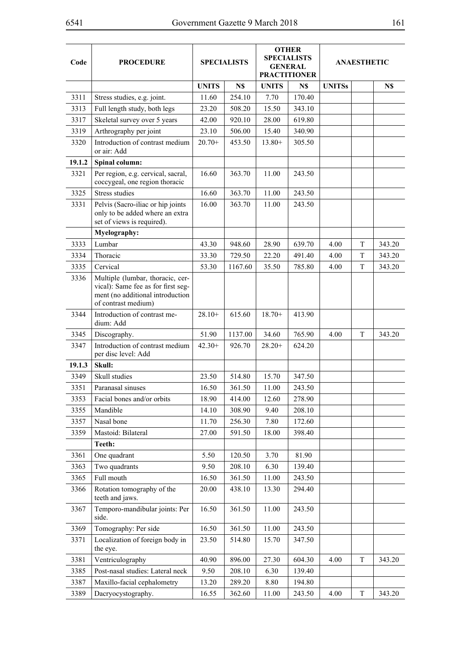| Code   | <b>PROCEDURE</b>                                                                                                                  |              | <b>SPECIALISTS</b> |              | <b>OTHER</b><br><b>SPECIALISTS</b><br><b>GENERAL</b><br><b>PRACTITIONER</b> | <b>ANAESTHETIC</b> |             |        |
|--------|-----------------------------------------------------------------------------------------------------------------------------------|--------------|--------------------|--------------|-----------------------------------------------------------------------------|--------------------|-------------|--------|
|        |                                                                                                                                   | <b>UNITS</b> | N\$                | <b>UNITS</b> | N\$                                                                         | <b>UNITSs</b>      |             | N\$    |
| 3311   | Stress studies, e.g. joint.                                                                                                       | 11.60        | 254.10             | 7.70         | 170.40                                                                      |                    |             |        |
| 3313   | Full length study, both legs                                                                                                      | 23.20        | 508.20             | 15.50        | 343.10                                                                      |                    |             |        |
| 3317   | Skeletal survey over 5 years                                                                                                      | 42.00        | 920.10             | 28.00        | 619.80                                                                      |                    |             |        |
| 3319   | Arthrography per joint                                                                                                            | 23.10        | 506.00             | 15.40        | 340.90                                                                      |                    |             |        |
| 3320   | Introduction of contrast medium<br>or air: Add                                                                                    | $20.70+$     | 453.50             | $13.80+$     | 305.50                                                                      |                    |             |        |
| 19.1.2 | Spinal column:                                                                                                                    |              |                    |              |                                                                             |                    |             |        |
| 3321   | Per region, e.g. cervical, sacral,<br>coccygeal, one region thoracic                                                              | 16.60        | 363.70             | 11.00        | 243.50                                                                      |                    |             |        |
| 3325   | <b>Stress studies</b>                                                                                                             | 16.60        | 363.70             | 11.00        | 243.50                                                                      |                    |             |        |
| 3331   | Pelvis (Sacro-iliac or hip joints<br>only to be added where an extra<br>set of views is required).                                | 16.00        | 363.70             | 11.00        | 243.50                                                                      |                    |             |        |
|        | Myelography:                                                                                                                      |              |                    |              |                                                                             |                    |             |        |
| 3333   | Lumbar                                                                                                                            | 43.30        | 948.60             | 28.90        | 639.70                                                                      | 4.00               | T           | 343.20 |
| 3334   | Thoracic                                                                                                                          | 33.30        | 729.50             | 22.20        | 491.40                                                                      | 4.00               | T           | 343.20 |
| 3335   | Cervical                                                                                                                          | 53.30        | 1167.60            | 35.50        | 785.80                                                                      | 4.00               | T           | 343.20 |
| 3336   | Multiple (lumbar, thoracic, cer-<br>vical): Same fee as for first seg-<br>ment (no additional introduction<br>of contrast medium) |              |                    |              |                                                                             |                    |             |        |
| 3344   | Introduction of contrast me-<br>dium: Add                                                                                         | $28.10+$     | 615.60             | $18.70+$     | 413.90                                                                      |                    |             |        |
| 3345   | Discography.                                                                                                                      | 51.90        | 1137.00            | 34.60        | 765.90                                                                      | 4.00               | $\mathbf T$ | 343.20 |
| 3347   | Introduction of contrast medium<br>per disc level: Add                                                                            | $42.30+$     | 926.70             | $28.20+$     | 624.20                                                                      |                    |             |        |
| 19.1.3 | Skull:                                                                                                                            |              |                    |              |                                                                             |                    |             |        |
| 3349   | Skull studies                                                                                                                     | 23.50        | 514.80             | 15.70        | 347.50                                                                      |                    |             |        |
| 3351   | Paranasal sinuses                                                                                                                 | 16.50        | 361.50             | 11.00        | 243.50                                                                      |                    |             |        |
| 3353   | Facial bones and/or orbits                                                                                                        | 18.90        | 414.00             | 12.60        | 278.90                                                                      |                    |             |        |
| 3355   | Mandible                                                                                                                          | 14.10        | 308.90             | 9.40         | 208.10                                                                      |                    |             |        |
| 3357   | Nasal bone                                                                                                                        | 11.70        | 256.30             | 7.80         | 172.60                                                                      |                    |             |        |
| 3359   | Mastoid: Bilateral                                                                                                                | 27.00        | 591.50             | 18.00        | 398.40                                                                      |                    |             |        |
|        | Teeth:                                                                                                                            |              |                    |              |                                                                             |                    |             |        |
| 3361   | One quadrant                                                                                                                      | 5.50         | 120.50             | 3.70         | 81.90                                                                       |                    |             |        |
| 3363   | Two quadrants                                                                                                                     | 9.50         | 208.10             | 6.30         | 139.40                                                                      |                    |             |        |
| 3365   | Full mouth                                                                                                                        | 16.50        | 361.50             | 11.00        | 243.50                                                                      |                    |             |        |
| 3366   | Rotation tomography of the<br>teeth and jaws.                                                                                     | 20.00        | 438.10             | 13.30        | 294.40                                                                      |                    |             |        |
| 3367   | Temporo-mandibular joints: Per<br>side.                                                                                           | 16.50        | 361.50             | 11.00        | 243.50                                                                      |                    |             |        |
| 3369   | Tomography: Per side                                                                                                              | 16.50        | 361.50             | 11.00        | 243.50                                                                      |                    |             |        |
| 3371   | Localization of foreign body in<br>the eye.                                                                                       | 23.50        | 514.80             | 15.70        | 347.50                                                                      |                    |             |        |
| 3381   | Ventriculography                                                                                                                  | 40.90        | 896.00             | 27.30        | 604.30                                                                      | 4.00               | T           | 343.20 |
| 3385   | Post-nasal studies: Lateral neck                                                                                                  | 9.50         | 208.10             | 6.30         | 139.40                                                                      |                    |             |        |
| 3387   | Maxillo-facial cephalometry                                                                                                       | 13.20        | 289.20             | 8.80         | 194.80                                                                      |                    |             |        |
| 3389   | Dacryocystography.                                                                                                                | 16.55        | 362.60             | 11.00        | 243.50                                                                      | 4.00               | T           | 343.20 |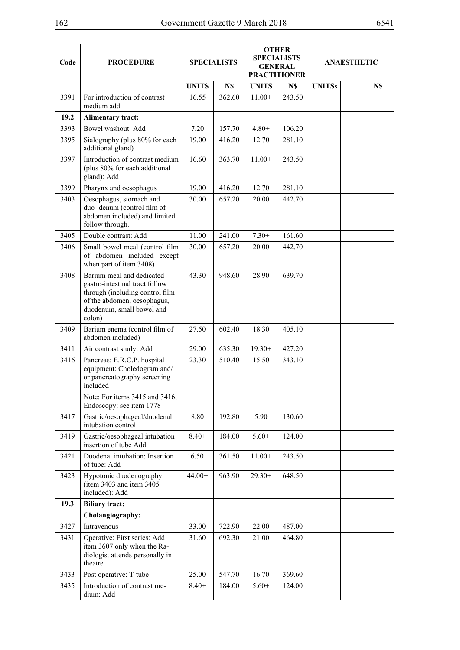| Code | <b>PROCEDURE</b>                                                                                                                                                     | <b>SPECIALISTS</b> |        |              | <b>OTHER</b><br><b>SPECIALISTS</b><br><b>GENERAL</b><br><b>PRACTITIONER</b> | <b>ANAESTHETIC</b> |  |     |
|------|----------------------------------------------------------------------------------------------------------------------------------------------------------------------|--------------------|--------|--------------|-----------------------------------------------------------------------------|--------------------|--|-----|
|      |                                                                                                                                                                      | <b>UNITS</b>       | N\$    | <b>UNITS</b> | N\$                                                                         | <b>UNITSs</b>      |  | N\$ |
| 3391 | For introduction of contrast<br>medium add                                                                                                                           | 16.55              | 362.60 | $11.00+$     | 243.50                                                                      |                    |  |     |
| 19.2 | <b>Alimentary tract:</b>                                                                                                                                             |                    |        |              |                                                                             |                    |  |     |
| 3393 | Bowel washout: Add                                                                                                                                                   | 7.20               | 157.70 | $4.80+$      | 106.20                                                                      |                    |  |     |
| 3395 | Sialography (plus 80% for each<br>additional gland)                                                                                                                  | 19.00              | 416.20 | 12.70        | 281.10                                                                      |                    |  |     |
| 3397 | Introduction of contrast medium<br>(plus 80% for each additional<br>gland): Add                                                                                      | 16.60              | 363.70 | $11.00+$     | 243.50                                                                      |                    |  |     |
| 3399 | Pharynx and oesophagus                                                                                                                                               | 19.00              | 416.20 | 12.70        | 281.10                                                                      |                    |  |     |
| 3403 | Oesophagus, stomach and<br>duo- denum (control film of<br>abdomen included) and limited<br>follow through.                                                           | 30.00              | 657.20 | 20.00        | 442.70                                                                      |                    |  |     |
| 3405 | Double contrast: Add                                                                                                                                                 | 11.00              | 241.00 | $7.30+$      | 161.60                                                                      |                    |  |     |
| 3406 | Small bowel meal (control film<br>of abdomen included except<br>when part of item 3408)                                                                              | 30.00              | 657.20 | 20.00        | 442.70                                                                      |                    |  |     |
| 3408 | Barium meal and dedicated<br>gastro-intestinal tract follow<br>through (including control film<br>of the abdomen, oesophagus,<br>duodenum, small bowel and<br>colon) | 43.30              | 948.60 | 28.90        | 639.70                                                                      |                    |  |     |
| 3409 | Barium enema (control film of<br>abdomen included)                                                                                                                   | 27.50              | 602.40 | 18.30        | 405.10                                                                      |                    |  |     |
| 3411 | Air contrast study: Add                                                                                                                                              | 29.00              | 635.30 | $19.30+$     | 427.20                                                                      |                    |  |     |
| 3416 | Pancreas: E.R.C.P. hospital<br>equipment: Choledogram and/<br>or pancreatography screening<br>included                                                               | 23.30              | 510.40 | 15.50        | 343.10                                                                      |                    |  |     |
|      | Note: For items 3415 and 3416,<br>Endoscopy: see item 1778                                                                                                           |                    |        |              |                                                                             |                    |  |     |
| 3417 | Gastric/oesophageal/duodenal<br>intubation control                                                                                                                   | 8.80               | 192.80 | 5.90         | 130.60                                                                      |                    |  |     |
| 3419 | Gastric/oesophageal intubation<br>insertion of tube Add                                                                                                              | $8.40+$            | 184.00 | $5.60+$      | 124.00                                                                      |                    |  |     |
| 3421 | Duodenal intubation: Insertion<br>of tube: Add                                                                                                                       | $16.50+$           | 361.50 | $11.00+$     | 243.50                                                                      |                    |  |     |
| 3423 | Hypotonic duodenography<br>(item 3403 and item 3405<br>included): Add                                                                                                | $44.00+$           | 963.90 | $29.30+$     | 648.50                                                                      |                    |  |     |
| 19.3 | <b>Biliary tract:</b>                                                                                                                                                |                    |        |              |                                                                             |                    |  |     |
|      | Cholangiography:                                                                                                                                                     |                    |        |              |                                                                             |                    |  |     |
| 3427 | Intravenous                                                                                                                                                          | 33.00              | 722.90 | 22.00        | 487.00                                                                      |                    |  |     |
| 3431 | Operative: First series: Add<br>item 3607 only when the Ra-<br>diologist attends personally in<br>theatre                                                            | 31.60              | 692.30 | 21.00        | 464.80                                                                      |                    |  |     |
| 3433 | Post operative: T-tube                                                                                                                                               | 25.00              | 547.70 | 16.70        | 369.60                                                                      |                    |  |     |
| 3435 | Introduction of contrast me-<br>dium: Add                                                                                                                            | $8.40+$            | 184.00 | $5.60+$      | 124.00                                                                      |                    |  |     |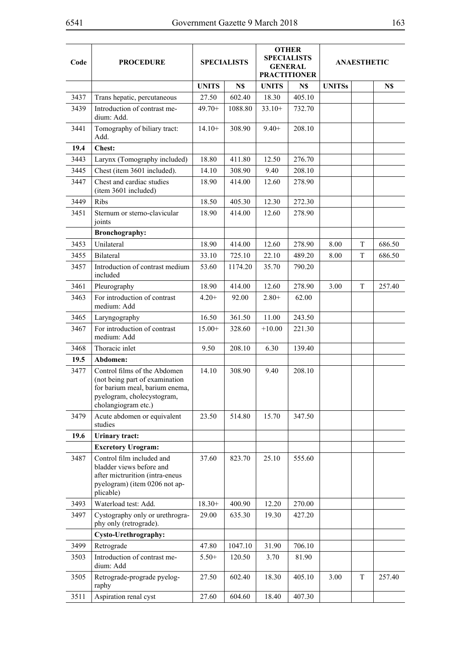| Code | <b>PROCEDURE</b>                                                                                                                                      |              | <b>SPECIALISTS</b> | <b>OTHER</b><br><b>SPECIALISTS</b><br><b>GENERAL</b><br><b>PRACTITIONER</b> |        |               | <b>ANAESTHETIC</b> |        |
|------|-------------------------------------------------------------------------------------------------------------------------------------------------------|--------------|--------------------|-----------------------------------------------------------------------------|--------|---------------|--------------------|--------|
|      |                                                                                                                                                       | <b>UNITS</b> | N\$                | <b>UNITS</b>                                                                | N\$    | <b>UNITSs</b> |                    | N\$    |
| 3437 | Trans hepatic, percutaneous                                                                                                                           | 27.50        | 602.40             | 18.30                                                                       | 405.10 |               |                    |        |
| 3439 | Introduction of contrast me-<br>dium: Add.                                                                                                            | $49.70+$     | 1088.80            | $33.10+$                                                                    | 732.70 |               |                    |        |
| 3441 | Tomography of biliary tract:<br>Add.                                                                                                                  | $14.10+$     | 308.90             | $9.40+$                                                                     | 208.10 |               |                    |        |
| 19.4 | <b>Chest:</b>                                                                                                                                         |              |                    |                                                                             |        |               |                    |        |
| 3443 | Larynx (Tomography included)                                                                                                                          | 18.80        | 411.80             | 12.50                                                                       | 276.70 |               |                    |        |
| 3445 | Chest (item 3601 included).                                                                                                                           | 14.10        | 308.90             | 9.40                                                                        | 208.10 |               |                    |        |
| 3447 | Chest and cardiac studies<br>(item 3601 included)                                                                                                     | 18.90        | 414.00             | 12.60                                                                       | 278.90 |               |                    |        |
| 3449 | <b>Ribs</b>                                                                                                                                           | 18.50        | 405.30             | 12.30                                                                       | 272.30 |               |                    |        |
| 3451 | Sternum or sterno-clavicular<br>joints                                                                                                                | 18.90        | 414.00             | 12.60                                                                       | 278.90 |               |                    |        |
|      | <b>Bronchography:</b>                                                                                                                                 |              |                    |                                                                             |        |               |                    |        |
| 3453 | Unilateral                                                                                                                                            | 18.90        | 414.00             | 12.60                                                                       | 278.90 | 8.00          | T                  | 686.50 |
| 3455 | <b>Bilateral</b>                                                                                                                                      | 33.10        | 725.10             | 22.10                                                                       | 489.20 | 8.00          | T                  | 686.50 |
| 3457 | Introduction of contrast medium<br>included                                                                                                           | 53.60        | 1174.20            | 35.70                                                                       | 790.20 |               |                    |        |
| 3461 | Pleurography                                                                                                                                          | 18.90        | 414.00             | 12.60                                                                       | 278.90 | 3.00          | T                  | 257.40 |
| 3463 | For introduction of contrast<br>medium: Add                                                                                                           | $4.20+$      | 92.00              | $2.80+$                                                                     | 62.00  |               |                    |        |
| 3465 | Laryngography                                                                                                                                         | 16.50        | 361.50             | 11.00                                                                       | 243.50 |               |                    |        |
| 3467 | For introduction of contrast<br>medium: Add                                                                                                           | $15.00+$     | 328.60             | $+10.00$                                                                    | 221.30 |               |                    |        |
| 3468 | Thoracic inlet                                                                                                                                        | 9.50         | 208.10             | 6.30                                                                        | 139.40 |               |                    |        |
| 19.5 | Abdomen:                                                                                                                                              |              |                    |                                                                             |        |               |                    |        |
| 3477 | Control films of the Abdomen<br>(not being part of examination<br>for barium meal, barium enema.<br>pyelogram, cholecystogram,<br>cholangiogram etc.) | 14.10        | 308.90             | 9.40                                                                        | 208.10 |               |                    |        |
| 3479 | Acute abdomen or equivalent<br>studies                                                                                                                | 23.50        | 514.80             | 15.70                                                                       | 347.50 |               |                    |        |
| 19.6 | <b>Urinary tract:</b>                                                                                                                                 |              |                    |                                                                             |        |               |                    |        |
|      | <b>Excretory Urogram:</b>                                                                                                                             |              |                    |                                                                             |        |               |                    |        |
| 3487 | Control film included and<br>bladder views before and<br>after mictrurition (intra-eneus<br>pyelogram) (item 0206 not ap-<br>plicable)                | 37.60        | 823.70             | 25.10                                                                       | 555.60 |               |                    |        |
| 3493 | Waterload test: Add.                                                                                                                                  | $18.30+$     | 400.90             | 12.20                                                                       | 270.00 |               |                    |        |
| 3497 | Cystography only or urethrogra-<br>phy only (retrograde).                                                                                             | 29.00        | 635.30             | 19.30                                                                       | 427.20 |               |                    |        |
|      | Cysto-Urethrography:                                                                                                                                  |              |                    |                                                                             |        |               |                    |        |
| 3499 | Retrograde                                                                                                                                            | 47.80        | 1047.10            | 31.90                                                                       | 706.10 |               |                    |        |
| 3503 | Introduction of contrast me-<br>dium: Add                                                                                                             | $5.50+$      | 120.50             | 3.70                                                                        | 81.90  |               |                    |        |
| 3505 | Retrograde-prograde pyelog-<br>raphy                                                                                                                  | 27.50        | 602.40             | 18.30                                                                       | 405.10 | 3.00          | T                  | 257.40 |
| 3511 | Aspiration renal cyst                                                                                                                                 | 27.60        | 604.60             | 18.40                                                                       | 407.30 |               |                    |        |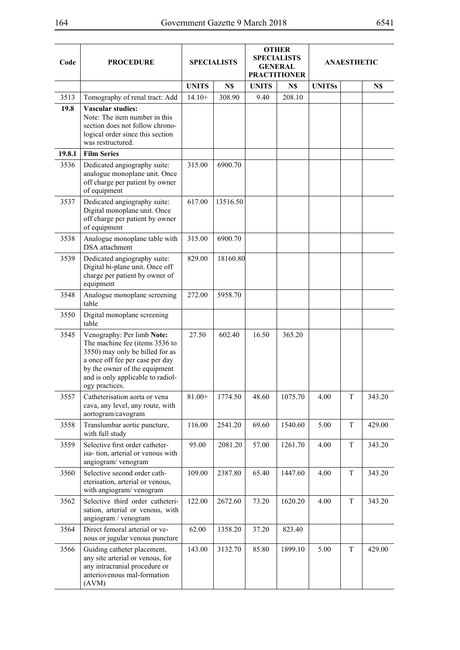| Code   | <b>PROCEDURE</b>                                                                                                                                                                                                           |              | <b>SPECIALISTS</b> |              | <b>OTHER</b><br><b>SPECIALISTS</b><br><b>GENERAL</b><br><b>PRACTITIONER</b> | <b>ANAESTHETIC</b> |             |        |  |
|--------|----------------------------------------------------------------------------------------------------------------------------------------------------------------------------------------------------------------------------|--------------|--------------------|--------------|-----------------------------------------------------------------------------|--------------------|-------------|--------|--|
|        |                                                                                                                                                                                                                            | <b>UNITS</b> | N\$                | <b>UNITS</b> | N\$                                                                         | <b>UNITSs</b>      |             | N\$    |  |
| 3513   | Tomography of renal tract: Add                                                                                                                                                                                             | $14.10+$     | 308.90             | 9.40         | 208.10                                                                      |                    |             |        |  |
| 19.8   | <b>Vascular studies:</b><br>Note: The item number in this<br>section does not follow chrono-<br>logical order since this section<br>was restructured.                                                                      |              |                    |              |                                                                             |                    |             |        |  |
| 19.8.1 | <b>Film Series</b>                                                                                                                                                                                                         |              |                    |              |                                                                             |                    |             |        |  |
| 3536   | Dedicated angiography suite:<br>analogue monoplane unit. Once<br>off charge per patient by owner<br>of equipment                                                                                                           | 315.00       | 6900.70            |              |                                                                             |                    |             |        |  |
| 3537   | Dedicated angiography suite:<br>Digital monoplane unit. Once<br>off charge per patient by owner<br>of equipment                                                                                                            | 617.00       | 13516.50           |              |                                                                             |                    |             |        |  |
| 3538   | Analogue monoplane table with<br><b>DSA</b> attachment                                                                                                                                                                     | 315.00       | 6900.70            |              |                                                                             |                    |             |        |  |
| 3539   | Dedicated angiography suite:<br>Digital bi-plane unit. Once off<br>charge per patient by owner of<br>equipment                                                                                                             | 829.00       | 18160.80           |              |                                                                             |                    |             |        |  |
| 3548   | Analogue monoplane screening<br>table                                                                                                                                                                                      | 272.00       | 5958.70            |              |                                                                             |                    |             |        |  |
| 3550   | Digital monoplane screening<br>table                                                                                                                                                                                       |              |                    |              |                                                                             |                    |             |        |  |
| 3545   | Venography: Per limb Note:<br>The machine fee (items 3536 to<br>3550) may only be billed for as<br>a once off fee per case per day<br>by the owner of the equipment<br>and is only applicable to radiol-<br>ogy practices. | 27.50        | 602.40             | 16.50        | 365.20                                                                      |                    |             |        |  |
| 3557   | Catheterisation aorta or vena<br>cava, any level, any route, with<br>aortogram/cavogram                                                                                                                                    | $81.00+$     | 1774.50            | 48.60        | 1075.70                                                                     | 4.00               | T           | 343.20 |  |
| 3558   | Translumbar aortic puncture,<br>with full study                                                                                                                                                                            | 116.00       | 2541.20            | 69.60        | 1540.60                                                                     | 5.00               | T           | 429.00 |  |
| 3559   | Selective first order catheter-<br>isa-tion, arterial or venous with<br>angiogram/venogram                                                                                                                                 | 95.00        | 2081.20            | 57.00        | 1261.70                                                                     | 4.00               | T           | 343.20 |  |
| 3560   | Selective second order cath-<br>eterisation, arterial or venous,<br>with angiogram/ venogram                                                                                                                               | 109.00       | 2387.80            | 65.40        | 1447.60                                                                     | 4.00               | T           | 343.20 |  |
| 3562   | Selective third order catheteri-<br>sation, arterial or venous, with<br>angiogram / venogram                                                                                                                               | 122.00       | 2672.60            | 73.20        | 1620.20                                                                     | 4.00               | $\mathbf T$ | 343.20 |  |
| 3564   | Direct femoral arterial or ve-<br>nous or jugular venous puncture                                                                                                                                                          | 62.00        | 1358.20            | 37.20        | 823.40                                                                      |                    |             |        |  |
| 3566   | Guiding catheter placement,<br>any site arterial or venous, for<br>any intracranial procedure or<br>anteriovenous mal-formation<br>(AVM)                                                                                   | 143.00       | 3132.70            | 85.80        | 1899.10                                                                     | 5.00               | T           | 429.00 |  |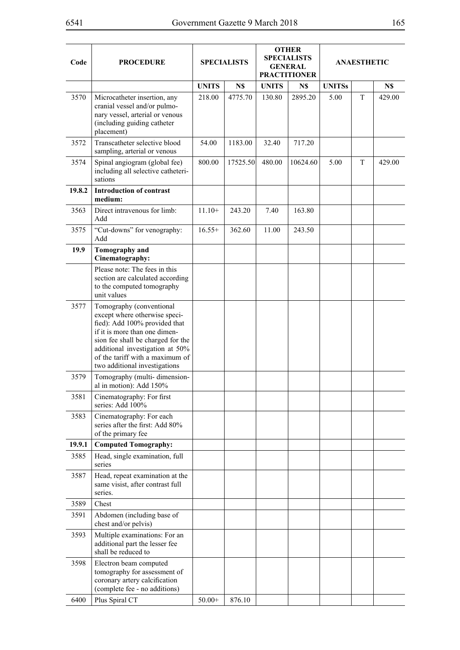| Code   | <b>PROCEDURE</b>                                                                                                                                                                                                                                                        |              | <b>SPECIALISTS</b> |              | <b>OTHER</b><br><b>SPECIALISTS</b><br><b>GENERAL</b><br><b>PRACTITIONER</b> |               |   | <b>ANAESTHETIC</b> |  |
|--------|-------------------------------------------------------------------------------------------------------------------------------------------------------------------------------------------------------------------------------------------------------------------------|--------------|--------------------|--------------|-----------------------------------------------------------------------------|---------------|---|--------------------|--|
|        |                                                                                                                                                                                                                                                                         | <b>UNITS</b> | N\$                | <b>UNITS</b> | N\$                                                                         | <b>UNITSs</b> |   | N\$                |  |
| 3570   | Microcatheter insertion, any<br>cranial vessel and/or pulmo-<br>nary vessel, arterial or venous<br>(including guiding catheter<br>placement)                                                                                                                            | 218.00       | 4775.70            | 130.80       | 2895.20                                                                     | 5.00          | T | 429.00             |  |
| 3572   | Transcatheter selective blood<br>sampling, arterial or venous                                                                                                                                                                                                           | 54.00        | 1183.00            | 32.40        | 717.20                                                                      |               |   |                    |  |
| 3574   | Spinal angiogram (global fee)<br>including all selective catheteri-<br>sations                                                                                                                                                                                          | 800.00       | 17525.50           | 480.00       | 10624.60                                                                    | 5.00          | T | 429.00             |  |
| 19.8.2 | <b>Introduction of contrast</b><br>medium:                                                                                                                                                                                                                              |              |                    |              |                                                                             |               |   |                    |  |
| 3563   | Direct intravenous for limb:<br>Add                                                                                                                                                                                                                                     | $11.10+$     | 243.20             | 7.40         | 163.80                                                                      |               |   |                    |  |
| 3575   | "Cut-downs" for venography:<br>Add                                                                                                                                                                                                                                      | $16.55+$     | 362.60             | 11.00        | 243.50                                                                      |               |   |                    |  |
| 19.9   | Tomography and<br>Cinematography:                                                                                                                                                                                                                                       |              |                    |              |                                                                             |               |   |                    |  |
|        | Please note: The fees in this<br>section are calculated according<br>to the computed tomography<br>unit values                                                                                                                                                          |              |                    |              |                                                                             |               |   |                    |  |
| 3577   | Tomography (conventional<br>except where otherwise speci-<br>fied): Add 100% provided that<br>if it is more than one dimen-<br>sion fee shall be charged for the<br>additional investigation at 50%<br>of the tariff with a maximum of<br>two additional investigations |              |                    |              |                                                                             |               |   |                    |  |
| 3579   | Tomography (multi-dimension-<br>al in motion): Add 150%                                                                                                                                                                                                                 |              |                    |              |                                                                             |               |   |                    |  |
| 3581   | Cinematography: For first<br>series: Add 100%                                                                                                                                                                                                                           |              |                    |              |                                                                             |               |   |                    |  |
| 3583   | Cinematography: For each<br>series after the first: Add 80%<br>of the primary fee                                                                                                                                                                                       |              |                    |              |                                                                             |               |   |                    |  |
| 19.9.1 | <b>Computed Tomography:</b>                                                                                                                                                                                                                                             |              |                    |              |                                                                             |               |   |                    |  |
| 3585   | Head, single examination, full<br>series                                                                                                                                                                                                                                |              |                    |              |                                                                             |               |   |                    |  |
| 3587   | Head, repeat examination at the<br>same visist, after contrast full<br>series.                                                                                                                                                                                          |              |                    |              |                                                                             |               |   |                    |  |
| 3589   | Chest                                                                                                                                                                                                                                                                   |              |                    |              |                                                                             |               |   |                    |  |
| 3591   | Abdomen (including base of<br>chest and/or pelvis)                                                                                                                                                                                                                      |              |                    |              |                                                                             |               |   |                    |  |
| 3593   | Multiple examinations: For an<br>additional part the lesser fee<br>shall be reduced to                                                                                                                                                                                  |              |                    |              |                                                                             |               |   |                    |  |
| 3598   | Electron beam computed<br>tomography for assessment of<br>coronary artery calcification<br>(complete fee - no additions)                                                                                                                                                |              |                    |              |                                                                             |               |   |                    |  |
| 6400   | Plus Spiral CT                                                                                                                                                                                                                                                          | $50.00+$     | 876.10             |              |                                                                             |               |   |                    |  |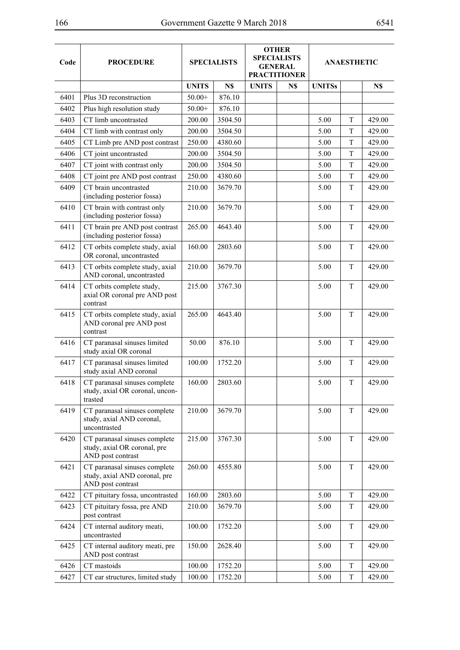| Code | <b>PROCEDURE</b>                                                                    | <b>SPECIALISTS</b> |         | <b>OTHER</b><br><b>SPECIALISTS</b><br><b>GENERAL</b><br><b>PRACTITIONER</b> |     | <b>ANAESTHETIC</b> |             |        |
|------|-------------------------------------------------------------------------------------|--------------------|---------|-----------------------------------------------------------------------------|-----|--------------------|-------------|--------|
|      |                                                                                     | <b>UNITS</b>       | N\$     | <b>UNITS</b>                                                                | N\$ | <b>UNITSs</b>      |             | N\$    |
| 6401 | Plus 3D reconstruction                                                              | $50.00+$           | 876.10  |                                                                             |     |                    |             |        |
| 6402 | Plus high resolution study                                                          | $50.00+$           | 876.10  |                                                                             |     |                    |             |        |
| 6403 | CT limb uncontrasted                                                                | 200.00             | 3504.50 |                                                                             |     | 5.00               | T           | 429.00 |
| 6404 | CT limb with contrast only                                                          | 200.00             | 3504.50 |                                                                             |     | 5.00               | T           | 429.00 |
| 6405 | CT Limb pre AND post contrast                                                       | 250.00             | 4380.60 |                                                                             |     | 5.00               | T           | 429.00 |
| 6406 | CT joint uncontrasted                                                               | 200.00             | 3504.50 |                                                                             |     | 5.00               | T           | 429.00 |
| 6407 | CT joint with contrast only                                                         | 200.00             | 3504.50 |                                                                             |     | 5.00               | T           | 429.00 |
| 6408 | CT joint pre AND post contrast                                                      | 250.00             | 4380.60 |                                                                             |     | 5.00               | T           | 429.00 |
| 6409 | CT brain uncontrasted<br>(including posterior fossa)                                | 210.00             | 3679.70 |                                                                             |     | 5.00               | T           | 429.00 |
| 6410 | CT brain with contrast only<br>(including posterior fossa)                          | 210.00             | 3679.70 |                                                                             |     | 5.00               | T           | 429.00 |
| 6411 | CT brain pre AND post contrast<br>(including posterior fossa)                       | 265.00             | 4643.40 |                                                                             |     | 5.00               | T           | 429.00 |
| 6412 | CT orbits complete study, axial<br>OR coronal, uncontrasted                         | 160.00             | 2803.60 |                                                                             |     | 5.00               | T           | 429.00 |
| 6413 | CT orbits complete study, axial<br>AND coronal, uncontrasted                        | 210.00             | 3679.70 |                                                                             |     | 5.00               | T           | 429.00 |
| 6414 | CT orbits complete study,<br>axial OR coronal pre AND post<br>contrast              | 215.00             | 3767.30 |                                                                             |     | 5.00               | T           | 429.00 |
| 6415 | CT orbits complete study, axial<br>AND coronal pre AND post<br>contrast             | 265.00             | 4643.40 |                                                                             |     | 5.00               | T           | 429.00 |
| 6416 | CT paranasal sinuses limited<br>study axial OR coronal                              | 50.00              | 876.10  |                                                                             |     | 5.00               | T           | 429.00 |
| 6417 | CT paranasal sinuses limited<br>study axial AND coronal                             | 100.00             | 1752.20 |                                                                             |     | 5.00               | T           | 429.00 |
| 6418 | CT paranasal sinuses complete<br>study, axial OR coronal, uncon-<br>trasted         | 160.00             | 2803.60 |                                                                             |     | 5.00               | T           | 429.00 |
| 6419 | CT paranasal sinuses complete<br>study, axial AND coronal,<br>uncontrasted          | 210.00             | 3679.70 |                                                                             |     | 5.00               | T           | 429.00 |
| 6420 | CT paranasal sinuses complete<br>study, axial OR coronal, pre<br>AND post contrast  | 215.00             | 3767.30 |                                                                             |     | 5.00               | T           | 429.00 |
| 6421 | CT paranasal sinuses complete<br>study, axial AND coronal, pre<br>AND post contrast | 260.00             | 4555.80 |                                                                             |     | 5.00               | T           | 429.00 |
| 6422 | CT pituitary fossa, uncontrasted                                                    | 160.00             | 2803.60 |                                                                             |     | 5.00               | $\mathbf T$ | 429.00 |
| 6423 | CT pituitary fossa, pre AND<br>post contrast                                        | 210.00             | 3679.70 |                                                                             |     | 5.00               | T           | 429.00 |
| 6424 | CT internal auditory meati,<br>uncontrasted                                         | 100.00             | 1752.20 |                                                                             |     | 5.00               | T           | 429.00 |
| 6425 | CT internal auditory meati, pre<br>AND post contrast                                | 150.00             | 2628.40 |                                                                             |     | 5.00               | T           | 429.00 |
| 6426 | CT mastoids                                                                         | 100.00             | 1752.20 |                                                                             |     | 5.00               | T           | 429.00 |
| 6427 | CT ear structures, limited study                                                    | 100.00             | 1752.20 |                                                                             |     | 5.00               | T           | 429.00 |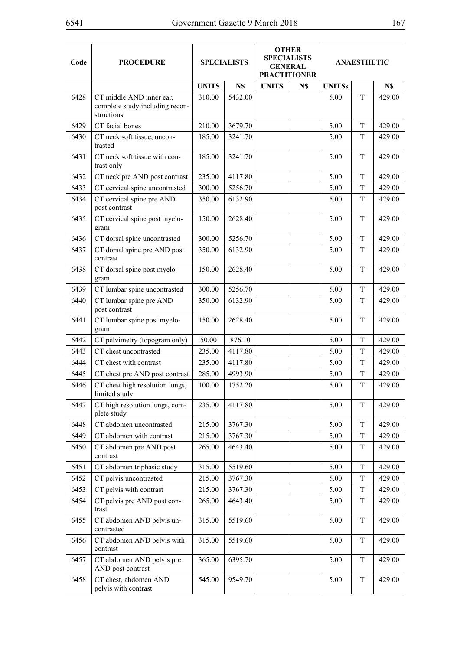| Code | <b>PROCEDURE</b>                                                          | <b>SPECIALISTS</b> |         | <b>OTHER</b><br><b>SPECIALISTS</b><br><b>GENERAL</b><br><b>PRACTITIONER</b> |     | <b>ANAESTHETIC</b> |   |        |
|------|---------------------------------------------------------------------------|--------------------|---------|-----------------------------------------------------------------------------|-----|--------------------|---|--------|
|      |                                                                           | <b>UNITS</b>       | N\$     | <b>UNITS</b>                                                                | N\$ | <b>UNITSs</b>      |   | N\$    |
| 6428 | CT middle AND inner ear,<br>complete study including recon-<br>structions | 310.00             | 5432.00 |                                                                             |     | 5.00               | T | 429.00 |
| 6429 | CT facial bones                                                           | 210.00             | 3679.70 |                                                                             |     | 5.00               | T | 429.00 |
| 6430 | CT neck soft tissue, uncon-<br>trasted                                    | 185.00             | 3241.70 |                                                                             |     | 5.00               | T | 429.00 |
| 6431 | CT neck soft tissue with con-<br>trast only                               | 185.00             | 3241.70 |                                                                             |     | 5.00               | T | 429.00 |
| 6432 | CT neck pre AND post contrast                                             | 235.00             | 4117.80 |                                                                             |     | 5.00               | T | 429.00 |
| 6433 | CT cervical spine uncontrasted                                            | 300.00             | 5256.70 |                                                                             |     | 5.00               | T | 429.00 |
| 6434 | CT cervical spine pre AND<br>post contrast                                | 350.00             | 6132.90 |                                                                             |     | 5.00               | T | 429.00 |
| 6435 | CT cervical spine post myelo-<br>gram                                     | 150.00             | 2628.40 |                                                                             |     | 5.00               | T | 429.00 |
| 6436 | CT dorsal spine uncontrasted                                              | 300.00             | 5256.70 |                                                                             |     | 5.00               | T | 429.00 |
| 6437 | CT dorsal spine pre AND post<br>contrast                                  | 350.00             | 6132.90 |                                                                             |     | 5.00               | T | 429.00 |
| 6438 | CT dorsal spine post myelo-<br>gram                                       | 150.00             | 2628.40 |                                                                             |     | 5.00               | T | 429.00 |
| 6439 | CT lumbar spine uncontrasted                                              | 300.00             | 5256.70 |                                                                             |     | 5.00               | T | 429.00 |
| 6440 | CT lumbar spine pre AND<br>post contrast                                  | 350.00             | 6132.90 |                                                                             |     | 5.00               | T | 429.00 |
| 6441 | CT lumbar spine post myelo-<br>gram                                       | 150.00             | 2628.40 |                                                                             |     | 5.00               | T | 429.00 |
| 6442 | CT pelvimetry (topogram only)                                             | 50.00              | 876.10  |                                                                             |     | 5.00               | T | 429.00 |
| 6443 | CT chest uncontrasted                                                     | 235.00             | 4117.80 |                                                                             |     | 5.00               | T | 429.00 |
| 6444 | CT chest with contrast                                                    | 235.00             | 4117.80 |                                                                             |     | 5.00               | T | 429.00 |
| 6445 | CT chest pre AND post contrast                                            | 285.00             | 4993.90 |                                                                             |     | 5.00               | T | 429.00 |
| 6446 | CT chest high resolution lungs,<br>limited study                          | 100.00             | 1752.20 |                                                                             |     | 5.00               | T | 429.00 |
| 6447 | CT high resolution lungs, com-<br>plete study                             | 235.00             | 4117.80 |                                                                             |     | 5.00               | T | 429.00 |
| 6448 | CT abdomen uncontrasted                                                   | 215.00             | 3767.30 |                                                                             |     | 5.00               | T | 429.00 |
| 6449 | CT abdomen with contrast                                                  | 215.00             | 3767.30 |                                                                             |     | 5.00               | T | 429.00 |
| 6450 | CT abdomen pre AND post<br>contrast                                       | 265.00             | 4643.40 |                                                                             |     | 5.00               | T | 429.00 |
| 6451 | CT abdomen triphasic study                                                | 315.00             | 5519.60 |                                                                             |     | 5.00               | T | 429.00 |
| 6452 | CT pelvis uncontrasted                                                    | 215.00             | 3767.30 |                                                                             |     | 5.00               | T | 429.00 |
| 6453 | CT pelvis with contrast                                                   | 215.00             | 3767.30 |                                                                             |     | 5.00               | T | 429.00 |
| 6454 | CT pelvis pre AND post con-<br>trast                                      | 265.00             | 4643.40 |                                                                             |     | 5.00               | T | 429.00 |
| 6455 | CT abdomen AND pelvis un-<br>contrasted                                   | 315.00             | 5519.60 |                                                                             |     | 5.00               | T | 429.00 |
| 6456 | CT abdomen AND pelvis with<br>contrast                                    | 315.00             | 5519.60 |                                                                             |     | 5.00               | T | 429.00 |
| 6457 | CT abdomen AND pelvis pre<br>AND post contrast                            | 365.00             | 6395.70 |                                                                             |     | 5.00               | T | 429.00 |
| 6458 | CT chest, abdomen AND<br>pelvis with contrast                             | 545.00             | 9549.70 |                                                                             |     | 5.00               | T | 429.00 |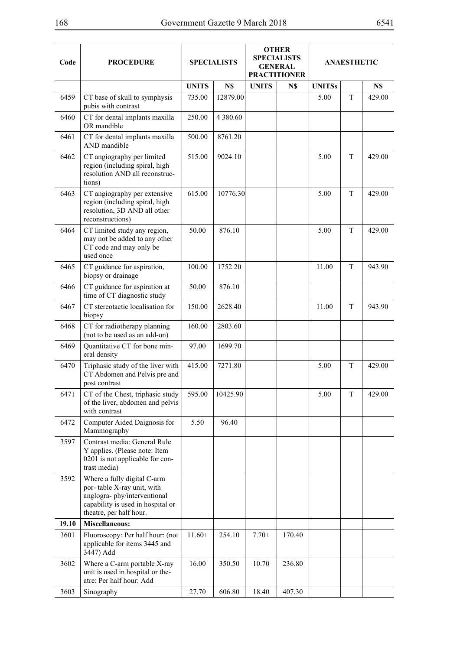| Code  | <b>PROCEDURE</b>                                                                                                                                          | <b>SPECIALISTS</b> |               | <b>OTHER</b><br><b>SPECIALISTS</b><br><b>GENERAL</b><br><b>PRACTITIONER</b> |        | <b>ANAESTHETIC</b> |   |        |
|-------|-----------------------------------------------------------------------------------------------------------------------------------------------------------|--------------------|---------------|-----------------------------------------------------------------------------|--------|--------------------|---|--------|
|       |                                                                                                                                                           | <b>UNITS</b>       | N\$           | <b>UNITS</b>                                                                | N\$    | <b>UNITSs</b>      |   | N\$    |
| 6459  | CT base of skull to symphysis<br>pubis with contrast                                                                                                      | 735.00             | 12879.00      |                                                                             |        | 5.00               | T | 429.00 |
| 6460  | CT for dental implants maxilla<br>OR mandible                                                                                                             | 250.00             | 4 3 8 0 . 6 0 |                                                                             |        |                    |   |        |
| 6461  | CT for dental implants maxilla<br>AND mandible                                                                                                            | 500.00             | 8761.20       |                                                                             |        |                    |   |        |
| 6462  | CT angiography per limited<br>region (including spiral, high<br>resolution AND all reconstruc-<br>tions)                                                  | 515.00             | 9024.10       |                                                                             |        | 5.00               | T | 429.00 |
| 6463  | CT angiography per extensive<br>region (including spiral, high<br>resolution, 3D AND all other<br>reconstructions)                                        | 615.00             | 10776.30      |                                                                             |        | 5.00               | T | 429.00 |
| 6464  | CT limited study any region,<br>may not be added to any other<br>CT code and may only be<br>used once                                                     | 50.00              | 876.10        |                                                                             |        | 5.00               | T | 429.00 |
| 6465  | CT guidance for aspiration,<br>biopsy or drainage                                                                                                         | 100.00             | 1752.20       |                                                                             |        | 11.00              | T | 943.90 |
| 6466  | CT guidance for aspiration at<br>time of CT diagnostic study                                                                                              | 50.00              | 876.10        |                                                                             |        |                    |   |        |
| 6467  | CT stereotactic localisation for<br>biopsy                                                                                                                | 150.00             | 2628.40       |                                                                             |        | 11.00              | T | 943.90 |
| 6468  | CT for radiotherapy planning<br>(not to be used as an add-on)                                                                                             | 160.00             | 2803.60       |                                                                             |        |                    |   |        |
| 6469  | Quantitative CT for bone min-<br>eral density                                                                                                             | 97.00              | 1699.70       |                                                                             |        |                    |   |        |
| 6470  | Triphasic study of the liver with<br>CT Abdomen and Pelvis pre and<br>post contrast                                                                       | 415.00             | 7271.80       |                                                                             |        | 5.00               | T | 429.00 |
| 6471  | CT of the Chest, triphasic study<br>of the liver, abdomen and pelvis<br>with contrast                                                                     | 595.00             | 10425.90      |                                                                             |        | 5.00               | T | 429.00 |
| 6472  | Computer Aided Daignosis for<br>Mammography                                                                                                               | 5.50               | 96.40         |                                                                             |        |                    |   |        |
| 3597  | Contrast media: General Rule<br>Y applies. (Please note: Item<br>0201 is not applicable for con-<br>trast media)                                          |                    |               |                                                                             |        |                    |   |        |
| 3592  | Where a fully digital C-arm<br>por- table X-ray unit, with<br>anglogra-phy/interventional<br>capability is used in hospital or<br>theatre, per half hour. |                    |               |                                                                             |        |                    |   |        |
| 19.10 | <b>Miscellaneous:</b>                                                                                                                                     |                    |               |                                                                             |        |                    |   |        |
| 3601  | Fluoroscopy: Per half hour: (not<br>applicable for items 3445 and<br>3447) Add                                                                            | $11.60+$           | 254.10        | $7.70+$                                                                     | 170.40 |                    |   |        |
| 3602  | Where a C-arm portable X-ray<br>unit is used in hospital or the-<br>atre: Per half hour: Add                                                              | 16.00              | 350.50        | 10.70                                                                       | 236.80 |                    |   |        |
| 3603  | Sinography                                                                                                                                                | 27.70              | 606.80        | 18.40                                                                       | 407.30 |                    |   |        |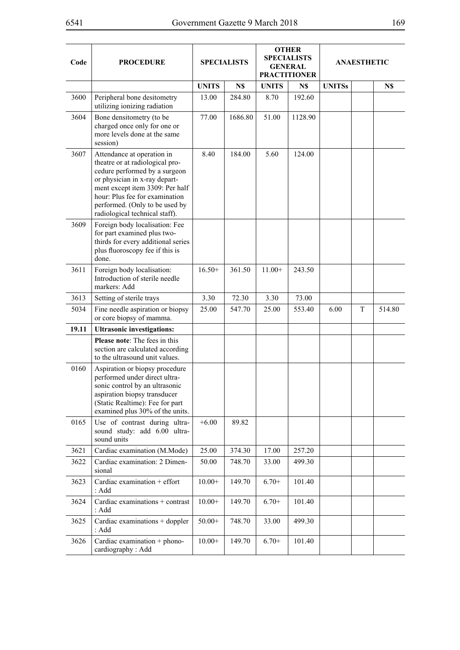| Code  | <b>PROCEDURE</b>                                                                                                                                                                                                                                                         | <b>SPECIALISTS</b> |         | <b>OTHER</b><br><b>SPECIALISTS</b><br><b>GENERAL</b><br><b>PRACTITIONER</b> |         | <b>ANAESTHETIC</b> |   |        |
|-------|--------------------------------------------------------------------------------------------------------------------------------------------------------------------------------------------------------------------------------------------------------------------------|--------------------|---------|-----------------------------------------------------------------------------|---------|--------------------|---|--------|
|       |                                                                                                                                                                                                                                                                          | <b>UNITS</b>       | N\$     | <b>UNITS</b>                                                                | N\$     | <b>UNITSs</b>      |   | N\$    |
| 3600  | Peripheral bone desitometry<br>utilizing ionizing radiation                                                                                                                                                                                                              | 13.00              | 284.80  | 8.70                                                                        | 192.60  |                    |   |        |
| 3604  | Bone densitometry (to be<br>charged once only for one or<br>more levels done at the same<br>session)                                                                                                                                                                     | 77.00              | 1686.80 | 51.00                                                                       | 1128.90 |                    |   |        |
| 3607  | Attendance at operation in<br>theatre or at radiological pro-<br>cedure performed by a surgeon<br>or physician in x-ray depart-<br>ment except item 3309: Per half<br>hour: Plus fee for examination<br>performed. (Only to be used by<br>radiological technical staff). | 8.40               | 184.00  | 5.60                                                                        | 124.00  |                    |   |        |
| 3609  | Foreign body localisation: Fee<br>for part examined plus two-<br>thirds for every additional series<br>plus fluoroscopy fee if this is<br>done.                                                                                                                          |                    |         |                                                                             |         |                    |   |        |
| 3611  | Foreign body localisation:<br>Introduction of sterile needle<br>markers: Add                                                                                                                                                                                             | $16.50+$           | 361.50  | $11.00+$                                                                    | 243.50  |                    |   |        |
| 3613  | Setting of sterile trays                                                                                                                                                                                                                                                 | 3.30               | 72.30   | 3.30                                                                        | 73.00   |                    |   |        |
| 5034  | Fine needle aspiration or biopsy<br>or core biopsy of mamma.                                                                                                                                                                                                             | 25.00              | 547.70  | 25.00                                                                       | 553.40  | 6.00               | T | 514.80 |
| 19.11 | <b>Ultrasonic investigations:</b>                                                                                                                                                                                                                                        |                    |         |                                                                             |         |                    |   |        |
|       | <b>Please note:</b> The fees in this<br>section are calculated according<br>to the ultrasound unit values.                                                                                                                                                               |                    |         |                                                                             |         |                    |   |        |
| 0160  | Aspiration or biopsy procedure<br>performed under direct ultra-<br>sonic control by an ultrasonic<br>aspiration biopsy transducer<br>(Static Realtime): Fee for part<br>examined plus 30% of the units.                                                                  |                    |         |                                                                             |         |                    |   |        |
| 0165  | Use of contrast during ultra-<br>sound study: add 6.00 ultra-<br>sound units                                                                                                                                                                                             | $+6.00$            | 89.82   |                                                                             |         |                    |   |        |
| 3621  | Cardiac examination (M.Mode)                                                                                                                                                                                                                                             | 25.00              | 374.30  | 17.00                                                                       | 257.20  |                    |   |        |
| 3622  | Cardiac examination: 2 Dimen-<br>sional                                                                                                                                                                                                                                  | 50.00              | 748.70  | 33.00                                                                       | 499.30  |                    |   |        |
| 3623  | Cardiac examination $+$ effort<br>: Add                                                                                                                                                                                                                                  | $10.00+$           | 149.70  | $6.70+$                                                                     | 101.40  |                    |   |        |
| 3624  | Cardiac examinations + contrast<br>: Add                                                                                                                                                                                                                                 | $10.00+$           | 149.70  | $6.70+$                                                                     | 101.40  |                    |   |        |
| 3625  | Cardiac examinations + doppler<br>: Add                                                                                                                                                                                                                                  | $50.00+$           | 748.70  | 33.00                                                                       | 499.30  |                    |   |        |
| 3626  | Cardiac examination + phono-<br>cardiography: Add                                                                                                                                                                                                                        | $10.00+$           | 149.70  | $6.70+$                                                                     | 101.40  |                    |   |        |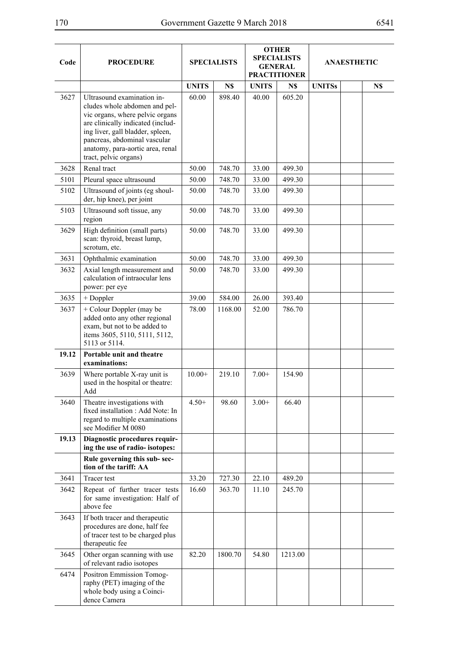| Code  | <b>PROCEDURE</b>                                                                                                                                                                                                                                                     | <b>SPECIALISTS</b> |         | <b>OTHER</b><br><b>SPECIALISTS</b><br><b>GENERAL</b><br><b>PRACTITIONER</b> |         | <b>ANAESTHETIC</b> |     |  |
|-------|----------------------------------------------------------------------------------------------------------------------------------------------------------------------------------------------------------------------------------------------------------------------|--------------------|---------|-----------------------------------------------------------------------------|---------|--------------------|-----|--|
|       |                                                                                                                                                                                                                                                                      | <b>UNITS</b>       | N\$     | <b>UNITS</b>                                                                | N\$     | <b>UNITSs</b>      | N\$ |  |
| 3627  | Ultrasound examination in-<br>cludes whole abdomen and pel-<br>vic organs, where pelvic organs<br>are clinically indicated (includ-<br>ing liver, gall bladder, spleen,<br>pancreas, abdominal vascular<br>anatomy, para-aortic area, renal<br>tract, pelvic organs) | 60.00              | 898.40  | 40.00                                                                       | 605.20  |                    |     |  |
| 3628  | Renal tract                                                                                                                                                                                                                                                          | 50.00              | 748.70  | 33.00                                                                       | 499.30  |                    |     |  |
| 5101  | Pleural space ultrasound                                                                                                                                                                                                                                             | 50.00              | 748.70  | 33.00                                                                       | 499.30  |                    |     |  |
| 5102  | Ultrasound of joints (eg shoul-<br>der, hip knee), per joint                                                                                                                                                                                                         | 50.00              | 748.70  | 33.00                                                                       | 499.30  |                    |     |  |
| 5103  | Ultrasound soft tissue, any<br>region                                                                                                                                                                                                                                | 50.00              | 748.70  | 33.00                                                                       | 499.30  |                    |     |  |
| 3629  | High definition (small parts)<br>scan: thyroid, breast lump,<br>scrotum, etc.                                                                                                                                                                                        | 50.00              | 748.70  | 33.00                                                                       | 499.30  |                    |     |  |
| 3631  | Ophthalmic examination                                                                                                                                                                                                                                               | 50.00              | 748.70  | 33.00                                                                       | 499.30  |                    |     |  |
| 3632  | Axial length measurement and<br>calculation of intraocular lens<br>power: per eye                                                                                                                                                                                    | 50.00              | 748.70  | 33.00                                                                       | 499.30  |                    |     |  |
| 3635  | + Doppler                                                                                                                                                                                                                                                            | 39.00              | 584.00  | 26.00                                                                       | 393.40  |                    |     |  |
| 3637  | + Colour Doppler (may be<br>added onto any other regional<br>exam, but not to be added to<br>items 3605, 5110, 5111, 5112,<br>5113 or 5114.<br>Portable unit and theatre                                                                                             | 78.00              | 1168.00 | 52.00                                                                       | 786.70  |                    |     |  |
| 19.12 | examinations:                                                                                                                                                                                                                                                        |                    |         |                                                                             |         |                    |     |  |
| 3639  | Where portable X-ray unit is<br>used in the hospital or theatre:<br>Add                                                                                                                                                                                              | $10.00+$           | 219.10  | $7.00+$                                                                     | 154.90  |                    |     |  |
| 3640  | Theatre investigations with<br>fixed installation : Add Note: In<br>regard to multiple examinations<br>see Modifier M 0080                                                                                                                                           | $4.50+$            | 98.60   | $3.00+$                                                                     | 66.40   |                    |     |  |
| 19.13 | Diagnostic procedures requir-<br>ing the use of radio- isotopes:                                                                                                                                                                                                     |                    |         |                                                                             |         |                    |     |  |
|       | Rule governing this sub-sec-<br>tion of the tariff: AA                                                                                                                                                                                                               |                    |         |                                                                             |         |                    |     |  |
| 3641  | Tracer test                                                                                                                                                                                                                                                          | 33.20              | 727.30  | 22.10                                                                       | 489.20  |                    |     |  |
| 3642  | Repeat of further tracer tests<br>for same investigation: Half of<br>above fee                                                                                                                                                                                       | 16.60              | 363.70  | 11.10                                                                       | 245.70  |                    |     |  |
| 3643  | If both tracer and therapeutic<br>procedures are done, half fee<br>of tracer test to be charged plus<br>therapeutic fee                                                                                                                                              |                    |         |                                                                             |         |                    |     |  |
| 3645  | Other organ scanning with use<br>of relevant radio isotopes                                                                                                                                                                                                          | 82.20              | 1800.70 | 54.80                                                                       | 1213.00 |                    |     |  |
| 6474  | Positron Emmission Tomog-<br>raphy (PET) imaging of the<br>whole body using a Coinci-<br>dence Camera                                                                                                                                                                |                    |         |                                                                             |         |                    |     |  |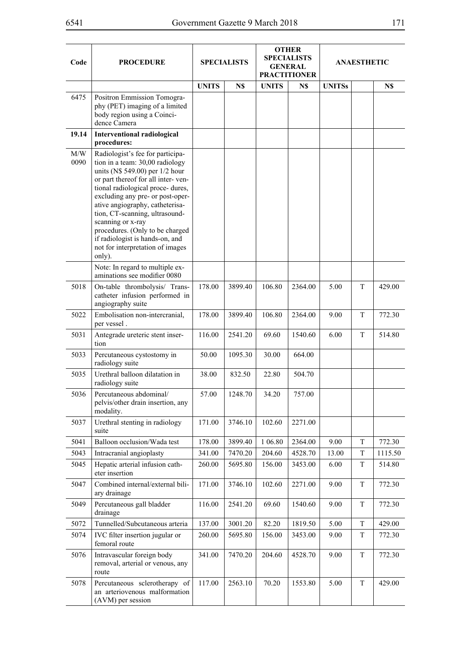| Code        | <b>PROCEDURE</b>                                                                                                                                                                                                                                                                                                                                                                                                                    | <b>SPECIALISTS</b> |         | <b>OTHER</b><br><b>SPECIALISTS</b><br><b>GENERAL</b><br><b>PRACTITIONER</b> |         | ANAESTHETIC   |             |         |
|-------------|-------------------------------------------------------------------------------------------------------------------------------------------------------------------------------------------------------------------------------------------------------------------------------------------------------------------------------------------------------------------------------------------------------------------------------------|--------------------|---------|-----------------------------------------------------------------------------|---------|---------------|-------------|---------|
|             |                                                                                                                                                                                                                                                                                                                                                                                                                                     | <b>UNITS</b>       | N\$     | <b>UNITS</b>                                                                | N\$     | <b>UNITSs</b> |             | N\$     |
| 6475        | Positron Emmission Tomogra-<br>phy (PET) imaging of a limited<br>body region using a Coinci-<br>dence Camera                                                                                                                                                                                                                                                                                                                        |                    |         |                                                                             |         |               |             |         |
| 19.14       | <b>Interventional radiological</b><br>procedures:                                                                                                                                                                                                                                                                                                                                                                                   |                    |         |                                                                             |         |               |             |         |
| M/W<br>0090 | Radiologist's fee for participa-<br>tion in a team: 30,00 radiology<br>units (N\$ 549.00) per 1/2 hour<br>or part thereof for all inter-ven-<br>tional radiological proce- dures,<br>excluding any pre- or post-oper-<br>ative angiography, catheterisa-<br>tion, CT-scanning, ultrasound-<br>scanning or x-ray<br>procedures. (Only to be charged<br>if radiologist is hands-on, and<br>not for interpretation of images<br>only). |                    |         |                                                                             |         |               |             |         |
|             | Note: In regard to multiple ex-<br>aminations see modifier 0080                                                                                                                                                                                                                                                                                                                                                                     |                    |         |                                                                             |         |               |             |         |
| 5018        | On-table thrombolysis/ Trans-<br>catheter infusion performed in<br>angiography suite                                                                                                                                                                                                                                                                                                                                                | 178.00             | 3899.40 | 106.80                                                                      | 2364.00 | 5.00          | T           | 429.00  |
| 5022        | Embolisation non-intercranial,<br>per vessel.                                                                                                                                                                                                                                                                                                                                                                                       | 178.00             | 3899.40 | 106.80                                                                      | 2364.00 | 9.00          | T           | 772.30  |
| 5031        | Antegrade ureteric stent inser-<br>tion                                                                                                                                                                                                                                                                                                                                                                                             | 116.00             | 2541.20 | 69.60                                                                       | 1540.60 | 6.00          | T           | 514.80  |
| 5033        | Percutaneous cystostomy in<br>radiology suite                                                                                                                                                                                                                                                                                                                                                                                       | 50.00              | 1095.30 | 30.00                                                                       | 664.00  |               |             |         |
| 5035        | Urethral balloon dilatation in<br>radiology suite                                                                                                                                                                                                                                                                                                                                                                                   | 38.00              | 832.50  | 22.80                                                                       | 504.70  |               |             |         |
| 5036        | Percutaneous abdominal/<br>pelvis/other drain insertion, any<br>modality.                                                                                                                                                                                                                                                                                                                                                           | 57.00              | 1248.70 | 34.20                                                                       | 757.00  |               |             |         |
| 5037        | Urethral stenting in radiology<br>suite                                                                                                                                                                                                                                                                                                                                                                                             | 171.00             | 3746.10 | 102.60                                                                      | 2271.00 |               |             |         |
| 5041        | Balloon occlusion/Wada test                                                                                                                                                                                                                                                                                                                                                                                                         | 178.00             | 3899.40 | 106.80                                                                      | 2364.00 | 9.00          | T           | 772.30  |
| 5043        | Intracranial angioplasty                                                                                                                                                                                                                                                                                                                                                                                                            | 341.00             | 7470.20 | 204.60                                                                      | 4528.70 | 13.00         | T           | 1115.50 |
| 5045        | Hepatic arterial infusion cath-<br>eter insertion                                                                                                                                                                                                                                                                                                                                                                                   | 260.00             | 5695.80 | 156.00                                                                      | 3453.00 | 6.00          | T           | 514.80  |
| 5047        | Combined internal/external bili-<br>ary drainage                                                                                                                                                                                                                                                                                                                                                                                    | 171.00             | 3746.10 | 102.60                                                                      | 2271.00 | 9.00          | T           | 772.30  |
| 5049        | Percutaneous gall bladder<br>drainage                                                                                                                                                                                                                                                                                                                                                                                               | 116.00             | 2541.20 | 69.60                                                                       | 1540.60 | 9.00          | T           | 772.30  |
| 5072        | Tunnelled/Subcutaneous arteria                                                                                                                                                                                                                                                                                                                                                                                                      | 137.00             | 3001.20 | 82.20                                                                       | 1819.50 | 5.00          | T           | 429.00  |
| 5074        | IVC filter insertion jugular or<br>femoral route                                                                                                                                                                                                                                                                                                                                                                                    | 260.00             | 5695.80 | 156.00                                                                      | 3453.00 | 9.00          | T           | 772.30  |
| 5076        | Intravascular foreign body<br>removal, arterial or venous, any<br>route                                                                                                                                                                                                                                                                                                                                                             | 341.00             | 7470.20 | 204.60                                                                      | 4528.70 | 9.00          | T           | 772.30  |
| 5078        | Percutaneous sclerotherapy of<br>an arteriovenous malformation<br>(AVM) per session                                                                                                                                                                                                                                                                                                                                                 | 117.00             | 2563.10 | 70.20                                                                       | 1553.80 | 5.00          | $\mathbf T$ | 429.00  |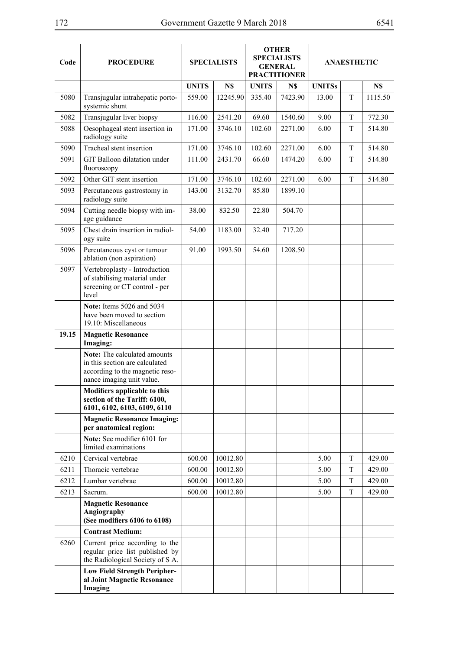| Code  | <b>PROCEDURE</b>                                                                                                               | <b>SPECIALISTS</b> |          | <b>OTHER</b><br><b>SPECIALISTS</b><br><b>GENERAL</b><br><b>PRACTITIONER</b> |         | <b>ANAESTHETIC</b> |   |         |
|-------|--------------------------------------------------------------------------------------------------------------------------------|--------------------|----------|-----------------------------------------------------------------------------|---------|--------------------|---|---------|
|       |                                                                                                                                | <b>UNITS</b>       | N\$      | <b>UNITS</b>                                                                | N\$     | <b>UNITSs</b>      |   | N\$     |
| 5080  | Transjugular intrahepatic porto-<br>systemic shunt                                                                             | 559.00             | 12245.90 | 335.40                                                                      | 7423.90 | 13.00              | T | 1115.50 |
| 5082  | Transjugular liver biopsy                                                                                                      | 116.00             | 2541.20  | 69.60                                                                       | 1540.60 | 9.00               | T | 772.30  |
| 5088  | Oesophageal stent insertion in<br>radiology suite                                                                              | 171.00             | 3746.10  | 102.60                                                                      | 2271.00 | 6.00               | T | 514.80  |
| 5090  | Tracheal stent insertion                                                                                                       | 171.00             | 3746.10  | 102.60                                                                      | 2271.00 | 6.00               | T | 514.80  |
| 5091  | GIT Balloon dilatation under<br>fluoroscopy                                                                                    | 111.00             | 2431.70  | 66.60                                                                       | 1474.20 | 6.00               | T | 514.80  |
| 5092  | Other GIT stent insertion                                                                                                      | 171.00             | 3746.10  | 102.60                                                                      | 2271.00 | 6.00               | T | 514.80  |
| 5093  | Percutaneous gastrostomy in<br>radiology suite                                                                                 | 143.00             | 3132.70  | 85.80                                                                       | 1899.10 |                    |   |         |
| 5094  | Cutting needle biopsy with im-<br>age guidance                                                                                 | 38.00              | 832.50   | 22.80                                                                       | 504.70  |                    |   |         |
| 5095  | Chest drain insertion in radiol-<br>ogy suite                                                                                  | 54.00              | 1183.00  | 32.40                                                                       | 717.20  |                    |   |         |
| 5096  | Percutaneous cyst or tumour<br>ablation (non aspiration)                                                                       | 91.00              | 1993.50  | 54.60                                                                       | 1208.50 |                    |   |         |
| 5097  | Vertebroplasty - Introduction<br>of stabilising material under<br>screening or CT control - per<br>level                       |                    |          |                                                                             |         |                    |   |         |
|       | Note: Items 5026 and 5034<br>have been moved to section<br>19.10: Miscellaneous                                                |                    |          |                                                                             |         |                    |   |         |
| 19.15 | <b>Magnetic Resonance</b><br>Imaging:                                                                                          |                    |          |                                                                             |         |                    |   |         |
|       | Note: The calculated amounts<br>in this section are calculated<br>according to the magnetic reso-<br>nance imaging unit value. |                    |          |                                                                             |         |                    |   |         |
|       | Modifiers applicable to this<br>section of the Tariff: 6100,<br>6101, 6102, 6103, 6109, 6110                                   |                    |          |                                                                             |         |                    |   |         |
|       | <b>Magnetic Resonance Imaging:</b><br>per anatomical region:                                                                   |                    |          |                                                                             |         |                    |   |         |
|       | Note: See modifier 6101 for<br>limited examinations                                                                            |                    |          |                                                                             |         |                    |   |         |
| 6210  | Cervical vertebrae                                                                                                             | 600.00             | 10012.80 |                                                                             |         | 5.00               | T | 429.00  |
| 6211  | Thoracic vertebrae                                                                                                             | 600.00             | 10012.80 |                                                                             |         | 5.00               | T | 429.00  |
| 6212  | Lumbar vertebrae                                                                                                               | 600.00             | 10012.80 |                                                                             |         | 5.00               | T | 429.00  |
| 6213  | Sacrum.                                                                                                                        | 600.00             | 10012.80 |                                                                             |         | 5.00               | T | 429.00  |
|       | <b>Magnetic Resonance</b><br>Angiography<br>(See modifiers 6106 to 6108)                                                       |                    |          |                                                                             |         |                    |   |         |
|       | <b>Contrast Medium:</b>                                                                                                        |                    |          |                                                                             |         |                    |   |         |
| 6260  | Current price according to the<br>regular price list published by<br>the Radiological Society of S A.                          |                    |          |                                                                             |         |                    |   |         |
|       | <b>Low Field Strength Peripher-</b><br>al Joint Magnetic Resonance<br>Imaging                                                  |                    |          |                                                                             |         |                    |   |         |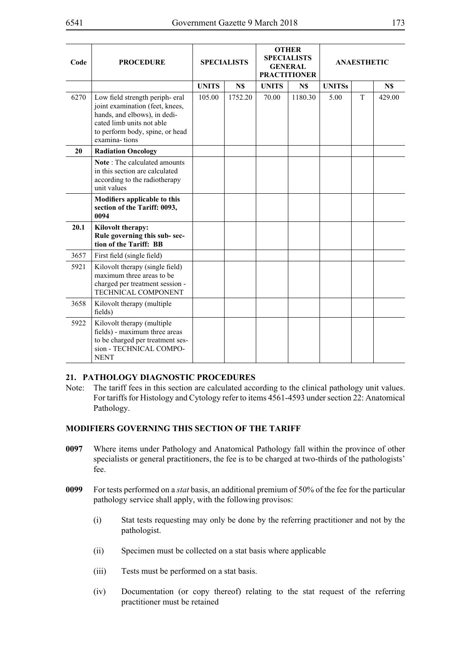| Code | <b>PROCEDURE</b>                                                                                                                                                                   | <b>SPECIALISTS</b> |         | <b>OTHER</b><br><b>SPECIALISTS</b><br><b>GENERAL</b><br><b>PRACTITIONER</b> |         | <b>ANAESTHETIC</b> |   |        |
|------|------------------------------------------------------------------------------------------------------------------------------------------------------------------------------------|--------------------|---------|-----------------------------------------------------------------------------|---------|--------------------|---|--------|
|      |                                                                                                                                                                                    | <b>UNITS</b>       | N\$     | <b>UNITS</b>                                                                | N\$     | <b>UNITSs</b>      |   | N\$    |
| 6270 | Low field strength periph-eral<br>joint examination (feet, knees,<br>hands, and elbows), in dedi-<br>cated limb units not able<br>to perform body, spine, or head<br>examina-tions | 105.00             | 1752.20 | 70.00                                                                       | 1180.30 | 5.00               | T | 429.00 |
| 20   | <b>Radiation Oncology</b>                                                                                                                                                          |                    |         |                                                                             |         |                    |   |        |
|      | Note: The calculated amounts<br>in this section are calculated<br>according to the radiotherapy<br>unit values                                                                     |                    |         |                                                                             |         |                    |   |        |
|      | Modifiers applicable to this<br>section of the Tariff: 0093,<br>0094                                                                                                               |                    |         |                                                                             |         |                    |   |        |
| 20.1 | Kilovolt therapy:<br>Rule governing this sub-sec-<br>tion of the Tariff: BB                                                                                                        |                    |         |                                                                             |         |                    |   |        |
| 3657 | First field (single field)                                                                                                                                                         |                    |         |                                                                             |         |                    |   |        |
| 5921 | Kilovolt therapy (single field)<br>maximum three areas to be<br>charged per treatment session -<br>TECHNICAL COMPONENT                                                             |                    |         |                                                                             |         |                    |   |        |
| 3658 | Kilovolt therapy (multiple<br>fields)                                                                                                                                              |                    |         |                                                                             |         |                    |   |        |
| 5922 | Kilovolt therapy (multiple<br>fields) - maximum three areas<br>to be charged per treatment ses-<br>sion - TECHNICAL COMPO-<br><b>NENT</b>                                          |                    |         |                                                                             |         |                    |   |        |

### **21. PATHOLOGY DIAGNOSTIC PROCEDURES**

Note: The tariff fees in this section are calculated according to the clinical pathology unit values. For tariffs for Histology and Cytology refer to items 4561-4593 under section 22: Anatomical Pathology.

## **MODIFIERS GOVERNING THIS SECTION OF THE TARIFF**

- **0097** Where items under Pathology and Anatomical Pathology fall within the province of other specialists or general practitioners, the fee is to be charged at two-thirds of the pathologists' fee.
- **0099** For tests performed on a *stat* basis, an additional premium of 50% of the fee for the particular pathology service shall apply, with the following provisos:
	- (i) Stat tests requesting may only be done by the referring practitioner and not by the pathologist.
	- (ii) Specimen must be collected on a stat basis where applicable
	- (iii) Tests must be performed on a stat basis.
	- (iv) Documentation (or copy thereof) relating to the stat request of the referring practitioner must be retained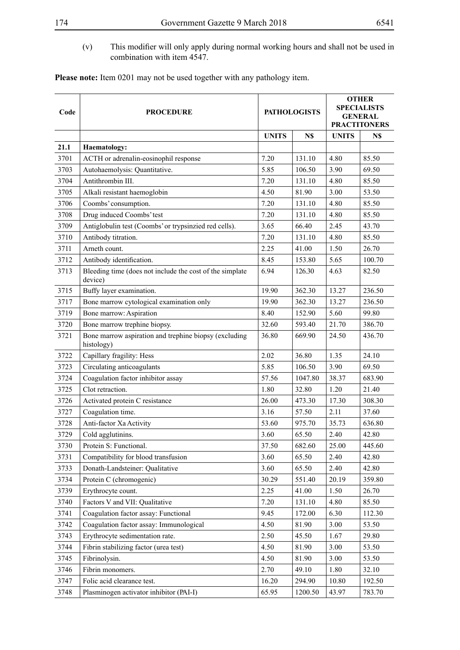(v) This modifier will only apply during normal working hours and shall not be used in combination with item 4547.

| Please note: Item 0201 may not be used together with any pathology item. |  |
|--------------------------------------------------------------------------|--|
|--------------------------------------------------------------------------|--|

| Code | <b>PROCEDURE</b>                                                    |              | <b>PATHOLOGISTS</b> | <b>OTHER</b><br><b>SPECIALISTS</b><br><b>GENERAL</b><br><b>PRACTITONERS</b> |        |  |
|------|---------------------------------------------------------------------|--------------|---------------------|-----------------------------------------------------------------------------|--------|--|
|      |                                                                     | <b>UNITS</b> | N\$                 | <b>UNITS</b>                                                                | N\$    |  |
| 21.1 | <b>Haematology:</b>                                                 |              |                     |                                                                             |        |  |
| 3701 | ACTH or adrenalin-eosinophil response                               | 7.20         | 131.10              | 4.80                                                                        | 85.50  |  |
| 3703 | Autohaemolysis: Quantitative.                                       | 5.85         | 106.50              | 3.90                                                                        | 69.50  |  |
| 3704 | Antithrombin III.                                                   | 7.20         | 131.10              | 4.80                                                                        | 85.50  |  |
| 3705 | Alkali resistant haemoglobin                                        | 4.50         | 81.90               | 3.00                                                                        | 53.50  |  |
| 3706 | Coombs' consumption.                                                | 7.20         | 131.10              | 4.80                                                                        | 85.50  |  |
| 3708 | Drug induced Coombs' test                                           | 7.20         | 131.10              | 4.80                                                                        | 85.50  |  |
| 3709 | Antiglobulin test (Coombs' or trypsinzied red cells).               | 3.65         | 66.40               | 2.45                                                                        | 43.70  |  |
| 3710 | Antibody titration.                                                 | 7.20         | 131.10              | 4.80                                                                        | 85.50  |  |
| 3711 | Arneth count.                                                       | 2.25         | 41.00               | 1.50                                                                        | 26.70  |  |
| 3712 | Antibody identification.                                            | 8.45         | 153.80              | 5.65                                                                        | 100.70 |  |
| 3713 | Bleeding time (does not include the cost of the simplate<br>device) | 6.94         | 126.30              | 4.63                                                                        | 82.50  |  |
| 3715 | Buffy layer examination.                                            | 19.90        | 362.30              | 13.27                                                                       | 236.50 |  |
| 3717 | Bone marrow cytological examination only                            | 19.90        | 362.30              | 13.27                                                                       | 236.50 |  |
| 3719 | Bone marrow: Aspiration                                             | 8.40         | 152.90              | 5.60                                                                        | 99.80  |  |
| 3720 | Bone marrow trephine biopsy.                                        | 32.60        | 593.40              | 21.70                                                                       | 386.70 |  |
| 3721 | Bone marrow aspiration and trephine biopsy (excluding<br>histology) | 36.80        | 669.90              | 24.50                                                                       | 436.70 |  |
| 3722 | Capillary fragility: Hess                                           | 2.02         | 36.80               | 1.35                                                                        | 24.10  |  |
| 3723 | Circulating anticoagulants                                          | 5.85         | 106.50              | 3.90                                                                        | 69.50  |  |
| 3724 | Coagulation factor inhibitor assay                                  | 57.56        | 1047.80             | 38.37                                                                       | 683.90 |  |
| 3725 | Clot retraction.                                                    | 1.80         | 32.80               | 1.20                                                                        | 21.40  |  |
| 3726 | Activated protein C resistance                                      | 26.00        | 473.30              | 17.30                                                                       | 308.30 |  |
| 3727 | Coagulation time.                                                   | 3.16         | 57.50               | 2.11                                                                        | 37.60  |  |
| 3728 | Anti-factor Xa Activity                                             | 53.60        | 975.70              | 35.73                                                                       | 636.80 |  |
| 3729 | Cold agglutinins.                                                   | 3.60         | 65.50               | 2.40                                                                        | 42.80  |  |
| 3730 | Protein S: Functional.                                              | 37.50        | 682.60              | 25.00                                                                       | 445.60 |  |
| 3731 | Compatibility for blood transfusion                                 | 3.60         | 65.50               | 2.40                                                                        | 42.80  |  |
| 3733 | Donath-Landsteiner: Qualitative                                     | 3.60         | 65.50               | 2.40                                                                        | 42.80  |  |
| 3734 | Protein C (chromogenic)                                             | 30.29        | 551.40              | 20.19                                                                       | 359.80 |  |
| 3739 | Erythrocyte count.                                                  | 2.25         | 41.00               | 1.50                                                                        | 26.70  |  |
| 3740 | Factors V and VII: Qualitative                                      | 7.20         | 131.10              | 4.80                                                                        | 85.50  |  |
| 3741 | Coagulation factor assay: Functional                                | 9.45         | 172.00              | 6.30                                                                        | 112.30 |  |
| 3742 | Coagulation factor assay: Immunological                             | 4.50         | 81.90               | 3.00                                                                        | 53.50  |  |
| 3743 | Erythrocyte sedimentation rate.                                     | 2.50         | 45.50               | 1.67                                                                        | 29.80  |  |
| 3744 | Fibrin stabilizing factor (urea test)                               | 4.50         | 81.90               | 3.00                                                                        | 53.50  |  |
| 3745 | Fibrinolysin.                                                       | 4.50         | 81.90               | 3.00                                                                        | 53.50  |  |
| 3746 | Fibrin monomers.                                                    | 2.70         | 49.10               | 1.80                                                                        | 32.10  |  |
| 3747 | Folic acid clearance test.                                          | 16.20        | 294.90              | 10.80                                                                       | 192.50 |  |
| 3748 | Plasminogen activator inhibitor (PAI-I)                             | 65.95        | 1200.50             | 43.97                                                                       | 783.70 |  |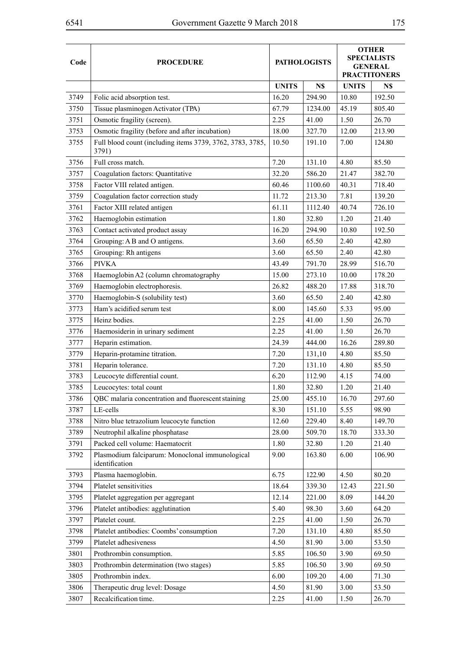÷

| Code | <b>PROCEDURE</b>                                                   |              | <b>PATHOLOGISTS</b> | <b>OTHER</b><br><b>SPECIALISTS</b><br><b>GENERAL</b><br><b>PRACTITONERS</b> |        |
|------|--------------------------------------------------------------------|--------------|---------------------|-----------------------------------------------------------------------------|--------|
|      |                                                                    |              |                     |                                                                             |        |
|      |                                                                    | <b>UNITS</b> | N\$                 | <b>UNITS</b>                                                                | N\$    |
| 3749 | Folic acid absorption test.                                        | 16.20        | 294.90              | 10.80                                                                       | 192.50 |
| 3750 | Tissue plasminogen Activator (TPA)                                 | 67.79        | 1234.00             | 45.19                                                                       | 805.40 |
| 3751 | Osmotic fragility (screen).                                        | 2.25         | 41.00               | 1.50                                                                        | 26.70  |
| 3753 | Osmotic fragility (before and after incubation)                    | 18.00        | 327.70              | 12.00                                                                       | 213.90 |
| 3755 | Full blood count (including items 3739, 3762, 3783, 3785,<br>3791) | 10.50        | 191.10              | 7.00                                                                        | 124.80 |
| 3756 | Full cross match.                                                  | 7.20         | 131.10              | 4.80                                                                        | 85.50  |
| 3757 | Coagulation factors: Quantitative                                  | 32.20        | 586.20              | 21.47                                                                       | 382.70 |
| 3758 | Factor VIII related antigen.                                       | 60.46        | 1100.60             | 40.31                                                                       | 718.40 |
| 3759 | Coagulation factor correction study                                | 11.72        | 213.30              | 7.81                                                                        | 139.20 |
| 3761 | Factor XIII related antigen                                        | 61.11        | 1112.40             | 40.74                                                                       | 726.10 |
| 3762 | Haemoglobin estimation                                             | 1.80         | 32.80               | 1.20                                                                        | 21.40  |
| 3763 | Contact activated product assay                                    | 16.20        | 294.90              | 10.80                                                                       | 192.50 |
| 3764 | Grouping: A B and O antigens.                                      | 3.60         | 65.50               | 2.40                                                                        | 42.80  |
| 3765 | Grouping: Rh antigens                                              | 3.60         | 65.50               | 2.40                                                                        | 42.80  |
| 3766 | <b>PIVKA</b>                                                       | 43.49        | 791.70              | 28.99                                                                       | 516.70 |
| 3768 | Haemoglobin A2 (column chromatography                              | 15.00        | 273.10              | 10.00                                                                       | 178.20 |
| 3769 | Haemoglobin electrophoresis.                                       | 26.82        | 488.20              | 17.88                                                                       | 318.70 |
| 3770 | Haemoglobin-S (solubility test)                                    | 3.60         | 65.50               | 2.40                                                                        | 42.80  |
| 3773 | Ham's acidified serum test                                         | 8.00         | 145.60              | 5.33                                                                        | 95.00  |
| 3775 | Heinz bodies.                                                      | 2.25         | 41.00               | 1.50                                                                        | 26.70  |
| 3776 | Haemosiderin in urinary sediment                                   | 2.25         | 41.00               | 1.50                                                                        | 26.70  |
| 3777 | Heparin estimation.                                                | 24.39        | 444.00              | 16.26                                                                       | 289.80 |
| 3779 | Heparin-protamine titration.                                       | 7.20         | 131,10              | 4.80                                                                        | 85.50  |
| 3781 | Heparin tolerance.                                                 | 7.20         | 131.10              | 4.80                                                                        | 85.50  |
| 3783 | Leucocyte differential count.                                      | 6.20         | 112.90              | 4.15                                                                        | 74.00  |
| 3785 | Leucocytes: total count                                            | 1.80         | 32.80               | 1.20                                                                        | 21.40  |
| 3786 | QBC malaria concentration and fluorescent staining                 | 25.00        | 455.10              | 16.70                                                                       | 297.60 |
| 3787 | LE-cells                                                           | 8.30         | 151.10              | 5.55                                                                        | 98.90  |
| 3788 | Nitro blue tetrazolium leucocyte function                          | 12.60        | 229.40              | 8.40                                                                        | 149.70 |
| 3789 | Neutrophil alkaline phosphatase                                    | 28.00        | 509.70              | 18.70                                                                       | 333.30 |
| 3791 | Packed cell volume: Haematocrit                                    | 1.80         | 32.80               | 1.20                                                                        | 21.40  |
| 3792 | Plasmodium falciparum: Monoclonal immunological<br>identification  | 9.00         | 163.80              | 6.00                                                                        | 106.90 |
| 3793 | Plasma haemoglobin.                                                | 6.75         | 122.90              | 4.50                                                                        | 80.20  |
| 3794 | Platelet sensitivities                                             | 18.64        | 339.30              | 12.43                                                                       | 221.50 |
| 3795 | Platelet aggregation per aggregant                                 | 12.14        | 221.00              | 8.09                                                                        | 144.20 |
| 3796 | Platelet antibodies: agglutination                                 | 5.40         | 98.30               | 3.60                                                                        | 64.20  |
| 3797 | Platelet count.                                                    | 2.25         | 41.00               | 1.50                                                                        | 26.70  |
| 3798 | Platelet antibodies: Coombs' consumption                           | 7.20         | 131.10              | 4.80                                                                        | 85.50  |
| 3799 | Platelet adhesiveness                                              | 4.50         | 81.90               | 3.00                                                                        | 53.50  |
| 3801 | Prothrombin consumption.                                           | 5.85         | 106.50              | 3.90                                                                        | 69.50  |
| 3803 | Prothrombin determination (two stages)                             | 5.85         | 106.50              | 3.90                                                                        | 69.50  |
| 3805 | Prothrombin index.                                                 | 6.00         | 109.20              | 4.00                                                                        | 71.30  |
| 3806 | Therapeutic drug level: Dosage                                     | 4.50         | 81.90               | 3.00                                                                        | 53.50  |
| 3807 | Recalcification time.                                              | 2.25         | 41.00               | 1.50                                                                        | 26.70  |
|      |                                                                    |              |                     |                                                                             |        |

 $\overline{ }$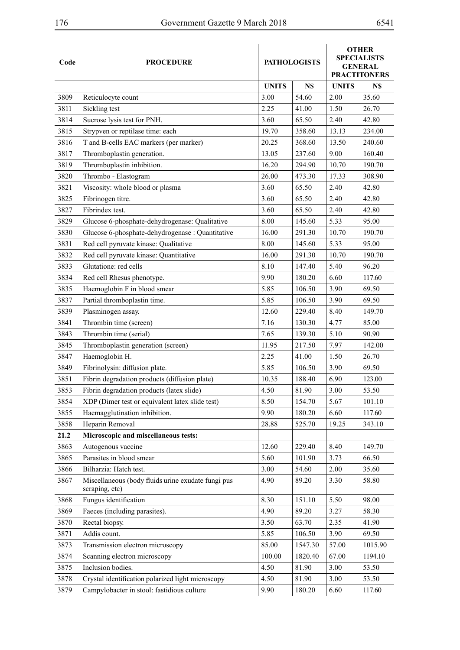| Code | <b>PROCEDURE</b>                                   |              | <b>PATHOLOGISTS</b> |              | <b>OTHER</b><br><b>SPECIALISTS</b><br><b>GENERAL</b><br><b>PRACTITONERS</b> |  |
|------|----------------------------------------------------|--------------|---------------------|--------------|-----------------------------------------------------------------------------|--|
|      |                                                    | <b>UNITS</b> | N\$                 | <b>UNITS</b> | N\$                                                                         |  |
| 3809 | Reticulocyte count                                 | 3.00         | 54.60               | 2.00         | 35.60                                                                       |  |
| 3811 | Sickling test                                      | 2.25         | 41.00               | 1.50         | 26.70                                                                       |  |
| 3814 | Sucrose lysis test for PNH.                        | 3.60         | 65.50               | 2.40         | 42.80                                                                       |  |
| 3815 | Strypven or reptilase time: each                   | 19.70        | 358.60              | 13.13        | 234.00                                                                      |  |
| 3816 | T and B-cells EAC markers (per marker)             | 20.25        | 368.60              | 13.50        | 240.60                                                                      |  |
| 3817 | Thromboplastin generation.                         | 13.05        | 237.60              | 9.00         | 160.40                                                                      |  |
| 3819 | Thromboplastin inhibition.                         | 16.20        | 294.90              | 10.70        | 190.70                                                                      |  |
| 3820 | Thrombo - Elastogram                               | 26.00        | 473.30              | 17.33        | 308.90                                                                      |  |
| 3821 | Viscosity: whole blood or plasma                   | 3.60         | 65.50               | 2.40         | 42.80                                                                       |  |
| 3825 | Fibrinogen titre.                                  | 3.60         | 65.50               | 2.40         | 42.80                                                                       |  |
| 3827 | Fibrindex test.                                    | 3.60         | 65.50               | 2.40         | 42.80                                                                       |  |
| 3829 | Glucose 6-phosphate-dehydrogenase: Qualitative     | 8.00         | 145.60              | 5.33         | 95.00                                                                       |  |
| 3830 | Glucose 6-phosphate-dehydrogenase: Quantitative    | 16.00        | 291.30              | 10.70        | 190.70                                                                      |  |
| 3831 | Red cell pyruvate kinase: Qualitative              | 8.00         | 145.60              | 5.33         | 95.00                                                                       |  |
| 3832 | Red cell pyruvate kinase: Quantitative             | 16.00        | 291.30              | 10.70        | 190.70                                                                      |  |
| 3833 | Glutatione: red cells                              | 8.10         | 147.40              | 5.40         | 96.20                                                                       |  |
| 3834 | Red cell Rhesus phenotype.                         | 9.90         | 180.20              | 6.60         | 117.60                                                                      |  |
| 3835 | Haemoglobin F in blood smear                       | 5.85         | 106.50              | 3.90         | 69.50                                                                       |  |
| 3837 | Partial thromboplastin time.                       | 5.85         | 106.50              | 3.90         | 69.50                                                                       |  |
| 3839 | Plasminogen assay.                                 | 12.60        | 229.40              | 8.40         | 149.70                                                                      |  |
| 3841 | Thrombin time (screen)                             | 7.16         | 130.30              | 4.77         | 85.00                                                                       |  |
| 3843 | Thrombin time (serial)                             | 7.65         | 139.30              | 5.10         | 90.90                                                                       |  |
| 3845 | Thromboplastin generation (screen)                 | 11.95        | 217.50              | 7.97         | 142.00                                                                      |  |
| 3847 | Haemoglobin H.                                     | 2.25         | 41.00               | 1.50         | 26.70                                                                       |  |
| 3849 | Fibrinolysin: diffusion plate.                     | 5.85         | 106.50              | 3.90         | 69.50                                                                       |  |
| 3851 | Fibrin degradation products (diffusion plate)      | 10.35        | 188.40              | 6.90         | 123.00                                                                      |  |
| 3853 | Fibrin degradation products (latex slide)          | 4.50         | 81.90               | 3.00         | 53.50                                                                       |  |
| 3854 | XDP (Dimer test or equivalent latex slide test)    | 8.50         | 154.70              | 5.67         | 101.10                                                                      |  |
| 3855 | Haemagglutination inhibition.                      | 9.90         | 180.20              | 6.60         | 117.60                                                                      |  |
| 3858 | Heparin Removal                                    | 28.88        | 525.70              | 19.25        | 343.10                                                                      |  |
| 21.2 | Microscopic and miscellaneous tests:               |              |                     |              |                                                                             |  |
| 3863 | Autogenous vaccine                                 | 12.60        | 229.40              | 8.40         | 149.70                                                                      |  |
| 3865 | Parasites in blood smear                           | 5.60         | 101.90              | 3.73         | 66.50                                                                       |  |
| 3866 | Bilharzia: Hatch test.                             | 3.00         | 54.60               | 2.00         | 35.60                                                                       |  |
| 3867 | Miscellaneous (body fluids urine exudate fungi pus | 4.90         | 89.20               | 3.30         | 58.80                                                                       |  |
|      | scraping, etc)                                     |              |                     |              |                                                                             |  |
| 3868 | Fungus identification                              | 8.30         | 151.10              | 5.50         | 98.00                                                                       |  |
| 3869 | Faeces (including parasites).                      | 4.90         | 89.20               | 3.27         | 58.30                                                                       |  |
| 3870 | Rectal biopsy.                                     | 3.50         | 63.70               | 2.35         | 41.90                                                                       |  |
| 3871 | Addis count.                                       | 5.85         | 106.50              | 3.90         | 69.50                                                                       |  |
| 3873 | Transmission electron microscopy                   | 85.00        | 1547.30             | 57.00        | 1015.90                                                                     |  |
| 3874 | Scanning electron microscopy                       | 100.00       | 1820.40             | 67.00        | 1194.10                                                                     |  |
| 3875 | Inclusion bodies.                                  | 4.50         | 81.90               | 3.00         | 53.50                                                                       |  |
| 3878 | Crystal identification polarized light microscopy  | 4.50         | 81.90               | 3.00         | 53.50                                                                       |  |
| 3879 | Campylobacter in stool: fastidious culture         | 9.90         | 180.20              | 6.60         | 117.60                                                                      |  |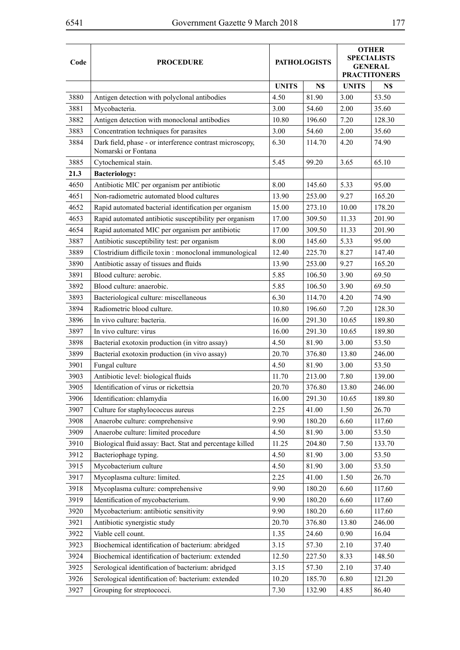÷

| <b>UNITS</b><br><b>UNITS</b><br>N\$<br>N\$<br>3880<br>Antigen detection with polyclonal antibodies<br>4.50<br>81.90<br>3.00<br>53.50<br>3881<br>Mycobacteria.<br>3.00<br>2.00<br>35.60<br>54.60<br>Antigen detection with monoclonal antibodies<br>3882<br>7.20<br>128.30<br>10.80<br>196.60<br>Concentration techniques for parasites<br>3883<br>3.00<br>54.60<br>2.00<br>35.60<br>3884<br>Dark field, phase - or interference contrast microscopy,<br>6.30<br>4.20<br>74.90<br>114.70<br>Nomarski or Fontana<br>5.45<br>3885<br>Cytochemical stain.<br>99.20<br>3.65<br>65.10<br>21.3<br><b>Bacteriology:</b><br>Antibiotic MIC per organism per antibiotic<br>8.00<br>5.33<br>4650<br>145.60<br>95.00<br>Non-radiometric automated blood cultures<br>9.27<br>165.20<br>4651<br>13.90<br>253.00<br>4652<br>Rapid automated bacterial identification per organism<br>15.00<br>273.10<br>10.00<br>178.20<br>Rapid automated antibiotic susceptibility per organism<br>17.00<br>309.50<br>11.33<br>201.90<br>4653<br>Rapid automated MIC per organism per antibiotic<br>4654<br>11.33<br>201.90<br>17.00<br>309.50<br>Antibiotic susceptibility test: per organism<br>3887<br>8.00<br>145.60<br>5.33<br>95.00<br>Clostridium difficile toxin : monoclonal immunological<br>3889<br>12.40<br>225.70<br>8.27<br>147.40<br>Antibiotic assay of tissues and fluids<br>9.27<br>165.20<br>3890<br>13.90<br>253.00<br>Blood culture: aerobic.<br>3891<br>5.85<br>106.50<br>3.90<br>69.50<br>3892<br>Blood culture: anaerobic.<br>5.85<br>3.90<br>106.50<br>69.50<br>3893<br>Bacteriological culture: miscellaneous<br>6.30<br>114.70<br>4.20<br>74.90<br>Radiometric blood culture.<br>3894<br>7.20<br>10.80<br>196.60<br>128.30<br>3896<br>In vivo culture: bacteria.<br>16.00<br>291.30<br>10.65<br>189.80<br>3897<br>In vivo culture: virus<br>16.00<br>291.30<br>10.65<br>189.80<br>Bacterial exotoxin production (in vitro assay)<br>3.00<br>3898<br>4.50<br>81.90<br>53.50<br>Bacterial exotoxin production (in vivo assay)<br>3899<br>20.70<br>376.80<br>13.80<br>246.00<br>3901<br>Fungal culture<br>4.50<br>81.90<br>3.00<br>53.50<br>Antibiotic level: biological fluids<br>3903<br>213.00<br>7.80<br>139.00<br>11.70<br>Identification of virus or rickettsia<br>3905<br>20.70<br>376.80<br>13.80<br>246.00<br>3906<br>Identification: chlamydia<br>16.00<br>291.30<br>10.65<br>189.80<br>3907<br>Culture for staphylococcus aureus<br>2.25<br>41.00<br>1.50<br>26.70<br>Anaerobe culture: comprehensive<br>3908<br>9.90<br>180.20<br>6.60<br>117.60<br>Anaerobe culture: limited procedure<br>3909<br>4.50<br>81.90<br>3.00<br>53.50<br>3910<br>204.80<br>7.50<br>Biological fluid assay: Bact. Stat and percentage killed<br>11.25<br>133.70<br>3912<br>Bacteriophage typing.<br>4.50<br>81.90<br>3.00<br>53.50<br>3915<br>Mycobacterium culture<br>4.50<br>81.90<br>3.00<br>53.50<br>Mycoplasma culture: limited.<br>3917<br>2.25<br>41.00<br>1.50<br>26.70<br>3918<br>Mycoplasma culture: comprehensive<br>9.90<br>180.20<br>6.60<br>117.60<br>Identification of mycobacterium.<br>9.90<br>3919<br>180.20<br>6.60<br>117.60<br>Mycobacterium: antibiotic sensitivity<br>3920<br>9.90<br>180.20<br>6.60<br>117.60<br>Antibiotic synergistic study<br>246.00<br>3921<br>20.70<br>376.80<br>13.80<br>Viable cell count.<br>3922<br>24.60<br>0.90<br>16.04<br>1.35<br>Biochemical identification of bacterium: abridged<br>3923<br>3.15<br>57.30<br>2.10<br>37.40<br>Biochemical identification of bacterium: extended<br>3924<br>12.50<br>8.33<br>227.50<br>148.50<br>Serological identification of bacterium: abridged<br>3925<br>3.15<br>2.10<br>37.40<br>57.30<br>Serological identification of: bacterium: extended<br>3926<br>10.20<br>6.80<br>121.20<br>185.70<br>3927<br>Grouping for streptococci.<br>7.30<br>132.90<br>4.85<br>86.40 | Code | <b>PROCEDURE</b> | <b>PATHOLOGISTS</b> |  | <b>OTHER</b><br><b>SPECIALISTS</b><br><b>GENERAL</b><br><b>PRACTITONERS</b> |  |
|---------------------------------------------------------------------------------------------------------------------------------------------------------------------------------------------------------------------------------------------------------------------------------------------------------------------------------------------------------------------------------------------------------------------------------------------------------------------------------------------------------------------------------------------------------------------------------------------------------------------------------------------------------------------------------------------------------------------------------------------------------------------------------------------------------------------------------------------------------------------------------------------------------------------------------------------------------------------------------------------------------------------------------------------------------------------------------------------------------------------------------------------------------------------------------------------------------------------------------------------------------------------------------------------------------------------------------------------------------------------------------------------------------------------------------------------------------------------------------------------------------------------------------------------------------------------------------------------------------------------------------------------------------------------------------------------------------------------------------------------------------------------------------------------------------------------------------------------------------------------------------------------------------------------------------------------------------------------------------------------------------------------------------------------------------------------------------------------------------------------------------------------------------------------------------------------------------------------------------------------------------------------------------------------------------------------------------------------------------------------------------------------------------------------------------------------------------------------------------------------------------------------------------------------------------------------------------------------------------------------------------------------------------------------------------------------------------------------------------------------------------------------------------------------------------------------------------------------------------------------------------------------------------------------------------------------------------------------------------------------------------------------------------------------------------------------------------------------------------------------------------------------------------------------------------------------------------------------------------------------------------------------------------------------------------------------------------------------------------------------------------------------------------------------------------------------------------------------------------------------------------------------------------------------------------------------------------------------------------------------------------------------------------------------------------------------------------------------------------------------------------------------------------------------------------------------------------------------------|------|------------------|---------------------|--|-----------------------------------------------------------------------------|--|
|                                                                                                                                                                                                                                                                                                                                                                                                                                                                                                                                                                                                                                                                                                                                                                                                                                                                                                                                                                                                                                                                                                                                                                                                                                                                                                                                                                                                                                                                                                                                                                                                                                                                                                                                                                                                                                                                                                                                                                                                                                                                                                                                                                                                                                                                                                                                                                                                                                                                                                                                                                                                                                                                                                                                                                                                                                                                                                                                                                                                                                                                                                                                                                                                                                                                                                                                                                                                                                                                                                                                                                                                                                                                                                                                                                                                                                                   |      |                  |                     |  |                                                                             |  |
|                                                                                                                                                                                                                                                                                                                                                                                                                                                                                                                                                                                                                                                                                                                                                                                                                                                                                                                                                                                                                                                                                                                                                                                                                                                                                                                                                                                                                                                                                                                                                                                                                                                                                                                                                                                                                                                                                                                                                                                                                                                                                                                                                                                                                                                                                                                                                                                                                                                                                                                                                                                                                                                                                                                                                                                                                                                                                                                                                                                                                                                                                                                                                                                                                                                                                                                                                                                                                                                                                                                                                                                                                                                                                                                                                                                                                                                   |      |                  |                     |  |                                                                             |  |
|                                                                                                                                                                                                                                                                                                                                                                                                                                                                                                                                                                                                                                                                                                                                                                                                                                                                                                                                                                                                                                                                                                                                                                                                                                                                                                                                                                                                                                                                                                                                                                                                                                                                                                                                                                                                                                                                                                                                                                                                                                                                                                                                                                                                                                                                                                                                                                                                                                                                                                                                                                                                                                                                                                                                                                                                                                                                                                                                                                                                                                                                                                                                                                                                                                                                                                                                                                                                                                                                                                                                                                                                                                                                                                                                                                                                                                                   |      |                  |                     |  |                                                                             |  |
|                                                                                                                                                                                                                                                                                                                                                                                                                                                                                                                                                                                                                                                                                                                                                                                                                                                                                                                                                                                                                                                                                                                                                                                                                                                                                                                                                                                                                                                                                                                                                                                                                                                                                                                                                                                                                                                                                                                                                                                                                                                                                                                                                                                                                                                                                                                                                                                                                                                                                                                                                                                                                                                                                                                                                                                                                                                                                                                                                                                                                                                                                                                                                                                                                                                                                                                                                                                                                                                                                                                                                                                                                                                                                                                                                                                                                                                   |      |                  |                     |  |                                                                             |  |
|                                                                                                                                                                                                                                                                                                                                                                                                                                                                                                                                                                                                                                                                                                                                                                                                                                                                                                                                                                                                                                                                                                                                                                                                                                                                                                                                                                                                                                                                                                                                                                                                                                                                                                                                                                                                                                                                                                                                                                                                                                                                                                                                                                                                                                                                                                                                                                                                                                                                                                                                                                                                                                                                                                                                                                                                                                                                                                                                                                                                                                                                                                                                                                                                                                                                                                                                                                                                                                                                                                                                                                                                                                                                                                                                                                                                                                                   |      |                  |                     |  |                                                                             |  |
|                                                                                                                                                                                                                                                                                                                                                                                                                                                                                                                                                                                                                                                                                                                                                                                                                                                                                                                                                                                                                                                                                                                                                                                                                                                                                                                                                                                                                                                                                                                                                                                                                                                                                                                                                                                                                                                                                                                                                                                                                                                                                                                                                                                                                                                                                                                                                                                                                                                                                                                                                                                                                                                                                                                                                                                                                                                                                                                                                                                                                                                                                                                                                                                                                                                                                                                                                                                                                                                                                                                                                                                                                                                                                                                                                                                                                                                   |      |                  |                     |  |                                                                             |  |
|                                                                                                                                                                                                                                                                                                                                                                                                                                                                                                                                                                                                                                                                                                                                                                                                                                                                                                                                                                                                                                                                                                                                                                                                                                                                                                                                                                                                                                                                                                                                                                                                                                                                                                                                                                                                                                                                                                                                                                                                                                                                                                                                                                                                                                                                                                                                                                                                                                                                                                                                                                                                                                                                                                                                                                                                                                                                                                                                                                                                                                                                                                                                                                                                                                                                                                                                                                                                                                                                                                                                                                                                                                                                                                                                                                                                                                                   |      |                  |                     |  |                                                                             |  |
|                                                                                                                                                                                                                                                                                                                                                                                                                                                                                                                                                                                                                                                                                                                                                                                                                                                                                                                                                                                                                                                                                                                                                                                                                                                                                                                                                                                                                                                                                                                                                                                                                                                                                                                                                                                                                                                                                                                                                                                                                                                                                                                                                                                                                                                                                                                                                                                                                                                                                                                                                                                                                                                                                                                                                                                                                                                                                                                                                                                                                                                                                                                                                                                                                                                                                                                                                                                                                                                                                                                                                                                                                                                                                                                                                                                                                                                   |      |                  |                     |  |                                                                             |  |
|                                                                                                                                                                                                                                                                                                                                                                                                                                                                                                                                                                                                                                                                                                                                                                                                                                                                                                                                                                                                                                                                                                                                                                                                                                                                                                                                                                                                                                                                                                                                                                                                                                                                                                                                                                                                                                                                                                                                                                                                                                                                                                                                                                                                                                                                                                                                                                                                                                                                                                                                                                                                                                                                                                                                                                                                                                                                                                                                                                                                                                                                                                                                                                                                                                                                                                                                                                                                                                                                                                                                                                                                                                                                                                                                                                                                                                                   |      |                  |                     |  |                                                                             |  |
|                                                                                                                                                                                                                                                                                                                                                                                                                                                                                                                                                                                                                                                                                                                                                                                                                                                                                                                                                                                                                                                                                                                                                                                                                                                                                                                                                                                                                                                                                                                                                                                                                                                                                                                                                                                                                                                                                                                                                                                                                                                                                                                                                                                                                                                                                                                                                                                                                                                                                                                                                                                                                                                                                                                                                                                                                                                                                                                                                                                                                                                                                                                                                                                                                                                                                                                                                                                                                                                                                                                                                                                                                                                                                                                                                                                                                                                   |      |                  |                     |  |                                                                             |  |
|                                                                                                                                                                                                                                                                                                                                                                                                                                                                                                                                                                                                                                                                                                                                                                                                                                                                                                                                                                                                                                                                                                                                                                                                                                                                                                                                                                                                                                                                                                                                                                                                                                                                                                                                                                                                                                                                                                                                                                                                                                                                                                                                                                                                                                                                                                                                                                                                                                                                                                                                                                                                                                                                                                                                                                                                                                                                                                                                                                                                                                                                                                                                                                                                                                                                                                                                                                                                                                                                                                                                                                                                                                                                                                                                                                                                                                                   |      |                  |                     |  |                                                                             |  |
|                                                                                                                                                                                                                                                                                                                                                                                                                                                                                                                                                                                                                                                                                                                                                                                                                                                                                                                                                                                                                                                                                                                                                                                                                                                                                                                                                                                                                                                                                                                                                                                                                                                                                                                                                                                                                                                                                                                                                                                                                                                                                                                                                                                                                                                                                                                                                                                                                                                                                                                                                                                                                                                                                                                                                                                                                                                                                                                                                                                                                                                                                                                                                                                                                                                                                                                                                                                                                                                                                                                                                                                                                                                                                                                                                                                                                                                   |      |                  |                     |  |                                                                             |  |
|                                                                                                                                                                                                                                                                                                                                                                                                                                                                                                                                                                                                                                                                                                                                                                                                                                                                                                                                                                                                                                                                                                                                                                                                                                                                                                                                                                                                                                                                                                                                                                                                                                                                                                                                                                                                                                                                                                                                                                                                                                                                                                                                                                                                                                                                                                                                                                                                                                                                                                                                                                                                                                                                                                                                                                                                                                                                                                                                                                                                                                                                                                                                                                                                                                                                                                                                                                                                                                                                                                                                                                                                                                                                                                                                                                                                                                                   |      |                  |                     |  |                                                                             |  |
|                                                                                                                                                                                                                                                                                                                                                                                                                                                                                                                                                                                                                                                                                                                                                                                                                                                                                                                                                                                                                                                                                                                                                                                                                                                                                                                                                                                                                                                                                                                                                                                                                                                                                                                                                                                                                                                                                                                                                                                                                                                                                                                                                                                                                                                                                                                                                                                                                                                                                                                                                                                                                                                                                                                                                                                                                                                                                                                                                                                                                                                                                                                                                                                                                                                                                                                                                                                                                                                                                                                                                                                                                                                                                                                                                                                                                                                   |      |                  |                     |  |                                                                             |  |
|                                                                                                                                                                                                                                                                                                                                                                                                                                                                                                                                                                                                                                                                                                                                                                                                                                                                                                                                                                                                                                                                                                                                                                                                                                                                                                                                                                                                                                                                                                                                                                                                                                                                                                                                                                                                                                                                                                                                                                                                                                                                                                                                                                                                                                                                                                                                                                                                                                                                                                                                                                                                                                                                                                                                                                                                                                                                                                                                                                                                                                                                                                                                                                                                                                                                                                                                                                                                                                                                                                                                                                                                                                                                                                                                                                                                                                                   |      |                  |                     |  |                                                                             |  |
|                                                                                                                                                                                                                                                                                                                                                                                                                                                                                                                                                                                                                                                                                                                                                                                                                                                                                                                                                                                                                                                                                                                                                                                                                                                                                                                                                                                                                                                                                                                                                                                                                                                                                                                                                                                                                                                                                                                                                                                                                                                                                                                                                                                                                                                                                                                                                                                                                                                                                                                                                                                                                                                                                                                                                                                                                                                                                                                                                                                                                                                                                                                                                                                                                                                                                                                                                                                                                                                                                                                                                                                                                                                                                                                                                                                                                                                   |      |                  |                     |  |                                                                             |  |
|                                                                                                                                                                                                                                                                                                                                                                                                                                                                                                                                                                                                                                                                                                                                                                                                                                                                                                                                                                                                                                                                                                                                                                                                                                                                                                                                                                                                                                                                                                                                                                                                                                                                                                                                                                                                                                                                                                                                                                                                                                                                                                                                                                                                                                                                                                                                                                                                                                                                                                                                                                                                                                                                                                                                                                                                                                                                                                                                                                                                                                                                                                                                                                                                                                                                                                                                                                                                                                                                                                                                                                                                                                                                                                                                                                                                                                                   |      |                  |                     |  |                                                                             |  |
|                                                                                                                                                                                                                                                                                                                                                                                                                                                                                                                                                                                                                                                                                                                                                                                                                                                                                                                                                                                                                                                                                                                                                                                                                                                                                                                                                                                                                                                                                                                                                                                                                                                                                                                                                                                                                                                                                                                                                                                                                                                                                                                                                                                                                                                                                                                                                                                                                                                                                                                                                                                                                                                                                                                                                                                                                                                                                                                                                                                                                                                                                                                                                                                                                                                                                                                                                                                                                                                                                                                                                                                                                                                                                                                                                                                                                                                   |      |                  |                     |  |                                                                             |  |
|                                                                                                                                                                                                                                                                                                                                                                                                                                                                                                                                                                                                                                                                                                                                                                                                                                                                                                                                                                                                                                                                                                                                                                                                                                                                                                                                                                                                                                                                                                                                                                                                                                                                                                                                                                                                                                                                                                                                                                                                                                                                                                                                                                                                                                                                                                                                                                                                                                                                                                                                                                                                                                                                                                                                                                                                                                                                                                                                                                                                                                                                                                                                                                                                                                                                                                                                                                                                                                                                                                                                                                                                                                                                                                                                                                                                                                                   |      |                  |                     |  |                                                                             |  |
|                                                                                                                                                                                                                                                                                                                                                                                                                                                                                                                                                                                                                                                                                                                                                                                                                                                                                                                                                                                                                                                                                                                                                                                                                                                                                                                                                                                                                                                                                                                                                                                                                                                                                                                                                                                                                                                                                                                                                                                                                                                                                                                                                                                                                                                                                                                                                                                                                                                                                                                                                                                                                                                                                                                                                                                                                                                                                                                                                                                                                                                                                                                                                                                                                                                                                                                                                                                                                                                                                                                                                                                                                                                                                                                                                                                                                                                   |      |                  |                     |  |                                                                             |  |
|                                                                                                                                                                                                                                                                                                                                                                                                                                                                                                                                                                                                                                                                                                                                                                                                                                                                                                                                                                                                                                                                                                                                                                                                                                                                                                                                                                                                                                                                                                                                                                                                                                                                                                                                                                                                                                                                                                                                                                                                                                                                                                                                                                                                                                                                                                                                                                                                                                                                                                                                                                                                                                                                                                                                                                                                                                                                                                                                                                                                                                                                                                                                                                                                                                                                                                                                                                                                                                                                                                                                                                                                                                                                                                                                                                                                                                                   |      |                  |                     |  |                                                                             |  |
|                                                                                                                                                                                                                                                                                                                                                                                                                                                                                                                                                                                                                                                                                                                                                                                                                                                                                                                                                                                                                                                                                                                                                                                                                                                                                                                                                                                                                                                                                                                                                                                                                                                                                                                                                                                                                                                                                                                                                                                                                                                                                                                                                                                                                                                                                                                                                                                                                                                                                                                                                                                                                                                                                                                                                                                                                                                                                                                                                                                                                                                                                                                                                                                                                                                                                                                                                                                                                                                                                                                                                                                                                                                                                                                                                                                                                                                   |      |                  |                     |  |                                                                             |  |
|                                                                                                                                                                                                                                                                                                                                                                                                                                                                                                                                                                                                                                                                                                                                                                                                                                                                                                                                                                                                                                                                                                                                                                                                                                                                                                                                                                                                                                                                                                                                                                                                                                                                                                                                                                                                                                                                                                                                                                                                                                                                                                                                                                                                                                                                                                                                                                                                                                                                                                                                                                                                                                                                                                                                                                                                                                                                                                                                                                                                                                                                                                                                                                                                                                                                                                                                                                                                                                                                                                                                                                                                                                                                                                                                                                                                                                                   |      |                  |                     |  |                                                                             |  |
|                                                                                                                                                                                                                                                                                                                                                                                                                                                                                                                                                                                                                                                                                                                                                                                                                                                                                                                                                                                                                                                                                                                                                                                                                                                                                                                                                                                                                                                                                                                                                                                                                                                                                                                                                                                                                                                                                                                                                                                                                                                                                                                                                                                                                                                                                                                                                                                                                                                                                                                                                                                                                                                                                                                                                                                                                                                                                                                                                                                                                                                                                                                                                                                                                                                                                                                                                                                                                                                                                                                                                                                                                                                                                                                                                                                                                                                   |      |                  |                     |  |                                                                             |  |
|                                                                                                                                                                                                                                                                                                                                                                                                                                                                                                                                                                                                                                                                                                                                                                                                                                                                                                                                                                                                                                                                                                                                                                                                                                                                                                                                                                                                                                                                                                                                                                                                                                                                                                                                                                                                                                                                                                                                                                                                                                                                                                                                                                                                                                                                                                                                                                                                                                                                                                                                                                                                                                                                                                                                                                                                                                                                                                                                                                                                                                                                                                                                                                                                                                                                                                                                                                                                                                                                                                                                                                                                                                                                                                                                                                                                                                                   |      |                  |                     |  |                                                                             |  |
|                                                                                                                                                                                                                                                                                                                                                                                                                                                                                                                                                                                                                                                                                                                                                                                                                                                                                                                                                                                                                                                                                                                                                                                                                                                                                                                                                                                                                                                                                                                                                                                                                                                                                                                                                                                                                                                                                                                                                                                                                                                                                                                                                                                                                                                                                                                                                                                                                                                                                                                                                                                                                                                                                                                                                                                                                                                                                                                                                                                                                                                                                                                                                                                                                                                                                                                                                                                                                                                                                                                                                                                                                                                                                                                                                                                                                                                   |      |                  |                     |  |                                                                             |  |
|                                                                                                                                                                                                                                                                                                                                                                                                                                                                                                                                                                                                                                                                                                                                                                                                                                                                                                                                                                                                                                                                                                                                                                                                                                                                                                                                                                                                                                                                                                                                                                                                                                                                                                                                                                                                                                                                                                                                                                                                                                                                                                                                                                                                                                                                                                                                                                                                                                                                                                                                                                                                                                                                                                                                                                                                                                                                                                                                                                                                                                                                                                                                                                                                                                                                                                                                                                                                                                                                                                                                                                                                                                                                                                                                                                                                                                                   |      |                  |                     |  |                                                                             |  |
|                                                                                                                                                                                                                                                                                                                                                                                                                                                                                                                                                                                                                                                                                                                                                                                                                                                                                                                                                                                                                                                                                                                                                                                                                                                                                                                                                                                                                                                                                                                                                                                                                                                                                                                                                                                                                                                                                                                                                                                                                                                                                                                                                                                                                                                                                                                                                                                                                                                                                                                                                                                                                                                                                                                                                                                                                                                                                                                                                                                                                                                                                                                                                                                                                                                                                                                                                                                                                                                                                                                                                                                                                                                                                                                                                                                                                                                   |      |                  |                     |  |                                                                             |  |
|                                                                                                                                                                                                                                                                                                                                                                                                                                                                                                                                                                                                                                                                                                                                                                                                                                                                                                                                                                                                                                                                                                                                                                                                                                                                                                                                                                                                                                                                                                                                                                                                                                                                                                                                                                                                                                                                                                                                                                                                                                                                                                                                                                                                                                                                                                                                                                                                                                                                                                                                                                                                                                                                                                                                                                                                                                                                                                                                                                                                                                                                                                                                                                                                                                                                                                                                                                                                                                                                                                                                                                                                                                                                                                                                                                                                                                                   |      |                  |                     |  |                                                                             |  |
|                                                                                                                                                                                                                                                                                                                                                                                                                                                                                                                                                                                                                                                                                                                                                                                                                                                                                                                                                                                                                                                                                                                                                                                                                                                                                                                                                                                                                                                                                                                                                                                                                                                                                                                                                                                                                                                                                                                                                                                                                                                                                                                                                                                                                                                                                                                                                                                                                                                                                                                                                                                                                                                                                                                                                                                                                                                                                                                                                                                                                                                                                                                                                                                                                                                                                                                                                                                                                                                                                                                                                                                                                                                                                                                                                                                                                                                   |      |                  |                     |  |                                                                             |  |
|                                                                                                                                                                                                                                                                                                                                                                                                                                                                                                                                                                                                                                                                                                                                                                                                                                                                                                                                                                                                                                                                                                                                                                                                                                                                                                                                                                                                                                                                                                                                                                                                                                                                                                                                                                                                                                                                                                                                                                                                                                                                                                                                                                                                                                                                                                                                                                                                                                                                                                                                                                                                                                                                                                                                                                                                                                                                                                                                                                                                                                                                                                                                                                                                                                                                                                                                                                                                                                                                                                                                                                                                                                                                                                                                                                                                                                                   |      |                  |                     |  |                                                                             |  |
|                                                                                                                                                                                                                                                                                                                                                                                                                                                                                                                                                                                                                                                                                                                                                                                                                                                                                                                                                                                                                                                                                                                                                                                                                                                                                                                                                                                                                                                                                                                                                                                                                                                                                                                                                                                                                                                                                                                                                                                                                                                                                                                                                                                                                                                                                                                                                                                                                                                                                                                                                                                                                                                                                                                                                                                                                                                                                                                                                                                                                                                                                                                                                                                                                                                                                                                                                                                                                                                                                                                                                                                                                                                                                                                                                                                                                                                   |      |                  |                     |  |                                                                             |  |
|                                                                                                                                                                                                                                                                                                                                                                                                                                                                                                                                                                                                                                                                                                                                                                                                                                                                                                                                                                                                                                                                                                                                                                                                                                                                                                                                                                                                                                                                                                                                                                                                                                                                                                                                                                                                                                                                                                                                                                                                                                                                                                                                                                                                                                                                                                                                                                                                                                                                                                                                                                                                                                                                                                                                                                                                                                                                                                                                                                                                                                                                                                                                                                                                                                                                                                                                                                                                                                                                                                                                                                                                                                                                                                                                                                                                                                                   |      |                  |                     |  |                                                                             |  |
|                                                                                                                                                                                                                                                                                                                                                                                                                                                                                                                                                                                                                                                                                                                                                                                                                                                                                                                                                                                                                                                                                                                                                                                                                                                                                                                                                                                                                                                                                                                                                                                                                                                                                                                                                                                                                                                                                                                                                                                                                                                                                                                                                                                                                                                                                                                                                                                                                                                                                                                                                                                                                                                                                                                                                                                                                                                                                                                                                                                                                                                                                                                                                                                                                                                                                                                                                                                                                                                                                                                                                                                                                                                                                                                                                                                                                                                   |      |                  |                     |  |                                                                             |  |
|                                                                                                                                                                                                                                                                                                                                                                                                                                                                                                                                                                                                                                                                                                                                                                                                                                                                                                                                                                                                                                                                                                                                                                                                                                                                                                                                                                                                                                                                                                                                                                                                                                                                                                                                                                                                                                                                                                                                                                                                                                                                                                                                                                                                                                                                                                                                                                                                                                                                                                                                                                                                                                                                                                                                                                                                                                                                                                                                                                                                                                                                                                                                                                                                                                                                                                                                                                                                                                                                                                                                                                                                                                                                                                                                                                                                                                                   |      |                  |                     |  |                                                                             |  |
|                                                                                                                                                                                                                                                                                                                                                                                                                                                                                                                                                                                                                                                                                                                                                                                                                                                                                                                                                                                                                                                                                                                                                                                                                                                                                                                                                                                                                                                                                                                                                                                                                                                                                                                                                                                                                                                                                                                                                                                                                                                                                                                                                                                                                                                                                                                                                                                                                                                                                                                                                                                                                                                                                                                                                                                                                                                                                                                                                                                                                                                                                                                                                                                                                                                                                                                                                                                                                                                                                                                                                                                                                                                                                                                                                                                                                                                   |      |                  |                     |  |                                                                             |  |
|                                                                                                                                                                                                                                                                                                                                                                                                                                                                                                                                                                                                                                                                                                                                                                                                                                                                                                                                                                                                                                                                                                                                                                                                                                                                                                                                                                                                                                                                                                                                                                                                                                                                                                                                                                                                                                                                                                                                                                                                                                                                                                                                                                                                                                                                                                                                                                                                                                                                                                                                                                                                                                                                                                                                                                                                                                                                                                                                                                                                                                                                                                                                                                                                                                                                                                                                                                                                                                                                                                                                                                                                                                                                                                                                                                                                                                                   |      |                  |                     |  |                                                                             |  |
|                                                                                                                                                                                                                                                                                                                                                                                                                                                                                                                                                                                                                                                                                                                                                                                                                                                                                                                                                                                                                                                                                                                                                                                                                                                                                                                                                                                                                                                                                                                                                                                                                                                                                                                                                                                                                                                                                                                                                                                                                                                                                                                                                                                                                                                                                                                                                                                                                                                                                                                                                                                                                                                                                                                                                                                                                                                                                                                                                                                                                                                                                                                                                                                                                                                                                                                                                                                                                                                                                                                                                                                                                                                                                                                                                                                                                                                   |      |                  |                     |  |                                                                             |  |
|                                                                                                                                                                                                                                                                                                                                                                                                                                                                                                                                                                                                                                                                                                                                                                                                                                                                                                                                                                                                                                                                                                                                                                                                                                                                                                                                                                                                                                                                                                                                                                                                                                                                                                                                                                                                                                                                                                                                                                                                                                                                                                                                                                                                                                                                                                                                                                                                                                                                                                                                                                                                                                                                                                                                                                                                                                                                                                                                                                                                                                                                                                                                                                                                                                                                                                                                                                                                                                                                                                                                                                                                                                                                                                                                                                                                                                                   |      |                  |                     |  |                                                                             |  |
|                                                                                                                                                                                                                                                                                                                                                                                                                                                                                                                                                                                                                                                                                                                                                                                                                                                                                                                                                                                                                                                                                                                                                                                                                                                                                                                                                                                                                                                                                                                                                                                                                                                                                                                                                                                                                                                                                                                                                                                                                                                                                                                                                                                                                                                                                                                                                                                                                                                                                                                                                                                                                                                                                                                                                                                                                                                                                                                                                                                                                                                                                                                                                                                                                                                                                                                                                                                                                                                                                                                                                                                                                                                                                                                                                                                                                                                   |      |                  |                     |  |                                                                             |  |
|                                                                                                                                                                                                                                                                                                                                                                                                                                                                                                                                                                                                                                                                                                                                                                                                                                                                                                                                                                                                                                                                                                                                                                                                                                                                                                                                                                                                                                                                                                                                                                                                                                                                                                                                                                                                                                                                                                                                                                                                                                                                                                                                                                                                                                                                                                                                                                                                                                                                                                                                                                                                                                                                                                                                                                                                                                                                                                                                                                                                                                                                                                                                                                                                                                                                                                                                                                                                                                                                                                                                                                                                                                                                                                                                                                                                                                                   |      |                  |                     |  |                                                                             |  |
|                                                                                                                                                                                                                                                                                                                                                                                                                                                                                                                                                                                                                                                                                                                                                                                                                                                                                                                                                                                                                                                                                                                                                                                                                                                                                                                                                                                                                                                                                                                                                                                                                                                                                                                                                                                                                                                                                                                                                                                                                                                                                                                                                                                                                                                                                                                                                                                                                                                                                                                                                                                                                                                                                                                                                                                                                                                                                                                                                                                                                                                                                                                                                                                                                                                                                                                                                                                                                                                                                                                                                                                                                                                                                                                                                                                                                                                   |      |                  |                     |  |                                                                             |  |
|                                                                                                                                                                                                                                                                                                                                                                                                                                                                                                                                                                                                                                                                                                                                                                                                                                                                                                                                                                                                                                                                                                                                                                                                                                                                                                                                                                                                                                                                                                                                                                                                                                                                                                                                                                                                                                                                                                                                                                                                                                                                                                                                                                                                                                                                                                                                                                                                                                                                                                                                                                                                                                                                                                                                                                                                                                                                                                                                                                                                                                                                                                                                                                                                                                                                                                                                                                                                                                                                                                                                                                                                                                                                                                                                                                                                                                                   |      |                  |                     |  |                                                                             |  |
|                                                                                                                                                                                                                                                                                                                                                                                                                                                                                                                                                                                                                                                                                                                                                                                                                                                                                                                                                                                                                                                                                                                                                                                                                                                                                                                                                                                                                                                                                                                                                                                                                                                                                                                                                                                                                                                                                                                                                                                                                                                                                                                                                                                                                                                                                                                                                                                                                                                                                                                                                                                                                                                                                                                                                                                                                                                                                                                                                                                                                                                                                                                                                                                                                                                                                                                                                                                                                                                                                                                                                                                                                                                                                                                                                                                                                                                   |      |                  |                     |  |                                                                             |  |
|                                                                                                                                                                                                                                                                                                                                                                                                                                                                                                                                                                                                                                                                                                                                                                                                                                                                                                                                                                                                                                                                                                                                                                                                                                                                                                                                                                                                                                                                                                                                                                                                                                                                                                                                                                                                                                                                                                                                                                                                                                                                                                                                                                                                                                                                                                                                                                                                                                                                                                                                                                                                                                                                                                                                                                                                                                                                                                                                                                                                                                                                                                                                                                                                                                                                                                                                                                                                                                                                                                                                                                                                                                                                                                                                                                                                                                                   |      |                  |                     |  |                                                                             |  |

 $\overline{ }$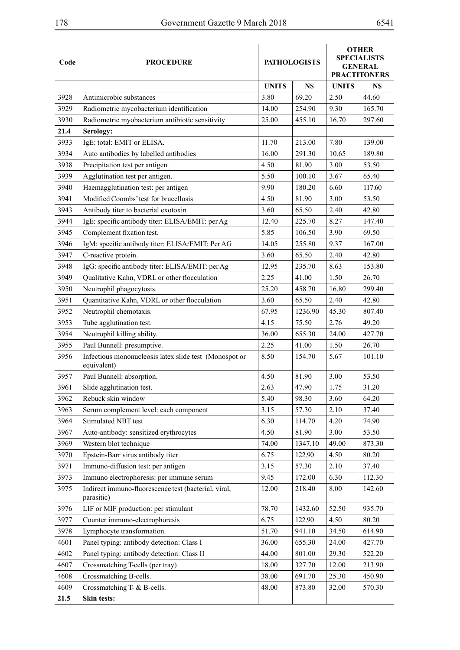| Code | <b>PROCEDURE</b>                                                      | <b>PATHOLOGISTS</b> |         | <b>OTHER</b><br><b>SPECIALISTS</b><br><b>GENERAL</b><br><b>PRACTITONERS</b> |        |
|------|-----------------------------------------------------------------------|---------------------|---------|-----------------------------------------------------------------------------|--------|
|      |                                                                       |                     |         |                                                                             |        |
|      |                                                                       | <b>UNITS</b>        | N\$     | <b>UNITS</b>                                                                | N\$    |
| 3928 | Antimicrobic substances                                               | 3.80                | 69.20   | 2.50                                                                        | 44.60  |
| 3929 | Radiometric mycobacterium identification                              | 14.00               | 254.90  | 9.30                                                                        | 165.70 |
| 3930 | Radiometric myobacterium antibiotic sensitivity                       | 25.00               | 455.10  | 16.70                                                                       | 297.60 |
| 21.4 | Serology:                                                             |                     |         |                                                                             |        |
| 3933 | IgE: total: EMIT or ELISA.                                            | 11.70               | 213.00  | 7.80                                                                        | 139.00 |
| 3934 | Auto antibodies by labelled antibodies                                | 16.00               | 291.30  | 10.65                                                                       | 189.80 |
| 3938 | Precipitation test per antigen.                                       | 4.50                | 81.90   | 3.00                                                                        | 53.50  |
| 3939 | Agglutination test per antigen.                                       | 5.50                | 100.10  | 3.67                                                                        | 65.40  |
| 3940 | Haemagglutination test: per antigen                                   | 9.90                | 180.20  | 6.60                                                                        | 117.60 |
| 3941 | Modified Coombs' test for brucellosis                                 | 4.50                | 81.90   | 3.00                                                                        | 53.50  |
| 3943 | Antibody titer to bacterial exotoxin                                  | 3.60                | 65.50   | 2.40                                                                        | 42.80  |
| 3944 | IgE: specific antibody titer: ELISA/EMIT: per Ag                      | 12.40               | 225.70  | 8.27                                                                        | 147.40 |
| 3945 | Complement fixation test.                                             | 5.85                | 106.50  | 3.90                                                                        | 69.50  |
| 3946 | IgM: specific antibody titer: ELISA/EMIT: Per AG                      | 14.05               | 255.80  | 9.37                                                                        | 167.00 |
| 3947 | C-reactive protein.                                                   | 3.60                | 65.50   | 2.40                                                                        | 42.80  |
| 3948 | IgG: specific antibody titer: ELISA/EMIT: per Ag                      | 12.95               | 235.70  | 8.63                                                                        | 153.80 |
| 3949 | Qualitative Kahn, VDRL or other flocculation                          | 2.25                | 41.00   | 1.50                                                                        | 26.70  |
| 3950 | Neutrophil phagocytosis.                                              | 25.20               | 458.70  | 16.80                                                                       | 299.40 |
| 3951 | Quantitative Kahn, VDRL or other flocculation                         | 3.60                | 65.50   | 2.40                                                                        | 42.80  |
| 3952 | Neutrophil chemotaxis.                                                | 67.95               | 1236.90 | 45.30                                                                       | 807.40 |
| 3953 | Tube agglutination test.                                              | 4.15                | 75.50   | 2.76                                                                        | 49.20  |
| 3954 | Neutrophil killing ability.                                           | 36.00               | 655.30  | 24.00                                                                       | 427.70 |
| 3955 | Paul Bunnell: presumptive.                                            | 2.25                | 41.00   | 1.50                                                                        | 26.70  |
| 3956 | Infectious mononucleosis latex slide test (Monospot or<br>equivalent) | 8.50                | 154.70  | 5.67                                                                        | 101.10 |
| 3957 | Paul Bunnell: absorption.                                             | 4.50                | 81.90   | 3.00                                                                        | 53.50  |
| 3961 | Slide agglutination test.                                             | 2.63                | 47.90   | 1.75                                                                        | 31.20  |
| 3962 | Rebuck skin window                                                    | 5.40                | 98.30   | 3.60                                                                        | 64.20  |
| 3963 | Serum complement level: each component                                | 3.15                | 57.30   | 2.10                                                                        | 37.40  |
| 3964 | Stimulated NBT test                                                   | 6.30                | 114.70  | 4.20                                                                        | 74.90  |
| 3967 | Auto-antibody: sensitized erythrocytes                                | 4.50                | 81.90   | 3.00                                                                        | 53.50  |
| 3969 | Western blot technique                                                | 74.00               | 1347.10 | 49.00                                                                       | 873.30 |
| 3970 | Epstein-Barr virus antibody titer                                     | 6.75                | 122.90  | 4.50                                                                        | 80.20  |
| 3971 | Immuno-diffusion test: per antigen                                    | 3.15                | 57.30   | 2.10                                                                        | 37.40  |
| 3973 | Immuno electrophoresis: per immune serum                              | 9.45                | 172.00  | 6.30                                                                        | 112.30 |
| 3975 | Indirect immuno-fluorescence test (bacterial, viral,<br>parasitic)    | 12.00               | 218.40  | 8.00                                                                        | 142.60 |
| 3976 | LIF or MIF production: per stimulant                                  | 78.70               | 1432.60 | 52.50                                                                       | 935.70 |
| 3977 | Counter immuno-electrophoresis                                        | 6.75                | 122.90  | 4.50                                                                        | 80.20  |
| 3978 | Lymphocyte transformation.                                            | 51.70               | 941.10  | 34.50                                                                       | 614.90 |
| 4601 | Panel typing: antibody detection: Class I                             | 36.00               | 655.30  | 24.00                                                                       | 427.70 |
| 4602 | Panel typing: antibody detection: Class II                            | 44.00               | 801.00  | 29.30                                                                       | 522.20 |
| 4607 | Crossmatching T-cells (per tray)                                      | 18.00               | 327.70  | 12.00                                                                       | 213.90 |
| 4608 | Crossmatching B-cells.                                                | 38.00               | 691.70  | 25.30                                                                       | 450.90 |
| 4609 | Crossmatching T- & B-cells.                                           | 48.00               | 873.80  | 32.00                                                                       | 570.30 |
| 21.5 | Skin tests:                                                           |                     |         |                                                                             |        |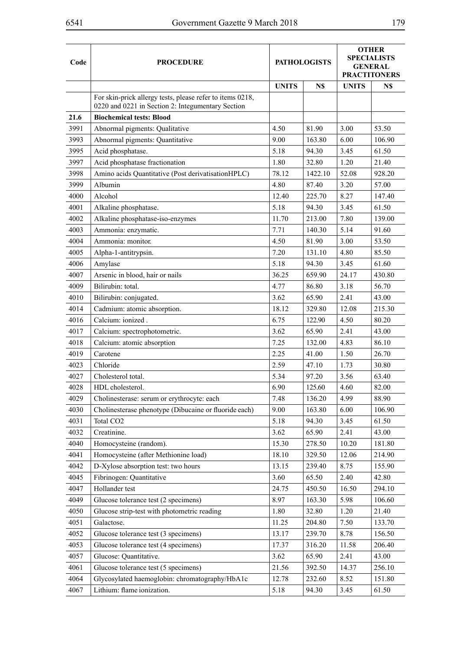| Code | <b>PROCEDURE</b>                                                                                               | <b>PATHOLOGISTS</b> |         | <b>OTHER</b><br><b>SPECIALISTS</b><br><b>GENERAL</b><br><b>PRACTITONERS</b> |        |
|------|----------------------------------------------------------------------------------------------------------------|---------------------|---------|-----------------------------------------------------------------------------|--------|
|      |                                                                                                                | <b>UNITS</b>        | N\$     | <b>UNITS</b>                                                                | N\$    |
|      | For skin-prick allergy tests, please refer to items 0218,<br>0220 and 0221 in Section 2: Integumentary Section |                     |         |                                                                             |        |
| 21.6 | <b>Biochemical tests: Blood</b>                                                                                |                     |         |                                                                             |        |
| 3991 | Abnormal pigments: Qualitative                                                                                 | 4.50                | 81.90   | 3.00                                                                        | 53.50  |
| 3993 | Abnormal pigments: Quantitative                                                                                | 9.00                | 163.80  | 6.00                                                                        | 106.90 |
| 3995 | Acid phosphatase.                                                                                              | 5.18                | 94.30   | 3.45                                                                        | 61.50  |
| 3997 | Acid phosphatase fractionation                                                                                 | 1.80                | 32.80   | 1.20                                                                        | 21.40  |
| 3998 | Amino acids Quantitative (Post derivatisationHPLC)                                                             | 78.12               | 1422.10 | 52.08                                                                       | 928.20 |
| 3999 | Albumin                                                                                                        | 4.80                | 87.40   | 3.20                                                                        | 57.00  |
| 4000 | Alcohol                                                                                                        | 12.40               | 225.70  | 8.27                                                                        | 147.40 |
| 4001 | Alkaline phosphatase.                                                                                          | 5.18                | 94.30   | 3.45                                                                        | 61.50  |
| 4002 | Alkaline phosphatase-iso-enzymes                                                                               | 11.70               | 213.00  | 7.80                                                                        | 139.00 |
| 4003 | Ammonia: enzymatic.                                                                                            | 7.71                | 140.30  | 5.14                                                                        | 91.60  |
| 4004 | Ammonia: monitor.                                                                                              | 4.50                | 81.90   | 3.00                                                                        | 53.50  |
| 4005 | Alpha-1-antitrypsin.                                                                                           | 7.20                | 131.10  | 4.80                                                                        | 85.50  |
| 4006 | Amylase                                                                                                        | 5.18                | 94.30   | 3.45                                                                        | 61.60  |
| 4007 | Arsenic in blood, hair or nails                                                                                | 36.25               | 659.90  | 24.17                                                                       | 430.80 |
| 4009 | Bilirubin: total.                                                                                              | 4.77                | 86.80   | 3.18                                                                        | 56.70  |
| 4010 | Bilirubin: conjugated.                                                                                         | 3.62                | 65.90   | 2.41                                                                        | 43.00  |
| 4014 | Cadmium: atomic absorption.                                                                                    | 18.12               | 329.80  | 12.08                                                                       | 215.30 |
| 4016 | Calcium: ionized.                                                                                              | 6.75                | 122.90  | 4.50                                                                        | 80.20  |
| 4017 | Calcium: spectrophotometric.                                                                                   | 3.62                | 65.90   | 2.41                                                                        | 43.00  |
| 4018 | Calcium: atomic absorption                                                                                     | 7.25                | 132.00  | 4.83                                                                        | 86.10  |
| 4019 | Carotene                                                                                                       | 2.25                | 41.00   | 1.50                                                                        | 26.70  |
| 4023 | Chloride                                                                                                       | 2.59                | 47.10   | 1.73                                                                        | 30.80  |
| 4027 | Cholesterol total.                                                                                             | 5.34                | 97.20   | 3.56                                                                        | 63.40  |
| 4028 | HDL cholesterol.                                                                                               | 6.90                | 125.60  | 4.60                                                                        | 82.00  |
| 4029 | Cholinesterase: serum or erythrocyte: each                                                                     | 7.48                | 136.20  | 4.99                                                                        | 88.90  |
| 4030 | Cholinesterase phenotype (Dibucaine or fluoride each)                                                          | 9.00                | 163.80  | 6.00                                                                        | 106.90 |
| 4031 | Total CO <sub>2</sub>                                                                                          | 5.18                | 94.30   | 3.45                                                                        | 61.50  |
| 4032 | Creatinine.                                                                                                    | 3.62                | 65.90   | 2.41                                                                        | 43.00  |
| 4040 | Homocysteine (random).                                                                                         | 15.30               | 278.50  | 10.20                                                                       | 181.80 |
| 4041 | Homocysteine (after Methionine load)                                                                           | 18.10               | 329.50  | 12.06                                                                       | 214.90 |
| 4042 | D-Xylose absorption test: two hours                                                                            | 13.15               | 239.40  | 8.75                                                                        | 155.90 |
| 4045 | Fibrinogen: Quantitative                                                                                       | 3.60                | 65.50   | 2.40                                                                        | 42.80  |
| 4047 | Hollander test                                                                                                 | 24.75               | 450.50  | 16.50                                                                       | 294.10 |
| 4049 | Glucose tolerance test (2 specimens)                                                                           | 8.97                | 163.30  | 5.98                                                                        | 106.60 |
| 4050 | Glucose strip-test with photometric reading                                                                    | 1.80                | 32.80   | 1.20                                                                        | 21.40  |
| 4051 | Galactose.                                                                                                     | 11.25               | 204.80  | 7.50                                                                        | 133.70 |
| 4052 | Glucose tolerance test (3 specimens)                                                                           | 13.17               | 239.70  | 8.78                                                                        | 156.50 |
| 4053 | Glucose tolerance test (4 specimens)                                                                           | 17.37               | 316.20  | 11.58                                                                       | 206.40 |
| 4057 | Glucose: Quantitative.                                                                                         | 3.62                | 65.90   | 2.41                                                                        | 43.00  |
| 4061 | Glucose tolerance test (5 specimens)                                                                           | 21.56               | 392.50  | 14.37                                                                       | 256.10 |
| 4064 | Glycosylated haemoglobin: chromatography/HbA1c                                                                 | 12.78               | 232.60  | 8.52                                                                        | 151.80 |
| 4067 | Lithium: flame ionization.                                                                                     | 5.18                | 94.30   | 3.45                                                                        | 61.50  |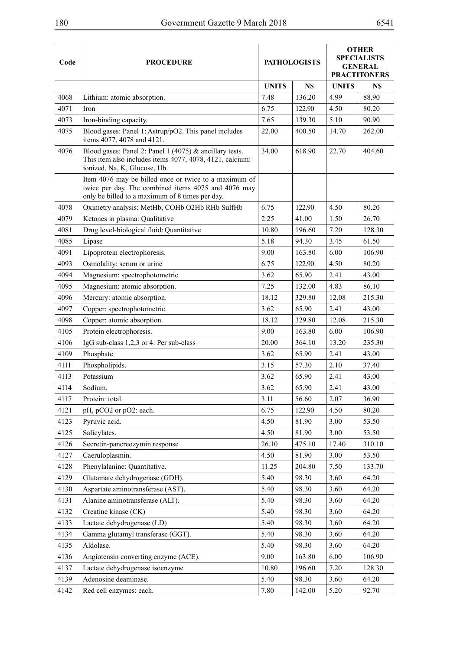| Code | <b>PROCEDURE</b>                                                                                                                                                | <b>PATHOLOGISTS</b> |                  | <b>OTHER</b><br><b>SPECIALISTS</b><br><b>GENERAL</b><br><b>PRACTITONERS</b> |              |
|------|-----------------------------------------------------------------------------------------------------------------------------------------------------------------|---------------------|------------------|-----------------------------------------------------------------------------|--------------|
|      |                                                                                                                                                                 |                     |                  |                                                                             |              |
| 4068 |                                                                                                                                                                 | <b>UNITS</b>        | N\$              | <b>UNITS</b><br>4.99                                                        | N\$<br>88.90 |
| 4071 | Lithium: atomic absorption.<br>Iron                                                                                                                             | 7.48<br>6.75        | 136.20<br>122.90 | 4.50                                                                        | 80.20        |
| 4073 | Iron-binding capacity.                                                                                                                                          | 7.65                | 139.30           | 5.10                                                                        | 90.90        |
| 4075 | Blood gases: Panel 1: Astrup/pO2. This panel includes                                                                                                           | 22.00               | 400.50           | 14.70                                                                       | 262.00       |
|      | items 4077, 4078 and 4121.                                                                                                                                      |                     |                  |                                                                             |              |
| 4076 | Blood gases: Panel 2: Panel 1 (4075) $&$ ancillary tests.<br>This item also includes items 4077, 4078, 4121, calcium:<br>ionized, Na, K, Glucose, Hb.           | 34.00               | 618.90           | 22.70                                                                       | 404.60       |
|      | Item 4076 may be billed once or twice to a maximum of<br>twice per day. The combined items 4075 and 4076 may<br>only be billed to a maximum of 8 times per day. |                     |                  |                                                                             |              |
| 4078 | Oximetry analysis: MetHb, COHb O2Hb RHb SulfHb                                                                                                                  | 6.75                | 122.90           | 4.50                                                                        | 80.20        |
| 4079 | Ketones in plasma: Qualitative                                                                                                                                  | 2.25                | 41.00            | 1.50                                                                        | 26.70        |
| 4081 | Drug level-biological fluid: Quantitative                                                                                                                       | 10.80               | 196.60           | 7.20                                                                        | 128.30       |
| 4085 | Lipase                                                                                                                                                          | 5.18                | 94.30            | 3.45                                                                        | 61.50        |
| 4091 | Lipoprotein electrophoresis.                                                                                                                                    | 9.00                | 163.80           | 6.00                                                                        | 106.90       |
| 4093 | Osmolality: serum or urine                                                                                                                                      | 6.75                | 122.90           | 4.50                                                                        | 80.20        |
| 4094 | Magnesium: spectrophotometric                                                                                                                                   | 3.62                | 65.90            | 2.41                                                                        | 43.00        |
| 4095 | Magnesium: atomic absorption.                                                                                                                                   | 7.25                | 132.00           | 4.83                                                                        | 86.10        |
| 4096 | Mercury: atomic absorption.                                                                                                                                     | 18.12               | 329.80           | 12.08                                                                       | 215.30       |
| 4097 | Copper: spectrophotometric.                                                                                                                                     | 3.62                | 65.90            | 2.41                                                                        | 43.00        |
| 4098 | Copper: atomic absorption.                                                                                                                                      | 18.12               | 329.80           | 12.08                                                                       | 215.30       |
| 4105 | Protein electrophoresis.                                                                                                                                        | 9.00                | 163.80           | 6.00                                                                        | 106.90       |
| 4106 | IgG sub-class 1,2,3 or 4: Per sub-class                                                                                                                         | 20.00               | 364.10           | 13.20                                                                       | 235.30       |
| 4109 | Phosphate                                                                                                                                                       | 3.62                | 65.90            | 2.41                                                                        | 43.00        |
| 4111 | Phospholipids.                                                                                                                                                  | 3.15                | 57.30            | 2.10                                                                        | 37.40        |
| 4113 | Potassium                                                                                                                                                       | 3.62                | 65.90            | 2.41                                                                        | 43.00        |
| 4114 | Sodium.                                                                                                                                                         | 3.62                | 65.90            | 2.41                                                                        | 43.00        |
| 4117 | Protein: total.                                                                                                                                                 | 3.11                | 56.60            | 2.07                                                                        | 36.90        |
| 4121 | pH, pCO2 or pO2: each.                                                                                                                                          | 6.75                | 122.90           | 4.50                                                                        | 80.20        |
| 4123 | Pyruvic acid.                                                                                                                                                   | 4.50                | 81.90            | 3.00                                                                        | 53.50        |
| 4125 | Salicylates.                                                                                                                                                    | 4.50                | 81.90            | 3.00                                                                        | 53.50        |
| 4126 | Secretin-pancreozymin response                                                                                                                                  | 26.10               | 475.10           | 17.40                                                                       | 310.10       |
| 4127 | Caeruloplasmin.                                                                                                                                                 | 4.50                | 81.90            | 3.00                                                                        | 53.50        |
| 4128 | Phenylalanine: Quantitative.                                                                                                                                    | 11.25               | 204.80           | 7.50                                                                        | 133.70       |
| 4129 | Glutamate dehydrogenase (GDH).                                                                                                                                  | 5.40                | 98.30            | 3.60                                                                        | 64.20        |
| 4130 | Aspartate aminotransferase (AST).                                                                                                                               | 5.40                | 98.30            | 3.60                                                                        | 64.20        |
| 4131 | Alanine aminotransferase (ALT).                                                                                                                                 | 5.40                | 98.30            | 3.60                                                                        | 64.20        |
| 4132 | Creatine kinase (CK)                                                                                                                                            | 5.40                | 98.30            | 3.60                                                                        | 64.20        |
| 4133 | Lactate dehydrogenase (LD)                                                                                                                                      | 5.40                | 98.30            | 3.60                                                                        | 64.20        |
| 4134 | Gamma glutamyl transferase (GGT).                                                                                                                               | 5.40                | 98.30            | 3.60                                                                        | 64.20        |
| 4135 | Aldolase.                                                                                                                                                       | 5.40                | 98.30            | 3.60                                                                        | 64.20        |
| 4136 | Angiotensin converting enzyme (ACE).                                                                                                                            | 9.00                | 163.80           | 6.00                                                                        | 106.90       |
| 4137 | Lactate dehydrogenase isoenzyme                                                                                                                                 | 10.80               | 196.60           | 7.20                                                                        | 128.30       |
| 4139 | Adenosine deaminase.                                                                                                                                            | 5.40                | 98.30            | 3.60                                                                        | 64.20        |
| 4142 | Red cell enzymes: each.                                                                                                                                         | 7.80                | 142.00           | 5.20                                                                        | 92.70        |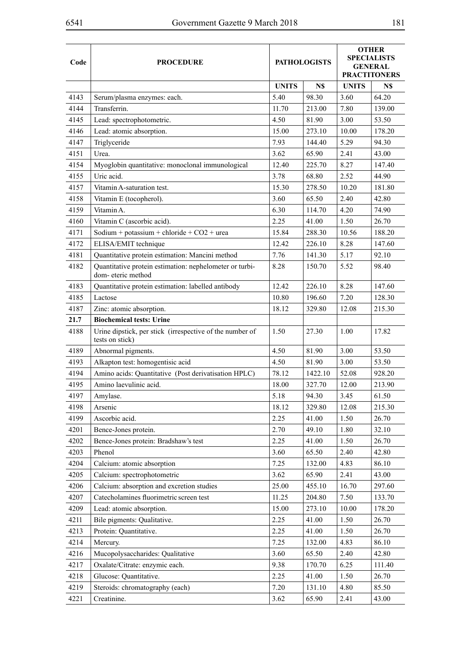| Code | <b>PROCEDURE</b>                                                             | <b>PATHOLOGISTS</b> | <b>OTHER</b><br><b>SPECIALISTS</b><br><b>GENERAL</b><br><b>PRACTITONERS</b> |              |        |
|------|------------------------------------------------------------------------------|---------------------|-----------------------------------------------------------------------------|--------------|--------|
|      |                                                                              | <b>UNITS</b>        | N\$                                                                         | <b>UNITS</b> | N\$    |
| 4143 | Serum/plasma enzymes: each.                                                  | 5.40                | 98.30                                                                       | 3.60         | 64.20  |
| 4144 | Transferrin.                                                                 | 11.70               | 213.00                                                                      | 7.80         | 139.00 |
| 4145 | Lead: spectrophotometric.                                                    | 4.50                | 81.90                                                                       | 3.00         | 53.50  |
| 4146 | Lead: atomic absorption.                                                     | 15.00               | 273.10                                                                      | 10.00        | 178.20 |
| 4147 | Triglyceride                                                                 | 7.93                | 144.40                                                                      | 5.29         | 94.30  |
| 4151 | Urea.                                                                        | 3.62                | 65.90                                                                       | 2.41         | 43.00  |
| 4154 | Myoglobin quantitative: monoclonal immunological                             | 12.40               | 225.70                                                                      | 8.27         | 147.40 |
| 4155 | Uric acid.                                                                   | 3.78                | 68.80                                                                       | 2.52         | 44.90  |
| 4157 | Vitamin A-saturation test.                                                   | 15.30               | 278.50                                                                      | 10.20        | 181.80 |
| 4158 | Vitamin E (tocopherol).                                                      | 3.60                | 65.50                                                                       | 2.40         | 42.80  |
| 4159 | Vitamin A.                                                                   | 6.30                | 114.70                                                                      | 4.20         | 74.90  |
| 4160 | Vitamin C (ascorbic acid).                                                   | 2.25                | 41.00                                                                       | 1.50         | 26.70  |
| 4171 | Sodium + potassium + chloride + $CO2$ + urea                                 | 15.84               | 288.30                                                                      | 10.56        | 188.20 |
| 4172 | ELISA/EMIT technique                                                         | 12.42               | 226.10                                                                      | 8.28         | 147.60 |
| 4181 | Quantitative protein estimation: Mancini method                              | 7.76                | 141.30                                                                      | 5.17         | 92.10  |
| 4182 | Quantitative protein estimation: nephelometer or turbi-<br>dom-eteric method | 8.28                | 150.70                                                                      | 5.52         | 98.40  |
| 4183 | Quantitative protein estimation: labelled antibody                           | 12.42               | 226.10                                                                      | 8.28         | 147.60 |
| 4185 | Lactose                                                                      | 10.80               | 196.60                                                                      | 7.20         | 128.30 |
| 4187 | Zinc: atomic absorption.                                                     | 18.12               | 329.80                                                                      | 12.08        | 215.30 |
| 21.7 | <b>Biochemical tests: Urine</b>                                              |                     |                                                                             |              |        |
| 4188 | Urine dipstick, per stick (irrespective of the number of<br>tests on stick)  | 1.50                | 27.30                                                                       | 1.00         | 17.82  |
| 4189 | Abnormal pigments.                                                           | 4.50                | 81.90                                                                       | 3.00         | 53.50  |
| 4193 | Alkapton test: homogentisic acid                                             | 4.50                | 81.90                                                                       | 3.00         | 53.50  |
| 4194 | Amino acids: Quantitative (Post derivatisation HPLC)                         | 78.12               | 1422.10                                                                     | 52.08        | 928.20 |
| 4195 | Amino laevulinic acid.                                                       | 18.00               | 327.70                                                                      | 12.00        | 213.90 |
| 4197 | Amylase.                                                                     | 5.18                | 94.30                                                                       | 3.45         | 61.50  |
| 4198 | Arsenic                                                                      | 18.12               | 329.80                                                                      | 12.08        | 215.30 |
| 4199 | Ascorbic acid.                                                               | 2.25                | 41.00                                                                       | 1.50         | 26.70  |
| 4201 | Bence-Jones protein.                                                         | 2.70                | 49.10                                                                       | 1.80         | 32.10  |
| 4202 | Bence-Jones protein: Bradshaw's test                                         | 2.25                | 41.00                                                                       | 1.50         | 26.70  |
| 4203 | Phenol                                                                       | 3.60                | 65.50                                                                       | 2.40         | 42.80  |
| 4204 | Calcium: atomic absorption                                                   | 7.25                | 132.00                                                                      | 4.83         | 86.10  |
| 4205 | Calcium: spectrophotometric                                                  | 3.62                | 65.90                                                                       | 2.41         | 43.00  |
| 4206 | Calcium: absorption and excretion studies                                    | 25.00               | 455.10                                                                      | 16.70        | 297.60 |
| 4207 | Catecholamines fluorimetric screen test                                      | 11.25               | 204.80                                                                      | 7.50         | 133.70 |
| 4209 | Lead: atomic absorption.                                                     | 15.00               | 273.10                                                                      | 10.00        | 178.20 |
| 4211 | Bile pigments: Qualitative.                                                  | 2.25                | 41.00                                                                       | 1.50         | 26.70  |
| 4213 | Protein: Quantitative.                                                       | 2.25                | 41.00                                                                       | 1.50         | 26.70  |
| 4214 | Mercury.                                                                     | 7.25                | 132.00                                                                      | 4.83         | 86.10  |
| 4216 | Mucopolysaccharides: Qualitative                                             | 3.60                | 65.50                                                                       | 2.40         | 42.80  |
| 4217 | Oxalate/Citrate: enzymic each.                                               | 9.38                | 170.70                                                                      | 6.25         | 111.40 |
| 4218 | Glucose: Quantitative.                                                       | 2.25                | 41.00                                                                       | 1.50         | 26.70  |
| 4219 | Steroids: chromatography (each)                                              | 7.20                | 131.10                                                                      | 4.80         | 85.50  |
| 4221 | Creatinine.                                                                  | 3.62                | 65.90                                                                       | 2.41         | 43.00  |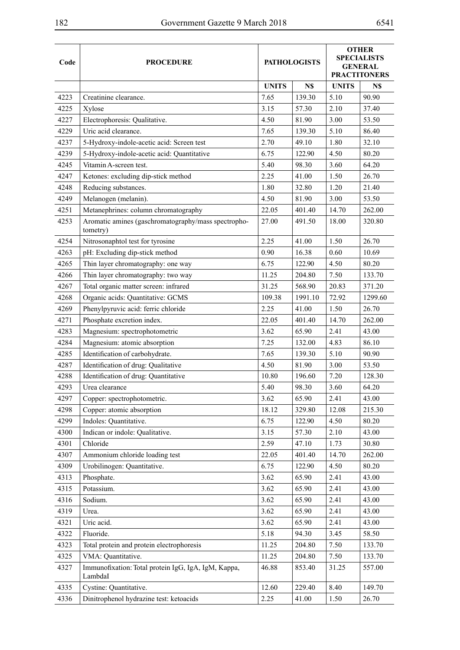|      |                                                                 |              |                     | <b>OTHER</b><br><b>SPECIALISTS</b><br><b>GENERAL</b> |                     |  |
|------|-----------------------------------------------------------------|--------------|---------------------|------------------------------------------------------|---------------------|--|
| Code | <b>PROCEDURE</b>                                                |              | <b>PATHOLOGISTS</b> |                                                      |                     |  |
|      |                                                                 |              |                     |                                                      | <b>PRACTITONERS</b> |  |
|      |                                                                 | <b>UNITS</b> | N\$                 | <b>UNITS</b>                                         | N\$                 |  |
| 4223 | Creatinine clearance.                                           | 7.65         | 139.30              | 5.10                                                 | 90.90               |  |
| 4225 | Xylose                                                          | 3.15         | 57.30               | 2.10                                                 | 37.40               |  |
| 4227 | Electrophoresis: Qualitative.                                   | 4.50         | 81.90               | 3.00                                                 | 53.50               |  |
| 4229 | Uric acid clearance.                                            | 7.65         | 139.30              | 5.10                                                 | 86.40               |  |
| 4237 | 5-Hydroxy-indole-acetic acid: Screen test                       | 2.70         | 49.10               | 1.80                                                 | 32.10               |  |
| 4239 | 5-Hydroxy-indole-acetic acid: Quantitative                      | 6.75         | 122.90              | 4.50                                                 | 80.20               |  |
| 4245 | Vitamin A-screen test.                                          | 5.40         | 98.30               | 3.60                                                 | 64.20               |  |
| 4247 | Ketones: excluding dip-stick method                             | 2.25         | 41.00               | 1.50                                                 | 26.70               |  |
| 4248 | Reducing substances.                                            | 1.80         | 32.80               | 1.20                                                 | 21.40               |  |
| 4249 | Melanogen (melanin).                                            | 4.50         | 81.90               | 3.00                                                 | 53.50               |  |
| 4251 | Metanephrines: column chromatography                            | 22.05        | 401.40              | 14.70                                                | 262.00              |  |
| 4253 | Aromatic amines (gaschromatography/mass spectropho-<br>tometry) | 27.00        | 491.50              | 18.00                                                | 320.80              |  |
| 4254 | Nitrosonaphtol test for tyrosine                                | 2.25         | 41.00               | 1.50                                                 | 26.70               |  |
| 4263 | pH: Excluding dip-stick method                                  | 0.90         | 16.38               | 0.60                                                 | 10.69               |  |
| 4265 | Thin layer chromatography: one way                              | 6.75         | 122.90              | 4.50                                                 | 80.20               |  |
| 4266 | Thin layer chromatography: two way                              | 11.25        | 204.80              | 7.50                                                 | 133.70              |  |
| 4267 | Total organic matter screen: infrared                           | 31.25        | 568.90              | 20.83                                                | 371.20              |  |
| 4268 | Organic acids: Quantitative: GCMS                               | 109.38       | 1991.10             | 72.92                                                | 1299.60             |  |
| 4269 | Phenylpyruvic acid: ferric chloride                             | 2.25         | 41.00               | 1.50                                                 | 26.70               |  |
| 4271 | Phosphate excretion index.                                      | 22.05        | 401.40              | 14.70                                                | 262.00              |  |
| 4283 | Magnesium: spectrophotometric                                   | 3.62         | 65.90               | 2.41                                                 | 43.00               |  |
| 4284 | Magnesium: atomic absorption                                    | 7.25         | 132.00              | 4.83                                                 | 86.10               |  |
| 4285 | Identification of carbohydrate.                                 | 7.65         | 139.30              | 5.10                                                 | 90.90               |  |
| 4287 | Identification of drug: Qualitative                             | 4.50         | 81.90               | 3.00                                                 | 53.50               |  |
| 4288 | Identification of drug: Quantitative                            | 10.80        | 196.60              | 7.20                                                 | 128.30              |  |
| 4293 | Urea clearance                                                  | 5.40         | 98.30               | 3.60                                                 | 64.20               |  |
| 4297 | Copper: spectrophotometric.                                     | 3.62         | 65.90               | 2.41                                                 | 43.00               |  |
| 4298 | Copper: atomic absorption                                       | 18.12        | 329.80              | 12.08                                                | 215.30              |  |
| 4299 | Indoles: Quantitative.                                          | 6.75         | 122.90              | 4.50                                                 | 80.20               |  |
| 4300 | Indican or indole: Qualitative.                                 | 3.15         | 57.30               | 2.10                                                 | 43.00               |  |
| 4301 | Chloride                                                        | 2.59         | 47.10               | 1.73                                                 | 30.80               |  |
| 4307 | Ammonium chloride loading test                                  | 22.05        | 401.40              | 14.70                                                | 262.00              |  |
| 4309 | Urobilinogen: Quantitative.                                     | 6.75         | 122.90              | 4.50                                                 | 80.20               |  |
| 4313 | Phosphate.                                                      | 3.62         | 65.90               | 2.41                                                 | 43.00               |  |
| 4315 | Potassium.                                                      | 3.62         | 65.90               | 2.41                                                 | 43.00               |  |
| 4316 | Sodium.                                                         | 3.62         | 65.90               | 2.41                                                 | 43.00               |  |
| 4319 | Urea.                                                           | 3.62         | 65.90               | 2.41                                                 | 43.00               |  |
| 4321 | Uric acid.                                                      | 3.62         | 65.90               | 2.41                                                 | 43.00               |  |
| 4322 | Fluoride.                                                       | 5.18         | 94.30               | 3.45                                                 | 58.50               |  |
| 4323 | Total protein and protein electrophoresis                       | 11.25        | 204.80              | 7.50                                                 | 133.70              |  |
| 4325 | VMA: Quantitative.                                              | 11.25        | 204.80              | 7.50                                                 | 133.70              |  |
| 4327 | Immunofixation: Total protein IgG, IgA, IgM, Kappa,<br>LambdaI  | 46.88        | 853.40              | 31.25                                                | 557.00              |  |
| 4335 | Cystine: Quantitative.                                          | 12.60        | 229.40              | 8.40                                                 | 149.70              |  |
| 4336 | Dinitrophenol hydrazine test: ketoacids                         | 2.25         | 41.00               | 1.50                                                 | 26.70               |  |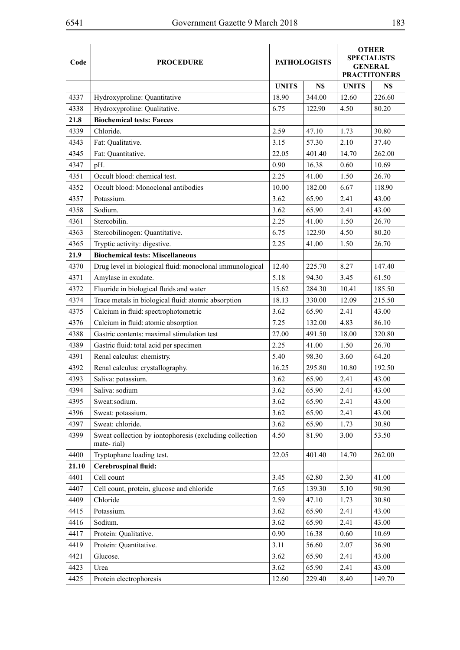| Code  | <b>PROCEDURE</b>                                                      |              | <b>PATHOLOGISTS</b> | <b>OTHER</b><br><b>SPECIALISTS</b><br><b>GENERAL</b><br><b>PRACTITONERS</b> |        |  |
|-------|-----------------------------------------------------------------------|--------------|---------------------|-----------------------------------------------------------------------------|--------|--|
|       |                                                                       | <b>UNITS</b> | N\$                 | <b>UNITS</b>                                                                | N\$    |  |
| 4337  | Hydroxyproline: Quantitative                                          | 18.90        | 344.00              | 12.60                                                                       | 226.60 |  |
| 4338  | Hydroxyproline: Qualitative.                                          | 6.75         | 122.90              | 4.50                                                                        | 80.20  |  |
| 21.8  | <b>Biochemical tests: Faeces</b>                                      |              |                     |                                                                             |        |  |
| 4339  | Chloride.                                                             | 2.59         | 47.10               | 1.73                                                                        | 30.80  |  |
| 4343  | Fat: Qualitative.                                                     | 3.15         | 57.30               | 2.10                                                                        | 37.40  |  |
| 4345  | Fat: Quantitative.                                                    | 22.05        | 401.40              | 14.70                                                                       | 262.00 |  |
| 4347  | pH.                                                                   | 0.90         | 16.38               | 0.60                                                                        | 10.69  |  |
| 4351  | Occult blood: chemical test.                                          | 2.25         | 41.00               | 1.50                                                                        | 26.70  |  |
| 4352  | Occult blood: Monoclonal antibodies                                   | 10.00        | 182.00              | 6.67                                                                        | 118.90 |  |
| 4357  | Potassium.                                                            | 3.62         | 65.90               | 2.41                                                                        | 43.00  |  |
| 4358  | Sodium.                                                               | 3.62         | 65.90               | 2.41                                                                        | 43.00  |  |
| 4361  | Stercobilin.                                                          | 2.25         | 41.00               | 1.50                                                                        | 26.70  |  |
| 4363  | Stercobilinogen: Quantitative.                                        | 6.75         | 122.90              | 4.50                                                                        | 80.20  |  |
| 4365  | Tryptic activity: digestive.                                          | 2.25         | 41.00               | 1.50                                                                        | 26.70  |  |
| 21.9  | <b>Biochemical tests: Miscellaneous</b>                               |              |                     |                                                                             |        |  |
| 4370  | Drug level in biological fluid: monoclonal immunological              | 12.40        | 225.70              | 8.27                                                                        | 147.40 |  |
| 4371  | Amylase in exudate.                                                   | 5.18         | 94.30               | 3.45                                                                        | 61.50  |  |
| 4372  | Fluoride in biological fluids and water                               | 15.62        | 284.30              | 10.41                                                                       | 185.50 |  |
| 4374  | Trace metals in biological fluid: atomic absorption                   | 18.13        | 330.00              | 12.09                                                                       | 215.50 |  |
| 4375  | Calcium in fluid: spectrophotometric                                  | 3.62         | 65.90               | 2.41                                                                        | 43.00  |  |
| 4376  | Calcium in fluid: atomic absorption                                   | 7.25         | 132.00              | 4.83                                                                        | 86.10  |  |
| 4388  | Gastric contents: maximal stimulation test                            | 27.00        | 491.50              | 18.00                                                                       | 320.80 |  |
| 4389  | Gastric fluid: total acid per specimen                                | 2.25         | 41.00               | 1.50                                                                        | 26.70  |  |
| 4391  | Renal calculus: chemistry.                                            | 5.40         | 98.30               | 3.60                                                                        | 64.20  |  |
| 4392  | Renal calculus: crystallography.                                      | 16.25        | 295.80              | 10.80                                                                       | 192.50 |  |
| 4393  | Saliva: potassium.                                                    | 3.62         | 65.90               | 2.41                                                                        | 43.00  |  |
| 4394  | Saliva: sodium                                                        | 3.62         | 65.90               | 2.41                                                                        | 43.00  |  |
| 4395  | Sweat:sodium.                                                         | 3.62         | 65.90               | 2.41                                                                        | 43.00  |  |
| 4396  | Sweat: potassium.                                                     | 3.62         | 65.90               | 2.41                                                                        | 43.00  |  |
| 4397  | Sweat: chloride.                                                      | 3.62         | 65.90               | 1.73                                                                        | 30.80  |  |
| 4399  | Sweat collection by iontophoresis (excluding collection<br>mate-rial) | 4.50         | 81.90               | 3.00                                                                        | 53.50  |  |
| 4400  | Tryptophane loading test.                                             | 22.05        | 401.40              | 14.70                                                                       | 262.00 |  |
| 21.10 | Cerebrospinal fluid:                                                  |              |                     |                                                                             |        |  |
| 4401  | Cell count                                                            | 3.45         | 62.80               | 2.30                                                                        | 41.00  |  |
| 4407  | Cell count, protein, glucose and chloride                             | 7.65         | 139.30              | 5.10                                                                        | 90.90  |  |
| 4409  | Chloride                                                              | 2.59         | 47.10               | 1.73                                                                        | 30.80  |  |
| 4415  | Potassium.                                                            | 3.62         | 65.90               | 2.41                                                                        | 43.00  |  |
| 4416  | Sodium.                                                               | 3.62         | 65.90               | 2.41                                                                        | 43.00  |  |
| 4417  | Protein: Qualitative.                                                 | 0.90         | 16.38               | 0.60                                                                        | 10.69  |  |
| 4419  | Protein: Quantitative.                                                | 3.11         | 56.60               | 2.07                                                                        | 36.90  |  |
| 4421  | Glucose.                                                              | 3.62         | 65.90               | 2.41                                                                        | 43.00  |  |
| 4423  | Urea                                                                  | 3.62         | 65.90               | 2.41                                                                        | 43.00  |  |
| 4425  | Protein electrophoresis                                               | 12.60        | 229.40              | 8.40                                                                        | 149.70 |  |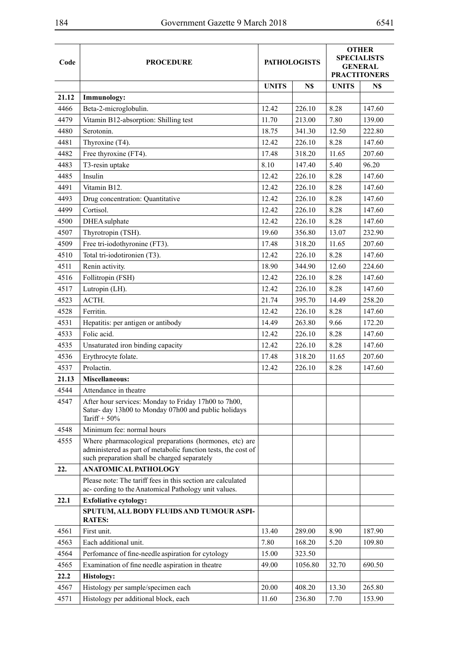| Code  |                                                                                                                                                                         |              | <b>PATHOLOGISTS</b> | <b>OTHER</b><br><b>SPECIALISTS</b><br><b>GENERAL</b><br><b>PRACTITONERS</b> |        |  |
|-------|-------------------------------------------------------------------------------------------------------------------------------------------------------------------------|--------------|---------------------|-----------------------------------------------------------------------------|--------|--|
|       | <b>PROCEDURE</b>                                                                                                                                                        |              |                     |                                                                             |        |  |
|       |                                                                                                                                                                         |              |                     |                                                                             |        |  |
| 21.12 | Immunology:                                                                                                                                                             | <b>UNITS</b> | N\$                 | <b>UNITS</b>                                                                | N\$    |  |
| 4466  | Beta-2-microglobulin.                                                                                                                                                   | 12.42        | 226.10              | 8.28                                                                        | 147.60 |  |
| 4479  | Vitamin B12-absorption: Shilling test                                                                                                                                   | 11.70        | 213.00              | 7.80                                                                        | 139.00 |  |
| 4480  | Serotonin.                                                                                                                                                              | 18.75        | 341.30              | 12.50                                                                       | 222.80 |  |
| 4481  | Thyroxine (T4).                                                                                                                                                         | 12.42        | 226.10              | 8.28                                                                        | 147.60 |  |
| 4482  | Free thyroxine (FT4).                                                                                                                                                   | 17.48        | 318.20              | 11.65                                                                       | 207.60 |  |
| 4483  | T3-resin uptake                                                                                                                                                         | 8.10         | 147.40              | 5.40                                                                        | 96.20  |  |
| 4485  | Insulin                                                                                                                                                                 | 12.42        | 226.10              | 8.28                                                                        | 147.60 |  |
| 4491  | Vitamin B12.                                                                                                                                                            | 12.42        | 226.10              | 8.28                                                                        | 147.60 |  |
| 4493  | Drug concentration: Quantitative                                                                                                                                        | 12.42        | 226.10              | 8.28                                                                        | 147.60 |  |
| 4499  | Cortisol.                                                                                                                                                               | 12.42        | 226.10              | 8.28                                                                        | 147.60 |  |
| 4500  | DHEA sulphate                                                                                                                                                           | 12.42        | 226.10              | 8.28                                                                        | 147.60 |  |
| 4507  | Thyrotropin (TSH).                                                                                                                                                      | 19.60        | 356.80              | 13.07                                                                       | 232.90 |  |
| 4509  | Free tri-iodothyronine (FT3).                                                                                                                                           | 17.48        | 318.20              | 11.65                                                                       | 207.60 |  |
| 4510  | Total tri-iodotironien (T3).                                                                                                                                            | 12.42        | 226.10              | 8.28                                                                        | 147.60 |  |
| 4511  | Renin activity.                                                                                                                                                         | 18.90        | 344.90              | 12.60                                                                       | 224.60 |  |
| 4516  | Follitropin (FSH)                                                                                                                                                       | 12.42        | 226.10              | 8.28                                                                        | 147.60 |  |
| 4517  | Lutropin (LH).                                                                                                                                                          | 12.42        | 226.10              | 8.28                                                                        | 147.60 |  |
| 4523  | ACTH.                                                                                                                                                                   | 21.74        | 395.70              | 14.49                                                                       | 258.20 |  |
| 4528  | Ferritin.                                                                                                                                                               | 12.42        | 226.10              | 8.28                                                                        | 147.60 |  |
| 4531  | Hepatitis: per antigen or antibody                                                                                                                                      | 14.49        | 263.80              | 9.66                                                                        | 172.20 |  |
| 4533  | Folic acid.                                                                                                                                                             | 12.42        | 226.10              | 8.28                                                                        | 147.60 |  |
| 4535  | Unsaturated iron binding capacity                                                                                                                                       | 12.42        | 226.10              | 8.28                                                                        | 147.60 |  |
| 4536  | Erythrocyte folate.                                                                                                                                                     | 17.48        | 318.20              | 11.65                                                                       | 207.60 |  |
| 4537  | Prolactin.                                                                                                                                                              | 12.42        | 226.10              | 8.28                                                                        | 147.60 |  |
| 21.13 | Miscellaneous:                                                                                                                                                          |              |                     |                                                                             |        |  |
| 4544  | Attendance in theatre                                                                                                                                                   |              |                     |                                                                             |        |  |
| 4547  | After hour services: Monday to Friday 17h00 to 7h00,                                                                                                                    |              |                     |                                                                             |        |  |
|       | Satur- day 13h00 to Monday 07h00 and public holidays<br>Tariff + $50\%$                                                                                                 |              |                     |                                                                             |        |  |
| 4548  | Minimum fee: normal hours                                                                                                                                               |              |                     |                                                                             |        |  |
| 4555  | Where pharmacological preparations (hormones, etc) are<br>administered as part of metabolic function tests, the cost of<br>such preparation shall be charged separately |              |                     |                                                                             |        |  |
| 22.   | <b>ANATOMICAL PATHOLOGY</b>                                                                                                                                             |              |                     |                                                                             |        |  |
|       | Please note: The tariff fees in this section are calculated<br>ac-cording to the Anatomical Pathology unit values.                                                      |              |                     |                                                                             |        |  |
| 22.1  | <b>Exfoliative cytology:</b>                                                                                                                                            |              |                     |                                                                             |        |  |
|       | SPUTUM, ALL BODY FLUIDS AND TUMOUR ASPI-<br><b>RATES:</b>                                                                                                               |              |                     |                                                                             |        |  |
| 4561  | First unit.                                                                                                                                                             | 13.40        | 289.00              | 8.90                                                                        | 187.90 |  |
| 4563  | Each additional unit.                                                                                                                                                   | 7.80         | 168.20              | 5.20                                                                        | 109.80 |  |
| 4564  | Perfomance of fine-needle aspiration for cytology                                                                                                                       | 15.00        | 323.50              |                                                                             |        |  |
| 4565  | Examination of fine needle aspiration in theatre                                                                                                                        | 49.00        | 1056.80             | 32.70                                                                       | 690.50 |  |
| 22.2  | <b>Histology:</b>                                                                                                                                                       |              |                     |                                                                             |        |  |
| 4567  | Histology per sample/specimen each                                                                                                                                      | 20.00        | 408.20              | 13.30                                                                       | 265.80 |  |
| 4571  | Histology per additional block, each                                                                                                                                    | 11.60        | 236.80              | 7.70                                                                        | 153.90 |  |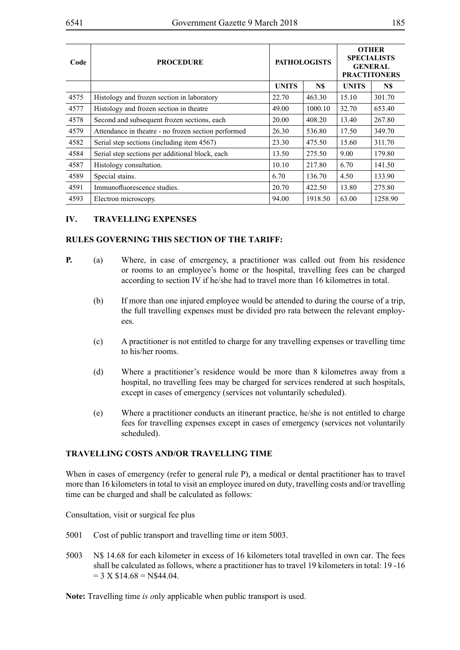| Code | <b>PROCEDURE</b>                                    |              | <b>PATHOLOGISTS</b> | <b>OTHER</b><br><b>SPECIALISTS</b><br><b>GENERAL</b><br><b>PRACTITONERS</b> |         |  |
|------|-----------------------------------------------------|--------------|---------------------|-----------------------------------------------------------------------------|---------|--|
|      |                                                     | <b>UNITS</b> | N\$                 |                                                                             | N\$     |  |
| 4575 | Histology and frozen section in laboratory          | 22.70        | 463.30              | 15.10                                                                       | 301.70  |  |
| 4577 | Histology and frozen section in theatre             | 49.00        | 1000.10             | 32.70                                                                       | 653.40  |  |
| 4578 | Second and subsequent frozen sections, each         | 20.00        | 408.20              | 13.40                                                                       | 267.80  |  |
| 4579 | Attendance in theatre - no frozen section performed | 26.30        | 536.80              | 17.50                                                                       | 349.70  |  |
| 4582 | Serial step sections (including item 4567)          | 23.30        | 475.50              | 15.60                                                                       | 311.70  |  |
| 4584 | Serial step sections per additional block, each     | 13.50        | 275.50              | 9.00                                                                        | 179.80  |  |
| 4587 | Histology consultation.                             | 10.10        | 217.80              | 6.70                                                                        | 141.50  |  |
| 4589 | Special stains.                                     | 6.70         | 136.70              | 4.50                                                                        | 133.90  |  |
| 4591 | Immunofluorescence studies.                         | 20.70        | 422.50              | 13.80                                                                       | 275.80  |  |
| 4593 | Electron microscopy.                                | 94.00        | 1918.50             | 63.00                                                                       | 1258.90 |  |

## **IV. TRAVELLING EXPENSES**

## **RULES GOVERNING THIS SECTION OF THE TARIFF:**

- **P.** (a) Where, in case of emergency, a practitioner was called out from his residence or rooms to an employee's home or the hospital, travelling fees can be charged according to section IV if he/she had to travel more than 16 kilometres in total.
	- (b) If more than one injured employee would be attended to during the course of a trip, the full travelling expenses must be divided pro rata between the relevant employees.
	- (c) A practitioner is not entitled to charge for any travelling expenses or travelling time to his/her rooms.
	- (d) Where a practitioner's residence would be more than 8 kilometres away from a hospital, no travelling fees may be charged for services rendered at such hospitals, except in cases of emergency (services not voluntarily scheduled).
	- (e) Where a practitioner conducts an itinerant practice, he/she is not entitled to charge fees for travelling expenses except in cases of emergency (services not voluntarily scheduled).

## **TRAVELLING COSTS AND/OR TRAVELLING TIME**

When in cases of emergency (refer to general rule P), a medical or dental practitioner has to travel more than 16 kilometers in total to visit an employee inured on duty, travelling costs and/or travelling time can be charged and shall be calculated as follows:

Consultation, visit or surgical fee plus

- 5001 Cost of public transport and travelling time or item 5003.
- 5003 N\$ 14.68 for each kilometer in excess of 16 kilometers total travelled in own car. The fees shall be calculated as follows, where a practitioner has to travel 19 kilometers in total: 19 -16  $= 3$  X  $$14.68 = N$44.04$ .

**Note:** Travelling time *is o*nly applicable when public transport is used.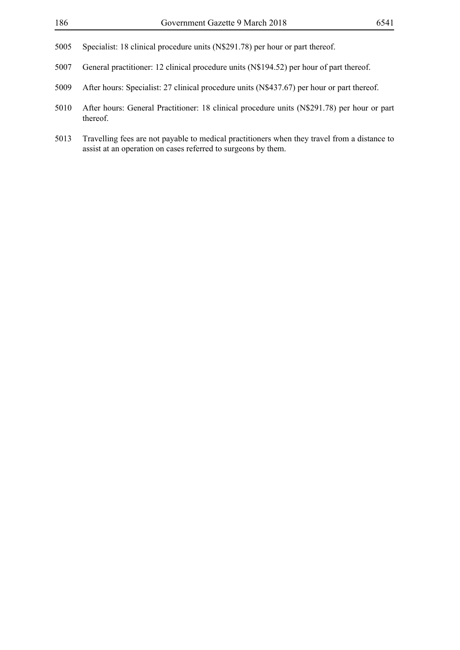- Specialist: 18 clinical procedure units (N\$291.78) per hour or part thereof.
- General practitioner: 12 clinical procedure units (N\$194.52) per hour of part thereof.
- After hours: Specialist: 27 clinical procedure units (N\$437.67) per hour or part thereof.
- After hours: General Practitioner: 18 clinical procedure units (N\$291.78) per hour or part thereof.
- Travelling fees are not payable to medical practitioners when they travel from a distance to assist at an operation on cases referred to surgeons by them.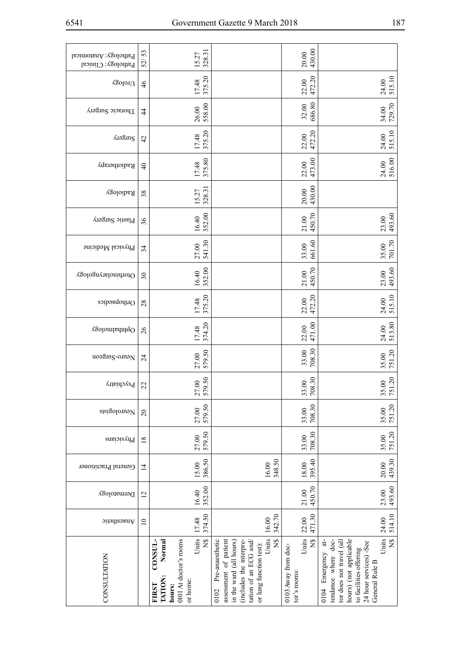| ۰.<br>۰.<br>× |  |
|---------------|--|
|---------------|--|

| Pathology: Anatomical<br>Pathology: Clinical | 53<br>$\widetilde{\rm S2}$ | 328.31<br>15.27                                                                                                             |                                                                                                                                                                                        | 430.00<br>20.00                                       |                                                                                                                                                                                                     |
|----------------------------------------------|----------------------------|-----------------------------------------------------------------------------------------------------------------------------|----------------------------------------------------------------------------------------------------------------------------------------------------------------------------------------|-------------------------------------------------------|-----------------------------------------------------------------------------------------------------------------------------------------------------------------------------------------------------|
| $\chi$ golor $U$                             | $\frac{4}{6}$              | 375.20<br>17.48                                                                                                             |                                                                                                                                                                                        | 22.00<br>472.20                                       | 24.00<br>515.10                                                                                                                                                                                     |
| Thoracic Surgery                             | 4                          | 558.00<br>26.00                                                                                                             |                                                                                                                                                                                        | $32.00$<br>$686.80$                                   | 34.00<br>729.70                                                                                                                                                                                     |
| <b>Alaging</b>                               | 42                         | 375.20<br>17.48                                                                                                             |                                                                                                                                                                                        | 22.00<br>472.20                                       | 515.10<br>24.00                                                                                                                                                                                     |
| Radiotherapy                                 | $\overline{4}$             | 375.80<br>17.48                                                                                                             |                                                                                                                                                                                        | 22.00<br>473.00                                       | 24.00<br>516.00                                                                                                                                                                                     |
| Radiology                                    | 38                         | 328.31<br>15.27                                                                                                             |                                                                                                                                                                                        | 430.00<br>20.00                                       |                                                                                                                                                                                                     |
| Plastic Surgery                              | 36                         | 352.00<br>16.40                                                                                                             |                                                                                                                                                                                        | 450.70<br>21.00                                       | 493.60<br>23.00                                                                                                                                                                                     |
| Physical Medicine                            | 34                         | 541.30<br>27.00                                                                                                             |                                                                                                                                                                                        | 661.60<br>33.00                                       | 701.70<br>35.00                                                                                                                                                                                     |
| Otorhinolaryngology                          | 30                         | 352.00<br>16.40                                                                                                             |                                                                                                                                                                                        | 450.70<br>21.00                                       | 493.60<br>23.00                                                                                                                                                                                     |
| Orthopaedics                                 | 28                         | 375.20<br>17.48                                                                                                             |                                                                                                                                                                                        | 472.20<br>22.00                                       | 515.10<br>24.00                                                                                                                                                                                     |
| Ophthalmology                                | $\overline{26}$            | 374.20<br>17.48                                                                                                             |                                                                                                                                                                                        | 471.00<br>22.00                                       | 513.80<br>24.00                                                                                                                                                                                     |
| uoagung-oman                                 | $\overline{24}$            | 579.50<br>27.00                                                                                                             |                                                                                                                                                                                        | 708.30<br>33.00                                       | 751.20<br>35.00                                                                                                                                                                                     |
| $\rm F$ зус<br>hiatry                        | 22                         | 579.50<br>$\overline{0}$<br>27                                                                                              |                                                                                                                                                                                        | 33.00<br>708.30                                       | 751.20<br>$\overline{0}$<br>35                                                                                                                                                                      |
| sisigolowoV                                  | $\overline{c}$             | 579.50<br>27.00                                                                                                             |                                                                                                                                                                                        | 708.30<br>33.00                                       | 35.00<br>751.20                                                                                                                                                                                     |
| Physicians                                   | $\overline{18}$            | 579.50<br>27.00                                                                                                             |                                                                                                                                                                                        | 708.30<br>33.00                                       | 751.20<br>35.00                                                                                                                                                                                     |
| General Practitioner                         | $\vec{4}$                  | 386.50<br>15.00                                                                                                             | 348.50<br>16.00                                                                                                                                                                        | 395.40<br>18.00                                       | 439.30<br>20.00                                                                                                                                                                                     |
| Dermatology                                  | $\overline{2}$             | 352.00<br>16.40                                                                                                             |                                                                                                                                                                                        | 450.70<br>21.00                                       | 493.60<br>23.00                                                                                                                                                                                     |
| $\delta$ naesthetic                          | $\overline{\phantom{0}}$   | 374.50<br>17.48                                                                                                             | 342.70<br>16.00                                                                                                                                                                        | 471.30<br>22.00                                       | 514.10<br>24.00                                                                                                                                                                                     |
| <b>CONSULTATION</b>                          |                            | Units<br>$\tilde{z}$<br>CONSUL-<br>0101 At doctor's rooms<br>Normal<br><b>TATION:</b><br>or home:<br><b>FIRST</b><br>hours: | Units<br>$\widetilde{X}$<br>assessment of patient<br>Pre-anaesthetic<br>(includes the interpre-<br>tation of an ECG and/<br>in the ward (all hours)<br>or lung function test):<br>0102 | Units<br>$\Xi$<br>0103 Away from doc-<br>tor's rooms: | Units<br>$\overline{X}$<br>Emergency at-<br>hours) (not applicable<br>tendance where doc-<br>tor does not travel (all<br>24 hour services) -See<br>to facilities offering<br>General Rule B<br>0104 |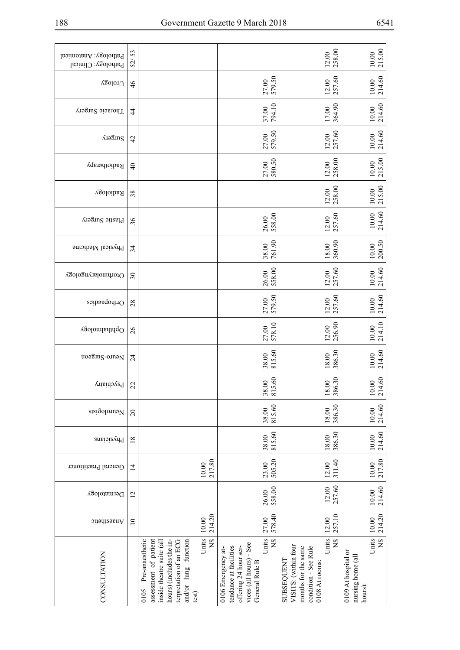| Pathology: Anatomical<br>Pathology: Clinical | 53<br>$\widetilde{\mathcal{S}}$ |                                                                                                                                                                                                  |                                                                                                                                              | 258.00<br>12.00                                                                                                                      | 215.00<br>10.00                                                             |
|----------------------------------------------|---------------------------------|--------------------------------------------------------------------------------------------------------------------------------------------------------------------------------------------------|----------------------------------------------------------------------------------------------------------------------------------------------|--------------------------------------------------------------------------------------------------------------------------------------|-----------------------------------------------------------------------------|
| $\chi$ golor $U$                             | $\frac{4}{6}$                   |                                                                                                                                                                                                  | 27.00<br>579.50                                                                                                                              | 257.60<br>12.00                                                                                                                      | 214.60<br>$10.00$                                                           |
| Thoracic Surgery                             | $\overline{4}$                  |                                                                                                                                                                                                  | 37.00<br>794.10                                                                                                                              | 364.90<br>17.00                                                                                                                      | 214.60<br>$10.00$                                                           |
| <b>AIOSINS</b>                               | 42                              |                                                                                                                                                                                                  | 579.50<br>27.00                                                                                                                              | 257.60<br>12.00                                                                                                                      | 214.60<br>$10.00$                                                           |
| Radiotherapy                                 | $\Theta$                        |                                                                                                                                                                                                  | 27.00<br>580.50                                                                                                                              | 258.00<br>12.00                                                                                                                      | 215.00<br>$10.00$                                                           |
| Radiology                                    | 38                              |                                                                                                                                                                                                  |                                                                                                                                              | 258.00<br>12.00                                                                                                                      | 215.00<br>$10.00$                                                           |
| Plastic Surgery                              | 36                              |                                                                                                                                                                                                  | 558.00<br>26.00                                                                                                                              | 257.60<br>12.00                                                                                                                      | 214.60<br>$10.00$                                                           |
| Physical Medicine                            | 34                              |                                                                                                                                                                                                  | 761.90<br>38.00                                                                                                                              | 360.90<br>18.00                                                                                                                      | 200.50<br>10.00                                                             |
| Otorhinolaryngology                          | 30                              |                                                                                                                                                                                                  | 558.00<br>26.00                                                                                                                              | 257.60<br>$12.00$                                                                                                                    | 214.60<br>$10.00$                                                           |
| Orthopaedics                                 | 28                              |                                                                                                                                                                                                  | 579.50<br>27.00                                                                                                                              | 257.60<br>12.00                                                                                                                      | 214.60<br>$10.00$                                                           |
| Ophthalmology                                | 26                              |                                                                                                                                                                                                  | 578.10<br>27.00                                                                                                                              | 256.90<br>12.00                                                                                                                      | 214.10<br>$10.00$                                                           |
| uoagung-oman                                 | $\overline{24}$                 |                                                                                                                                                                                                  | 815.60<br>38.00                                                                                                                              | 386.30<br>18.00                                                                                                                      | 214.60<br>$10.00$                                                           |
| Psychiatry                                   | 22                              |                                                                                                                                                                                                  | 815.60<br>38.00                                                                                                                              | 386.30<br>18.00                                                                                                                      | 214.60<br>10.00                                                             |
| Neurologists                                 | $\overline{c}$                  |                                                                                                                                                                                                  | 815.60<br>38.00                                                                                                                              | 386.30<br>18.00                                                                                                                      | 214.60<br>$10.00\,$                                                         |
| Physicians                                   | $\overline{18}$                 |                                                                                                                                                                                                  | 815.60<br>38.00                                                                                                                              | 386.30<br>$18.00$                                                                                                                    | 214.60<br>10.00                                                             |
| General Practitioner                         | $\overline{4}$                  | 217.80<br>10.00                                                                                                                                                                                  | 505.20<br>23.00                                                                                                                              | 311.40<br>12.00                                                                                                                      | 217.80<br>$10.00$                                                           |
| Dermatology                                  | $\overline{c}$                  |                                                                                                                                                                                                  | 558.00<br>26.00                                                                                                                              | 257.60<br>12.00                                                                                                                      | 214.60<br>$10.00$                                                           |
| $\delta$ naesthetic                          | $\overline{10}$                 | 214.20<br>10.00                                                                                                                                                                                  | 578.40<br>27.00                                                                                                                              | 257.10<br>12.00                                                                                                                      | 214.20<br>$10.00$                                                           |
| CONSULTATION                                 |                                 | Units<br>$\widetilde{Z}$<br>assessment of patient<br>hours) (includes the in-<br>and/or lung function<br>Pre-anaesthetic<br>inside theatre suite (all<br>terpretation of an ECG<br>0105<br>test) | Units<br>$\frac{8}{2}$<br>vices (all hours) - See<br>offering 24 hour ser-<br>tendance at facilities<br>0106 Emergency at-<br>General Rule B | Units<br>$\frac{8}{2}$<br>VISITS: (within four<br>condition - See Rule<br>months for the same<br><b>SUBSEQUENT</b><br>0108 At rooms: | Units<br>$\tilde{z}$<br>0109 At hospital or<br>nursing home (all<br>hours): |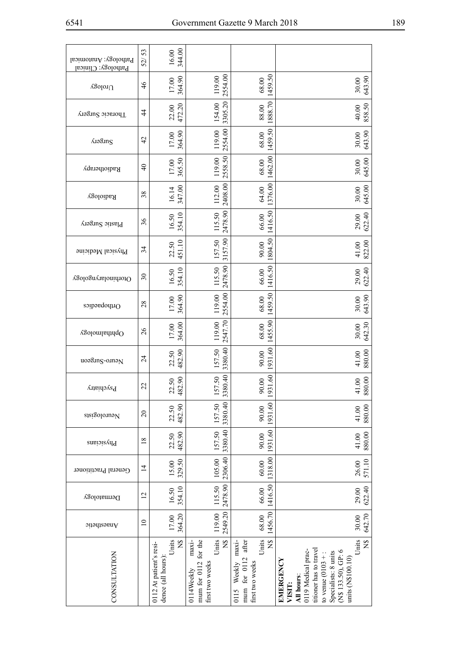| Pathology: Anatomical<br>Pathology: Clinical | 53<br>$\widetilde{\rm S2}$ | 344.00<br>$16.00$                                                      |                                                                                                |                                                                                             |                                                                                                                                                                                               |
|----------------------------------------------|----------------------------|------------------------------------------------------------------------|------------------------------------------------------------------------------------------------|---------------------------------------------------------------------------------------------|-----------------------------------------------------------------------------------------------------------------------------------------------------------------------------------------------|
| $\chi$ golor<br>U                            | $\frac{4}{6}$              | 364.90<br>17.00                                                        | 2554.00<br>119.00                                                                              | 1459.50<br>68.00                                                                            | 643.90<br>30.00                                                                                                                                                                               |
| Thoracic Surgery                             | $\ddot{4}$                 | 472.20<br>22.00                                                        | 3305.20<br>154.00                                                                              | 1888.70<br>88.00                                                                            | 858.50<br>40.00                                                                                                                                                                               |
| <b>Alaguns</b>                               | $\overline{4}$             | 364.90<br>17.00                                                        | 2554.00<br>119.00                                                                              | 1459.50<br>68.00                                                                            | 643.90<br>30.00                                                                                                                                                                               |
| Radiotherapy                                 | $\overline{4}$             | 365.50<br>17.00                                                        | 2558.50<br>119.00                                                                              | 1462.00<br>$68.00\,$                                                                        | 645.00<br>30.00                                                                                                                                                                               |
| Radiology                                    | 38                         | 347.00<br>16.14                                                        | 2408.00<br>112.00                                                                              | 1376.00<br>64.00                                                                            | 645.00<br>30.00                                                                                                                                                                               |
| Plastic Surgery                              | 36                         | 354.10<br>16.50                                                        | 2478.90<br>115.50                                                                              | 1416.50<br>66.00                                                                            | 622.40<br>29.00                                                                                                                                                                               |
| Physical Medicine                            | 34                         | 451.10<br>22.50                                                        | 3157.90<br>157.50                                                                              | 1804.50<br>90.00                                                                            | 822.00<br>41.00                                                                                                                                                                               |
| Otorhinolaryngology                          | $\overline{\mathcal{E}}$   | 354.10<br>16.50                                                        | 2478.90<br>115.50                                                                              | 1416.50<br>66.00                                                                            | 622.40<br>29.00                                                                                                                                                                               |
| Orthopaedics                                 | 28                         | 364.90<br>17.00                                                        | 2554.00<br>119.00                                                                              | 1459.50<br>68.00                                                                            | 643.90<br>30.00                                                                                                                                                                               |
| Ophthalmology                                | $\overline{26}$            | 364.00<br>17.00                                                        | 2547.70<br>119.00                                                                              | 1455.90<br>68.00                                                                            | 642.30<br>30.00                                                                                                                                                                               |
| uoagung-ounaN                                | $\overline{24}$            | 482.90<br>22.50                                                        | 3380.40<br>157.50                                                                              | 931.60<br>90.00                                                                             | 880.00<br>41.00                                                                                                                                                                               |
| Psychiatry                                   | $\overline{2}$             | 482.90<br>22.50                                                        | 3380.40<br>157.50                                                                              | 1931.60<br>90.00                                                                            | 880.00<br>41.00                                                                                                                                                                               |
| Neurologists                                 | $\overline{c}$             | 482.90<br>22.50                                                        | 3380.40<br>157.50                                                                              | 1931.60<br>90.00                                                                            | 880.00<br>41.00                                                                                                                                                                               |
| Physicians                                   | $\overline{18}$            | 482.90<br>22.50                                                        | 3380.40<br>157.50                                                                              | 1931.60<br>90.00                                                                            | 880.00<br>41.00                                                                                                                                                                               |
| General Practitioner                         | $\overline{4}$             | 329.50<br>15.00                                                        | 2306.40<br>105.00                                                                              | 1318.00<br>60.00                                                                            | 571.10<br>26.00                                                                                                                                                                               |
| Dermatology                                  | $\overline{2}$             | 354.10<br>16.50                                                        | 2478.90<br>115.50                                                                              | 1416.50<br>66.00                                                                            | 622.40<br>29.00                                                                                                                                                                               |
| $\Delta$ naesthetic                          | $\overline{a}$             | 364.20<br>17.00                                                        | 2549.20<br>119.00                                                                              | 1456.70<br>68.00                                                                            | 642.70<br>30.00                                                                                                                                                                               |
| CONSULTATION                                 |                            | Units<br>$\frac{8}{2}$<br>0112 At patient's resi-<br>dence (all hours) | Units<br>$\frac{8}{5}$<br>$maxi$ -<br>mum for 0112 for the<br>first two weeks<br>$0114$ Weekly | Units<br>$\tilde{z}$<br>maxi-<br>after<br>mum for 0112<br>first two weeks<br>Weekly<br>0115 | Units<br>NS<br>titioner has to travel<br>0119 Medical prac-<br>(N\$ 133.50), GP: 6<br>Specialists: 8 units<br>to venue $(0103 + 1)$<br>units (N\$100.10)<br>EMERGENCY<br>All hours:<br>VISIT: |